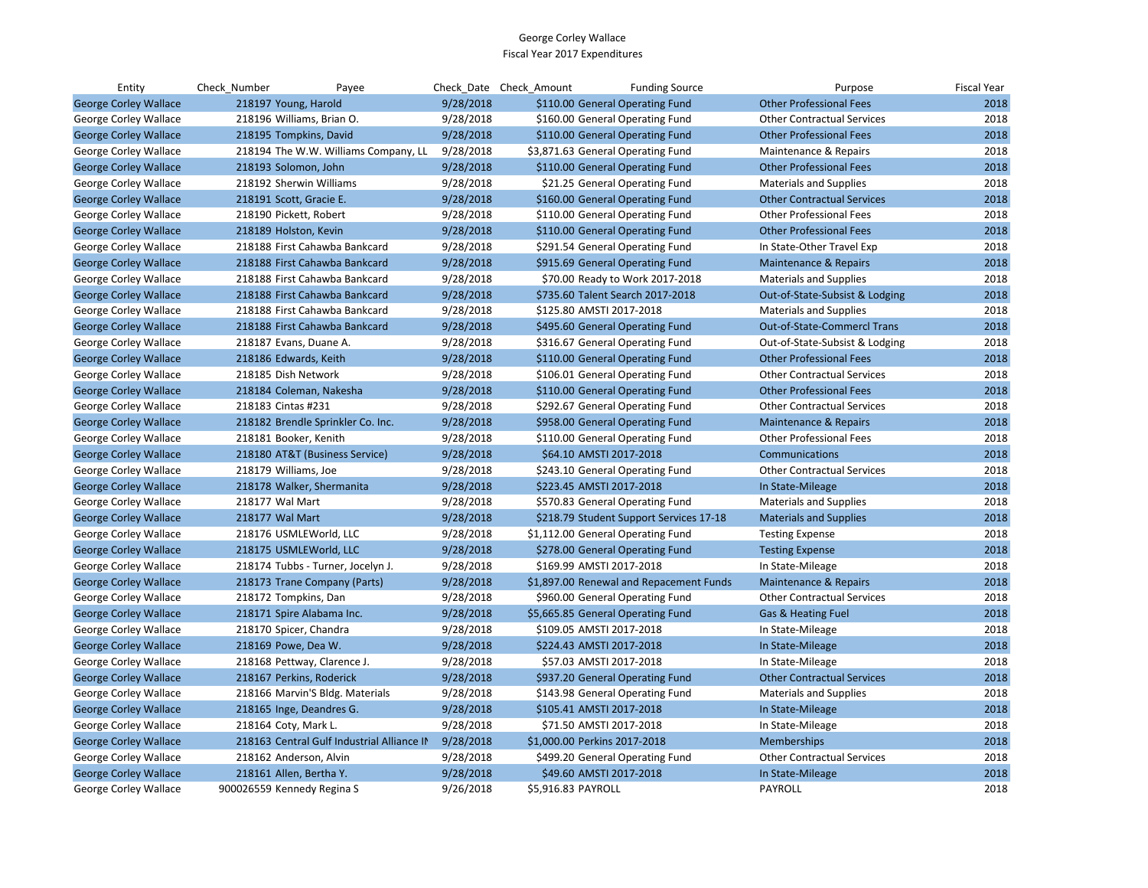| Entity                       | Check Number               | Payee                                      |           | Check Date Check Amount | <b>Funding Source</b>                   | Purpose                            | <b>Fiscal Year</b> |
|------------------------------|----------------------------|--------------------------------------------|-----------|-------------------------|-----------------------------------------|------------------------------------|--------------------|
| <b>George Corley Wallace</b> | 218197 Young, Harold       |                                            | 9/28/2018 |                         | \$110.00 General Operating Fund         | <b>Other Professional Fees</b>     | 2018               |
| George Corley Wallace        | 218196 Williams, Brian O.  |                                            | 9/28/2018 |                         | \$160.00 General Operating Fund         | <b>Other Contractual Services</b>  | 2018               |
| <b>George Corley Wallace</b> | 218195 Tompkins, David     |                                            | 9/28/2018 |                         | \$110.00 General Operating Fund         | <b>Other Professional Fees</b>     | 2018               |
| George Corley Wallace        |                            | 218194 The W.W. Williams Company, LL       | 9/28/2018 |                         | \$3,871.63 General Operating Fund       | Maintenance & Repairs              | 2018               |
| <b>George Corley Wallace</b> | 218193 Solomon, John       |                                            | 9/28/2018 |                         | \$110.00 General Operating Fund         | <b>Other Professional Fees</b>     | 2018               |
| George Corley Wallace        | 218192 Sherwin Williams    |                                            | 9/28/2018 |                         | \$21.25 General Operating Fund          | <b>Materials and Supplies</b>      | 2018               |
| <b>George Corley Wallace</b> | 218191 Scott, Gracie E.    |                                            | 9/28/2018 |                         | \$160.00 General Operating Fund         | <b>Other Contractual Services</b>  | 2018               |
| George Corley Wallace        | 218190 Pickett, Robert     |                                            | 9/28/2018 |                         | \$110.00 General Operating Fund         | <b>Other Professional Fees</b>     | 2018               |
| <b>George Corley Wallace</b> | 218189 Holston, Kevin      |                                            | 9/28/2018 |                         | \$110.00 General Operating Fund         | <b>Other Professional Fees</b>     | 2018               |
| George Corley Wallace        |                            | 218188 First Cahawba Bankcard              | 9/28/2018 |                         | \$291.54 General Operating Fund         | In State-Other Travel Exp          | 2018               |
| <b>George Corley Wallace</b> |                            | 218188 First Cahawba Bankcard              | 9/28/2018 |                         | \$915.69 General Operating Fund         | Maintenance & Repairs              | 2018               |
| George Corley Wallace        |                            | 218188 First Cahawba Bankcard              | 9/28/2018 |                         | \$70.00 Ready to Work 2017-2018         | <b>Materials and Supplies</b>      | 2018               |
| <b>George Corley Wallace</b> |                            | 218188 First Cahawba Bankcard              | 9/28/2018 |                         | \$735.60 Talent Search 2017-2018        | Out-of-State-Subsist & Lodging     | 2018               |
| George Corley Wallace        |                            | 218188 First Cahawba Bankcard              | 9/28/2018 |                         | \$125.80 AMSTI 2017-2018                | <b>Materials and Supplies</b>      | 2018               |
| <b>George Corley Wallace</b> |                            | 218188 First Cahawba Bankcard              | 9/28/2018 |                         | \$495.60 General Operating Fund         | <b>Out-of-State-Commercl Trans</b> | 2018               |
| George Corley Wallace        | 218187 Evans, Duane A.     |                                            | 9/28/2018 |                         | \$316.67 General Operating Fund         | Out-of-State-Subsist & Lodging     | 2018               |
| <b>George Corley Wallace</b> | 218186 Edwards, Keith      |                                            | 9/28/2018 |                         | \$110.00 General Operating Fund         | <b>Other Professional Fees</b>     | 2018               |
| George Corley Wallace        | 218185 Dish Network        |                                            | 9/28/2018 |                         | \$106.01 General Operating Fund         | <b>Other Contractual Services</b>  | 2018               |
| <b>George Corley Wallace</b> | 218184 Coleman, Nakesha    |                                            | 9/28/2018 |                         | \$110.00 General Operating Fund         | <b>Other Professional Fees</b>     | 2018               |
| George Corley Wallace        | 218183 Cintas #231         |                                            | 9/28/2018 |                         | \$292.67 General Operating Fund         | <b>Other Contractual Services</b>  | 2018               |
| <b>George Corley Wallace</b> |                            | 218182 Brendle Sprinkler Co. Inc.          | 9/28/2018 |                         | \$958.00 General Operating Fund         | <b>Maintenance &amp; Repairs</b>   | 2018               |
| George Corley Wallace        | 218181 Booker, Kenith      |                                            | 9/28/2018 |                         | \$110.00 General Operating Fund         | <b>Other Professional Fees</b>     | 2018               |
| <b>George Corley Wallace</b> |                            | 218180 AT&T (Business Service)             | 9/28/2018 |                         | \$64.10 AMSTI 2017-2018                 | Communications                     | 2018               |
| George Corley Wallace        | 218179 Williams, Joe       |                                            | 9/28/2018 |                         | \$243.10 General Operating Fund         | <b>Other Contractual Services</b>  | 2018               |
| <b>George Corley Wallace</b> |                            | 218178 Walker, Shermanita                  | 9/28/2018 |                         | \$223.45 AMSTI 2017-2018                | In State-Mileage                   | 2018               |
| George Corley Wallace        | 218177 Wal Mart            |                                            | 9/28/2018 |                         | \$570.83 General Operating Fund         | <b>Materials and Supplies</b>      | 2018               |
| <b>George Corley Wallace</b> | 218177 Wal Mart            |                                            | 9/28/2018 |                         | \$218.79 Student Support Services 17-18 | <b>Materials and Supplies</b>      | 2018               |
| George Corley Wallace        | 218176 USMLEWorld, LLC     |                                            | 9/28/2018 |                         | \$1,112.00 General Operating Fund       | <b>Testing Expense</b>             | 2018               |
| <b>George Corley Wallace</b> | 218175 USMLEWorld, LLC     |                                            | 9/28/2018 |                         | \$278.00 General Operating Fund         | <b>Testing Expense</b>             | 2018               |
| George Corley Wallace        |                            | 218174 Tubbs - Turner, Jocelyn J.          | 9/28/2018 |                         | \$169.99 AMSTI 2017-2018                | In State-Mileage                   | 2018               |
| <b>George Corley Wallace</b> |                            | 218173 Trane Company (Parts)               | 9/28/2018 |                         | \$1,897.00 Renewal and Repacement Funds | <b>Maintenance &amp; Repairs</b>   | 2018               |
| George Corley Wallace        | 218172 Tompkins, Dan       |                                            | 9/28/2018 |                         | \$960.00 General Operating Fund         | <b>Other Contractual Services</b>  | 2018               |
| <b>George Corley Wallace</b> | 218171 Spire Alabama Inc.  |                                            | 9/28/2018 |                         | \$5,665.85 General Operating Fund       | Gas & Heating Fuel                 | 2018               |
| George Corley Wallace        | 218170 Spicer, Chandra     |                                            | 9/28/2018 |                         | \$109.05 AMSTI 2017-2018                | In State-Mileage                   | 2018               |
| <b>George Corley Wallace</b> | 218169 Powe, Dea W.        |                                            | 9/28/2018 |                         | \$224.43 AMSTI 2017-2018                | In State-Mileage                   | 2018               |
| George Corley Wallace        |                            | 218168 Pettway, Clarence J.                | 9/28/2018 |                         | \$57.03 AMSTI 2017-2018                 | In State-Mileage                   | 2018               |
| <b>George Corley Wallace</b> | 218167 Perkins, Roderick   |                                            | 9/28/2018 |                         | \$937.20 General Operating Fund         | <b>Other Contractual Services</b>  | 2018               |
| George Corley Wallace        |                            | 218166 Marvin'S Bldg. Materials            | 9/28/2018 |                         | \$143.98 General Operating Fund         | <b>Materials and Supplies</b>      | 2018               |
| <b>George Corley Wallace</b> | 218165 Inge, Deandres G.   |                                            | 9/28/2018 |                         | \$105.41 AMSTI 2017-2018                | In State-Mileage                   | 2018               |
| George Corley Wallace        | 218164 Coty, Mark L.       |                                            | 9/28/2018 |                         | \$71.50 AMSTI 2017-2018                 | In State-Mileage                   | 2018               |
| <b>George Corley Wallace</b> |                            | 218163 Central Gulf Industrial Alliance IN | 9/28/2018 |                         | \$1,000.00 Perkins 2017-2018            | <b>Memberships</b>                 | 2018               |
| George Corley Wallace        | 218162 Anderson, Alvin     |                                            | 9/28/2018 |                         | \$499.20 General Operating Fund         | <b>Other Contractual Services</b>  | 2018               |
| <b>George Corley Wallace</b> | 218161 Allen, Bertha Y.    |                                            | 9/28/2018 |                         | \$49.60 AMSTI 2017-2018                 | In State-Mileage                   | 2018               |
| <b>George Corley Wallace</b> | 900026559 Kennedy Regina S |                                            | 9/26/2018 | \$5.916.83 PAYROLL      |                                         | <b>PAYROLL</b>                     | 2018               |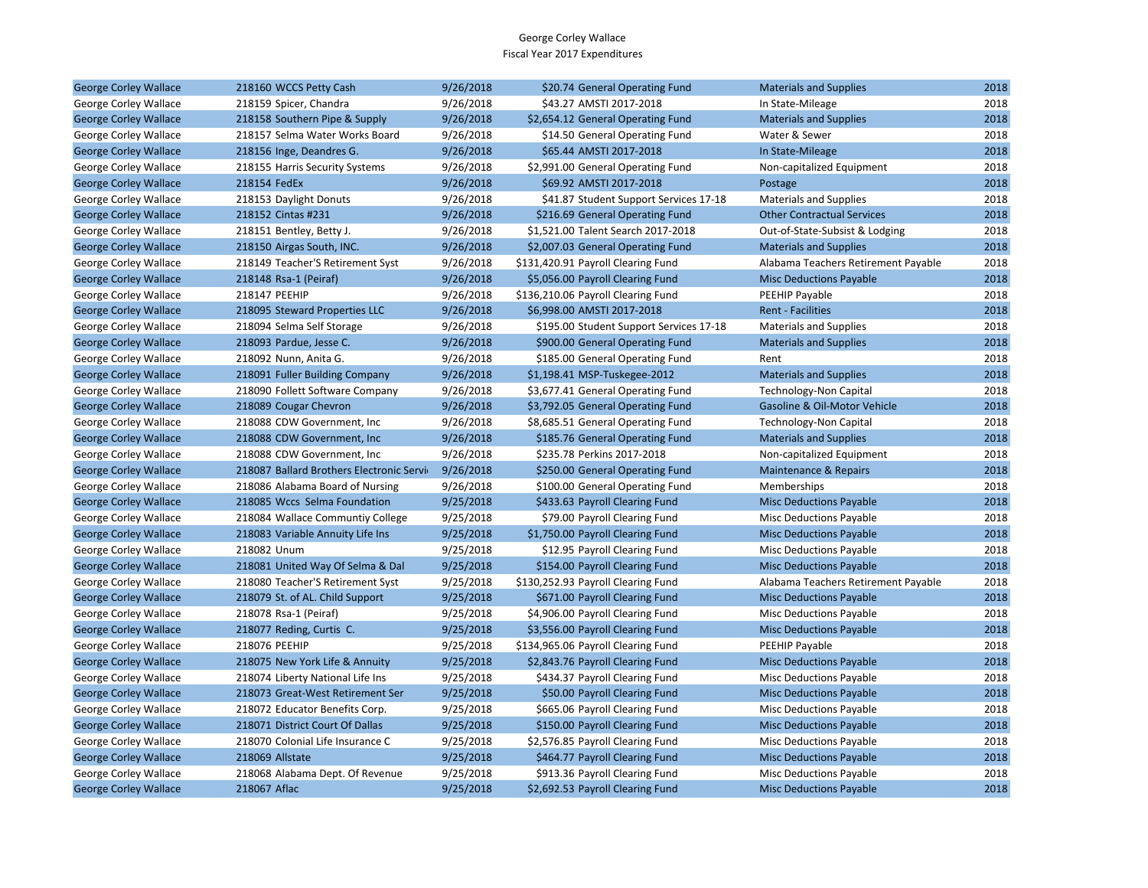| <b>George Corley Wallace</b> | 218160 WCCS Petty Cash                    | 9/26/2018 | \$20.74 General Operating Fund          | <b>Materials and Supplies</b>       | 2018 |
|------------------------------|-------------------------------------------|-----------|-----------------------------------------|-------------------------------------|------|
| George Corley Wallace        | 218159 Spicer, Chandra                    | 9/26/2018 | \$43.27 AMSTI 2017-2018                 | In State-Mileage                    | 2018 |
| <b>George Corley Wallace</b> | 218158 Southern Pipe & Supply             | 9/26/2018 | \$2,654.12 General Operating Fund       | <b>Materials and Supplies</b>       | 2018 |
| George Corley Wallace        | 218157 Selma Water Works Board            | 9/26/2018 | \$14.50 General Operating Fund          | Water & Sewer                       | 2018 |
| <b>George Corley Wallace</b> | 218156 Inge, Deandres G.                  | 9/26/2018 | \$65.44 AMSTI 2017-2018                 | In State-Mileage                    | 2018 |
| George Corley Wallace        | 218155 Harris Security Systems            | 9/26/2018 | \$2,991.00 General Operating Fund       | Non-capitalized Equipment           | 2018 |
| <b>George Corley Wallace</b> | 218154 FedEx                              | 9/26/2018 | \$69.92 AMSTI 2017-2018                 | Postage                             | 2018 |
| George Corley Wallace        | 218153 Daylight Donuts                    | 9/26/2018 | \$41.87 Student Support Services 17-18  | <b>Materials and Supplies</b>       | 2018 |
| <b>George Corley Wallace</b> | 218152 Cintas #231                        | 9/26/2018 | \$216.69 General Operating Fund         | <b>Other Contractual Services</b>   | 2018 |
| George Corley Wallace        | 218151 Bentley, Betty J.                  | 9/26/2018 | \$1,521.00 Talent Search 2017-2018      | Out-of-State-Subsist & Lodging      | 2018 |
| <b>George Corley Wallace</b> | 218150 Airgas South, INC.                 | 9/26/2018 | \$2,007.03 General Operating Fund       | <b>Materials and Supplies</b>       | 2018 |
| George Corley Wallace        | 218149 Teacher'S Retirement Syst          | 9/26/2018 | \$131,420.91 Payroll Clearing Fund      | Alabama Teachers Retirement Payable | 2018 |
| <b>George Corley Wallace</b> | 218148 Rsa-1 (Peiraf)                     | 9/26/2018 | \$5,056.00 Payroll Clearing Fund        | <b>Misc Deductions Payable</b>      | 2018 |
| George Corley Wallace        | 218147 PEEHIP                             | 9/26/2018 | \$136,210.06 Payroll Clearing Fund      | PEEHIP Payable                      | 2018 |
| <b>George Corley Wallace</b> | 218095 Steward Properties LLC             | 9/26/2018 | \$6,998.00 AMSTI 2017-2018              | <b>Rent - Facilities</b>            | 2018 |
| George Corley Wallace        | 218094 Selma Self Storage                 | 9/26/2018 | \$195.00 Student Support Services 17-18 | <b>Materials and Supplies</b>       | 2018 |
| <b>George Corley Wallace</b> | 218093 Pardue, Jesse C.                   | 9/26/2018 | \$900.00 General Operating Fund         | <b>Materials and Supplies</b>       | 2018 |
| George Corley Wallace        | 218092 Nunn, Anita G.                     | 9/26/2018 | \$185.00 General Operating Fund         | Rent                                | 2018 |
| <b>George Corley Wallace</b> | 218091 Fuller Building Company            | 9/26/2018 | \$1,198.41 MSP-Tuskegee-2012            | <b>Materials and Supplies</b>       | 2018 |
| George Corley Wallace        | 218090 Follett Software Company           | 9/26/2018 | \$3,677.41 General Operating Fund       | <b>Technology-Non Capital</b>       | 2018 |
| <b>George Corley Wallace</b> | 218089 Cougar Chevron                     | 9/26/2018 | \$3,792.05 General Operating Fund       | Gasoline & Oil-Motor Vehicle        | 2018 |
| George Corley Wallace        | 218088 CDW Government, Inc.               | 9/26/2018 | \$8,685.51 General Operating Fund       | <b>Technology-Non Capital</b>       | 2018 |
| <b>George Corley Wallace</b> | 218088 CDW Government, Inc                | 9/26/2018 | \$185.76 General Operating Fund         | <b>Materials and Supplies</b>       | 2018 |
| George Corley Wallace        | 218088 CDW Government, Inc                | 9/26/2018 | \$235.78 Perkins 2017-2018              | Non-capitalized Equipment           | 2018 |
| <b>George Corley Wallace</b> | 218087 Ballard Brothers Electronic Servir | 9/26/2018 | \$250.00 General Operating Fund         | <b>Maintenance &amp; Repairs</b>    | 2018 |
| George Corley Wallace        | 218086 Alabama Board of Nursing           | 9/26/2018 | \$100.00 General Operating Fund         | Memberships                         | 2018 |
| <b>George Corley Wallace</b> | 218085 Wccs Selma Foundation              | 9/25/2018 | \$433.63 Payroll Clearing Fund          | <b>Misc Deductions Payable</b>      | 2018 |
| George Corley Wallace        | 218084 Wallace Communtiy College          | 9/25/2018 | \$79.00 Payroll Clearing Fund           | <b>Misc Deductions Payable</b>      | 2018 |
| <b>George Corley Wallace</b> | 218083 Variable Annuity Life Ins          | 9/25/2018 | \$1,750.00 Payroll Clearing Fund        | <b>Misc Deductions Payable</b>      | 2018 |
| George Corley Wallace        | 218082 Unum                               | 9/25/2018 | \$12.95 Payroll Clearing Fund           | <b>Misc Deductions Payable</b>      | 2018 |
| <b>George Corley Wallace</b> | 218081 United Way Of Selma & Dal          | 9/25/2018 | \$154.00 Payroll Clearing Fund          | <b>Misc Deductions Payable</b>      | 2018 |
| George Corley Wallace        | 218080 Teacher'S Retirement Syst          | 9/25/2018 | \$130,252.93 Payroll Clearing Fund      | Alabama Teachers Retirement Payable | 2018 |
| <b>George Corley Wallace</b> | 218079 St. of AL. Child Support           | 9/25/2018 | \$671.00 Payroll Clearing Fund          | <b>Misc Deductions Payable</b>      | 2018 |
| George Corley Wallace        | 218078 Rsa-1 (Peiraf)                     | 9/25/2018 | \$4,906.00 Payroll Clearing Fund        | <b>Misc Deductions Payable</b>      | 2018 |
| <b>George Corley Wallace</b> | 218077 Reding, Curtis C.                  | 9/25/2018 | \$3,556.00 Payroll Clearing Fund        | <b>Misc Deductions Payable</b>      | 2018 |
| George Corley Wallace        | 218076 PEEHIP                             | 9/25/2018 | \$134,965.06 Payroll Clearing Fund      | PEEHIP Payable                      | 2018 |
| <b>George Corley Wallace</b> | 218075 New York Life & Annuity            | 9/25/2018 | \$2,843.76 Payroll Clearing Fund        | <b>Misc Deductions Payable</b>      | 2018 |
| George Corley Wallace        | 218074 Liberty National Life Ins          | 9/25/2018 | \$434.37 Payroll Clearing Fund          | <b>Misc Deductions Payable</b>      | 2018 |
| <b>George Corley Wallace</b> | 218073 Great-West Retirement Ser          | 9/25/2018 | \$50.00 Payroll Clearing Fund           | <b>Misc Deductions Payable</b>      | 2018 |
| George Corley Wallace        | 218072 Educator Benefits Corp.            | 9/25/2018 | \$665.06 Payroll Clearing Fund          | Misc Deductions Payable             | 2018 |
| <b>George Corley Wallace</b> | 218071 District Court Of Dallas           | 9/25/2018 | \$150.00 Payroll Clearing Fund          | <b>Misc Deductions Payable</b>      | 2018 |
| George Corley Wallace        | 218070 Colonial Life Insurance C          | 9/25/2018 | \$2,576.85 Payroll Clearing Fund        | <b>Misc Deductions Payable</b>      | 2018 |
| <b>George Corley Wallace</b> | 218069 Allstate                           | 9/25/2018 | \$464.77 Payroll Clearing Fund          | <b>Misc Deductions Payable</b>      | 2018 |
| George Corley Wallace        | 218068 Alabama Dept. Of Revenue           | 9/25/2018 | \$913.36 Payroll Clearing Fund          | <b>Misc Deductions Payable</b>      | 2018 |
| <b>George Corley Wallace</b> | 218067 Aflac                              | 9/25/2018 | \$2,692.53 Payroll Clearing Fund        | <b>Misc Deductions Payable</b>      | 2018 |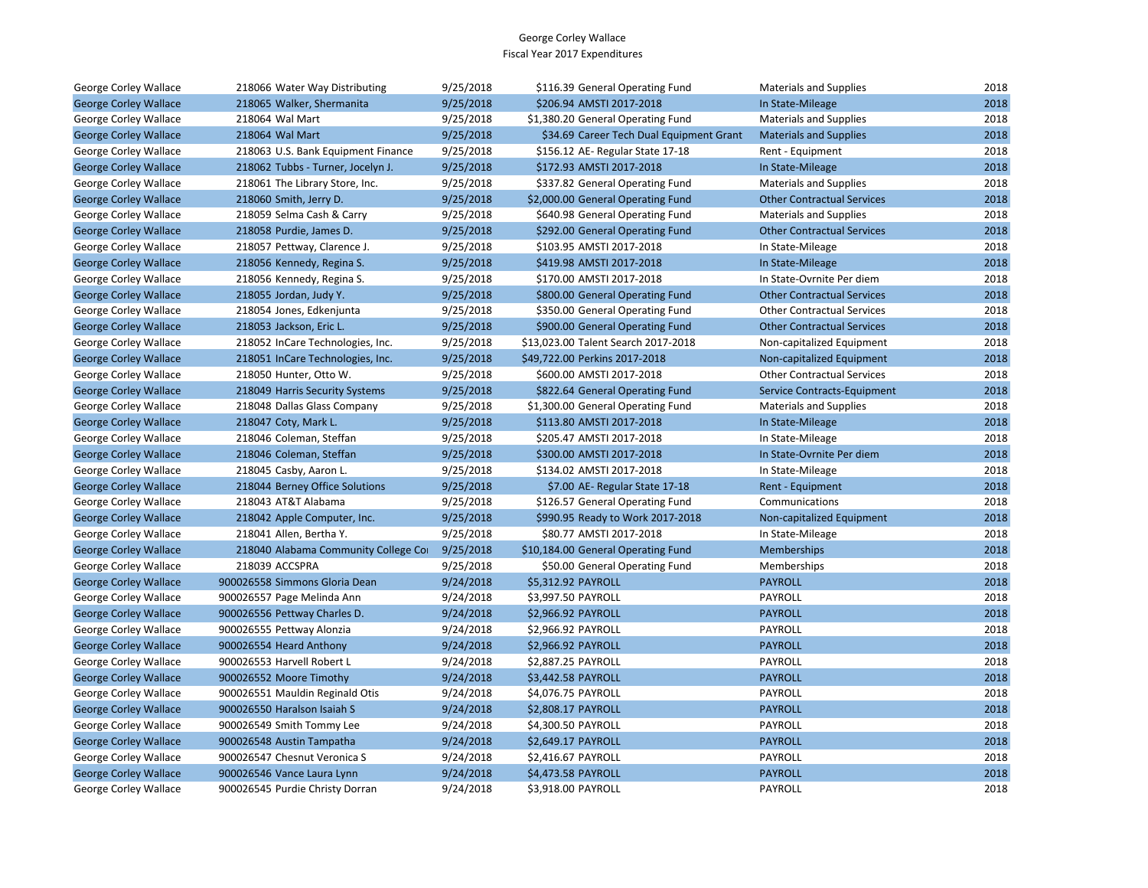| George Corley Wallace        | 218066 Water Way Distributing        | 9/25/2018 | \$116.39 General Operating Fund          | <b>Materials and Supplies</b>     | 2018 |
|------------------------------|--------------------------------------|-----------|------------------------------------------|-----------------------------------|------|
| <b>George Corley Wallace</b> | 218065 Walker, Shermanita            | 9/25/2018 | \$206.94 AMSTI 2017-2018                 | In State-Mileage                  | 2018 |
| George Corley Wallace        | 218064 Wal Mart                      | 9/25/2018 | \$1,380.20 General Operating Fund        | <b>Materials and Supplies</b>     | 2018 |
| <b>George Corley Wallace</b> | 218064 Wal Mart                      | 9/25/2018 | \$34.69 Career Tech Dual Equipment Grant | <b>Materials and Supplies</b>     | 2018 |
| George Corley Wallace        | 218063 U.S. Bank Equipment Finance   | 9/25/2018 | \$156.12 AE-Regular State 17-18          | Rent - Equipment                  | 2018 |
| <b>George Corley Wallace</b> | 218062 Tubbs - Turner, Jocelyn J.    | 9/25/2018 | \$172.93 AMSTI 2017-2018                 | In State-Mileage                  | 2018 |
| George Corley Wallace        | 218061 The Library Store, Inc.       | 9/25/2018 | \$337.82 General Operating Fund          | <b>Materials and Supplies</b>     | 2018 |
| <b>George Corley Wallace</b> | 218060 Smith, Jerry D.               | 9/25/2018 | \$2,000.00 General Operating Fund        | <b>Other Contractual Services</b> | 2018 |
| George Corley Wallace        | 218059 Selma Cash & Carry            | 9/25/2018 | \$640.98 General Operating Fund          | <b>Materials and Supplies</b>     | 2018 |
| <b>George Corley Wallace</b> | 218058 Purdie, James D.              | 9/25/2018 | \$292.00 General Operating Fund          | <b>Other Contractual Services</b> | 2018 |
| George Corley Wallace        | 218057 Pettway, Clarence J.          | 9/25/2018 | \$103.95 AMSTI 2017-2018                 | In State-Mileage                  | 2018 |
| <b>George Corley Wallace</b> | 218056 Kennedy, Regina S.            | 9/25/2018 | \$419.98 AMSTI 2017-2018                 | In State-Mileage                  | 2018 |
| George Corley Wallace        | 218056 Kennedy, Regina S.            | 9/25/2018 | \$170.00 AMSTI 2017-2018                 | In State-Ovrnite Per diem         | 2018 |
| <b>George Corley Wallace</b> | 218055 Jordan, Judy Y.               | 9/25/2018 | \$800.00 General Operating Fund          | <b>Other Contractual Services</b> | 2018 |
| George Corley Wallace        | 218054 Jones, Edkenjunta             | 9/25/2018 | \$350.00 General Operating Fund          | <b>Other Contractual Services</b> | 2018 |
| <b>George Corley Wallace</b> | 218053 Jackson, Eric L.              | 9/25/2018 | \$900.00 General Operating Fund          | <b>Other Contractual Services</b> | 2018 |
| George Corley Wallace        | 218052 InCare Technologies, Inc.     | 9/25/2018 | \$13,023.00 Talent Search 2017-2018      | Non-capitalized Equipment         | 2018 |
| <b>George Corley Wallace</b> | 218051 InCare Technologies, Inc.     | 9/25/2018 | \$49,722.00 Perkins 2017-2018            | Non-capitalized Equipment         | 2018 |
| George Corley Wallace        | 218050 Hunter, Otto W.               | 9/25/2018 | \$600.00 AMSTI 2017-2018                 | <b>Other Contractual Services</b> | 2018 |
| <b>George Corley Wallace</b> | 218049 Harris Security Systems       | 9/25/2018 | \$822.64 General Operating Fund          | Service Contracts-Equipment       | 2018 |
| George Corley Wallace        | 218048 Dallas Glass Company          | 9/25/2018 | \$1,300.00 General Operating Fund        | <b>Materials and Supplies</b>     | 2018 |
| <b>George Corley Wallace</b> | 218047 Coty, Mark L.                 | 9/25/2018 | \$113.80 AMSTI 2017-2018                 | In State-Mileage                  | 2018 |
| George Corley Wallace        | 218046 Coleman, Steffan              | 9/25/2018 | \$205.47 AMSTI 2017-2018                 | In State-Mileage                  | 2018 |
| <b>George Corley Wallace</b> | 218046 Coleman, Steffan              | 9/25/2018 | \$300.00 AMSTI 2017-2018                 | In State-Ovrnite Per diem         | 2018 |
| George Corley Wallace        | 218045 Casby, Aaron L.               | 9/25/2018 | \$134.02 AMSTI 2017-2018                 | In State-Mileage                  | 2018 |
| <b>George Corley Wallace</b> | 218044 Berney Office Solutions       | 9/25/2018 | \$7.00 AE- Regular State 17-18           | Rent - Equipment                  | 2018 |
| George Corley Wallace        | 218043 AT&T Alabama                  | 9/25/2018 | \$126.57 General Operating Fund          | Communications                    | 2018 |
| <b>George Corley Wallace</b> | 218042 Apple Computer, Inc.          | 9/25/2018 | \$990.95 Ready to Work 2017-2018         | Non-capitalized Equipment         | 2018 |
| George Corley Wallace        | 218041 Allen, Bertha Y.              | 9/25/2018 | \$80.77 AMSTI 2017-2018                  | In State-Mileage                  | 2018 |
| <b>George Corley Wallace</b> | 218040 Alabama Community College Cor | 9/25/2018 | \$10,184.00 General Operating Fund       | Memberships                       | 2018 |
| George Corley Wallace        | 218039 ACCSPRA                       | 9/25/2018 | \$50.00 General Operating Fund           | Memberships                       | 2018 |
| <b>George Corley Wallace</b> | 900026558 Simmons Gloria Dean        | 9/24/2018 | \$5,312.92 PAYROLL                       | <b>PAYROLL</b>                    | 2018 |
| George Corley Wallace        | 900026557 Page Melinda Ann           | 9/24/2018 | \$3,997.50 PAYROLL                       | PAYROLL                           | 2018 |
| <b>George Corley Wallace</b> | 900026556 Pettway Charles D.         | 9/24/2018 | \$2,966.92 PAYROLL                       | <b>PAYROLL</b>                    | 2018 |
| George Corley Wallace        | 900026555 Pettway Alonzia            | 9/24/2018 | \$2,966.92 PAYROLL                       | PAYROLL                           | 2018 |
| <b>George Corley Wallace</b> | 900026554 Heard Anthony              | 9/24/2018 | \$2,966.92 PAYROLL                       | <b>PAYROLL</b>                    | 2018 |
| George Corley Wallace        | 900026553 Harvell Robert L           | 9/24/2018 | \$2,887.25 PAYROLL                       | PAYROLL                           | 2018 |
| <b>George Corley Wallace</b> | 900026552 Moore Timothy              | 9/24/2018 | \$3,442.58 PAYROLL                       | <b>PAYROLL</b>                    | 2018 |
| George Corley Wallace        | 900026551 Mauldin Reginald Otis      | 9/24/2018 | \$4,076.75 PAYROLL                       | PAYROLL                           | 2018 |
| <b>George Corley Wallace</b> | 900026550 Haralson Isaiah S          | 9/24/2018 | \$2,808.17 PAYROLL                       | <b>PAYROLL</b>                    | 2018 |
| George Corley Wallace        | 900026549 Smith Tommy Lee            | 9/24/2018 | \$4,300.50 PAYROLL                       | PAYROLL                           | 2018 |
| <b>George Corley Wallace</b> | 900026548 Austin Tampatha            | 9/24/2018 | \$2,649.17 PAYROLL                       | <b>PAYROLL</b>                    | 2018 |
| George Corley Wallace        | 900026547 Chesnut Veronica S         | 9/24/2018 | \$2,416.67 PAYROLL                       | PAYROLL                           | 2018 |
| <b>George Corley Wallace</b> | 900026546 Vance Laura Lynn           | 9/24/2018 | \$4,473.58 PAYROLL                       | <b>PAYROLL</b>                    | 2018 |
| George Corley Wallace        | 900026545 Purdie Christy Dorran      | 9/24/2018 | \$3.918.00 PAYROLL                       | <b>PAYROLL</b>                    | 2018 |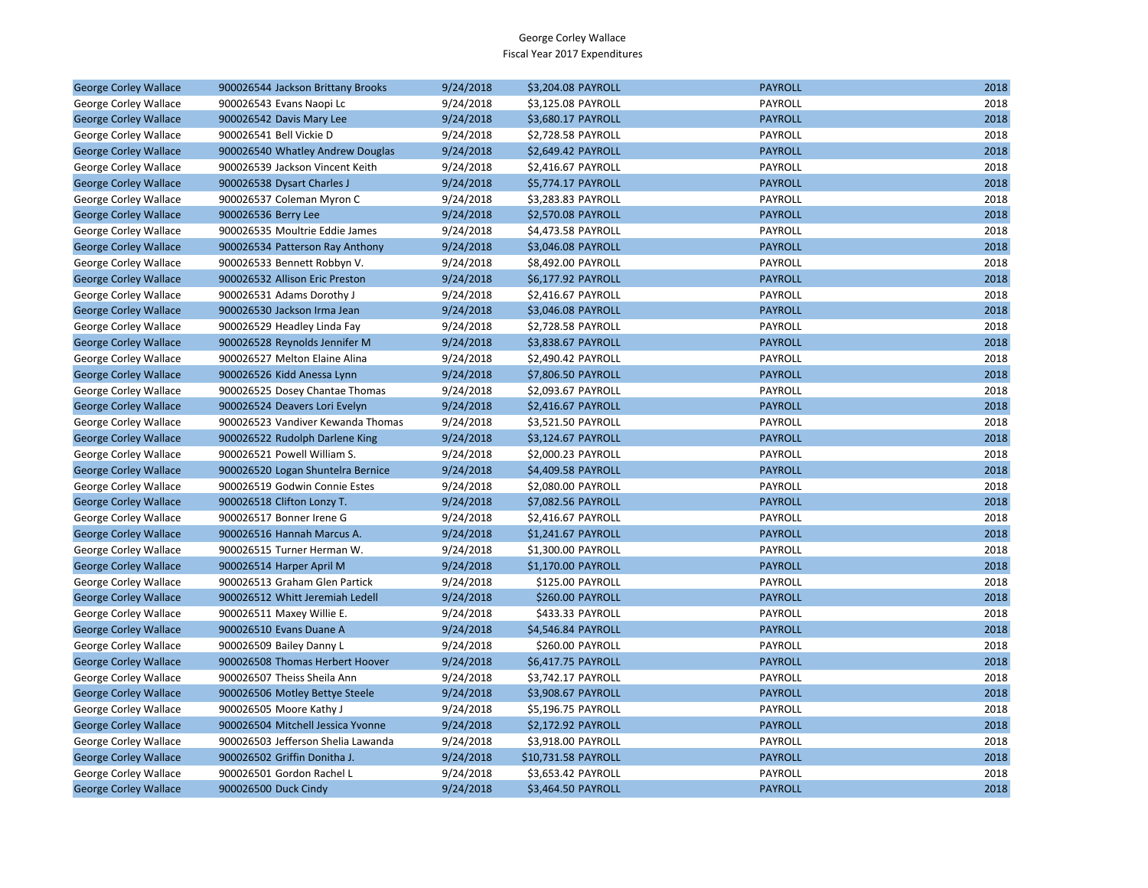| <b>George Corley Wallace</b> | 900026544 Jackson Brittany Brooks  | 9/24/2018 | \$3,204.08 PAYROLL  | <b>PAYROLL</b> | 2018 |
|------------------------------|------------------------------------|-----------|---------------------|----------------|------|
| George Corley Wallace        | 900026543 Evans Naopi Lc           | 9/24/2018 | \$3,125.08 PAYROLL  | PAYROLL        | 2018 |
| <b>George Corley Wallace</b> | 900026542 Davis Mary Lee           | 9/24/2018 | \$3,680.17 PAYROLL  | <b>PAYROLL</b> | 2018 |
| George Corley Wallace        | 900026541 Bell Vickie D            | 9/24/2018 | \$2,728.58 PAYROLL  | PAYROLL        | 2018 |
| <b>George Corley Wallace</b> | 900026540 Whatley Andrew Douglas   | 9/24/2018 | \$2,649.42 PAYROLL  | <b>PAYROLL</b> | 2018 |
| George Corley Wallace        | 900026539 Jackson Vincent Keith    | 9/24/2018 | \$2,416.67 PAYROLL  | PAYROLL        | 2018 |
| <b>George Corley Wallace</b> | 900026538 Dysart Charles J         | 9/24/2018 | \$5,774.17 PAYROLL  | <b>PAYROLL</b> | 2018 |
| George Corley Wallace        | 900026537 Coleman Myron C          | 9/24/2018 | \$3,283.83 PAYROLL  | PAYROLL        | 2018 |
| <b>George Corley Wallace</b> | 900026536 Berry Lee                | 9/24/2018 | \$2,570.08 PAYROLL  | <b>PAYROLL</b> | 2018 |
| George Corley Wallace        | 900026535 Moultrie Eddie James     | 9/24/2018 | \$4,473.58 PAYROLL  | PAYROLL        | 2018 |
| <b>George Corley Wallace</b> | 900026534 Patterson Ray Anthony    | 9/24/2018 | \$3,046.08 PAYROLL  | <b>PAYROLL</b> | 2018 |
| George Corley Wallace        | 900026533 Bennett Robbyn V.        | 9/24/2018 | \$8,492.00 PAYROLL  | PAYROLL        | 2018 |
| <b>George Corley Wallace</b> | 900026532 Allison Eric Preston     | 9/24/2018 | \$6,177.92 PAYROLL  | <b>PAYROLL</b> | 2018 |
| George Corley Wallace        | 900026531 Adams Dorothy J          | 9/24/2018 | \$2,416.67 PAYROLL  | PAYROLL        | 2018 |
| <b>George Corley Wallace</b> | 900026530 Jackson Irma Jean        | 9/24/2018 | \$3,046.08 PAYROLL  | <b>PAYROLL</b> | 2018 |
| George Corley Wallace        | 900026529 Headley Linda Fay        | 9/24/2018 | \$2,728.58 PAYROLL  | PAYROLL        | 2018 |
| <b>George Corley Wallace</b> | 900026528 Reynolds Jennifer M      | 9/24/2018 | \$3,838.67 PAYROLL  | <b>PAYROLL</b> | 2018 |
| George Corley Wallace        | 900026527 Melton Elaine Alina      | 9/24/2018 | \$2,490.42 PAYROLL  | PAYROLL        | 2018 |
| <b>George Corley Wallace</b> | 900026526 Kidd Anessa Lynn         | 9/24/2018 | \$7,806.50 PAYROLL  | <b>PAYROLL</b> | 2018 |
| George Corley Wallace        | 900026525 Dosey Chantae Thomas     | 9/24/2018 | \$2,093.67 PAYROLL  | PAYROLL        | 2018 |
| <b>George Corley Wallace</b> | 900026524 Deavers Lori Evelyn      | 9/24/2018 | \$2,416.67 PAYROLL  | <b>PAYROLL</b> | 2018 |
| George Corley Wallace        | 900026523 Vandiver Kewanda Thomas  | 9/24/2018 | \$3,521.50 PAYROLL  | PAYROLL        | 2018 |
| <b>George Corley Wallace</b> | 900026522 Rudolph Darlene King     | 9/24/2018 | \$3,124.67 PAYROLL  | <b>PAYROLL</b> | 2018 |
| George Corley Wallace        | 900026521 Powell William S.        | 9/24/2018 | \$2,000.23 PAYROLL  | PAYROLL        | 2018 |
| <b>George Corley Wallace</b> | 900026520 Logan Shuntelra Bernice  | 9/24/2018 | \$4,409.58 PAYROLL  | <b>PAYROLL</b> | 2018 |
| George Corley Wallace        | 900026519 Godwin Connie Estes      | 9/24/2018 | \$2,080.00 PAYROLL  | PAYROLL        | 2018 |
| <b>George Corley Wallace</b> | 900026518 Clifton Lonzy T.         | 9/24/2018 | \$7,082.56 PAYROLL  | <b>PAYROLL</b> | 2018 |
| George Corley Wallace        | 900026517 Bonner Irene G           | 9/24/2018 | \$2,416.67 PAYROLL  | PAYROLL        | 2018 |
| <b>George Corley Wallace</b> | 900026516 Hannah Marcus A.         | 9/24/2018 | \$1,241.67 PAYROLL  | <b>PAYROLL</b> | 2018 |
| George Corley Wallace        | 900026515 Turner Herman W.         | 9/24/2018 | \$1,300.00 PAYROLL  | PAYROLL        | 2018 |
| <b>George Corley Wallace</b> | 900026514 Harper April M           | 9/24/2018 | \$1,170.00 PAYROLL  | <b>PAYROLL</b> | 2018 |
| George Corley Wallace        | 900026513 Graham Glen Partick      | 9/24/2018 | \$125.00 PAYROLL    | PAYROLL        | 2018 |
| <b>George Corley Wallace</b> | 900026512 Whitt Jeremiah Ledell    | 9/24/2018 | \$260.00 PAYROLL    | <b>PAYROLL</b> | 2018 |
| George Corley Wallace        | 900026511 Maxey Willie E.          | 9/24/2018 | \$433.33 PAYROLL    | PAYROLL        | 2018 |
| <b>George Corley Wallace</b> | 900026510 Evans Duane A            | 9/24/2018 | \$4,546.84 PAYROLL  | <b>PAYROLL</b> | 2018 |
| George Corley Wallace        | 900026509 Bailey Danny L           | 9/24/2018 | \$260.00 PAYROLL    | PAYROLL        | 2018 |
| <b>George Corley Wallace</b> | 900026508 Thomas Herbert Hoover    | 9/24/2018 | \$6,417.75 PAYROLL  | <b>PAYROLL</b> | 2018 |
| George Corley Wallace        | 900026507 Theiss Sheila Ann        | 9/24/2018 | \$3,742.17 PAYROLL  | PAYROLL        | 2018 |
| <b>George Corley Wallace</b> | 900026506 Motley Bettye Steele     | 9/24/2018 | \$3,908.67 PAYROLL  | <b>PAYROLL</b> | 2018 |
| George Corley Wallace        | 900026505 Moore Kathy J            | 9/24/2018 | \$5,196.75 PAYROLL  | PAYROLL        | 2018 |
| <b>George Corley Wallace</b> | 900026504 Mitchell Jessica Yvonne  | 9/24/2018 | \$2,172.92 PAYROLL  | <b>PAYROLL</b> | 2018 |
| George Corley Wallace        | 900026503 Jefferson Shelia Lawanda | 9/24/2018 | \$3,918.00 PAYROLL  | PAYROLL        | 2018 |
| <b>George Corley Wallace</b> | 900026502 Griffin Donitha J.       | 9/24/2018 | \$10,731.58 PAYROLL | <b>PAYROLL</b> | 2018 |
| George Corley Wallace        | 900026501 Gordon Rachel L          | 9/24/2018 | \$3,653.42 PAYROLL  | PAYROLL        | 2018 |
| <b>George Corley Wallace</b> | 900026500 Duck Cindy               | 9/24/2018 | \$3,464.50 PAYROLL  | <b>PAYROLL</b> | 2018 |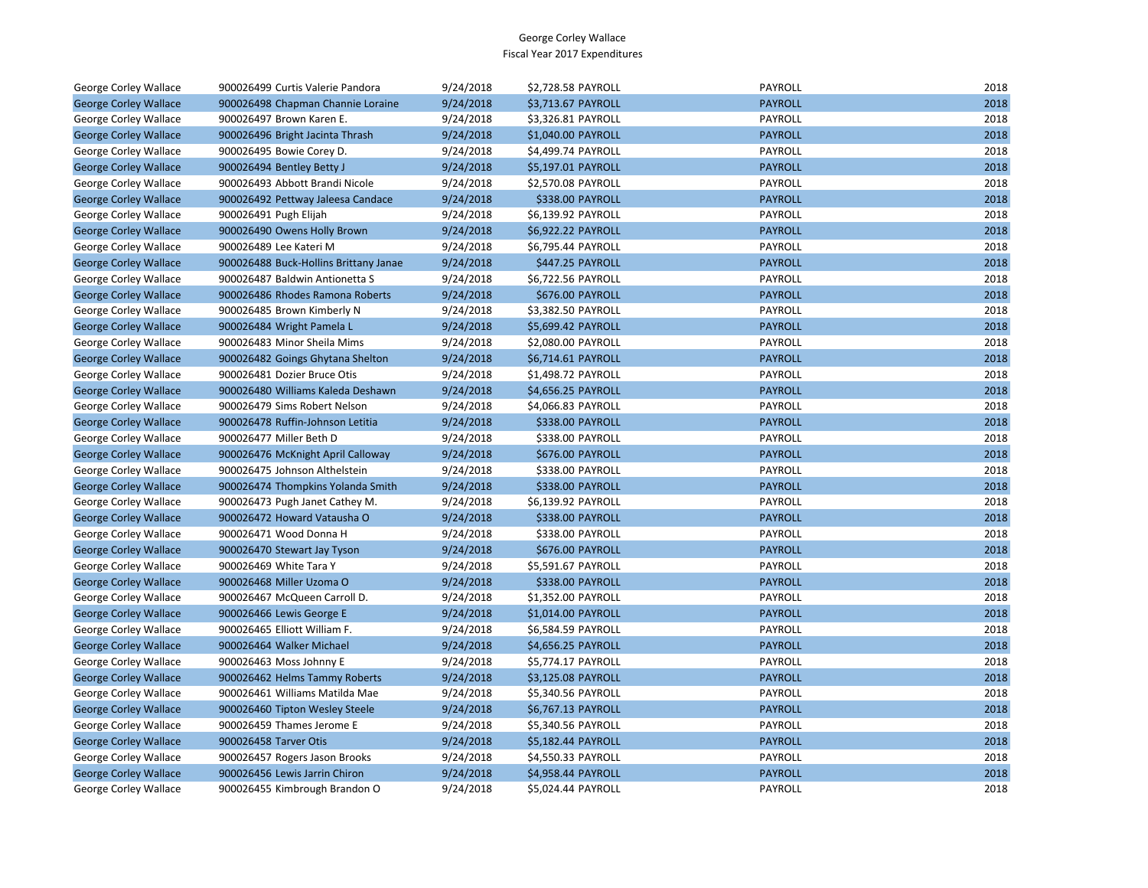| George Corley Wallace        | 900026499 Curtis Valerie Pandora      | 9/24/2018 | \$2,728.58 PAYROLL | PAYROLL        | 2018 |
|------------------------------|---------------------------------------|-----------|--------------------|----------------|------|
| <b>George Corley Wallace</b> | 900026498 Chapman Channie Loraine     | 9/24/2018 | \$3,713.67 PAYROLL | <b>PAYROLL</b> | 2018 |
| George Corley Wallace        | 900026497 Brown Karen E.              | 9/24/2018 | \$3,326.81 PAYROLL | <b>PAYROLL</b> | 2018 |
| <b>George Corley Wallace</b> | 900026496 Bright Jacinta Thrash       | 9/24/2018 | \$1,040.00 PAYROLL | <b>PAYROLL</b> | 2018 |
| George Corley Wallace        | 900026495 Bowie Corey D.              | 9/24/2018 | \$4,499.74 PAYROLL | PAYROLL        | 2018 |
| <b>George Corley Wallace</b> | 900026494 Bentley Betty J             | 9/24/2018 | \$5,197.01 PAYROLL | <b>PAYROLL</b> | 2018 |
| George Corley Wallace        | 900026493 Abbott Brandi Nicole        | 9/24/2018 | \$2,570.08 PAYROLL | PAYROLL        | 2018 |
| <b>George Corley Wallace</b> | 900026492 Pettway Jaleesa Candace     | 9/24/2018 | \$338.00 PAYROLL   | <b>PAYROLL</b> | 2018 |
| George Corley Wallace        | 900026491 Pugh Elijah                 | 9/24/2018 | \$6,139.92 PAYROLL | PAYROLL        | 2018 |
| <b>George Corley Wallace</b> | 900026490 Owens Holly Brown           | 9/24/2018 | \$6,922.22 PAYROLL | <b>PAYROLL</b> | 2018 |
| George Corley Wallace        | 900026489 Lee Kateri M                | 9/24/2018 | \$6,795.44 PAYROLL | PAYROLL        | 2018 |
| <b>George Corley Wallace</b> | 900026488 Buck-Hollins Brittany Janae | 9/24/2018 | \$447.25 PAYROLL   | <b>PAYROLL</b> | 2018 |
| George Corley Wallace        | 900026487 Baldwin Antionetta S        | 9/24/2018 | \$6,722.56 PAYROLL | PAYROLL        | 2018 |
| <b>George Corley Wallace</b> | 900026486 Rhodes Ramona Roberts       | 9/24/2018 | \$676.00 PAYROLL   | <b>PAYROLL</b> | 2018 |
| George Corley Wallace        | 900026485 Brown Kimberly N            | 9/24/2018 | \$3,382.50 PAYROLL | PAYROLL        | 2018 |
| <b>George Corley Wallace</b> | 900026484 Wright Pamela L             | 9/24/2018 | \$5,699.42 PAYROLL | <b>PAYROLL</b> | 2018 |
| George Corley Wallace        | 900026483 Minor Sheila Mims           | 9/24/2018 | \$2,080.00 PAYROLL | PAYROLL        | 2018 |
| <b>George Corley Wallace</b> | 900026482 Goings Ghytana Shelton      | 9/24/2018 | \$6,714.61 PAYROLL | <b>PAYROLL</b> | 2018 |
| George Corley Wallace        | 900026481 Dozier Bruce Otis           | 9/24/2018 | \$1,498.72 PAYROLL | PAYROLL        | 2018 |
| <b>George Corley Wallace</b> | 900026480 Williams Kaleda Deshawn     | 9/24/2018 | \$4,656.25 PAYROLL | <b>PAYROLL</b> | 2018 |
| George Corley Wallace        | 900026479 Sims Robert Nelson          | 9/24/2018 | \$4,066.83 PAYROLL | PAYROLL        | 2018 |
| <b>George Corley Wallace</b> | 900026478 Ruffin-Johnson Letitia      | 9/24/2018 | \$338.00 PAYROLL   | <b>PAYROLL</b> | 2018 |
| George Corley Wallace        | 900026477 Miller Beth D               | 9/24/2018 | \$338.00 PAYROLL   | PAYROLL        | 2018 |
| <b>George Corley Wallace</b> | 900026476 McKnight April Calloway     | 9/24/2018 | \$676.00 PAYROLL   | <b>PAYROLL</b> | 2018 |
| George Corley Wallace        | 900026475 Johnson Althelstein         | 9/24/2018 | \$338.00 PAYROLL   | PAYROLL        | 2018 |
| <b>George Corley Wallace</b> | 900026474 Thompkins Yolanda Smith     | 9/24/2018 | \$338.00 PAYROLL   | <b>PAYROLL</b> | 2018 |
| George Corley Wallace        | 900026473 Pugh Janet Cathey M.        | 9/24/2018 | \$6,139.92 PAYROLL | <b>PAYROLL</b> | 2018 |
| <b>George Corley Wallace</b> | 900026472 Howard Vatausha O           | 9/24/2018 | \$338.00 PAYROLL   | <b>PAYROLL</b> | 2018 |
| George Corley Wallace        | 900026471 Wood Donna H                | 9/24/2018 | \$338.00 PAYROLL   | PAYROLL        | 2018 |
| <b>George Corley Wallace</b> | 900026470 Stewart Jay Tyson           | 9/24/2018 | \$676.00 PAYROLL   | <b>PAYROLL</b> | 2018 |
| George Corley Wallace        | 900026469 White Tara Y                | 9/24/2018 | \$5,591.67 PAYROLL | PAYROLL        | 2018 |
| <b>George Corley Wallace</b> | 900026468 Miller Uzoma O              | 9/24/2018 | \$338.00 PAYROLL   | <b>PAYROLL</b> | 2018 |
| George Corley Wallace        | 900026467 McQueen Carroll D.          | 9/24/2018 | \$1,352.00 PAYROLL | PAYROLL        | 2018 |
| <b>George Corley Wallace</b> | 900026466 Lewis George E              | 9/24/2018 | \$1,014.00 PAYROLL | <b>PAYROLL</b> | 2018 |
| George Corley Wallace        | 900026465 Elliott William F.          | 9/24/2018 | \$6,584.59 PAYROLL | PAYROLL        | 2018 |
| <b>George Corley Wallace</b> | 900026464 Walker Michael              | 9/24/2018 | \$4,656.25 PAYROLL | <b>PAYROLL</b> | 2018 |
| George Corley Wallace        | 900026463 Moss Johnny E               | 9/24/2018 | \$5,774.17 PAYROLL | PAYROLL        | 2018 |
| <b>George Corley Wallace</b> | 900026462 Helms Tammy Roberts         | 9/24/2018 | \$3,125.08 PAYROLL | <b>PAYROLL</b> | 2018 |
| George Corley Wallace        | 900026461 Williams Matilda Mae        | 9/24/2018 | \$5,340.56 PAYROLL | PAYROLL        | 2018 |
| <b>George Corley Wallace</b> | 900026460 Tipton Wesley Steele        | 9/24/2018 | \$6,767.13 PAYROLL | <b>PAYROLL</b> | 2018 |
| George Corley Wallace        | 900026459 Thames Jerome E             | 9/24/2018 | \$5,340.56 PAYROLL | PAYROLL        | 2018 |
| <b>George Corley Wallace</b> | 900026458 Tarver Otis                 | 9/24/2018 | \$5,182.44 PAYROLL | <b>PAYROLL</b> | 2018 |
| George Corley Wallace        | 900026457 Rogers Jason Brooks         | 9/24/2018 | \$4,550.33 PAYROLL | PAYROLL        | 2018 |
| <b>George Corley Wallace</b> | 900026456 Lewis Jarrin Chiron         | 9/24/2018 | \$4,958.44 PAYROLL | <b>PAYROLL</b> | 2018 |
| <b>George Corley Wallace</b> | 900026455 Kimbrough Brandon O         | 9/24/2018 | \$5,024.44 PAYROLL | PAYROLL        | 2018 |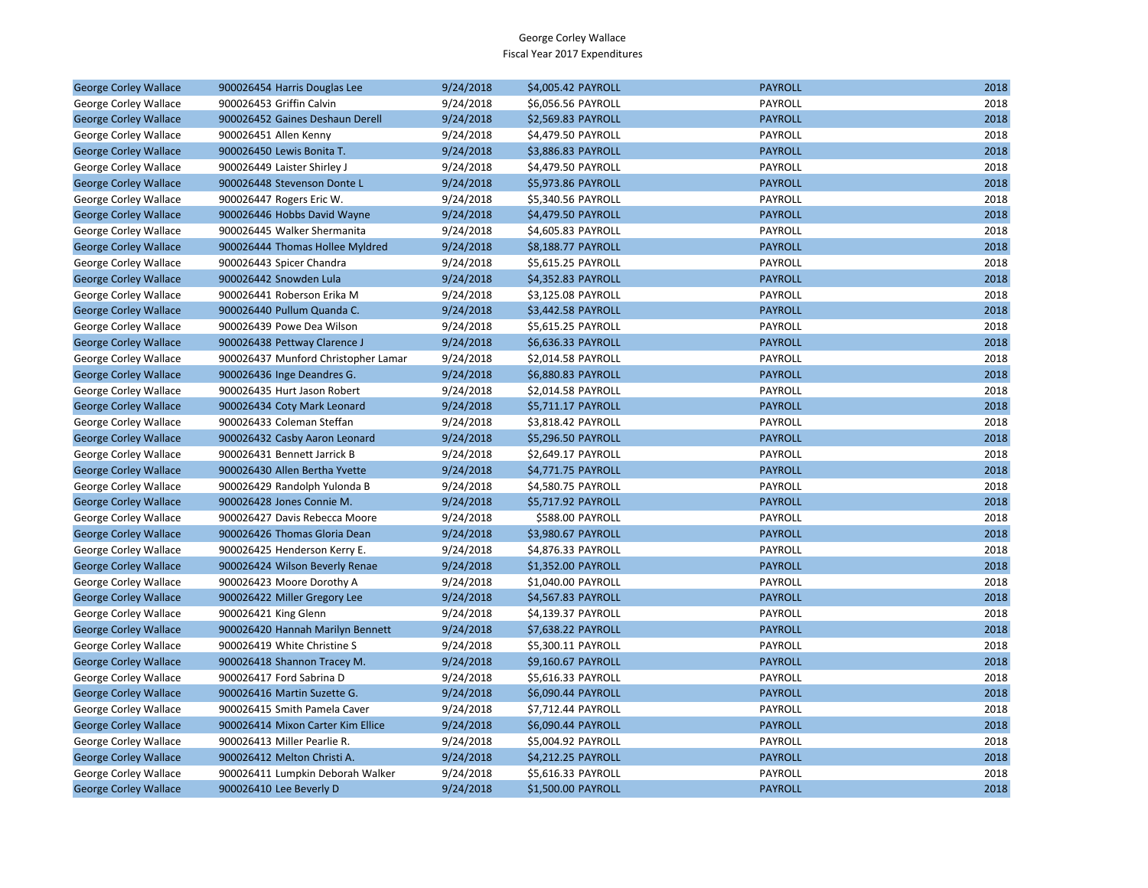|                                                       |                                                                |                        |                                          | <b>PAYROLL</b>            | 2018 |
|-------------------------------------------------------|----------------------------------------------------------------|------------------------|------------------------------------------|---------------------------|------|
| <b>George Corley Wallace</b><br>George Corley Wallace | 900026454 Harris Douglas Lee<br>900026453 Griffin Calvin       | 9/24/2018<br>9/24/2018 | \$4,005.42 PAYROLL<br>\$6,056.56 PAYROLL | PAYROLL                   | 2018 |
| <b>George Corley Wallace</b>                          | 900026452 Gaines Deshaun Derell                                | 9/24/2018              | \$2,569.83 PAYROLL                       | <b>PAYROLL</b>            | 2018 |
| George Corley Wallace                                 | 900026451 Allen Kenny                                          | 9/24/2018              | \$4,479.50 PAYROLL                       | PAYROLL                   | 2018 |
| <b>George Corley Wallace</b>                          | 900026450 Lewis Bonita T.                                      | 9/24/2018              | \$3,886.83 PAYROLL                       | <b>PAYROLL</b>            | 2018 |
| George Corley Wallace                                 | 900026449 Laister Shirley J                                    | 9/24/2018              | \$4,479.50 PAYROLL                       | PAYROLL                   | 2018 |
| <b>George Corley Wallace</b>                          | 900026448 Stevenson Donte L                                    | 9/24/2018              | \$5,973.86 PAYROLL                       | <b>PAYROLL</b>            | 2018 |
| George Corley Wallace                                 | 900026447 Rogers Eric W.                                       | 9/24/2018              | \$5,340.56 PAYROLL                       | PAYROLL                   | 2018 |
|                                                       | 900026446 Hobbs David Wayne                                    | 9/24/2018              | \$4,479.50 PAYROLL                       | <b>PAYROLL</b>            | 2018 |
| <b>George Corley Wallace</b>                          |                                                                |                        |                                          |                           | 2018 |
| George Corley Wallace                                 | 900026445 Walker Shermanita<br>900026444 Thomas Hollee Myldred | 9/24/2018              | \$4,605.83 PAYROLL                       | PAYROLL<br><b>PAYROLL</b> | 2018 |
| <b>George Corley Wallace</b>                          |                                                                | 9/24/2018              | \$8,188.77 PAYROLL                       |                           |      |
| George Corley Wallace                                 | 900026443 Spicer Chandra                                       | 9/24/2018              | \$5,615.25 PAYROLL                       | PAYROLL                   | 2018 |
| <b>George Corley Wallace</b>                          | 900026442 Snowden Lula                                         | 9/24/2018              | \$4,352.83 PAYROLL                       | <b>PAYROLL</b>            | 2018 |
| George Corley Wallace                                 | 900026441 Roberson Erika M                                     | 9/24/2018              | \$3,125.08 PAYROLL                       | PAYROLL                   | 2018 |
| <b>George Corley Wallace</b>                          | 900026440 Pullum Quanda C.                                     | 9/24/2018              | \$3,442.58 PAYROLL                       | <b>PAYROLL</b>            | 2018 |
| George Corley Wallace                                 | 900026439 Powe Dea Wilson                                      | 9/24/2018              | \$5,615.25 PAYROLL                       | PAYROLL                   | 2018 |
| <b>George Corley Wallace</b>                          | 900026438 Pettway Clarence J                                   | 9/24/2018              | \$6,636.33 PAYROLL                       | <b>PAYROLL</b>            | 2018 |
| George Corley Wallace                                 | 900026437 Munford Christopher Lamar                            | 9/24/2018              | \$2,014.58 PAYROLL                       | PAYROLL                   | 2018 |
| <b>George Corley Wallace</b>                          | 900026436 Inge Deandres G.                                     | 9/24/2018              | \$6,880.83 PAYROLL                       | <b>PAYROLL</b>            | 2018 |
| George Corley Wallace                                 | 900026435 Hurt Jason Robert                                    | 9/24/2018              | \$2,014.58 PAYROLL                       | PAYROLL                   | 2018 |
| <b>George Corley Wallace</b>                          | 900026434 Coty Mark Leonard                                    | 9/24/2018              | \$5,711.17 PAYROLL                       | <b>PAYROLL</b>            | 2018 |
| George Corley Wallace                                 | 900026433 Coleman Steffan                                      | 9/24/2018              | \$3,818.42 PAYROLL                       | PAYROLL                   | 2018 |
| <b>George Corley Wallace</b>                          | 900026432 Casby Aaron Leonard                                  | 9/24/2018              | \$5,296.50 PAYROLL                       | <b>PAYROLL</b>            | 2018 |
| George Corley Wallace                                 | 900026431 Bennett Jarrick B                                    | 9/24/2018              | \$2,649.17 PAYROLL                       | PAYROLL                   | 2018 |
| <b>George Corley Wallace</b>                          | 900026430 Allen Bertha Yvette                                  | 9/24/2018              | \$4,771.75 PAYROLL                       | <b>PAYROLL</b>            | 2018 |
| George Corley Wallace                                 | 900026429 Randolph Yulonda B                                   | 9/24/2018              | \$4,580.75 PAYROLL                       | PAYROLL                   | 2018 |
| <b>George Corley Wallace</b>                          | 900026428 Jones Connie M.                                      | 9/24/2018              | \$5,717.92 PAYROLL                       | <b>PAYROLL</b>            | 2018 |
| George Corley Wallace                                 | 900026427 Davis Rebecca Moore                                  | 9/24/2018              | \$588.00 PAYROLL                         | PAYROLL                   | 2018 |
| <b>George Corley Wallace</b>                          | 900026426 Thomas Gloria Dean                                   | 9/24/2018              | \$3,980.67 PAYROLL                       | <b>PAYROLL</b>            | 2018 |
| George Corley Wallace                                 | 900026425 Henderson Kerry E.                                   | 9/24/2018              | \$4,876.33 PAYROLL                       | PAYROLL                   | 2018 |
| <b>George Corley Wallace</b>                          | 900026424 Wilson Beverly Renae                                 | 9/24/2018              | \$1,352.00 PAYROLL                       | <b>PAYROLL</b>            | 2018 |
| George Corley Wallace                                 | 900026423 Moore Dorothy A                                      | 9/24/2018              | \$1,040.00 PAYROLL                       | PAYROLL                   | 2018 |
| <b>George Corley Wallace</b>                          | 900026422 Miller Gregory Lee                                   | 9/24/2018              | \$4,567.83 PAYROLL                       | <b>PAYROLL</b>            | 2018 |
| George Corley Wallace                                 | 900026421 King Glenn                                           | 9/24/2018              | \$4,139.37 PAYROLL                       | PAYROLL                   | 2018 |
| <b>George Corley Wallace</b>                          | 900026420 Hannah Marilyn Bennett                               | 9/24/2018              | \$7,638.22 PAYROLL                       | <b>PAYROLL</b>            | 2018 |
| George Corley Wallace                                 | 900026419 White Christine S                                    | 9/24/2018              | \$5,300.11 PAYROLL                       | PAYROLL                   | 2018 |
| <b>George Corley Wallace</b>                          | 900026418 Shannon Tracey M.                                    | 9/24/2018              | \$9,160.67 PAYROLL                       | <b>PAYROLL</b>            | 2018 |
| George Corley Wallace                                 | 900026417 Ford Sabrina D                                       | 9/24/2018              | \$5,616.33 PAYROLL                       | PAYROLL                   | 2018 |
| <b>George Corley Wallace</b>                          | 900026416 Martin Suzette G.                                    | 9/24/2018              | \$6,090.44 PAYROLL                       | <b>PAYROLL</b>            | 2018 |
| George Corley Wallace                                 | 900026415 Smith Pamela Caver                                   | 9/24/2018              | \$7,712.44 PAYROLL                       | PAYROLL                   | 2018 |
| <b>George Corley Wallace</b>                          | 900026414 Mixon Carter Kim Ellice                              | 9/24/2018              | \$6,090.44 PAYROLL                       | <b>PAYROLL</b>            | 2018 |
| George Corley Wallace                                 | 900026413 Miller Pearlie R.                                    | 9/24/2018              | \$5,004.92 PAYROLL                       | PAYROLL                   | 2018 |
| <b>George Corley Wallace</b>                          | 900026412 Melton Christi A.                                    | 9/24/2018              | \$4,212.25 PAYROLL                       | <b>PAYROLL</b>            | 2018 |
| George Corley Wallace                                 | 900026411 Lumpkin Deborah Walker                               | 9/24/2018              | \$5,616.33 PAYROLL                       | PAYROLL                   | 2018 |
| <b>George Corley Wallace</b>                          | 900026410 Lee Beverly D                                        | 9/24/2018              | \$1,500.00 PAYROLL                       | <b>PAYROLL</b>            | 2018 |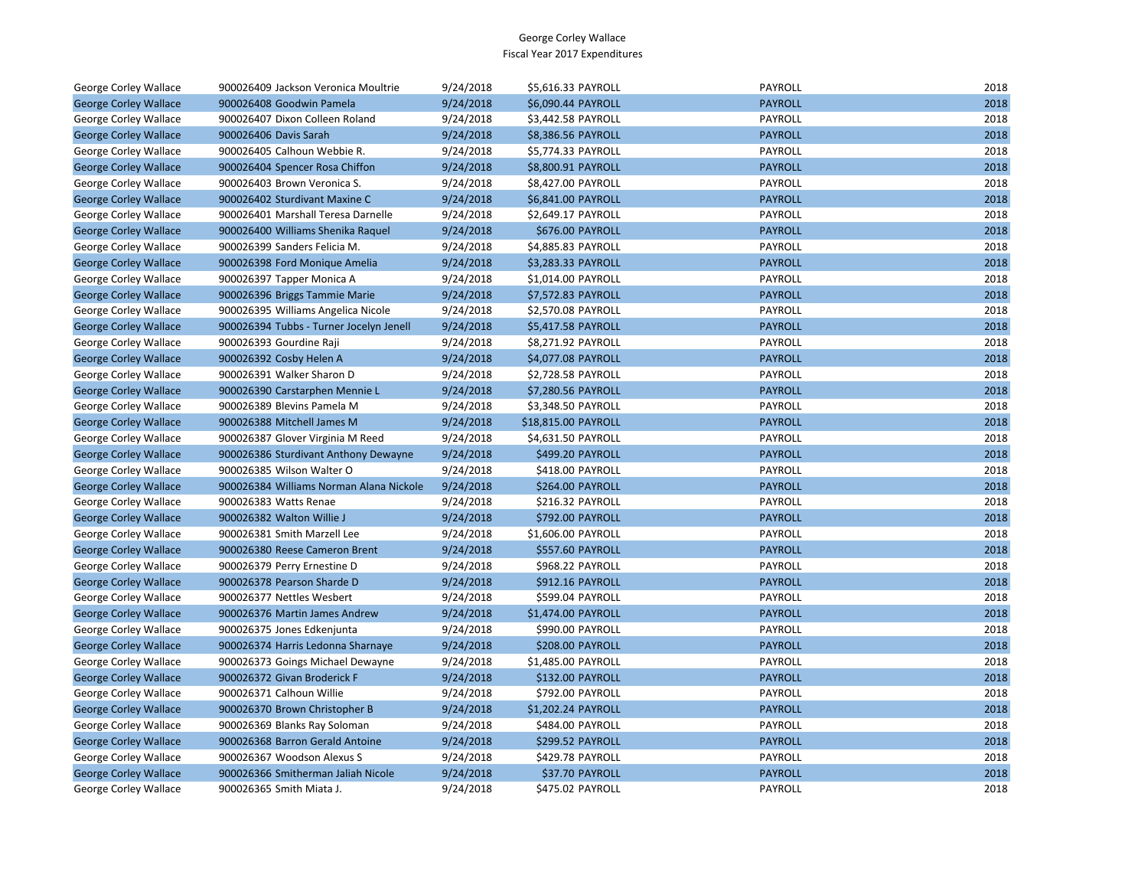| George Corley Wallace        | 900026409 Jackson Veronica Moultrie     | 9/24/2018 | \$5,616.33 PAYROLL      | PAYROLL        | 2018 |
|------------------------------|-----------------------------------------|-----------|-------------------------|----------------|------|
| <b>George Corley Wallace</b> | 900026408 Goodwin Pamela                | 9/24/2018 | \$6,090.44 PAYROLL      | <b>PAYROLL</b> | 2018 |
| George Corley Wallace        | 900026407 Dixon Colleen Roland          | 9/24/2018 | \$3,442.58 PAYROLL      | PAYROLL        | 2018 |
| <b>George Corley Wallace</b> | 900026406 Davis Sarah                   | 9/24/2018 | \$8,386.56 PAYROLL      | <b>PAYROLL</b> | 2018 |
| George Corley Wallace        | 900026405 Calhoun Webbie R.             | 9/24/2018 | \$5,774.33 PAYROLL      | PAYROLL        | 2018 |
| <b>George Corley Wallace</b> | 900026404 Spencer Rosa Chiffon          | 9/24/2018 | \$8,800.91 PAYROLL      | <b>PAYROLL</b> | 2018 |
| George Corley Wallace        | 900026403 Brown Veronica S.             | 9/24/2018 | \$8,427.00 PAYROLL      | PAYROLL        | 2018 |
| <b>George Corley Wallace</b> | 900026402 Sturdivant Maxine C           | 9/24/2018 | \$6,841.00 PAYROLL      | <b>PAYROLL</b> | 2018 |
| George Corley Wallace        | 900026401 Marshall Teresa Darnelle      | 9/24/2018 | \$2,649.17 PAYROLL      | PAYROLL        | 2018 |
| <b>George Corley Wallace</b> | 900026400 Williams Shenika Raquel       | 9/24/2018 | \$676.00 PAYROLL        | <b>PAYROLL</b> | 2018 |
| George Corley Wallace        | 900026399 Sanders Felicia M.            | 9/24/2018 | \$4,885.83 PAYROLL      | PAYROLL        | 2018 |
| <b>George Corley Wallace</b> | 900026398 Ford Monique Amelia           | 9/24/2018 | \$3,283.33 PAYROLL      | <b>PAYROLL</b> | 2018 |
| George Corley Wallace        | 900026397 Tapper Monica A               | 9/24/2018 | \$1,014.00 PAYROLL      | PAYROLL        | 2018 |
| <b>George Corley Wallace</b> | 900026396 Briggs Tammie Marie           | 9/24/2018 | \$7,572.83 PAYROLL      | <b>PAYROLL</b> | 2018 |
| George Corley Wallace        | 900026395 Williams Angelica Nicole      | 9/24/2018 | \$2,570.08 PAYROLL      | PAYROLL        | 2018 |
| <b>George Corley Wallace</b> | 900026394 Tubbs - Turner Jocelyn Jenell | 9/24/2018 | \$5,417.58 PAYROLL      | <b>PAYROLL</b> | 2018 |
| George Corley Wallace        | 900026393 Gourdine Raji                 | 9/24/2018 | \$8,271.92 PAYROLL      | PAYROLL        | 2018 |
| <b>George Corley Wallace</b> | 900026392 Cosby Helen A                 | 9/24/2018 | \$4,077.08 PAYROLL      | <b>PAYROLL</b> | 2018 |
| George Corley Wallace        | 900026391 Walker Sharon D               | 9/24/2018 | \$2,728.58 PAYROLL      | PAYROLL        | 2018 |
| <b>George Corley Wallace</b> | 900026390 Carstarphen Mennie L          | 9/24/2018 | \$7,280.56 PAYROLL      | <b>PAYROLL</b> | 2018 |
| George Corley Wallace        | 900026389 Blevins Pamela M              | 9/24/2018 | \$3,348.50 PAYROLL      | <b>PAYROLL</b> | 2018 |
| <b>George Corley Wallace</b> | 900026388 Mitchell James M              | 9/24/2018 | \$18,815.00 PAYROLL     | <b>PAYROLL</b> | 2018 |
| George Corley Wallace        | 900026387 Glover Virginia M Reed        | 9/24/2018 | \$4,631.50 PAYROLL      | PAYROLL        | 2018 |
| <b>George Corley Wallace</b> | 900026386 Sturdivant Anthony Dewayne    | 9/24/2018 | \$499.20 PAYROLL        | <b>PAYROLL</b> | 2018 |
| George Corley Wallace        | 900026385 Wilson Walter O               | 9/24/2018 | \$418.00 PAYROLL        | PAYROLL        | 2018 |
| <b>George Corley Wallace</b> | 900026384 Williams Norman Alana Nickole | 9/24/2018 | \$264.00 PAYROLL        | <b>PAYROLL</b> | 2018 |
| George Corley Wallace        | 900026383 Watts Renae                   | 9/24/2018 | \$216.32 PAYROLL        | PAYROLL        | 2018 |
| <b>George Corley Wallace</b> | 900026382 Walton Willie J               | 9/24/2018 | \$792.00 PAYROLL        | <b>PAYROLL</b> | 2018 |
| George Corley Wallace        | 900026381 Smith Marzell Lee             | 9/24/2018 | \$1,606.00 PAYROLL      | PAYROLL        | 2018 |
| <b>George Corley Wallace</b> | 900026380 Reese Cameron Brent           | 9/24/2018 | \$557.60 PAYROLL        | <b>PAYROLL</b> | 2018 |
| George Corley Wallace        | 900026379 Perry Ernestine D             | 9/24/2018 | \$968.22 PAYROLL        | PAYROLL        | 2018 |
| <b>George Corley Wallace</b> | 900026378 Pearson Sharde D              | 9/24/2018 | \$912.16 PAYROLL        | <b>PAYROLL</b> | 2018 |
| George Corley Wallace        | 900026377 Nettles Wesbert               | 9/24/2018 | \$599.04 PAYROLL        | PAYROLL        | 2018 |
| <b>George Corley Wallace</b> | 900026376 Martin James Andrew           | 9/24/2018 | \$1,474.00 PAYROLL      | <b>PAYROLL</b> | 2018 |
| George Corley Wallace        | 900026375 Jones Edkenjunta              | 9/24/2018 | \$990.00 PAYROLL        | PAYROLL        | 2018 |
| <b>George Corley Wallace</b> | 900026374 Harris Ledonna Sharnaye       | 9/24/2018 | \$208.00 PAYROLL        | <b>PAYROLL</b> | 2018 |
| George Corley Wallace        | 900026373 Goings Michael Dewayne        | 9/24/2018 | \$1,485.00 PAYROLL      | PAYROLL        | 2018 |
| <b>George Corley Wallace</b> | 900026372 Givan Broderick F             | 9/24/2018 | <b>\$132.00 PAYROLL</b> | <b>PAYROLL</b> | 2018 |
| George Corley Wallace        | 900026371 Calhoun Willie                | 9/24/2018 | \$792.00 PAYROLL        | PAYROLL        | 2018 |
| <b>George Corley Wallace</b> | 900026370 Brown Christopher B           | 9/24/2018 | \$1,202.24 PAYROLL      | <b>PAYROLL</b> | 2018 |
| George Corley Wallace        | 900026369 Blanks Ray Soloman            | 9/24/2018 | \$484.00 PAYROLL        | PAYROLL        | 2018 |
| <b>George Corley Wallace</b> | 900026368 Barron Gerald Antoine         | 9/24/2018 | \$299.52 PAYROLL        | <b>PAYROLL</b> | 2018 |
| George Corley Wallace        | 900026367 Woodson Alexus S              | 9/24/2018 | \$429.78 PAYROLL        | PAYROLL        | 2018 |
| <b>George Corley Wallace</b> | 900026366 Smitherman Jaliah Nicole      | 9/24/2018 | \$37.70 PAYROLL         | <b>PAYROLL</b> | 2018 |
| George Corley Wallace        | 900026365 Smith Miata J.                | 9/24/2018 | \$475.02 PAYROLL        | PAYROLL        | 2018 |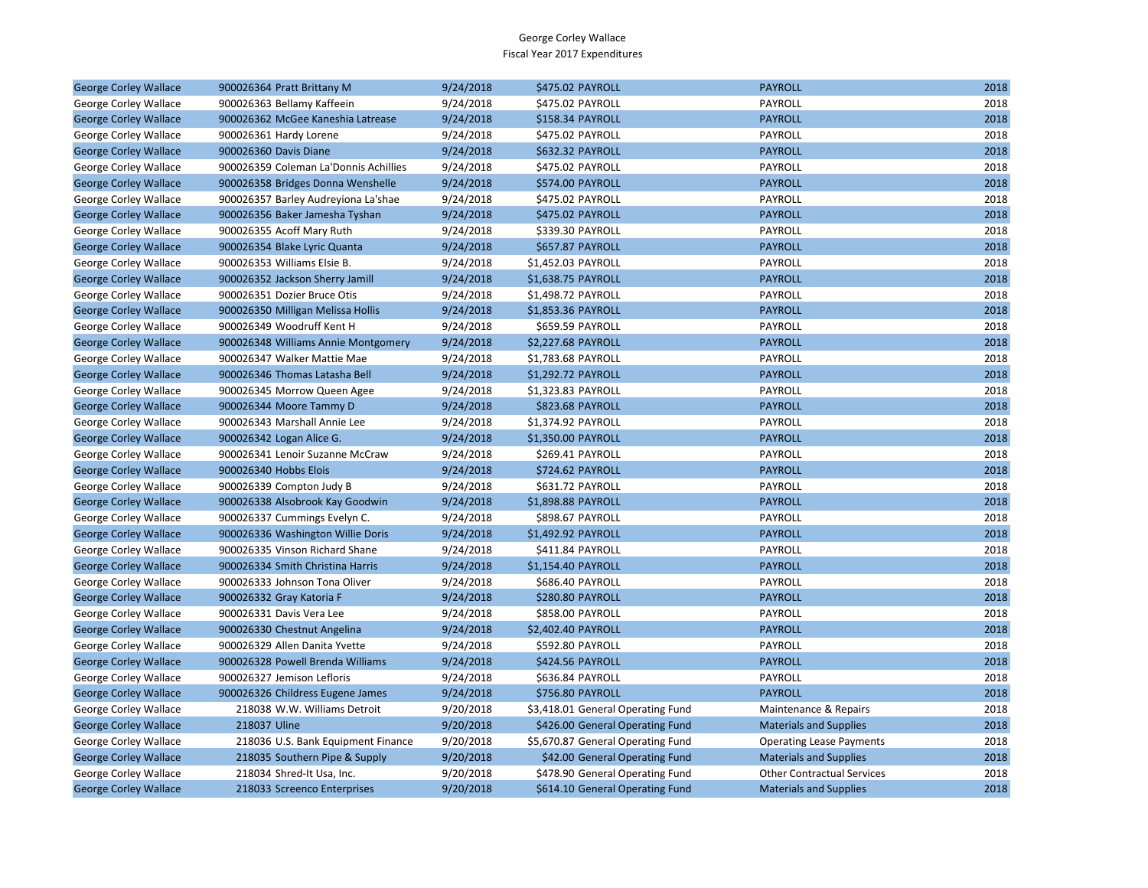| <b>George Corley Wallace</b> | 900026364 Pratt Brittany M            | 9/24/2018 | \$475.02 PAYROLL                  | <b>PAYROLL</b>                    | 2018 |
|------------------------------|---------------------------------------|-----------|-----------------------------------|-----------------------------------|------|
| George Corley Wallace        | 900026363 Bellamy Kaffeein            | 9/24/2018 | \$475.02 PAYROLL                  | PAYROLL                           | 2018 |
| <b>George Corley Wallace</b> | 900026362 McGee Kaneshia Latrease     | 9/24/2018 | \$158.34 PAYROLL                  | <b>PAYROLL</b>                    | 2018 |
| George Corley Wallace        | 900026361 Hardy Lorene                | 9/24/2018 | \$475.02 PAYROLL                  | PAYROLL                           | 2018 |
| <b>George Corley Wallace</b> | 900026360 Davis Diane                 | 9/24/2018 | \$632.32 PAYROLL                  | <b>PAYROLL</b>                    | 2018 |
| George Corley Wallace        | 900026359 Coleman La'Donnis Achillies | 9/24/2018 | \$475.02 PAYROLL                  | PAYROLL                           | 2018 |
| <b>George Corley Wallace</b> | 900026358 Bridges Donna Wenshelle     | 9/24/2018 | \$574.00 PAYROLL                  | <b>PAYROLL</b>                    | 2018 |
| George Corley Wallace        | 900026357 Barley Audreyiona La'shae   | 9/24/2018 | \$475.02 PAYROLL                  | <b>PAYROLL</b>                    | 2018 |
| <b>George Corley Wallace</b> | 900026356 Baker Jamesha Tyshan        | 9/24/2018 | \$475.02 PAYROLL                  | <b>PAYROLL</b>                    | 2018 |
| George Corley Wallace        | 900026355 Acoff Mary Ruth             | 9/24/2018 | \$339.30 PAYROLL                  | PAYROLL                           | 2018 |
| <b>George Corley Wallace</b> | 900026354 Blake Lyric Quanta          | 9/24/2018 | \$657.87 PAYROLL                  | <b>PAYROLL</b>                    | 2018 |
| George Corley Wallace        | 900026353 Williams Elsie B.           | 9/24/2018 | \$1,452.03 PAYROLL                | PAYROLL                           | 2018 |
| <b>George Corley Wallace</b> | 900026352 Jackson Sherry Jamill       | 9/24/2018 | \$1,638.75 PAYROLL                | <b>PAYROLL</b>                    | 2018 |
| George Corley Wallace        | 900026351 Dozier Bruce Otis           | 9/24/2018 | \$1,498.72 PAYROLL                | PAYROLL                           | 2018 |
| <b>George Corley Wallace</b> | 900026350 Milligan Melissa Hollis     | 9/24/2018 | \$1,853.36 PAYROLL                | <b>PAYROLL</b>                    | 2018 |
| George Corley Wallace        | 900026349 Woodruff Kent H             | 9/24/2018 | \$659.59 PAYROLL                  | PAYROLL                           | 2018 |
| <b>George Corley Wallace</b> | 900026348 Williams Annie Montgomery   | 9/24/2018 | \$2,227.68 PAYROLL                | <b>PAYROLL</b>                    | 2018 |
| George Corley Wallace        | 900026347 Walker Mattie Mae           | 9/24/2018 | \$1,783.68 PAYROLL                | PAYROLL                           | 2018 |
| <b>George Corley Wallace</b> | 900026346 Thomas Latasha Bell         | 9/24/2018 | \$1,292.72 PAYROLL                | <b>PAYROLL</b>                    | 2018 |
| George Corley Wallace        | 900026345 Morrow Queen Agee           | 9/24/2018 | \$1,323.83 PAYROLL                | PAYROLL                           | 2018 |
| <b>George Corley Wallace</b> | 900026344 Moore Tammy D               | 9/24/2018 | \$823.68 PAYROLL                  | <b>PAYROLL</b>                    | 2018 |
| George Corley Wallace        | 900026343 Marshall Annie Lee          | 9/24/2018 | \$1,374.92 PAYROLL                | PAYROLL                           | 2018 |
| <b>George Corley Wallace</b> | 900026342 Logan Alice G.              | 9/24/2018 | \$1,350.00 PAYROLL                | <b>PAYROLL</b>                    | 2018 |
| George Corley Wallace        | 900026341 Lenoir Suzanne McCraw       | 9/24/2018 | \$269.41 PAYROLL                  | PAYROLL                           | 2018 |
| <b>George Corley Wallace</b> | 900026340 Hobbs Elois                 | 9/24/2018 | \$724.62 PAYROLL                  | <b>PAYROLL</b>                    | 2018 |
| George Corley Wallace        | 900026339 Compton Judy B              | 9/24/2018 | \$631.72 PAYROLL                  | PAYROLL                           | 2018 |
| <b>George Corley Wallace</b> | 900026338 Alsobrook Kay Goodwin       | 9/24/2018 | \$1,898.88 PAYROLL                | <b>PAYROLL</b>                    | 2018 |
| George Corley Wallace        | 900026337 Cummings Evelyn C.          | 9/24/2018 | \$898.67 PAYROLL                  | PAYROLL                           | 2018 |
| <b>George Corley Wallace</b> | 900026336 Washington Willie Doris     | 9/24/2018 | \$1,492.92 PAYROLL                | <b>PAYROLL</b>                    | 2018 |
| George Corley Wallace        | 900026335 Vinson Richard Shane        | 9/24/2018 | \$411.84 PAYROLL                  | PAYROLL                           | 2018 |
| <b>George Corley Wallace</b> | 900026334 Smith Christina Harris      | 9/24/2018 | \$1,154.40 PAYROLL                | <b>PAYROLL</b>                    | 2018 |
| George Corley Wallace        | 900026333 Johnson Tona Oliver         | 9/24/2018 | \$686.40 PAYROLL                  | PAYROLL                           | 2018 |
| <b>George Corley Wallace</b> | 900026332 Gray Katoria F              | 9/24/2018 | \$280.80 PAYROLL                  | <b>PAYROLL</b>                    | 2018 |
| George Corley Wallace        | 900026331 Davis Vera Lee              | 9/24/2018 | \$858.00 PAYROLL                  | PAYROLL                           | 2018 |
| <b>George Corley Wallace</b> | 900026330 Chestnut Angelina           | 9/24/2018 | \$2,402.40 PAYROLL                | <b>PAYROLL</b>                    | 2018 |
| George Corley Wallace        | 900026329 Allen Danita Yvette         | 9/24/2018 | \$592.80 PAYROLL                  | PAYROLL                           | 2018 |
| <b>George Corley Wallace</b> | 900026328 Powell Brenda Williams      | 9/24/2018 | \$424.56 PAYROLL                  | <b>PAYROLL</b>                    | 2018 |
| George Corley Wallace        | 900026327 Jemison Lefloris            | 9/24/2018 | \$636.84 PAYROLL                  | PAYROLL                           | 2018 |
| <b>George Corley Wallace</b> | 900026326 Childress Eugene James      | 9/24/2018 | \$756.80 PAYROLL                  | <b>PAYROLL</b>                    | 2018 |
| George Corley Wallace        | 218038 W.W. Williams Detroit          | 9/20/2018 | \$3,418.01 General Operating Fund | Maintenance & Repairs             | 2018 |
| <b>George Corley Wallace</b> | 218037 Uline                          | 9/20/2018 | \$426.00 General Operating Fund   | <b>Materials and Supplies</b>     | 2018 |
| George Corley Wallace        | 218036 U.S. Bank Equipment Finance    | 9/20/2018 | \$5,670.87 General Operating Fund | <b>Operating Lease Payments</b>   | 2018 |
| <b>George Corley Wallace</b> | 218035 Southern Pipe & Supply         | 9/20/2018 | \$42.00 General Operating Fund    | <b>Materials and Supplies</b>     | 2018 |
| George Corley Wallace        | 218034 Shred-It Usa, Inc.             | 9/20/2018 | \$478.90 General Operating Fund   | <b>Other Contractual Services</b> | 2018 |
| <b>George Corley Wallace</b> | 218033 Screenco Enterprises           | 9/20/2018 | \$614.10 General Operating Fund   | <b>Materials and Supplies</b>     | 2018 |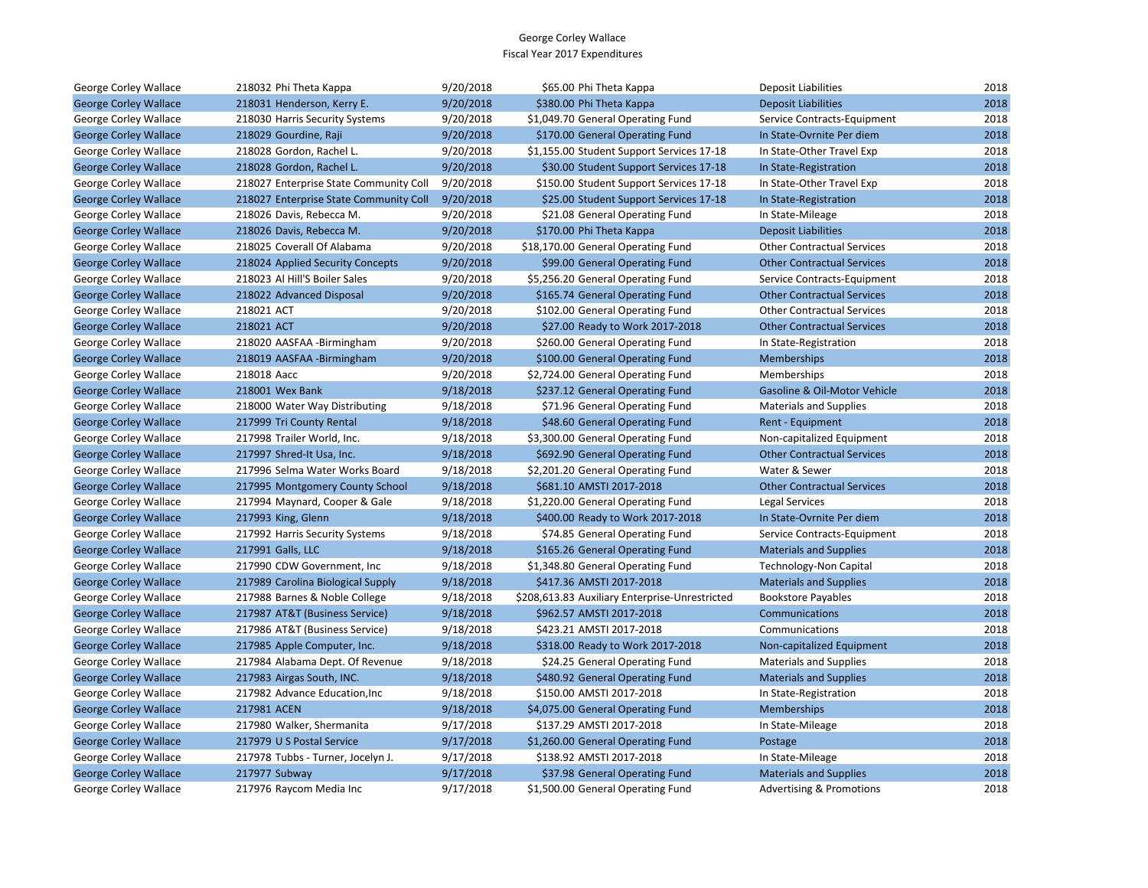| George Corley Wallace        | 218032 Phi Theta Kappa                 | 9/20/2018 | \$65.00 Phi Theta Kappa                        | <b>Deposit Liabilities</b>          | 2018 |
|------------------------------|----------------------------------------|-----------|------------------------------------------------|-------------------------------------|------|
| <b>George Corley Wallace</b> | 218031 Henderson, Kerry E.             | 9/20/2018 | \$380.00 Phi Theta Kappa                       | <b>Deposit Liabilities</b>          | 2018 |
| George Corley Wallace        | 218030 Harris Security Systems         | 9/20/2018 | \$1,049.70 General Operating Fund              | Service Contracts-Equipment         | 2018 |
| <b>George Corley Wallace</b> | 218029 Gourdine, Raji                  | 9/20/2018 | \$170.00 General Operating Fund                | In State-Ovrnite Per diem           | 2018 |
| George Corley Wallace        | 218028 Gordon, Rachel L.               | 9/20/2018 | \$1,155.00 Student Support Services 17-18      | In State-Other Travel Exp           | 2018 |
| <b>George Corley Wallace</b> | 218028 Gordon, Rachel L.               | 9/20/2018 | \$30.00 Student Support Services 17-18         | In State-Registration               | 2018 |
| George Corley Wallace        | 218027 Enterprise State Community Coll | 9/20/2018 | \$150.00 Student Support Services 17-18        | In State-Other Travel Exp           | 2018 |
| <b>George Corley Wallace</b> | 218027 Enterprise State Community Coll | 9/20/2018 | \$25.00 Student Support Services 17-18         | In State-Registration               | 2018 |
| George Corley Wallace        | 218026 Davis, Rebecca M.               | 9/20/2018 | \$21.08 General Operating Fund                 | In State-Mileage                    | 2018 |
| <b>George Corley Wallace</b> | 218026 Davis, Rebecca M.               | 9/20/2018 | \$170.00 Phi Theta Kappa                       | <b>Deposit Liabilities</b>          | 2018 |
| George Corley Wallace        | 218025 Coverall Of Alabama             | 9/20/2018 | \$18,170.00 General Operating Fund             | <b>Other Contractual Services</b>   | 2018 |
| <b>George Corley Wallace</b> | 218024 Applied Security Concepts       | 9/20/2018 | \$99.00 General Operating Fund                 | <b>Other Contractual Services</b>   | 2018 |
| George Corley Wallace        | 218023 Al Hill'S Boiler Sales          | 9/20/2018 | \$5,256.20 General Operating Fund              | Service Contracts-Equipment         | 2018 |
| <b>George Corley Wallace</b> | 218022 Advanced Disposal               | 9/20/2018 | \$165.74 General Operating Fund                | <b>Other Contractual Services</b>   | 2018 |
| George Corley Wallace        | 218021 ACT                             | 9/20/2018 | \$102.00 General Operating Fund                | <b>Other Contractual Services</b>   | 2018 |
| <b>George Corley Wallace</b> | 218021 ACT                             | 9/20/2018 | \$27.00 Ready to Work 2017-2018                | <b>Other Contractual Services</b>   | 2018 |
| George Corley Wallace        | 218020 AASFAA -Birmingham              | 9/20/2018 | \$260.00 General Operating Fund                | In State-Registration               | 2018 |
| <b>George Corley Wallace</b> | 218019 AASFAA -Birmingham              | 9/20/2018 | \$100.00 General Operating Fund                | <b>Memberships</b>                  | 2018 |
| George Corley Wallace        | 218018 Aacc                            | 9/20/2018 | \$2,724.00 General Operating Fund              | Memberships                         | 2018 |
| <b>George Corley Wallace</b> | 218001 Wex Bank                        | 9/18/2018 | \$237.12 General Operating Fund                | Gasoline & Oil-Motor Vehicle        | 2018 |
| George Corley Wallace        | 218000 Water Way Distributing          | 9/18/2018 | \$71.96 General Operating Fund                 | <b>Materials and Supplies</b>       | 2018 |
| <b>George Corley Wallace</b> | 217999 Tri County Rental               | 9/18/2018 | \$48.60 General Operating Fund                 | Rent - Equipment                    | 2018 |
| George Corley Wallace        | 217998 Trailer World, Inc.             | 9/18/2018 | \$3,300.00 General Operating Fund              | Non-capitalized Equipment           | 2018 |
| <b>George Corley Wallace</b> | 217997 Shred-It Usa, Inc.              | 9/18/2018 | \$692.90 General Operating Fund                | <b>Other Contractual Services</b>   | 2018 |
| George Corley Wallace        | 217996 Selma Water Works Board         | 9/18/2018 | \$2,201.20 General Operating Fund              | Water & Sewer                       | 2018 |
| <b>George Corley Wallace</b> | 217995 Montgomery County School        | 9/18/2018 | \$681.10 AMSTI 2017-2018                       | <b>Other Contractual Services</b>   | 2018 |
| George Corley Wallace        | 217994 Maynard, Cooper & Gale          | 9/18/2018 | \$1,220.00 General Operating Fund              | Legal Services                      | 2018 |
| <b>George Corley Wallace</b> | 217993 King, Glenn                     | 9/18/2018 | \$400.00 Ready to Work 2017-2018               | In State-Ovrnite Per diem           | 2018 |
| George Corley Wallace        | 217992 Harris Security Systems         | 9/18/2018 | \$74.85 General Operating Fund                 | Service Contracts-Equipment         | 2018 |
| <b>George Corley Wallace</b> | 217991 Galls, LLC                      | 9/18/2018 | \$165.26 General Operating Fund                | <b>Materials and Supplies</b>       | 2018 |
| George Corley Wallace        | 217990 CDW Government, Inc.            | 9/18/2018 | \$1,348.80 General Operating Fund              | <b>Technology-Non Capital</b>       | 2018 |
| <b>George Corley Wallace</b> | 217989 Carolina Biological Supply      | 9/18/2018 | \$417.36 AMSTI 2017-2018                       | <b>Materials and Supplies</b>       | 2018 |
| George Corley Wallace        | 217988 Barnes & Noble College          | 9/18/2018 | \$208,613.83 Auxiliary Enterprise-Unrestricted | <b>Bookstore Payables</b>           | 2018 |
| <b>George Corley Wallace</b> | 217987 AT&T (Business Service)         | 9/18/2018 | \$962.57 AMSTI 2017-2018                       | Communications                      | 2018 |
| George Corley Wallace        | 217986 AT&T (Business Service)         | 9/18/2018 | \$423.21 AMSTI 2017-2018                       | Communications                      | 2018 |
| <b>George Corley Wallace</b> | 217985 Apple Computer, Inc.            | 9/18/2018 | \$318.00 Ready to Work 2017-2018               | Non-capitalized Equipment           | 2018 |
| George Corley Wallace        | 217984 Alabama Dept. Of Revenue        | 9/18/2018 | \$24.25 General Operating Fund                 | <b>Materials and Supplies</b>       | 2018 |
| <b>George Corley Wallace</b> | 217983 Airgas South, INC.              | 9/18/2018 | \$480.92 General Operating Fund                | <b>Materials and Supplies</b>       | 2018 |
| George Corley Wallace        | 217982 Advance Education, Inc          | 9/18/2018 | \$150.00 AMSTI 2017-2018                       | In State-Registration               | 2018 |
| <b>George Corley Wallace</b> | 217981 ACEN                            | 9/18/2018 | \$4,075.00 General Operating Fund              | Memberships                         | 2018 |
| George Corley Wallace        | 217980 Walker, Shermanita              | 9/17/2018 | \$137.29 AMSTI 2017-2018                       | In State-Mileage                    | 2018 |
| <b>George Corley Wallace</b> | 217979 U S Postal Service              | 9/17/2018 | \$1,260.00 General Operating Fund              | Postage                             | 2018 |
| George Corley Wallace        | 217978 Tubbs - Turner, Jocelyn J.      | 9/17/2018 | \$138.92 AMSTI 2017-2018                       | In State-Mileage                    | 2018 |
| <b>George Corley Wallace</b> | 217977 Subway                          | 9/17/2018 | \$37.98 General Operating Fund                 | <b>Materials and Supplies</b>       | 2018 |
| George Corley Wallace        | 217976 Raycom Media Inc                | 9/17/2018 | \$1,500.00 General Operating Fund              | <b>Advertising &amp; Promotions</b> | 2018 |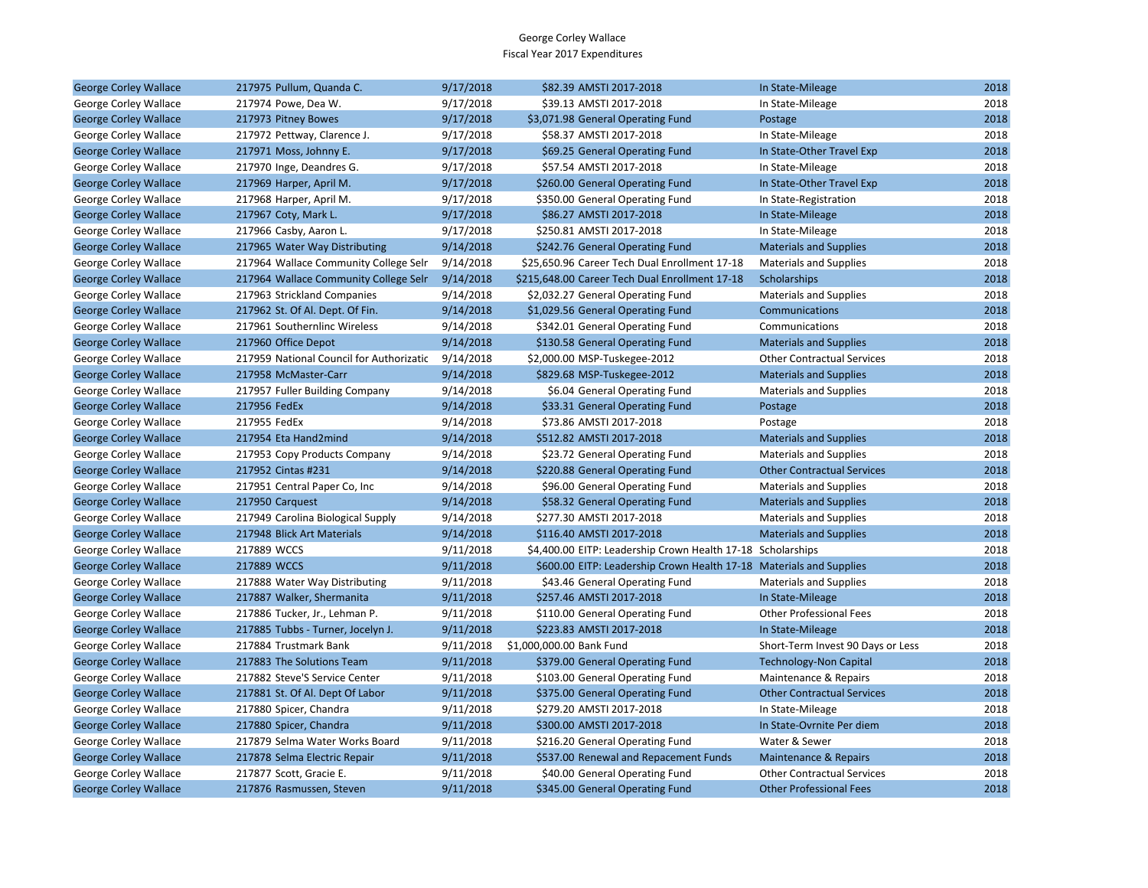| <b>George Corley Wallace</b> | 217975 Pullum, Quanda C.                 | 9/17/2018 | \$82.39 AMSTI 2017-2018                                             | In State-Mileage                  | 2018 |
|------------------------------|------------------------------------------|-----------|---------------------------------------------------------------------|-----------------------------------|------|
| George Corley Wallace        | 217974 Powe, Dea W.                      | 9/17/2018 | \$39.13 AMSTI 2017-2018                                             | In State-Mileage                  | 2018 |
| <b>George Corley Wallace</b> | 217973 Pitney Bowes                      | 9/17/2018 | \$3,071.98 General Operating Fund                                   | Postage                           | 2018 |
| George Corley Wallace        | 217972 Pettway, Clarence J.              | 9/17/2018 | \$58.37 AMSTI 2017-2018                                             | In State-Mileage                  | 2018 |
| <b>George Corley Wallace</b> | 217971 Moss, Johnny E.                   | 9/17/2018 | \$69.25 General Operating Fund                                      | In State-Other Travel Exp         | 2018 |
| George Corley Wallace        | 217970 Inge, Deandres G.                 | 9/17/2018 | \$57.54 AMSTI 2017-2018                                             | In State-Mileage                  | 2018 |
| <b>George Corley Wallace</b> | 217969 Harper, April M.                  | 9/17/2018 | \$260.00 General Operating Fund                                     | In State-Other Travel Exp         | 2018 |
| George Corley Wallace        | 217968 Harper, April M.                  | 9/17/2018 | \$350.00 General Operating Fund                                     | In State-Registration             | 2018 |
| <b>George Corley Wallace</b> | 217967 Coty, Mark L.                     | 9/17/2018 | \$86.27 AMSTI 2017-2018                                             | In State-Mileage                  | 2018 |
| George Corley Wallace        | 217966 Casby, Aaron L.                   | 9/17/2018 | \$250.81 AMSTI 2017-2018                                            | In State-Mileage                  | 2018 |
| <b>George Corley Wallace</b> | 217965 Water Way Distributing            | 9/14/2018 | \$242.76 General Operating Fund                                     | <b>Materials and Supplies</b>     | 2018 |
| George Corley Wallace        | 217964 Wallace Community College Selr    | 9/14/2018 | \$25,650.96 Career Tech Dual Enrollment 17-18                       | <b>Materials and Supplies</b>     | 2018 |
| <b>George Corley Wallace</b> | 217964 Wallace Community College Selr    | 9/14/2018 | \$215.648.00 Career Tech Dual Enrollment 17-18                      | Scholarships                      | 2018 |
| George Corley Wallace        | 217963 Strickland Companies              | 9/14/2018 | \$2,032.27 General Operating Fund                                   | <b>Materials and Supplies</b>     | 2018 |
| <b>George Corley Wallace</b> | 217962 St. Of Al. Dept. Of Fin.          | 9/14/2018 | \$1,029.56 General Operating Fund                                   | Communications                    | 2018 |
| George Corley Wallace        | 217961 Southernlinc Wireless             | 9/14/2018 | \$342.01 General Operating Fund                                     | Communications                    | 2018 |
| <b>George Corley Wallace</b> | 217960 Office Depot                      | 9/14/2018 | \$130.58 General Operating Fund                                     | <b>Materials and Supplies</b>     | 2018 |
| George Corley Wallace        | 217959 National Council for Authorizatic | 9/14/2018 | \$2,000.00 MSP-Tuskegee-2012                                        | <b>Other Contractual Services</b> | 2018 |
| <b>George Corley Wallace</b> | 217958 McMaster-Carr                     | 9/14/2018 | \$829.68 MSP-Tuskegee-2012                                          | <b>Materials and Supplies</b>     | 2018 |
| George Corley Wallace        | 217957 Fuller Building Company           | 9/14/2018 | \$6.04 General Operating Fund                                       | <b>Materials and Supplies</b>     | 2018 |
| <b>George Corley Wallace</b> | 217956 FedEx                             | 9/14/2018 | \$33.31 General Operating Fund                                      | Postage                           | 2018 |
| George Corley Wallace        | 217955 FedEx                             | 9/14/2018 | \$73.86 AMSTI 2017-2018                                             | Postage                           | 2018 |
| <b>George Corley Wallace</b> | 217954 Eta Hand2mind                     | 9/14/2018 | \$512.82 AMSTI 2017-2018                                            | <b>Materials and Supplies</b>     | 2018 |
| George Corley Wallace        | 217953 Copy Products Company             | 9/14/2018 | \$23.72 General Operating Fund                                      | <b>Materials and Supplies</b>     | 2018 |
| <b>George Corley Wallace</b> | 217952 Cintas #231                       | 9/14/2018 | \$220.88 General Operating Fund                                     | <b>Other Contractual Services</b> | 2018 |
| George Corley Wallace        | 217951 Central Paper Co, Inc.            | 9/14/2018 | \$96.00 General Operating Fund                                      | <b>Materials and Supplies</b>     | 2018 |
| <b>George Corley Wallace</b> | 217950 Carguest                          | 9/14/2018 | \$58.32 General Operating Fund                                      | <b>Materials and Supplies</b>     | 2018 |
| George Corley Wallace        | 217949 Carolina Biological Supply        | 9/14/2018 | \$277.30 AMSTI 2017-2018                                            | <b>Materials and Supplies</b>     | 2018 |
| <b>George Corley Wallace</b> | 217948 Blick Art Materials               | 9/14/2018 | \$116.40 AMSTI 2017-2018                                            | <b>Materials and Supplies</b>     | 2018 |
| George Corley Wallace        | 217889 WCCS                              | 9/11/2018 | \$4,400.00 EITP: Leadership Crown Health 17-18 Scholarships         |                                   | 2018 |
| <b>George Corley Wallace</b> | 217889 WCCS                              | 9/11/2018 | \$600.00 EITP: Leadership Crown Health 17-18 Materials and Supplies |                                   | 2018 |
| George Corley Wallace        | 217888 Water Way Distributing            | 9/11/2018 | \$43.46 General Operating Fund                                      | <b>Materials and Supplies</b>     | 2018 |
| <b>George Corley Wallace</b> | 217887 Walker, Shermanita                | 9/11/2018 | \$257.46 AMSTI 2017-2018                                            | In State-Mileage                  | 2018 |
| George Corley Wallace        | 217886 Tucker, Jr., Lehman P.            | 9/11/2018 | \$110.00 General Operating Fund                                     | <b>Other Professional Fees</b>    | 2018 |
| <b>George Corley Wallace</b> | 217885 Tubbs - Turner, Jocelyn J.        | 9/11/2018 | \$223.83 AMSTI 2017-2018                                            | In State-Mileage                  | 2018 |
| George Corley Wallace        | 217884 Trustmark Bank                    | 9/11/2018 | \$1,000,000.00 Bank Fund                                            | Short-Term Invest 90 Days or Less | 2018 |
| <b>George Corley Wallace</b> | 217883 The Solutions Team                | 9/11/2018 | \$379.00 General Operating Fund                                     | <b>Technology-Non Capital</b>     | 2018 |
| George Corley Wallace        | 217882 Steve'S Service Center            | 9/11/2018 | \$103.00 General Operating Fund                                     | Maintenance & Repairs             | 2018 |
| <b>George Corley Wallace</b> | 217881 St. Of Al. Dept Of Labor          | 9/11/2018 | \$375.00 General Operating Fund                                     | <b>Other Contractual Services</b> | 2018 |
| George Corley Wallace        | 217880 Spicer, Chandra                   | 9/11/2018 | \$279.20 AMSTI 2017-2018                                            | In State-Mileage                  | 2018 |
| <b>George Corley Wallace</b> | 217880 Spicer, Chandra                   | 9/11/2018 | \$300.00 AMSTI 2017-2018                                            | In State-Ovrnite Per diem         | 2018 |
| George Corley Wallace        | 217879 Selma Water Works Board           | 9/11/2018 | \$216.20 General Operating Fund                                     | Water & Sewer                     | 2018 |
| <b>George Corley Wallace</b> | 217878 Selma Electric Repair             | 9/11/2018 | \$537.00 Renewal and Repacement Funds                               | <b>Maintenance &amp; Repairs</b>  | 2018 |
| George Corley Wallace        | 217877 Scott, Gracie E.                  | 9/11/2018 | \$40.00 General Operating Fund                                      | <b>Other Contractual Services</b> | 2018 |
| <b>George Corley Wallace</b> | 217876 Rasmussen, Steven                 | 9/11/2018 | \$345.00 General Operating Fund                                     | <b>Other Professional Fees</b>    | 2018 |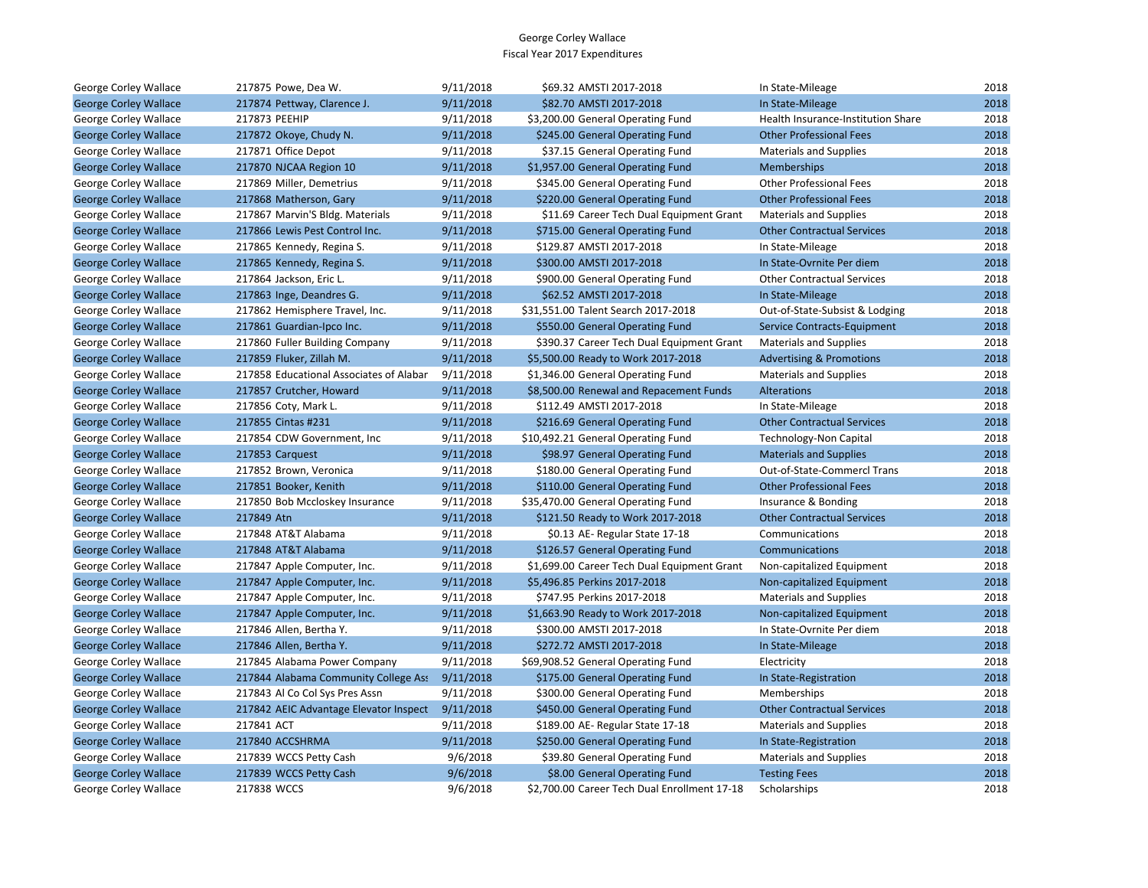| George Corley Wallace        | 217875 Powe, Dea W.                     | 9/11/2018 | \$69.32 AMSTI 2017-2018                      | In State-Mileage                    | 2018 |
|------------------------------|-----------------------------------------|-----------|----------------------------------------------|-------------------------------------|------|
| <b>George Corley Wallace</b> | 217874 Pettway, Clarence J.             | 9/11/2018 | \$82.70 AMSTI 2017-2018                      | In State-Mileage                    | 2018 |
| George Corley Wallace        | 217873 PEEHIP                           | 9/11/2018 | \$3,200.00 General Operating Fund            | Health Insurance-Institution Share  | 2018 |
| <b>George Corley Wallace</b> | 217872 Okoye, Chudy N.                  | 9/11/2018 | \$245.00 General Operating Fund              | <b>Other Professional Fees</b>      | 2018 |
| George Corley Wallace        | 217871 Office Depot                     | 9/11/2018 | \$37.15 General Operating Fund               | <b>Materials and Supplies</b>       | 2018 |
| <b>George Corley Wallace</b> | 217870 NJCAA Region 10                  | 9/11/2018 | \$1,957.00 General Operating Fund            | <b>Memberships</b>                  | 2018 |
| George Corley Wallace        | 217869 Miller, Demetrius                | 9/11/2018 | \$345.00 General Operating Fund              | <b>Other Professional Fees</b>      | 2018 |
| <b>George Corley Wallace</b> | 217868 Matherson, Gary                  | 9/11/2018 | \$220.00 General Operating Fund              | <b>Other Professional Fees</b>      | 2018 |
| George Corley Wallace        | 217867 Marvin'S Bldg. Materials         | 9/11/2018 | \$11.69 Career Tech Dual Equipment Grant     | <b>Materials and Supplies</b>       | 2018 |
| <b>George Corley Wallace</b> | 217866 Lewis Pest Control Inc.          | 9/11/2018 | \$715.00 General Operating Fund              | <b>Other Contractual Services</b>   | 2018 |
| George Corley Wallace        | 217865 Kennedy, Regina S.               | 9/11/2018 | \$129.87 AMSTI 2017-2018                     | In State-Mileage                    | 2018 |
| <b>George Corley Wallace</b> | 217865 Kennedy, Regina S.               | 9/11/2018 | \$300.00 AMSTI 2017-2018                     | In State-Ovrnite Per diem           | 2018 |
| George Corley Wallace        | 217864 Jackson, Eric L.                 | 9/11/2018 | \$900.00 General Operating Fund              | <b>Other Contractual Services</b>   | 2018 |
| <b>George Corley Wallace</b> | 217863 Inge, Deandres G.                | 9/11/2018 | \$62.52 AMSTI 2017-2018                      | In State-Mileage                    | 2018 |
| George Corley Wallace        | 217862 Hemisphere Travel, Inc.          | 9/11/2018 | \$31,551.00 Talent Search 2017-2018          | Out-of-State-Subsist & Lodging      | 2018 |
| <b>George Corley Wallace</b> | 217861 Guardian-Ipco Inc.               | 9/11/2018 | \$550.00 General Operating Fund              | Service Contracts-Equipment         | 2018 |
| George Corley Wallace        | 217860 Fuller Building Company          | 9/11/2018 | \$390.37 Career Tech Dual Equipment Grant    | <b>Materials and Supplies</b>       | 2018 |
| <b>George Corley Wallace</b> | 217859 Fluker, Zillah M.                | 9/11/2018 | \$5,500.00 Ready to Work 2017-2018           | <b>Advertising &amp; Promotions</b> | 2018 |
| George Corley Wallace        | 217858 Educational Associates of Alabar | 9/11/2018 | \$1,346.00 General Operating Fund            | <b>Materials and Supplies</b>       | 2018 |
| <b>George Corley Wallace</b> | 217857 Crutcher, Howard                 | 9/11/2018 | \$8,500.00 Renewal and Repacement Funds      | Alterations                         | 2018 |
| George Corley Wallace        | 217856 Coty, Mark L.                    | 9/11/2018 | \$112.49 AMSTI 2017-2018                     | In State-Mileage                    | 2018 |
| <b>George Corley Wallace</b> | 217855 Cintas #231                      | 9/11/2018 | \$216.69 General Operating Fund              | <b>Other Contractual Services</b>   | 2018 |
| George Corley Wallace        | 217854 CDW Government, Inc              | 9/11/2018 | \$10,492.21 General Operating Fund           | <b>Technology-Non Capital</b>       | 2018 |
| <b>George Corley Wallace</b> | 217853 Carquest                         | 9/11/2018 | \$98.97 General Operating Fund               | <b>Materials and Supplies</b>       | 2018 |
| George Corley Wallace        | 217852 Brown, Veronica                  | 9/11/2018 | \$180.00 General Operating Fund              | Out-of-State-Commercl Trans         | 2018 |
| <b>George Corley Wallace</b> | 217851 Booker, Kenith                   | 9/11/2018 | \$110.00 General Operating Fund              | <b>Other Professional Fees</b>      | 2018 |
| George Corley Wallace        | 217850 Bob Mccloskey Insurance          | 9/11/2018 | \$35,470.00 General Operating Fund           | Insurance & Bonding                 | 2018 |
| <b>George Corley Wallace</b> | 217849 Atn                              | 9/11/2018 | \$121.50 Ready to Work 2017-2018             | <b>Other Contractual Services</b>   | 2018 |
| George Corley Wallace        | 217848 AT&T Alabama                     | 9/11/2018 | \$0.13 AE- Regular State 17-18               | Communications                      | 2018 |
| <b>George Corley Wallace</b> | 217848 AT&T Alabama                     | 9/11/2018 | \$126.57 General Operating Fund              | <b>Communications</b>               | 2018 |
| George Corley Wallace        | 217847 Apple Computer, Inc.             | 9/11/2018 | \$1,699.00 Career Tech Dual Equipment Grant  | Non-capitalized Equipment           | 2018 |
| <b>George Corley Wallace</b> | 217847 Apple Computer, Inc.             | 9/11/2018 | \$5,496.85 Perkins 2017-2018                 | Non-capitalized Equipment           | 2018 |
| George Corley Wallace        | 217847 Apple Computer, Inc.             | 9/11/2018 | \$747.95 Perkins 2017-2018                   | <b>Materials and Supplies</b>       | 2018 |
| <b>George Corley Wallace</b> | 217847 Apple Computer, Inc.             | 9/11/2018 | \$1,663.90 Ready to Work 2017-2018           | Non-capitalized Equipment           | 2018 |
| George Corley Wallace        | 217846 Allen, Bertha Y.                 | 9/11/2018 | \$300.00 AMSTI 2017-2018                     | In State-Ovrnite Per diem           | 2018 |
| <b>George Corley Wallace</b> | 217846 Allen, Bertha Y.                 | 9/11/2018 | \$272.72 AMSTI 2017-2018                     | In State-Mileage                    | 2018 |
| George Corley Wallace        | 217845 Alabama Power Company            | 9/11/2018 | \$69,908.52 General Operating Fund           | Electricity                         | 2018 |
| <b>George Corley Wallace</b> | 217844 Alabama Community College Ass    | 9/11/2018 | \$175.00 General Operating Fund              | In State-Registration               | 2018 |
| George Corley Wallace        | 217843 Al Co Col Sys Pres Assn          | 9/11/2018 | \$300.00 General Operating Fund              | Memberships                         | 2018 |
| <b>George Corley Wallace</b> | 217842 AEIC Advantage Elevator Inspect  | 9/11/2018 | \$450.00 General Operating Fund              | <b>Other Contractual Services</b>   | 2018 |
| George Corley Wallace        | 217841 ACT                              | 9/11/2018 | \$189.00 AE- Regular State 17-18             | <b>Materials and Supplies</b>       | 2018 |
| <b>George Corley Wallace</b> | 217840 ACCSHRMA                         | 9/11/2018 | \$250.00 General Operating Fund              | In State-Registration               | 2018 |
| George Corley Wallace        | 217839 WCCS Petty Cash                  | 9/6/2018  | \$39.80 General Operating Fund               | <b>Materials and Supplies</b>       | 2018 |
| <b>George Corley Wallace</b> | 217839 WCCS Petty Cash                  | 9/6/2018  | \$8.00 General Operating Fund                | <b>Testing Fees</b>                 | 2018 |
| George Corley Wallace        | 217838 WCCS                             | 9/6/2018  | \$2,700.00 Career Tech Dual Enrollment 17-18 | Scholarships                        | 2018 |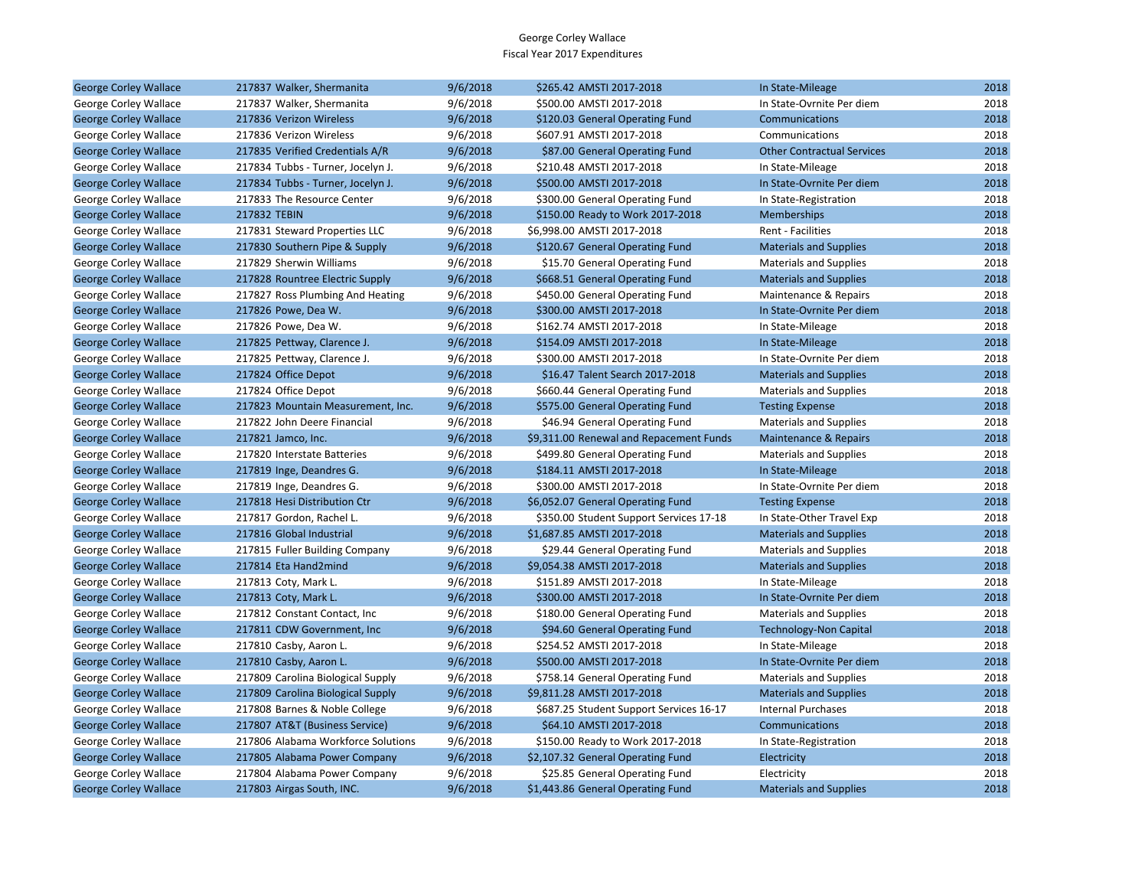| <b>George Corley Wallace</b> | 217837 Walker, Shermanita          | 9/6/2018 | \$265.42 AMSTI 2017-2018                | In State-Mileage                  | 2018 |
|------------------------------|------------------------------------|----------|-----------------------------------------|-----------------------------------|------|
| George Corley Wallace        | 217837 Walker, Shermanita          | 9/6/2018 | \$500.00 AMSTI 2017-2018                | In State-Ovrnite Per diem         | 2018 |
| <b>George Corley Wallace</b> | 217836 Verizon Wireless            | 9/6/2018 | \$120.03 General Operating Fund         | Communications                    | 2018 |
| George Corley Wallace        | 217836 Verizon Wireless            | 9/6/2018 | \$607.91 AMSTI 2017-2018                | Communications                    | 2018 |
| <b>George Corley Wallace</b> | 217835 Verified Credentials A/R    | 9/6/2018 | \$87.00 General Operating Fund          | <b>Other Contractual Services</b> | 2018 |
| George Corley Wallace        | 217834 Tubbs - Turner, Jocelyn J.  | 9/6/2018 | \$210.48 AMSTI 2017-2018                | In State-Mileage                  | 2018 |
| <b>George Corley Wallace</b> | 217834 Tubbs - Turner, Jocelyn J.  | 9/6/2018 | \$500.00 AMSTI 2017-2018                | In State-Ovrnite Per diem         | 2018 |
| George Corley Wallace        | 217833 The Resource Center         | 9/6/2018 | \$300.00 General Operating Fund         | In State-Registration             | 2018 |
| <b>George Corley Wallace</b> | 217832 TEBIN                       | 9/6/2018 | \$150.00 Ready to Work 2017-2018        | <b>Memberships</b>                | 2018 |
| George Corley Wallace        | 217831 Steward Properties LLC      | 9/6/2018 | \$6,998.00 AMSTI 2017-2018              | Rent - Facilities                 | 2018 |
| <b>George Corley Wallace</b> | 217830 Southern Pipe & Supply      | 9/6/2018 | \$120.67 General Operating Fund         | <b>Materials and Supplies</b>     | 2018 |
| George Corley Wallace        | 217829 Sherwin Williams            | 9/6/2018 | \$15.70 General Operating Fund          | <b>Materials and Supplies</b>     | 2018 |
| <b>George Corley Wallace</b> | 217828 Rountree Electric Supply    | 9/6/2018 | \$668.51 General Operating Fund         | <b>Materials and Supplies</b>     | 2018 |
| George Corley Wallace        | 217827 Ross Plumbing And Heating   | 9/6/2018 | \$450.00 General Operating Fund         | Maintenance & Repairs             | 2018 |
| <b>George Corley Wallace</b> | 217826 Powe, Dea W.                | 9/6/2018 | \$300.00 AMSTI 2017-2018                | In State-Ovrnite Per diem         | 2018 |
| George Corley Wallace        | 217826 Powe, Dea W.                | 9/6/2018 | \$162.74 AMSTI 2017-2018                | In State-Mileage                  | 2018 |
| <b>George Corley Wallace</b> | 217825 Pettway, Clarence J.        | 9/6/2018 | \$154.09 AMSTI 2017-2018                | In State-Mileage                  | 2018 |
| George Corley Wallace        | 217825 Pettway, Clarence J.        | 9/6/2018 | \$300.00 AMSTI 2017-2018                | In State-Ovrnite Per diem         | 2018 |
| <b>George Corley Wallace</b> | 217824 Office Depot                | 9/6/2018 | \$16.47 Talent Search 2017-2018         | <b>Materials and Supplies</b>     | 2018 |
| George Corley Wallace        | 217824 Office Depot                | 9/6/2018 | \$660.44 General Operating Fund         | <b>Materials and Supplies</b>     | 2018 |
| <b>George Corley Wallace</b> | 217823 Mountain Measurement, Inc.  | 9/6/2018 | \$575.00 General Operating Fund         | <b>Testing Expense</b>            | 2018 |
| George Corley Wallace        | 217822 John Deere Financial        | 9/6/2018 | \$46.94 General Operating Fund          | <b>Materials and Supplies</b>     | 2018 |
| <b>George Corley Wallace</b> | 217821 Jamco, Inc.                 | 9/6/2018 | \$9,311.00 Renewal and Repacement Funds | Maintenance & Repairs             | 2018 |
| George Corley Wallace        | 217820 Interstate Batteries        | 9/6/2018 | \$499.80 General Operating Fund         | <b>Materials and Supplies</b>     | 2018 |
| <b>George Corley Wallace</b> | 217819 Inge, Deandres G.           | 9/6/2018 | \$184.11 AMSTI 2017-2018                | In State-Mileage                  | 2018 |
| George Corley Wallace        | 217819 Inge, Deandres G.           | 9/6/2018 | \$300.00 AMSTI 2017-2018                | In State-Ovrnite Per diem         | 2018 |
| <b>George Corley Wallace</b> | 217818 Hesi Distribution Ctr       | 9/6/2018 | \$6,052.07 General Operating Fund       | <b>Testing Expense</b>            | 2018 |
| George Corley Wallace        | 217817 Gordon, Rachel L.           | 9/6/2018 | \$350.00 Student Support Services 17-18 | In State-Other Travel Exp         | 2018 |
| <b>George Corley Wallace</b> | 217816 Global Industrial           | 9/6/2018 | \$1,687.85 AMSTI 2017-2018              | <b>Materials and Supplies</b>     | 2018 |
| George Corley Wallace        | 217815 Fuller Building Company     | 9/6/2018 | \$29.44 General Operating Fund          | <b>Materials and Supplies</b>     | 2018 |
| <b>George Corley Wallace</b> | 217814 Eta Hand2mind               | 9/6/2018 | \$9,054.38 AMSTI 2017-2018              | <b>Materials and Supplies</b>     | 2018 |
| George Corley Wallace        | 217813 Coty, Mark L.               | 9/6/2018 | \$151.89 AMSTI 2017-2018                | In State-Mileage                  | 2018 |
| <b>George Corley Wallace</b> | 217813 Coty, Mark L.               | 9/6/2018 | \$300.00 AMSTI 2017-2018                | In State-Ovrnite Per diem         | 2018 |
| George Corley Wallace        | 217812 Constant Contact, Inc.      | 9/6/2018 | \$180.00 General Operating Fund         | <b>Materials and Supplies</b>     | 2018 |
| <b>George Corley Wallace</b> | 217811 CDW Government, Inc         | 9/6/2018 | \$94.60 General Operating Fund          | <b>Technology-Non Capital</b>     | 2018 |
| George Corley Wallace        | 217810 Casby, Aaron L.             | 9/6/2018 | \$254.52 AMSTI 2017-2018                | In State-Mileage                  | 2018 |
| <b>George Corley Wallace</b> | 217810 Casby, Aaron L.             | 9/6/2018 | \$500.00 AMSTI 2017-2018                | In State-Ovrnite Per diem         | 2018 |
| George Corley Wallace        | 217809 Carolina Biological Supply  | 9/6/2018 | \$758.14 General Operating Fund         | <b>Materials and Supplies</b>     | 2018 |
| <b>George Corley Wallace</b> | 217809 Carolina Biological Supply  | 9/6/2018 | \$9,811.28 AMSTI 2017-2018              | <b>Materials and Supplies</b>     | 2018 |
| George Corley Wallace        | 217808 Barnes & Noble College      | 9/6/2018 | \$687.25 Student Support Services 16-17 | <b>Internal Purchases</b>         | 2018 |
| <b>George Corley Wallace</b> | 217807 AT&T (Business Service)     | 9/6/2018 | \$64.10 AMSTI 2017-2018                 | Communications                    | 2018 |
| George Corley Wallace        | 217806 Alabama Workforce Solutions | 9/6/2018 | \$150.00 Ready to Work 2017-2018        | In State-Registration             | 2018 |
| <b>George Corley Wallace</b> | 217805 Alabama Power Company       | 9/6/2018 | \$2,107.32 General Operating Fund       | Electricity                       | 2018 |
| George Corley Wallace        | 217804 Alabama Power Company       | 9/6/2018 | \$25.85 General Operating Fund          | Electricity                       | 2018 |
| <b>George Corley Wallace</b> | 217803 Airgas South, INC.          | 9/6/2018 | \$1,443.86 General Operating Fund       | <b>Materials and Supplies</b>     | 2018 |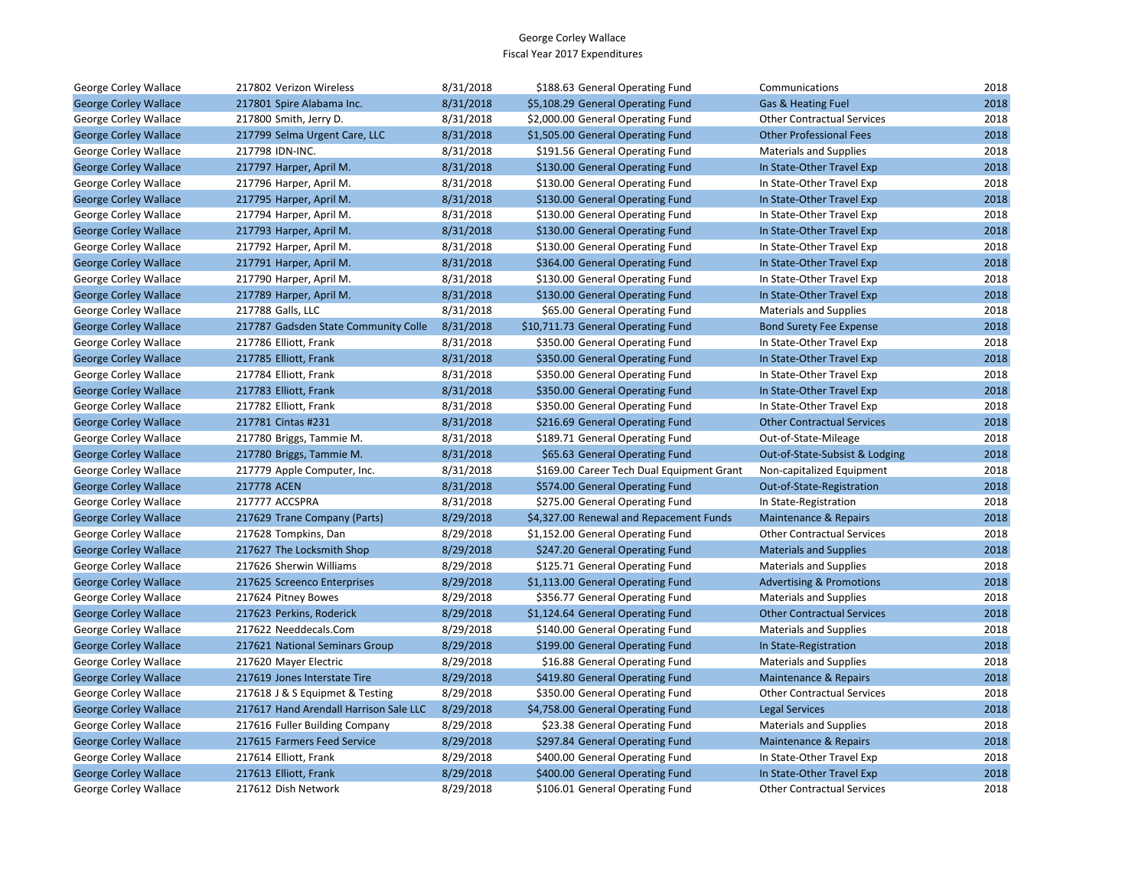| George Corley Wallace        | 217802 Verizon Wireless                | 8/31/2018 | \$188.63 General Operating Fund           | Communications                      | 2018 |
|------------------------------|----------------------------------------|-----------|-------------------------------------------|-------------------------------------|------|
| <b>George Corley Wallace</b> | 217801 Spire Alabama Inc.              | 8/31/2018 | \$5,108.29 General Operating Fund         | Gas & Heating Fuel                  | 2018 |
| George Corley Wallace        | 217800 Smith, Jerry D.                 | 8/31/2018 | \$2,000.00 General Operating Fund         | <b>Other Contractual Services</b>   | 2018 |
| <b>George Corley Wallace</b> | 217799 Selma Urgent Care, LLC          | 8/31/2018 | \$1,505.00 General Operating Fund         | <b>Other Professional Fees</b>      | 2018 |
| George Corley Wallace        | 217798 IDN-INC.                        | 8/31/2018 | \$191.56 General Operating Fund           | <b>Materials and Supplies</b>       | 2018 |
| <b>George Corley Wallace</b> | 217797 Harper, April M.                | 8/31/2018 | \$130.00 General Operating Fund           | In State-Other Travel Exp           | 2018 |
| George Corley Wallace        | 217796 Harper, April M.                | 8/31/2018 | \$130.00 General Operating Fund           | In State-Other Travel Exp           | 2018 |
| <b>George Corley Wallace</b> | 217795 Harper, April M.                | 8/31/2018 | \$130.00 General Operating Fund           | In State-Other Travel Exp           | 2018 |
| George Corley Wallace        | 217794 Harper, April M.                | 8/31/2018 | \$130.00 General Operating Fund           | In State-Other Travel Exp           | 2018 |
| <b>George Corley Wallace</b> | 217793 Harper, April M.                | 8/31/2018 | \$130.00 General Operating Fund           | In State-Other Travel Exp           | 2018 |
| George Corley Wallace        | 217792 Harper, April M.                | 8/31/2018 | \$130.00 General Operating Fund           | In State-Other Travel Exp           | 2018 |
| <b>George Corley Wallace</b> | 217791 Harper, April M.                | 8/31/2018 | \$364.00 General Operating Fund           | In State-Other Travel Exp           | 2018 |
| George Corley Wallace        | 217790 Harper, April M.                | 8/31/2018 | \$130.00 General Operating Fund           | In State-Other Travel Exp           | 2018 |
| <b>George Corley Wallace</b> | 217789 Harper, April M.                | 8/31/2018 | \$130.00 General Operating Fund           | In State-Other Travel Exp           | 2018 |
| George Corley Wallace        | 217788 Galls, LLC                      | 8/31/2018 | \$65.00 General Operating Fund            | <b>Materials and Supplies</b>       | 2018 |
| <b>George Corley Wallace</b> | 217787 Gadsden State Community Colle   | 8/31/2018 | \$10,711.73 General Operating Fund        | <b>Bond Surety Fee Expense</b>      | 2018 |
| George Corley Wallace        | 217786 Elliott, Frank                  | 8/31/2018 | \$350.00 General Operating Fund           | In State-Other Travel Exp           | 2018 |
| <b>George Corley Wallace</b> | 217785 Elliott, Frank                  | 8/31/2018 | \$350.00 General Operating Fund           | In State-Other Travel Exp           | 2018 |
| George Corley Wallace        | 217784 Elliott, Frank                  | 8/31/2018 | \$350.00 General Operating Fund           | In State-Other Travel Exp           | 2018 |
| <b>George Corley Wallace</b> | 217783 Elliott, Frank                  | 8/31/2018 | \$350.00 General Operating Fund           | In State-Other Travel Exp           | 2018 |
| George Corley Wallace        | 217782 Elliott, Frank                  | 8/31/2018 | \$350.00 General Operating Fund           | In State-Other Travel Exp           | 2018 |
| <b>George Corley Wallace</b> | 217781 Cintas #231                     | 8/31/2018 | \$216.69 General Operating Fund           | <b>Other Contractual Services</b>   | 2018 |
| George Corley Wallace        | 217780 Briggs, Tammie M.               | 8/31/2018 | \$189.71 General Operating Fund           | Out-of-State-Mileage                | 2018 |
| <b>George Corley Wallace</b> | 217780 Briggs, Tammie M.               | 8/31/2018 | \$65.63 General Operating Fund            | Out-of-State-Subsist & Lodging      | 2018 |
| George Corley Wallace        | 217779 Apple Computer, Inc.            | 8/31/2018 | \$169.00 Career Tech Dual Equipment Grant | Non-capitalized Equipment           | 2018 |
| <b>George Corley Wallace</b> | 217778 ACEN                            | 8/31/2018 | \$574.00 General Operating Fund           | Out-of-State-Registration           | 2018 |
| George Corley Wallace        | 217777 ACCSPRA                         | 8/31/2018 | \$275.00 General Operating Fund           | In State-Registration               | 2018 |
| <b>George Corley Wallace</b> | 217629 Trane Company (Parts)           | 8/29/2018 | \$4,327.00 Renewal and Repacement Funds   | <b>Maintenance &amp; Repairs</b>    | 2018 |
| George Corley Wallace        | 217628 Tompkins, Dan                   | 8/29/2018 | \$1,152.00 General Operating Fund         | <b>Other Contractual Services</b>   | 2018 |
| <b>George Corley Wallace</b> | 217627 The Locksmith Shop              | 8/29/2018 | \$247.20 General Operating Fund           | <b>Materials and Supplies</b>       | 2018 |
| George Corley Wallace        | 217626 Sherwin Williams                | 8/29/2018 | \$125.71 General Operating Fund           | <b>Materials and Supplies</b>       | 2018 |
| <b>George Corley Wallace</b> | 217625 Screenco Enterprises            | 8/29/2018 | \$1,113.00 General Operating Fund         | <b>Advertising &amp; Promotions</b> | 2018 |
| George Corley Wallace        | 217624 Pitney Bowes                    | 8/29/2018 | \$356.77 General Operating Fund           | <b>Materials and Supplies</b>       | 2018 |
| <b>George Corley Wallace</b> | 217623 Perkins, Roderick               | 8/29/2018 | \$1,124.64 General Operating Fund         | <b>Other Contractual Services</b>   | 2018 |
| George Corley Wallace        | 217622 Needdecals.Com                  | 8/29/2018 | \$140.00 General Operating Fund           | <b>Materials and Supplies</b>       | 2018 |
| <b>George Corley Wallace</b> | 217621 National Seminars Group         | 8/29/2018 | \$199.00 General Operating Fund           | In State-Registration               | 2018 |
| George Corley Wallace        | 217620 Mayer Electric                  | 8/29/2018 | \$16.88 General Operating Fund            | <b>Materials and Supplies</b>       | 2018 |
| <b>George Corley Wallace</b> | 217619 Jones Interstate Tire           | 8/29/2018 | \$419.80 General Operating Fund           | Maintenance & Repairs               | 2018 |
| George Corley Wallace        | 217618 J & S Equipmet & Testing        | 8/29/2018 | \$350.00 General Operating Fund           | <b>Other Contractual Services</b>   | 2018 |
| <b>George Corley Wallace</b> | 217617 Hand Arendall Harrison Sale LLC | 8/29/2018 | \$4,758.00 General Operating Fund         | <b>Legal Services</b>               | 2018 |
| George Corley Wallace        | 217616 Fuller Building Company         | 8/29/2018 | \$23.38 General Operating Fund            | <b>Materials and Supplies</b>       | 2018 |
| <b>George Corley Wallace</b> | 217615 Farmers Feed Service            | 8/29/2018 | \$297.84 General Operating Fund           | Maintenance & Repairs               | 2018 |
| George Corley Wallace        | 217614 Elliott, Frank                  | 8/29/2018 | \$400.00 General Operating Fund           | In State-Other Travel Exp           | 2018 |
| <b>George Corley Wallace</b> | 217613 Elliott, Frank                  | 8/29/2018 | \$400.00 General Operating Fund           | In State-Other Travel Exp           | 2018 |
| George Corley Wallace        | 217612 Dish Network                    | 8/29/2018 | \$106.01 General Operating Fund           | <b>Other Contractual Services</b>   | 2018 |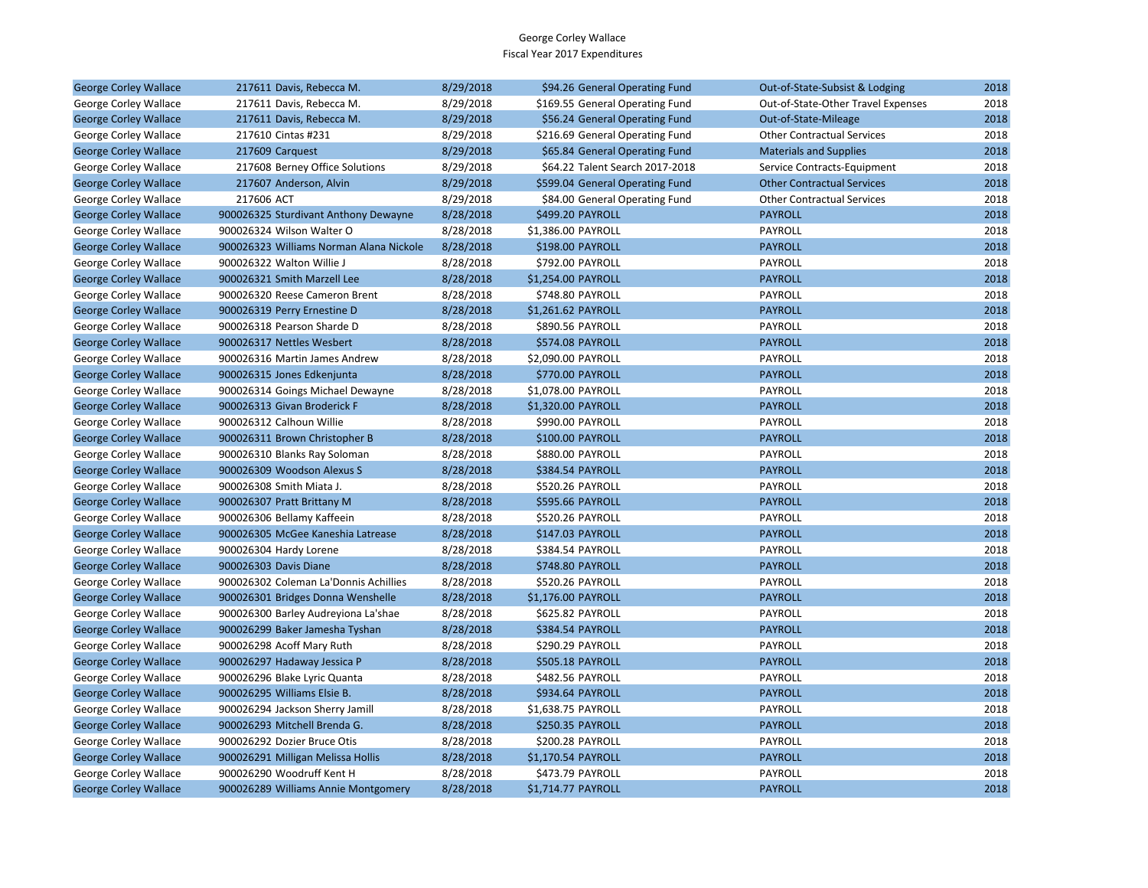| <b>George Corley Wallace</b> | 217611 Davis, Rebecca M.                | 8/29/2018 | \$94.26 General Operating Fund  | Out-of-State-Subsist & Lodging     | 2018 |
|------------------------------|-----------------------------------------|-----------|---------------------------------|------------------------------------|------|
| George Corley Wallace        | 217611 Davis, Rebecca M.                | 8/29/2018 | \$169.55 General Operating Fund | Out-of-State-Other Travel Expenses | 2018 |
| <b>George Corley Wallace</b> | 217611 Davis, Rebecca M.                | 8/29/2018 | \$56.24 General Operating Fund  | Out-of-State-Mileage               | 2018 |
| George Corley Wallace        | 217610 Cintas #231                      | 8/29/2018 | \$216.69 General Operating Fund | <b>Other Contractual Services</b>  | 2018 |
| <b>George Corley Wallace</b> | 217609 Carquest                         | 8/29/2018 | \$65.84 General Operating Fund  | <b>Materials and Supplies</b>      | 2018 |
| George Corley Wallace        | 217608 Berney Office Solutions          | 8/29/2018 | \$64.22 Talent Search 2017-2018 | Service Contracts-Equipment        | 2018 |
| <b>George Corley Wallace</b> | 217607 Anderson, Alvin                  | 8/29/2018 | \$599.04 General Operating Fund | <b>Other Contractual Services</b>  | 2018 |
| George Corley Wallace        | 217606 ACT                              | 8/29/2018 | \$84.00 General Operating Fund  | <b>Other Contractual Services</b>  | 2018 |
| <b>George Corley Wallace</b> | 900026325 Sturdivant Anthony Dewayne    | 8/28/2018 | \$499.20 PAYROLL                | <b>PAYROLL</b>                     | 2018 |
| George Corley Wallace        | 900026324 Wilson Walter O               | 8/28/2018 | \$1,386.00 PAYROLL              | PAYROLL                            | 2018 |
| <b>George Corley Wallace</b> | 900026323 Williams Norman Alana Nickole | 8/28/2018 | \$198.00 PAYROLL                | <b>PAYROLL</b>                     | 2018 |
| George Corley Wallace        | 900026322 Walton Willie J               | 8/28/2018 | \$792.00 PAYROLL                | <b>PAYROLL</b>                     | 2018 |
| <b>George Corley Wallace</b> | 900026321 Smith Marzell Lee             | 8/28/2018 | \$1,254.00 PAYROLL              | <b>PAYROLL</b>                     | 2018 |
| George Corley Wallace        | 900026320 Reese Cameron Brent           | 8/28/2018 | \$748.80 PAYROLL                | PAYROLL                            | 2018 |
| <b>George Corley Wallace</b> | 900026319 Perry Ernestine D             | 8/28/2018 | \$1,261.62 PAYROLL              | <b>PAYROLL</b>                     | 2018 |
| George Corley Wallace        | 900026318 Pearson Sharde D              | 8/28/2018 | \$890.56 PAYROLL                | <b>PAYROLL</b>                     | 2018 |
| <b>George Corley Wallace</b> | 900026317 Nettles Wesbert               | 8/28/2018 | \$574.08 PAYROLL                | <b>PAYROLL</b>                     | 2018 |
| George Corley Wallace        | 900026316 Martin James Andrew           | 8/28/2018 | \$2,090.00 PAYROLL              | PAYROLL                            | 2018 |
| <b>George Corley Wallace</b> | 900026315 Jones Edkenjunta              | 8/28/2018 | \$770.00 PAYROLL                | <b>PAYROLL</b>                     | 2018 |
| George Corley Wallace        | 900026314 Goings Michael Dewayne        | 8/28/2018 | \$1,078.00 PAYROLL              | <b>PAYROLL</b>                     | 2018 |
| <b>George Corley Wallace</b> | 900026313 Givan Broderick F             | 8/28/2018 | \$1,320.00 PAYROLL              | <b>PAYROLL</b>                     | 2018 |
| George Corley Wallace        | 900026312 Calhoun Willie                | 8/28/2018 | \$990.00 PAYROLL                | PAYROLL                            | 2018 |
| <b>George Corley Wallace</b> | 900026311 Brown Christopher B           | 8/28/2018 | \$100.00 PAYROLL                | <b>PAYROLL</b>                     | 2018 |
| George Corley Wallace        | 900026310 Blanks Ray Soloman            | 8/28/2018 | \$880.00 PAYROLL                | <b>PAYROLL</b>                     | 2018 |
| <b>George Corley Wallace</b> | 900026309 Woodson Alexus S              | 8/28/2018 | \$384.54 PAYROLL                | <b>PAYROLL</b>                     | 2018 |
| George Corley Wallace        | 900026308 Smith Miata J.                | 8/28/2018 | \$520.26 PAYROLL                | PAYROLL                            | 2018 |
| <b>George Corley Wallace</b> | 900026307 Pratt Brittany M              | 8/28/2018 | \$595.66 PAYROLL                | <b>PAYROLL</b>                     | 2018 |
| George Corley Wallace        | 900026306 Bellamy Kaffeein              | 8/28/2018 | \$520.26 PAYROLL                | PAYROLL                            | 2018 |
| <b>George Corley Wallace</b> | 900026305 McGee Kaneshia Latrease       | 8/28/2018 | \$147.03 PAYROLL                | <b>PAYROLL</b>                     | 2018 |
| George Corley Wallace        | 900026304 Hardy Lorene                  | 8/28/2018 | \$384.54 PAYROLL                | PAYROLL                            | 2018 |
| <b>George Corley Wallace</b> | 900026303 Davis Diane                   | 8/28/2018 | \$748.80 PAYROLL                | <b>PAYROLL</b>                     | 2018 |
| George Corley Wallace        | 900026302 Coleman La'Donnis Achillies   | 8/28/2018 | \$520.26 PAYROLL                | PAYROLL                            | 2018 |
| <b>George Corley Wallace</b> | 900026301 Bridges Donna Wenshelle       | 8/28/2018 | \$1,176.00 PAYROLL              | <b>PAYROLL</b>                     | 2018 |
| George Corley Wallace        | 900026300 Barley Audreyiona La'shae     | 8/28/2018 | \$625.82 PAYROLL                | PAYROLL                            | 2018 |
| <b>George Corley Wallace</b> | 900026299 Baker Jamesha Tyshan          | 8/28/2018 | \$384.54 PAYROLL                | <b>PAYROLL</b>                     | 2018 |
| George Corley Wallace        | 900026298 Acoff Mary Ruth               | 8/28/2018 | \$290.29 PAYROLL                | <b>PAYROLL</b>                     | 2018 |
| <b>George Corley Wallace</b> | 900026297 Hadaway Jessica P             | 8/28/2018 | \$505.18 PAYROLL                | <b>PAYROLL</b>                     | 2018 |
| George Corley Wallace        | 900026296 Blake Lyric Quanta            | 8/28/2018 | \$482.56 PAYROLL                | PAYROLL                            | 2018 |
| <b>George Corley Wallace</b> | 900026295 Williams Elsie B.             | 8/28/2018 | \$934.64 PAYROLL                | <b>PAYROLL</b>                     | 2018 |
| George Corley Wallace        | 900026294 Jackson Sherry Jamill         | 8/28/2018 | \$1,638.75 PAYROLL              | PAYROLL                            | 2018 |
| <b>George Corley Wallace</b> | 900026293 Mitchell Brenda G.            | 8/28/2018 | \$250.35 PAYROLL                | <b>PAYROLL</b>                     | 2018 |
| George Corley Wallace        | 900026292 Dozier Bruce Otis             | 8/28/2018 | \$200.28 PAYROLL                | PAYROLL                            | 2018 |
| <b>George Corley Wallace</b> | 900026291 Milligan Melissa Hollis       | 8/28/2018 | \$1,170.54 PAYROLL              | <b>PAYROLL</b>                     | 2018 |
| George Corley Wallace        | 900026290 Woodruff Kent H               | 8/28/2018 | \$473.79 PAYROLL                | PAYROLL                            | 2018 |
| <b>George Corley Wallace</b> | 900026289 Williams Annie Montgomery     | 8/28/2018 | \$1,714.77 PAYROLL              | <b>PAYROLL</b>                     | 2018 |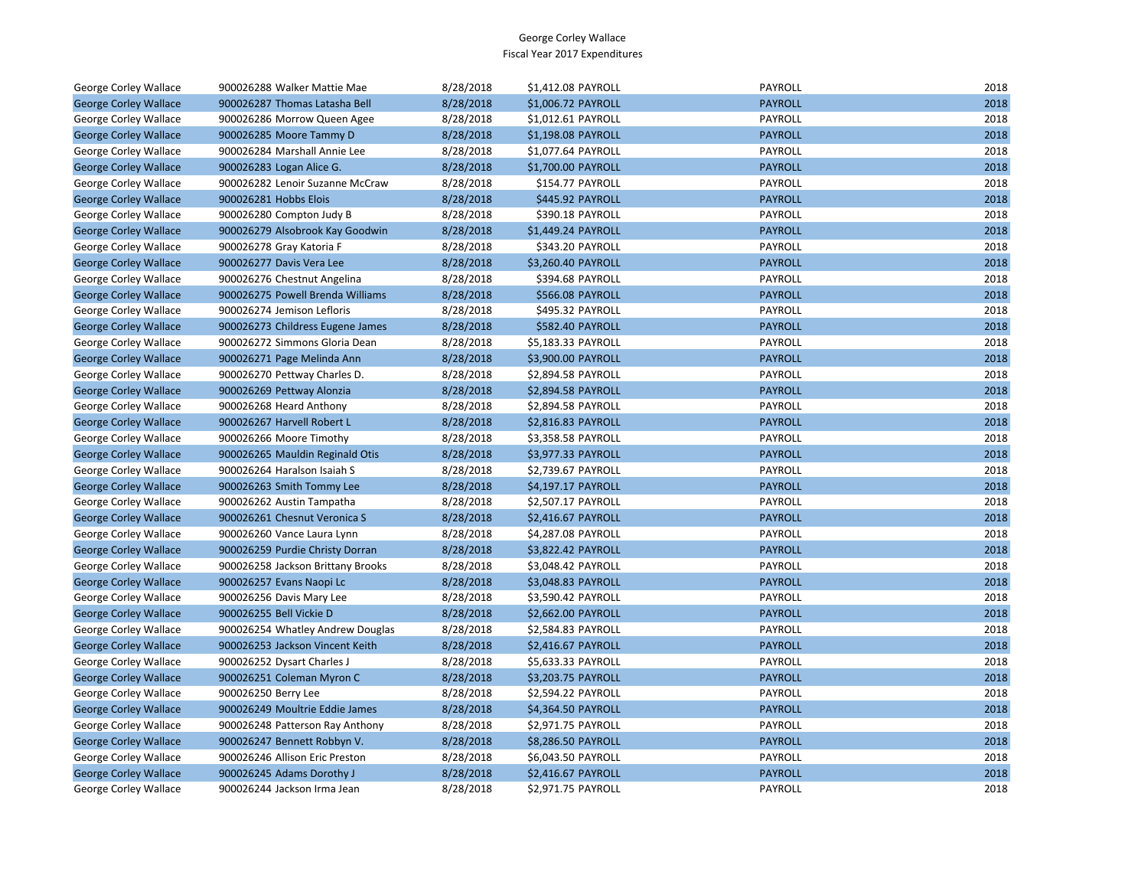| George Corley Wallace        | 900026288 Walker Mattie Mae       | 8/28/2018 | \$1,412.08 PAYROLL | <b>PAYROLL</b> | 2018 |
|------------------------------|-----------------------------------|-----------|--------------------|----------------|------|
| <b>George Corley Wallace</b> | 900026287 Thomas Latasha Bell     | 8/28/2018 | \$1,006.72 PAYROLL | <b>PAYROLL</b> | 2018 |
| George Corley Wallace        | 900026286 Morrow Queen Agee       | 8/28/2018 | \$1,012.61 PAYROLL | PAYROLL        | 2018 |
| <b>George Corley Wallace</b> | 900026285 Moore Tammy D           | 8/28/2018 | \$1,198.08 PAYROLL | <b>PAYROLL</b> | 2018 |
| George Corley Wallace        | 900026284 Marshall Annie Lee      | 8/28/2018 | \$1,077.64 PAYROLL | PAYROLL        | 2018 |
| <b>George Corley Wallace</b> | 900026283 Logan Alice G.          | 8/28/2018 | \$1,700.00 PAYROLL | <b>PAYROLL</b> | 2018 |
| George Corley Wallace        | 900026282 Lenoir Suzanne McCraw   | 8/28/2018 | \$154.77 PAYROLL   | PAYROLL        | 2018 |
| <b>George Corley Wallace</b> | 900026281 Hobbs Elois             | 8/28/2018 | \$445.92 PAYROLL   | <b>PAYROLL</b> | 2018 |
| George Corley Wallace        | 900026280 Compton Judy B          | 8/28/2018 | \$390.18 PAYROLL   | PAYROLL        | 2018 |
| <b>George Corley Wallace</b> | 900026279 Alsobrook Kay Goodwin   | 8/28/2018 | \$1,449.24 PAYROLL | <b>PAYROLL</b> | 2018 |
| George Corley Wallace        | 900026278 Gray Katoria F          | 8/28/2018 | \$343.20 PAYROLL   | PAYROLL        | 2018 |
| <b>George Corley Wallace</b> | 900026277 Davis Vera Lee          | 8/28/2018 | \$3,260.40 PAYROLL | <b>PAYROLL</b> | 2018 |
| George Corley Wallace        | 900026276 Chestnut Angelina       | 8/28/2018 | \$394.68 PAYROLL   | PAYROLL        | 2018 |
| <b>George Corley Wallace</b> | 900026275 Powell Brenda Williams  | 8/28/2018 | \$566.08 PAYROLL   | <b>PAYROLL</b> | 2018 |
| George Corley Wallace        | 900026274 Jemison Lefloris        | 8/28/2018 | \$495.32 PAYROLL   | PAYROLL        | 2018 |
| <b>George Corley Wallace</b> | 900026273 Childress Eugene James  | 8/28/2018 | \$582.40 PAYROLL   | <b>PAYROLL</b> | 2018 |
| George Corley Wallace        | 900026272 Simmons Gloria Dean     | 8/28/2018 | \$5,183.33 PAYROLL | PAYROLL        | 2018 |
| <b>George Corley Wallace</b> | 900026271 Page Melinda Ann        | 8/28/2018 | \$3,900.00 PAYROLL | <b>PAYROLL</b> | 2018 |
| George Corley Wallace        | 900026270 Pettway Charles D.      | 8/28/2018 | \$2,894.58 PAYROLL | PAYROLL        | 2018 |
| <b>George Corley Wallace</b> | 900026269 Pettway Alonzia         | 8/28/2018 | \$2,894.58 PAYROLL | <b>PAYROLL</b> | 2018 |
| George Corley Wallace        | 900026268 Heard Anthony           | 8/28/2018 | \$2,894.58 PAYROLL | PAYROLL        | 2018 |
| <b>George Corley Wallace</b> | 900026267 Harvell Robert L        | 8/28/2018 | \$2,816.83 PAYROLL | <b>PAYROLL</b> | 2018 |
| George Corley Wallace        | 900026266 Moore Timothy           | 8/28/2018 | \$3,358.58 PAYROLL | PAYROLL        | 2018 |
| <b>George Corley Wallace</b> | 900026265 Mauldin Reginald Otis   | 8/28/2018 | \$3,977.33 PAYROLL | <b>PAYROLL</b> | 2018 |
| George Corley Wallace        | 900026264 Haralson Isaiah S       | 8/28/2018 | \$2,739.67 PAYROLL | PAYROLL        | 2018 |
| <b>George Corley Wallace</b> | 900026263 Smith Tommy Lee         | 8/28/2018 | \$4,197.17 PAYROLL | <b>PAYROLL</b> | 2018 |
| George Corley Wallace        | 900026262 Austin Tampatha         | 8/28/2018 | \$2,507.17 PAYROLL | PAYROLL        | 2018 |
| <b>George Corley Wallace</b> | 900026261 Chesnut Veronica S      | 8/28/2018 | \$2,416.67 PAYROLL | <b>PAYROLL</b> | 2018 |
| George Corley Wallace        | 900026260 Vance Laura Lynn        | 8/28/2018 | \$4,287.08 PAYROLL | PAYROLL        | 2018 |
| <b>George Corley Wallace</b> | 900026259 Purdie Christy Dorran   | 8/28/2018 | \$3,822.42 PAYROLL | <b>PAYROLL</b> | 2018 |
| George Corley Wallace        | 900026258 Jackson Brittany Brooks | 8/28/2018 | \$3,048.42 PAYROLL | PAYROLL        | 2018 |
| <b>George Corley Wallace</b> | 900026257 Evans Naopi Lc          | 8/28/2018 | \$3,048.83 PAYROLL | <b>PAYROLL</b> | 2018 |
| George Corley Wallace        | 900026256 Davis Mary Lee          | 8/28/2018 | \$3,590.42 PAYROLL | PAYROLL        | 2018 |
| <b>George Corley Wallace</b> | 900026255 Bell Vickie D           | 8/28/2018 | \$2,662.00 PAYROLL | <b>PAYROLL</b> | 2018 |
| George Corley Wallace        | 900026254 Whatley Andrew Douglas  | 8/28/2018 | \$2,584.83 PAYROLL | PAYROLL        | 2018 |
| <b>George Corley Wallace</b> | 900026253 Jackson Vincent Keith   | 8/28/2018 | \$2,416.67 PAYROLL | <b>PAYROLL</b> | 2018 |
| George Corley Wallace        | 900026252 Dysart Charles J        | 8/28/2018 | \$5,633.33 PAYROLL | PAYROLL        | 2018 |
| <b>George Corley Wallace</b> | 900026251 Coleman Myron C         | 8/28/2018 | \$3,203.75 PAYROLL | <b>PAYROLL</b> | 2018 |
| George Corley Wallace        | 900026250 Berry Lee               | 8/28/2018 | \$2,594.22 PAYROLL | PAYROLL        | 2018 |
| <b>George Corley Wallace</b> | 900026249 Moultrie Eddie James    | 8/28/2018 | \$4,364.50 PAYROLL | <b>PAYROLL</b> | 2018 |
| George Corley Wallace        | 900026248 Patterson Ray Anthony   | 8/28/2018 | \$2,971.75 PAYROLL | PAYROLL        | 2018 |
| <b>George Corley Wallace</b> | 900026247 Bennett Robbyn V.       | 8/28/2018 | \$8,286.50 PAYROLL | <b>PAYROLL</b> | 2018 |
| George Corley Wallace        | 900026246 Allison Eric Preston    | 8/28/2018 | \$6,043.50 PAYROLL | PAYROLL        | 2018 |
| <b>George Corley Wallace</b> | 900026245 Adams Dorothy J         | 8/28/2018 | \$2,416.67 PAYROLL | <b>PAYROLL</b> | 2018 |
| <b>George Corley Wallace</b> | 900026244 Jackson Irma Jean       | 8/28/2018 | \$2,971.75 PAYROLL | PAYROLL        | 2018 |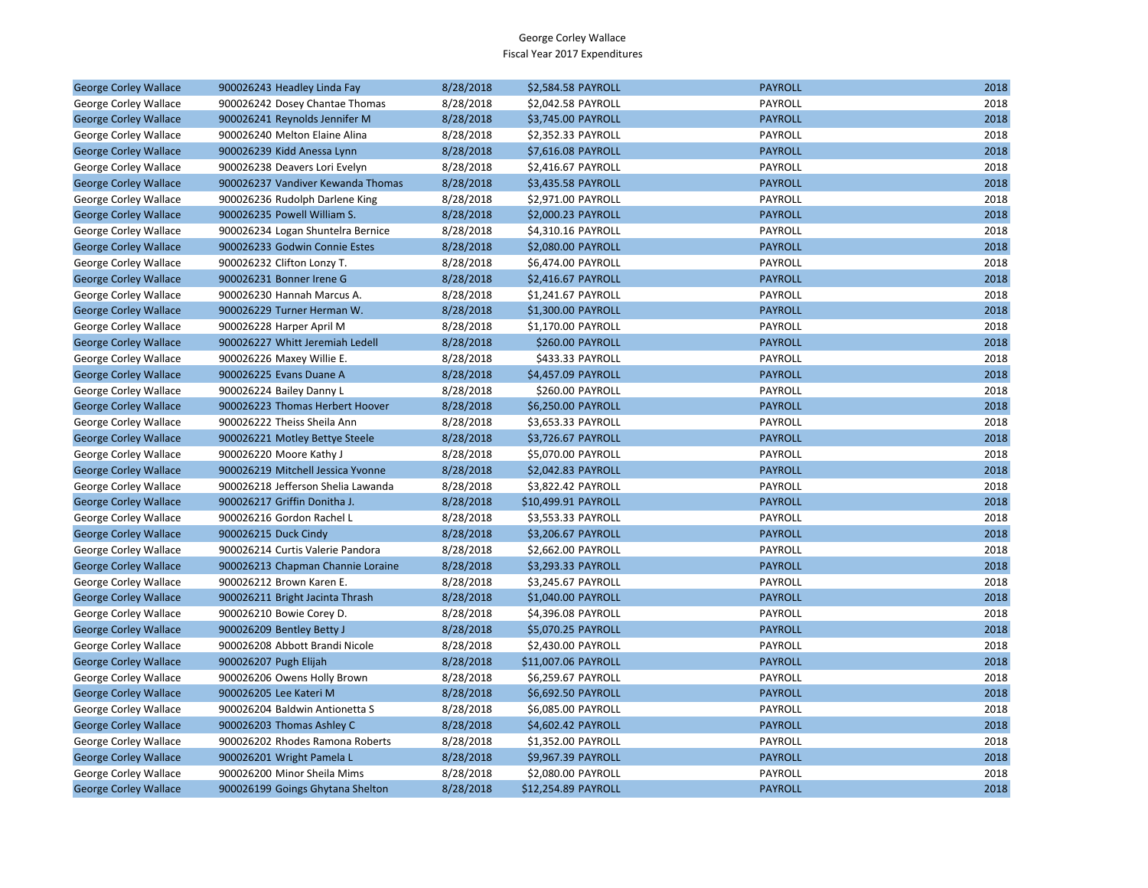| <b>George Corley Wallace</b> | 900026243 Headley Linda Fay        | 8/28/2018 | \$2,584.58 PAYROLL  | <b>PAYROLL</b> | 2018 |
|------------------------------|------------------------------------|-----------|---------------------|----------------|------|
| George Corley Wallace        | 900026242 Dosey Chantae Thomas     | 8/28/2018 | \$2,042.58 PAYROLL  | PAYROLL        | 2018 |
| <b>George Corley Wallace</b> | 900026241 Reynolds Jennifer M      | 8/28/2018 | \$3,745.00 PAYROLL  | <b>PAYROLL</b> | 2018 |
| George Corley Wallace        | 900026240 Melton Elaine Alina      | 8/28/2018 | \$2,352.33 PAYROLL  | PAYROLL        | 2018 |
| <b>George Corley Wallace</b> | 900026239 Kidd Anessa Lynn         | 8/28/2018 | \$7,616.08 PAYROLL  | <b>PAYROLL</b> | 2018 |
| George Corley Wallace        | 900026238 Deavers Lori Evelyn      | 8/28/2018 | \$2,416.67 PAYROLL  | PAYROLL        | 2018 |
| <b>George Corley Wallace</b> | 900026237 Vandiver Kewanda Thomas  | 8/28/2018 | \$3,435.58 PAYROLL  | <b>PAYROLL</b> | 2018 |
| George Corley Wallace        | 900026236 Rudolph Darlene King     | 8/28/2018 | \$2,971.00 PAYROLL  | PAYROLL        | 2018 |
| <b>George Corley Wallace</b> | 900026235 Powell William S.        | 8/28/2018 | \$2,000.23 PAYROLL  | <b>PAYROLL</b> | 2018 |
| George Corley Wallace        | 900026234 Logan Shuntelra Bernice  | 8/28/2018 | \$4,310.16 PAYROLL  | PAYROLL        | 2018 |
| <b>George Corley Wallace</b> | 900026233 Godwin Connie Estes      | 8/28/2018 | \$2,080.00 PAYROLL  | <b>PAYROLL</b> | 2018 |
| George Corley Wallace        | 900026232 Clifton Lonzy T.         | 8/28/2018 | \$6,474.00 PAYROLL  | PAYROLL        | 2018 |
| <b>George Corley Wallace</b> | 900026231 Bonner Irene G           | 8/28/2018 | \$2,416.67 PAYROLL  | <b>PAYROLL</b> | 2018 |
| George Corley Wallace        | 900026230 Hannah Marcus A.         | 8/28/2018 | \$1,241.67 PAYROLL  | PAYROLL        | 2018 |
| <b>George Corley Wallace</b> | 900026229 Turner Herman W.         | 8/28/2018 | \$1,300.00 PAYROLL  | <b>PAYROLL</b> | 2018 |
| George Corley Wallace        | 900026228 Harper April M           | 8/28/2018 | \$1,170.00 PAYROLL  | PAYROLL        | 2018 |
| <b>George Corley Wallace</b> | 900026227 Whitt Jeremiah Ledell    | 8/28/2018 | \$260.00 PAYROLL    | <b>PAYROLL</b> | 2018 |
| George Corley Wallace        | 900026226 Maxey Willie E.          | 8/28/2018 | \$433.33 PAYROLL    | PAYROLL        | 2018 |
| <b>George Corley Wallace</b> | 900026225 Evans Duane A            | 8/28/2018 | \$4,457.09 PAYROLL  | <b>PAYROLL</b> | 2018 |
| George Corley Wallace        | 900026224 Bailey Danny L           | 8/28/2018 | \$260.00 PAYROLL    | PAYROLL        | 2018 |
| <b>George Corley Wallace</b> | 900026223 Thomas Herbert Hoover    | 8/28/2018 | \$6,250.00 PAYROLL  | <b>PAYROLL</b> | 2018 |
| George Corley Wallace        | 900026222 Theiss Sheila Ann        | 8/28/2018 | \$3,653.33 PAYROLL  | PAYROLL        | 2018 |
| <b>George Corley Wallace</b> | 900026221 Motley Bettye Steele     | 8/28/2018 | \$3,726.67 PAYROLL  | <b>PAYROLL</b> | 2018 |
| George Corley Wallace        | 900026220 Moore Kathy J            | 8/28/2018 | \$5,070.00 PAYROLL  | PAYROLL        | 2018 |
| <b>George Corley Wallace</b> | 900026219 Mitchell Jessica Yvonne  | 8/28/2018 | \$2,042.83 PAYROLL  | <b>PAYROLL</b> | 2018 |
| George Corley Wallace        | 900026218 Jefferson Shelia Lawanda | 8/28/2018 | \$3,822.42 PAYROLL  | PAYROLL        | 2018 |
| <b>George Corley Wallace</b> | 900026217 Griffin Donitha J.       | 8/28/2018 | \$10,499.91 PAYROLL | <b>PAYROLL</b> | 2018 |
| George Corley Wallace        | 900026216 Gordon Rachel L          | 8/28/2018 | \$3,553.33 PAYROLL  | PAYROLL        | 2018 |
| <b>George Corley Wallace</b> | 900026215 Duck Cindy               | 8/28/2018 | \$3,206.67 PAYROLL  | <b>PAYROLL</b> | 2018 |
| George Corley Wallace        | 900026214 Curtis Valerie Pandora   | 8/28/2018 | \$2,662.00 PAYROLL  | PAYROLL        | 2018 |
| <b>George Corley Wallace</b> | 900026213 Chapman Channie Loraine  | 8/28/2018 | \$3,293.33 PAYROLL  | <b>PAYROLL</b> | 2018 |
| George Corley Wallace        | 900026212 Brown Karen E.           | 8/28/2018 | \$3,245.67 PAYROLL  | PAYROLL        | 2018 |
| <b>George Corley Wallace</b> | 900026211 Bright Jacinta Thrash    | 8/28/2018 | \$1,040.00 PAYROLL  | <b>PAYROLL</b> | 2018 |
| George Corley Wallace        | 900026210 Bowie Corey D.           | 8/28/2018 | \$4,396.08 PAYROLL  | PAYROLL        | 2018 |
| <b>George Corley Wallace</b> | 900026209 Bentley Betty J          | 8/28/2018 | \$5,070.25 PAYROLL  | <b>PAYROLL</b> | 2018 |
| George Corley Wallace        | 900026208 Abbott Brandi Nicole     | 8/28/2018 | \$2,430.00 PAYROLL  | PAYROLL        | 2018 |
| <b>George Corley Wallace</b> | 900026207 Pugh Elijah              | 8/28/2018 | \$11,007.06 PAYROLL | <b>PAYROLL</b> | 2018 |
| George Corley Wallace        | 900026206 Owens Holly Brown        | 8/28/2018 | \$6,259.67 PAYROLL  | PAYROLL        | 2018 |
| <b>George Corley Wallace</b> | 900026205 Lee Kateri M             | 8/28/2018 | \$6,692.50 PAYROLL  | <b>PAYROLL</b> | 2018 |
| George Corley Wallace        | 900026204 Baldwin Antionetta S     | 8/28/2018 | \$6,085.00 PAYROLL  | PAYROLL        | 2018 |
| <b>George Corley Wallace</b> | 900026203 Thomas Ashley C          | 8/28/2018 | \$4,602.42 PAYROLL  | <b>PAYROLL</b> | 2018 |
| George Corley Wallace        | 900026202 Rhodes Ramona Roberts    | 8/28/2018 | \$1,352.00 PAYROLL  | PAYROLL        | 2018 |
| <b>George Corley Wallace</b> | 900026201 Wright Pamela L          | 8/28/2018 | \$9,967.39 PAYROLL  | <b>PAYROLL</b> | 2018 |
| George Corley Wallace        | 900026200 Minor Sheila Mims        | 8/28/2018 | \$2,080.00 PAYROLL  | PAYROLL        | 2018 |
| <b>George Corley Wallace</b> | 900026199 Goings Ghytana Shelton   | 8/28/2018 | \$12,254.89 PAYROLL | <b>PAYROLL</b> | 2018 |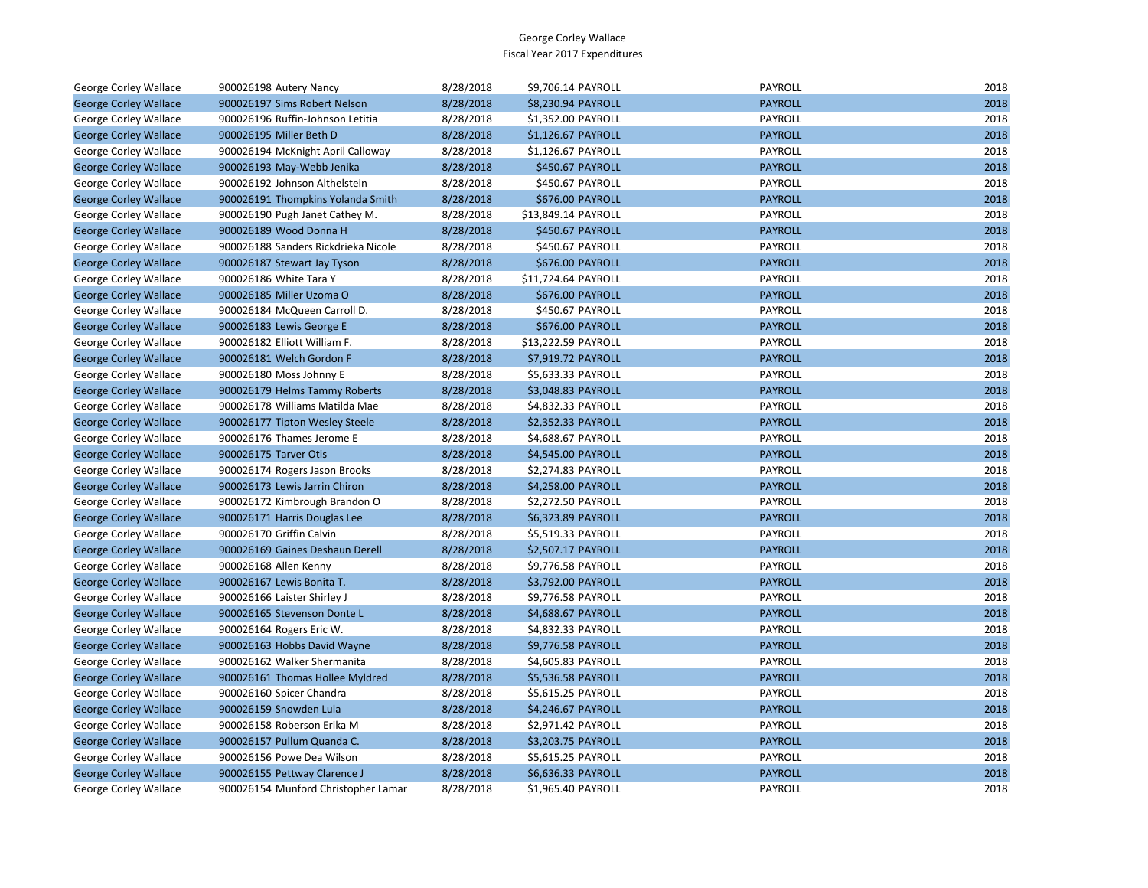| George Corley Wallace        | 900026198 Autery Nancy              | 8/28/2018 | \$9,706.14 PAYROLL  | <b>PAYROLL</b> | 2018 |
|------------------------------|-------------------------------------|-----------|---------------------|----------------|------|
| <b>George Corley Wallace</b> | 900026197 Sims Robert Nelson        | 8/28/2018 | \$8,230.94 PAYROLL  | <b>PAYROLL</b> | 2018 |
| George Corley Wallace        | 900026196 Ruffin-Johnson Letitia    | 8/28/2018 | \$1,352.00 PAYROLL  | PAYROLL        | 2018 |
| <b>George Corley Wallace</b> | 900026195 Miller Beth D             | 8/28/2018 | \$1,126.67 PAYROLL  | <b>PAYROLL</b> | 2018 |
| George Corley Wallace        | 900026194 McKnight April Calloway   | 8/28/2018 | \$1,126.67 PAYROLL  | PAYROLL        | 2018 |
| <b>George Corley Wallace</b> | 900026193 May-Webb Jenika           | 8/28/2018 | \$450.67 PAYROLL    | <b>PAYROLL</b> | 2018 |
| George Corley Wallace        | 900026192 Johnson Althelstein       | 8/28/2018 | \$450.67 PAYROLL    | PAYROLL        | 2018 |
| <b>George Corley Wallace</b> | 900026191 Thompkins Yolanda Smith   | 8/28/2018 | \$676.00 PAYROLL    | <b>PAYROLL</b> | 2018 |
| George Corley Wallace        | 900026190 Pugh Janet Cathey M.      | 8/28/2018 | \$13,849.14 PAYROLL | PAYROLL        | 2018 |
| <b>George Corley Wallace</b> | 900026189 Wood Donna H              | 8/28/2018 | \$450.67 PAYROLL    | <b>PAYROLL</b> | 2018 |
| George Corley Wallace        | 900026188 Sanders Rickdrieka Nicole | 8/28/2018 | \$450.67 PAYROLL    | PAYROLL        | 2018 |
| <b>George Corley Wallace</b> | 900026187 Stewart Jay Tyson         | 8/28/2018 | \$676.00 PAYROLL    | <b>PAYROLL</b> | 2018 |
| George Corley Wallace        | 900026186 White Tara Y              | 8/28/2018 | \$11,724.64 PAYROLL | PAYROLL        | 2018 |
| <b>George Corley Wallace</b> | 900026185 Miller Uzoma O            | 8/28/2018 | \$676.00 PAYROLL    | <b>PAYROLL</b> | 2018 |
| George Corley Wallace        | 900026184 McQueen Carroll D.        | 8/28/2018 | \$450.67 PAYROLL    | PAYROLL        | 2018 |
| <b>George Corley Wallace</b> | 900026183 Lewis George E            | 8/28/2018 | \$676.00 PAYROLL    | <b>PAYROLL</b> | 2018 |
| George Corley Wallace        | 900026182 Elliott William F.        | 8/28/2018 | \$13,222.59 PAYROLL | PAYROLL        | 2018 |
| <b>George Corley Wallace</b> | 900026181 Welch Gordon F            | 8/28/2018 | \$7,919.72 PAYROLL  | <b>PAYROLL</b> | 2018 |
| George Corley Wallace        | 900026180 Moss Johnny E             | 8/28/2018 | \$5,633.33 PAYROLL  | PAYROLL        | 2018 |
| <b>George Corley Wallace</b> | 900026179 Helms Tammy Roberts       | 8/28/2018 | \$3,048.83 PAYROLL  | <b>PAYROLL</b> | 2018 |
| George Corley Wallace        | 900026178 Williams Matilda Mae      | 8/28/2018 | \$4,832.33 PAYROLL  | PAYROLL        | 2018 |
| <b>George Corley Wallace</b> | 900026177 Tipton Wesley Steele      | 8/28/2018 | \$2,352.33 PAYROLL  | <b>PAYROLL</b> | 2018 |
| George Corley Wallace        | 900026176 Thames Jerome E           | 8/28/2018 | \$4,688.67 PAYROLL  | PAYROLL        | 2018 |
| <b>George Corley Wallace</b> | 900026175 Tarver Otis               | 8/28/2018 | \$4,545.00 PAYROLL  | <b>PAYROLL</b> | 2018 |
| George Corley Wallace        | 900026174 Rogers Jason Brooks       | 8/28/2018 | \$2,274.83 PAYROLL  | PAYROLL        | 2018 |
| <b>George Corley Wallace</b> | 900026173 Lewis Jarrin Chiron       | 8/28/2018 | \$4,258.00 PAYROLL  | <b>PAYROLL</b> | 2018 |
| George Corley Wallace        | 900026172 Kimbrough Brandon O       | 8/28/2018 | \$2,272.50 PAYROLL  | PAYROLL        | 2018 |
| <b>George Corley Wallace</b> | 900026171 Harris Douglas Lee        | 8/28/2018 | \$6,323.89 PAYROLL  | <b>PAYROLL</b> | 2018 |
| George Corley Wallace        | 900026170 Griffin Calvin            | 8/28/2018 | \$5,519.33 PAYROLL  | PAYROLL        | 2018 |
| <b>George Corley Wallace</b> | 900026169 Gaines Deshaun Derell     | 8/28/2018 | \$2,507.17 PAYROLL  | <b>PAYROLL</b> | 2018 |
| George Corley Wallace        | 900026168 Allen Kenny               | 8/28/2018 | \$9,776.58 PAYROLL  | PAYROLL        | 2018 |
| <b>George Corley Wallace</b> | 900026167 Lewis Bonita T.           | 8/28/2018 | \$3,792.00 PAYROLL  | <b>PAYROLL</b> | 2018 |
| George Corley Wallace        | 900026166 Laister Shirley J         | 8/28/2018 | \$9,776.58 PAYROLL  | PAYROLL        | 2018 |
| <b>George Corley Wallace</b> | 900026165 Stevenson Donte L         | 8/28/2018 | \$4,688.67 PAYROLL  | <b>PAYROLL</b> | 2018 |
| George Corley Wallace        | 900026164 Rogers Eric W.            | 8/28/2018 | \$4,832.33 PAYROLL  | PAYROLL        | 2018 |
| <b>George Corley Wallace</b> | 900026163 Hobbs David Wayne         | 8/28/2018 | \$9,776.58 PAYROLL  | <b>PAYROLL</b> | 2018 |
| George Corley Wallace        | 900026162 Walker Shermanita         | 8/28/2018 | \$4,605.83 PAYROLL  | PAYROLL        | 2018 |
| <b>George Corley Wallace</b> | 900026161 Thomas Hollee Myldred     | 8/28/2018 | \$5,536.58 PAYROLL  | <b>PAYROLL</b> | 2018 |
| George Corley Wallace        | 900026160 Spicer Chandra            | 8/28/2018 | \$5,615.25 PAYROLL  | PAYROLL        | 2018 |
| <b>George Corley Wallace</b> | 900026159 Snowden Lula              | 8/28/2018 | \$4,246.67 PAYROLL  | <b>PAYROLL</b> | 2018 |
| George Corley Wallace        | 900026158 Roberson Erika M          | 8/28/2018 | \$2,971.42 PAYROLL  | PAYROLL        | 2018 |
| <b>George Corley Wallace</b> | 900026157 Pullum Quanda C.          | 8/28/2018 | \$3,203.75 PAYROLL  | <b>PAYROLL</b> | 2018 |
| George Corley Wallace        | 900026156 Powe Dea Wilson           | 8/28/2018 | \$5,615.25 PAYROLL  | PAYROLL        | 2018 |
| <b>George Corley Wallace</b> | 900026155 Pettway Clarence J        | 8/28/2018 | \$6,636.33 PAYROLL  | <b>PAYROLL</b> | 2018 |
| <b>George Corley Wallace</b> | 900026154 Munford Christopher Lamar | 8/28/2018 | \$1.965.40 PAYROLL  | PAYROLL        | 2018 |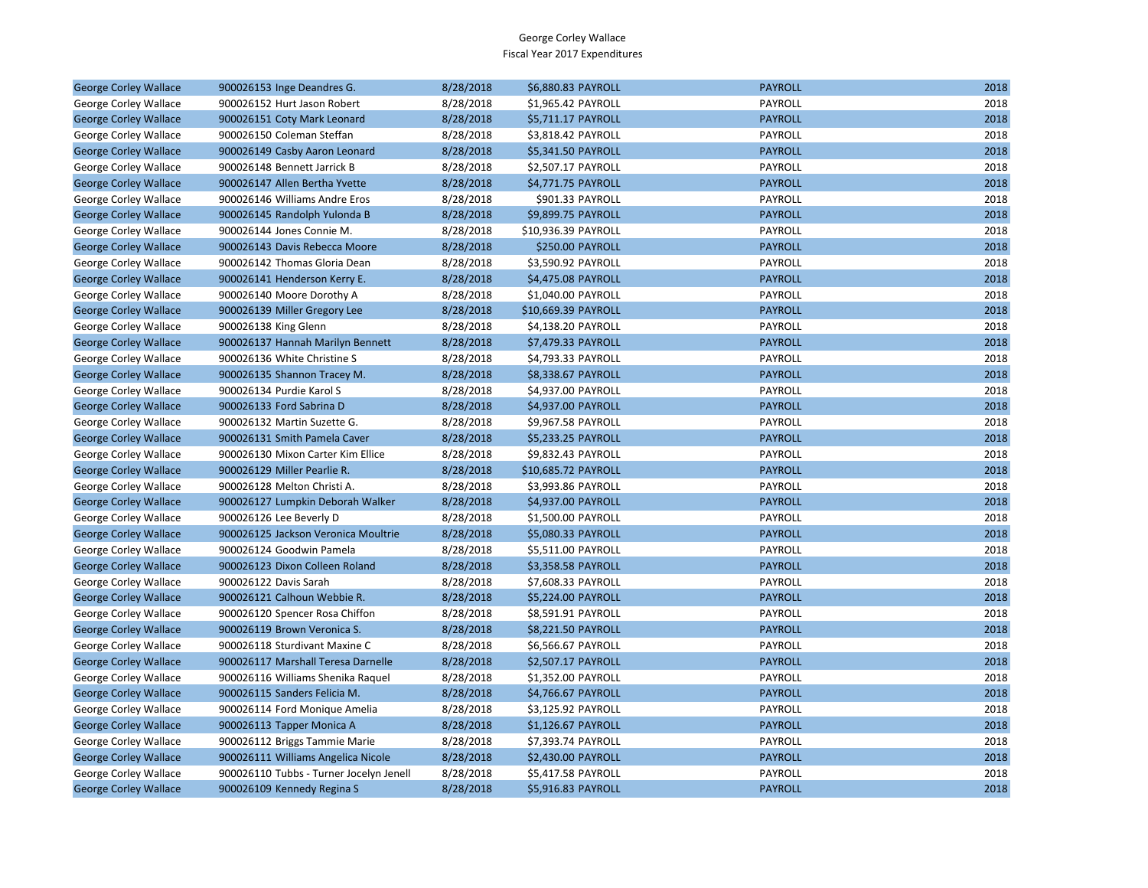| <b>George Corley Wallace</b> | 900026153 Inge Deandres G.              | 8/28/2018 | \$6,880.83 PAYROLL  | <b>PAYROLL</b> | 2018 |
|------------------------------|-----------------------------------------|-----------|---------------------|----------------|------|
| George Corley Wallace        | 900026152 Hurt Jason Robert             | 8/28/2018 | \$1,965.42 PAYROLL  | PAYROLL        | 2018 |
| <b>George Corley Wallace</b> | 900026151 Coty Mark Leonard             | 8/28/2018 | \$5,711.17 PAYROLL  | <b>PAYROLL</b> | 2018 |
| George Corley Wallace        | 900026150 Coleman Steffan               | 8/28/2018 | \$3,818.42 PAYROLL  | PAYROLL        | 2018 |
| <b>George Corley Wallace</b> | 900026149 Casby Aaron Leonard           | 8/28/2018 | \$5,341.50 PAYROLL  | <b>PAYROLL</b> | 2018 |
| George Corley Wallace        | 900026148 Bennett Jarrick B             | 8/28/2018 | \$2,507.17 PAYROLL  | PAYROLL        | 2018 |
| <b>George Corley Wallace</b> | 900026147 Allen Bertha Yvette           | 8/28/2018 | \$4,771.75 PAYROLL  | <b>PAYROLL</b> | 2018 |
| George Corley Wallace        | 900026146 Williams Andre Eros           | 8/28/2018 | \$901.33 PAYROLL    | PAYROLL        | 2018 |
| <b>George Corley Wallace</b> | 900026145 Randolph Yulonda B            | 8/28/2018 | \$9,899.75 PAYROLL  | <b>PAYROLL</b> | 2018 |
| George Corley Wallace        | 900026144 Jones Connie M.               | 8/28/2018 | \$10,936.39 PAYROLL | PAYROLL        | 2018 |
| <b>George Corley Wallace</b> | 900026143 Davis Rebecca Moore           | 8/28/2018 | \$250.00 PAYROLL    | <b>PAYROLL</b> | 2018 |
| George Corley Wallace        | 900026142 Thomas Gloria Dean            | 8/28/2018 | \$3,590.92 PAYROLL  | PAYROLL        | 2018 |
| <b>George Corley Wallace</b> | 900026141 Henderson Kerry E.            | 8/28/2018 | \$4,475.08 PAYROLL  | <b>PAYROLL</b> | 2018 |
| George Corley Wallace        | 900026140 Moore Dorothy A               | 8/28/2018 | \$1,040.00 PAYROLL  | PAYROLL        | 2018 |
| <b>George Corley Wallace</b> | 900026139 Miller Gregory Lee            | 8/28/2018 | \$10,669.39 PAYROLL | <b>PAYROLL</b> | 2018 |
| George Corley Wallace        | 900026138 King Glenn                    | 8/28/2018 | \$4,138.20 PAYROLL  | PAYROLL        | 2018 |
| <b>George Corley Wallace</b> | 900026137 Hannah Marilyn Bennett        | 8/28/2018 | \$7,479.33 PAYROLL  | <b>PAYROLL</b> | 2018 |
| George Corley Wallace        | 900026136 White Christine S             | 8/28/2018 | \$4,793.33 PAYROLL  | PAYROLL        | 2018 |
| <b>George Corley Wallace</b> | 900026135 Shannon Tracey M.             | 8/28/2018 | \$8,338.67 PAYROLL  | <b>PAYROLL</b> | 2018 |
| George Corley Wallace        | 900026134 Purdie Karol S                | 8/28/2018 | \$4,937.00 PAYROLL  | PAYROLL        | 2018 |
| <b>George Corley Wallace</b> | 900026133 Ford Sabrina D                | 8/28/2018 | \$4,937.00 PAYROLL  | <b>PAYROLL</b> | 2018 |
| George Corley Wallace        | 900026132 Martin Suzette G.             | 8/28/2018 | \$9,967.58 PAYROLL  | PAYROLL        | 2018 |
| <b>George Corley Wallace</b> | 900026131 Smith Pamela Caver            | 8/28/2018 | \$5,233.25 PAYROLL  | <b>PAYROLL</b> | 2018 |
| George Corley Wallace        | 900026130 Mixon Carter Kim Ellice       | 8/28/2018 | \$9,832.43 PAYROLL  | PAYROLL        | 2018 |
| <b>George Corley Wallace</b> | 900026129 Miller Pearlie R.             | 8/28/2018 | \$10,685.72 PAYROLL | <b>PAYROLL</b> | 2018 |
| George Corley Wallace        | 900026128 Melton Christi A.             | 8/28/2018 | \$3,993.86 PAYROLL  | PAYROLL        | 2018 |
| <b>George Corley Wallace</b> | 900026127 Lumpkin Deborah Walker        | 8/28/2018 | \$4,937.00 PAYROLL  | <b>PAYROLL</b> | 2018 |
| George Corley Wallace        | 900026126 Lee Beverly D                 | 8/28/2018 | \$1,500.00 PAYROLL  | PAYROLL        | 2018 |
| <b>George Corley Wallace</b> | 900026125 Jackson Veronica Moultrie     | 8/28/2018 | \$5,080.33 PAYROLL  | <b>PAYROLL</b> | 2018 |
| George Corley Wallace        | 900026124 Goodwin Pamela                | 8/28/2018 | \$5,511.00 PAYROLL  | PAYROLL        | 2018 |
| <b>George Corley Wallace</b> | 900026123 Dixon Colleen Roland          | 8/28/2018 | \$3,358.58 PAYROLL  | <b>PAYROLL</b> | 2018 |
| George Corley Wallace        | 900026122 Davis Sarah                   | 8/28/2018 | \$7,608.33 PAYROLL  | PAYROLL        | 2018 |
| <b>George Corley Wallace</b> | 900026121 Calhoun Webbie R.             | 8/28/2018 | \$5,224.00 PAYROLL  | <b>PAYROLL</b> | 2018 |
| George Corley Wallace        | 900026120 Spencer Rosa Chiffon          | 8/28/2018 | \$8,591.91 PAYROLL  | PAYROLL        | 2018 |
| <b>George Corley Wallace</b> | 900026119 Brown Veronica S.             | 8/28/2018 | \$8,221.50 PAYROLL  | <b>PAYROLL</b> | 2018 |
| George Corley Wallace        | 900026118 Sturdivant Maxine C           | 8/28/2018 | \$6,566.67 PAYROLL  | PAYROLL        | 2018 |
| <b>George Corley Wallace</b> | 900026117 Marshall Teresa Darnelle      | 8/28/2018 | \$2,507.17 PAYROLL  | <b>PAYROLL</b> | 2018 |
| George Corley Wallace        | 900026116 Williams Shenika Raquel       | 8/28/2018 | \$1,352.00 PAYROLL  | PAYROLL        | 2018 |
| <b>George Corley Wallace</b> | 900026115 Sanders Felicia M.            | 8/28/2018 | \$4,766.67 PAYROLL  | <b>PAYROLL</b> | 2018 |
| George Corley Wallace        | 900026114 Ford Monique Amelia           | 8/28/2018 | \$3,125.92 PAYROLL  | PAYROLL        | 2018 |
| <b>George Corley Wallace</b> | 900026113 Tapper Monica A               | 8/28/2018 | \$1,126.67 PAYROLL  | <b>PAYROLL</b> | 2018 |
| George Corley Wallace        | 900026112 Briggs Tammie Marie           | 8/28/2018 | \$7,393.74 PAYROLL  | PAYROLL        | 2018 |
| <b>George Corley Wallace</b> | 900026111 Williams Angelica Nicole      | 8/28/2018 | \$2,430.00 PAYROLL  | <b>PAYROLL</b> | 2018 |
| George Corley Wallace        | 900026110 Tubbs - Turner Jocelyn Jenell | 8/28/2018 | \$5,417.58 PAYROLL  | PAYROLL        | 2018 |
| <b>George Corley Wallace</b> | 900026109 Kennedy Regina S              | 8/28/2018 | \$5,916.83 PAYROLL  | <b>PAYROLL</b> | 2018 |
|                              |                                         |           |                     |                |      |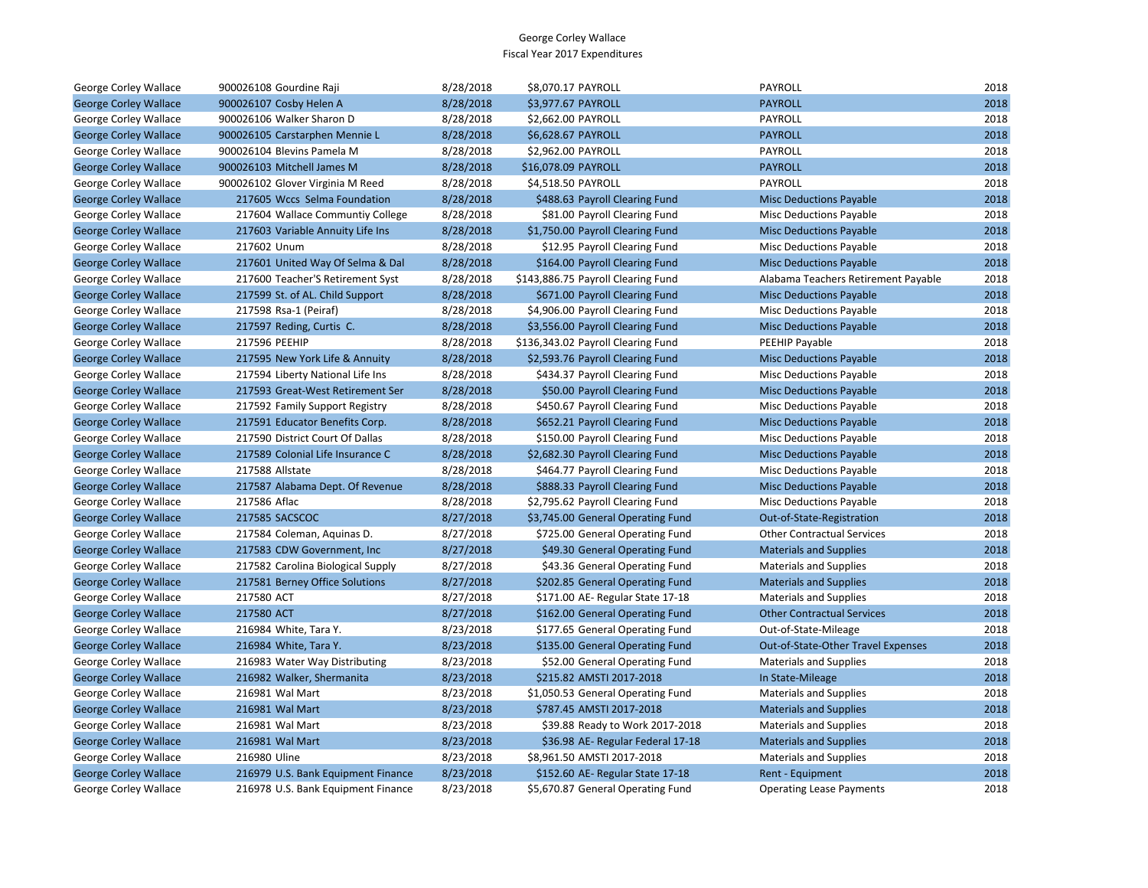| George Corley Wallace        | 900026108 Gourdine Raji            | 8/28/2018 | \$8,070.17 PAYROLL                 | PAYROLL                             | 2018 |
|------------------------------|------------------------------------|-----------|------------------------------------|-------------------------------------|------|
| <b>George Corley Wallace</b> | 900026107 Cosby Helen A            | 8/28/2018 | \$3,977.67 PAYROLL                 | <b>PAYROLL</b>                      | 2018 |
| George Corley Wallace        | 900026106 Walker Sharon D          | 8/28/2018 | \$2,662.00 PAYROLL                 | <b>PAYROLL</b>                      | 2018 |
| <b>George Corley Wallace</b> | 900026105 Carstarphen Mennie L     | 8/28/2018 | \$6,628.67 PAYROLL                 | <b>PAYROLL</b>                      | 2018 |
| George Corley Wallace        | 900026104 Blevins Pamela M         | 8/28/2018 | \$2,962.00 PAYROLL                 | PAYROLL                             | 2018 |
| <b>George Corley Wallace</b> | 900026103 Mitchell James M         | 8/28/2018 | \$16,078.09 PAYROLL                | <b>PAYROLL</b>                      | 2018 |
| George Corley Wallace        | 900026102 Glover Virginia M Reed   | 8/28/2018 | \$4,518.50 PAYROLL                 | PAYROLL                             | 2018 |
| <b>George Corley Wallace</b> | 217605 Wccs Selma Foundation       | 8/28/2018 | \$488.63 Payroll Clearing Fund     | <b>Misc Deductions Payable</b>      | 2018 |
| George Corley Wallace        | 217604 Wallace Communtiy College   | 8/28/2018 | \$81.00 Payroll Clearing Fund      | <b>Misc Deductions Payable</b>      | 2018 |
| <b>George Corley Wallace</b> | 217603 Variable Annuity Life Ins   | 8/28/2018 | \$1,750.00 Payroll Clearing Fund   | <b>Misc Deductions Payable</b>      | 2018 |
| George Corley Wallace        | 217602 Unum                        | 8/28/2018 | \$12.95 Payroll Clearing Fund      | <b>Misc Deductions Payable</b>      | 2018 |
| <b>George Corley Wallace</b> | 217601 United Way Of Selma & Dal   | 8/28/2018 | \$164.00 Payroll Clearing Fund     | <b>Misc Deductions Payable</b>      | 2018 |
| George Corley Wallace        | 217600 Teacher'S Retirement Syst   | 8/28/2018 | \$143,886.75 Payroll Clearing Fund | Alabama Teachers Retirement Payable | 2018 |
| <b>George Corley Wallace</b> | 217599 St. of AL. Child Support    | 8/28/2018 | \$671.00 Payroll Clearing Fund     | <b>Misc Deductions Payable</b>      | 2018 |
| George Corley Wallace        | 217598 Rsa-1 (Peiraf)              | 8/28/2018 | \$4,906.00 Payroll Clearing Fund   | <b>Misc Deductions Payable</b>      | 2018 |
| <b>George Corley Wallace</b> | 217597 Reding, Curtis C.           | 8/28/2018 | \$3,556.00 Payroll Clearing Fund   | <b>Misc Deductions Payable</b>      | 2018 |
| George Corley Wallace        | 217596 PEEHIP                      | 8/28/2018 | \$136,343.02 Payroll Clearing Fund | PEEHIP Payable                      | 2018 |
| <b>George Corley Wallace</b> | 217595 New York Life & Annuity     | 8/28/2018 | \$2,593.76 Payroll Clearing Fund   | <b>Misc Deductions Payable</b>      | 2018 |
| George Corley Wallace        | 217594 Liberty National Life Ins   | 8/28/2018 | \$434.37 Payroll Clearing Fund     | <b>Misc Deductions Payable</b>      | 2018 |
| <b>George Corley Wallace</b> | 217593 Great-West Retirement Ser   | 8/28/2018 | \$50.00 Payroll Clearing Fund      | <b>Misc Deductions Payable</b>      | 2018 |
| George Corley Wallace        | 217592 Family Support Registry     | 8/28/2018 | \$450.67 Payroll Clearing Fund     | <b>Misc Deductions Payable</b>      | 2018 |
| <b>George Corley Wallace</b> | 217591 Educator Benefits Corp.     | 8/28/2018 | \$652.21 Payroll Clearing Fund     | <b>Misc Deductions Payable</b>      | 2018 |
| George Corley Wallace        | 217590 District Court Of Dallas    | 8/28/2018 | \$150.00 Payroll Clearing Fund     | <b>Misc Deductions Payable</b>      | 2018 |
| <b>George Corley Wallace</b> | 217589 Colonial Life Insurance C   | 8/28/2018 | \$2,682.30 Payroll Clearing Fund   | <b>Misc Deductions Payable</b>      | 2018 |
| George Corley Wallace        | 217588 Allstate                    | 8/28/2018 | \$464.77 Payroll Clearing Fund     | <b>Misc Deductions Payable</b>      | 2018 |
| <b>George Corley Wallace</b> | 217587 Alabama Dept. Of Revenue    | 8/28/2018 | \$888.33 Payroll Clearing Fund     | <b>Misc Deductions Payable</b>      | 2018 |
| George Corley Wallace        | 217586 Aflac                       | 8/28/2018 | \$2,795.62 Payroll Clearing Fund   | <b>Misc Deductions Payable</b>      | 2018 |
| <b>George Corley Wallace</b> | 217585 SACSCOC                     | 8/27/2018 | \$3,745.00 General Operating Fund  | Out-of-State-Registration           | 2018 |
| George Corley Wallace        | 217584 Coleman, Aquinas D.         | 8/27/2018 | \$725.00 General Operating Fund    | <b>Other Contractual Services</b>   | 2018 |
| <b>George Corley Wallace</b> | 217583 CDW Government, Inc         | 8/27/2018 | \$49.30 General Operating Fund     | <b>Materials and Supplies</b>       | 2018 |
| George Corley Wallace        | 217582 Carolina Biological Supply  | 8/27/2018 | \$43.36 General Operating Fund     | <b>Materials and Supplies</b>       | 2018 |
| <b>George Corley Wallace</b> | 217581 Berney Office Solutions     | 8/27/2018 | \$202.85 General Operating Fund    | <b>Materials and Supplies</b>       | 2018 |
| George Corley Wallace        | 217580 ACT                         | 8/27/2018 | \$171.00 AE- Regular State 17-18   | <b>Materials and Supplies</b>       | 2018 |
| <b>George Corley Wallace</b> | 217580 ACT                         | 8/27/2018 | \$162.00 General Operating Fund    | <b>Other Contractual Services</b>   | 2018 |
| George Corley Wallace        | 216984 White, Tara Y.              | 8/23/2018 | \$177.65 General Operating Fund    | Out-of-State-Mileage                | 2018 |
| <b>George Corley Wallace</b> | 216984 White, Tara Y.              | 8/23/2018 | \$135.00 General Operating Fund    | Out-of-State-Other Travel Expenses  | 2018 |
| George Corley Wallace        | 216983 Water Way Distributing      | 8/23/2018 | \$52.00 General Operating Fund     | Materials and Supplies              | 2018 |
| <b>George Corley Wallace</b> | 216982 Walker, Shermanita          | 8/23/2018 | \$215.82 AMSTI 2017-2018           | In State-Mileage                    | 2018 |
| George Corley Wallace        | 216981 Wal Mart                    | 8/23/2018 | \$1,050.53 General Operating Fund  | <b>Materials and Supplies</b>       | 2018 |
| <b>George Corley Wallace</b> | 216981 Wal Mart                    | 8/23/2018 | \$787.45 AMSTI 2017-2018           | <b>Materials and Supplies</b>       | 2018 |
| George Corley Wallace        | 216981 Wal Mart                    | 8/23/2018 | \$39.88 Ready to Work 2017-2018    | <b>Materials and Supplies</b>       | 2018 |
| <b>George Corley Wallace</b> | 216981 Wal Mart                    | 8/23/2018 | \$36.98 AE-Regular Federal 17-18   | <b>Materials and Supplies</b>       | 2018 |
| George Corley Wallace        | 216980 Uline                       | 8/23/2018 | \$8,961.50 AMSTI 2017-2018         | <b>Materials and Supplies</b>       | 2018 |
| <b>George Corley Wallace</b> | 216979 U.S. Bank Equipment Finance | 8/23/2018 | \$152.60 AE- Regular State 17-18   | Rent - Equipment                    | 2018 |
| George Corley Wallace        | 216978 U.S. Bank Equipment Finance | 8/23/2018 | \$5,670.87 General Operating Fund  | <b>Operating Lease Payments</b>     | 2018 |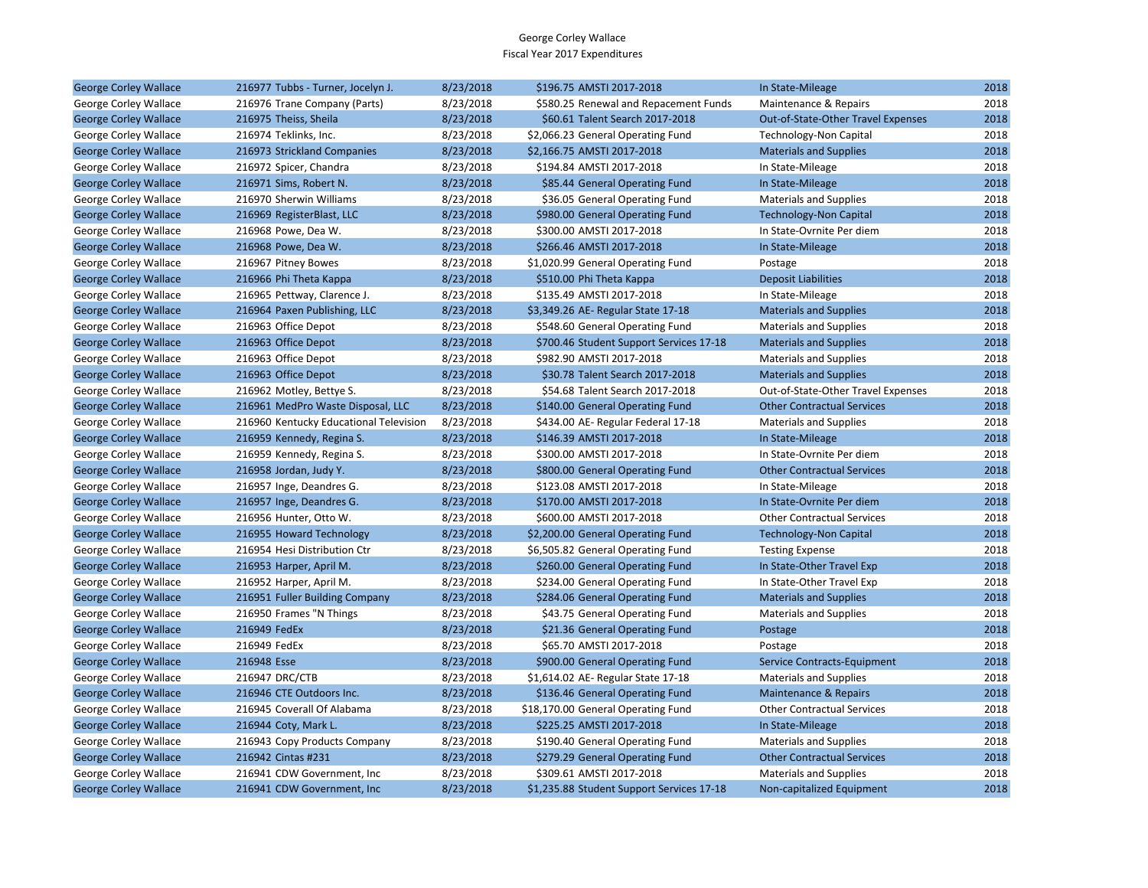| <b>George Corley Wallace</b> | 216977 Tubbs - Turner, Jocelyn J.      | 8/23/2018 | \$196.75 AMSTI 2017-2018                  | In State-Mileage                   | 2018 |
|------------------------------|----------------------------------------|-----------|-------------------------------------------|------------------------------------|------|
| George Corley Wallace        | 216976 Trane Company (Parts)           | 8/23/2018 | \$580.25 Renewal and Repacement Funds     | Maintenance & Repairs              | 2018 |
| <b>George Corley Wallace</b> | 216975 Theiss, Sheila                  | 8/23/2018 | \$60.61 Talent Search 2017-2018           | Out-of-State-Other Travel Expenses | 2018 |
| George Corley Wallace        | 216974 Teklinks, Inc.                  | 8/23/2018 | \$2,066.23 General Operating Fund         | Technology-Non Capital             | 2018 |
| <b>George Corley Wallace</b> | 216973 Strickland Companies            | 8/23/2018 | \$2,166.75 AMSTI 2017-2018                | <b>Materials and Supplies</b>      | 2018 |
| George Corley Wallace        | 216972 Spicer, Chandra                 | 8/23/2018 | \$194.84 AMSTI 2017-2018                  | In State-Mileage                   | 2018 |
| <b>George Corley Wallace</b> | 216971 Sims, Robert N.                 | 8/23/2018 | \$85.44 General Operating Fund            | In State-Mileage                   | 2018 |
| George Corley Wallace        | 216970 Sherwin Williams                | 8/23/2018 | \$36.05 General Operating Fund            | <b>Materials and Supplies</b>      | 2018 |
| <b>George Corley Wallace</b> | 216969 RegisterBlast, LLC              | 8/23/2018 | \$980.00 General Operating Fund           | <b>Technology-Non Capital</b>      | 2018 |
| George Corley Wallace        | 216968 Powe, Dea W.                    | 8/23/2018 | \$300.00 AMSTI 2017-2018                  | In State-Ovrnite Per diem          | 2018 |
| <b>George Corley Wallace</b> | 216968 Powe, Dea W.                    | 8/23/2018 | \$266.46 AMSTI 2017-2018                  | In State-Mileage                   | 2018 |
| George Corley Wallace        | 216967 Pitney Bowes                    | 8/23/2018 | \$1,020.99 General Operating Fund         | Postage                            | 2018 |
| <b>George Corley Wallace</b> | 216966 Phi Theta Kappa                 | 8/23/2018 | \$510.00 Phi Theta Kappa                  | <b>Deposit Liabilities</b>         | 2018 |
| George Corley Wallace        | 216965 Pettway, Clarence J.            | 8/23/2018 | \$135.49 AMSTI 2017-2018                  | In State-Mileage                   | 2018 |
| <b>George Corley Wallace</b> | 216964 Paxen Publishing, LLC           | 8/23/2018 | \$3,349.26 AE- Regular State 17-18        | <b>Materials and Supplies</b>      | 2018 |
| George Corley Wallace        | 216963 Office Depot                    | 8/23/2018 | \$548.60 General Operating Fund           | <b>Materials and Supplies</b>      | 2018 |
| <b>George Corley Wallace</b> | 216963 Office Depot                    | 8/23/2018 | \$700.46 Student Support Services 17-18   | <b>Materials and Supplies</b>      | 2018 |
| George Corley Wallace        | 216963 Office Depot                    | 8/23/2018 | \$982.90 AMSTI 2017-2018                  | <b>Materials and Supplies</b>      | 2018 |
| <b>George Corley Wallace</b> | 216963 Office Depot                    | 8/23/2018 | \$30.78 Talent Search 2017-2018           | <b>Materials and Supplies</b>      | 2018 |
| George Corley Wallace        | 216962 Motley, Bettye S.               | 8/23/2018 | \$54.68 Talent Search 2017-2018           | Out-of-State-Other Travel Expenses | 2018 |
| <b>George Corley Wallace</b> | 216961 MedPro Waste Disposal, LLC      | 8/23/2018 | \$140.00 General Operating Fund           | <b>Other Contractual Services</b>  | 2018 |
| George Corley Wallace        | 216960 Kentucky Educational Television | 8/23/2018 | \$434.00 AE- Regular Federal 17-18        | <b>Materials and Supplies</b>      | 2018 |
| <b>George Corley Wallace</b> | 216959 Kennedy, Regina S.              | 8/23/2018 | \$146.39 AMSTI 2017-2018                  | In State-Mileage                   | 2018 |
| George Corley Wallace        | 216959 Kennedy, Regina S.              | 8/23/2018 | \$300.00 AMSTI 2017-2018                  | In State-Ovrnite Per diem          | 2018 |
| <b>George Corley Wallace</b> | 216958 Jordan, Judy Y.                 | 8/23/2018 | \$800.00 General Operating Fund           | <b>Other Contractual Services</b>  | 2018 |
| George Corley Wallace        | 216957 Inge, Deandres G.               | 8/23/2018 | \$123.08 AMSTI 2017-2018                  | In State-Mileage                   | 2018 |
| <b>George Corley Wallace</b> | 216957 Inge, Deandres G.               | 8/23/2018 | \$170.00 AMSTI 2017-2018                  | In State-Ovrnite Per diem          | 2018 |
| George Corley Wallace        | 216956 Hunter, Otto W.                 | 8/23/2018 | \$600.00 AMSTI 2017-2018                  | <b>Other Contractual Services</b>  | 2018 |
| <b>George Corley Wallace</b> | 216955 Howard Technology               | 8/23/2018 | \$2,200.00 General Operating Fund         | <b>Technology-Non Capital</b>      | 2018 |
| George Corley Wallace        | 216954 Hesi Distribution Ctr           | 8/23/2018 | \$6,505.82 General Operating Fund         | <b>Testing Expense</b>             | 2018 |
| <b>George Corley Wallace</b> | 216953 Harper, April M.                | 8/23/2018 | \$260.00 General Operating Fund           | In State-Other Travel Exp          | 2018 |
| George Corley Wallace        | 216952 Harper, April M.                | 8/23/2018 | \$234.00 General Operating Fund           | In State-Other Travel Exp          | 2018 |
| <b>George Corley Wallace</b> | 216951 Fuller Building Company         | 8/23/2018 | \$284.06 General Operating Fund           | <b>Materials and Supplies</b>      | 2018 |
| George Corley Wallace        | 216950 Frames "N Things                | 8/23/2018 | \$43.75 General Operating Fund            | <b>Materials and Supplies</b>      | 2018 |
| <b>George Corley Wallace</b> | 216949 FedEx                           | 8/23/2018 | \$21.36 General Operating Fund            | Postage                            | 2018 |
| George Corley Wallace        | 216949 FedEx                           | 8/23/2018 | \$65.70 AMSTI 2017-2018                   | Postage                            | 2018 |
| <b>George Corley Wallace</b> | 216948 Esse                            | 8/23/2018 | \$900.00 General Operating Fund           | Service Contracts-Equipment        | 2018 |
| George Corley Wallace        | 216947 DRC/CTB                         | 8/23/2018 | \$1,614.02 AE-Regular State 17-18         | <b>Materials and Supplies</b>      | 2018 |
| <b>George Corley Wallace</b> | 216946 CTE Outdoors Inc.               | 8/23/2018 | \$136.46 General Operating Fund           | <b>Maintenance &amp; Repairs</b>   | 2018 |
| George Corley Wallace        | 216945 Coverall Of Alabama             | 8/23/2018 | \$18,170.00 General Operating Fund        | <b>Other Contractual Services</b>  | 2018 |
| <b>George Corley Wallace</b> | 216944 Coty, Mark L.                   | 8/23/2018 | \$225.25 AMSTI 2017-2018                  | In State-Mileage                   | 2018 |
| George Corley Wallace        | 216943 Copy Products Company           | 8/23/2018 | \$190.40 General Operating Fund           | <b>Materials and Supplies</b>      | 2018 |
| <b>George Corley Wallace</b> | 216942 Cintas #231                     | 8/23/2018 | \$279.29 General Operating Fund           | <b>Other Contractual Services</b>  | 2018 |
| George Corley Wallace        | 216941 CDW Government, Inc.            | 8/23/2018 | \$309.61 AMSTI 2017-2018                  | <b>Materials and Supplies</b>      | 2018 |
| <b>George Corley Wallace</b> | 216941 CDW Government. Inc.            | 8/23/2018 | \$1,235.88 Student Support Services 17-18 | Non-capitalized Equipment          | 2018 |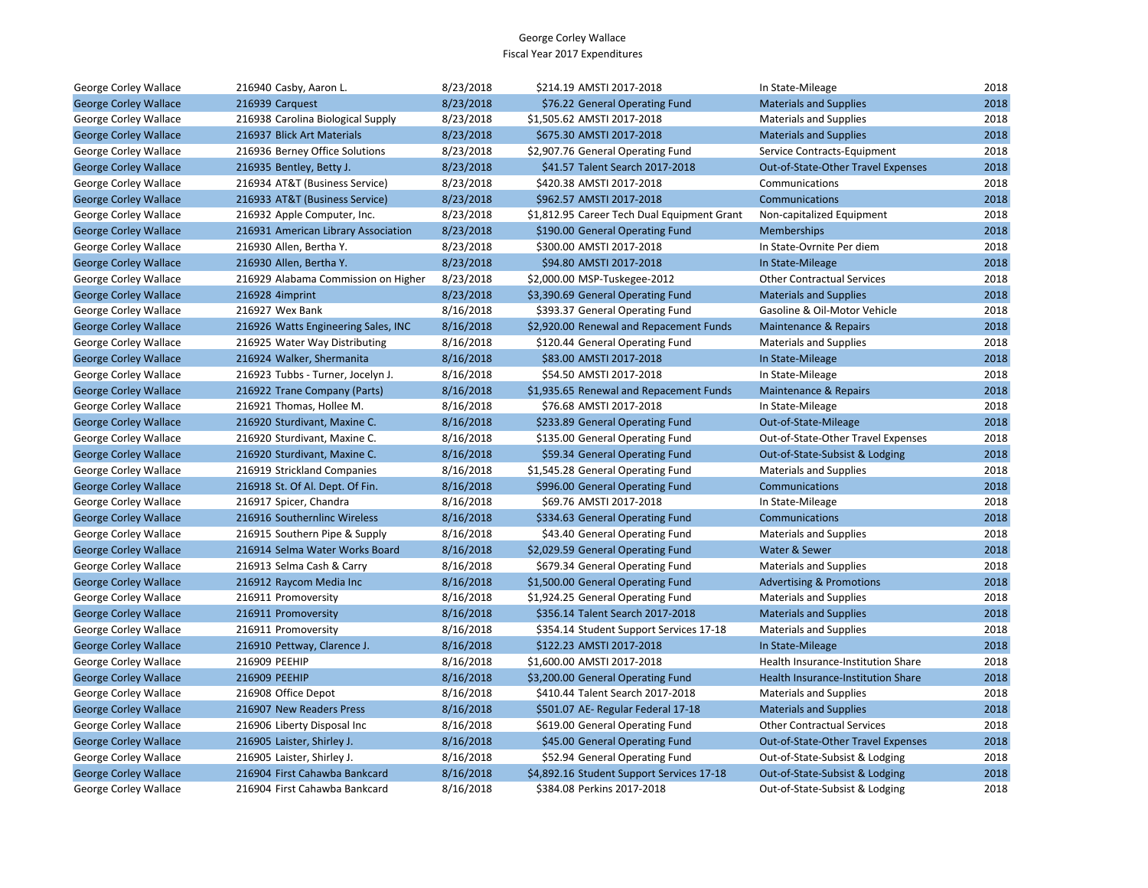| George Corley Wallace        | 216940 Casby, Aaron L.              | 8/23/2018 | \$214.19 AMSTI 2017-2018                    | In State-Mileage                    | 2018 |
|------------------------------|-------------------------------------|-----------|---------------------------------------------|-------------------------------------|------|
| <b>George Corley Wallace</b> | 216939 Carguest                     | 8/23/2018 | \$76.22 General Operating Fund              | <b>Materials and Supplies</b>       | 2018 |
| George Corley Wallace        | 216938 Carolina Biological Supply   | 8/23/2018 | \$1,505.62 AMSTI 2017-2018                  | <b>Materials and Supplies</b>       | 2018 |
| <b>George Corley Wallace</b> | 216937 Blick Art Materials          | 8/23/2018 | \$675.30 AMSTI 2017-2018                    | <b>Materials and Supplies</b>       | 2018 |
| George Corley Wallace        | 216936 Berney Office Solutions      | 8/23/2018 | \$2,907.76 General Operating Fund           | Service Contracts-Equipment         | 2018 |
| <b>George Corley Wallace</b> | 216935 Bentley, Betty J.            | 8/23/2018 | \$41.57 Talent Search 2017-2018             | Out-of-State-Other Travel Expenses  | 2018 |
| George Corley Wallace        | 216934 AT&T (Business Service)      | 8/23/2018 | \$420.38 AMSTI 2017-2018                    | Communications                      | 2018 |
| <b>George Corley Wallace</b> | 216933 AT&T (Business Service)      | 8/23/2018 | \$962.57 AMSTI 2017-2018                    | <b>Communications</b>               | 2018 |
| George Corley Wallace        | 216932 Apple Computer, Inc.         | 8/23/2018 | \$1,812.95 Career Tech Dual Equipment Grant | Non-capitalized Equipment           | 2018 |
| <b>George Corley Wallace</b> | 216931 American Library Association | 8/23/2018 | \$190.00 General Operating Fund             | <b>Memberships</b>                  | 2018 |
| George Corley Wallace        | 216930 Allen, Bertha Y.             | 8/23/2018 | \$300.00 AMSTI 2017-2018                    | In State-Ovrnite Per diem           | 2018 |
| <b>George Corley Wallace</b> | 216930 Allen, Bertha Y.             | 8/23/2018 | \$94.80 AMSTI 2017-2018                     | In State-Mileage                    | 2018 |
| George Corley Wallace        | 216929 Alabama Commission on Higher | 8/23/2018 | \$2,000.00 MSP-Tuskegee-2012                | <b>Other Contractual Services</b>   | 2018 |
| <b>George Corley Wallace</b> | 216928 4imprint                     | 8/23/2018 | \$3,390.69 General Operating Fund           | <b>Materials and Supplies</b>       | 2018 |
| George Corley Wallace        | 216927 Wex Bank                     | 8/16/2018 | \$393.37 General Operating Fund             | Gasoline & Oil-Motor Vehicle        | 2018 |
| <b>George Corley Wallace</b> | 216926 Watts Engineering Sales, INC | 8/16/2018 | \$2,920.00 Renewal and Repacement Funds     | <b>Maintenance &amp; Repairs</b>    | 2018 |
| George Corley Wallace        | 216925 Water Way Distributing       | 8/16/2018 | \$120.44 General Operating Fund             | <b>Materials and Supplies</b>       | 2018 |
| <b>George Corley Wallace</b> | 216924 Walker, Shermanita           | 8/16/2018 | \$83.00 AMSTI 2017-2018                     | In State-Mileage                    | 2018 |
| George Corley Wallace        | 216923 Tubbs - Turner, Jocelyn J.   | 8/16/2018 | \$54.50 AMSTI 2017-2018                     | In State-Mileage                    | 2018 |
| <b>George Corley Wallace</b> | 216922 Trane Company (Parts)        | 8/16/2018 | \$1,935.65 Renewal and Repacement Funds     | Maintenance & Repairs               | 2018 |
| George Corley Wallace        | 216921 Thomas, Hollee M.            | 8/16/2018 | \$76.68 AMSTI 2017-2018                     | In State-Mileage                    | 2018 |
| <b>George Corley Wallace</b> | 216920 Sturdivant, Maxine C.        | 8/16/2018 | \$233.89 General Operating Fund             | Out-of-State-Mileage                | 2018 |
| George Corley Wallace        | 216920 Sturdivant, Maxine C.        | 8/16/2018 | \$135.00 General Operating Fund             | Out-of-State-Other Travel Expenses  | 2018 |
| <b>George Corley Wallace</b> | 216920 Sturdivant, Maxine C.        | 8/16/2018 | \$59.34 General Operating Fund              | Out-of-State-Subsist & Lodging      | 2018 |
| George Corley Wallace        | 216919 Strickland Companies         | 8/16/2018 | \$1,545.28 General Operating Fund           | <b>Materials and Supplies</b>       | 2018 |
| <b>George Corley Wallace</b> | 216918 St. Of Al. Dept. Of Fin.     | 8/16/2018 | \$996.00 General Operating Fund             | <b>Communications</b>               | 2018 |
| George Corley Wallace        | 216917 Spicer, Chandra              | 8/16/2018 | \$69.76 AMSTI 2017-2018                     | In State-Mileage                    | 2018 |
| <b>George Corley Wallace</b> | 216916 Southernlinc Wireless        | 8/16/2018 | \$334.63 General Operating Fund             | Communications                      | 2018 |
| George Corley Wallace        | 216915 Southern Pipe & Supply       | 8/16/2018 | \$43.40 General Operating Fund              | <b>Materials and Supplies</b>       | 2018 |
| <b>George Corley Wallace</b> | 216914 Selma Water Works Board      | 8/16/2018 | \$2,029.59 General Operating Fund           | Water & Sewer                       | 2018 |
| George Corley Wallace        | 216913 Selma Cash & Carry           | 8/16/2018 | \$679.34 General Operating Fund             | <b>Materials and Supplies</b>       | 2018 |
| <b>George Corley Wallace</b> | 216912 Raycom Media Inc             | 8/16/2018 | \$1,500.00 General Operating Fund           | <b>Advertising &amp; Promotions</b> | 2018 |
| George Corley Wallace        | 216911 Promoversity                 | 8/16/2018 | \$1,924.25 General Operating Fund           | <b>Materials and Supplies</b>       | 2018 |
| <b>George Corley Wallace</b> | 216911 Promoversity                 | 8/16/2018 | \$356.14 Talent Search 2017-2018            | <b>Materials and Supplies</b>       | 2018 |
| George Corley Wallace        | 216911 Promoversity                 | 8/16/2018 | \$354.14 Student Support Services 17-18     | <b>Materials and Supplies</b>       | 2018 |
| <b>George Corley Wallace</b> | 216910 Pettway, Clarence J.         | 8/16/2018 | \$122.23 AMSTI 2017-2018                    | In State-Mileage                    | 2018 |
| George Corley Wallace        | 216909 PEEHIP                       | 8/16/2018 | \$1,600.00 AMSTI 2017-2018                  | Health Insurance-Institution Share  | 2018 |
| <b>George Corley Wallace</b> | 216909 PEEHIP                       | 8/16/2018 | \$3,200.00 General Operating Fund           | Health Insurance-Institution Share  | 2018 |
| George Corley Wallace        | 216908 Office Depot                 | 8/16/2018 | \$410.44 Talent Search 2017-2018            | <b>Materials and Supplies</b>       | 2018 |
| <b>George Corley Wallace</b> | 216907 New Readers Press            | 8/16/2018 | \$501.07 AE- Regular Federal 17-18          | <b>Materials and Supplies</b>       | 2018 |
| George Corley Wallace        | 216906 Liberty Disposal Inc         | 8/16/2018 | \$619.00 General Operating Fund             | <b>Other Contractual Services</b>   | 2018 |
| <b>George Corley Wallace</b> | 216905 Laister, Shirley J.          | 8/16/2018 | \$45.00 General Operating Fund              | Out-of-State-Other Travel Expenses  | 2018 |
| George Corley Wallace        | 216905 Laister, Shirley J.          | 8/16/2018 | \$52.94 General Operating Fund              | Out-of-State-Subsist & Lodging      | 2018 |
| <b>George Corley Wallace</b> | 216904 First Cahawba Bankcard       | 8/16/2018 | \$4,892.16 Student Support Services 17-18   | Out-of-State-Subsist & Lodging      | 2018 |
| George Corley Wallace        | 216904 First Cahawba Bankcard       | 8/16/2018 | \$384.08 Perkins 2017-2018                  | Out-of-State-Subsist & Lodging      | 2018 |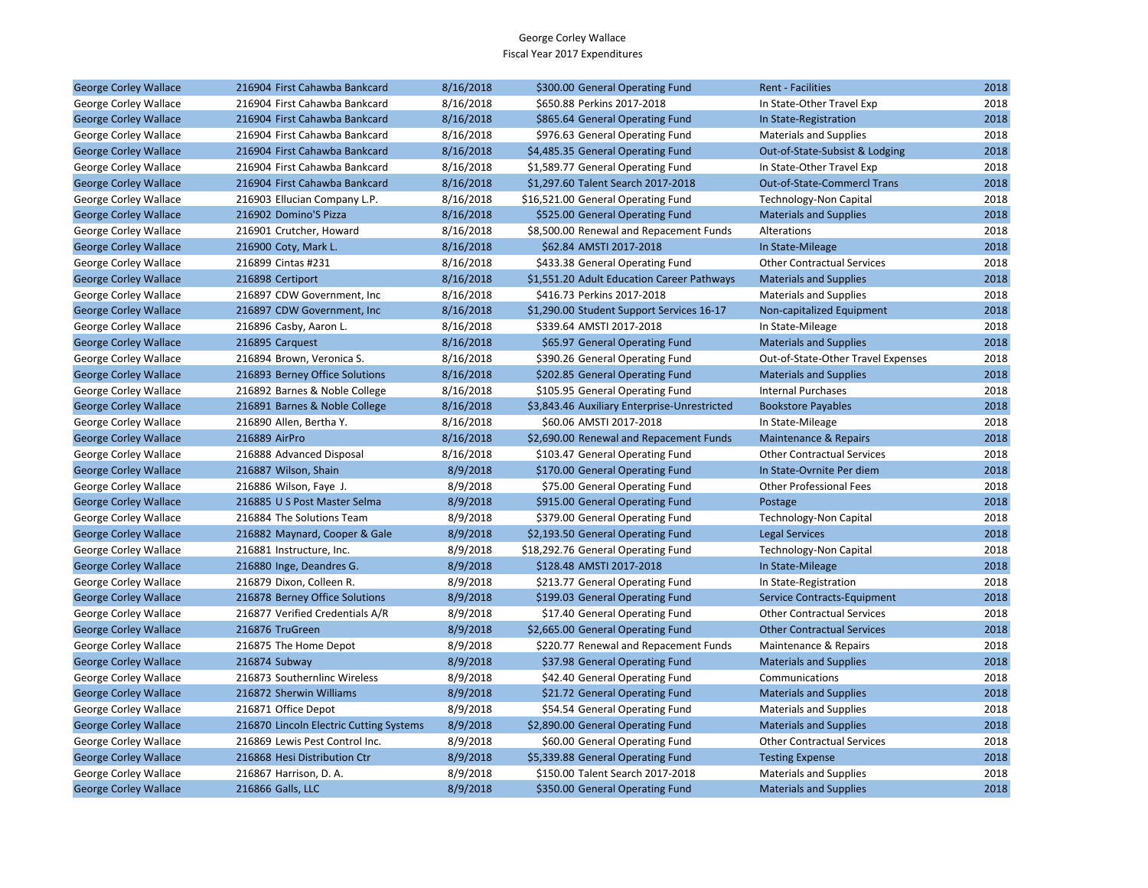| <b>George Corley Wallace</b> | 216904 First Cahawba Bankcard           | 8/16/2018 | \$300.00 General Operating Fund              | <b>Rent - Facilities</b>           | 2018 |
|------------------------------|-----------------------------------------|-----------|----------------------------------------------|------------------------------------|------|
| George Corley Wallace        | 216904 First Cahawba Bankcard           | 8/16/2018 | \$650.88 Perkins 2017-2018                   | In State-Other Travel Exp          | 2018 |
| <b>George Corley Wallace</b> | 216904 First Cahawba Bankcard           | 8/16/2018 | \$865.64 General Operating Fund              | In State-Registration              | 2018 |
| George Corley Wallace        | 216904 First Cahawba Bankcard           | 8/16/2018 | \$976.63 General Operating Fund              | <b>Materials and Supplies</b>      | 2018 |
| <b>George Corley Wallace</b> | 216904 First Cahawba Bankcard           | 8/16/2018 | \$4,485.35 General Operating Fund            | Out-of-State-Subsist & Lodging     | 2018 |
| George Corley Wallace        | 216904 First Cahawba Bankcard           | 8/16/2018 | \$1,589.77 General Operating Fund            | In State-Other Travel Exp          | 2018 |
| <b>George Corley Wallace</b> | 216904 First Cahawba Bankcard           | 8/16/2018 | \$1,297.60 Talent Search 2017-2018           | Out-of-State-Commercl Trans        | 2018 |
| George Corley Wallace        | 216903 Ellucian Company L.P.            | 8/16/2018 | \$16,521.00 General Operating Fund           | <b>Technology-Non Capital</b>      | 2018 |
| <b>George Corley Wallace</b> | 216902 Domino'S Pizza                   | 8/16/2018 | \$525.00 General Operating Fund              | <b>Materials and Supplies</b>      | 2018 |
| George Corley Wallace        | 216901 Crutcher, Howard                 | 8/16/2018 | \$8,500.00 Renewal and Repacement Funds      | Alterations                        | 2018 |
| <b>George Corley Wallace</b> | 216900 Coty, Mark L.                    | 8/16/2018 | \$62.84 AMSTI 2017-2018                      | In State-Mileage                   | 2018 |
| George Corley Wallace        | 216899 Cintas #231                      | 8/16/2018 | \$433.38 General Operating Fund              | <b>Other Contractual Services</b>  | 2018 |
| <b>George Corley Wallace</b> | 216898 Certiport                        | 8/16/2018 | \$1,551.20 Adult Education Career Pathways   | <b>Materials and Supplies</b>      | 2018 |
| George Corley Wallace        | 216897 CDW Government, Inc.             | 8/16/2018 | \$416.73 Perkins 2017-2018                   | <b>Materials and Supplies</b>      | 2018 |
| <b>George Corley Wallace</b> | 216897 CDW Government, Inc.             | 8/16/2018 | \$1,290.00 Student Support Services 16-17    | Non-capitalized Equipment          | 2018 |
| George Corley Wallace        | 216896 Casby, Aaron L.                  | 8/16/2018 | \$339.64 AMSTI 2017-2018                     | In State-Mileage                   | 2018 |
| <b>George Corley Wallace</b> | 216895 Carquest                         | 8/16/2018 | \$65.97 General Operating Fund               | <b>Materials and Supplies</b>      | 2018 |
| George Corley Wallace        | 216894 Brown, Veronica S.               | 8/16/2018 | \$390.26 General Operating Fund              | Out-of-State-Other Travel Expenses | 2018 |
| <b>George Corley Wallace</b> | 216893 Berney Office Solutions          | 8/16/2018 | \$202.85 General Operating Fund              | <b>Materials and Supplies</b>      | 2018 |
| George Corley Wallace        | 216892 Barnes & Noble College           | 8/16/2018 | \$105.95 General Operating Fund              | <b>Internal Purchases</b>          | 2018 |
| <b>George Corley Wallace</b> | 216891 Barnes & Noble College           | 8/16/2018 | \$3,843.46 Auxiliary Enterprise-Unrestricted | <b>Bookstore Payables</b>          | 2018 |
| George Corley Wallace        | 216890 Allen, Bertha Y.                 | 8/16/2018 | \$60.06 AMSTI 2017-2018                      | In State-Mileage                   | 2018 |
| <b>George Corley Wallace</b> | 216889 AirPro                           | 8/16/2018 | \$2,690.00 Renewal and Repacement Funds      | Maintenance & Repairs              | 2018 |
| George Corley Wallace        | 216888 Advanced Disposal                | 8/16/2018 | \$103.47 General Operating Fund              | <b>Other Contractual Services</b>  | 2018 |
| <b>George Corley Wallace</b> | 216887 Wilson, Shain                    | 8/9/2018  | \$170.00 General Operating Fund              | In State-Ovrnite Per diem          | 2018 |
| George Corley Wallace        | 216886 Wilson, Faye J.                  | 8/9/2018  | \$75.00 General Operating Fund               | <b>Other Professional Fees</b>     | 2018 |
| <b>George Corley Wallace</b> | 216885 U S Post Master Selma            | 8/9/2018  | \$915.00 General Operating Fund              | Postage                            | 2018 |
| George Corley Wallace        | 216884 The Solutions Team               | 8/9/2018  | \$379.00 General Operating Fund              | Technology-Non Capital             | 2018 |
| <b>George Corley Wallace</b> | 216882 Maynard, Cooper & Gale           | 8/9/2018  | \$2,193.50 General Operating Fund            | <b>Legal Services</b>              | 2018 |
| George Corley Wallace        | 216881 Instructure, Inc.                | 8/9/2018  | \$18,292.76 General Operating Fund           | Technology-Non Capital             | 2018 |
| <b>George Corley Wallace</b> | 216880 Inge, Deandres G.                | 8/9/2018  | \$128.48 AMSTI 2017-2018                     | In State-Mileage                   | 2018 |
| George Corley Wallace        | 216879 Dixon, Colleen R.                | 8/9/2018  | \$213.77 General Operating Fund              | In State-Registration              | 2018 |
| <b>George Corley Wallace</b> | 216878 Berney Office Solutions          | 8/9/2018  | \$199.03 General Operating Fund              | Service Contracts-Equipment        | 2018 |
| George Corley Wallace        | 216877 Verified Credentials A/R         | 8/9/2018  | \$17.40 General Operating Fund               | <b>Other Contractual Services</b>  | 2018 |
| <b>George Corley Wallace</b> | 216876 TruGreen                         | 8/9/2018  | \$2,665.00 General Operating Fund            | <b>Other Contractual Services</b>  | 2018 |
| George Corley Wallace        | 216875 The Home Depot                   | 8/9/2018  | \$220.77 Renewal and Repacement Funds        | Maintenance & Repairs              | 2018 |
| <b>George Corley Wallace</b> | 216874 Subway                           | 8/9/2018  | \$37.98 General Operating Fund               | <b>Materials and Supplies</b>      | 2018 |
| George Corley Wallace        | 216873 Southernlinc Wireless            | 8/9/2018  | \$42.40 General Operating Fund               | Communications                     | 2018 |
| <b>George Corley Wallace</b> | 216872 Sherwin Williams                 | 8/9/2018  | \$21.72 General Operating Fund               | <b>Materials and Supplies</b>      | 2018 |
| George Corley Wallace        | 216871 Office Depot                     | 8/9/2018  | \$54.54 General Operating Fund               | <b>Materials and Supplies</b>      | 2018 |
| <b>George Corley Wallace</b> | 216870 Lincoln Electric Cutting Systems | 8/9/2018  | \$2,890.00 General Operating Fund            | <b>Materials and Supplies</b>      | 2018 |
| George Corley Wallace        | 216869 Lewis Pest Control Inc.          | 8/9/2018  | \$60.00 General Operating Fund               | <b>Other Contractual Services</b>  | 2018 |
| <b>George Corley Wallace</b> | 216868 Hesi Distribution Ctr            | 8/9/2018  | \$5,339.88 General Operating Fund            | <b>Testing Expense</b>             | 2018 |
| George Corley Wallace        | 216867 Harrison, D. A.                  | 8/9/2018  | \$150.00 Talent Search 2017-2018             | <b>Materials and Supplies</b>      | 2018 |
| <b>George Corley Wallace</b> | 216866 Galls, LLC                       | 8/9/2018  | \$350.00 General Operating Fund              | <b>Materials and Supplies</b>      | 2018 |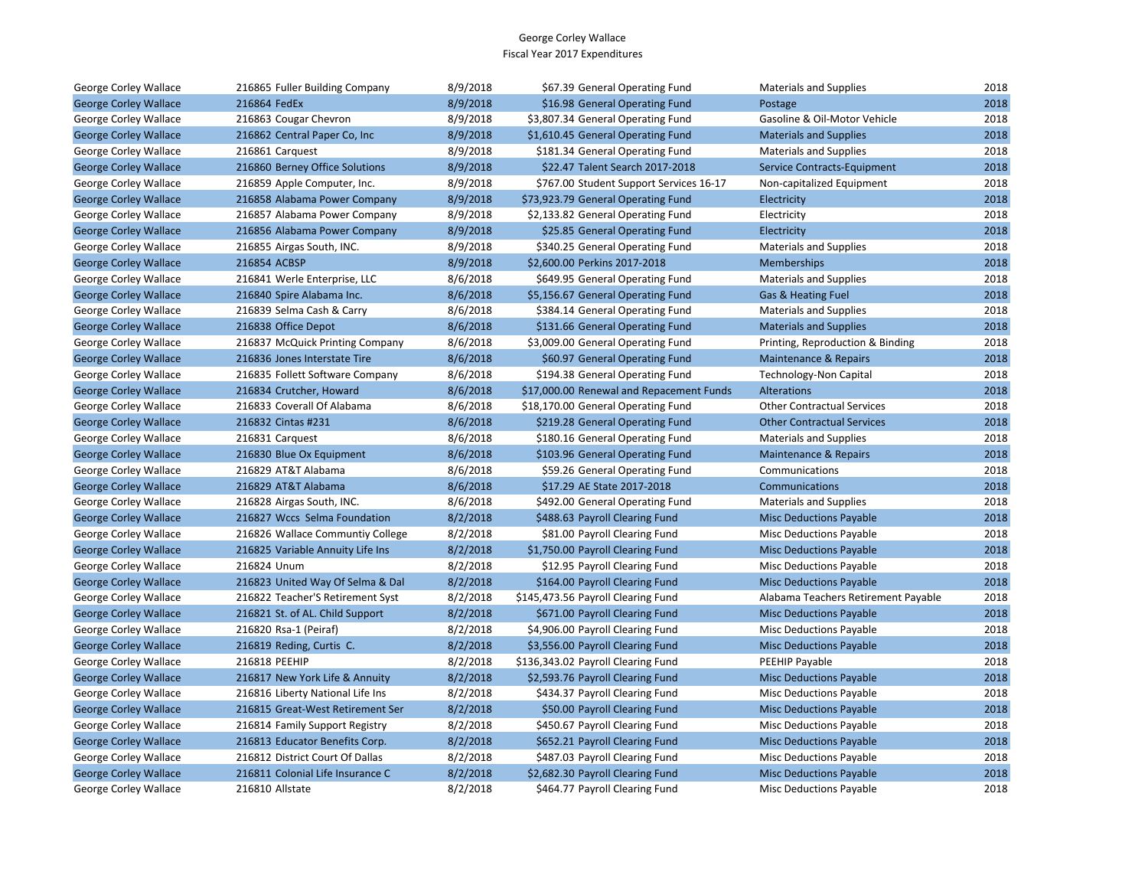| George Corley Wallace        | 216865 Fuller Building Company   | 8/9/2018 | \$67.39 General Operating Fund           | <b>Materials and Supplies</b>       | 2018 |
|------------------------------|----------------------------------|----------|------------------------------------------|-------------------------------------|------|
| <b>George Corley Wallace</b> | 216864 FedEx                     | 8/9/2018 | \$16.98 General Operating Fund           | Postage                             | 2018 |
| George Corley Wallace        | 216863 Cougar Chevron            | 8/9/2018 | \$3,807.34 General Operating Fund        | Gasoline & Oil-Motor Vehicle        | 2018 |
| <b>George Corley Wallace</b> | 216862 Central Paper Co, Inc.    | 8/9/2018 | \$1,610.45 General Operating Fund        | <b>Materials and Supplies</b>       | 2018 |
| George Corley Wallace        | 216861 Carquest                  | 8/9/2018 | \$181.34 General Operating Fund          | <b>Materials and Supplies</b>       | 2018 |
| <b>George Corley Wallace</b> | 216860 Berney Office Solutions   | 8/9/2018 | \$22.47 Talent Search 2017-2018          | Service Contracts-Equipment         | 2018 |
| George Corley Wallace        | 216859 Apple Computer, Inc.      | 8/9/2018 | \$767.00 Student Support Services 16-17  | Non-capitalized Equipment           | 2018 |
| <b>George Corley Wallace</b> | 216858 Alabama Power Company     | 8/9/2018 | \$73,923.79 General Operating Fund       | Electricity                         | 2018 |
| George Corley Wallace        | 216857 Alabama Power Company     | 8/9/2018 | \$2,133.82 General Operating Fund        | Electricity                         | 2018 |
| <b>George Corley Wallace</b> | 216856 Alabama Power Company     | 8/9/2018 | \$25.85 General Operating Fund           | Electricity                         | 2018 |
| George Corley Wallace        | 216855 Airgas South, INC.        | 8/9/2018 | \$340.25 General Operating Fund          | <b>Materials and Supplies</b>       | 2018 |
| <b>George Corley Wallace</b> | 216854 ACBSP                     | 8/9/2018 | \$2,600.00 Perkins 2017-2018             | Memberships                         | 2018 |
| George Corley Wallace        | 216841 Werle Enterprise, LLC     | 8/6/2018 | \$649.95 General Operating Fund          | <b>Materials and Supplies</b>       | 2018 |
| <b>George Corley Wallace</b> | 216840 Spire Alabama Inc.        | 8/6/2018 | \$5,156.67 General Operating Fund        | Gas & Heating Fuel                  | 2018 |
| George Corley Wallace        | 216839 Selma Cash & Carry        | 8/6/2018 | \$384.14 General Operating Fund          | <b>Materials and Supplies</b>       | 2018 |
| <b>George Corley Wallace</b> | 216838 Office Depot              | 8/6/2018 | \$131.66 General Operating Fund          | <b>Materials and Supplies</b>       | 2018 |
| George Corley Wallace        | 216837 McQuick Printing Company  | 8/6/2018 | \$3,009.00 General Operating Fund        | Printing, Reproduction & Binding    | 2018 |
| <b>George Corley Wallace</b> | 216836 Jones Interstate Tire     | 8/6/2018 | \$60.97 General Operating Fund           | Maintenance & Repairs               | 2018 |
| George Corley Wallace        | 216835 Follett Software Company  | 8/6/2018 | \$194.38 General Operating Fund          | Technology-Non Capital              | 2018 |
| <b>George Corley Wallace</b> | 216834 Crutcher, Howard          | 8/6/2018 | \$17,000.00 Renewal and Repacement Funds | Alterations                         | 2018 |
| George Corley Wallace        | 216833 Coverall Of Alabama       | 8/6/2018 | \$18,170.00 General Operating Fund       | <b>Other Contractual Services</b>   | 2018 |
| <b>George Corley Wallace</b> | 216832 Cintas #231               | 8/6/2018 | \$219.28 General Operating Fund          | <b>Other Contractual Services</b>   | 2018 |
| George Corley Wallace        | 216831 Carquest                  | 8/6/2018 | \$180.16 General Operating Fund          | <b>Materials and Supplies</b>       | 2018 |
| <b>George Corley Wallace</b> | 216830 Blue Ox Equipment         | 8/6/2018 | \$103.96 General Operating Fund          | Maintenance & Repairs               | 2018 |
| George Corley Wallace        | 216829 AT&T Alabama              | 8/6/2018 | \$59.26 General Operating Fund           | Communications                      | 2018 |
| <b>George Corley Wallace</b> | 216829 AT&T Alabama              | 8/6/2018 | \$17.29 AE State 2017-2018               | Communications                      | 2018 |
| George Corley Wallace        | 216828 Airgas South, INC.        | 8/6/2018 | \$492.00 General Operating Fund          | <b>Materials and Supplies</b>       | 2018 |
| <b>George Corley Wallace</b> | 216827 Wccs Selma Foundation     | 8/2/2018 | \$488.63 Payroll Clearing Fund           | <b>Misc Deductions Payable</b>      | 2018 |
| George Corley Wallace        | 216826 Wallace Communtiy College | 8/2/2018 | \$81.00 Payroll Clearing Fund            | Misc Deductions Payable             | 2018 |
| <b>George Corley Wallace</b> | 216825 Variable Annuity Life Ins | 8/2/2018 | \$1,750.00 Payroll Clearing Fund         | <b>Misc Deductions Payable</b>      | 2018 |
| George Corley Wallace        | 216824 Unum                      | 8/2/2018 | \$12.95 Payroll Clearing Fund            | <b>Misc Deductions Payable</b>      | 2018 |
| <b>George Corley Wallace</b> | 216823 United Way Of Selma & Dal | 8/2/2018 | \$164.00 Payroll Clearing Fund           | <b>Misc Deductions Payable</b>      | 2018 |
| George Corley Wallace        | 216822 Teacher'S Retirement Syst | 8/2/2018 | \$145,473.56 Payroll Clearing Fund       | Alabama Teachers Retirement Payable | 2018 |
| <b>George Corley Wallace</b> | 216821 St. of AL. Child Support  | 8/2/2018 | \$671.00 Payroll Clearing Fund           | <b>Misc Deductions Payable</b>      | 2018 |
| George Corley Wallace        | 216820 Rsa-1 (Peiraf)            | 8/2/2018 | \$4,906.00 Payroll Clearing Fund         | <b>Misc Deductions Payable</b>      | 2018 |
| <b>George Corley Wallace</b> | 216819 Reding, Curtis C.         | 8/2/2018 | \$3,556.00 Payroll Clearing Fund         | <b>Misc Deductions Payable</b>      | 2018 |
| George Corley Wallace        | 216818 PEEHIP                    | 8/2/2018 | \$136,343.02 Payroll Clearing Fund       | PEEHIP Payable                      | 2018 |
| <b>George Corley Wallace</b> | 216817 New York Life & Annuity   | 8/2/2018 | \$2,593.76 Payroll Clearing Fund         | <b>Misc Deductions Payable</b>      | 2018 |
| George Corley Wallace        | 216816 Liberty National Life Ins | 8/2/2018 | \$434.37 Payroll Clearing Fund           | <b>Misc Deductions Payable</b>      | 2018 |
| <b>George Corley Wallace</b> | 216815 Great-West Retirement Ser | 8/2/2018 | \$50.00 Payroll Clearing Fund            | <b>Misc Deductions Payable</b>      | 2018 |
| George Corley Wallace        | 216814 Family Support Registry   | 8/2/2018 | \$450.67 Payroll Clearing Fund           | Misc Deductions Payable             | 2018 |
| <b>George Corley Wallace</b> | 216813 Educator Benefits Corp.   | 8/2/2018 | \$652.21 Payroll Clearing Fund           | <b>Misc Deductions Payable</b>      | 2018 |
| George Corley Wallace        | 216812 District Court Of Dallas  | 8/2/2018 | \$487.03 Payroll Clearing Fund           | Misc Deductions Payable             | 2018 |
| <b>George Corley Wallace</b> | 216811 Colonial Life Insurance C | 8/2/2018 | \$2,682.30 Payroll Clearing Fund         | <b>Misc Deductions Payable</b>      | 2018 |
| George Corley Wallace        | 216810 Allstate                  | 8/2/2018 | \$464.77 Payroll Clearing Fund           | <b>Misc Deductions Payable</b>      | 2018 |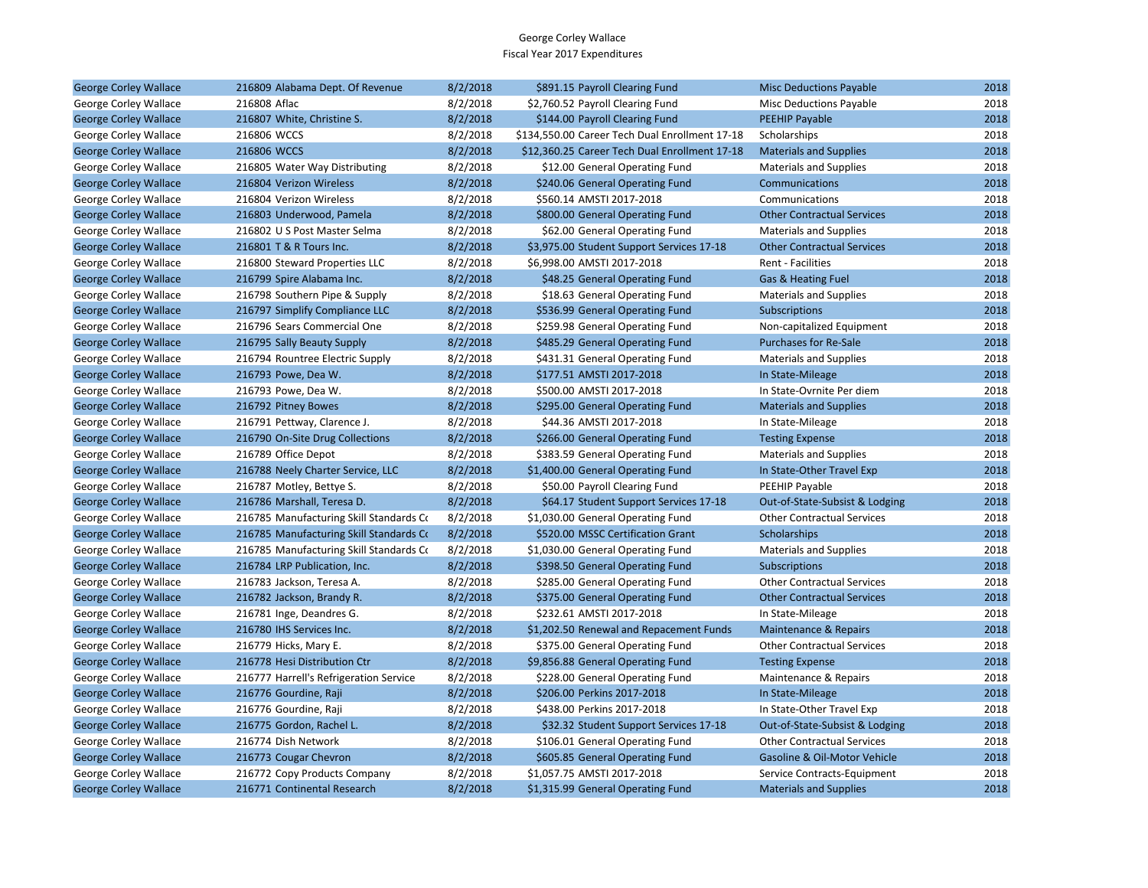| <b>George Corley Wallace</b> | 216809 Alabama Dept. Of Revenue         | 8/2/2018 | \$891.15 Payroll Clearing Fund                 | <b>Misc Deductions Payable</b>    | 2018 |
|------------------------------|-----------------------------------------|----------|------------------------------------------------|-----------------------------------|------|
| George Corley Wallace        | 216808 Aflac                            | 8/2/2018 | \$2,760.52 Payroll Clearing Fund               | <b>Misc Deductions Payable</b>    | 2018 |
| <b>George Corley Wallace</b> | 216807 White, Christine S.              | 8/2/2018 | \$144.00 Payroll Clearing Fund                 | PEEHIP Payable                    | 2018 |
| George Corley Wallace        | 216806 WCCS                             | 8/2/2018 | \$134,550.00 Career Tech Dual Enrollment 17-18 | Scholarships                      | 2018 |
| <b>George Corley Wallace</b> | 216806 WCCS                             | 8/2/2018 | \$12,360.25 Career Tech Dual Enrollment 17-18  | <b>Materials and Supplies</b>     | 2018 |
| George Corley Wallace        | 216805 Water Way Distributing           | 8/2/2018 | \$12.00 General Operating Fund                 | <b>Materials and Supplies</b>     | 2018 |
| <b>George Corley Wallace</b> | 216804 Verizon Wireless                 | 8/2/2018 | \$240.06 General Operating Fund                | Communications                    | 2018 |
| George Corley Wallace        | 216804 Verizon Wireless                 | 8/2/2018 | \$560.14 AMSTI 2017-2018                       | Communications                    | 2018 |
| <b>George Corley Wallace</b> | 216803 Underwood, Pamela                | 8/2/2018 | \$800.00 General Operating Fund                | <b>Other Contractual Services</b> | 2018 |
| George Corley Wallace        | 216802 U S Post Master Selma            | 8/2/2018 | \$62.00 General Operating Fund                 | <b>Materials and Supplies</b>     | 2018 |
| <b>George Corley Wallace</b> | 216801 T & R Tours Inc.                 | 8/2/2018 | \$3,975.00 Student Support Services 17-18      | <b>Other Contractual Services</b> | 2018 |
| George Corley Wallace        | 216800 Steward Properties LLC           | 8/2/2018 | \$6,998.00 AMSTI 2017-2018                     | Rent - Facilities                 | 2018 |
| <b>George Corley Wallace</b> | 216799 Spire Alabama Inc.               | 8/2/2018 | \$48.25 General Operating Fund                 | Gas & Heating Fuel                | 2018 |
| George Corley Wallace        | 216798 Southern Pipe & Supply           | 8/2/2018 | \$18.63 General Operating Fund                 | <b>Materials and Supplies</b>     | 2018 |
| <b>George Corley Wallace</b> | 216797 Simplify Compliance LLC          | 8/2/2018 | \$536.99 General Operating Fund                | Subscriptions                     | 2018 |
| George Corley Wallace        | 216796 Sears Commercial One             | 8/2/2018 | \$259.98 General Operating Fund                | Non-capitalized Equipment         | 2018 |
| <b>George Corley Wallace</b> | 216795 Sally Beauty Supply              | 8/2/2018 | \$485.29 General Operating Fund                | <b>Purchases for Re-Sale</b>      | 2018 |
| George Corley Wallace        | 216794 Rountree Electric Supply         | 8/2/2018 | \$431.31 General Operating Fund                | <b>Materials and Supplies</b>     | 2018 |
| <b>George Corley Wallace</b> | 216793 Powe, Dea W.                     | 8/2/2018 | \$177.51 AMSTI 2017-2018                       | In State-Mileage                  | 2018 |
| George Corley Wallace        | 216793 Powe, Dea W.                     | 8/2/2018 | \$500.00 AMSTI 2017-2018                       | In State-Ovrnite Per diem         | 2018 |
| <b>George Corley Wallace</b> | 216792 Pitney Bowes                     | 8/2/2018 | \$295.00 General Operating Fund                | <b>Materials and Supplies</b>     | 2018 |
| George Corley Wallace        | 216791 Pettway, Clarence J.             | 8/2/2018 | \$44.36 AMSTI 2017-2018                        | In State-Mileage                  | 2018 |
| <b>George Corley Wallace</b> | 216790 On-Site Drug Collections         | 8/2/2018 | \$266.00 General Operating Fund                | <b>Testing Expense</b>            | 2018 |
| George Corley Wallace        | 216789 Office Depot                     | 8/2/2018 | \$383.59 General Operating Fund                | <b>Materials and Supplies</b>     | 2018 |
| <b>George Corley Wallace</b> | 216788 Neely Charter Service, LLC       | 8/2/2018 | \$1,400.00 General Operating Fund              | In State-Other Travel Exp         | 2018 |
| George Corley Wallace        | 216787 Motley, Bettye S.                | 8/2/2018 | \$50.00 Payroll Clearing Fund                  | PEEHIP Payable                    | 2018 |
| <b>George Corley Wallace</b> | 216786 Marshall, Teresa D.              | 8/2/2018 | \$64.17 Student Support Services 17-18         | Out-of-State-Subsist & Lodging    | 2018 |
| George Corley Wallace        | 216785 Manufacturing Skill Standards Co | 8/2/2018 | \$1,030.00 General Operating Fund              | <b>Other Contractual Services</b> | 2018 |
| <b>George Corley Wallace</b> | 216785 Manufacturing Skill Standards Co | 8/2/2018 | \$520.00 MSSC Certification Grant              | Scholarships                      | 2018 |
| George Corley Wallace        | 216785 Manufacturing Skill Standards Co | 8/2/2018 | \$1,030.00 General Operating Fund              | <b>Materials and Supplies</b>     | 2018 |
| <b>George Corley Wallace</b> | 216784 LRP Publication, Inc.            | 8/2/2018 | \$398.50 General Operating Fund                | <b>Subscriptions</b>              | 2018 |
| George Corley Wallace        | 216783 Jackson, Teresa A.               | 8/2/2018 | \$285.00 General Operating Fund                | <b>Other Contractual Services</b> | 2018 |
| <b>George Corley Wallace</b> | 216782 Jackson, Brandy R.               | 8/2/2018 | \$375.00 General Operating Fund                | <b>Other Contractual Services</b> | 2018 |
| George Corley Wallace        | 216781 Inge, Deandres G.                | 8/2/2018 | \$232.61 AMSTI 2017-2018                       | In State-Mileage                  | 2018 |
| <b>George Corley Wallace</b> | 216780 IHS Services Inc.                | 8/2/2018 | \$1,202.50 Renewal and Repacement Funds        | <b>Maintenance &amp; Repairs</b>  | 2018 |
| George Corley Wallace        | 216779 Hicks, Mary E.                   | 8/2/2018 | \$375.00 General Operating Fund                | <b>Other Contractual Services</b> | 2018 |
| <b>George Corley Wallace</b> | 216778 Hesi Distribution Ctr            | 8/2/2018 | \$9,856.88 General Operating Fund              | <b>Testing Expense</b>            | 2018 |
| George Corley Wallace        | 216777 Harrell's Refrigeration Service  | 8/2/2018 | \$228.00 General Operating Fund                | Maintenance & Repairs             | 2018 |
| <b>George Corley Wallace</b> | 216776 Gourdine, Raji                   | 8/2/2018 | \$206.00 Perkins 2017-2018                     | In State-Mileage                  | 2018 |
| George Corley Wallace        | 216776 Gourdine, Raji                   | 8/2/2018 | \$438.00 Perkins 2017-2018                     | In State-Other Travel Exp         | 2018 |
| <b>George Corley Wallace</b> | 216775 Gordon, Rachel L.                | 8/2/2018 | \$32.32 Student Support Services 17-18         | Out-of-State-Subsist & Lodging    | 2018 |
| George Corley Wallace        | 216774 Dish Network                     | 8/2/2018 | \$106.01 General Operating Fund                | <b>Other Contractual Services</b> | 2018 |
| <b>George Corley Wallace</b> | 216773 Cougar Chevron                   | 8/2/2018 | \$605.85 General Operating Fund                | Gasoline & Oil-Motor Vehicle      | 2018 |
| George Corley Wallace        | 216772 Copy Products Company            | 8/2/2018 | \$1,057.75 AMSTI 2017-2018                     | Service Contracts-Equipment       | 2018 |
| <b>George Corley Wallace</b> | 216771 Continental Research             | 8/2/2018 | \$1,315.99 General Operating Fund              | <b>Materials and Supplies</b>     | 2018 |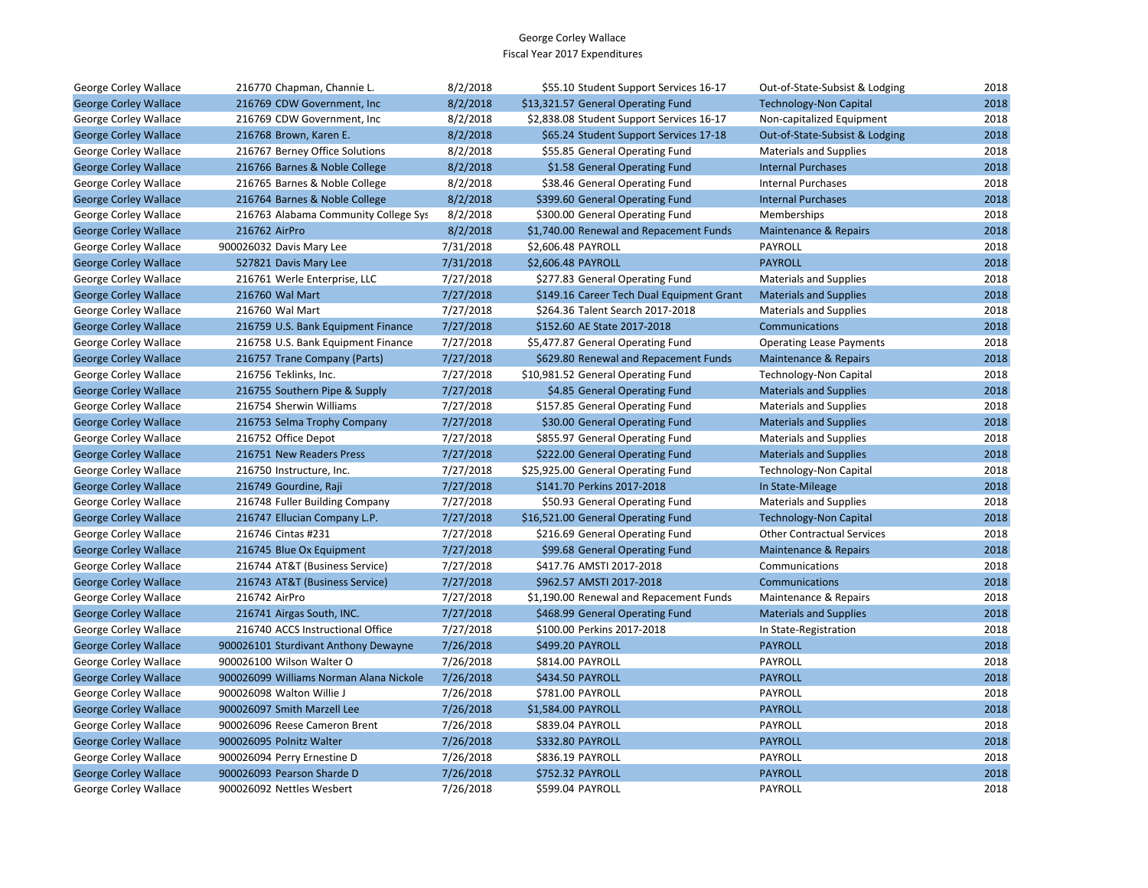| George Corley Wallace        | 216770 Chapman, Channie L.              | 8/2/2018  | \$55.10 Student Support Services 16-17    | Out-of-State-Subsist & Lodging    | 2018 |
|------------------------------|-----------------------------------------|-----------|-------------------------------------------|-----------------------------------|------|
| <b>George Corley Wallace</b> | 216769 CDW Government, Inc.             | 8/2/2018  | \$13,321.57 General Operating Fund        | <b>Technology-Non Capital</b>     | 2018 |
| George Corley Wallace        | 216769 CDW Government, Inc.             | 8/2/2018  | \$2,838.08 Student Support Services 16-17 | Non-capitalized Equipment         | 2018 |
| <b>George Corley Wallace</b> | 216768 Brown, Karen E.                  | 8/2/2018  | \$65.24 Student Support Services 17-18    | Out-of-State-Subsist & Lodging    | 2018 |
| George Corley Wallace        | 216767 Berney Office Solutions          | 8/2/2018  | \$55.85 General Operating Fund            | <b>Materials and Supplies</b>     | 2018 |
| <b>George Corley Wallace</b> | 216766 Barnes & Noble College           | 8/2/2018  | \$1.58 General Operating Fund             | <b>Internal Purchases</b>         | 2018 |
| George Corley Wallace        | 216765 Barnes & Noble College           | 8/2/2018  | \$38.46 General Operating Fund            | <b>Internal Purchases</b>         | 2018 |
| <b>George Corley Wallace</b> | 216764 Barnes & Noble College           | 8/2/2018  | \$399.60 General Operating Fund           | <b>Internal Purchases</b>         | 2018 |
| George Corley Wallace        | 216763 Alabama Community College Sys    | 8/2/2018  | \$300.00 General Operating Fund           | Memberships                       | 2018 |
| <b>George Corley Wallace</b> | 216762 AirPro                           | 8/2/2018  | \$1,740.00 Renewal and Repacement Funds   | Maintenance & Repairs             | 2018 |
| George Corley Wallace        | 900026032 Davis Mary Lee                | 7/31/2018 | \$2,606.48 PAYROLL                        | PAYROLL                           | 2018 |
| <b>George Corley Wallace</b> | 527821 Davis Mary Lee                   | 7/31/2018 | \$2,606.48 PAYROLL                        | <b>PAYROLL</b>                    | 2018 |
| George Corley Wallace        | 216761 Werle Enterprise, LLC            | 7/27/2018 | \$277.83 General Operating Fund           | <b>Materials and Supplies</b>     | 2018 |
| <b>George Corley Wallace</b> | 216760 Wal Mart                         | 7/27/2018 | \$149.16 Career Tech Dual Equipment Grant | <b>Materials and Supplies</b>     | 2018 |
| George Corley Wallace        | 216760 Wal Mart                         | 7/27/2018 | \$264.36 Talent Search 2017-2018          | <b>Materials and Supplies</b>     | 2018 |
| <b>George Corley Wallace</b> | 216759 U.S. Bank Equipment Finance      | 7/27/2018 | \$152.60 AE State 2017-2018               | Communications                    | 2018 |
| George Corley Wallace        | 216758 U.S. Bank Equipment Finance      | 7/27/2018 | \$5,477.87 General Operating Fund         | <b>Operating Lease Payments</b>   | 2018 |
| <b>George Corley Wallace</b> | 216757 Trane Company (Parts)            | 7/27/2018 | \$629.80 Renewal and Repacement Funds     | Maintenance & Repairs             | 2018 |
| George Corley Wallace        | 216756 Teklinks, Inc.                   | 7/27/2018 | \$10,981.52 General Operating Fund        | Technology-Non Capital            | 2018 |
| <b>George Corley Wallace</b> | 216755 Southern Pipe & Supply           | 7/27/2018 | \$4.85 General Operating Fund             | <b>Materials and Supplies</b>     | 2018 |
| George Corley Wallace        | 216754 Sherwin Williams                 | 7/27/2018 | \$157.85 General Operating Fund           | <b>Materials and Supplies</b>     | 2018 |
| <b>George Corley Wallace</b> | 216753 Selma Trophy Company             | 7/27/2018 | \$30.00 General Operating Fund            | <b>Materials and Supplies</b>     | 2018 |
| George Corley Wallace        | 216752 Office Depot                     | 7/27/2018 | \$855.97 General Operating Fund           | <b>Materials and Supplies</b>     | 2018 |
| <b>George Corley Wallace</b> | 216751 New Readers Press                | 7/27/2018 | \$222.00 General Operating Fund           | <b>Materials and Supplies</b>     | 2018 |
| George Corley Wallace        | 216750 Instructure, Inc.                | 7/27/2018 | \$25,925.00 General Operating Fund        | Technology-Non Capital            | 2018 |
| <b>George Corley Wallace</b> | 216749 Gourdine, Raji                   | 7/27/2018 | \$141.70 Perkins 2017-2018                | In State-Mileage                  | 2018 |
| George Corley Wallace        | 216748 Fuller Building Company          | 7/27/2018 | \$50.93 General Operating Fund            | <b>Materials and Supplies</b>     | 2018 |
| <b>George Corley Wallace</b> | 216747 Ellucian Company L.P.            | 7/27/2018 | \$16,521.00 General Operating Fund        | <b>Technology-Non Capital</b>     | 2018 |
| George Corley Wallace        | 216746 Cintas #231                      | 7/27/2018 | \$216.69 General Operating Fund           | <b>Other Contractual Services</b> | 2018 |
| <b>George Corley Wallace</b> | 216745 Blue Ox Equipment                | 7/27/2018 | \$99.68 General Operating Fund            | Maintenance & Repairs             | 2018 |
| George Corley Wallace        | 216744 AT&T (Business Service)          | 7/27/2018 | \$417.76 AMSTI 2017-2018                  | Communications                    | 2018 |
| <b>George Corley Wallace</b> | 216743 AT&T (Business Service)          | 7/27/2018 | \$962.57 AMSTI 2017-2018                  | Communications                    | 2018 |
| George Corley Wallace        | 216742 AirPro                           | 7/27/2018 | \$1,190.00 Renewal and Repacement Funds   | Maintenance & Repairs             | 2018 |
| <b>George Corley Wallace</b> | 216741 Airgas South, INC.               | 7/27/2018 | \$468.99 General Operating Fund           | <b>Materials and Supplies</b>     | 2018 |
| George Corley Wallace        | 216740 ACCS Instructional Office        | 7/27/2018 | \$100.00 Perkins 2017-2018                | In State-Registration             | 2018 |
| <b>George Corley Wallace</b> | 900026101 Sturdivant Anthony Dewayne    | 7/26/2018 | \$499.20 PAYROLL                          | <b>PAYROLL</b>                    | 2018 |
| George Corley Wallace        | 900026100 Wilson Walter O               | 7/26/2018 | \$814.00 PAYROLL                          | PAYROLL                           | 2018 |
| <b>George Corley Wallace</b> | 900026099 Williams Norman Alana Nickole | 7/26/2018 | \$434.50 PAYROLL                          | <b>PAYROLL</b>                    | 2018 |
| George Corley Wallace        | 900026098 Walton Willie J               | 7/26/2018 | \$781.00 PAYROLL                          | PAYROLL                           | 2018 |
| <b>George Corley Wallace</b> | 900026097 Smith Marzell Lee             | 7/26/2018 | \$1,584.00 PAYROLL                        | <b>PAYROLL</b>                    | 2018 |
| George Corley Wallace        | 900026096 Reese Cameron Brent           | 7/26/2018 | \$839.04 PAYROLL                          | PAYROLL                           | 2018 |
| <b>George Corley Wallace</b> | 900026095 Polnitz Walter                | 7/26/2018 | \$332.80 PAYROLL                          | <b>PAYROLL</b>                    | 2018 |
| George Corley Wallace        | 900026094 Perry Ernestine D             | 7/26/2018 | \$836.19 PAYROLL                          | PAYROLL                           | 2018 |
| <b>George Corley Wallace</b> | 900026093 Pearson Sharde D              | 7/26/2018 | \$752.32 PAYROLL                          | <b>PAYROLL</b>                    | 2018 |
| George Corley Wallace        | 900026092 Nettles Wesbert               | 7/26/2018 | \$599.04 PAYROLL                          | PAYROLL                           | 2018 |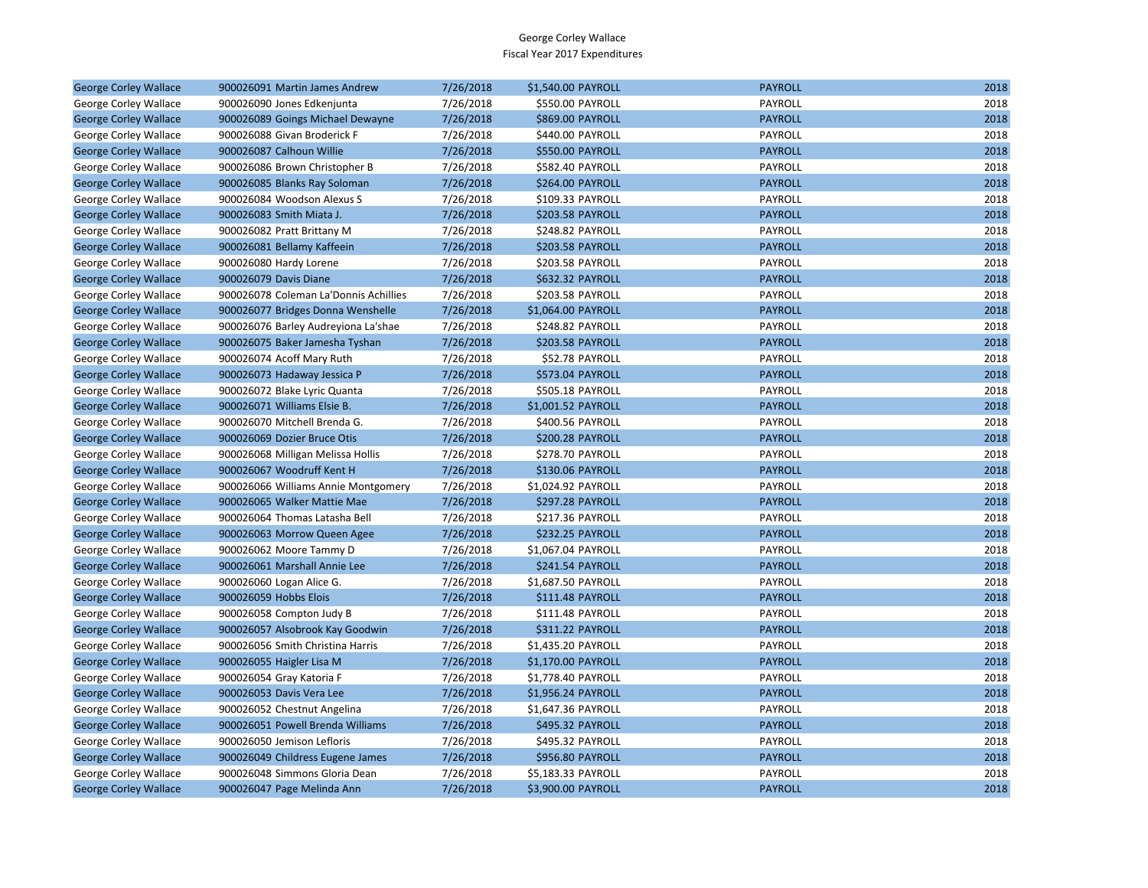| <b>George Corley Wallace</b> | 900026091 Martin James Andrew         | 7/26/2018 | \$1,540.00 PAYROLL      | <b>PAYROLL</b> | 2018 |
|------------------------------|---------------------------------------|-----------|-------------------------|----------------|------|
| George Corley Wallace        | 900026090 Jones Edkenjunta            | 7/26/2018 | \$550.00 PAYROLL        | PAYROLL        | 2018 |
| <b>George Corley Wallace</b> | 900026089 Goings Michael Dewayne      | 7/26/2018 | <b>\$869.00 PAYROLL</b> | <b>PAYROLL</b> | 2018 |
| George Corley Wallace        | 900026088 Givan Broderick F           | 7/26/2018 | \$440.00 PAYROLL        | PAYROLL        | 2018 |
| <b>George Corley Wallace</b> | 900026087 Calhoun Willie              | 7/26/2018 | \$550.00 PAYROLL        | <b>PAYROLL</b> | 2018 |
| George Corley Wallace        | 900026086 Brown Christopher B         | 7/26/2018 | \$582.40 PAYROLL        | PAYROLL        | 2018 |
| <b>George Corley Wallace</b> | 900026085 Blanks Ray Soloman          | 7/26/2018 | \$264.00 PAYROLL        | <b>PAYROLL</b> | 2018 |
| George Corley Wallace        | 900026084 Woodson Alexus S            | 7/26/2018 | \$109.33 PAYROLL        | PAYROLL        | 2018 |
| <b>George Corley Wallace</b> | 900026083 Smith Miata J.              | 7/26/2018 | \$203.58 PAYROLL        | <b>PAYROLL</b> | 2018 |
| George Corley Wallace        | 900026082 Pratt Brittany M            | 7/26/2018 | \$248.82 PAYROLL        | PAYROLL        | 2018 |
| <b>George Corley Wallace</b> | 900026081 Bellamy Kaffeein            | 7/26/2018 | \$203.58 PAYROLL        | <b>PAYROLL</b> | 2018 |
| George Corley Wallace        | 900026080 Hardy Lorene                | 7/26/2018 | \$203.58 PAYROLL        | PAYROLL        | 2018 |
| <b>George Corley Wallace</b> | 900026079 Davis Diane                 | 7/26/2018 | \$632.32 PAYROLL        | <b>PAYROLL</b> | 2018 |
| George Corley Wallace        | 900026078 Coleman La'Donnis Achillies | 7/26/2018 | \$203.58 PAYROLL        | PAYROLL        | 2018 |
| <b>George Corley Wallace</b> | 900026077 Bridges Donna Wenshelle     | 7/26/2018 | \$1,064.00 PAYROLL      | <b>PAYROLL</b> | 2018 |
| George Corley Wallace        | 900026076 Barley Audreyiona La'shae   | 7/26/2018 | \$248.82 PAYROLL        | PAYROLL        | 2018 |
| <b>George Corley Wallace</b> | 900026075 Baker Jamesha Tyshan        | 7/26/2018 | \$203.58 PAYROLL        | <b>PAYROLL</b> | 2018 |
| George Corley Wallace        | 900026074 Acoff Mary Ruth             | 7/26/2018 | \$52.78 PAYROLL         | PAYROLL        | 2018 |
| <b>George Corley Wallace</b> | 900026073 Hadaway Jessica P           | 7/26/2018 | \$573.04 PAYROLL        | <b>PAYROLL</b> | 2018 |
| George Corley Wallace        | 900026072 Blake Lyric Quanta          | 7/26/2018 | \$505.18 PAYROLL        | PAYROLL        | 2018 |
| <b>George Corley Wallace</b> | 900026071 Williams Elsie B.           | 7/26/2018 | \$1,001.52 PAYROLL      | <b>PAYROLL</b> | 2018 |
| George Corley Wallace        | 900026070 Mitchell Brenda G.          | 7/26/2018 | \$400.56 PAYROLL        | PAYROLL        | 2018 |
| <b>George Corley Wallace</b> | 900026069 Dozier Bruce Otis           | 7/26/2018 | \$200.28 PAYROLL        | <b>PAYROLL</b> | 2018 |
| George Corley Wallace        | 900026068 Milligan Melissa Hollis     | 7/26/2018 | \$278.70 PAYROLL        | PAYROLL        | 2018 |
| <b>George Corley Wallace</b> | 900026067 Woodruff Kent H             | 7/26/2018 | \$130.06 PAYROLL        | <b>PAYROLL</b> | 2018 |
| George Corley Wallace        | 900026066 Williams Annie Montgomery   | 7/26/2018 | \$1,024.92 PAYROLL      | PAYROLL        | 2018 |
| <b>George Corley Wallace</b> | 900026065 Walker Mattie Mae           | 7/26/2018 | \$297.28 PAYROLL        | <b>PAYROLL</b> | 2018 |
| George Corley Wallace        | 900026064 Thomas Latasha Bell         | 7/26/2018 | \$217.36 PAYROLL        | PAYROLL        | 2018 |
| <b>George Corley Wallace</b> | 900026063 Morrow Queen Agee           | 7/26/2018 | \$232.25 PAYROLL        | <b>PAYROLL</b> | 2018 |
| George Corley Wallace        | 900026062 Moore Tammy D               | 7/26/2018 | \$1,067.04 PAYROLL      | PAYROLL        | 2018 |
| <b>George Corley Wallace</b> | 900026061 Marshall Annie Lee          | 7/26/2018 | \$241.54 PAYROLL        | <b>PAYROLL</b> | 2018 |
| George Corley Wallace        | 900026060 Logan Alice G.              | 7/26/2018 | \$1,687.50 PAYROLL      | PAYROLL        | 2018 |
| <b>George Corley Wallace</b> | 900026059 Hobbs Elois                 | 7/26/2018 | \$111.48 PAYROLL        | <b>PAYROLL</b> | 2018 |
| George Corley Wallace        | 900026058 Compton Judy B              | 7/26/2018 | \$111.48 PAYROLL        | PAYROLL        | 2018 |
| <b>George Corley Wallace</b> | 900026057 Alsobrook Kay Goodwin       | 7/26/2018 | \$311.22 PAYROLL        | <b>PAYROLL</b> | 2018 |
| George Corley Wallace        | 900026056 Smith Christina Harris      | 7/26/2018 | \$1,435.20 PAYROLL      | PAYROLL        | 2018 |
| <b>George Corley Wallace</b> | 900026055 Haigler Lisa M              | 7/26/2018 | \$1,170.00 PAYROLL      | <b>PAYROLL</b> | 2018 |
| George Corley Wallace        | 900026054 Gray Katoria F              | 7/26/2018 | \$1,778.40 PAYROLL      | PAYROLL        | 2018 |
| <b>George Corley Wallace</b> | 900026053 Davis Vera Lee              | 7/26/2018 | \$1,956.24 PAYROLL      | <b>PAYROLL</b> | 2018 |
| George Corley Wallace        | 900026052 Chestnut Angelina           | 7/26/2018 | \$1,647.36 PAYROLL      | PAYROLL        | 2018 |
| <b>George Corley Wallace</b> | 900026051 Powell Brenda Williams      | 7/26/2018 | \$495.32 PAYROLL        | <b>PAYROLL</b> | 2018 |
| George Corley Wallace        | 900026050 Jemison Lefloris            | 7/26/2018 | \$495.32 PAYROLL        | PAYROLL        | 2018 |
| <b>George Corley Wallace</b> | 900026049 Childress Eugene James      | 7/26/2018 | \$956.80 PAYROLL        | <b>PAYROLL</b> | 2018 |
| George Corley Wallace        | 900026048 Simmons Gloria Dean         | 7/26/2018 | \$5,183.33 PAYROLL      | PAYROLL        | 2018 |
| <b>George Corley Wallace</b> | 900026047 Page Melinda Ann            | 7/26/2018 | \$3,900.00 PAYROLL      | <b>PAYROLL</b> | 2018 |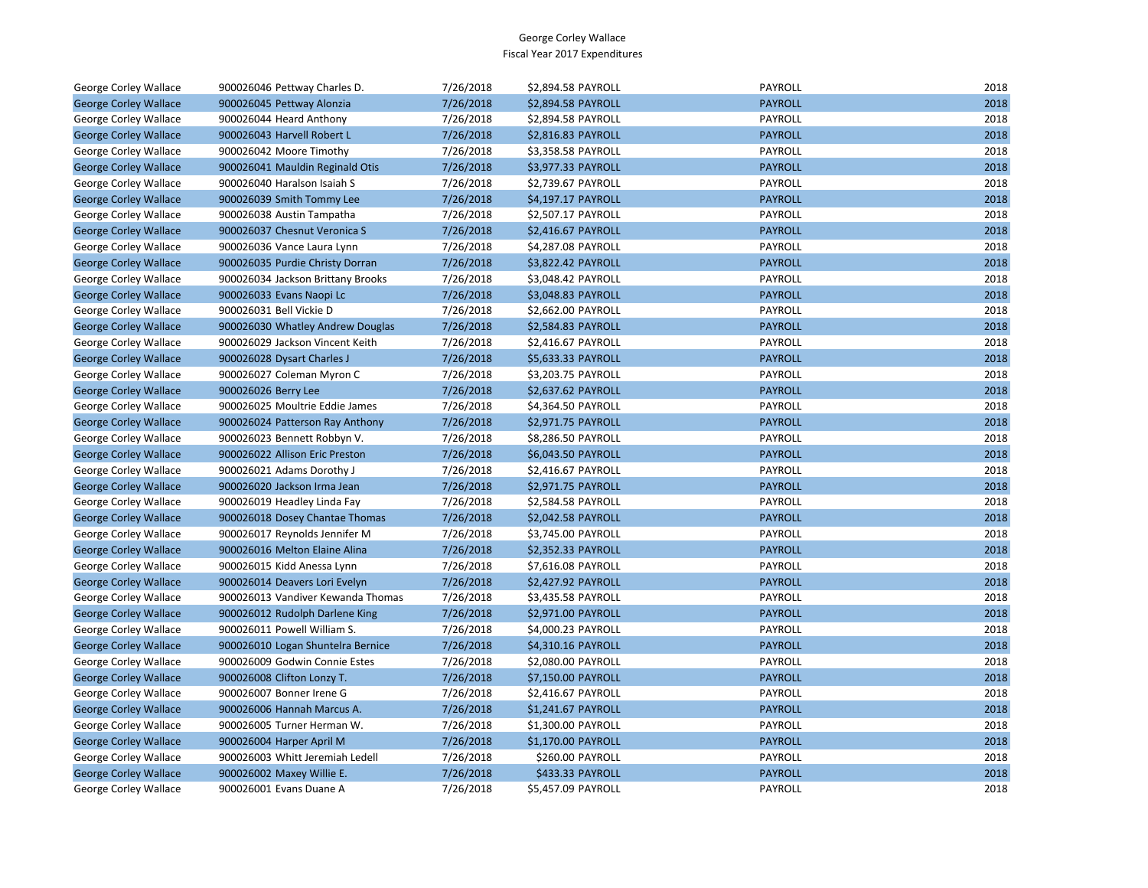| George Corley Wallace        | 900026046 Pettway Charles D.      | 7/26/2018 | \$2,894.58 PAYROLL | <b>PAYROLL</b> | 2018 |
|------------------------------|-----------------------------------|-----------|--------------------|----------------|------|
| <b>George Corley Wallace</b> | 900026045 Pettway Alonzia         | 7/26/2018 | \$2,894.58 PAYROLL | <b>PAYROLL</b> | 2018 |
| George Corley Wallace        | 900026044 Heard Anthony           | 7/26/2018 | \$2,894.58 PAYROLL | PAYROLL        | 2018 |
| <b>George Corley Wallace</b> | 900026043 Harvell Robert L        | 7/26/2018 | \$2,816.83 PAYROLL | <b>PAYROLL</b> | 2018 |
| George Corley Wallace        | 900026042 Moore Timothy           | 7/26/2018 | \$3,358.58 PAYROLL | PAYROLL        | 2018 |
| <b>George Corley Wallace</b> | 900026041 Mauldin Reginald Otis   | 7/26/2018 | \$3,977.33 PAYROLL | <b>PAYROLL</b> | 2018 |
| George Corley Wallace        | 900026040 Haralson Isaiah S       | 7/26/2018 | \$2,739.67 PAYROLL | PAYROLL        | 2018 |
| <b>George Corley Wallace</b> | 900026039 Smith Tommy Lee         | 7/26/2018 | \$4,197.17 PAYROLL | <b>PAYROLL</b> | 2018 |
| George Corley Wallace        | 900026038 Austin Tampatha         | 7/26/2018 | \$2,507.17 PAYROLL | PAYROLL        | 2018 |
| <b>George Corley Wallace</b> | 900026037 Chesnut Veronica S      | 7/26/2018 | \$2,416.67 PAYROLL | <b>PAYROLL</b> | 2018 |
| George Corley Wallace        | 900026036 Vance Laura Lynn        | 7/26/2018 | \$4,287.08 PAYROLL | PAYROLL        | 2018 |
| <b>George Corley Wallace</b> | 900026035 Purdie Christy Dorran   | 7/26/2018 | \$3,822.42 PAYROLL | <b>PAYROLL</b> | 2018 |
| George Corley Wallace        | 900026034 Jackson Brittany Brooks | 7/26/2018 | \$3,048.42 PAYROLL | PAYROLL        | 2018 |
| <b>George Corley Wallace</b> | 900026033 Evans Naopi Lc          | 7/26/2018 | \$3,048.83 PAYROLL | <b>PAYROLL</b> | 2018 |
| George Corley Wallace        | 900026031 Bell Vickie D           | 7/26/2018 | \$2,662.00 PAYROLL | PAYROLL        | 2018 |
| <b>George Corley Wallace</b> | 900026030 Whatley Andrew Douglas  | 7/26/2018 | \$2,584.83 PAYROLL | <b>PAYROLL</b> | 2018 |
| George Corley Wallace        | 900026029 Jackson Vincent Keith   | 7/26/2018 | \$2,416.67 PAYROLL | PAYROLL        | 2018 |
| <b>George Corley Wallace</b> | 900026028 Dysart Charles J        | 7/26/2018 | \$5,633.33 PAYROLL | <b>PAYROLL</b> | 2018 |
| George Corley Wallace        | 900026027 Coleman Myron C         | 7/26/2018 | \$3,203.75 PAYROLL | PAYROLL        | 2018 |
| <b>George Corley Wallace</b> | 900026026 Berry Lee               | 7/26/2018 | \$2,637.62 PAYROLL | <b>PAYROLL</b> | 2018 |
| George Corley Wallace        | 900026025 Moultrie Eddie James    | 7/26/2018 | \$4,364.50 PAYROLL | PAYROLL        | 2018 |
| <b>George Corley Wallace</b> | 900026024 Patterson Ray Anthony   | 7/26/2018 | \$2,971.75 PAYROLL | <b>PAYROLL</b> | 2018 |
| George Corley Wallace        | 900026023 Bennett Robbyn V.       | 7/26/2018 | \$8,286.50 PAYROLL | PAYROLL        | 2018 |
| <b>George Corley Wallace</b> | 900026022 Allison Eric Preston    | 7/26/2018 | \$6,043.50 PAYROLL | <b>PAYROLL</b> | 2018 |
| George Corley Wallace        | 900026021 Adams Dorothy J         | 7/26/2018 | \$2,416.67 PAYROLL | PAYROLL        | 2018 |
| <b>George Corley Wallace</b> | 900026020 Jackson Irma Jean       | 7/26/2018 | \$2,971.75 PAYROLL | <b>PAYROLL</b> | 2018 |
| George Corley Wallace        | 900026019 Headley Linda Fay       | 7/26/2018 | \$2,584.58 PAYROLL | PAYROLL        | 2018 |
| <b>George Corley Wallace</b> | 900026018 Dosey Chantae Thomas    | 7/26/2018 | \$2,042.58 PAYROLL | <b>PAYROLL</b> | 2018 |
| George Corley Wallace        | 900026017 Reynolds Jennifer M     | 7/26/2018 | \$3,745.00 PAYROLL | PAYROLL        | 2018 |
| <b>George Corley Wallace</b> | 900026016 Melton Elaine Alina     | 7/26/2018 | \$2,352.33 PAYROLL | <b>PAYROLL</b> | 2018 |
| George Corley Wallace        | 900026015 Kidd Anessa Lynn        | 7/26/2018 | \$7,616.08 PAYROLL | PAYROLL        | 2018 |
| <b>George Corley Wallace</b> | 900026014 Deavers Lori Evelyn     | 7/26/2018 | \$2,427.92 PAYROLL | <b>PAYROLL</b> | 2018 |
| George Corley Wallace        | 900026013 Vandiver Kewanda Thomas | 7/26/2018 | \$3,435.58 PAYROLL | PAYROLL        | 2018 |
| <b>George Corley Wallace</b> | 900026012 Rudolph Darlene King    | 7/26/2018 | \$2,971.00 PAYROLL | <b>PAYROLL</b> | 2018 |
| George Corley Wallace        | 900026011 Powell William S.       | 7/26/2018 | \$4,000.23 PAYROLL | PAYROLL        | 2018 |
| <b>George Corley Wallace</b> | 900026010 Logan Shuntelra Bernice | 7/26/2018 | \$4,310.16 PAYROLL | <b>PAYROLL</b> | 2018 |
| George Corley Wallace        | 900026009 Godwin Connie Estes     | 7/26/2018 | \$2,080.00 PAYROLL | PAYROLL        | 2018 |
| <b>George Corley Wallace</b> | 900026008 Clifton Lonzy T.        | 7/26/2018 | \$7,150.00 PAYROLL | <b>PAYROLL</b> | 2018 |
| George Corley Wallace        | 900026007 Bonner Irene G          | 7/26/2018 | \$2,416.67 PAYROLL | PAYROLL        | 2018 |
| <b>George Corley Wallace</b> | 900026006 Hannah Marcus A.        | 7/26/2018 | \$1,241.67 PAYROLL | <b>PAYROLL</b> | 2018 |
| George Corley Wallace        | 900026005 Turner Herman W.        | 7/26/2018 | \$1,300.00 PAYROLL | PAYROLL        | 2018 |
| <b>George Corley Wallace</b> | 900026004 Harper April M          | 7/26/2018 | \$1,170.00 PAYROLL | <b>PAYROLL</b> | 2018 |
| George Corley Wallace        | 900026003 Whitt Jeremiah Ledell   | 7/26/2018 | \$260.00 PAYROLL   | PAYROLL        | 2018 |
| <b>George Corley Wallace</b> | 900026002 Maxey Willie E.         | 7/26/2018 | \$433.33 PAYROLL   | <b>PAYROLL</b> | 2018 |
| <b>George Corley Wallace</b> | 900026001 Evans Duane A           | 7/26/2018 | \$5.457.09 PAYROLL | PAYROLL        | 2018 |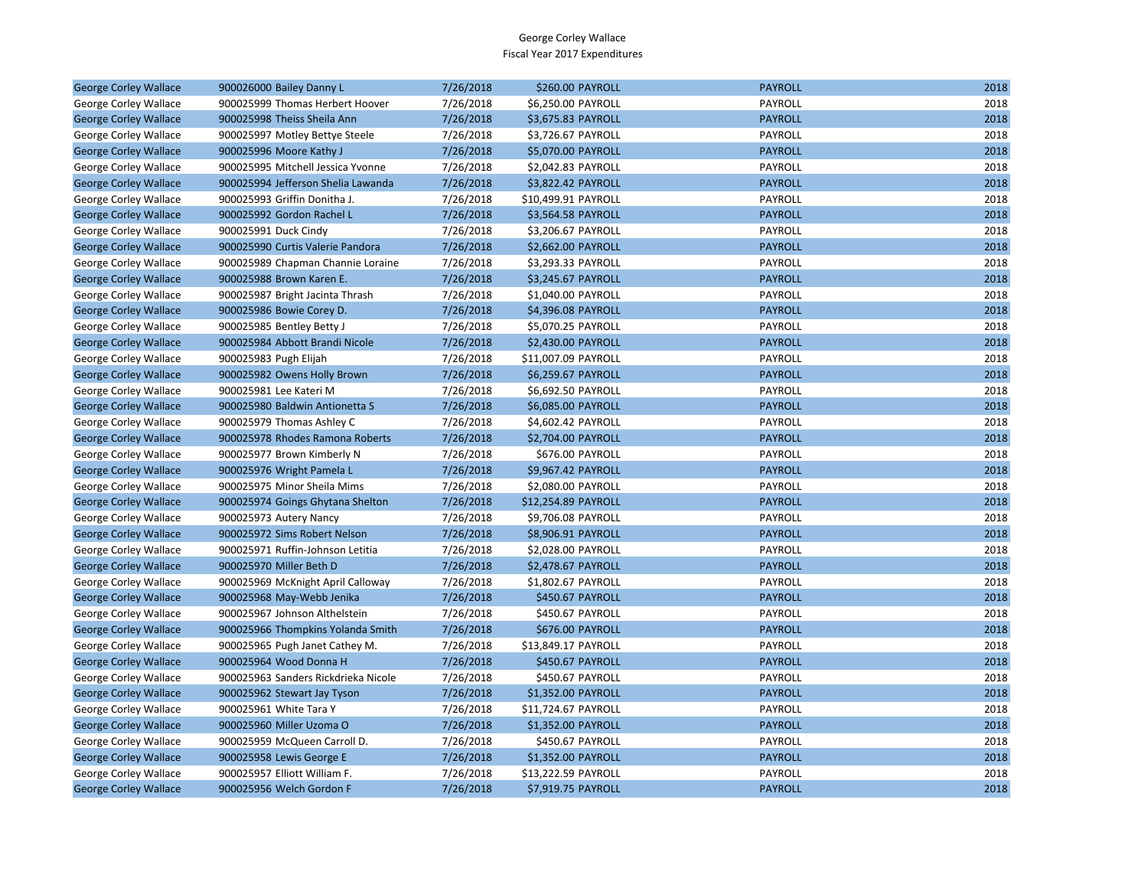| <b>George Corley Wallace</b> | 900026000 Bailey Danny L            | 7/26/2018 | \$260.00 PAYROLL    | <b>PAYROLL</b> | 2018 |
|------------------------------|-------------------------------------|-----------|---------------------|----------------|------|
| George Corley Wallace        | 900025999 Thomas Herbert Hoover     | 7/26/2018 | \$6,250.00 PAYROLL  | PAYROLL        | 2018 |
| <b>George Corley Wallace</b> | 900025998 Theiss Sheila Ann         | 7/26/2018 | \$3,675.83 PAYROLL  | <b>PAYROLL</b> | 2018 |
| George Corley Wallace        | 900025997 Motley Bettye Steele      | 7/26/2018 | \$3,726.67 PAYROLL  | PAYROLL        | 2018 |
| <b>George Corley Wallace</b> | 900025996 Moore Kathy J             | 7/26/2018 | \$5,070.00 PAYROLL  | <b>PAYROLL</b> | 2018 |
| George Corley Wallace        | 900025995 Mitchell Jessica Yvonne   | 7/26/2018 | \$2,042.83 PAYROLL  | PAYROLL        | 2018 |
| <b>George Corley Wallace</b> | 900025994 Jefferson Shelia Lawanda  | 7/26/2018 | \$3,822.42 PAYROLL  | <b>PAYROLL</b> | 2018 |
| George Corley Wallace        | 900025993 Griffin Donitha J.        | 7/26/2018 | \$10,499.91 PAYROLL | PAYROLL        | 2018 |
| <b>George Corley Wallace</b> | 900025992 Gordon Rachel L           | 7/26/2018 | \$3,564.58 PAYROLL  | <b>PAYROLL</b> | 2018 |
| George Corley Wallace        | 900025991 Duck Cindy                | 7/26/2018 | \$3,206.67 PAYROLL  | PAYROLL        | 2018 |
| <b>George Corley Wallace</b> | 900025990 Curtis Valerie Pandora    | 7/26/2018 | \$2,662.00 PAYROLL  | <b>PAYROLL</b> | 2018 |
| George Corley Wallace        | 900025989 Chapman Channie Loraine   | 7/26/2018 | \$3,293.33 PAYROLL  | PAYROLL        | 2018 |
| <b>George Corley Wallace</b> | 900025988 Brown Karen E.            | 7/26/2018 | \$3,245.67 PAYROLL  | <b>PAYROLL</b> | 2018 |
| George Corley Wallace        | 900025987 Bright Jacinta Thrash     | 7/26/2018 | \$1,040.00 PAYROLL  | PAYROLL        | 2018 |
| <b>George Corley Wallace</b> | 900025986 Bowie Corey D.            | 7/26/2018 | \$4,396.08 PAYROLL  | <b>PAYROLL</b> | 2018 |
| George Corley Wallace        | 900025985 Bentley Betty J           | 7/26/2018 | \$5,070.25 PAYROLL  | PAYROLL        | 2018 |
| <b>George Corley Wallace</b> | 900025984 Abbott Brandi Nicole      | 7/26/2018 | \$2,430.00 PAYROLL  | <b>PAYROLL</b> | 2018 |
| George Corley Wallace        | 900025983 Pugh Elijah               | 7/26/2018 | \$11,007.09 PAYROLL | PAYROLL        | 2018 |
| <b>George Corley Wallace</b> | 900025982 Owens Holly Brown         | 7/26/2018 | \$6,259.67 PAYROLL  | <b>PAYROLL</b> | 2018 |
| George Corley Wallace        | 900025981 Lee Kateri M              | 7/26/2018 | \$6,692.50 PAYROLL  | PAYROLL        | 2018 |
| <b>George Corley Wallace</b> | 900025980 Baldwin Antionetta S      | 7/26/2018 | \$6,085.00 PAYROLL  | <b>PAYROLL</b> | 2018 |
| George Corley Wallace        | 900025979 Thomas Ashley C           | 7/26/2018 | \$4,602.42 PAYROLL  | PAYROLL        | 2018 |
| <b>George Corley Wallace</b> | 900025978 Rhodes Ramona Roberts     | 7/26/2018 | \$2,704.00 PAYROLL  | <b>PAYROLL</b> | 2018 |
| George Corley Wallace        | 900025977 Brown Kimberly N          | 7/26/2018 | \$676.00 PAYROLL    | PAYROLL        | 2018 |
| <b>George Corley Wallace</b> | 900025976 Wright Pamela L           | 7/26/2018 | \$9,967.42 PAYROLL  | <b>PAYROLL</b> | 2018 |
| George Corley Wallace        | 900025975 Minor Sheila Mims         | 7/26/2018 | \$2,080.00 PAYROLL  | PAYROLL        | 2018 |
| <b>George Corley Wallace</b> | 900025974 Goings Ghytana Shelton    | 7/26/2018 | \$12,254.89 PAYROLL | <b>PAYROLL</b> | 2018 |
| George Corley Wallace        | 900025973 Autery Nancy              | 7/26/2018 | \$9,706.08 PAYROLL  | PAYROLL        | 2018 |
| <b>George Corley Wallace</b> | 900025972 Sims Robert Nelson        | 7/26/2018 | \$8,906.91 PAYROLL  | <b>PAYROLL</b> | 2018 |
| George Corley Wallace        | 900025971 Ruffin-Johnson Letitia    | 7/26/2018 | \$2,028.00 PAYROLL  | PAYROLL        | 2018 |
| <b>George Corley Wallace</b> | 900025970 Miller Beth D             | 7/26/2018 | \$2,478.67 PAYROLL  | <b>PAYROLL</b> | 2018 |
| George Corley Wallace        | 900025969 McKnight April Calloway   | 7/26/2018 | \$1,802.67 PAYROLL  | PAYROLL        | 2018 |
| <b>George Corley Wallace</b> | 900025968 May-Webb Jenika           | 7/26/2018 | \$450.67 PAYROLL    | <b>PAYROLL</b> | 2018 |
| George Corley Wallace        | 900025967 Johnson Althelstein       | 7/26/2018 | \$450.67 PAYROLL    | PAYROLL        | 2018 |
| <b>George Corley Wallace</b> | 900025966 Thompkins Yolanda Smith   | 7/26/2018 | \$676.00 PAYROLL    | <b>PAYROLL</b> | 2018 |
| George Corley Wallace        | 900025965 Pugh Janet Cathey M.      | 7/26/2018 | \$13,849.17 PAYROLL | PAYROLL        | 2018 |
| <b>George Corley Wallace</b> | 900025964 Wood Donna H              | 7/26/2018 | \$450.67 PAYROLL    | <b>PAYROLL</b> | 2018 |
| George Corley Wallace        | 900025963 Sanders Rickdrieka Nicole | 7/26/2018 | \$450.67 PAYROLL    | PAYROLL        | 2018 |
| <b>George Corley Wallace</b> | 900025962 Stewart Jay Tyson         | 7/26/2018 | \$1,352.00 PAYROLL  | <b>PAYROLL</b> | 2018 |
| George Corley Wallace        | 900025961 White Tara Y              | 7/26/2018 | \$11,724.67 PAYROLL | PAYROLL        | 2018 |
| <b>George Corley Wallace</b> | 900025960 Miller Uzoma O            | 7/26/2018 | \$1,352.00 PAYROLL  | <b>PAYROLL</b> | 2018 |
| George Corley Wallace        | 900025959 McQueen Carroll D.        | 7/26/2018 | \$450.67 PAYROLL    | PAYROLL        | 2018 |
| <b>George Corley Wallace</b> | 900025958 Lewis George E            | 7/26/2018 | \$1,352.00 PAYROLL  | <b>PAYROLL</b> | 2018 |
| George Corley Wallace        | 900025957 Elliott William F.        | 7/26/2018 | \$13,222.59 PAYROLL | PAYROLL        | 2018 |
| <b>George Corley Wallace</b> | 900025956 Welch Gordon F            | 7/26/2018 | \$7,919.75 PAYROLL  | <b>PAYROLL</b> | 2018 |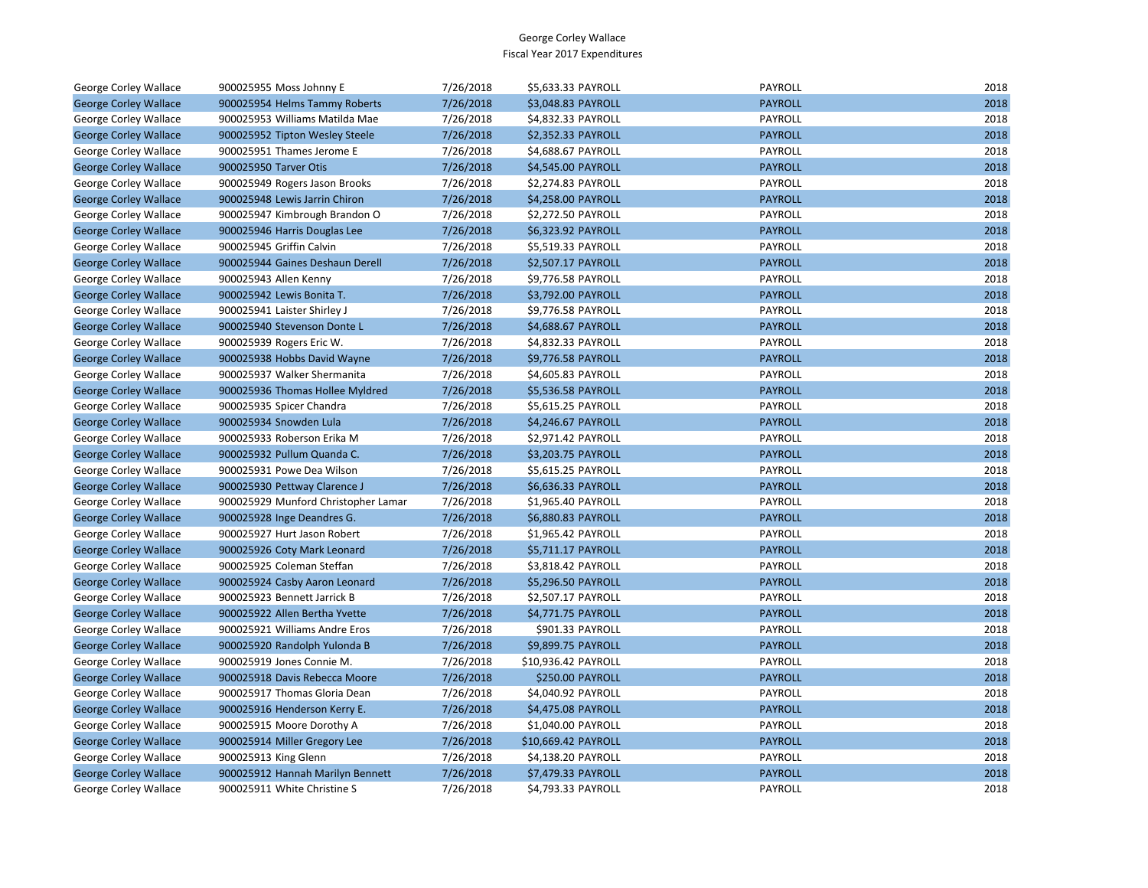| George Corley Wallace        | 900025955 Moss Johnny E             | 7/26/2018 | \$5,633.33 PAYROLL      | PAYROLL        | 2018 |
|------------------------------|-------------------------------------|-----------|-------------------------|----------------|------|
| <b>George Corley Wallace</b> | 900025954 Helms Tammy Roberts       | 7/26/2018 | \$3,048.83 PAYROLL      | <b>PAYROLL</b> | 2018 |
| George Corley Wallace        | 900025953 Williams Matilda Mae      | 7/26/2018 | \$4,832.33 PAYROLL      | PAYROLL        | 2018 |
| <b>George Corley Wallace</b> | 900025952 Tipton Wesley Steele      | 7/26/2018 | \$2,352.33 PAYROLL      | <b>PAYROLL</b> | 2018 |
| George Corley Wallace        | 900025951 Thames Jerome E           | 7/26/2018 | \$4,688.67 PAYROLL      | PAYROLL        | 2018 |
| <b>George Corley Wallace</b> | 900025950 Tarver Otis               | 7/26/2018 | \$4,545.00 PAYROLL      | <b>PAYROLL</b> | 2018 |
| George Corley Wallace        | 900025949 Rogers Jason Brooks       | 7/26/2018 | \$2,274.83 PAYROLL      | PAYROLL        | 2018 |
| <b>George Corley Wallace</b> | 900025948 Lewis Jarrin Chiron       | 7/26/2018 | \$4,258.00 PAYROLL      | <b>PAYROLL</b> | 2018 |
| George Corley Wallace        | 900025947 Kimbrough Brandon O       | 7/26/2018 | \$2,272.50 PAYROLL      | PAYROLL        | 2018 |
| <b>George Corley Wallace</b> | 900025946 Harris Douglas Lee        | 7/26/2018 | \$6,323.92 PAYROLL      | <b>PAYROLL</b> | 2018 |
| George Corley Wallace        | 900025945 Griffin Calvin            | 7/26/2018 | \$5,519.33 PAYROLL      | PAYROLL        | 2018 |
| <b>George Corley Wallace</b> | 900025944 Gaines Deshaun Derell     | 7/26/2018 | \$2,507.17 PAYROLL      | <b>PAYROLL</b> | 2018 |
| George Corley Wallace        | 900025943 Allen Kenny               | 7/26/2018 | \$9,776.58 PAYROLL      | PAYROLL        | 2018 |
| <b>George Corley Wallace</b> | 900025942 Lewis Bonita T.           | 7/26/2018 | \$3,792.00 PAYROLL      | <b>PAYROLL</b> | 2018 |
| George Corley Wallace        | 900025941 Laister Shirley J         | 7/26/2018 | \$9,776.58 PAYROLL      | PAYROLL        | 2018 |
| <b>George Corley Wallace</b> | 900025940 Stevenson Donte L         | 7/26/2018 | \$4,688.67 PAYROLL      | <b>PAYROLL</b> | 2018 |
| George Corley Wallace        | 900025939 Rogers Eric W.            | 7/26/2018 | \$4,832.33 PAYROLL      | PAYROLL        | 2018 |
| <b>George Corley Wallace</b> | 900025938 Hobbs David Wayne         | 7/26/2018 | \$9,776.58 PAYROLL      | <b>PAYROLL</b> | 2018 |
| George Corley Wallace        | 900025937 Walker Shermanita         | 7/26/2018 | \$4,605.83 PAYROLL      | PAYROLL        | 2018 |
| <b>George Corley Wallace</b> | 900025936 Thomas Hollee Myldred     | 7/26/2018 | \$5,536.58 PAYROLL      | <b>PAYROLL</b> | 2018 |
| George Corley Wallace        | 900025935 Spicer Chandra            | 7/26/2018 | \$5,615.25 PAYROLL      | PAYROLL        | 2018 |
| <b>George Corley Wallace</b> | 900025934 Snowden Lula              | 7/26/2018 | \$4,246.67 PAYROLL      | <b>PAYROLL</b> | 2018 |
| George Corley Wallace        | 900025933 Roberson Erika M          | 7/26/2018 | \$2,971.42 PAYROLL      | PAYROLL        | 2018 |
| <b>George Corley Wallace</b> | 900025932 Pullum Quanda C.          | 7/26/2018 | \$3,203.75 PAYROLL      | <b>PAYROLL</b> | 2018 |
| George Corley Wallace        | 900025931 Powe Dea Wilson           | 7/26/2018 | \$5,615.25 PAYROLL      | PAYROLL        | 2018 |
| <b>George Corley Wallace</b> | 900025930 Pettway Clarence J        | 7/26/2018 | \$6,636.33 PAYROLL      | <b>PAYROLL</b> | 2018 |
| George Corley Wallace        | 900025929 Munford Christopher Lamar | 7/26/2018 | \$1,965.40 PAYROLL      | PAYROLL        | 2018 |
| <b>George Corley Wallace</b> | 900025928 Inge Deandres G.          | 7/26/2018 | \$6,880.83 PAYROLL      | <b>PAYROLL</b> | 2018 |
| George Corley Wallace        | 900025927 Hurt Jason Robert         | 7/26/2018 | \$1,965.42 PAYROLL      | PAYROLL        | 2018 |
| <b>George Corley Wallace</b> | 900025926 Coty Mark Leonard         | 7/26/2018 | \$5,711.17 PAYROLL      | <b>PAYROLL</b> | 2018 |
| George Corley Wallace        | 900025925 Coleman Steffan           | 7/26/2018 | \$3,818.42 PAYROLL      | PAYROLL        | 2018 |
| <b>George Corley Wallace</b> | 900025924 Casby Aaron Leonard       | 7/26/2018 | \$5,296.50 PAYROLL      | <b>PAYROLL</b> | 2018 |
| George Corley Wallace        | 900025923 Bennett Jarrick B         | 7/26/2018 | \$2,507.17 PAYROLL      | PAYROLL        | 2018 |
| <b>George Corley Wallace</b> | 900025922 Allen Bertha Yvette       | 7/26/2018 | \$4,771.75 PAYROLL      | <b>PAYROLL</b> | 2018 |
| George Corley Wallace        | 900025921 Williams Andre Eros       | 7/26/2018 | \$901.33 PAYROLL        | PAYROLL        | 2018 |
| <b>George Corley Wallace</b> | 900025920 Randolph Yulonda B        | 7/26/2018 | \$9,899.75 PAYROLL      | <b>PAYROLL</b> | 2018 |
| George Corley Wallace        | 900025919 Jones Connie M.           | 7/26/2018 | \$10,936.42 PAYROLL     | PAYROLL        | 2018 |
| <b>George Corley Wallace</b> | 900025918 Davis Rebecca Moore       | 7/26/2018 | <b>\$250.00 PAYROLL</b> | <b>PAYROLL</b> | 2018 |
| George Corley Wallace        | 900025917 Thomas Gloria Dean        | 7/26/2018 | \$4,040.92 PAYROLL      | PAYROLL        | 2018 |
| <b>George Corley Wallace</b> | 900025916 Henderson Kerry E.        | 7/26/2018 | \$4,475.08 PAYROLL      | <b>PAYROLL</b> | 2018 |
| George Corley Wallace        | 900025915 Moore Dorothy A           | 7/26/2018 | \$1,040.00 PAYROLL      | PAYROLL        | 2018 |
| <b>George Corley Wallace</b> | 900025914 Miller Gregory Lee        | 7/26/2018 | \$10,669.42 PAYROLL     | <b>PAYROLL</b> | 2018 |
| George Corley Wallace        | 900025913 King Glenn                | 7/26/2018 | \$4,138.20 PAYROLL      | PAYROLL        | 2018 |
| <b>George Corley Wallace</b> | 900025912 Hannah Marilyn Bennett    | 7/26/2018 | \$7,479.33 PAYROLL      | <b>PAYROLL</b> | 2018 |
| <b>George Corley Wallace</b> | 900025911 White Christine S         | 7/26/2018 | \$4.793.33 PAYROLL      | PAYROLL        | 2018 |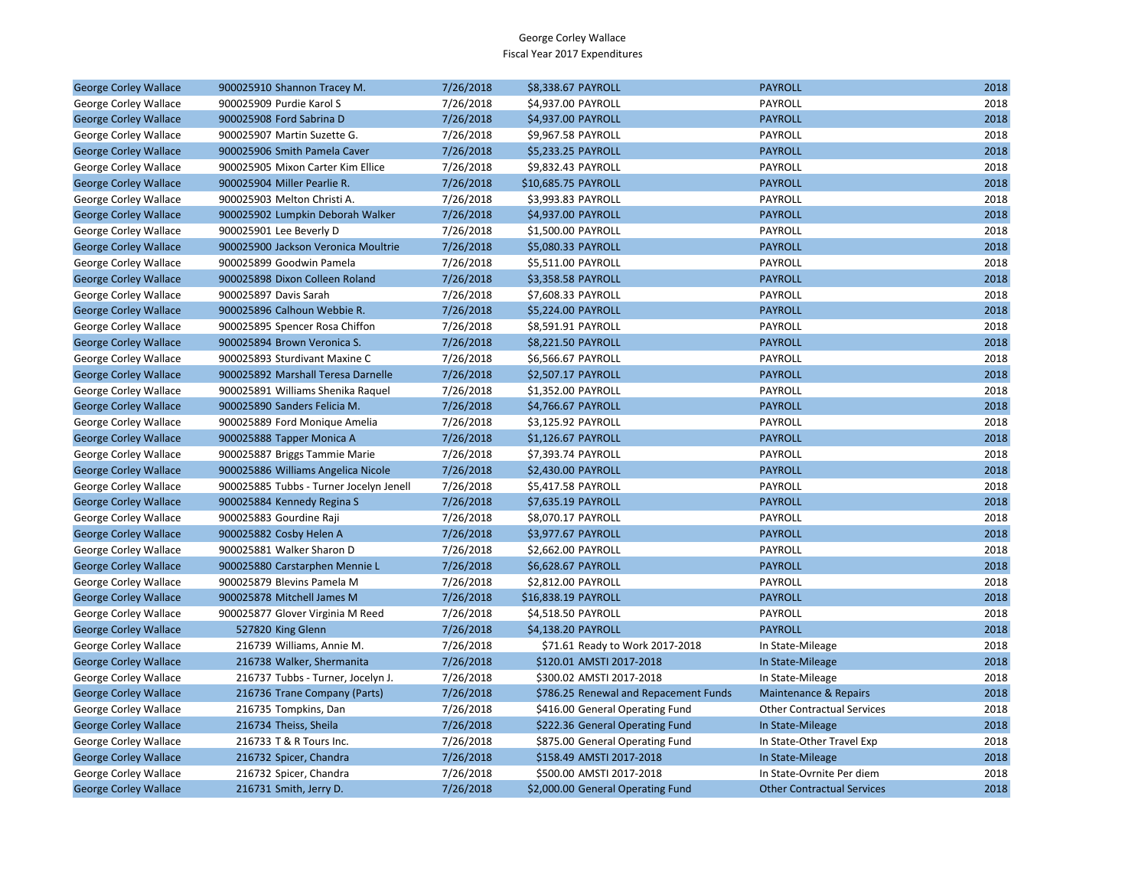| <b>George Corley Wallace</b> | 900025910 Shannon Tracey M.             | 7/26/2018 | \$8,338.67 PAYROLL                    | <b>PAYROLL</b>                    | 2018 |
|------------------------------|-----------------------------------------|-----------|---------------------------------------|-----------------------------------|------|
| George Corley Wallace        | 900025909 Purdie Karol S                | 7/26/2018 | \$4,937.00 PAYROLL                    | PAYROLL                           | 2018 |
| <b>George Corley Wallace</b> | 900025908 Ford Sabrina D                | 7/26/2018 | \$4,937.00 PAYROLL                    | <b>PAYROLL</b>                    | 2018 |
| George Corley Wallace        | 900025907 Martin Suzette G.             | 7/26/2018 | \$9,967.58 PAYROLL                    | PAYROLL                           | 2018 |
| <b>George Corley Wallace</b> | 900025906 Smith Pamela Caver            | 7/26/2018 | \$5,233.25 PAYROLL                    | <b>PAYROLL</b>                    | 2018 |
| George Corley Wallace        | 900025905 Mixon Carter Kim Ellice       | 7/26/2018 | \$9,832.43 PAYROLL                    | PAYROLL                           | 2018 |
| <b>George Corley Wallace</b> | 900025904 Miller Pearlie R.             | 7/26/2018 | \$10,685.75 PAYROLL                   | <b>PAYROLL</b>                    | 2018 |
| George Corley Wallace        | 900025903 Melton Christi A.             | 7/26/2018 | \$3,993.83 PAYROLL                    | PAYROLL                           | 2018 |
| <b>George Corley Wallace</b> | 900025902 Lumpkin Deborah Walker        | 7/26/2018 | \$4,937.00 PAYROLL                    | <b>PAYROLL</b>                    | 2018 |
| George Corley Wallace        | 900025901 Lee Beverly D                 | 7/26/2018 | \$1,500.00 PAYROLL                    | PAYROLL                           | 2018 |
| <b>George Corley Wallace</b> | 900025900 Jackson Veronica Moultrie     | 7/26/2018 | \$5,080.33 PAYROLL                    | <b>PAYROLL</b>                    | 2018 |
| George Corley Wallace        | 900025899 Goodwin Pamela                | 7/26/2018 | \$5,511.00 PAYROLL                    | PAYROLL                           | 2018 |
| <b>George Corley Wallace</b> | 900025898 Dixon Colleen Roland          | 7/26/2018 | \$3,358.58 PAYROLL                    | <b>PAYROLL</b>                    | 2018 |
| George Corley Wallace        | 900025897 Davis Sarah                   | 7/26/2018 | \$7,608.33 PAYROLL                    | PAYROLL                           | 2018 |
| <b>George Corley Wallace</b> | 900025896 Calhoun Webbie R.             | 7/26/2018 | \$5,224.00 PAYROLL                    | <b>PAYROLL</b>                    | 2018 |
| George Corley Wallace        | 900025895 Spencer Rosa Chiffon          | 7/26/2018 | \$8,591.91 PAYROLL                    | PAYROLL                           | 2018 |
| <b>George Corley Wallace</b> | 900025894 Brown Veronica S.             | 7/26/2018 | \$8,221.50 PAYROLL                    | <b>PAYROLL</b>                    | 2018 |
| George Corley Wallace        | 900025893 Sturdivant Maxine C           | 7/26/2018 | \$6,566.67 PAYROLL                    | PAYROLL                           | 2018 |
| <b>George Corley Wallace</b> | 900025892 Marshall Teresa Darnelle      | 7/26/2018 | \$2,507.17 PAYROLL                    | <b>PAYROLL</b>                    | 2018 |
| George Corley Wallace        | 900025891 Williams Shenika Raquel       | 7/26/2018 | \$1,352.00 PAYROLL                    | PAYROLL                           | 2018 |
| <b>George Corley Wallace</b> | 900025890 Sanders Felicia M.            | 7/26/2018 | \$4,766.67 PAYROLL                    | <b>PAYROLL</b>                    | 2018 |
| George Corley Wallace        | 900025889 Ford Monique Amelia           | 7/26/2018 | \$3,125.92 PAYROLL                    | PAYROLL                           | 2018 |
| <b>George Corley Wallace</b> | 900025888 Tapper Monica A               | 7/26/2018 | \$1,126.67 PAYROLL                    | <b>PAYROLL</b>                    | 2018 |
| George Corley Wallace        | 900025887 Briggs Tammie Marie           | 7/26/2018 | \$7,393.74 PAYROLL                    | PAYROLL                           | 2018 |
| <b>George Corley Wallace</b> | 900025886 Williams Angelica Nicole      | 7/26/2018 | \$2,430.00 PAYROLL                    | <b>PAYROLL</b>                    | 2018 |
| George Corley Wallace        | 900025885 Tubbs - Turner Jocelyn Jenell | 7/26/2018 | \$5,417.58 PAYROLL                    | PAYROLL                           | 2018 |
| <b>George Corley Wallace</b> | 900025884 Kennedy Regina S              | 7/26/2018 | \$7,635.19 PAYROLL                    | <b>PAYROLL</b>                    | 2018 |
| George Corley Wallace        | 900025883 Gourdine Raji                 | 7/26/2018 | \$8,070.17 PAYROLL                    | PAYROLL                           | 2018 |
| <b>George Corley Wallace</b> | 900025882 Cosby Helen A                 | 7/26/2018 | \$3,977.67 PAYROLL                    | <b>PAYROLL</b>                    | 2018 |
| George Corley Wallace        | 900025881 Walker Sharon D               | 7/26/2018 | \$2,662.00 PAYROLL                    | PAYROLL                           | 2018 |
| <b>George Corley Wallace</b> | 900025880 Carstarphen Mennie L          | 7/26/2018 | \$6,628.67 PAYROLL                    | <b>PAYROLL</b>                    | 2018 |
| George Corley Wallace        | 900025879 Blevins Pamela M              | 7/26/2018 | \$2,812.00 PAYROLL                    | PAYROLL                           | 2018 |
| <b>George Corley Wallace</b> | 900025878 Mitchell James M              | 7/26/2018 | \$16,838.19 PAYROLL                   | <b>PAYROLL</b>                    | 2018 |
| George Corley Wallace        | 900025877 Glover Virginia M Reed        | 7/26/2018 | \$4,518.50 PAYROLL                    | PAYROLL                           | 2018 |
| <b>George Corley Wallace</b> | 527820 King Glenn                       | 7/26/2018 | \$4,138.20 PAYROLL                    | <b>PAYROLL</b>                    | 2018 |
| George Corley Wallace        | 216739 Williams, Annie M.               | 7/26/2018 | \$71.61 Ready to Work 2017-2018       | In State-Mileage                  | 2018 |
| <b>George Corley Wallace</b> | 216738 Walker, Shermanita               | 7/26/2018 | \$120.01 AMSTI 2017-2018              | In State-Mileage                  | 2018 |
| George Corley Wallace        | 216737 Tubbs - Turner, Jocelyn J.       | 7/26/2018 | \$300.02 AMSTI 2017-2018              | In State-Mileage                  | 2018 |
| <b>George Corley Wallace</b> | 216736 Trane Company (Parts)            | 7/26/2018 | \$786.25 Renewal and Repacement Funds | Maintenance & Repairs             | 2018 |
| George Corley Wallace        | 216735 Tompkins, Dan                    | 7/26/2018 | \$416.00 General Operating Fund       | <b>Other Contractual Services</b> | 2018 |
| <b>George Corley Wallace</b> | 216734 Theiss, Sheila                   | 7/26/2018 | \$222.36 General Operating Fund       | In State-Mileage                  | 2018 |
| George Corley Wallace        | 216733 T & R Tours Inc.                 | 7/26/2018 | \$875.00 General Operating Fund       | In State-Other Travel Exp         | 2018 |
| <b>George Corley Wallace</b> | 216732 Spicer, Chandra                  | 7/26/2018 | \$158.49 AMSTI 2017-2018              | In State-Mileage                  | 2018 |
| George Corley Wallace        | 216732 Spicer, Chandra                  | 7/26/2018 | \$500.00 AMSTI 2017-2018              | In State-Ovrnite Per diem         | 2018 |
| <b>George Corley Wallace</b> | 216731 Smith, Jerry D.                  | 7/26/2018 | \$2,000.00 General Operating Fund     | <b>Other Contractual Services</b> | 2018 |
|                              |                                         |           |                                       |                                   |      |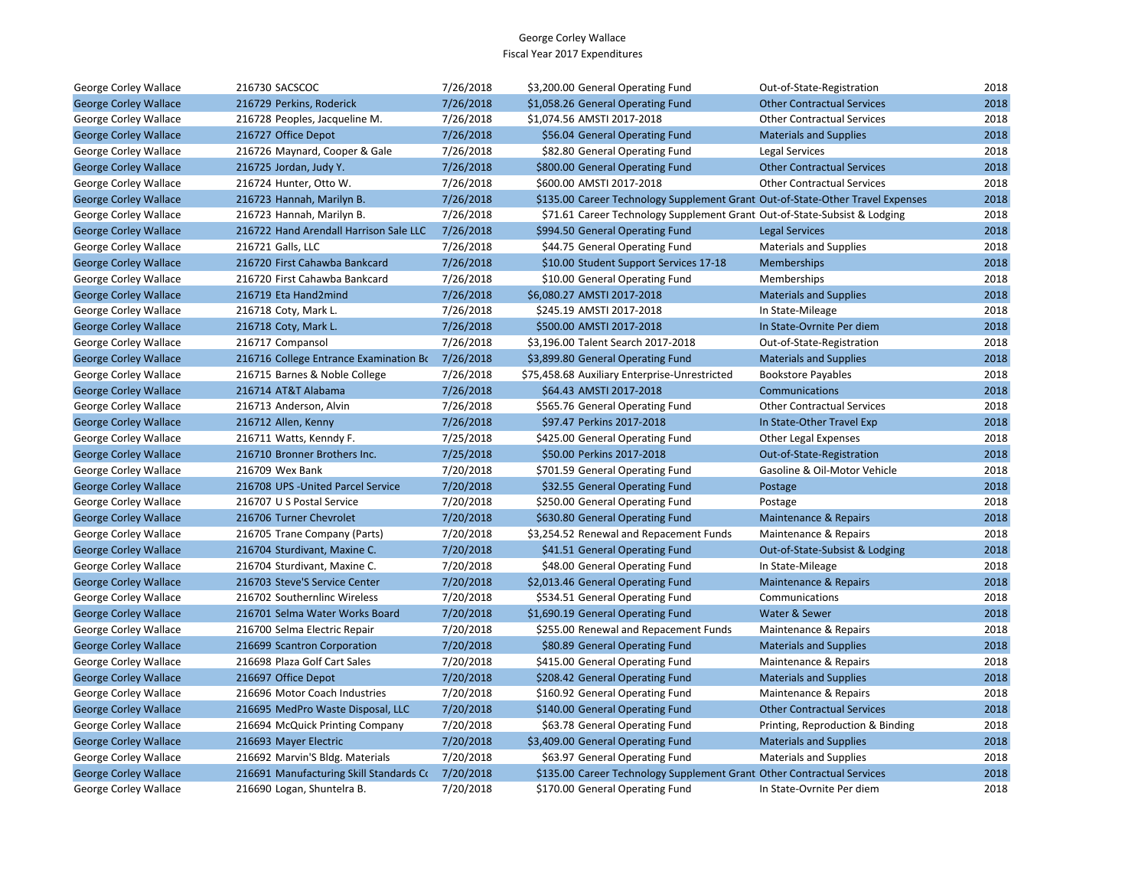| George Corley Wallace        | 216730 SACSCOC                          | 7/26/2018 | \$3,200.00 General Operating Fund                                              | Out-of-State-Registration         | 2018 |
|------------------------------|-----------------------------------------|-----------|--------------------------------------------------------------------------------|-----------------------------------|------|
| <b>George Corley Wallace</b> | 216729 Perkins, Roderick                | 7/26/2018 | \$1,058.26 General Operating Fund                                              | <b>Other Contractual Services</b> | 2018 |
| George Corley Wallace        | 216728 Peoples, Jacqueline M.           | 7/26/2018 | \$1,074.56 AMSTI 2017-2018                                                     | <b>Other Contractual Services</b> | 2018 |
| <b>George Corley Wallace</b> | 216727 Office Depot                     | 7/26/2018 | \$56.04 General Operating Fund                                                 | <b>Materials and Supplies</b>     | 2018 |
| George Corley Wallace        | 216726 Maynard, Cooper & Gale           | 7/26/2018 | \$82.80 General Operating Fund                                                 | Legal Services                    | 2018 |
| <b>George Corley Wallace</b> | 216725 Jordan, Judy Y.                  | 7/26/2018 | \$800.00 General Operating Fund                                                | <b>Other Contractual Services</b> | 2018 |
| George Corley Wallace        | 216724 Hunter, Otto W.                  | 7/26/2018 | \$600.00 AMSTI 2017-2018                                                       | <b>Other Contractual Services</b> | 2018 |
| <b>George Corley Wallace</b> | 216723 Hannah, Marilyn B.               | 7/26/2018 | \$135.00 Career Technology Supplement Grant Out-of-State-Other Travel Expenses |                                   | 2018 |
| George Corley Wallace        | 216723 Hannah, Marilyn B.               | 7/26/2018 | \$71.61 Career Technology Supplement Grant Out-of-State-Subsist & Lodging      |                                   | 2018 |
| <b>George Corley Wallace</b> | 216722 Hand Arendall Harrison Sale LLC  | 7/26/2018 | \$994.50 General Operating Fund                                                | <b>Legal Services</b>             | 2018 |
| George Corley Wallace        | 216721 Galls, LLC                       | 7/26/2018 | \$44.75 General Operating Fund                                                 | <b>Materials and Supplies</b>     | 2018 |
| <b>George Corley Wallace</b> | 216720 First Cahawba Bankcard           | 7/26/2018 | \$10.00 Student Support Services 17-18                                         | <b>Memberships</b>                | 2018 |
| George Corley Wallace        | 216720 First Cahawba Bankcard           | 7/26/2018 | \$10.00 General Operating Fund                                                 | Memberships                       | 2018 |
| <b>George Corley Wallace</b> | 216719 Eta Hand2mind                    | 7/26/2018 | \$6,080.27 AMSTI 2017-2018                                                     | <b>Materials and Supplies</b>     | 2018 |
| George Corley Wallace        | 216718 Coty, Mark L.                    | 7/26/2018 | \$245.19 AMSTI 2017-2018                                                       | In State-Mileage                  | 2018 |
| <b>George Corley Wallace</b> | 216718 Coty, Mark L.                    | 7/26/2018 | \$500.00 AMSTI 2017-2018                                                       | In State-Ovrnite Per diem         | 2018 |
| George Corley Wallace        | 216717 Compansol                        | 7/26/2018 | \$3,196.00 Talent Search 2017-2018                                             | Out-of-State-Registration         | 2018 |
| <b>George Corley Wallace</b> | 216716 College Entrance Examination Bo  | 7/26/2018 | \$3,899.80 General Operating Fund                                              | <b>Materials and Supplies</b>     | 2018 |
| George Corley Wallace        | 216715 Barnes & Noble College           | 7/26/2018 | \$75,458.68 Auxiliary Enterprise-Unrestricted                                  | <b>Bookstore Payables</b>         | 2018 |
| <b>George Corley Wallace</b> | 216714 AT&T Alabama                     | 7/26/2018 | \$64.43 AMSTI 2017-2018                                                        | Communications                    | 2018 |
| George Corley Wallace        | 216713 Anderson, Alvin                  | 7/26/2018 | \$565.76 General Operating Fund                                                | <b>Other Contractual Services</b> | 2018 |
| <b>George Corley Wallace</b> | 216712 Allen, Kenny                     | 7/26/2018 | \$97.47 Perkins 2017-2018                                                      | In State-Other Travel Exp         | 2018 |
| George Corley Wallace        | 216711 Watts, Kenndy F.                 | 7/25/2018 | \$425.00 General Operating Fund                                                | Other Legal Expenses              | 2018 |
| <b>George Corley Wallace</b> | 216710 Bronner Brothers Inc.            | 7/25/2018 | \$50.00 Perkins 2017-2018                                                      | Out-of-State-Registration         | 2018 |
| George Corley Wallace        | 216709 Wex Bank                         | 7/20/2018 | \$701.59 General Operating Fund                                                | Gasoline & Oil-Motor Vehicle      | 2018 |
| <b>George Corley Wallace</b> | 216708 UPS - United Parcel Service      | 7/20/2018 | \$32.55 General Operating Fund                                                 | Postage                           | 2018 |
| George Corley Wallace        | 216707 U S Postal Service               | 7/20/2018 | \$250.00 General Operating Fund                                                | Postage                           | 2018 |
| <b>George Corley Wallace</b> | 216706 Turner Chevrolet                 | 7/20/2018 | \$630.80 General Operating Fund                                                | Maintenance & Repairs             | 2018 |
| George Corley Wallace        | 216705 Trane Company (Parts)            | 7/20/2018 | \$3,254.52 Renewal and Repacement Funds                                        | Maintenance & Repairs             | 2018 |
| <b>George Corley Wallace</b> | 216704 Sturdivant, Maxine C.            | 7/20/2018 | \$41.51 General Operating Fund                                                 | Out-of-State-Subsist & Lodging    | 2018 |
| George Corley Wallace        | 216704 Sturdivant, Maxine C.            | 7/20/2018 | \$48.00 General Operating Fund                                                 | In State-Mileage                  | 2018 |
| <b>George Corley Wallace</b> | 216703 Steve'S Service Center           | 7/20/2018 | \$2,013.46 General Operating Fund                                              | Maintenance & Repairs             | 2018 |
| George Corley Wallace        | 216702 Southernlinc Wireless            | 7/20/2018 | \$534.51 General Operating Fund                                                | Communications                    | 2018 |
| <b>George Corley Wallace</b> | 216701 Selma Water Works Board          | 7/20/2018 | \$1,690.19 General Operating Fund                                              | Water & Sewer                     | 2018 |
| George Corley Wallace        | 216700 Selma Electric Repair            | 7/20/2018 | \$255.00 Renewal and Repacement Funds                                          | Maintenance & Repairs             | 2018 |
| <b>George Corley Wallace</b> | 216699 Scantron Corporation             | 7/20/2018 | \$80.89 General Operating Fund                                                 | <b>Materials and Supplies</b>     | 2018 |
| George Corley Wallace        | 216698 Plaza Golf Cart Sales            | 7/20/2018 | \$415.00 General Operating Fund                                                | Maintenance & Repairs             | 2018 |
| <b>George Corley Wallace</b> | 216697 Office Depot                     | 7/20/2018 | \$208.42 General Operating Fund                                                | <b>Materials and Supplies</b>     | 2018 |
| George Corley Wallace        | 216696 Motor Coach Industries           | 7/20/2018 | \$160.92 General Operating Fund                                                | Maintenance & Repairs             | 2018 |
| <b>George Corley Wallace</b> | 216695 MedPro Waste Disposal, LLC       | 7/20/2018 | \$140.00 General Operating Fund                                                | <b>Other Contractual Services</b> | 2018 |
| George Corley Wallace        | 216694 McQuick Printing Company         | 7/20/2018 | \$63.78 General Operating Fund                                                 | Printing, Reproduction & Binding  | 2018 |
| <b>George Corley Wallace</b> | 216693 Mayer Electric                   | 7/20/2018 | \$3,409.00 General Operating Fund                                              | <b>Materials and Supplies</b>     | 2018 |
| George Corley Wallace        | 216692 Marvin'S Bldg. Materials         | 7/20/2018 | \$63.97 General Operating Fund                                                 | <b>Materials and Supplies</b>     | 2018 |
| <b>George Corley Wallace</b> | 216691 Manufacturing Skill Standards Co | 7/20/2018 | \$135.00 Career Technology Supplement Grant Other Contractual Services         |                                   | 2018 |
| George Corley Wallace        | 216690 Logan, Shuntelra B.              | 7/20/2018 | \$170.00 General Operating Fund                                                | In State-Ovrnite Per diem         | 2018 |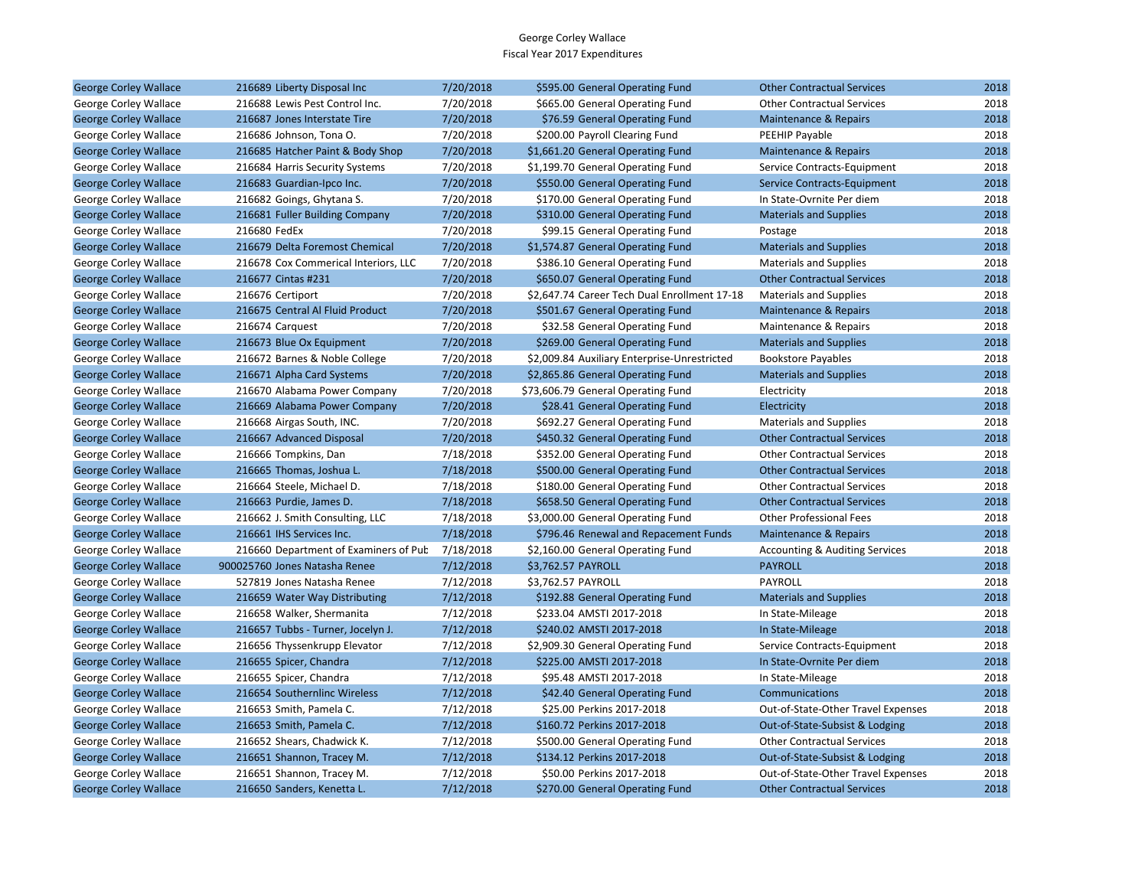| <b>George Corley Wallace</b> | 216689 Liberty Disposal Inc           | 7/20/2018 | \$595.00 General Operating Fund              | <b>Other Contractual Services</b>         | 2018 |
|------------------------------|---------------------------------------|-----------|----------------------------------------------|-------------------------------------------|------|
| George Corley Wallace        | 216688 Lewis Pest Control Inc.        | 7/20/2018 | \$665.00 General Operating Fund              | <b>Other Contractual Services</b>         | 2018 |
| <b>George Corley Wallace</b> | 216687 Jones Interstate Tire          | 7/20/2018 | \$76.59 General Operating Fund               | <b>Maintenance &amp; Repairs</b>          | 2018 |
| George Corley Wallace        | 216686 Johnson, Tona O.               | 7/20/2018 | \$200.00 Payroll Clearing Fund               | PEEHIP Payable                            | 2018 |
| <b>George Corley Wallace</b> | 216685 Hatcher Paint & Body Shop      | 7/20/2018 | \$1,661.20 General Operating Fund            | Maintenance & Repairs                     | 2018 |
| George Corley Wallace        | 216684 Harris Security Systems        | 7/20/2018 | \$1,199.70 General Operating Fund            | Service Contracts-Equipment               | 2018 |
| <b>George Corley Wallace</b> | 216683 Guardian-Ipco Inc.             | 7/20/2018 | \$550.00 General Operating Fund              | Service Contracts-Equipment               | 2018 |
| George Corley Wallace        | 216682 Goings, Ghytana S.             | 7/20/2018 | \$170.00 General Operating Fund              | In State-Ovrnite Per diem                 | 2018 |
| <b>George Corley Wallace</b> | 216681 Fuller Building Company        | 7/20/2018 | \$310.00 General Operating Fund              | <b>Materials and Supplies</b>             | 2018 |
| George Corley Wallace        | 216680 FedEx                          | 7/20/2018 | \$99.15 General Operating Fund               | Postage                                   | 2018 |
| <b>George Corley Wallace</b> | 216679 Delta Foremost Chemical        | 7/20/2018 | \$1,574.87 General Operating Fund            | <b>Materials and Supplies</b>             | 2018 |
| George Corley Wallace        | 216678 Cox Commerical Interiors, LLC  | 7/20/2018 | \$386.10 General Operating Fund              | <b>Materials and Supplies</b>             | 2018 |
| <b>George Corley Wallace</b> | 216677 Cintas #231                    | 7/20/2018 | \$650.07 General Operating Fund              | <b>Other Contractual Services</b>         | 2018 |
| George Corley Wallace        | 216676 Certiport                      | 7/20/2018 | \$2,647.74 Career Tech Dual Enrollment 17-18 | <b>Materials and Supplies</b>             | 2018 |
| <b>George Corley Wallace</b> | 216675 Central Al Fluid Product       | 7/20/2018 | \$501.67 General Operating Fund              | Maintenance & Repairs                     | 2018 |
| George Corley Wallace        | 216674 Carquest                       | 7/20/2018 | \$32.58 General Operating Fund               | Maintenance & Repairs                     | 2018 |
| <b>George Corley Wallace</b> | 216673 Blue Ox Equipment              | 7/20/2018 | \$269.00 General Operating Fund              | <b>Materials and Supplies</b>             | 2018 |
| George Corley Wallace        | 216672 Barnes & Noble College         | 7/20/2018 | \$2,009.84 Auxiliary Enterprise-Unrestricted | <b>Bookstore Payables</b>                 | 2018 |
| <b>George Corley Wallace</b> | 216671 Alpha Card Systems             | 7/20/2018 | \$2,865.86 General Operating Fund            | <b>Materials and Supplies</b>             | 2018 |
| George Corley Wallace        | 216670 Alabama Power Company          | 7/20/2018 | \$73,606.79 General Operating Fund           | Electricity                               | 2018 |
| <b>George Corley Wallace</b> | 216669 Alabama Power Company          | 7/20/2018 | \$28.41 General Operating Fund               | Electricity                               | 2018 |
| George Corley Wallace        | 216668 Airgas South, INC.             | 7/20/2018 | \$692.27 General Operating Fund              | <b>Materials and Supplies</b>             | 2018 |
| <b>George Corley Wallace</b> | 216667 Advanced Disposal              | 7/20/2018 | \$450.32 General Operating Fund              | <b>Other Contractual Services</b>         | 2018 |
| George Corley Wallace        | 216666 Tompkins, Dan                  | 7/18/2018 | \$352.00 General Operating Fund              | <b>Other Contractual Services</b>         | 2018 |
| <b>George Corley Wallace</b> | 216665 Thomas, Joshua L.              | 7/18/2018 | \$500.00 General Operating Fund              | <b>Other Contractual Services</b>         | 2018 |
| George Corley Wallace        | 216664 Steele, Michael D.             | 7/18/2018 | \$180.00 General Operating Fund              | <b>Other Contractual Services</b>         | 2018 |
| <b>George Corley Wallace</b> | 216663 Purdie, James D.               | 7/18/2018 | \$658.50 General Operating Fund              | <b>Other Contractual Services</b>         | 2018 |
| George Corley Wallace        | 216662 J. Smith Consulting, LLC       | 7/18/2018 | \$3,000.00 General Operating Fund            | <b>Other Professional Fees</b>            | 2018 |
| <b>George Corley Wallace</b> | 216661 IHS Services Inc.              | 7/18/2018 | \$796.46 Renewal and Repacement Funds        | <b>Maintenance &amp; Repairs</b>          | 2018 |
| George Corley Wallace        | 216660 Department of Examiners of Pub | 7/18/2018 | \$2,160.00 General Operating Fund            | <b>Accounting &amp; Auditing Services</b> | 2018 |
| <b>George Corley Wallace</b> | 900025760 Jones Natasha Renee         | 7/12/2018 | \$3,762.57 PAYROLL                           | <b>PAYROLL</b>                            | 2018 |
| George Corley Wallace        | 527819 Jones Natasha Renee            | 7/12/2018 | \$3,762.57 PAYROLL                           | PAYROLL                                   | 2018 |
| <b>George Corley Wallace</b> | 216659 Water Way Distributing         | 7/12/2018 | \$192.88 General Operating Fund              | <b>Materials and Supplies</b>             | 2018 |
| George Corley Wallace        | 216658 Walker, Shermanita             | 7/12/2018 | \$233.04 AMSTI 2017-2018                     | In State-Mileage                          | 2018 |
| <b>George Corley Wallace</b> | 216657 Tubbs - Turner, Jocelyn J.     | 7/12/2018 | \$240.02 AMSTI 2017-2018                     | In State-Mileage                          | 2018 |
| George Corley Wallace        | 216656 Thyssenkrupp Elevator          | 7/12/2018 | \$2,909.30 General Operating Fund            | Service Contracts-Equipment               | 2018 |
| <b>George Corley Wallace</b> | 216655 Spicer, Chandra                | 7/12/2018 | \$225.00 AMSTI 2017-2018                     | In State-Ovrnite Per diem                 | 2018 |
| George Corley Wallace        | 216655 Spicer, Chandra                | 7/12/2018 | \$95.48 AMSTI 2017-2018                      | In State-Mileage                          | 2018 |
| <b>George Corley Wallace</b> | 216654 Southernlinc Wireless          | 7/12/2018 | \$42.40 General Operating Fund               | Communications                            | 2018 |
| George Corley Wallace        | 216653 Smith, Pamela C.               | 7/12/2018 | \$25.00 Perkins 2017-2018                    | Out-of-State-Other Travel Expenses        | 2018 |
| <b>George Corley Wallace</b> | 216653 Smith, Pamela C.               | 7/12/2018 | \$160.72 Perkins 2017-2018                   | Out-of-State-Subsist & Lodging            | 2018 |
| George Corley Wallace        | 216652 Shears, Chadwick K.            | 7/12/2018 | \$500.00 General Operating Fund              | <b>Other Contractual Services</b>         | 2018 |
| <b>George Corley Wallace</b> | 216651 Shannon, Tracey M.             | 7/12/2018 | \$134.12 Perkins 2017-2018                   | Out-of-State-Subsist & Lodging            | 2018 |
| George Corley Wallace        | 216651 Shannon, Tracey M.             | 7/12/2018 | \$50.00 Perkins 2017-2018                    | Out-of-State-Other Travel Expenses        | 2018 |
| <b>George Corley Wallace</b> | 216650 Sanders, Kenetta L.            | 7/12/2018 | \$270.00 General Operating Fund              | <b>Other Contractual Services</b>         | 2018 |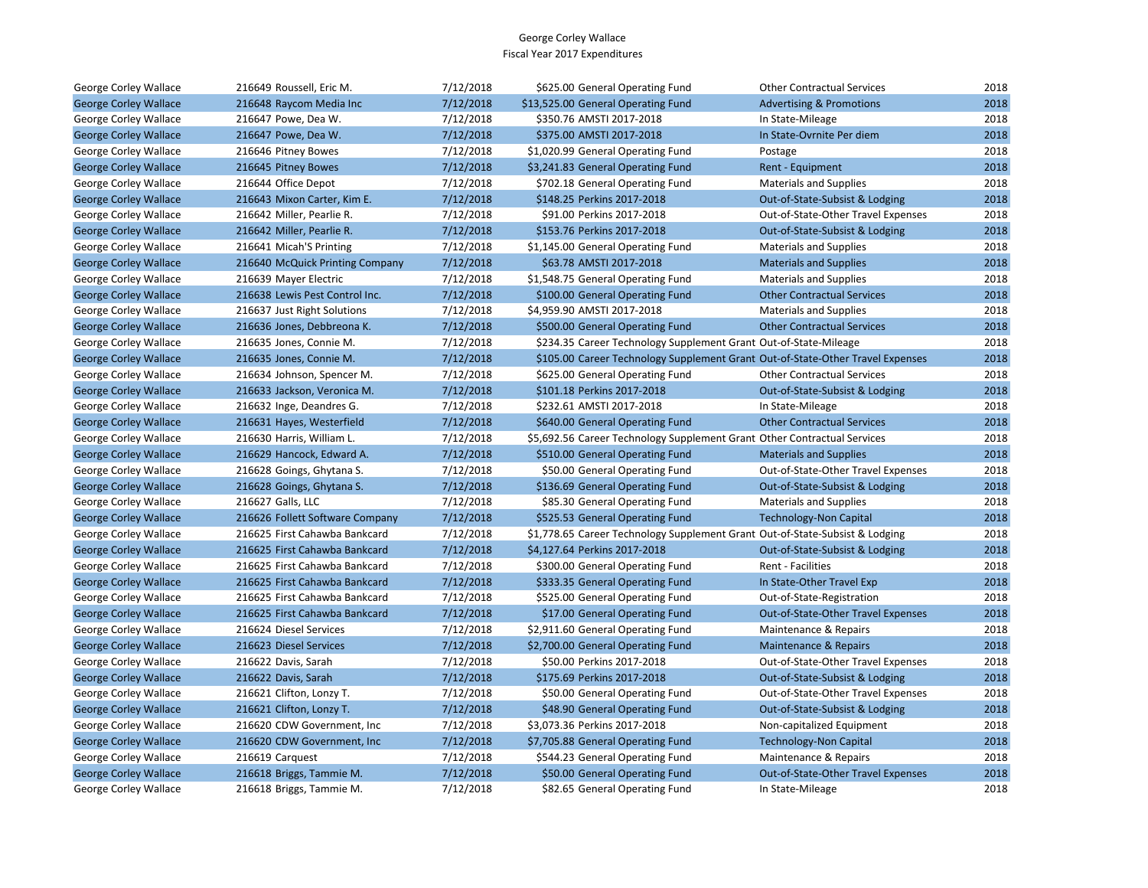| George Corley Wallace        | 216649 Roussell, Eric M.        | 7/12/2018 | \$625.00 General Operating Fund                                                | <b>Other Contractual Services</b>   | 2018 |
|------------------------------|---------------------------------|-----------|--------------------------------------------------------------------------------|-------------------------------------|------|
| <b>George Corley Wallace</b> | 216648 Raycom Media Inc         | 7/12/2018 | \$13,525.00 General Operating Fund                                             | <b>Advertising &amp; Promotions</b> | 2018 |
| George Corley Wallace        | 216647 Powe, Dea W.             | 7/12/2018 | \$350.76 AMSTI 2017-2018                                                       | In State-Mileage                    | 2018 |
| <b>George Corley Wallace</b> | 216647 Powe, Dea W.             | 7/12/2018 | \$375.00 AMSTI 2017-2018                                                       | In State-Ovrnite Per diem           | 2018 |
| George Corley Wallace        | 216646 Pitney Bowes             | 7/12/2018 | \$1,020.99 General Operating Fund                                              | Postage                             | 2018 |
| <b>George Corley Wallace</b> | 216645 Pitney Bowes             | 7/12/2018 | \$3,241.83 General Operating Fund                                              | Rent - Equipment                    | 2018 |
| George Corley Wallace        | 216644 Office Depot             | 7/12/2018 | \$702.18 General Operating Fund                                                | <b>Materials and Supplies</b>       | 2018 |
| <b>George Corley Wallace</b> | 216643 Mixon Carter, Kim E.     | 7/12/2018 | \$148.25 Perkins 2017-2018                                                     | Out-of-State-Subsist & Lodging      | 2018 |
| George Corley Wallace        | 216642 Miller, Pearlie R.       | 7/12/2018 | \$91.00 Perkins 2017-2018                                                      | Out-of-State-Other Travel Expenses  | 2018 |
| <b>George Corley Wallace</b> | 216642 Miller, Pearlie R.       | 7/12/2018 | \$153.76 Perkins 2017-2018                                                     | Out-of-State-Subsist & Lodging      | 2018 |
| George Corley Wallace        | 216641 Micah'S Printing         | 7/12/2018 | \$1,145.00 General Operating Fund                                              | <b>Materials and Supplies</b>       | 2018 |
| <b>George Corley Wallace</b> | 216640 McQuick Printing Company | 7/12/2018 | \$63.78 AMSTI 2017-2018                                                        | <b>Materials and Supplies</b>       | 2018 |
| George Corley Wallace        | 216639 Mayer Electric           | 7/12/2018 | \$1,548.75 General Operating Fund                                              | <b>Materials and Supplies</b>       | 2018 |
| <b>George Corley Wallace</b> | 216638 Lewis Pest Control Inc.  | 7/12/2018 | \$100.00 General Operating Fund                                                | <b>Other Contractual Services</b>   | 2018 |
| George Corley Wallace        | 216637 Just Right Solutions     | 7/12/2018 | \$4,959.90 AMSTI 2017-2018                                                     | <b>Materials and Supplies</b>       | 2018 |
| <b>George Corley Wallace</b> | 216636 Jones, Debbreona K.      | 7/12/2018 | \$500.00 General Operating Fund                                                | <b>Other Contractual Services</b>   | 2018 |
| George Corley Wallace        | 216635 Jones, Connie M.         | 7/12/2018 | \$234.35 Career Technology Supplement Grant Out-of-State-Mileage               |                                     | 2018 |
| <b>George Corley Wallace</b> | 216635 Jones, Connie M.         | 7/12/2018 | \$105.00 Career Technology Supplement Grant Out-of-State-Other Travel Expenses |                                     | 2018 |
| George Corley Wallace        | 216634 Johnson, Spencer M.      | 7/12/2018 | \$625.00 General Operating Fund                                                | <b>Other Contractual Services</b>   | 2018 |
| <b>George Corley Wallace</b> | 216633 Jackson, Veronica M.     | 7/12/2018 | \$101.18 Perkins 2017-2018                                                     | Out-of-State-Subsist & Lodging      | 2018 |
| George Corley Wallace        | 216632 Inge, Deandres G.        | 7/12/2018 | \$232.61 AMSTI 2017-2018                                                       | In State-Mileage                    | 2018 |
| <b>George Corley Wallace</b> | 216631 Hayes, Westerfield       | 7/12/2018 | \$640.00 General Operating Fund                                                | <b>Other Contractual Services</b>   | 2018 |
| George Corley Wallace        | 216630 Harris, William L.       | 7/12/2018 | \$5,692.56 Career Technology Supplement Grant Other Contractual Services       |                                     | 2018 |
| <b>George Corley Wallace</b> | 216629 Hancock, Edward A.       | 7/12/2018 | \$510.00 General Operating Fund                                                | <b>Materials and Supplies</b>       | 2018 |
| George Corley Wallace        | 216628 Goings, Ghytana S.       | 7/12/2018 | \$50.00 General Operating Fund                                                 | Out-of-State-Other Travel Expenses  | 2018 |
| <b>George Corley Wallace</b> | 216628 Goings, Ghytana S.       | 7/12/2018 | \$136.69 General Operating Fund                                                | Out-of-State-Subsist & Lodging      | 2018 |
| George Corley Wallace        | 216627 Galls, LLC               | 7/12/2018 | \$85.30 General Operating Fund                                                 | <b>Materials and Supplies</b>       | 2018 |
| <b>George Corley Wallace</b> | 216626 Follett Software Company | 7/12/2018 | \$525.53 General Operating Fund                                                | <b>Technology-Non Capital</b>       | 2018 |
| George Corley Wallace        | 216625 First Cahawba Bankcard   | 7/12/2018 | \$1,778.65 Career Technology Supplement Grant Out-of-State-Subsist & Lodging   |                                     | 2018 |
| <b>George Corley Wallace</b> | 216625 First Cahawba Bankcard   | 7/12/2018 | \$4,127.64 Perkins 2017-2018                                                   | Out-of-State-Subsist & Lodging      | 2018 |
| George Corley Wallace        | 216625 First Cahawba Bankcard   | 7/12/2018 | \$300.00 General Operating Fund                                                | Rent - Facilities                   | 2018 |
| <b>George Corley Wallace</b> | 216625 First Cahawba Bankcard   | 7/12/2018 | \$333.35 General Operating Fund                                                | In State-Other Travel Exp           | 2018 |
| George Corley Wallace        | 216625 First Cahawba Bankcard   | 7/12/2018 | \$525.00 General Operating Fund                                                | Out-of-State-Registration           | 2018 |
| <b>George Corley Wallace</b> | 216625 First Cahawba Bankcard   | 7/12/2018 | \$17.00 General Operating Fund                                                 | Out-of-State-Other Travel Expenses  | 2018 |
| George Corley Wallace        | 216624 Diesel Services          | 7/12/2018 | \$2,911.60 General Operating Fund                                              | Maintenance & Repairs               | 2018 |
| <b>George Corley Wallace</b> | 216623 Diesel Services          | 7/12/2018 | \$2,700.00 General Operating Fund                                              | Maintenance & Repairs               | 2018 |
| George Corley Wallace        | 216622 Davis, Sarah             | 7/12/2018 | \$50.00 Perkins 2017-2018                                                      | Out-of-State-Other Travel Expenses  | 2018 |
| <b>George Corley Wallace</b> | 216622 Davis, Sarah             | 7/12/2018 | \$175.69 Perkins 2017-2018                                                     | Out-of-State-Subsist & Lodging      | 2018 |
| George Corley Wallace        | 216621 Clifton, Lonzy T.        | 7/12/2018 | \$50.00 General Operating Fund                                                 | Out-of-State-Other Travel Expenses  | 2018 |
| <b>George Corley Wallace</b> | 216621 Clifton, Lonzy T.        | 7/12/2018 | \$48.90 General Operating Fund                                                 | Out-of-State-Subsist & Lodging      | 2018 |
| George Corley Wallace        | 216620 CDW Government, Inc.     | 7/12/2018 | \$3,073.36 Perkins 2017-2018                                                   | Non-capitalized Equipment           | 2018 |
| <b>George Corley Wallace</b> | 216620 CDW Government, Inc.     | 7/12/2018 | \$7,705.88 General Operating Fund                                              | <b>Technology-Non Capital</b>       | 2018 |
| George Corley Wallace        | 216619 Carquest                 | 7/12/2018 | \$544.23 General Operating Fund                                                | Maintenance & Repairs               | 2018 |
| <b>George Corley Wallace</b> | 216618 Briggs, Tammie M.        | 7/12/2018 | \$50.00 General Operating Fund                                                 | Out-of-State-Other Travel Expenses  | 2018 |
| George Corley Wallace        | 216618 Briggs, Tammie M.        | 7/12/2018 | \$82.65 General Operating Fund                                                 | In State-Mileage                    | 2018 |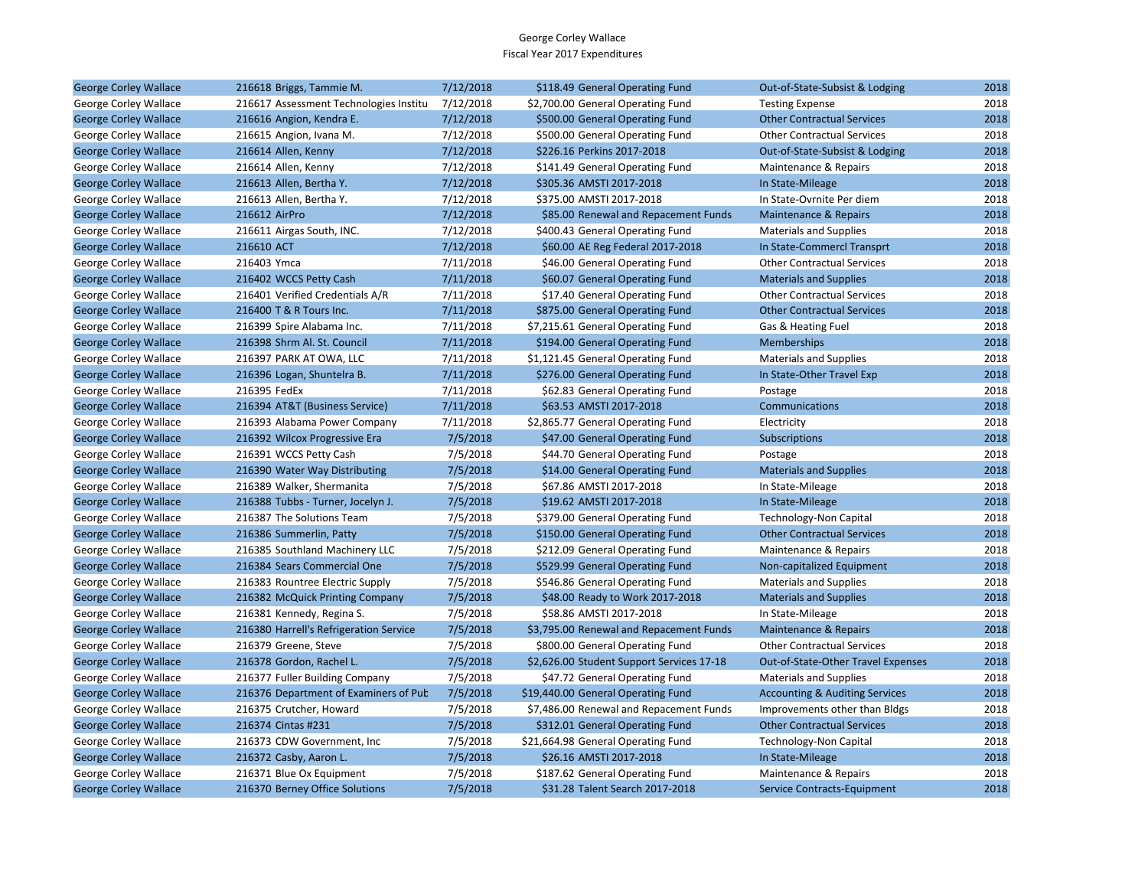| <b>George Corley Wallace</b> | 216618 Briggs, Tammie M.               | 7/12/2018 | \$118.49 General Operating Fund           | Out-of-State-Subsist & Lodging            | 2018 |
|------------------------------|----------------------------------------|-----------|-------------------------------------------|-------------------------------------------|------|
| George Corley Wallace        | 216617 Assessment Technologies Institu | 7/12/2018 | \$2,700.00 General Operating Fund         | <b>Testing Expense</b>                    | 2018 |
| <b>George Corley Wallace</b> | 216616 Angion, Kendra E.               | 7/12/2018 | \$500.00 General Operating Fund           | <b>Other Contractual Services</b>         | 2018 |
| George Corley Wallace        | 216615 Angion, Ivana M.                | 7/12/2018 | \$500.00 General Operating Fund           | <b>Other Contractual Services</b>         | 2018 |
| <b>George Corley Wallace</b> | 216614 Allen, Kenny                    | 7/12/2018 | \$226.16 Perkins 2017-2018                | Out-of-State-Subsist & Lodging            | 2018 |
| George Corley Wallace        | 216614 Allen, Kenny                    | 7/12/2018 | \$141.49 General Operating Fund           | Maintenance & Repairs                     | 2018 |
| <b>George Corley Wallace</b> | 216613 Allen, Bertha Y.                | 7/12/2018 | \$305.36 AMSTI 2017-2018                  | In State-Mileage                          | 2018 |
| George Corley Wallace        | 216613 Allen, Bertha Y.                | 7/12/2018 | \$375.00 AMSTI 2017-2018                  | In State-Ovrnite Per diem                 | 2018 |
| <b>George Corley Wallace</b> | 216612 AirPro                          | 7/12/2018 | \$85.00 Renewal and Repacement Funds      | <b>Maintenance &amp; Repairs</b>          | 2018 |
| George Corley Wallace        | 216611 Airgas South, INC.              | 7/12/2018 | \$400.43 General Operating Fund           | <b>Materials and Supplies</b>             | 2018 |
| <b>George Corley Wallace</b> | 216610 ACT                             | 7/12/2018 | \$60.00 AE Reg Federal 2017-2018          | In State-Commercl Transprt                | 2018 |
| George Corley Wallace        | 216403 Ymca                            | 7/11/2018 | \$46.00 General Operating Fund            | <b>Other Contractual Services</b>         | 2018 |
| <b>George Corley Wallace</b> | 216402 WCCS Petty Cash                 | 7/11/2018 | \$60.07 General Operating Fund            | <b>Materials and Supplies</b>             | 2018 |
| George Corley Wallace        | 216401 Verified Credentials A/R        | 7/11/2018 | \$17.40 General Operating Fund            | <b>Other Contractual Services</b>         | 2018 |
| <b>George Corley Wallace</b> | 216400 T & R Tours Inc.                | 7/11/2018 | \$875.00 General Operating Fund           | <b>Other Contractual Services</b>         | 2018 |
| George Corley Wallace        | 216399 Spire Alabama Inc.              | 7/11/2018 | \$7,215.61 General Operating Fund         | Gas & Heating Fuel                        | 2018 |
| <b>George Corley Wallace</b> | 216398 Shrm Al. St. Council            | 7/11/2018 | \$194.00 General Operating Fund           | <b>Memberships</b>                        | 2018 |
| George Corley Wallace        | 216397 PARK AT OWA, LLC                | 7/11/2018 | \$1,121.45 General Operating Fund         | <b>Materials and Supplies</b>             | 2018 |
| <b>George Corley Wallace</b> | 216396 Logan, Shuntelra B.             | 7/11/2018 | \$276.00 General Operating Fund           | In State-Other Travel Exp                 | 2018 |
| George Corley Wallace        | 216395 FedEx                           | 7/11/2018 | \$62.83 General Operating Fund            | Postage                                   | 2018 |
| <b>George Corley Wallace</b> | 216394 AT&T (Business Service)         | 7/11/2018 | \$63.53 AMSTI 2017-2018                   | Communications                            | 2018 |
| George Corley Wallace        | 216393 Alabama Power Company           | 7/11/2018 | \$2,865.77 General Operating Fund         | Electricity                               | 2018 |
| <b>George Corley Wallace</b> | 216392 Wilcox Progressive Era          | 7/5/2018  | \$47.00 General Operating Fund            | Subscriptions                             | 2018 |
| George Corley Wallace        | 216391 WCCS Petty Cash                 | 7/5/2018  | \$44.70 General Operating Fund            | Postage                                   | 2018 |
| <b>George Corley Wallace</b> | 216390 Water Way Distributing          | 7/5/2018  | \$14.00 General Operating Fund            | <b>Materials and Supplies</b>             | 2018 |
| George Corley Wallace        | 216389 Walker, Shermanita              | 7/5/2018  | \$67.86 AMSTI 2017-2018                   | In State-Mileage                          | 2018 |
| <b>George Corley Wallace</b> | 216388 Tubbs - Turner, Jocelyn J.      | 7/5/2018  | \$19.62 AMSTI 2017-2018                   | In State-Mileage                          | 2018 |
| George Corley Wallace        | 216387 The Solutions Team              | 7/5/2018  | \$379.00 General Operating Fund           | Technology-Non Capital                    | 2018 |
| <b>George Corley Wallace</b> | 216386 Summerlin, Patty                | 7/5/2018  | \$150.00 General Operating Fund           | <b>Other Contractual Services</b>         | 2018 |
| George Corley Wallace        | 216385 Southland Machinery LLC         | 7/5/2018  | \$212.09 General Operating Fund           | Maintenance & Repairs                     | 2018 |
| <b>George Corley Wallace</b> | 216384 Sears Commercial One            | 7/5/2018  | \$529.99 General Operating Fund           | Non-capitalized Equipment                 | 2018 |
| George Corley Wallace        | 216383 Rountree Electric Supply        | 7/5/2018  | \$546.86 General Operating Fund           | <b>Materials and Supplies</b>             | 2018 |
| <b>George Corley Wallace</b> | 216382 McQuick Printing Company        | 7/5/2018  | \$48.00 Ready to Work 2017-2018           | <b>Materials and Supplies</b>             | 2018 |
| George Corley Wallace        | 216381 Kennedy, Regina S.              | 7/5/2018  | \$58.86 AMSTI 2017-2018                   | In State-Mileage                          | 2018 |
| <b>George Corley Wallace</b> | 216380 Harrell's Refrigeration Service | 7/5/2018  | \$3,795.00 Renewal and Repacement Funds   | Maintenance & Repairs                     | 2018 |
| George Corley Wallace        | 216379 Greene, Steve                   | 7/5/2018  | \$800.00 General Operating Fund           | <b>Other Contractual Services</b>         | 2018 |
| <b>George Corley Wallace</b> | 216378 Gordon, Rachel L.               | 7/5/2018  | \$2,626.00 Student Support Services 17-18 | Out-of-State-Other Travel Expenses        | 2018 |
| George Corley Wallace        | 216377 Fuller Building Company         | 7/5/2018  | \$47.72 General Operating Fund            | <b>Materials and Supplies</b>             | 2018 |
| <b>George Corley Wallace</b> | 216376 Department of Examiners of Pub  | 7/5/2018  | \$19,440.00 General Operating Fund        | <b>Accounting &amp; Auditing Services</b> | 2018 |
| George Corley Wallace        | 216375 Crutcher, Howard                | 7/5/2018  | \$7,486.00 Renewal and Repacement Funds   | Improvements other than Bldgs             | 2018 |
| <b>George Corley Wallace</b> | 216374 Cintas #231                     | 7/5/2018  | \$312.01 General Operating Fund           | <b>Other Contractual Services</b>         | 2018 |
| George Corley Wallace        | 216373 CDW Government, Inc.            | 7/5/2018  | \$21,664.98 General Operating Fund        | Technology-Non Capital                    | 2018 |
| <b>George Corley Wallace</b> | 216372 Casby, Aaron L.                 | 7/5/2018  | \$26.16 AMSTI 2017-2018                   | In State-Mileage                          | 2018 |
| George Corley Wallace        | 216371 Blue Ox Equipment               | 7/5/2018  | \$187.62 General Operating Fund           | Maintenance & Repairs                     | 2018 |
| <b>George Corley Wallace</b> | 216370 Berney Office Solutions         | 7/5/2018  | \$31.28 Talent Search 2017-2018           | Service Contracts-Equipment               | 2018 |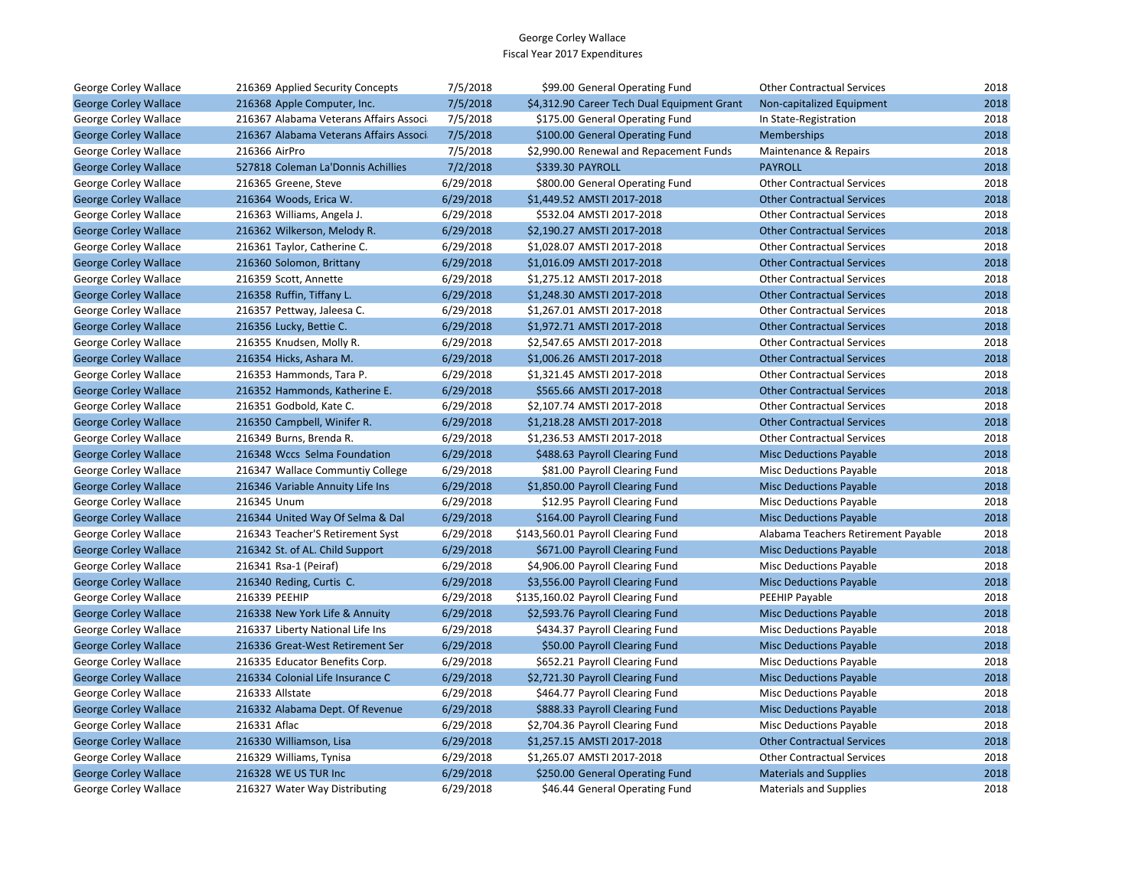| George Corley Wallace        | 216369 Applied Security Concepts       | 7/5/2018  | \$99.00 General Operating Fund              | <b>Other Contractual Services</b>   | 2018 |
|------------------------------|----------------------------------------|-----------|---------------------------------------------|-------------------------------------|------|
| <b>George Corley Wallace</b> | 216368 Apple Computer, Inc.            | 7/5/2018  | \$4,312.90 Career Tech Dual Equipment Grant | Non-capitalized Equipment           | 2018 |
| George Corley Wallace        | 216367 Alabama Veterans Affairs Associ | 7/5/2018  | \$175.00 General Operating Fund             | In State-Registration               | 2018 |
| <b>George Corley Wallace</b> | 216367 Alabama Veterans Affairs Associ | 7/5/2018  | \$100.00 General Operating Fund             | Memberships                         | 2018 |
| George Corley Wallace        | 216366 AirPro                          | 7/5/2018  | \$2,990.00 Renewal and Repacement Funds     | Maintenance & Repairs               | 2018 |
| <b>George Corley Wallace</b> | 527818 Coleman La'Donnis Achillies     | 7/2/2018  | \$339.30 PAYROLL                            | <b>PAYROLL</b>                      | 2018 |
| George Corley Wallace        | 216365 Greene, Steve                   | 6/29/2018 | \$800.00 General Operating Fund             | <b>Other Contractual Services</b>   | 2018 |
| <b>George Corley Wallace</b> | 216364 Woods, Erica W.                 | 6/29/2018 | \$1,449.52 AMSTI 2017-2018                  | <b>Other Contractual Services</b>   | 2018 |
| George Corley Wallace        | 216363 Williams, Angela J.             | 6/29/2018 | \$532.04 AMSTI 2017-2018                    | <b>Other Contractual Services</b>   | 2018 |
| <b>George Corley Wallace</b> | 216362 Wilkerson, Melody R.            | 6/29/2018 | \$2,190.27 AMSTI 2017-2018                  | <b>Other Contractual Services</b>   | 2018 |
| George Corley Wallace        | 216361 Taylor, Catherine C.            | 6/29/2018 | \$1,028.07 AMSTI 2017-2018                  | <b>Other Contractual Services</b>   | 2018 |
| <b>George Corley Wallace</b> | 216360 Solomon, Brittany               | 6/29/2018 | \$1,016.09 AMSTI 2017-2018                  | <b>Other Contractual Services</b>   | 2018 |
| George Corley Wallace        | 216359 Scott, Annette                  | 6/29/2018 | \$1,275.12 AMSTI 2017-2018                  | <b>Other Contractual Services</b>   | 2018 |
| <b>George Corley Wallace</b> | 216358 Ruffin, Tiffany L.              | 6/29/2018 | \$1,248.30 AMSTI 2017-2018                  | <b>Other Contractual Services</b>   | 2018 |
| George Corley Wallace        | 216357 Pettway, Jaleesa C.             | 6/29/2018 | \$1,267.01 AMSTI 2017-2018                  | <b>Other Contractual Services</b>   | 2018 |
| <b>George Corley Wallace</b> | 216356 Lucky, Bettie C.                | 6/29/2018 | \$1,972.71 AMSTI 2017-2018                  | <b>Other Contractual Services</b>   | 2018 |
| George Corley Wallace        | 216355 Knudsen, Molly R.               | 6/29/2018 | \$2,547.65 AMSTI 2017-2018                  | <b>Other Contractual Services</b>   | 2018 |
| <b>George Corley Wallace</b> | 216354 Hicks, Ashara M.                | 6/29/2018 | \$1,006.26 AMSTI 2017-2018                  | <b>Other Contractual Services</b>   | 2018 |
| George Corley Wallace        | 216353 Hammonds, Tara P.               | 6/29/2018 | \$1,321.45 AMSTI 2017-2018                  | <b>Other Contractual Services</b>   | 2018 |
| <b>George Corley Wallace</b> | 216352 Hammonds, Katherine E.          | 6/29/2018 | \$565.66 AMSTI 2017-2018                    | <b>Other Contractual Services</b>   | 2018 |
| George Corley Wallace        | 216351 Godbold, Kate C.                | 6/29/2018 | \$2,107.74 AMSTI 2017-2018                  | <b>Other Contractual Services</b>   | 2018 |
| <b>George Corley Wallace</b> | 216350 Campbell, Winifer R.            | 6/29/2018 | \$1,218.28 AMSTI 2017-2018                  | <b>Other Contractual Services</b>   | 2018 |
| George Corley Wallace        | 216349 Burns, Brenda R.                | 6/29/2018 | \$1,236.53 AMSTI 2017-2018                  | <b>Other Contractual Services</b>   | 2018 |
| <b>George Corley Wallace</b> | 216348 Wccs Selma Foundation           | 6/29/2018 | \$488.63 Payroll Clearing Fund              | <b>Misc Deductions Payable</b>      | 2018 |
| George Corley Wallace        | 216347 Wallace Communtiy College       | 6/29/2018 | \$81.00 Payroll Clearing Fund               | Misc Deductions Payable             | 2018 |
| <b>George Corley Wallace</b> | 216346 Variable Annuity Life Ins       | 6/29/2018 | \$1,850.00 Payroll Clearing Fund            | <b>Misc Deductions Payable</b>      | 2018 |
| George Corley Wallace        | 216345 Unum                            | 6/29/2018 | \$12.95 Payroll Clearing Fund               | <b>Misc Deductions Payable</b>      | 2018 |
| <b>George Corley Wallace</b> | 216344 United Way Of Selma & Dal       | 6/29/2018 | \$164.00 Payroll Clearing Fund              | <b>Misc Deductions Payable</b>      | 2018 |
| George Corley Wallace        | 216343 Teacher'S Retirement Syst       | 6/29/2018 | \$143,560.01 Payroll Clearing Fund          | Alabama Teachers Retirement Payable | 2018 |
| <b>George Corley Wallace</b> | 216342 St. of AL. Child Support        | 6/29/2018 | \$671.00 Payroll Clearing Fund              | <b>Misc Deductions Payable</b>      | 2018 |
| George Corley Wallace        | 216341 Rsa-1 (Peiraf)                  | 6/29/2018 | \$4,906.00 Payroll Clearing Fund            | Misc Deductions Payable             | 2018 |
| <b>George Corley Wallace</b> | 216340 Reding, Curtis C.               | 6/29/2018 | \$3,556.00 Payroll Clearing Fund            | <b>Misc Deductions Payable</b>      | 2018 |
| George Corley Wallace        | 216339 PEEHIP                          | 6/29/2018 | \$135,160.02 Payroll Clearing Fund          | PEEHIP Payable                      | 2018 |
| <b>George Corley Wallace</b> | 216338 New York Life & Annuity         | 6/29/2018 | \$2,593.76 Payroll Clearing Fund            | <b>Misc Deductions Payable</b>      | 2018 |
| George Corley Wallace        | 216337 Liberty National Life Ins       | 6/29/2018 | \$434.37 Payroll Clearing Fund              | <b>Misc Deductions Payable</b>      | 2018 |
| <b>George Corley Wallace</b> | 216336 Great-West Retirement Ser       | 6/29/2018 | \$50.00 Payroll Clearing Fund               | <b>Misc Deductions Payable</b>      | 2018 |
| George Corley Wallace        | 216335 Educator Benefits Corp.         | 6/29/2018 | \$652.21 Payroll Clearing Fund              | <b>Misc Deductions Payable</b>      | 2018 |
| <b>George Corley Wallace</b> | 216334 Colonial Life Insurance C       | 6/29/2018 | \$2,721.30 Payroll Clearing Fund            | <b>Misc Deductions Payable</b>      | 2018 |
| George Corley Wallace        | 216333 Allstate                        | 6/29/2018 | \$464.77 Payroll Clearing Fund              | Misc Deductions Payable             | 2018 |
| <b>George Corley Wallace</b> | 216332 Alabama Dept. Of Revenue        | 6/29/2018 | \$888.33 Payroll Clearing Fund              | <b>Misc Deductions Payable</b>      | 2018 |
| George Corley Wallace        | 216331 Aflac                           | 6/29/2018 | \$2,704.36 Payroll Clearing Fund            | Misc Deductions Payable             | 2018 |
| <b>George Corley Wallace</b> | 216330 Williamson, Lisa                | 6/29/2018 | \$1,257.15 AMSTI 2017-2018                  | <b>Other Contractual Services</b>   | 2018 |
| George Corley Wallace        | 216329 Williams, Tynisa                | 6/29/2018 | \$1,265.07 AMSTI 2017-2018                  | <b>Other Contractual Services</b>   | 2018 |
| <b>George Corley Wallace</b> | 216328 WE US TUR Inc                   | 6/29/2018 | \$250.00 General Operating Fund             | <b>Materials and Supplies</b>       | 2018 |
| George Corley Wallace        | 216327 Water Way Distributing          | 6/29/2018 | \$46.44 General Operating Fund              | <b>Materials and Supplies</b>       | 2018 |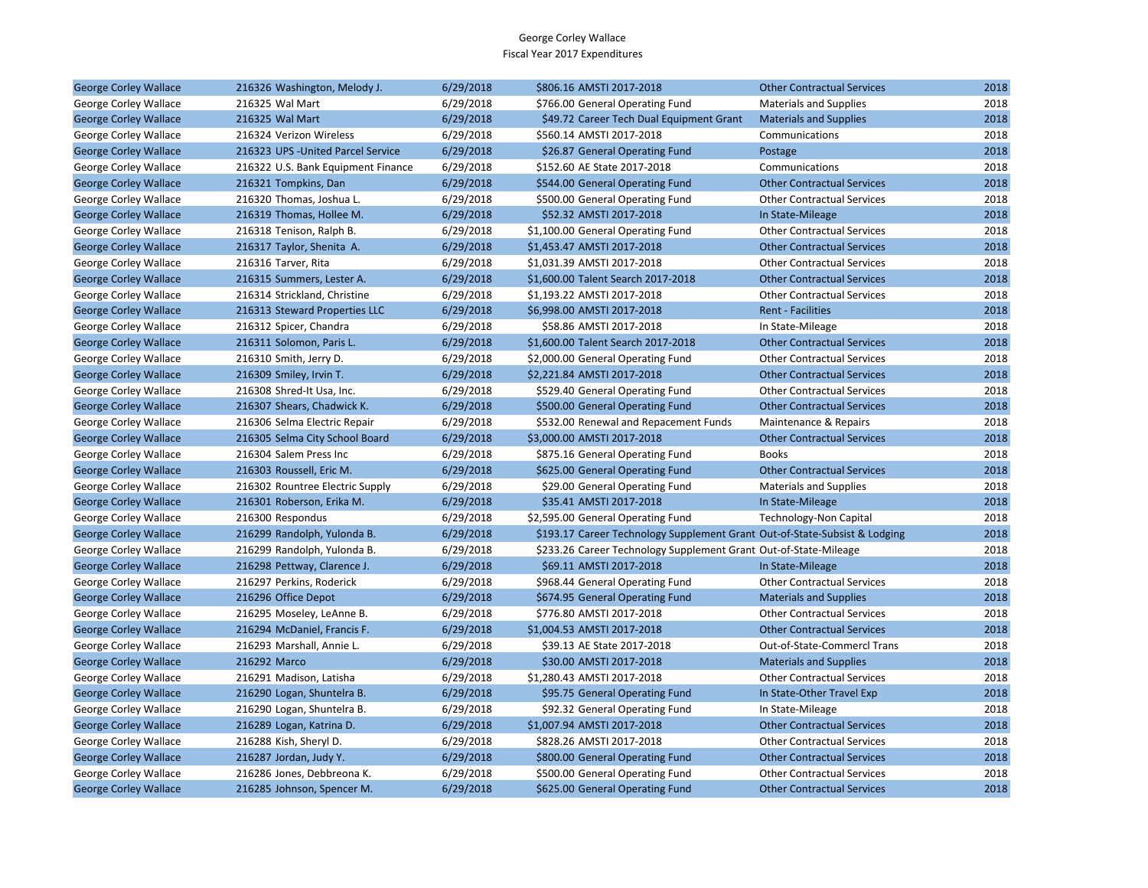| <b>George Corley Wallace</b> | 216326 Washington, Melody J.       | 6/29/2018 | \$806.16 AMSTI 2017-2018                                                   | <b>Other Contractual Services</b>  | 2018 |
|------------------------------|------------------------------------|-----------|----------------------------------------------------------------------------|------------------------------------|------|
| George Corley Wallace        | 216325 Wal Mart                    | 6/29/2018 | \$766.00 General Operating Fund                                            | <b>Materials and Supplies</b>      | 2018 |
| <b>George Corley Wallace</b> | 216325 Wal Mart                    | 6/29/2018 | \$49.72 Career Tech Dual Equipment Grant                                   | <b>Materials and Supplies</b>      | 2018 |
| George Corley Wallace        | 216324 Verizon Wireless            | 6/29/2018 | \$560.14 AMSTI 2017-2018                                                   | Communications                     | 2018 |
| <b>George Corley Wallace</b> | 216323 UPS - United Parcel Service | 6/29/2018 | \$26.87 General Operating Fund                                             | Postage                            | 2018 |
| George Corley Wallace        | 216322 U.S. Bank Equipment Finance | 6/29/2018 | \$152.60 AE State 2017-2018                                                | Communications                     | 2018 |
| <b>George Corley Wallace</b> | 216321 Tompkins, Dan               | 6/29/2018 | \$544.00 General Operating Fund                                            | <b>Other Contractual Services</b>  | 2018 |
| George Corley Wallace        | 216320 Thomas, Joshua L.           | 6/29/2018 | \$500.00 General Operating Fund                                            | <b>Other Contractual Services</b>  | 2018 |
| <b>George Corley Wallace</b> | 216319 Thomas, Hollee M.           | 6/29/2018 | \$52.32 AMSTI 2017-2018                                                    | In State-Mileage                   | 2018 |
| George Corley Wallace        | 216318 Tenison, Ralph B.           | 6/29/2018 | \$1,100.00 General Operating Fund                                          | <b>Other Contractual Services</b>  | 2018 |
| <b>George Corley Wallace</b> | 216317 Taylor, Shenita A.          | 6/29/2018 | \$1,453.47 AMSTI 2017-2018                                                 | <b>Other Contractual Services</b>  | 2018 |
| George Corley Wallace        | 216316 Tarver, Rita                | 6/29/2018 | \$1,031.39 AMSTI 2017-2018                                                 | <b>Other Contractual Services</b>  | 2018 |
| <b>George Corley Wallace</b> | 216315 Summers, Lester A.          | 6/29/2018 | \$1,600.00 Talent Search 2017-2018                                         | <b>Other Contractual Services</b>  | 2018 |
| George Corley Wallace        | 216314 Strickland, Christine       | 6/29/2018 | \$1,193.22 AMSTI 2017-2018                                                 | <b>Other Contractual Services</b>  | 2018 |
| <b>George Corley Wallace</b> | 216313 Steward Properties LLC      | 6/29/2018 | \$6,998.00 AMSTI 2017-2018                                                 | <b>Rent - Facilities</b>           | 2018 |
| George Corley Wallace        | 216312 Spicer, Chandra             | 6/29/2018 | \$58.86 AMSTI 2017-2018                                                    | In State-Mileage                   | 2018 |
| <b>George Corley Wallace</b> | 216311 Solomon, Paris L.           | 6/29/2018 | \$1,600.00 Talent Search 2017-2018                                         | <b>Other Contractual Services</b>  | 2018 |
| George Corley Wallace        | 216310 Smith, Jerry D.             | 6/29/2018 | \$2,000.00 General Operating Fund                                          | <b>Other Contractual Services</b>  | 2018 |
| <b>George Corley Wallace</b> | 216309 Smiley, Irvin T.            | 6/29/2018 | \$2,221.84 AMSTI 2017-2018                                                 | <b>Other Contractual Services</b>  | 2018 |
| George Corley Wallace        | 216308 Shred-It Usa, Inc.          | 6/29/2018 | \$529.40 General Operating Fund                                            | <b>Other Contractual Services</b>  | 2018 |
| <b>George Corley Wallace</b> | 216307 Shears, Chadwick K.         | 6/29/2018 | \$500.00 General Operating Fund                                            | <b>Other Contractual Services</b>  | 2018 |
| George Corley Wallace        | 216306 Selma Electric Repair       | 6/29/2018 | \$532.00 Renewal and Repacement Funds                                      | Maintenance & Repairs              | 2018 |
| <b>George Corley Wallace</b> | 216305 Selma City School Board     | 6/29/2018 | \$3,000.00 AMSTI 2017-2018                                                 | <b>Other Contractual Services</b>  | 2018 |
| George Corley Wallace        | 216304 Salem Press Inc             | 6/29/2018 | \$875.16 General Operating Fund                                            | <b>Books</b>                       | 2018 |
| <b>George Corley Wallace</b> | 216303 Roussell, Eric M.           | 6/29/2018 | \$625.00 General Operating Fund                                            | <b>Other Contractual Services</b>  | 2018 |
| George Corley Wallace        | 216302 Rountree Electric Supply    | 6/29/2018 | \$29.00 General Operating Fund                                             | <b>Materials and Supplies</b>      | 2018 |
| <b>George Corley Wallace</b> | 216301 Roberson, Erika M.          | 6/29/2018 | \$35.41 AMSTI 2017-2018                                                    | In State-Mileage                   | 2018 |
| George Corley Wallace        | 216300 Respondus                   | 6/29/2018 | \$2,595.00 General Operating Fund                                          | Technology-Non Capital             | 2018 |
| <b>George Corley Wallace</b> | 216299 Randolph, Yulonda B.        | 6/29/2018 | \$193.17 Career Technology Supplement Grant Out-of-State-Subsist & Lodging |                                    | 2018 |
| George Corley Wallace        | 216299 Randolph, Yulonda B.        | 6/29/2018 | \$233.26 Career Technology Supplement Grant Out-of-State-Mileage           |                                    | 2018 |
| <b>George Corley Wallace</b> | 216298 Pettway, Clarence J.        | 6/29/2018 | \$69.11 AMSTI 2017-2018                                                    | In State-Mileage                   | 2018 |
| George Corley Wallace        | 216297 Perkins, Roderick           | 6/29/2018 | \$968.44 General Operating Fund                                            | <b>Other Contractual Services</b>  | 2018 |
| <b>George Corley Wallace</b> | 216296 Office Depot                | 6/29/2018 | \$674.95 General Operating Fund                                            | <b>Materials and Supplies</b>      | 2018 |
| George Corley Wallace        | 216295 Moseley, LeAnne B.          | 6/29/2018 | \$776.80 AMSTI 2017-2018                                                   | <b>Other Contractual Services</b>  | 2018 |
| <b>George Corley Wallace</b> | 216294 McDaniel, Francis F.        | 6/29/2018 | \$1,004.53 AMSTI 2017-2018                                                 | <b>Other Contractual Services</b>  | 2018 |
| George Corley Wallace        | 216293 Marshall, Annie L.          | 6/29/2018 | \$39.13 AE State 2017-2018                                                 | <b>Out-of-State-Commercl Trans</b> | 2018 |
| <b>George Corley Wallace</b> | 216292 Marco                       | 6/29/2018 | \$30.00 AMSTI 2017-2018                                                    | <b>Materials and Supplies</b>      | 2018 |
| George Corley Wallace        | 216291 Madison, Latisha            | 6/29/2018 | \$1,280.43 AMSTI 2017-2018                                                 | <b>Other Contractual Services</b>  | 2018 |
| <b>George Corley Wallace</b> | 216290 Logan, Shuntelra B.         | 6/29/2018 | \$95.75 General Operating Fund                                             | In State-Other Travel Exp          | 2018 |
| <b>George Corley Wallace</b> | 216290 Logan, Shuntelra B.         | 6/29/2018 | \$92.32 General Operating Fund                                             | In State-Mileage                   | 2018 |
| <b>George Corley Wallace</b> | 216289 Logan, Katrina D.           | 6/29/2018 | \$1,007.94 AMSTI 2017-2018                                                 | <b>Other Contractual Services</b>  | 2018 |
| George Corley Wallace        | 216288 Kish, Sheryl D.             | 6/29/2018 | \$828.26 AMSTI 2017-2018                                                   | <b>Other Contractual Services</b>  | 2018 |
| <b>George Corley Wallace</b> | 216287 Jordan, Judy Y.             | 6/29/2018 | \$800.00 General Operating Fund                                            | <b>Other Contractual Services</b>  | 2018 |
| George Corley Wallace        | 216286 Jones, Debbreona K.         | 6/29/2018 | \$500.00 General Operating Fund                                            | <b>Other Contractual Services</b>  | 2018 |
| <b>George Corley Wallace</b> | 216285 Johnson, Spencer M.         | 6/29/2018 | \$625.00 General Operating Fund                                            | <b>Other Contractual Services</b>  | 2018 |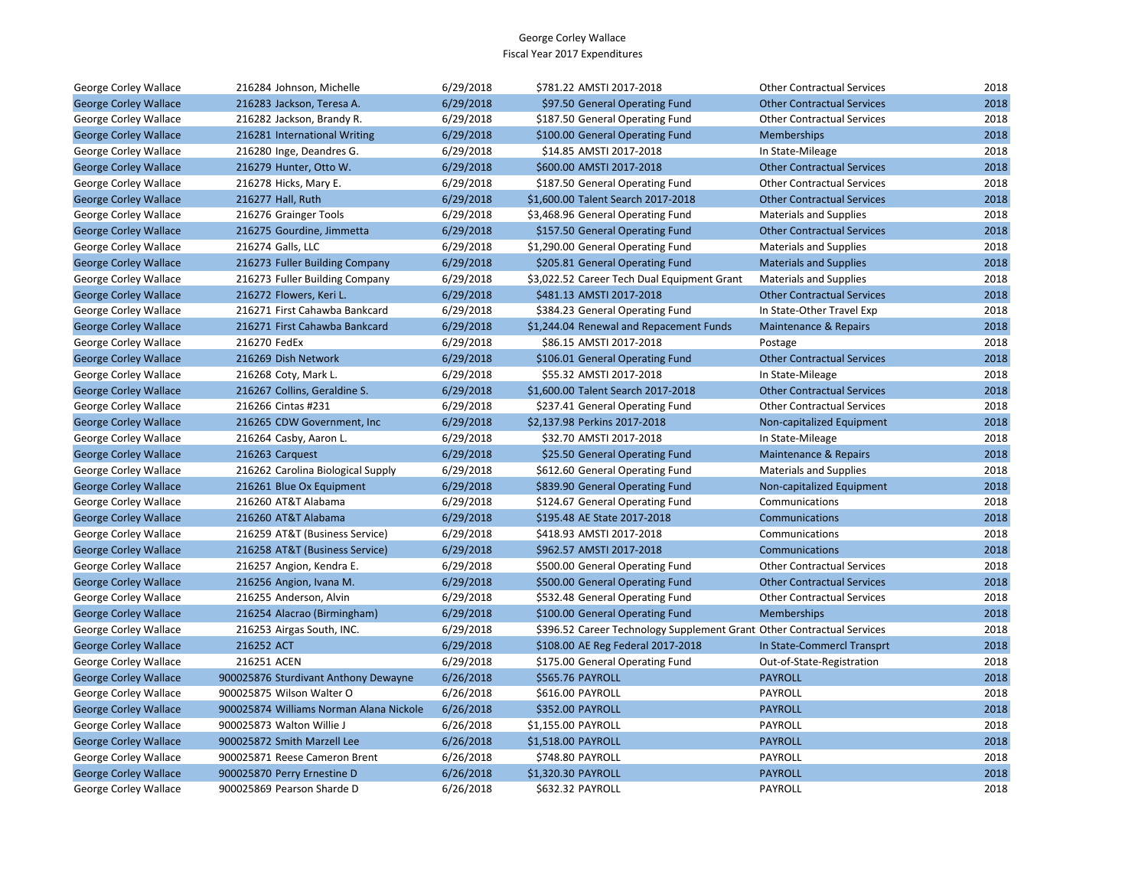| George Corley Wallace        | 216284 Johnson, Michelle                | 6/29/2018 | \$781.22 AMSTI 2017-2018                                               | <b>Other Contractual Services</b> | 2018 |
|------------------------------|-----------------------------------------|-----------|------------------------------------------------------------------------|-----------------------------------|------|
| <b>George Corley Wallace</b> | 216283 Jackson, Teresa A.               | 6/29/2018 | \$97.50 General Operating Fund                                         | <b>Other Contractual Services</b> | 2018 |
| George Corley Wallace        | 216282 Jackson, Brandy R.               | 6/29/2018 | \$187.50 General Operating Fund                                        | <b>Other Contractual Services</b> | 2018 |
| <b>George Corley Wallace</b> | 216281 International Writing            | 6/29/2018 | \$100.00 General Operating Fund                                        | Memberships                       | 2018 |
| George Corley Wallace        | 216280 Inge, Deandres G.                | 6/29/2018 | \$14.85 AMSTI 2017-2018                                                | In State-Mileage                  | 2018 |
| <b>George Corley Wallace</b> | 216279 Hunter, Otto W.                  | 6/29/2018 | \$600.00 AMSTI 2017-2018                                               | <b>Other Contractual Services</b> | 2018 |
| George Corley Wallace        | 216278 Hicks, Mary E.                   | 6/29/2018 | \$187.50 General Operating Fund                                        | <b>Other Contractual Services</b> | 2018 |
| <b>George Corley Wallace</b> | 216277 Hall, Ruth                       | 6/29/2018 | \$1,600.00 Talent Search 2017-2018                                     | <b>Other Contractual Services</b> | 2018 |
| George Corley Wallace        | 216276 Grainger Tools                   | 6/29/2018 | \$3,468.96 General Operating Fund                                      | <b>Materials and Supplies</b>     | 2018 |
| <b>George Corley Wallace</b> | 216275 Gourdine, Jimmetta               | 6/29/2018 | \$157.50 General Operating Fund                                        | <b>Other Contractual Services</b> | 2018 |
| George Corley Wallace        | 216274 Galls, LLC                       | 6/29/2018 | \$1,290.00 General Operating Fund                                      | <b>Materials and Supplies</b>     | 2018 |
| <b>George Corley Wallace</b> | 216273 Fuller Building Company          | 6/29/2018 | \$205.81 General Operating Fund                                        | <b>Materials and Supplies</b>     | 2018 |
| George Corley Wallace        | 216273 Fuller Building Company          | 6/29/2018 | \$3,022.52 Career Tech Dual Equipment Grant                            | <b>Materials and Supplies</b>     | 2018 |
| <b>George Corley Wallace</b> | 216272 Flowers, Keri L.                 | 6/29/2018 | \$481.13 AMSTI 2017-2018                                               | <b>Other Contractual Services</b> | 2018 |
| George Corley Wallace        | 216271 First Cahawba Bankcard           | 6/29/2018 | \$384.23 General Operating Fund                                        | In State-Other Travel Exp         | 2018 |
| <b>George Corley Wallace</b> | 216271 First Cahawba Bankcard           | 6/29/2018 | \$1,244.04 Renewal and Repacement Funds                                | Maintenance & Repairs             | 2018 |
| George Corley Wallace        | 216270 FedEx                            | 6/29/2018 | \$86.15 AMSTI 2017-2018                                                | Postage                           | 2018 |
| <b>George Corley Wallace</b> | 216269 Dish Network                     | 6/29/2018 | \$106.01 General Operating Fund                                        | <b>Other Contractual Services</b> | 2018 |
| George Corley Wallace        | 216268 Coty, Mark L.                    | 6/29/2018 | \$55.32 AMSTI 2017-2018                                                | In State-Mileage                  | 2018 |
| <b>George Corley Wallace</b> | 216267 Collins, Geraldine S.            | 6/29/2018 | \$1,600.00 Talent Search 2017-2018                                     | <b>Other Contractual Services</b> | 2018 |
| George Corley Wallace        | 216266 Cintas #231                      | 6/29/2018 | \$237.41 General Operating Fund                                        | <b>Other Contractual Services</b> | 2018 |
| <b>George Corley Wallace</b> | 216265 CDW Government, Inc              | 6/29/2018 | \$2,137.98 Perkins 2017-2018                                           | Non-capitalized Equipment         | 2018 |
| George Corley Wallace        | 216264 Casby, Aaron L.                  | 6/29/2018 | \$32.70 AMSTI 2017-2018                                                | In State-Mileage                  | 2018 |
| <b>George Corley Wallace</b> | 216263 Carquest                         | 6/29/2018 | \$25.50 General Operating Fund                                         | Maintenance & Repairs             | 2018 |
| George Corley Wallace        | 216262 Carolina Biological Supply       | 6/29/2018 | \$612.60 General Operating Fund                                        | <b>Materials and Supplies</b>     | 2018 |
| <b>George Corley Wallace</b> | 216261 Blue Ox Equipment                | 6/29/2018 | \$839.90 General Operating Fund                                        | Non-capitalized Equipment         | 2018 |
| George Corley Wallace        | 216260 AT&T Alabama                     | 6/29/2018 | \$124.67 General Operating Fund                                        | Communications                    | 2018 |
| <b>George Corley Wallace</b> | 216260 AT&T Alabama                     | 6/29/2018 | \$195.48 AE State 2017-2018                                            | Communications                    | 2018 |
| George Corley Wallace        | 216259 AT&T (Business Service)          | 6/29/2018 | \$418.93 AMSTI 2017-2018                                               | Communications                    | 2018 |
| <b>George Corley Wallace</b> | 216258 AT&T (Business Service)          | 6/29/2018 | \$962.57 AMSTI 2017-2018                                               | Communications                    | 2018 |
| George Corley Wallace        | 216257 Angion, Kendra E.                | 6/29/2018 | \$500.00 General Operating Fund                                        | <b>Other Contractual Services</b> | 2018 |
| <b>George Corley Wallace</b> | 216256 Angion, Ivana M.                 | 6/29/2018 | \$500.00 General Operating Fund                                        | <b>Other Contractual Services</b> | 2018 |
| George Corley Wallace        | 216255 Anderson, Alvin                  | 6/29/2018 | \$532.48 General Operating Fund                                        | <b>Other Contractual Services</b> | 2018 |
| <b>George Corley Wallace</b> | 216254 Alacrao (Birmingham)             | 6/29/2018 | \$100.00 General Operating Fund                                        | Memberships                       | 2018 |
| George Corley Wallace        | 216253 Airgas South, INC.               | 6/29/2018 | \$396.52 Career Technology Supplement Grant Other Contractual Services |                                   | 2018 |
| <b>George Corley Wallace</b> | 216252 ACT                              | 6/29/2018 | \$108.00 AE Reg Federal 2017-2018                                      | In State-Commercl Transprt        | 2018 |
| George Corley Wallace        | 216251 ACEN                             | 6/29/2018 | \$175.00 General Operating Fund                                        | Out-of-State-Registration         | 2018 |
| <b>George Corley Wallace</b> | 900025876 Sturdivant Anthony Dewayne    | 6/26/2018 | \$565.76 PAYROLL                                                       | <b>PAYROLL</b>                    | 2018 |
| George Corley Wallace        | 900025875 Wilson Walter O               | 6/26/2018 | \$616.00 PAYROLL                                                       | PAYROLL                           | 2018 |
| <b>George Corley Wallace</b> | 900025874 Williams Norman Alana Nickole | 6/26/2018 | \$352.00 PAYROLL                                                       | <b>PAYROLL</b>                    | 2018 |
| George Corley Wallace        | 900025873 Walton Willie J               | 6/26/2018 | \$1,155.00 PAYROLL                                                     | PAYROLL                           | 2018 |
| <b>George Corley Wallace</b> | 900025872 Smith Marzell Lee             | 6/26/2018 | \$1,518.00 PAYROLL                                                     | <b>PAYROLL</b>                    | 2018 |
| George Corley Wallace        | 900025871 Reese Cameron Brent           | 6/26/2018 | \$748.80 PAYROLL                                                       | PAYROLL                           | 2018 |
| <b>George Corley Wallace</b> | 900025870 Perry Ernestine D             | 6/26/2018 | \$1,320.30 PAYROLL                                                     | <b>PAYROLL</b>                    | 2018 |
| George Corley Wallace        | 900025869 Pearson Sharde D              | 6/26/2018 | <b>\$632.32 PAYROLL</b>                                                | <b>PAYROLL</b>                    | 2018 |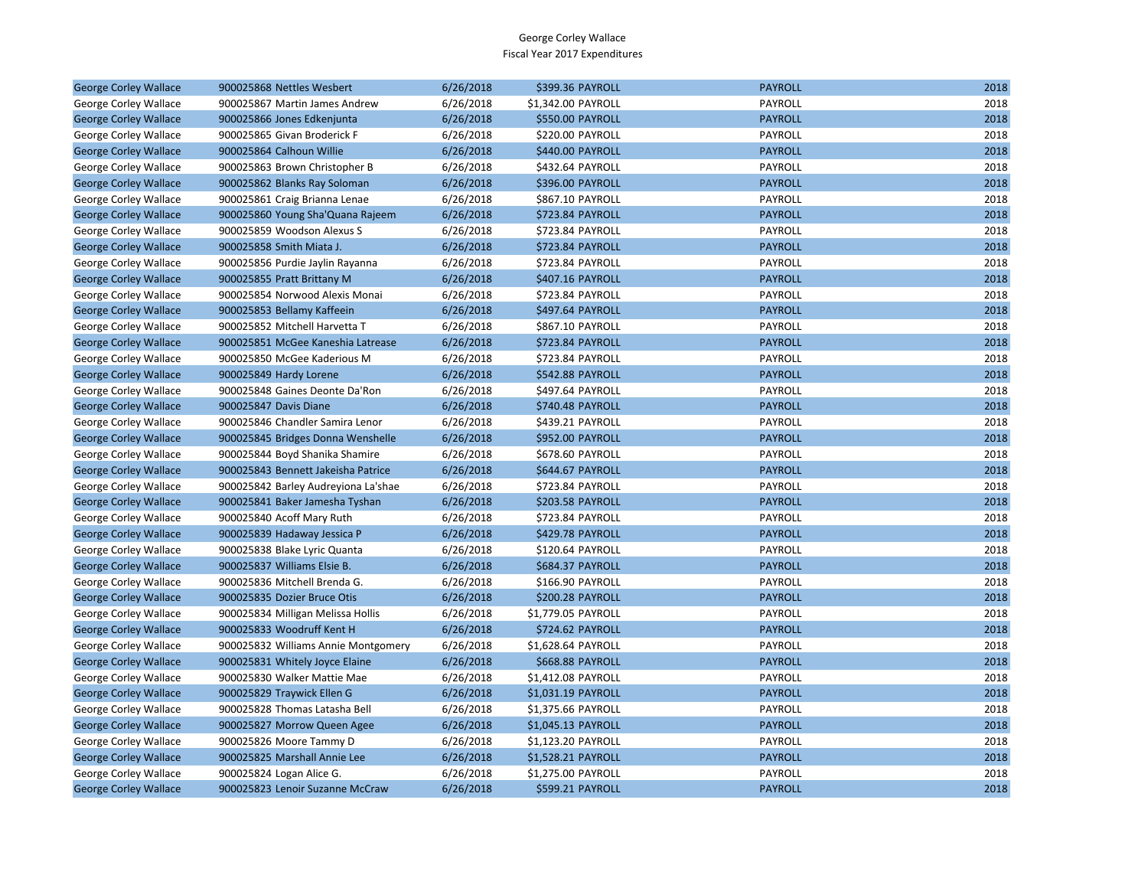| <b>George Corley Wallace</b> | 900025868 Nettles Wesbert           | 6/26/2018 | \$399.36 PAYROLL        | <b>PAYROLL</b> | 2018 |
|------------------------------|-------------------------------------|-----------|-------------------------|----------------|------|
| George Corley Wallace        | 900025867 Martin James Andrew       | 6/26/2018 | \$1,342.00 PAYROLL      | PAYROLL        | 2018 |
| <b>George Corley Wallace</b> | 900025866 Jones Edkenjunta          | 6/26/2018 | \$550.00 PAYROLL        | <b>PAYROLL</b> | 2018 |
| George Corley Wallace        | 900025865 Givan Broderick F         | 6/26/2018 | \$220.00 PAYROLL        | PAYROLL        | 2018 |
| <b>George Corley Wallace</b> | 900025864 Calhoun Willie            | 6/26/2018 | \$440.00 PAYROLL        | <b>PAYROLL</b> | 2018 |
| George Corley Wallace        | 900025863 Brown Christopher B       | 6/26/2018 | \$432.64 PAYROLL        | PAYROLL        | 2018 |
| <b>George Corley Wallace</b> | 900025862 Blanks Ray Soloman        | 6/26/2018 | \$396.00 PAYROLL        | <b>PAYROLL</b> | 2018 |
| George Corley Wallace        | 900025861 Craig Brianna Lenae       | 6/26/2018 | \$867.10 PAYROLL        | PAYROLL        | 2018 |
| <b>George Corley Wallace</b> | 900025860 Young Sha'Quana Rajeem    | 6/26/2018 | \$723.84 PAYROLL        | <b>PAYROLL</b> | 2018 |
| George Corley Wallace        | 900025859 Woodson Alexus S          | 6/26/2018 | \$723.84 PAYROLL        | PAYROLL        | 2018 |
| <b>George Corley Wallace</b> | 900025858 Smith Miata J.            | 6/26/2018 | \$723.84 PAYROLL        | <b>PAYROLL</b> | 2018 |
| George Corley Wallace        | 900025856 Purdie Jaylin Rayanna     | 6/26/2018 | \$723.84 PAYROLL        | PAYROLL        | 2018 |
| <b>George Corley Wallace</b> | 900025855 Pratt Brittany M          | 6/26/2018 | \$407.16 PAYROLL        | <b>PAYROLL</b> | 2018 |
| George Corley Wallace        | 900025854 Norwood Alexis Monai      | 6/26/2018 | \$723.84 PAYROLL        | PAYROLL        | 2018 |
| <b>George Corley Wallace</b> | 900025853 Bellamy Kaffeein          | 6/26/2018 | \$497.64 PAYROLL        | <b>PAYROLL</b> | 2018 |
| George Corley Wallace        | 900025852 Mitchell Harvetta T       | 6/26/2018 | \$867.10 PAYROLL        | PAYROLL        | 2018 |
| <b>George Corley Wallace</b> | 900025851 McGee Kaneshia Latrease   | 6/26/2018 | \$723.84 PAYROLL        | <b>PAYROLL</b> | 2018 |
| George Corley Wallace        | 900025850 McGee Kaderious M         | 6/26/2018 | \$723.84 PAYROLL        | PAYROLL        | 2018 |
| <b>George Corley Wallace</b> | 900025849 Hardy Lorene              | 6/26/2018 | \$542.88 PAYROLL        | <b>PAYROLL</b> | 2018 |
| George Corley Wallace        | 900025848 Gaines Deonte Da'Ron      | 6/26/2018 | \$497.64 PAYROLL        | PAYROLL        | 2018 |
| <b>George Corley Wallace</b> | 900025847 Davis Diane               | 6/26/2018 | \$740.48 PAYROLL        | <b>PAYROLL</b> | 2018 |
| George Corley Wallace        | 900025846 Chandler Samira Lenor     | 6/26/2018 | \$439.21 PAYROLL        | PAYROLL        | 2018 |
| <b>George Corley Wallace</b> | 900025845 Bridges Donna Wenshelle   | 6/26/2018 | <b>\$952.00 PAYROLL</b> | <b>PAYROLL</b> | 2018 |
| George Corley Wallace        | 900025844 Boyd Shanika Shamire      | 6/26/2018 | \$678.60 PAYROLL        | PAYROLL        | 2018 |
| <b>George Corley Wallace</b> | 900025843 Bennett Jakeisha Patrice  | 6/26/2018 | \$644.67 PAYROLL        | <b>PAYROLL</b> | 2018 |
| George Corley Wallace        | 900025842 Barley Audreyiona La'shae | 6/26/2018 | \$723.84 PAYROLL        | PAYROLL        | 2018 |
| <b>George Corley Wallace</b> | 900025841 Baker Jamesha Tyshan      | 6/26/2018 | \$203.58 PAYROLL        | <b>PAYROLL</b> | 2018 |
| George Corley Wallace        | 900025840 Acoff Mary Ruth           | 6/26/2018 | \$723.84 PAYROLL        | PAYROLL        | 2018 |
| <b>George Corley Wallace</b> | 900025839 Hadaway Jessica P         | 6/26/2018 | \$429.78 PAYROLL        | <b>PAYROLL</b> | 2018 |
| George Corley Wallace        | 900025838 Blake Lyric Quanta        | 6/26/2018 | \$120.64 PAYROLL        | PAYROLL        | 2018 |
| <b>George Corley Wallace</b> | 900025837 Williams Elsie B.         | 6/26/2018 | \$684.37 PAYROLL        | <b>PAYROLL</b> | 2018 |
| George Corley Wallace        | 900025836 Mitchell Brenda G.        | 6/26/2018 | \$166.90 PAYROLL        | PAYROLL        | 2018 |
| <b>George Corley Wallace</b> | 900025835 Dozier Bruce Otis         | 6/26/2018 | \$200.28 PAYROLL        | <b>PAYROLL</b> | 2018 |
| George Corley Wallace        | 900025834 Milligan Melissa Hollis   | 6/26/2018 | \$1,779.05 PAYROLL      | PAYROLL        | 2018 |
| <b>George Corley Wallace</b> | 900025833 Woodruff Kent H           | 6/26/2018 | \$724.62 PAYROLL        | <b>PAYROLL</b> | 2018 |
| George Corley Wallace        | 900025832 Williams Annie Montgomery | 6/26/2018 | \$1,628.64 PAYROLL      | PAYROLL        | 2018 |
| <b>George Corley Wallace</b> | 900025831 Whitely Joyce Elaine      | 6/26/2018 | \$668.88 PAYROLL        | <b>PAYROLL</b> | 2018 |
| George Corley Wallace        | 900025830 Walker Mattie Mae         | 6/26/2018 | \$1,412.08 PAYROLL      | PAYROLL        | 2018 |
| <b>George Corley Wallace</b> | 900025829 Traywick Ellen G          | 6/26/2018 | \$1,031.19 PAYROLL      | <b>PAYROLL</b> | 2018 |
| George Corley Wallace        | 900025828 Thomas Latasha Bell       | 6/26/2018 | \$1,375.66 PAYROLL      | PAYROLL        | 2018 |
| <b>George Corley Wallace</b> | 900025827 Morrow Queen Agee         | 6/26/2018 | \$1,045.13 PAYROLL      | <b>PAYROLL</b> | 2018 |
| George Corley Wallace        | 900025826 Moore Tammy D             | 6/26/2018 | \$1,123.20 PAYROLL      | PAYROLL        | 2018 |
| <b>George Corley Wallace</b> | 900025825 Marshall Annie Lee        | 6/26/2018 | \$1,528.21 PAYROLL      | <b>PAYROLL</b> | 2018 |
| George Corley Wallace        | 900025824 Logan Alice G.            | 6/26/2018 | \$1,275.00 PAYROLL      | PAYROLL        | 2018 |
| <b>George Corley Wallace</b> | 900025823 Lenoir Suzanne McCraw     | 6/26/2018 | \$599.21 PAYROLL        | <b>PAYROLL</b> | 2018 |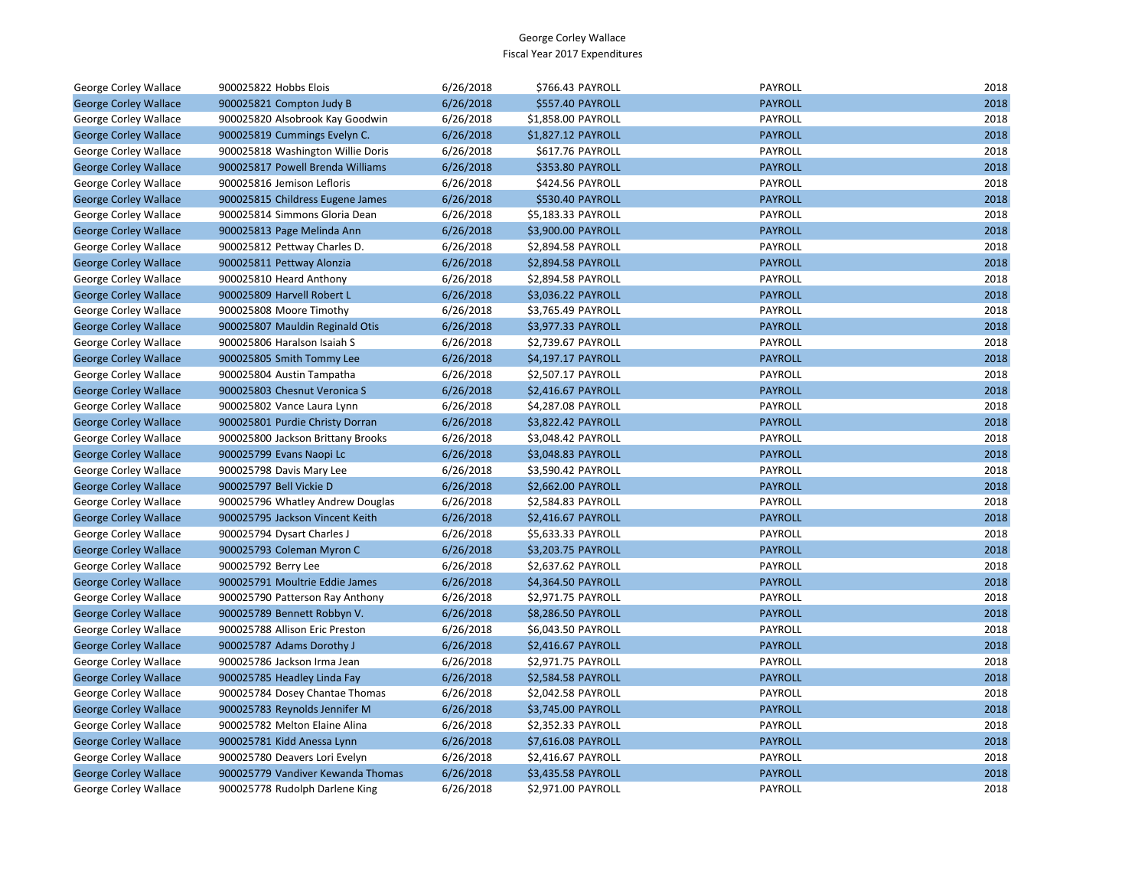| George Corley Wallace        | 900025822 Hobbs Elois             | 6/26/2018 | \$766.43 PAYROLL          | <b>PAYROLL</b> | 2018 |
|------------------------------|-----------------------------------|-----------|---------------------------|----------------|------|
| <b>George Corley Wallace</b> | 900025821 Compton Judy B          | 6/26/2018 | \$557.40 PAYROLL          | <b>PAYROLL</b> | 2018 |
| George Corley Wallace        | 900025820 Alsobrook Kay Goodwin   | 6/26/2018 | \$1,858.00 PAYROLL        | PAYROLL        | 2018 |
| <b>George Corley Wallace</b> | 900025819 Cummings Evelyn C.      | 6/26/2018 | \$1,827.12 PAYROLL        | <b>PAYROLL</b> | 2018 |
| George Corley Wallace        | 900025818 Washington Willie Doris | 6/26/2018 | \$617.76 PAYROLL          | PAYROLL        | 2018 |
| <b>George Corley Wallace</b> | 900025817 Powell Brenda Williams  | 6/26/2018 | \$353.80 PAYROLL          | <b>PAYROLL</b> | 2018 |
| George Corley Wallace        | 900025816 Jemison Lefloris        | 6/26/2018 | \$424.56 PAYROLL          | PAYROLL        | 2018 |
| <b>George Corley Wallace</b> | 900025815 Childress Eugene James  | 6/26/2018 | \$530.40 PAYROLL          | <b>PAYROLL</b> | 2018 |
| George Corley Wallace        | 900025814 Simmons Gloria Dean     | 6/26/2018 | \$5,183.33 PAYROLL        | PAYROLL        | 2018 |
| <b>George Corley Wallace</b> | 900025813 Page Melinda Ann        | 6/26/2018 | \$3,900.00 PAYROLL        | <b>PAYROLL</b> | 2018 |
| George Corley Wallace        | 900025812 Pettway Charles D.      | 6/26/2018 | \$2,894.58 PAYROLL        | PAYROLL        | 2018 |
| <b>George Corley Wallace</b> | 900025811 Pettway Alonzia         | 6/26/2018 | \$2,894.58 PAYROLL        | <b>PAYROLL</b> | 2018 |
| George Corley Wallace        | 900025810 Heard Anthony           | 6/26/2018 | \$2,894.58 PAYROLL        | PAYROLL        | 2018 |
| <b>George Corley Wallace</b> | 900025809 Harvell Robert L        | 6/26/2018 | \$3,036.22 PAYROLL        | <b>PAYROLL</b> | 2018 |
| George Corley Wallace        | 900025808 Moore Timothy           | 6/26/2018 | \$3,765.49 PAYROLL        | PAYROLL        | 2018 |
| <b>George Corley Wallace</b> | 900025807 Mauldin Reginald Otis   | 6/26/2018 | \$3,977.33 PAYROLL        | <b>PAYROLL</b> | 2018 |
| George Corley Wallace        | 900025806 Haralson Isaiah S       | 6/26/2018 | \$2,739.67 PAYROLL        | PAYROLL        | 2018 |
| <b>George Corley Wallace</b> | 900025805 Smith Tommy Lee         | 6/26/2018 | \$4,197.17 PAYROLL        | <b>PAYROLL</b> | 2018 |
| George Corley Wallace        | 900025804 Austin Tampatha         | 6/26/2018 | \$2,507.17 PAYROLL        | PAYROLL        | 2018 |
| <b>George Corley Wallace</b> | 900025803 Chesnut Veronica S      | 6/26/2018 | \$2,416.67 PAYROLL        | <b>PAYROLL</b> | 2018 |
| George Corley Wallace        | 900025802 Vance Laura Lynn        | 6/26/2018 | \$4,287.08 PAYROLL        | PAYROLL        | 2018 |
| <b>George Corley Wallace</b> | 900025801 Purdie Christy Dorran   | 6/26/2018 | \$3,822.42 PAYROLL        | <b>PAYROLL</b> | 2018 |
| George Corley Wallace        | 900025800 Jackson Brittany Brooks | 6/26/2018 | \$3,048.42 PAYROLL        | PAYROLL        | 2018 |
| <b>George Corley Wallace</b> | 900025799 Evans Naopi Lc          | 6/26/2018 | \$3,048.83 PAYROLL        | <b>PAYROLL</b> | 2018 |
| George Corley Wallace        | 900025798 Davis Mary Lee          | 6/26/2018 | \$3,590.42 PAYROLL        | PAYROLL        | 2018 |
| <b>George Corley Wallace</b> | 900025797 Bell Vickie D           | 6/26/2018 | \$2,662.00 PAYROLL        | <b>PAYROLL</b> | 2018 |
| George Corley Wallace        | 900025796 Whatley Andrew Douglas  | 6/26/2018 | \$2,584.83 PAYROLL        | PAYROLL        | 2018 |
| <b>George Corley Wallace</b> | 900025795 Jackson Vincent Keith   | 6/26/2018 | \$2,416.67 PAYROLL        | <b>PAYROLL</b> | 2018 |
| George Corley Wallace        | 900025794 Dysart Charles J        | 6/26/2018 | \$5,633.33 PAYROLL        | PAYROLL        | 2018 |
| <b>George Corley Wallace</b> | 900025793 Coleman Myron C         | 6/26/2018 | \$3,203.75 PAYROLL        | <b>PAYROLL</b> | 2018 |
| George Corley Wallace        | 900025792 Berry Lee               | 6/26/2018 | \$2,637.62 PAYROLL        | PAYROLL        | 2018 |
| <b>George Corley Wallace</b> | 900025791 Moultrie Eddie James    | 6/26/2018 | \$4,364.50 PAYROLL        | <b>PAYROLL</b> | 2018 |
| George Corley Wallace        | 900025790 Patterson Ray Anthony   | 6/26/2018 | \$2,971.75 PAYROLL        | PAYROLL        | 2018 |
| <b>George Corley Wallace</b> | 900025789 Bennett Robbyn V.       | 6/26/2018 | \$8,286.50 PAYROLL        | <b>PAYROLL</b> | 2018 |
| George Corley Wallace        | 900025788 Allison Eric Preston    | 6/26/2018 | \$6,043.50 PAYROLL        | PAYROLL        | 2018 |
| <b>George Corley Wallace</b> | 900025787 Adams Dorothy J         | 6/26/2018 | \$2,416.67 PAYROLL        | <b>PAYROLL</b> | 2018 |
| George Corley Wallace        | 900025786 Jackson Irma Jean       | 6/26/2018 | \$2,971.75 PAYROLL        | PAYROLL        | 2018 |
| <b>George Corley Wallace</b> | 900025785 Headley Linda Fay       | 6/26/2018 | \$2,584.58 PAYROLL        | <b>PAYROLL</b> | 2018 |
| George Corley Wallace        | 900025784 Dosey Chantae Thomas    | 6/26/2018 | \$2,042.58 PAYROLL        | PAYROLL        | 2018 |
| <b>George Corley Wallace</b> | 900025783 Reynolds Jennifer M     | 6/26/2018 | \$3,745.00 PAYROLL        | <b>PAYROLL</b> | 2018 |
| George Corley Wallace        | 900025782 Melton Elaine Alina     | 6/26/2018 | \$2,352.33 PAYROLL        | PAYROLL        | 2018 |
| <b>George Corley Wallace</b> | 900025781 Kidd Anessa Lynn        | 6/26/2018 | \$7,616.08 PAYROLL        | <b>PAYROLL</b> | 2018 |
| George Corley Wallace        | 900025780 Deavers Lori Evelyn     | 6/26/2018 | \$2,416.67 PAYROLL        | PAYROLL        | 2018 |
| <b>George Corley Wallace</b> | 900025779 Vandiver Kewanda Thomas | 6/26/2018 | \$3,435.58 PAYROLL        | <b>PAYROLL</b> | 2018 |
| <b>George Corley Wallace</b> | 900025778 Rudolph Darlene King    | 6/26/2018 | <b>\$2.971.00 PAYROLL</b> | PAYROLL        | 2018 |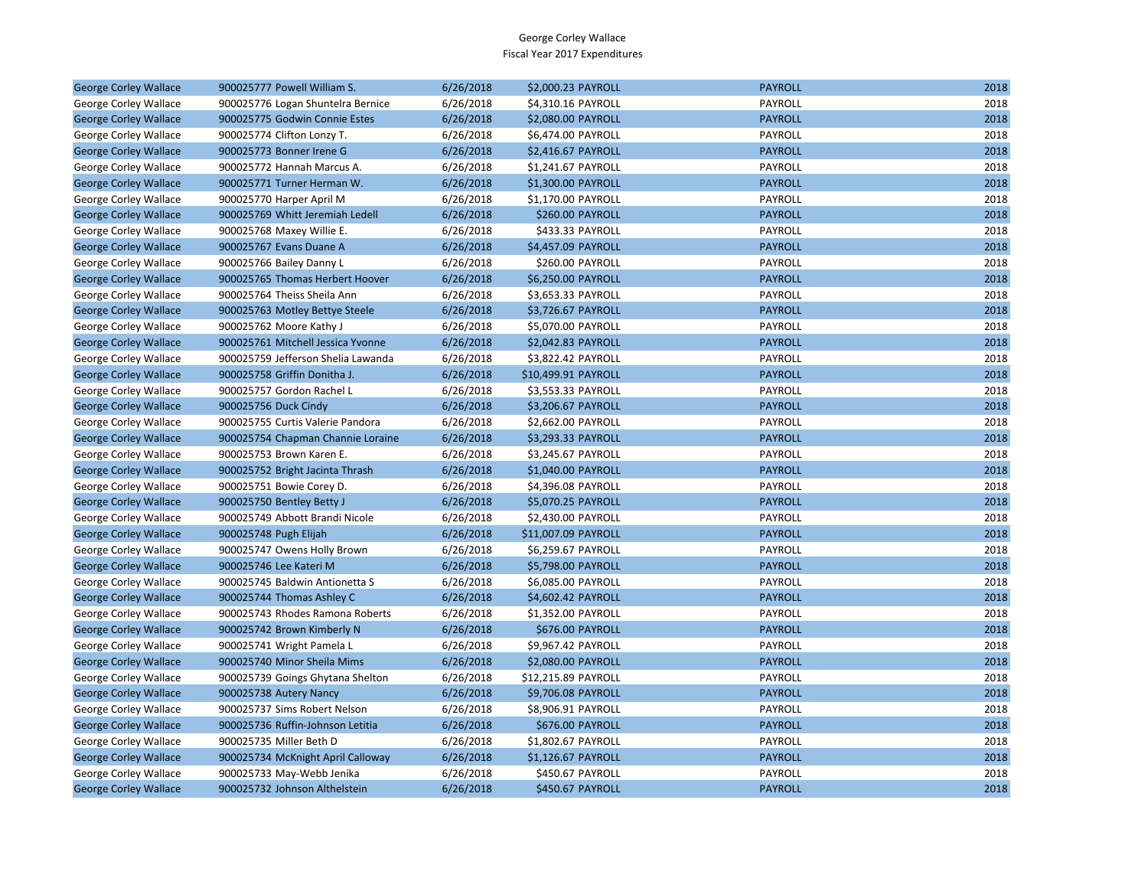| <b>George Corley Wallace</b> | 900025777 Powell William S.        | 6/26/2018 | \$2,000.23 PAYROLL  | <b>PAYROLL</b> | 2018 |
|------------------------------|------------------------------------|-----------|---------------------|----------------|------|
| George Corley Wallace        | 900025776 Logan Shuntelra Bernice  | 6/26/2018 | \$4,310.16 PAYROLL  | PAYROLL        | 2018 |
| <b>George Corley Wallace</b> | 900025775 Godwin Connie Estes      | 6/26/2018 | \$2,080.00 PAYROLL  | <b>PAYROLL</b> | 2018 |
| George Corley Wallace        | 900025774 Clifton Lonzy T.         | 6/26/2018 | \$6,474.00 PAYROLL  | PAYROLL        | 2018 |
| <b>George Corley Wallace</b> | 900025773 Bonner Irene G           | 6/26/2018 | \$2,416.67 PAYROLL  | <b>PAYROLL</b> | 2018 |
| George Corley Wallace        | 900025772 Hannah Marcus A.         | 6/26/2018 | \$1,241.67 PAYROLL  | PAYROLL        | 2018 |
| <b>George Corley Wallace</b> | 900025771 Turner Herman W.         | 6/26/2018 | \$1,300.00 PAYROLL  | <b>PAYROLL</b> | 2018 |
| George Corley Wallace        | 900025770 Harper April M           | 6/26/2018 | \$1,170.00 PAYROLL  | PAYROLL        | 2018 |
| <b>George Corley Wallace</b> | 900025769 Whitt Jeremiah Ledell    | 6/26/2018 | \$260.00 PAYROLL    | <b>PAYROLL</b> | 2018 |
| George Corley Wallace        | 900025768 Maxey Willie E.          | 6/26/2018 | \$433.33 PAYROLL    | PAYROLL        | 2018 |
| <b>George Corley Wallace</b> | 900025767 Evans Duane A            | 6/26/2018 | \$4,457.09 PAYROLL  | <b>PAYROLL</b> | 2018 |
| George Corley Wallace        | 900025766 Bailey Danny L           | 6/26/2018 | \$260.00 PAYROLL    | PAYROLL        | 2018 |
| <b>George Corley Wallace</b> | 900025765 Thomas Herbert Hoover    | 6/26/2018 | \$6,250.00 PAYROLL  | <b>PAYROLL</b> | 2018 |
| George Corley Wallace        | 900025764 Theiss Sheila Ann        | 6/26/2018 | \$3,653.33 PAYROLL  | PAYROLL        | 2018 |
| <b>George Corley Wallace</b> | 900025763 Motley Bettye Steele     | 6/26/2018 | \$3,726.67 PAYROLL  | <b>PAYROLL</b> | 2018 |
| George Corley Wallace        | 900025762 Moore Kathy J            | 6/26/2018 | \$5,070.00 PAYROLL  | PAYROLL        | 2018 |
| <b>George Corley Wallace</b> | 900025761 Mitchell Jessica Yvonne  | 6/26/2018 | \$2,042.83 PAYROLL  | <b>PAYROLL</b> | 2018 |
| George Corley Wallace        | 900025759 Jefferson Shelia Lawanda | 6/26/2018 | \$3,822.42 PAYROLL  | PAYROLL        | 2018 |
| <b>George Corley Wallace</b> | 900025758 Griffin Donitha J.       | 6/26/2018 | \$10,499.91 PAYROLL | <b>PAYROLL</b> | 2018 |
| George Corley Wallace        | 900025757 Gordon Rachel L          | 6/26/2018 | \$3,553.33 PAYROLL  | PAYROLL        | 2018 |
| <b>George Corley Wallace</b> | 900025756 Duck Cindy               | 6/26/2018 | \$3,206.67 PAYROLL  | <b>PAYROLL</b> | 2018 |
| George Corley Wallace        | 900025755 Curtis Valerie Pandora   | 6/26/2018 | \$2,662.00 PAYROLL  | PAYROLL        | 2018 |
| <b>George Corley Wallace</b> | 900025754 Chapman Channie Loraine  | 6/26/2018 | \$3,293.33 PAYROLL  | <b>PAYROLL</b> | 2018 |
| George Corley Wallace        | 900025753 Brown Karen E.           | 6/26/2018 | \$3,245.67 PAYROLL  | PAYROLL        | 2018 |
| <b>George Corley Wallace</b> | 900025752 Bright Jacinta Thrash    | 6/26/2018 | \$1,040.00 PAYROLL  | <b>PAYROLL</b> | 2018 |
| George Corley Wallace        | 900025751 Bowie Corey D.           | 6/26/2018 | \$4,396.08 PAYROLL  | PAYROLL        | 2018 |
| <b>George Corley Wallace</b> | 900025750 Bentley Betty J          | 6/26/2018 | \$5,070.25 PAYROLL  | <b>PAYROLL</b> | 2018 |
| George Corley Wallace        | 900025749 Abbott Brandi Nicole     | 6/26/2018 | \$2,430.00 PAYROLL  | PAYROLL        | 2018 |
| <b>George Corley Wallace</b> | 900025748 Pugh Elijah              | 6/26/2018 | \$11,007.09 PAYROLL | <b>PAYROLL</b> | 2018 |
| George Corley Wallace        | 900025747 Owens Holly Brown        | 6/26/2018 | \$6,259.67 PAYROLL  | PAYROLL        | 2018 |
| <b>George Corley Wallace</b> | 900025746 Lee Kateri M             | 6/26/2018 | \$5,798.00 PAYROLL  | <b>PAYROLL</b> | 2018 |
| George Corley Wallace        | 900025745 Baldwin Antionetta S     | 6/26/2018 | \$6,085.00 PAYROLL  | PAYROLL        | 2018 |
| <b>George Corley Wallace</b> | 900025744 Thomas Ashley C          | 6/26/2018 | \$4,602.42 PAYROLL  | <b>PAYROLL</b> | 2018 |
| George Corley Wallace        | 900025743 Rhodes Ramona Roberts    | 6/26/2018 | \$1,352.00 PAYROLL  | PAYROLL        | 2018 |
| <b>George Corley Wallace</b> | 900025742 Brown Kimberly N         | 6/26/2018 | \$676.00 PAYROLL    | <b>PAYROLL</b> | 2018 |
| George Corley Wallace        | 900025741 Wright Pamela L          | 6/26/2018 | \$9,967.42 PAYROLL  | PAYROLL        | 2018 |
| <b>George Corley Wallace</b> | 900025740 Minor Sheila Mims        | 6/26/2018 | \$2,080.00 PAYROLL  | <b>PAYROLL</b> | 2018 |
| George Corley Wallace        | 900025739 Goings Ghytana Shelton   | 6/26/2018 | \$12,215.89 PAYROLL | PAYROLL        | 2018 |
| <b>George Corley Wallace</b> | 900025738 Autery Nancy             | 6/26/2018 | \$9,706.08 PAYROLL  | <b>PAYROLL</b> | 2018 |
| George Corley Wallace        | 900025737 Sims Robert Nelson       | 6/26/2018 | \$8,906.91 PAYROLL  | PAYROLL        | 2018 |
| <b>George Corley Wallace</b> | 900025736 Ruffin-Johnson Letitia   | 6/26/2018 | \$676.00 PAYROLL    | <b>PAYROLL</b> | 2018 |
| George Corley Wallace        | 900025735 Miller Beth D            | 6/26/2018 | \$1,802.67 PAYROLL  | PAYROLL        | 2018 |
| <b>George Corley Wallace</b> | 900025734 McKnight April Calloway  | 6/26/2018 | \$1,126.67 PAYROLL  | <b>PAYROLL</b> | 2018 |
| George Corley Wallace        | 900025733 May-Webb Jenika          | 6/26/2018 | \$450.67 PAYROLL    | PAYROLL        | 2018 |
| <b>George Corley Wallace</b> | 900025732 Johnson Althelstein      | 6/26/2018 | \$450.67 PAYROLL    | <b>PAYROLL</b> | 2018 |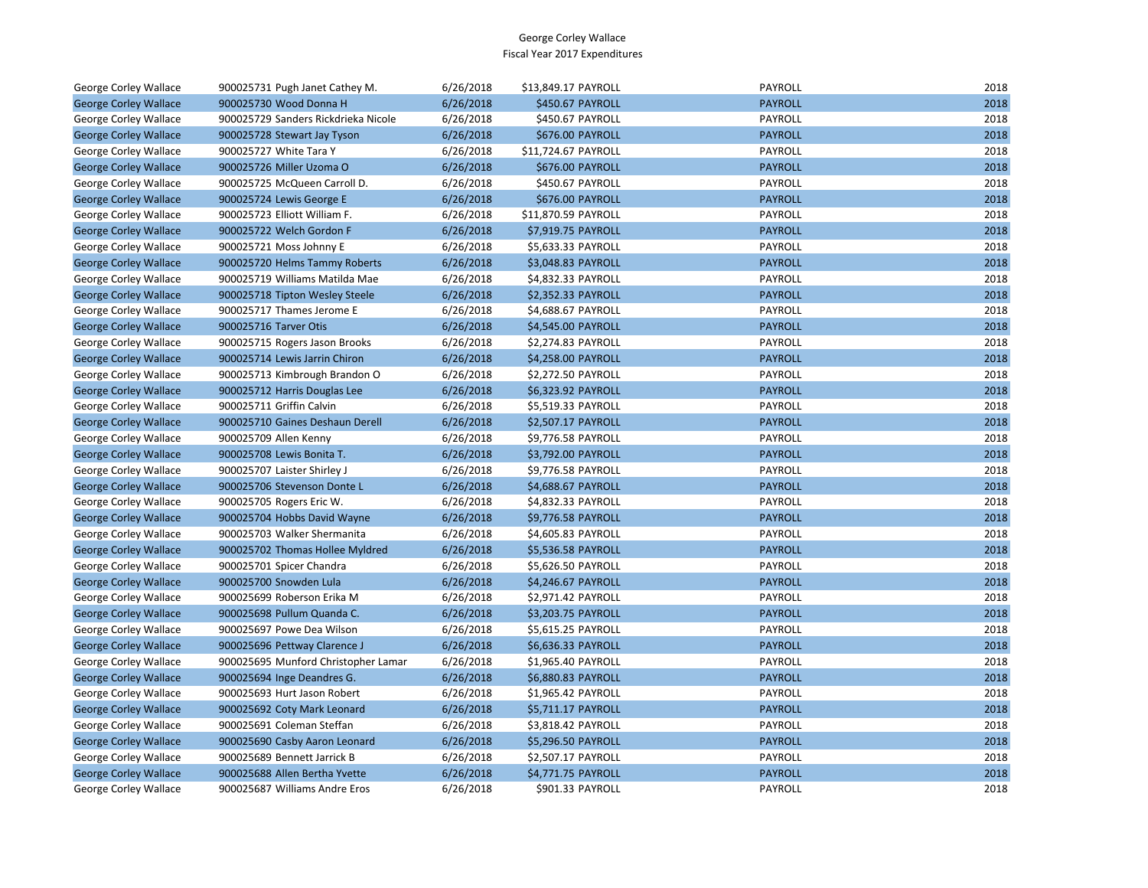| George Corley Wallace        | 900025731 Pugh Janet Cathey M.      | 6/26/2018 | \$13,849.17 PAYROLL | PAYROLL        | 2018 |
|------------------------------|-------------------------------------|-----------|---------------------|----------------|------|
| <b>George Corley Wallace</b> | 900025730 Wood Donna H              | 6/26/2018 | \$450.67 PAYROLL    | <b>PAYROLL</b> | 2018 |
| George Corley Wallace        | 900025729 Sanders Rickdrieka Nicole | 6/26/2018 | \$450.67 PAYROLL    | PAYROLL        | 2018 |
| <b>George Corley Wallace</b> | 900025728 Stewart Jay Tyson         | 6/26/2018 | \$676.00 PAYROLL    | <b>PAYROLL</b> | 2018 |
| George Corley Wallace        | 900025727 White Tara Y              | 6/26/2018 | \$11,724.67 PAYROLL | PAYROLL        | 2018 |
| <b>George Corley Wallace</b> | 900025726 Miller Uzoma O            | 6/26/2018 | \$676.00 PAYROLL    | <b>PAYROLL</b> | 2018 |
| George Corley Wallace        | 900025725 McQueen Carroll D.        | 6/26/2018 | \$450.67 PAYROLL    | PAYROLL        | 2018 |
| <b>George Corley Wallace</b> | 900025724 Lewis George E            | 6/26/2018 | \$676.00 PAYROLL    | <b>PAYROLL</b> | 2018 |
| George Corley Wallace        | 900025723 Elliott William F.        | 6/26/2018 | \$11,870.59 PAYROLL | PAYROLL        | 2018 |
| <b>George Corley Wallace</b> | 900025722 Welch Gordon F            | 6/26/2018 | \$7,919.75 PAYROLL  | <b>PAYROLL</b> | 2018 |
| George Corley Wallace        | 900025721 Moss Johnny E             | 6/26/2018 | \$5,633.33 PAYROLL  | PAYROLL        | 2018 |
| <b>George Corley Wallace</b> | 900025720 Helms Tammy Roberts       | 6/26/2018 | \$3,048.83 PAYROLL  | <b>PAYROLL</b> | 2018 |
| George Corley Wallace        | 900025719 Williams Matilda Mae      | 6/26/2018 | \$4,832.33 PAYROLL  | PAYROLL        | 2018 |
| <b>George Corley Wallace</b> | 900025718 Tipton Wesley Steele      | 6/26/2018 | \$2,352.33 PAYROLL  | <b>PAYROLL</b> | 2018 |
| George Corley Wallace        | 900025717 Thames Jerome E           | 6/26/2018 | \$4,688.67 PAYROLL  | PAYROLL        | 2018 |
| <b>George Corley Wallace</b> | 900025716 Tarver Otis               | 6/26/2018 | \$4,545.00 PAYROLL  | <b>PAYROLL</b> | 2018 |
| George Corley Wallace        | 900025715 Rogers Jason Brooks       | 6/26/2018 | \$2,274.83 PAYROLL  | PAYROLL        | 2018 |
| <b>George Corley Wallace</b> | 900025714 Lewis Jarrin Chiron       | 6/26/2018 | \$4,258.00 PAYROLL  | <b>PAYROLL</b> | 2018 |
| George Corley Wallace        | 900025713 Kimbrough Brandon O       | 6/26/2018 | \$2,272.50 PAYROLL  | PAYROLL        | 2018 |
| <b>George Corley Wallace</b> | 900025712 Harris Douglas Lee        | 6/26/2018 | \$6,323.92 PAYROLL  | <b>PAYROLL</b> | 2018 |
| George Corley Wallace        | 900025711 Griffin Calvin            | 6/26/2018 | \$5,519.33 PAYROLL  | PAYROLL        | 2018 |
| <b>George Corley Wallace</b> | 900025710 Gaines Deshaun Derell     | 6/26/2018 | \$2,507.17 PAYROLL  | <b>PAYROLL</b> | 2018 |
| George Corley Wallace        | 900025709 Allen Kenny               | 6/26/2018 | \$9,776.58 PAYROLL  | PAYROLL        | 2018 |
| <b>George Corley Wallace</b> | 900025708 Lewis Bonita T.           | 6/26/2018 | \$3,792.00 PAYROLL  | <b>PAYROLL</b> | 2018 |
| George Corley Wallace        | 900025707 Laister Shirley J         | 6/26/2018 | \$9,776.58 PAYROLL  | PAYROLL        | 2018 |
| <b>George Corley Wallace</b> | 900025706 Stevenson Donte L         | 6/26/2018 | \$4,688.67 PAYROLL  | <b>PAYROLL</b> | 2018 |
| George Corley Wallace        | 900025705 Rogers Eric W.            | 6/26/2018 | \$4,832.33 PAYROLL  | PAYROLL        | 2018 |
| <b>George Corley Wallace</b> | 900025704 Hobbs David Wayne         | 6/26/2018 | \$9,776.58 PAYROLL  | <b>PAYROLL</b> | 2018 |
| George Corley Wallace        | 900025703 Walker Shermanita         | 6/26/2018 | \$4,605.83 PAYROLL  | PAYROLL        | 2018 |
| <b>George Corley Wallace</b> | 900025702 Thomas Hollee Myldred     | 6/26/2018 | \$5,536.58 PAYROLL  | <b>PAYROLL</b> | 2018 |
| George Corley Wallace        | 900025701 Spicer Chandra            | 6/26/2018 | \$5,626.50 PAYROLL  | PAYROLL        | 2018 |
| <b>George Corley Wallace</b> | 900025700 Snowden Lula              | 6/26/2018 | \$4,246.67 PAYROLL  | <b>PAYROLL</b> | 2018 |
| George Corley Wallace        | 900025699 Roberson Erika M          | 6/26/2018 | \$2,971.42 PAYROLL  | PAYROLL        | 2018 |
| <b>George Corley Wallace</b> | 900025698 Pullum Quanda C.          | 6/26/2018 | \$3,203.75 PAYROLL  | <b>PAYROLL</b> | 2018 |
| George Corley Wallace        | 900025697 Powe Dea Wilson           | 6/26/2018 | \$5,615.25 PAYROLL  | PAYROLL        | 2018 |
| <b>George Corley Wallace</b> | 900025696 Pettway Clarence J        | 6/26/2018 | \$6,636.33 PAYROLL  | <b>PAYROLL</b> | 2018 |
| George Corley Wallace        | 900025695 Munford Christopher Lamar | 6/26/2018 | \$1,965.40 PAYROLL  | PAYROLL        | 2018 |
| <b>George Corley Wallace</b> | 900025694 Inge Deandres G.          | 6/26/2018 | \$6,880.83 PAYROLL  | <b>PAYROLL</b> | 2018 |
| George Corley Wallace        | 900025693 Hurt Jason Robert         | 6/26/2018 | \$1,965.42 PAYROLL  | PAYROLL        | 2018 |
| <b>George Corley Wallace</b> | 900025692 Coty Mark Leonard         | 6/26/2018 | \$5,711.17 PAYROLL  | <b>PAYROLL</b> | 2018 |
| George Corley Wallace        | 900025691 Coleman Steffan           | 6/26/2018 | \$3,818.42 PAYROLL  | PAYROLL        | 2018 |
| <b>George Corley Wallace</b> | 900025690 Casby Aaron Leonard       | 6/26/2018 | \$5,296.50 PAYROLL  | <b>PAYROLL</b> | 2018 |
| George Corley Wallace        | 900025689 Bennett Jarrick B         | 6/26/2018 | \$2,507.17 PAYROLL  | PAYROLL        | 2018 |
| <b>George Corley Wallace</b> | 900025688 Allen Bertha Yvette       | 6/26/2018 | \$4,771.75 PAYROLL  | <b>PAYROLL</b> | 2018 |
| George Corley Wallace        | 900025687 Williams Andre Eros       | 6/26/2018 | \$901.33 PAYROLL    | PAYROLL        | 2018 |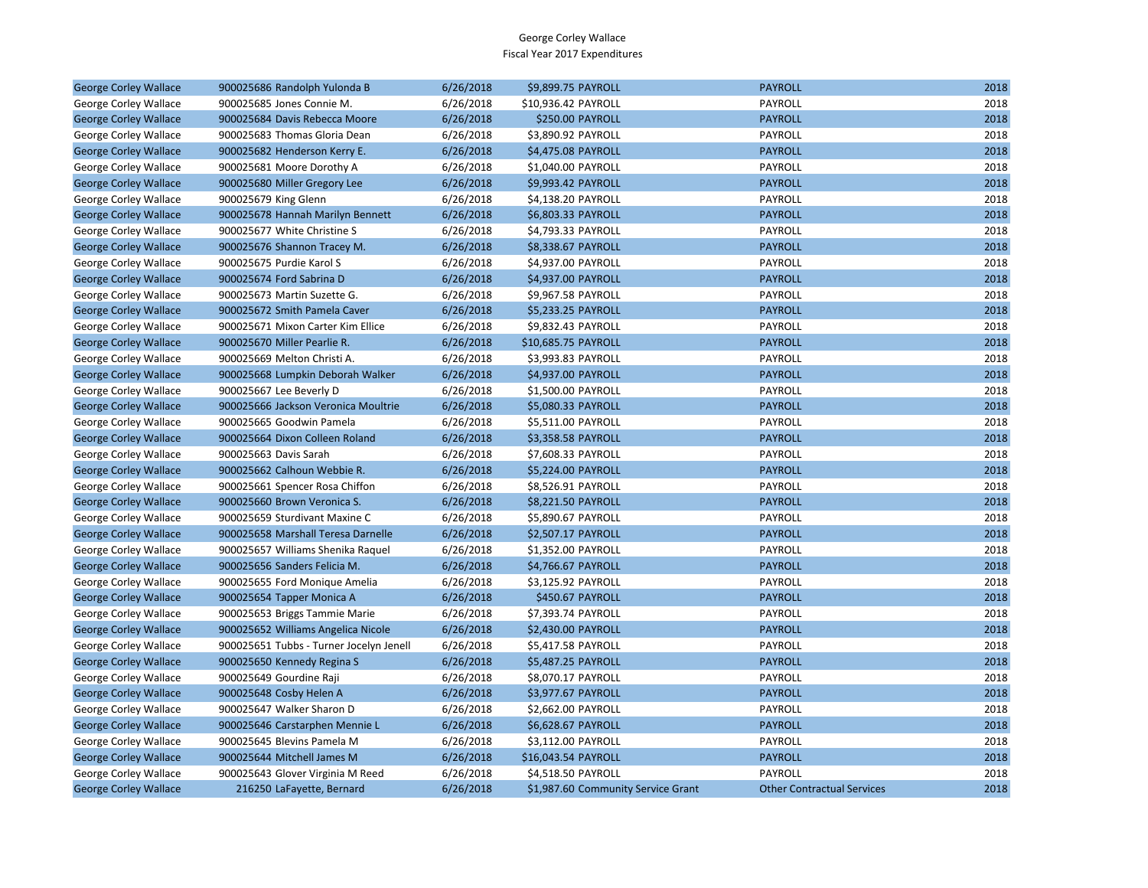| <b>George Corley Wallace</b> | 900025686 Randolph Yulonda B            | 6/26/2018 | \$9,899.75 PAYROLL                 | <b>PAYROLL</b>                    | 2018 |
|------------------------------|-----------------------------------------|-----------|------------------------------------|-----------------------------------|------|
| George Corley Wallace        | 900025685 Jones Connie M.               | 6/26/2018 | \$10,936.42 PAYROLL                | PAYROLL                           | 2018 |
| <b>George Corley Wallace</b> | 900025684 Davis Rebecca Moore           | 6/26/2018 | <b>\$250.00 PAYROLL</b>            | <b>PAYROLL</b>                    | 2018 |
| George Corley Wallace        | 900025683 Thomas Gloria Dean            | 6/26/2018 | \$3,890.92 PAYROLL                 | PAYROLL                           | 2018 |
| <b>George Corley Wallace</b> | 900025682 Henderson Kerry E.            | 6/26/2018 | \$4,475.08 PAYROLL                 | <b>PAYROLL</b>                    | 2018 |
| George Corley Wallace        | 900025681 Moore Dorothy A               | 6/26/2018 | \$1,040.00 PAYROLL                 | PAYROLL                           | 2018 |
| <b>George Corley Wallace</b> | 900025680 Miller Gregory Lee            | 6/26/2018 | \$9,993.42 PAYROLL                 | <b>PAYROLL</b>                    | 2018 |
| George Corley Wallace        | 900025679 King Glenn                    | 6/26/2018 | \$4,138.20 PAYROLL                 | PAYROLL                           | 2018 |
| <b>George Corley Wallace</b> | 900025678 Hannah Marilyn Bennett        | 6/26/2018 | \$6,803.33 PAYROLL                 | <b>PAYROLL</b>                    | 2018 |
| George Corley Wallace        | 900025677 White Christine S             | 6/26/2018 | \$4,793.33 PAYROLL                 | PAYROLL                           | 2018 |
| <b>George Corley Wallace</b> | 900025676 Shannon Tracey M.             | 6/26/2018 | \$8,338.67 PAYROLL                 | <b>PAYROLL</b>                    | 2018 |
| George Corley Wallace        | 900025675 Purdie Karol S                | 6/26/2018 | \$4,937.00 PAYROLL                 | PAYROLL                           | 2018 |
| <b>George Corley Wallace</b> | 900025674 Ford Sabrina D                | 6/26/2018 | \$4,937.00 PAYROLL                 | <b>PAYROLL</b>                    | 2018 |
| George Corley Wallace        | 900025673 Martin Suzette G.             | 6/26/2018 | \$9,967.58 PAYROLL                 | PAYROLL                           | 2018 |
| <b>George Corley Wallace</b> | 900025672 Smith Pamela Caver            | 6/26/2018 | \$5,233.25 PAYROLL                 | <b>PAYROLL</b>                    | 2018 |
| George Corley Wallace        | 900025671 Mixon Carter Kim Ellice       | 6/26/2018 | \$9,832.43 PAYROLL                 | PAYROLL                           | 2018 |
| <b>George Corley Wallace</b> | 900025670 Miller Pearlie R.             | 6/26/2018 | \$10,685.75 PAYROLL                | <b>PAYROLL</b>                    | 2018 |
| George Corley Wallace        | 900025669 Melton Christi A.             | 6/26/2018 | \$3,993.83 PAYROLL                 | PAYROLL                           | 2018 |
| <b>George Corley Wallace</b> | 900025668 Lumpkin Deborah Walker        | 6/26/2018 | \$4,937.00 PAYROLL                 | <b>PAYROLL</b>                    | 2018 |
| George Corley Wallace        | 900025667 Lee Beverly D                 | 6/26/2018 | \$1,500.00 PAYROLL                 | <b>PAYROLL</b>                    | 2018 |
| <b>George Corley Wallace</b> | 900025666 Jackson Veronica Moultrie     | 6/26/2018 | \$5,080.33 PAYROLL                 | <b>PAYROLL</b>                    | 2018 |
| George Corley Wallace        | 900025665 Goodwin Pamela                | 6/26/2018 | \$5,511.00 PAYROLL                 | PAYROLL                           | 2018 |
| <b>George Corley Wallace</b> | 900025664 Dixon Colleen Roland          | 6/26/2018 | \$3,358.58 PAYROLL                 | <b>PAYROLL</b>                    | 2018 |
| George Corley Wallace        | 900025663 Davis Sarah                   | 6/26/2018 | \$7,608.33 PAYROLL                 | PAYROLL                           | 2018 |
| <b>George Corley Wallace</b> | 900025662 Calhoun Webbie R.             | 6/26/2018 | \$5,224.00 PAYROLL                 | <b>PAYROLL</b>                    | 2018 |
| George Corley Wallace        | 900025661 Spencer Rosa Chiffon          | 6/26/2018 | \$8,526.91 PAYROLL                 | PAYROLL                           | 2018 |
| <b>George Corley Wallace</b> | 900025660 Brown Veronica S.             | 6/26/2018 | \$8,221.50 PAYROLL                 | <b>PAYROLL</b>                    | 2018 |
| George Corley Wallace        | 900025659 Sturdivant Maxine C           | 6/26/2018 | \$5,890.67 PAYROLL                 | PAYROLL                           | 2018 |
| <b>George Corley Wallace</b> | 900025658 Marshall Teresa Darnelle      | 6/26/2018 | \$2,507.17 PAYROLL                 | <b>PAYROLL</b>                    | 2018 |
| George Corley Wallace        | 900025657 Williams Shenika Raquel       | 6/26/2018 | \$1,352.00 PAYROLL                 | PAYROLL                           | 2018 |
| <b>George Corley Wallace</b> | 900025656 Sanders Felicia M.            | 6/26/2018 | \$4,766.67 PAYROLL                 | <b>PAYROLL</b>                    | 2018 |
| George Corley Wallace        | 900025655 Ford Monique Amelia           | 6/26/2018 | \$3,125.92 PAYROLL                 | PAYROLL                           | 2018 |
| <b>George Corley Wallace</b> | 900025654 Tapper Monica A               | 6/26/2018 | \$450.67 PAYROLL                   | <b>PAYROLL</b>                    | 2018 |
| George Corley Wallace        | 900025653 Briggs Tammie Marie           | 6/26/2018 | \$7,393.74 PAYROLL                 | PAYROLL                           | 2018 |
| <b>George Corley Wallace</b> | 900025652 Williams Angelica Nicole      | 6/26/2018 | \$2,430.00 PAYROLL                 | <b>PAYROLL</b>                    | 2018 |
| George Corley Wallace        | 900025651 Tubbs - Turner Jocelyn Jenell | 6/26/2018 | \$5,417.58 PAYROLL                 | PAYROLL                           | 2018 |
| <b>George Corley Wallace</b> | 900025650 Kennedy Regina S              | 6/26/2018 | \$5,487.25 PAYROLL                 | <b>PAYROLL</b>                    | 2018 |
| George Corley Wallace        | 900025649 Gourdine Raji                 | 6/26/2018 | \$8,070.17 PAYROLL                 | PAYROLL                           | 2018 |
| <b>George Corley Wallace</b> | 900025648 Cosby Helen A                 | 6/26/2018 | \$3,977.67 PAYROLL                 | <b>PAYROLL</b>                    | 2018 |
| George Corley Wallace        | 900025647 Walker Sharon D               | 6/26/2018 | \$2,662.00 PAYROLL                 | PAYROLL                           | 2018 |
| <b>George Corley Wallace</b> | 900025646 Carstarphen Mennie L          | 6/26/2018 | \$6,628.67 PAYROLL                 | <b>PAYROLL</b>                    | 2018 |
| George Corley Wallace        | 900025645 Blevins Pamela M              | 6/26/2018 | \$3,112.00 PAYROLL                 | PAYROLL                           | 2018 |
| <b>George Corley Wallace</b> | 900025644 Mitchell James M              | 6/26/2018 | \$16,043.54 PAYROLL                | <b>PAYROLL</b>                    | 2018 |
| George Corley Wallace        | 900025643 Glover Virginia M Reed        | 6/26/2018 | \$4,518.50 PAYROLL                 | PAYROLL                           | 2018 |
| <b>George Corley Wallace</b> | 216250 LaFayette, Bernard               | 6/26/2018 | \$1,987.60 Community Service Grant | <b>Other Contractual Services</b> | 2018 |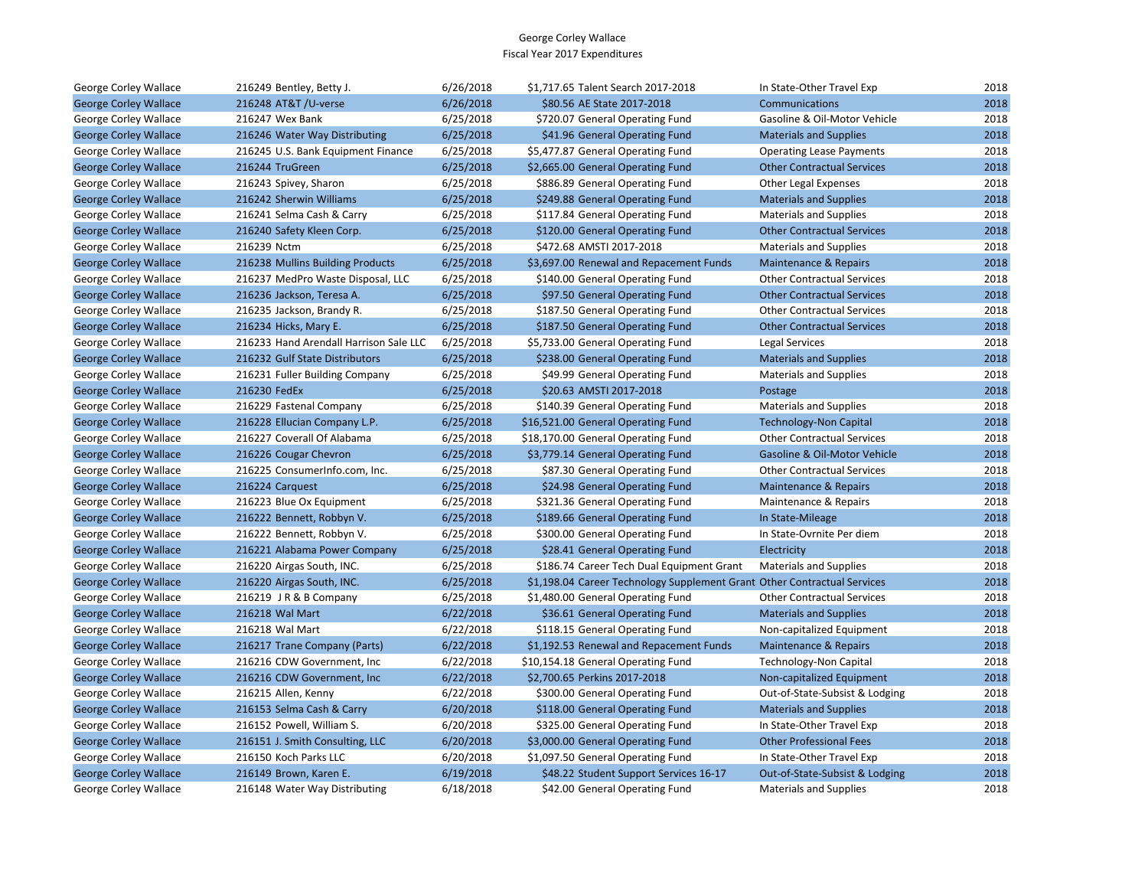| George Corley Wallace        | 216249 Bentley, Betty J.               | 6/26/2018 | \$1,717.65 Talent Search 2017-2018                                       | In State-Other Travel Exp         | 2018 |
|------------------------------|----------------------------------------|-----------|--------------------------------------------------------------------------|-----------------------------------|------|
| <b>George Corley Wallace</b> | 216248 AT&T /U-verse                   | 6/26/2018 | \$80.56 AE State 2017-2018                                               | Communications                    | 2018 |
| George Corley Wallace        | 216247 Wex Bank                        | 6/25/2018 | \$720.07 General Operating Fund                                          | Gasoline & Oil-Motor Vehicle      | 2018 |
| <b>George Corley Wallace</b> | 216246 Water Way Distributing          | 6/25/2018 | \$41.96 General Operating Fund                                           | <b>Materials and Supplies</b>     | 2018 |
| George Corley Wallace        | 216245 U.S. Bank Equipment Finance     | 6/25/2018 | \$5,477.87 General Operating Fund                                        | <b>Operating Lease Payments</b>   | 2018 |
| <b>George Corley Wallace</b> | 216244 TruGreen                        | 6/25/2018 | \$2,665.00 General Operating Fund                                        | <b>Other Contractual Services</b> | 2018 |
| George Corley Wallace        | 216243 Spivey, Sharon                  | 6/25/2018 | \$886.89 General Operating Fund                                          | Other Legal Expenses              | 2018 |
| <b>George Corley Wallace</b> | 216242 Sherwin Williams                | 6/25/2018 | \$249.88 General Operating Fund                                          | <b>Materials and Supplies</b>     | 2018 |
| George Corley Wallace        | 216241 Selma Cash & Carry              | 6/25/2018 | \$117.84 General Operating Fund                                          | <b>Materials and Supplies</b>     | 2018 |
| <b>George Corley Wallace</b> | 216240 Safety Kleen Corp.              | 6/25/2018 | \$120.00 General Operating Fund                                          | <b>Other Contractual Services</b> | 2018 |
| George Corley Wallace        | 216239 Nctm                            | 6/25/2018 | \$472.68 AMSTI 2017-2018                                                 | <b>Materials and Supplies</b>     | 2018 |
| <b>George Corley Wallace</b> | 216238 Mullins Building Products       | 6/25/2018 | \$3,697.00 Renewal and Repacement Funds                                  | Maintenance & Repairs             | 2018 |
| George Corley Wallace        | 216237 MedPro Waste Disposal, LLC      | 6/25/2018 | \$140.00 General Operating Fund                                          | <b>Other Contractual Services</b> | 2018 |
| <b>George Corley Wallace</b> | 216236 Jackson, Teresa A.              | 6/25/2018 | \$97.50 General Operating Fund                                           | <b>Other Contractual Services</b> | 2018 |
| George Corley Wallace        | 216235 Jackson, Brandy R.              | 6/25/2018 | \$187.50 General Operating Fund                                          | <b>Other Contractual Services</b> | 2018 |
| <b>George Corley Wallace</b> | 216234 Hicks, Mary E.                  | 6/25/2018 | \$187.50 General Operating Fund                                          | <b>Other Contractual Services</b> | 2018 |
| George Corley Wallace        | 216233 Hand Arendall Harrison Sale LLC | 6/25/2018 | \$5,733.00 General Operating Fund                                        | Legal Services                    | 2018 |
| <b>George Corley Wallace</b> | 216232 Gulf State Distributors         | 6/25/2018 | \$238.00 General Operating Fund                                          | <b>Materials and Supplies</b>     | 2018 |
| George Corley Wallace        | 216231 Fuller Building Company         | 6/25/2018 | \$49.99 General Operating Fund                                           | <b>Materials and Supplies</b>     | 2018 |
| <b>George Corley Wallace</b> | 216230 FedEx                           | 6/25/2018 | \$20.63 AMSTI 2017-2018                                                  | Postage                           | 2018 |
| George Corley Wallace        | 216229 Fastenal Company                | 6/25/2018 | \$140.39 General Operating Fund                                          | <b>Materials and Supplies</b>     | 2018 |
| <b>George Corley Wallace</b> | 216228 Ellucian Company L.P.           | 6/25/2018 | \$16,521.00 General Operating Fund                                       | <b>Technology-Non Capital</b>     | 2018 |
| George Corley Wallace        | 216227 Coverall Of Alabama             | 6/25/2018 | \$18,170.00 General Operating Fund                                       | <b>Other Contractual Services</b> | 2018 |
| <b>George Corley Wallace</b> | 216226 Cougar Chevron                  | 6/25/2018 | \$3,779.14 General Operating Fund                                        | Gasoline & Oil-Motor Vehicle      | 2018 |
| George Corley Wallace        | 216225 ConsumerInfo.com, Inc.          | 6/25/2018 | \$87.30 General Operating Fund                                           | <b>Other Contractual Services</b> | 2018 |
| <b>George Corley Wallace</b> | 216224 Carguest                        | 6/25/2018 | \$24.98 General Operating Fund                                           | <b>Maintenance &amp; Repairs</b>  | 2018 |
| George Corley Wallace        | 216223 Blue Ox Equipment               | 6/25/2018 | \$321.36 General Operating Fund                                          | Maintenance & Repairs             | 2018 |
| <b>George Corley Wallace</b> | 216222 Bennett, Robbyn V.              | 6/25/2018 | \$189.66 General Operating Fund                                          | In State-Mileage                  | 2018 |
| George Corley Wallace        | 216222 Bennett, Robbyn V.              | 6/25/2018 | \$300.00 General Operating Fund                                          | In State-Ovrnite Per diem         | 2018 |
| <b>George Corley Wallace</b> | 216221 Alabama Power Company           | 6/25/2018 | \$28.41 General Operating Fund                                           | Electricity                       | 2018 |
| George Corley Wallace        | 216220 Airgas South, INC.              | 6/25/2018 | \$186.74 Career Tech Dual Equipment Grant                                | <b>Materials and Supplies</b>     | 2018 |
| <b>George Corley Wallace</b> | 216220 Airgas South, INC.              | 6/25/2018 | \$1,198.04 Career Technology Supplement Grant Other Contractual Services |                                   | 2018 |
| George Corley Wallace        | 216219 JR & B Company                  | 6/25/2018 | \$1,480.00 General Operating Fund                                        | <b>Other Contractual Services</b> | 2018 |
| <b>George Corley Wallace</b> | 216218 Wal Mart                        | 6/22/2018 | \$36.61 General Operating Fund                                           | <b>Materials and Supplies</b>     | 2018 |
| George Corley Wallace        | 216218 Wal Mart                        | 6/22/2018 | \$118.15 General Operating Fund                                          | Non-capitalized Equipment         | 2018 |
| <b>George Corley Wallace</b> | 216217 Trane Company (Parts)           | 6/22/2018 | \$1,192.53 Renewal and Repacement Funds                                  | Maintenance & Repairs             | 2018 |
| George Corley Wallace        | 216216 CDW Government, Inc.            | 6/22/2018 | \$10,154.18 General Operating Fund                                       | Technology-Non Capital            | 2018 |
| <b>George Corley Wallace</b> | 216216 CDW Government, Inc.            | 6/22/2018 | \$2,700.65 Perkins 2017-2018                                             | Non-capitalized Equipment         | 2018 |
| George Corley Wallace        | 216215 Allen, Kenny                    | 6/22/2018 | \$300.00 General Operating Fund                                          | Out-of-State-Subsist & Lodging    | 2018 |
| <b>George Corley Wallace</b> | 216153 Selma Cash & Carry              | 6/20/2018 | \$118.00 General Operating Fund                                          | <b>Materials and Supplies</b>     | 2018 |
| George Corley Wallace        | 216152 Powell, William S.              | 6/20/2018 | \$325.00 General Operating Fund                                          | In State-Other Travel Exp         | 2018 |
| <b>George Corley Wallace</b> | 216151 J. Smith Consulting, LLC        | 6/20/2018 | \$3,000.00 General Operating Fund                                        | <b>Other Professional Fees</b>    | 2018 |
| George Corley Wallace        | 216150 Koch Parks LLC                  | 6/20/2018 | \$1,097.50 General Operating Fund                                        | In State-Other Travel Exp         | 2018 |
| <b>George Corley Wallace</b> | 216149 Brown, Karen E.                 | 6/19/2018 | \$48.22 Student Support Services 16-17                                   | Out-of-State-Subsist & Lodging    | 2018 |
| George Corley Wallace        | 216148 Water Way Distributing          | 6/18/2018 | \$42.00 General Operating Fund                                           | <b>Materials and Supplies</b>     | 2018 |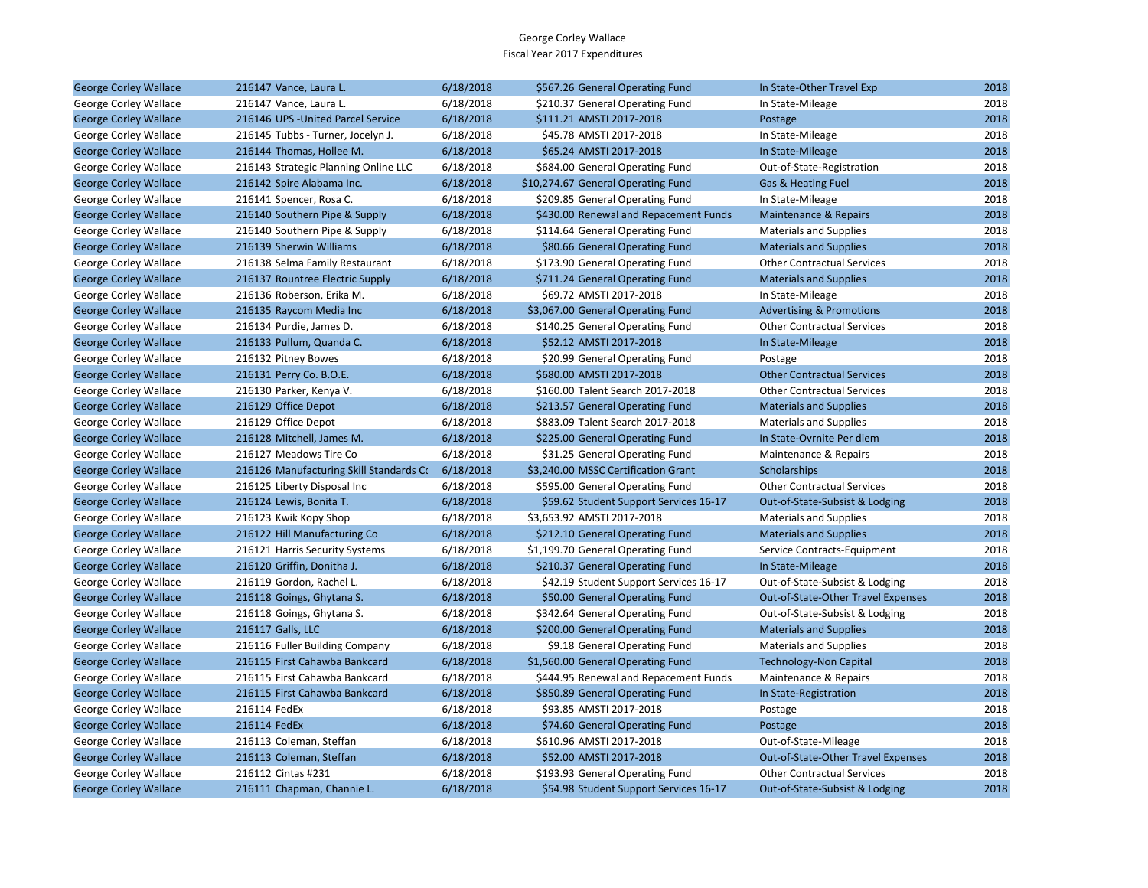| <b>George Corley Wallace</b> | 216147 Vance, Laura L.                  | 6/18/2018 | \$567.26 General Operating Fund        | In State-Other Travel Exp           | 2018 |
|------------------------------|-----------------------------------------|-----------|----------------------------------------|-------------------------------------|------|
| George Corley Wallace        | 216147 Vance, Laura L.                  | 6/18/2018 | \$210.37 General Operating Fund        | In State-Mileage                    | 2018 |
| <b>George Corley Wallace</b> | 216146 UPS - United Parcel Service      | 6/18/2018 | \$111.21 AMSTI 2017-2018               | Postage                             | 2018 |
| George Corley Wallace        | 216145 Tubbs - Turner, Jocelyn J.       | 6/18/2018 | \$45.78 AMSTI 2017-2018                | In State-Mileage                    | 2018 |
| <b>George Corley Wallace</b> | 216144 Thomas, Hollee M.                | 6/18/2018 | \$65.24 AMSTI 2017-2018                | In State-Mileage                    | 2018 |
| George Corley Wallace        | 216143 Strategic Planning Online LLC    | 6/18/2018 | \$684.00 General Operating Fund        | Out-of-State-Registration           | 2018 |
| <b>George Corley Wallace</b> | 216142 Spire Alabama Inc.               | 6/18/2018 | \$10,274.67 General Operating Fund     | Gas & Heating Fuel                  | 2018 |
| George Corley Wallace        | 216141 Spencer, Rosa C.                 | 6/18/2018 | \$209.85 General Operating Fund        | In State-Mileage                    | 2018 |
| <b>George Corley Wallace</b> | 216140 Southern Pipe & Supply           | 6/18/2018 | \$430.00 Renewal and Repacement Funds  | <b>Maintenance &amp; Repairs</b>    | 2018 |
| George Corley Wallace        | 216140 Southern Pipe & Supply           | 6/18/2018 | \$114.64 General Operating Fund        | <b>Materials and Supplies</b>       | 2018 |
| <b>George Corley Wallace</b> | 216139 Sherwin Williams                 | 6/18/2018 | \$80.66 General Operating Fund         | <b>Materials and Supplies</b>       | 2018 |
| George Corley Wallace        | 216138 Selma Family Restaurant          | 6/18/2018 | \$173.90 General Operating Fund        | <b>Other Contractual Services</b>   | 2018 |
| <b>George Corley Wallace</b> | 216137 Rountree Electric Supply         | 6/18/2018 | \$711.24 General Operating Fund        | <b>Materials and Supplies</b>       | 2018 |
| George Corley Wallace        | 216136 Roberson, Erika M.               | 6/18/2018 | \$69.72 AMSTI 2017-2018                | In State-Mileage                    | 2018 |
| <b>George Corley Wallace</b> | 216135 Raycom Media Inc                 | 6/18/2018 | \$3,067.00 General Operating Fund      | <b>Advertising &amp; Promotions</b> | 2018 |
| George Corley Wallace        | 216134 Purdie, James D.                 | 6/18/2018 | \$140.25 General Operating Fund        | <b>Other Contractual Services</b>   | 2018 |
| <b>George Corley Wallace</b> | 216133 Pullum, Quanda C.                | 6/18/2018 | \$52.12 AMSTI 2017-2018                | In State-Mileage                    | 2018 |
| George Corley Wallace        | 216132 Pitney Bowes                     | 6/18/2018 | \$20.99 General Operating Fund         | Postage                             | 2018 |
| <b>George Corley Wallace</b> | 216131 Perry Co. B.O.E.                 | 6/18/2018 | \$680.00 AMSTI 2017-2018               | <b>Other Contractual Services</b>   | 2018 |
| George Corley Wallace        | 216130 Parker, Kenya V.                 | 6/18/2018 | \$160.00 Talent Search 2017-2018       | <b>Other Contractual Services</b>   | 2018 |
| <b>George Corley Wallace</b> | 216129 Office Depot                     | 6/18/2018 | \$213.57 General Operating Fund        | <b>Materials and Supplies</b>       | 2018 |
| George Corley Wallace        | 216129 Office Depot                     | 6/18/2018 | \$883.09 Talent Search 2017-2018       | <b>Materials and Supplies</b>       | 2018 |
| <b>George Corley Wallace</b> | 216128 Mitchell, James M.               | 6/18/2018 | \$225.00 General Operating Fund        | In State-Ovrnite Per diem           | 2018 |
| George Corley Wallace        | 216127 Meadows Tire Co                  | 6/18/2018 | \$31.25 General Operating Fund         | Maintenance & Repairs               | 2018 |
| <b>George Corley Wallace</b> | 216126 Manufacturing Skill Standards Co | 6/18/2018 | \$3,240.00 MSSC Certification Grant    | Scholarships                        | 2018 |
| George Corley Wallace        | 216125 Liberty Disposal Inc             | 6/18/2018 | \$595.00 General Operating Fund        | <b>Other Contractual Services</b>   | 2018 |
| <b>George Corley Wallace</b> | 216124 Lewis, Bonita T.                 | 6/18/2018 | \$59.62 Student Support Services 16-17 | Out-of-State-Subsist & Lodging      | 2018 |
| George Corley Wallace        | 216123 Kwik Kopy Shop                   | 6/18/2018 | \$3,653.92 AMSTI 2017-2018             | <b>Materials and Supplies</b>       | 2018 |
| <b>George Corley Wallace</b> | 216122 Hill Manufacturing Co            | 6/18/2018 | \$212.10 General Operating Fund        | <b>Materials and Supplies</b>       | 2018 |
| George Corley Wallace        | 216121 Harris Security Systems          | 6/18/2018 | \$1,199.70 General Operating Fund      | Service Contracts-Equipment         | 2018 |
| <b>George Corley Wallace</b> | 216120 Griffin, Donitha J.              | 6/18/2018 | \$210.37 General Operating Fund        | In State-Mileage                    | 2018 |
| George Corley Wallace        | 216119 Gordon, Rachel L.                | 6/18/2018 | \$42.19 Student Support Services 16-17 | Out-of-State-Subsist & Lodging      | 2018 |
| <b>George Corley Wallace</b> | 216118 Goings, Ghytana S.               | 6/18/2018 | \$50.00 General Operating Fund         | Out-of-State-Other Travel Expenses  | 2018 |
| George Corley Wallace        | 216118 Goings, Ghytana S.               | 6/18/2018 | \$342.64 General Operating Fund        | Out-of-State-Subsist & Lodging      | 2018 |
| <b>George Corley Wallace</b> | 216117 Galls, LLC                       | 6/18/2018 | \$200.00 General Operating Fund        | <b>Materials and Supplies</b>       | 2018 |
| George Corley Wallace        | 216116 Fuller Building Company          | 6/18/2018 | \$9.18 General Operating Fund          | <b>Materials and Supplies</b>       | 2018 |
| <b>George Corley Wallace</b> | 216115 First Cahawba Bankcard           | 6/18/2018 | \$1,560.00 General Operating Fund      | <b>Technology-Non Capital</b>       | 2018 |
| George Corley Wallace        | 216115 First Cahawba Bankcard           | 6/18/2018 | \$444.95 Renewal and Repacement Funds  | Maintenance & Repairs               | 2018 |
| <b>George Corley Wallace</b> | 216115 First Cahawba Bankcard           | 6/18/2018 | \$850.89 General Operating Fund        | In State-Registration               | 2018 |
| George Corley Wallace        | 216114 FedEx                            | 6/18/2018 | \$93.85 AMSTI 2017-2018                | Postage                             | 2018 |
| <b>George Corley Wallace</b> | 216114 FedEx                            | 6/18/2018 | \$74.60 General Operating Fund         | Postage                             | 2018 |
| George Corley Wallace        | 216113 Coleman, Steffan                 | 6/18/2018 | \$610.96 AMSTI 2017-2018               | Out-of-State-Mileage                | 2018 |
| <b>George Corley Wallace</b> | 216113 Coleman, Steffan                 | 6/18/2018 | \$52.00 AMSTI 2017-2018                | Out-of-State-Other Travel Expenses  | 2018 |
| George Corley Wallace        | 216112 Cintas #231                      | 6/18/2018 | \$193.93 General Operating Fund        | <b>Other Contractual Services</b>   | 2018 |
| <b>George Corley Wallace</b> | 216111 Chapman, Channie L.              | 6/18/2018 | \$54.98 Student Support Services 16-17 | Out-of-State-Subsist & Lodging      | 2018 |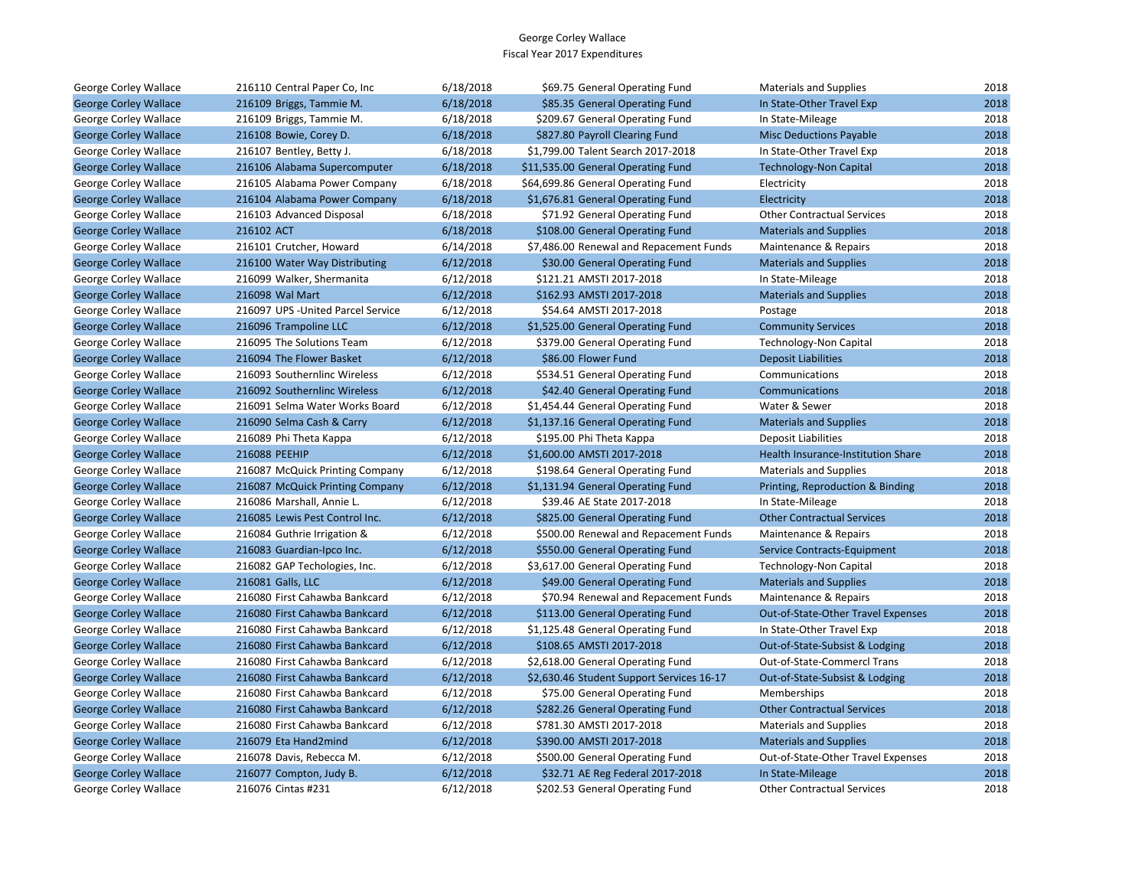| George Corley Wallace        | 216110 Central Paper Co, Inc       | 6/18/2018 | \$69.75 General Operating Fund            | <b>Materials and Supplies</b>      | 2018 |
|------------------------------|------------------------------------|-----------|-------------------------------------------|------------------------------------|------|
| <b>George Corley Wallace</b> | 216109 Briggs, Tammie M.           | 6/18/2018 | \$85.35 General Operating Fund            | In State-Other Travel Exp          | 2018 |
| George Corley Wallace        | 216109 Briggs, Tammie M.           | 6/18/2018 | \$209.67 General Operating Fund           | In State-Mileage                   | 2018 |
| <b>George Corley Wallace</b> | 216108 Bowie, Corey D.             | 6/18/2018 | \$827.80 Payroll Clearing Fund            | <b>Misc Deductions Payable</b>     | 2018 |
| George Corley Wallace        | 216107 Bentley, Betty J.           | 6/18/2018 | \$1,799.00 Talent Search 2017-2018        | In State-Other Travel Exp          | 2018 |
| <b>George Corley Wallace</b> | 216106 Alabama Supercomputer       | 6/18/2018 | \$11,535.00 General Operating Fund        | <b>Technology-Non Capital</b>      | 2018 |
| George Corley Wallace        | 216105 Alabama Power Company       | 6/18/2018 | \$64,699.86 General Operating Fund        | Electricity                        | 2018 |
| <b>George Corley Wallace</b> | 216104 Alabama Power Company       | 6/18/2018 | \$1,676.81 General Operating Fund         | Electricity                        | 2018 |
| George Corley Wallace        | 216103 Advanced Disposal           | 6/18/2018 | \$71.92 General Operating Fund            | <b>Other Contractual Services</b>  | 2018 |
| <b>George Corley Wallace</b> | 216102 ACT                         | 6/18/2018 | \$108.00 General Operating Fund           | <b>Materials and Supplies</b>      | 2018 |
| George Corley Wallace        | 216101 Crutcher, Howard            | 6/14/2018 | \$7,486.00 Renewal and Repacement Funds   | Maintenance & Repairs              | 2018 |
| <b>George Corley Wallace</b> | 216100 Water Way Distributing      | 6/12/2018 | \$30.00 General Operating Fund            | <b>Materials and Supplies</b>      | 2018 |
| George Corley Wallace        | 216099 Walker, Shermanita          | 6/12/2018 | \$121.21 AMSTI 2017-2018                  | In State-Mileage                   | 2018 |
| <b>George Corley Wallace</b> | 216098 Wal Mart                    | 6/12/2018 | \$162.93 AMSTI 2017-2018                  | <b>Materials and Supplies</b>      | 2018 |
| George Corley Wallace        | 216097 UPS - United Parcel Service | 6/12/2018 | \$54.64 AMSTI 2017-2018                   | Postage                            | 2018 |
| <b>George Corley Wallace</b> | 216096 Trampoline LLC              | 6/12/2018 | \$1,525.00 General Operating Fund         | <b>Community Services</b>          | 2018 |
| George Corley Wallace        | 216095 The Solutions Team          | 6/12/2018 | \$379.00 General Operating Fund           | Technology-Non Capital             | 2018 |
| <b>George Corley Wallace</b> | 216094 The Flower Basket           | 6/12/2018 | \$86.00 Flower Fund                       | <b>Deposit Liabilities</b>         | 2018 |
| George Corley Wallace        | 216093 Southernlinc Wireless       | 6/12/2018 | \$534.51 General Operating Fund           | Communications                     | 2018 |
| <b>George Corley Wallace</b> | 216092 Southernlinc Wireless       | 6/12/2018 | \$42.40 General Operating Fund            | Communications                     | 2018 |
| George Corley Wallace        | 216091 Selma Water Works Board     | 6/12/2018 | \$1,454.44 General Operating Fund         | Water & Sewer                      | 2018 |
| <b>George Corley Wallace</b> | 216090 Selma Cash & Carry          | 6/12/2018 | \$1,137.16 General Operating Fund         | <b>Materials and Supplies</b>      | 2018 |
| George Corley Wallace        | 216089 Phi Theta Kappa             | 6/12/2018 | \$195.00 Phi Theta Kappa                  | <b>Deposit Liabilities</b>         | 2018 |
| <b>George Corley Wallace</b> | 216088 PEEHIP                      | 6/12/2018 | \$1,600.00 AMSTI 2017-2018                | Health Insurance-Institution Share | 2018 |
| George Corley Wallace        | 216087 McQuick Printing Company    | 6/12/2018 | \$198.64 General Operating Fund           | <b>Materials and Supplies</b>      | 2018 |
| <b>George Corley Wallace</b> | 216087 McQuick Printing Company    | 6/12/2018 | \$1,131.94 General Operating Fund         | Printing, Reproduction & Binding   | 2018 |
| George Corley Wallace        | 216086 Marshall, Annie L.          | 6/12/2018 | \$39.46 AE State 2017-2018                | In State-Mileage                   | 2018 |
| <b>George Corley Wallace</b> | 216085 Lewis Pest Control Inc.     | 6/12/2018 | \$825.00 General Operating Fund           | <b>Other Contractual Services</b>  | 2018 |
| George Corley Wallace        | 216084 Guthrie Irrigation &        | 6/12/2018 | \$500.00 Renewal and Repacement Funds     | Maintenance & Repairs              | 2018 |
| <b>George Corley Wallace</b> | 216083 Guardian-Ipco Inc.          | 6/12/2018 | \$550.00 General Operating Fund           | <b>Service Contracts-Equipment</b> | 2018 |
| George Corley Wallace        | 216082 GAP Techologies, Inc.       | 6/12/2018 | \$3,617.00 General Operating Fund         | <b>Technology-Non Capital</b>      | 2018 |
| <b>George Corley Wallace</b> | 216081 Galls, LLC                  | 6/12/2018 | \$49.00 General Operating Fund            | <b>Materials and Supplies</b>      | 2018 |
| George Corley Wallace        | 216080 First Cahawba Bankcard      | 6/12/2018 | \$70.94 Renewal and Repacement Funds      | Maintenance & Repairs              | 2018 |
| <b>George Corley Wallace</b> | 216080 First Cahawba Bankcard      | 6/12/2018 | \$113.00 General Operating Fund           | Out-of-State-Other Travel Expenses | 2018 |
| George Corley Wallace        | 216080 First Cahawba Bankcard      | 6/12/2018 | \$1,125.48 General Operating Fund         | In State-Other Travel Exp          | 2018 |
| <b>George Corley Wallace</b> | 216080 First Cahawba Bankcard      | 6/12/2018 | \$108.65 AMSTI 2017-2018                  | Out-of-State-Subsist & Lodging     | 2018 |
| George Corley Wallace        | 216080 First Cahawba Bankcard      | 6/12/2018 | \$2,618.00 General Operating Fund         | Out-of-State-Commercl Trans        | 2018 |
| <b>George Corley Wallace</b> | 216080 First Cahawba Bankcard      | 6/12/2018 | \$2,630.46 Student Support Services 16-17 | Out-of-State-Subsist & Lodging     | 2018 |
| George Corley Wallace        | 216080 First Cahawba Bankcard      | 6/12/2018 | \$75.00 General Operating Fund            | <b>Memberships</b>                 | 2018 |
| <b>George Corley Wallace</b> | 216080 First Cahawba Bankcard      | 6/12/2018 | \$282.26 General Operating Fund           | <b>Other Contractual Services</b>  | 2018 |
| George Corley Wallace        | 216080 First Cahawba Bankcard      | 6/12/2018 | \$781.30 AMSTI 2017-2018                  | <b>Materials and Supplies</b>      | 2018 |
| <b>George Corley Wallace</b> | 216079 Eta Hand2mind               | 6/12/2018 | \$390.00 AMSTI 2017-2018                  | <b>Materials and Supplies</b>      | 2018 |
| George Corley Wallace        | 216078 Davis, Rebecca M.           | 6/12/2018 | \$500.00 General Operating Fund           | Out-of-State-Other Travel Expenses | 2018 |
| <b>George Corley Wallace</b> | 216077 Compton, Judy B.            | 6/12/2018 | \$32.71 AE Reg Federal 2017-2018          | In State-Mileage                   | 2018 |
| George Corley Wallace        | 216076 Cintas #231                 | 6/12/2018 | \$202.53 General Operating Fund           | <b>Other Contractual Services</b>  | 2018 |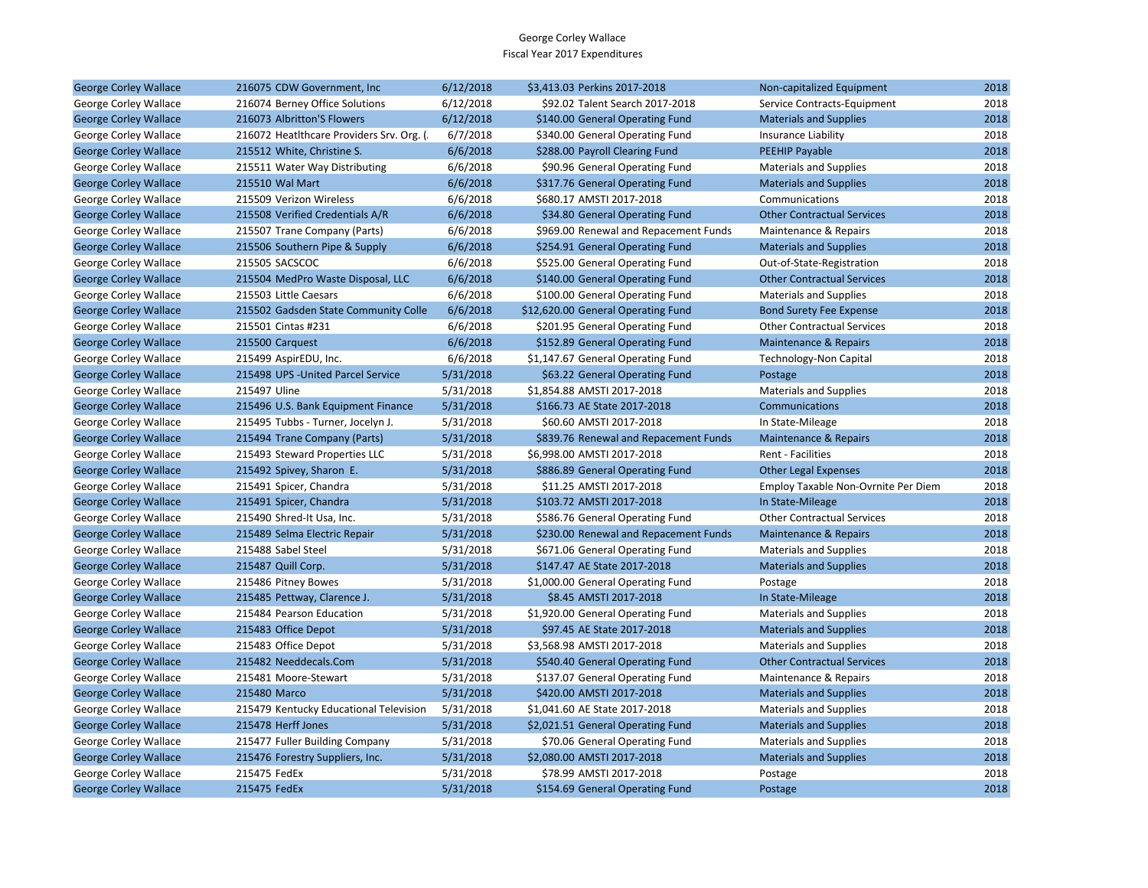| <b>George Corley Wallace</b> | 216075 CDW Government, Inc.              | 6/12/2018 | \$3,413.03 Perkins 2017-2018          | Non-capitalized Equipment                  | 2018 |
|------------------------------|------------------------------------------|-----------|---------------------------------------|--------------------------------------------|------|
| George Corley Wallace        | 216074 Berney Office Solutions           | 6/12/2018 | \$92.02 Talent Search 2017-2018       | Service Contracts-Equipment                | 2018 |
| <b>George Corley Wallace</b> | 216073 Albritton'S Flowers               | 6/12/2018 | \$140.00 General Operating Fund       | <b>Materials and Supplies</b>              | 2018 |
| George Corley Wallace        | 216072 HeatIthcare Providers Srv. Org. ( | 6/7/2018  | \$340.00 General Operating Fund       | Insurance Liability                        | 2018 |
| <b>George Corley Wallace</b> | 215512 White, Christine S.               | 6/6/2018  | \$288.00 Payroll Clearing Fund        | <b>PEEHIP Payable</b>                      | 2018 |
| George Corley Wallace        | 215511 Water Way Distributing            | 6/6/2018  | \$90.96 General Operating Fund        | <b>Materials and Supplies</b>              | 2018 |
| <b>George Corley Wallace</b> | 215510 Wal Mart                          | 6/6/2018  | \$317.76 General Operating Fund       | <b>Materials and Supplies</b>              | 2018 |
| George Corley Wallace        | 215509 Verizon Wireless                  | 6/6/2018  | \$680.17 AMSTI 2017-2018              | Communications                             | 2018 |
| <b>George Corley Wallace</b> | 215508 Verified Credentials A/R          | 6/6/2018  | \$34.80 General Operating Fund        | <b>Other Contractual Services</b>          | 2018 |
| George Corley Wallace        | 215507 Trane Company (Parts)             | 6/6/2018  | \$969.00 Renewal and Repacement Funds | Maintenance & Repairs                      | 2018 |
| <b>George Corley Wallace</b> | 215506 Southern Pipe & Supply            | 6/6/2018  | \$254.91 General Operating Fund       | <b>Materials and Supplies</b>              | 2018 |
| George Corley Wallace        | 215505 SACSCOC                           | 6/6/2018  | \$525.00 General Operating Fund       | Out-of-State-Registration                  | 2018 |
| <b>George Corley Wallace</b> | 215504 MedPro Waste Disposal, LLC        | 6/6/2018  | \$140.00 General Operating Fund       | <b>Other Contractual Services</b>          | 2018 |
| George Corley Wallace        | 215503 Little Caesars                    | 6/6/2018  | \$100.00 General Operating Fund       | <b>Materials and Supplies</b>              | 2018 |
| <b>George Corley Wallace</b> | 215502 Gadsden State Community Colle     | 6/6/2018  | \$12,620.00 General Operating Fund    | <b>Bond Surety Fee Expense</b>             | 2018 |
| George Corley Wallace        | 215501 Cintas #231                       | 6/6/2018  | \$201.95 General Operating Fund       | <b>Other Contractual Services</b>          | 2018 |
| <b>George Corley Wallace</b> | 215500 Carquest                          | 6/6/2018  | \$152.89 General Operating Fund       | <b>Maintenance &amp; Repairs</b>           | 2018 |
| George Corley Wallace        | 215499 AspirEDU, Inc.                    | 6/6/2018  | \$1,147.67 General Operating Fund     | <b>Technology-Non Capital</b>              | 2018 |
| <b>George Corley Wallace</b> | 215498 UPS - United Parcel Service       | 5/31/2018 | \$63.22 General Operating Fund        | Postage                                    | 2018 |
| George Corley Wallace        | 215497 Uline                             | 5/31/2018 | \$1,854.88 AMSTI 2017-2018            | <b>Materials and Supplies</b>              | 2018 |
| <b>George Corley Wallace</b> | 215496 U.S. Bank Equipment Finance       | 5/31/2018 | \$166.73 AE State 2017-2018           | Communications                             | 2018 |
| George Corley Wallace        | 215495 Tubbs - Turner, Jocelyn J.        | 5/31/2018 | \$60.60 AMSTI 2017-2018               | In State-Mileage                           | 2018 |
| <b>George Corley Wallace</b> | 215494 Trane Company (Parts)             | 5/31/2018 | \$839.76 Renewal and Repacement Funds | Maintenance & Repairs                      | 2018 |
| George Corley Wallace        | 215493 Steward Properties LLC            | 5/31/2018 | \$6,998.00 AMSTI 2017-2018            | Rent - Facilities                          | 2018 |
| <b>George Corley Wallace</b> | 215492 Spivey, Sharon E.                 | 5/31/2018 | \$886.89 General Operating Fund       | <b>Other Legal Expenses</b>                | 2018 |
| George Corley Wallace        | 215491 Spicer, Chandra                   | 5/31/2018 | \$11.25 AMSTI 2017-2018               | <b>Employ Taxable Non-Ovrnite Per Diem</b> | 2018 |
| <b>George Corley Wallace</b> | 215491 Spicer, Chandra                   | 5/31/2018 | \$103.72 AMSTI 2017-2018              | In State-Mileage                           | 2018 |
| George Corley Wallace        | 215490 Shred-It Usa, Inc.                | 5/31/2018 | \$586.76 General Operating Fund       | <b>Other Contractual Services</b>          | 2018 |
| <b>George Corley Wallace</b> | 215489 Selma Electric Repair             | 5/31/2018 | \$230.00 Renewal and Repacement Funds | Maintenance & Repairs                      | 2018 |
| George Corley Wallace        | 215488 Sabel Steel                       | 5/31/2018 | \$671.06 General Operating Fund       | <b>Materials and Supplies</b>              | 2018 |
| <b>George Corley Wallace</b> | 215487 Quill Corp.                       | 5/31/2018 | \$147.47 AE State 2017-2018           | <b>Materials and Supplies</b>              | 2018 |
| George Corley Wallace        | 215486 Pitney Bowes                      | 5/31/2018 | \$1,000.00 General Operating Fund     | Postage                                    | 2018 |
| <b>George Corley Wallace</b> | 215485 Pettway, Clarence J.              | 5/31/2018 | \$8.45 AMSTI 2017-2018                | In State-Mileage                           | 2018 |
| George Corley Wallace        | 215484 Pearson Education                 | 5/31/2018 | \$1,920.00 General Operating Fund     | <b>Materials and Supplies</b>              | 2018 |
| <b>George Corley Wallace</b> | 215483 Office Depot                      | 5/31/2018 | \$97.45 AE State 2017-2018            | <b>Materials and Supplies</b>              | 2018 |
| George Corley Wallace        | 215483 Office Depot                      | 5/31/2018 | \$3,568.98 AMSTI 2017-2018            | <b>Materials and Supplies</b>              | 2018 |
| <b>George Corley Wallace</b> | 215482 Needdecals.Com                    | 5/31/2018 | \$540.40 General Operating Fund       | <b>Other Contractual Services</b>          | 2018 |
| George Corley Wallace        | 215481 Moore-Stewart                     | 5/31/2018 | \$137.07 General Operating Fund       | Maintenance & Repairs                      | 2018 |
| <b>George Corley Wallace</b> | 215480 Marco                             | 5/31/2018 | \$420.00 AMSTI 2017-2018              | <b>Materials and Supplies</b>              | 2018 |
| George Corley Wallace        | 215479 Kentucky Educational Television   | 5/31/2018 | \$1,041.60 AE State 2017-2018         | <b>Materials and Supplies</b>              | 2018 |
| <b>George Corley Wallace</b> | 215478 Herff Jones                       | 5/31/2018 | \$2,021.51 General Operating Fund     | <b>Materials and Supplies</b>              | 2018 |
| George Corley Wallace        | 215477 Fuller Building Company           | 5/31/2018 | \$70.06 General Operating Fund        | <b>Materials and Supplies</b>              | 2018 |
| <b>George Corley Wallace</b> | 215476 Forestry Suppliers, Inc.          | 5/31/2018 | \$2,080.00 AMSTI 2017-2018            | <b>Materials and Supplies</b>              | 2018 |
| George Corley Wallace        | 215475 FedEx                             | 5/31/2018 | \$78.99 AMSTI 2017-2018               | Postage                                    | 2018 |
| <b>George Corley Wallace</b> | 215475 FedEx                             | 5/31/2018 | \$154.69 General Operating Fund       | Postage                                    | 2018 |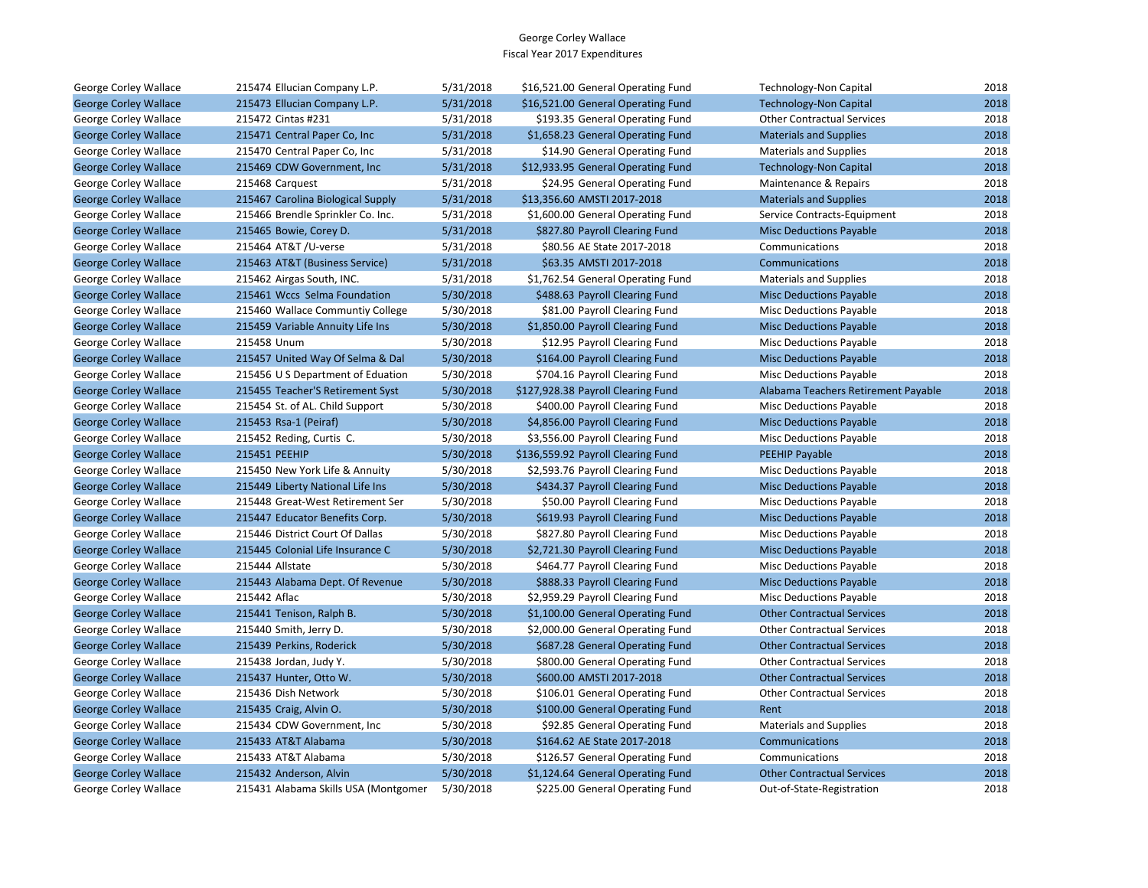| George Corley Wallace        | 215474 Ellucian Company L.P.         | 5/31/2018 | \$16,521.00 General Operating Fund | <b>Technology-Non Capital</b>       | 2018 |
|------------------------------|--------------------------------------|-----------|------------------------------------|-------------------------------------|------|
| <b>George Corley Wallace</b> | 215473 Ellucian Company L.P.         | 5/31/2018 | \$16,521.00 General Operating Fund | <b>Technology-Non Capital</b>       | 2018 |
| George Corley Wallace        | 215472 Cintas #231                   | 5/31/2018 | \$193.35 General Operating Fund    | <b>Other Contractual Services</b>   | 2018 |
| <b>George Corley Wallace</b> | 215471 Central Paper Co, Inc         | 5/31/2018 | \$1,658.23 General Operating Fund  | <b>Materials and Supplies</b>       | 2018 |
| George Corley Wallace        | 215470 Central Paper Co, Inc         | 5/31/2018 | \$14.90 General Operating Fund     | <b>Materials and Supplies</b>       | 2018 |
| <b>George Corley Wallace</b> | 215469 CDW Government, Inc.          | 5/31/2018 | \$12,933.95 General Operating Fund | <b>Technology-Non Capital</b>       | 2018 |
| George Corley Wallace        | 215468 Carquest                      | 5/31/2018 | \$24.95 General Operating Fund     | Maintenance & Repairs               | 2018 |
| <b>George Corley Wallace</b> | 215467 Carolina Biological Supply    | 5/31/2018 | \$13,356.60 AMSTI 2017-2018        | <b>Materials and Supplies</b>       | 2018 |
| George Corley Wallace        | 215466 Brendle Sprinkler Co. Inc.    | 5/31/2018 | \$1,600.00 General Operating Fund  | Service Contracts-Equipment         | 2018 |
| <b>George Corley Wallace</b> | 215465 Bowie, Corey D.               | 5/31/2018 | \$827.80 Payroll Clearing Fund     | <b>Misc Deductions Payable</b>      | 2018 |
| George Corley Wallace        | 215464 AT&T /U-verse                 | 5/31/2018 | \$80.56 AE State 2017-2018         | Communications                      | 2018 |
| <b>George Corley Wallace</b> | 215463 AT&T (Business Service)       | 5/31/2018 | \$63.35 AMSTI 2017-2018            | Communications                      | 2018 |
| George Corley Wallace        | 215462 Airgas South, INC.            | 5/31/2018 | \$1,762.54 General Operating Fund  | <b>Materials and Supplies</b>       | 2018 |
| <b>George Corley Wallace</b> | 215461 Wccs Selma Foundation         | 5/30/2018 | \$488.63 Payroll Clearing Fund     | <b>Misc Deductions Payable</b>      | 2018 |
| George Corley Wallace        | 215460 Wallace Communtiy College     | 5/30/2018 | \$81.00 Payroll Clearing Fund      | Misc Deductions Payable             | 2018 |
| <b>George Corley Wallace</b> | 215459 Variable Annuity Life Ins     | 5/30/2018 | \$1,850.00 Payroll Clearing Fund   | <b>Misc Deductions Payable</b>      | 2018 |
| George Corley Wallace        | 215458 Unum                          | 5/30/2018 | \$12.95 Payroll Clearing Fund      | Misc Deductions Payable             | 2018 |
| <b>George Corley Wallace</b> | 215457 United Way Of Selma & Dal     | 5/30/2018 | \$164.00 Payroll Clearing Fund     | <b>Misc Deductions Payable</b>      | 2018 |
| George Corley Wallace        | 215456 U S Department of Eduation    | 5/30/2018 | \$704.16 Payroll Clearing Fund     | <b>Misc Deductions Payable</b>      | 2018 |
| <b>George Corley Wallace</b> | 215455 Teacher'S Retirement Syst     | 5/30/2018 | \$127,928.38 Payroll Clearing Fund | Alabama Teachers Retirement Payable | 2018 |
| George Corley Wallace        | 215454 St. of AL. Child Support      | 5/30/2018 | \$400.00 Payroll Clearing Fund     | Misc Deductions Payable             | 2018 |
| <b>George Corley Wallace</b> | 215453 Rsa-1 (Peiraf)                | 5/30/2018 | \$4,856.00 Payroll Clearing Fund   | <b>Misc Deductions Payable</b>      | 2018 |
| George Corley Wallace        | 215452 Reding, Curtis C.             | 5/30/2018 | \$3,556.00 Payroll Clearing Fund   | <b>Misc Deductions Payable</b>      | 2018 |
| <b>George Corley Wallace</b> | 215451 PEEHIP                        | 5/30/2018 | \$136,559.92 Payroll Clearing Fund | <b>PEEHIP Payable</b>               | 2018 |
| George Corley Wallace        | 215450 New York Life & Annuity       | 5/30/2018 | \$2,593.76 Payroll Clearing Fund   | <b>Misc Deductions Payable</b>      | 2018 |
| <b>George Corley Wallace</b> | 215449 Liberty National Life Ins     | 5/30/2018 | \$434.37 Payroll Clearing Fund     | <b>Misc Deductions Payable</b>      | 2018 |
| George Corley Wallace        | 215448 Great-West Retirement Ser     | 5/30/2018 | \$50.00 Payroll Clearing Fund      | Misc Deductions Payable             | 2018 |
| <b>George Corley Wallace</b> | 215447 Educator Benefits Corp.       | 5/30/2018 | \$619.93 Payroll Clearing Fund     | <b>Misc Deductions Payable</b>      | 2018 |
| George Corley Wallace        | 215446 District Court Of Dallas      | 5/30/2018 | \$827.80 Payroll Clearing Fund     | <b>Misc Deductions Payable</b>      | 2018 |
| <b>George Corley Wallace</b> | 215445 Colonial Life Insurance C     | 5/30/2018 | \$2,721.30 Payroll Clearing Fund   | <b>Misc Deductions Payable</b>      | 2018 |
| George Corley Wallace        | 215444 Allstate                      | 5/30/2018 | \$464.77 Payroll Clearing Fund     | Misc Deductions Payable             | 2018 |
| <b>George Corley Wallace</b> | 215443 Alabama Dept. Of Revenue      | 5/30/2018 | \$888.33 Payroll Clearing Fund     | <b>Misc Deductions Payable</b>      | 2018 |
| George Corley Wallace        | 215442 Aflac                         | 5/30/2018 | \$2,959.29 Payroll Clearing Fund   | Misc Deductions Payable             | 2018 |
| <b>George Corley Wallace</b> | 215441 Tenison, Ralph B.             | 5/30/2018 | \$1,100.00 General Operating Fund  | <b>Other Contractual Services</b>   | 2018 |
| George Corley Wallace        | 215440 Smith, Jerry D.               | 5/30/2018 | \$2,000.00 General Operating Fund  | <b>Other Contractual Services</b>   | 2018 |
| <b>George Corley Wallace</b> | 215439 Perkins, Roderick             | 5/30/2018 | \$687.28 General Operating Fund    | <b>Other Contractual Services</b>   | 2018 |
| George Corley Wallace        | 215438 Jordan, Judy Y.               | 5/30/2018 | \$800.00 General Operating Fund    | <b>Other Contractual Services</b>   | 2018 |
| <b>George Corley Wallace</b> | 215437 Hunter, Otto W.               | 5/30/2018 | \$600.00 AMSTI 2017-2018           | <b>Other Contractual Services</b>   | 2018 |
| George Corley Wallace        | 215436 Dish Network                  | 5/30/2018 | \$106.01 General Operating Fund    | <b>Other Contractual Services</b>   | 2018 |
| <b>George Corley Wallace</b> | 215435 Craig, Alvin O.               | 5/30/2018 | \$100.00 General Operating Fund    | Rent                                | 2018 |
| George Corley Wallace        | 215434 CDW Government, Inc.          | 5/30/2018 | \$92.85 General Operating Fund     | <b>Materials and Supplies</b>       | 2018 |
| <b>George Corley Wallace</b> | 215433 AT&T Alabama                  | 5/30/2018 | \$164.62 AE State 2017-2018        | Communications                      | 2018 |
| George Corley Wallace        | 215433 AT&T Alabama                  | 5/30/2018 | \$126.57 General Operating Fund    | Communications                      | 2018 |
| <b>George Corley Wallace</b> | 215432 Anderson, Alvin               | 5/30/2018 | \$1,124.64 General Operating Fund  | <b>Other Contractual Services</b>   | 2018 |
| George Corley Wallace        | 215431 Alabama Skills USA (Montgomer | 5/30/2018 | \$225.00 General Operating Fund    | Out-of-State-Registration           | 2018 |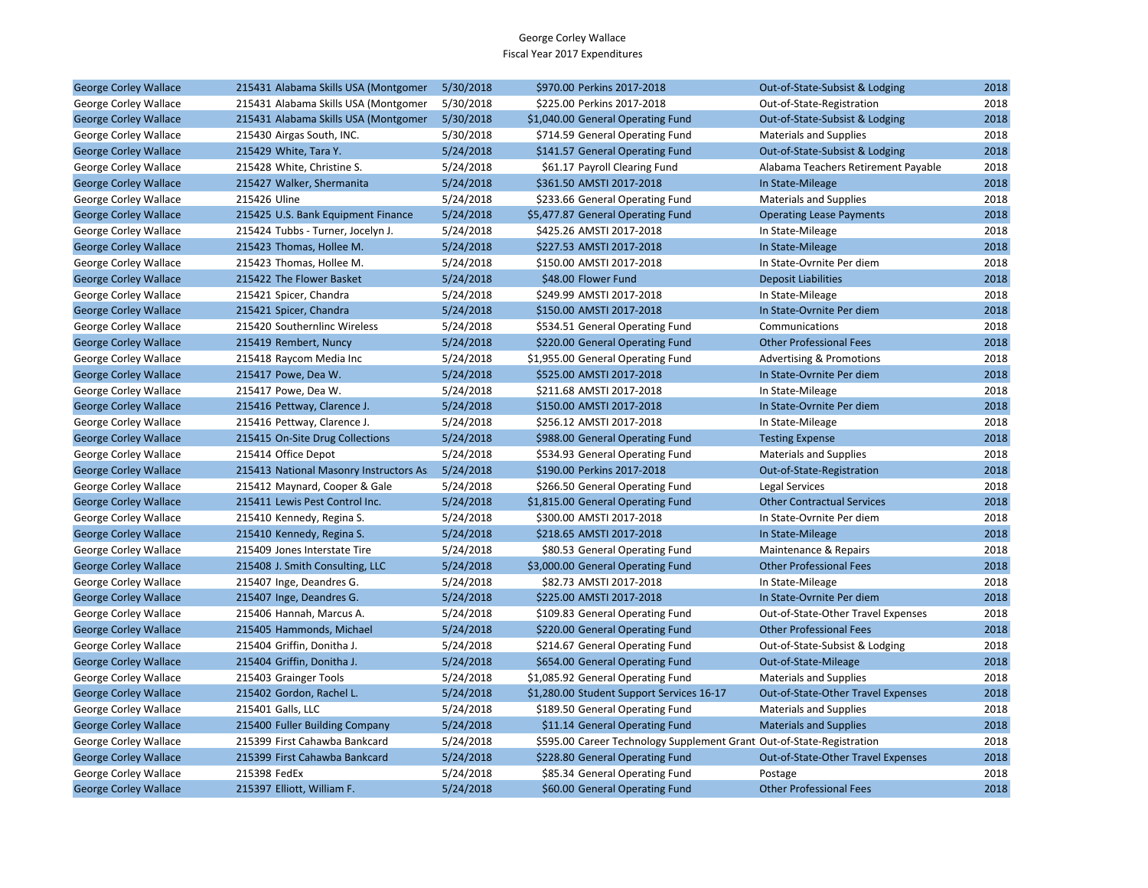| <b>George Corley Wallace</b> | 215431 Alabama Skills USA (Montgomer    | 5/30/2018 | \$970.00 Perkins 2017-2018                                            | Out-of-State-Subsist & Lodging      | 2018 |
|------------------------------|-----------------------------------------|-----------|-----------------------------------------------------------------------|-------------------------------------|------|
| George Corley Wallace        | 215431 Alabama Skills USA (Montgomer    | 5/30/2018 | \$225.00 Perkins 2017-2018                                            | Out-of-State-Registration           | 2018 |
| <b>George Corley Wallace</b> | 215431 Alabama Skills USA (Montgomer    | 5/30/2018 | \$1,040.00 General Operating Fund                                     | Out-of-State-Subsist & Lodging      | 2018 |
| George Corley Wallace        | 215430 Airgas South, INC.               | 5/30/2018 | \$714.59 General Operating Fund                                       | <b>Materials and Supplies</b>       | 2018 |
| <b>George Corley Wallace</b> | 215429 White, Tara Y.                   | 5/24/2018 | \$141.57 General Operating Fund                                       | Out-of-State-Subsist & Lodging      | 2018 |
| George Corley Wallace        | 215428 White, Christine S.              | 5/24/2018 | \$61.17 Payroll Clearing Fund                                         | Alabama Teachers Retirement Payable | 2018 |
| <b>George Corley Wallace</b> | 215427 Walker, Shermanita               | 5/24/2018 | \$361.50 AMSTI 2017-2018                                              | In State-Mileage                    | 2018 |
| George Corley Wallace        | 215426 Uline                            | 5/24/2018 | \$233.66 General Operating Fund                                       | <b>Materials and Supplies</b>       | 2018 |
| <b>George Corley Wallace</b> | 215425 U.S. Bank Equipment Finance      | 5/24/2018 | \$5,477.87 General Operating Fund                                     | <b>Operating Lease Payments</b>     | 2018 |
| George Corley Wallace        | 215424 Tubbs - Turner, Jocelyn J.       | 5/24/2018 | \$425.26 AMSTI 2017-2018                                              | In State-Mileage                    | 2018 |
| <b>George Corley Wallace</b> | 215423 Thomas, Hollee M.                | 5/24/2018 | \$227.53 AMSTI 2017-2018                                              | In State-Mileage                    | 2018 |
| George Corley Wallace        | 215423 Thomas, Hollee M.                | 5/24/2018 | \$150.00 AMSTI 2017-2018                                              | In State-Ovrnite Per diem           | 2018 |
| <b>George Corley Wallace</b> | 215422 The Flower Basket                | 5/24/2018 | \$48.00 Flower Fund                                                   | <b>Deposit Liabilities</b>          | 2018 |
| George Corley Wallace        | 215421 Spicer, Chandra                  | 5/24/2018 | \$249.99 AMSTI 2017-2018                                              | In State-Mileage                    | 2018 |
| <b>George Corley Wallace</b> | 215421 Spicer, Chandra                  | 5/24/2018 | \$150.00 AMSTI 2017-2018                                              | In State-Ovrnite Per diem           | 2018 |
| George Corley Wallace        | 215420 Southernlinc Wireless            | 5/24/2018 | \$534.51 General Operating Fund                                       | Communications                      | 2018 |
| <b>George Corley Wallace</b> | 215419 Rembert, Nuncy                   | 5/24/2018 | \$220.00 General Operating Fund                                       | <b>Other Professional Fees</b>      | 2018 |
| George Corley Wallace        | 215418 Raycom Media Inc                 | 5/24/2018 | \$1,955.00 General Operating Fund                                     | <b>Advertising &amp; Promotions</b> | 2018 |
| <b>George Corley Wallace</b> | 215417 Powe, Dea W.                     | 5/24/2018 | \$525.00 AMSTI 2017-2018                                              | In State-Ovrnite Per diem           | 2018 |
| George Corley Wallace        | 215417 Powe, Dea W.                     | 5/24/2018 | \$211.68 AMSTI 2017-2018                                              | In State-Mileage                    | 2018 |
| <b>George Corley Wallace</b> | 215416 Pettway, Clarence J.             | 5/24/2018 | \$150.00 AMSTI 2017-2018                                              | In State-Ovrnite Per diem           | 2018 |
| George Corley Wallace        | 215416 Pettway, Clarence J.             | 5/24/2018 | \$256.12 AMSTI 2017-2018                                              | In State-Mileage                    | 2018 |
| <b>George Corley Wallace</b> | 215415 On-Site Drug Collections         | 5/24/2018 | \$988.00 General Operating Fund                                       | <b>Testing Expense</b>              | 2018 |
| George Corley Wallace        | 215414 Office Depot                     | 5/24/2018 | \$534.93 General Operating Fund                                       | <b>Materials and Supplies</b>       | 2018 |
| <b>George Corley Wallace</b> | 215413 National Masonry Instructors As: | 5/24/2018 | \$190.00 Perkins 2017-2018                                            | Out-of-State-Registration           | 2018 |
| George Corley Wallace        | 215412 Maynard, Cooper & Gale           | 5/24/2018 | \$266.50 General Operating Fund                                       | Legal Services                      | 2018 |
| <b>George Corley Wallace</b> | 215411 Lewis Pest Control Inc.          | 5/24/2018 | \$1,815.00 General Operating Fund                                     | <b>Other Contractual Services</b>   | 2018 |
| George Corley Wallace        | 215410 Kennedy, Regina S.               | 5/24/2018 | \$300.00 AMSTI 2017-2018                                              | In State-Ovrnite Per diem           | 2018 |
| <b>George Corley Wallace</b> | 215410 Kennedy, Regina S.               | 5/24/2018 | \$218.65 AMSTI 2017-2018                                              | In State-Mileage                    | 2018 |
| George Corley Wallace        | 215409 Jones Interstate Tire            | 5/24/2018 | \$80.53 General Operating Fund                                        | Maintenance & Repairs               | 2018 |
| <b>George Corley Wallace</b> | 215408 J. Smith Consulting, LLC         | 5/24/2018 | \$3,000.00 General Operating Fund                                     | <b>Other Professional Fees</b>      | 2018 |
| George Corley Wallace        | 215407 Inge, Deandres G.                | 5/24/2018 | \$82.73 AMSTI 2017-2018                                               | In State-Mileage                    | 2018 |
| <b>George Corley Wallace</b> | 215407 Inge, Deandres G.                | 5/24/2018 | \$225.00 AMSTI 2017-2018                                              | In State-Ovrnite Per diem           | 2018 |
| George Corley Wallace        | 215406 Hannah, Marcus A.                | 5/24/2018 | \$109.83 General Operating Fund                                       | Out-of-State-Other Travel Expenses  | 2018 |
| <b>George Corley Wallace</b> | 215405 Hammonds, Michael                | 5/24/2018 | \$220.00 General Operating Fund                                       | <b>Other Professional Fees</b>      | 2018 |
| George Corley Wallace        | 215404 Griffin, Donitha J.              | 5/24/2018 | \$214.67 General Operating Fund                                       | Out-of-State-Subsist & Lodging      | 2018 |
| <b>George Corley Wallace</b> | 215404 Griffin, Donitha J.              | 5/24/2018 | \$654.00 General Operating Fund                                       | Out-of-State-Mileage                | 2018 |
| George Corley Wallace        | 215403 Grainger Tools                   | 5/24/2018 | \$1,085.92 General Operating Fund                                     | <b>Materials and Supplies</b>       | 2018 |
| <b>George Corley Wallace</b> | 215402 Gordon, Rachel L.                | 5/24/2018 | \$1,280.00 Student Support Services 16-17                             | Out-of-State-Other Travel Expenses  | 2018 |
| George Corley Wallace        | 215401 Galls, LLC                       | 5/24/2018 | \$189.50 General Operating Fund                                       | <b>Materials and Supplies</b>       | 2018 |
| <b>George Corley Wallace</b> | 215400 Fuller Building Company          | 5/24/2018 | \$11.14 General Operating Fund                                        | <b>Materials and Supplies</b>       | 2018 |
| George Corley Wallace        | 215399 First Cahawba Bankcard           | 5/24/2018 | \$595.00 Career Technology Supplement Grant Out-of-State-Registration |                                     | 2018 |
| <b>George Corley Wallace</b> | 215399 First Cahawba Bankcard           | 5/24/2018 | \$228.80 General Operating Fund                                       | Out-of-State-Other Travel Expenses  | 2018 |
| George Corley Wallace        | 215398 FedEx                            | 5/24/2018 | \$85.34 General Operating Fund                                        | Postage                             | 2018 |
| <b>George Corley Wallace</b> | 215397 Elliott, William F.              | 5/24/2018 | \$60.00 General Operating Fund                                        | <b>Other Professional Fees</b>      | 2018 |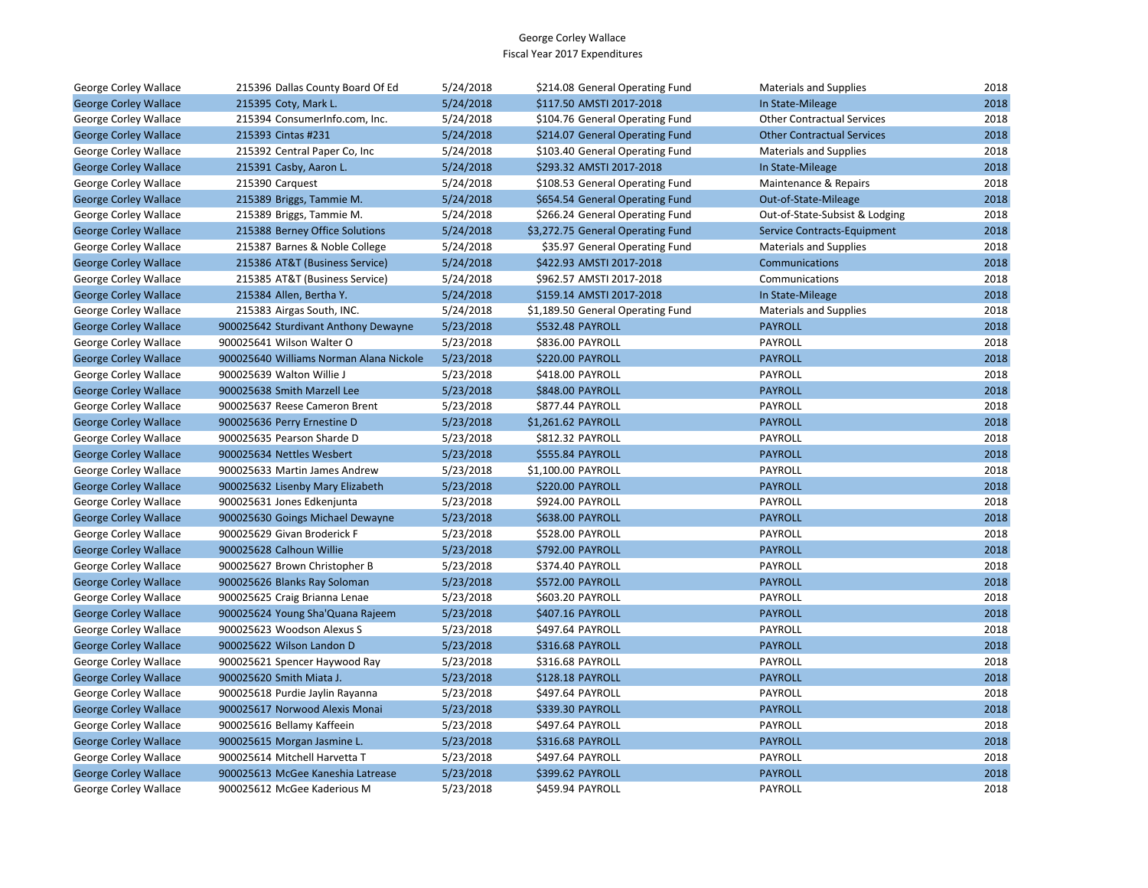| George Corley Wallace        | 215396 Dallas County Board Of Ed        | 5/24/2018 | \$214.08 General Operating Fund   | <b>Materials and Supplies</b>     | 2018 |
|------------------------------|-----------------------------------------|-----------|-----------------------------------|-----------------------------------|------|
| <b>George Corley Wallace</b> | 215395 Coty, Mark L.                    | 5/24/2018 | \$117.50 AMSTI 2017-2018          | In State-Mileage                  | 2018 |
| George Corley Wallace        | 215394 ConsumerInfo.com, Inc.           | 5/24/2018 | \$104.76 General Operating Fund   | <b>Other Contractual Services</b> | 2018 |
| <b>George Corley Wallace</b> | 215393 Cintas #231                      | 5/24/2018 | \$214.07 General Operating Fund   | <b>Other Contractual Services</b> | 2018 |
| George Corley Wallace        | 215392 Central Paper Co, Inc            | 5/24/2018 | \$103.40 General Operating Fund   | <b>Materials and Supplies</b>     | 2018 |
| <b>George Corley Wallace</b> | 215391 Casby, Aaron L.                  | 5/24/2018 | \$293.32 AMSTI 2017-2018          | In State-Mileage                  | 2018 |
| George Corley Wallace        | 215390 Carquest                         | 5/24/2018 | \$108.53 General Operating Fund   | Maintenance & Repairs             | 2018 |
| <b>George Corley Wallace</b> | 215389 Briggs, Tammie M.                | 5/24/2018 | \$654.54 General Operating Fund   | Out-of-State-Mileage              | 2018 |
| George Corley Wallace        | 215389 Briggs, Tammie M.                | 5/24/2018 | \$266.24 General Operating Fund   | Out-of-State-Subsist & Lodging    | 2018 |
| <b>George Corley Wallace</b> | 215388 Berney Office Solutions          | 5/24/2018 | \$3,272.75 General Operating Fund | Service Contracts-Equipment       | 2018 |
| George Corley Wallace        | 215387 Barnes & Noble College           | 5/24/2018 | \$35.97 General Operating Fund    | <b>Materials and Supplies</b>     | 2018 |
| <b>George Corley Wallace</b> | 215386 AT&T (Business Service)          | 5/24/2018 | \$422.93 AMSTI 2017-2018          | Communications                    | 2018 |
| George Corley Wallace        | 215385 AT&T (Business Service)          | 5/24/2018 | \$962.57 AMSTI 2017-2018          | Communications                    | 2018 |
| <b>George Corley Wallace</b> | 215384 Allen, Bertha Y.                 | 5/24/2018 | \$159.14 AMSTI 2017-2018          | In State-Mileage                  | 2018 |
| George Corley Wallace        | 215383 Airgas South, INC.               | 5/24/2018 | \$1,189.50 General Operating Fund | <b>Materials and Supplies</b>     | 2018 |
| <b>George Corley Wallace</b> | 900025642 Sturdivant Anthony Dewayne    | 5/23/2018 | \$532.48 PAYROLL                  | <b>PAYROLL</b>                    | 2018 |
| George Corley Wallace        | 900025641 Wilson Walter O               | 5/23/2018 | \$836.00 PAYROLL                  | PAYROLL                           | 2018 |
| <b>George Corley Wallace</b> | 900025640 Williams Norman Alana Nickole | 5/23/2018 | <b>\$220.00 PAYROLL</b>           | <b>PAYROLL</b>                    | 2018 |
| George Corley Wallace        | 900025639 Walton Willie J               | 5/23/2018 | \$418.00 PAYROLL                  | PAYROLL                           | 2018 |
| <b>George Corley Wallace</b> | 900025638 Smith Marzell Lee             | 5/23/2018 | \$848.00 PAYROLL                  | <b>PAYROLL</b>                    | 2018 |
| George Corley Wallace        | 900025637 Reese Cameron Brent           | 5/23/2018 | \$877.44 PAYROLL                  | <b>PAYROLL</b>                    | 2018 |
| <b>George Corley Wallace</b> | 900025636 Perry Ernestine D             | 5/23/2018 | \$1,261.62 PAYROLL                | <b>PAYROLL</b>                    | 2018 |
| George Corley Wallace        | 900025635 Pearson Sharde D              | 5/23/2018 | \$812.32 PAYROLL                  | PAYROLL                           | 2018 |
| <b>George Corley Wallace</b> | 900025634 Nettles Wesbert               | 5/23/2018 | \$555.84 PAYROLL                  | <b>PAYROLL</b>                    | 2018 |
| George Corley Wallace        | 900025633 Martin James Andrew           | 5/23/2018 | \$1,100.00 PAYROLL                | PAYROLL                           | 2018 |
| <b>George Corley Wallace</b> | 900025632 Lisenby Mary Elizabeth        | 5/23/2018 | \$220.00 PAYROLL                  | <b>PAYROLL</b>                    | 2018 |
| George Corley Wallace        | 900025631 Jones Edkenjunta              | 5/23/2018 | \$924.00 PAYROLL                  | PAYROLL                           | 2018 |
| <b>George Corley Wallace</b> | 900025630 Goings Michael Dewayne        | 5/23/2018 | \$638.00 PAYROLL                  | <b>PAYROLL</b>                    | 2018 |
| George Corley Wallace        | 900025629 Givan Broderick F             | 5/23/2018 | \$528.00 PAYROLL                  | PAYROLL                           | 2018 |
| <b>George Corley Wallace</b> | 900025628 Calhoun Willie                | 5/23/2018 | \$792.00 PAYROLL                  | <b>PAYROLL</b>                    | 2018 |
| George Corley Wallace        | 900025627 Brown Christopher B           | 5/23/2018 | \$374.40 PAYROLL                  | PAYROLL                           | 2018 |
| <b>George Corley Wallace</b> | 900025626 Blanks Ray Soloman            | 5/23/2018 | <b>\$572.00 PAYROLL</b>           | <b>PAYROLL</b>                    | 2018 |
| George Corley Wallace        | 900025625 Craig Brianna Lenae           | 5/23/2018 | \$603.20 PAYROLL                  | PAYROLL                           | 2018 |
| <b>George Corley Wallace</b> | 900025624 Young Sha'Quana Rajeem        | 5/23/2018 | \$407.16 PAYROLL                  | <b>PAYROLL</b>                    | 2018 |
| George Corley Wallace        | 900025623 Woodson Alexus S              | 5/23/2018 | \$497.64 PAYROLL                  | PAYROLL                           | 2018 |
| <b>George Corley Wallace</b> | 900025622 Wilson Landon D               | 5/23/2018 | \$316.68 PAYROLL                  | <b>PAYROLL</b>                    | 2018 |
| George Corley Wallace        | 900025621 Spencer Haywood Ray           | 5/23/2018 | \$316.68 PAYROLL                  | PAYROLL                           | 2018 |
| <b>George Corley Wallace</b> | 900025620 Smith Miata J.                | 5/23/2018 | \$128.18 PAYROLL                  | <b>PAYROLL</b>                    | 2018 |
| George Corley Wallace        | 900025618 Purdie Jaylin Rayanna         | 5/23/2018 | \$497.64 PAYROLL                  | PAYROLL                           | 2018 |
| <b>George Corley Wallace</b> | 900025617 Norwood Alexis Monai          | 5/23/2018 | \$339.30 PAYROLL                  | <b>PAYROLL</b>                    | 2018 |
| George Corley Wallace        | 900025616 Bellamy Kaffeein              | 5/23/2018 | \$497.64 PAYROLL                  | PAYROLL                           | 2018 |
| <b>George Corley Wallace</b> | 900025615 Morgan Jasmine L.             | 5/23/2018 | \$316.68 PAYROLL                  | <b>PAYROLL</b>                    | 2018 |
| George Corley Wallace        | 900025614 Mitchell Harvetta T           | 5/23/2018 | \$497.64 PAYROLL                  | PAYROLL                           | 2018 |
| <b>George Corley Wallace</b> | 900025613 McGee Kaneshia Latrease       | 5/23/2018 | \$399.62 PAYROLL                  | <b>PAYROLL</b>                    | 2018 |
| <b>George Corley Wallace</b> | 900025612 McGee Kaderious M             | 5/23/2018 | \$459.94 PAYROLL                  | <b>PAYROLL</b>                    | 2018 |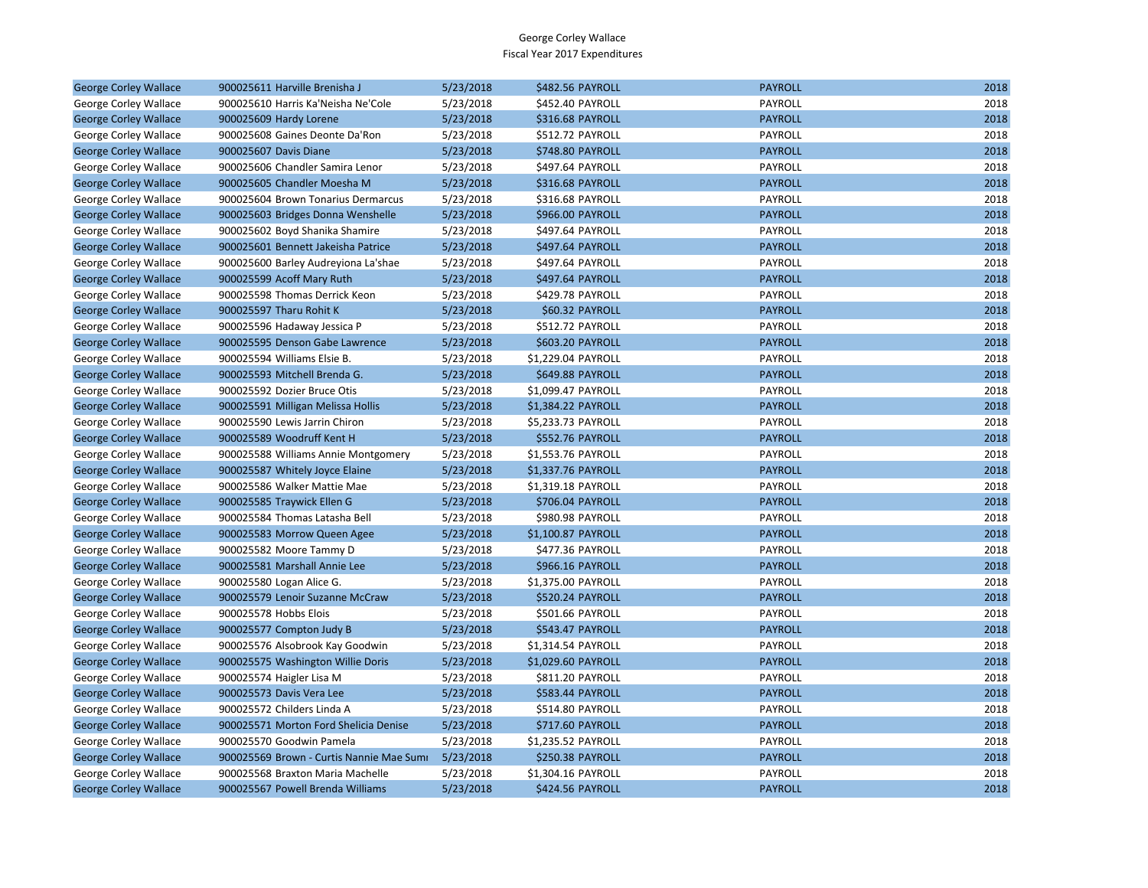| <b>George Corley Wallace</b> | 900025611 Harville Brenisha J            | 5/23/2018 | \$482.56 PAYROLL        | <b>PAYROLL</b> | 2018 |
|------------------------------|------------------------------------------|-----------|-------------------------|----------------|------|
| George Corley Wallace        | 900025610 Harris Ka'Neisha Ne'Cole       | 5/23/2018 | \$452.40 PAYROLL        | PAYROLL        | 2018 |
| <b>George Corley Wallace</b> | 900025609 Hardy Lorene                   | 5/23/2018 | <b>\$316.68 PAYROLL</b> | <b>PAYROLL</b> | 2018 |
| George Corley Wallace        | 900025608 Gaines Deonte Da'Ron           | 5/23/2018 | \$512.72 PAYROLL        | PAYROLL        | 2018 |
| <b>George Corley Wallace</b> | 900025607 Davis Diane                    | 5/23/2018 | \$748.80 PAYROLL        | <b>PAYROLL</b> | 2018 |
| George Corley Wallace        | 900025606 Chandler Samira Lenor          | 5/23/2018 | \$497.64 PAYROLL        | PAYROLL        | 2018 |
| <b>George Corley Wallace</b> | 900025605 Chandler Moesha M              | 5/23/2018 | \$316.68 PAYROLL        | <b>PAYROLL</b> | 2018 |
| George Corley Wallace        | 900025604 Brown Tonarius Dermarcus       | 5/23/2018 | \$316.68 PAYROLL        | PAYROLL        | 2018 |
| <b>George Corley Wallace</b> | 900025603 Bridges Donna Wenshelle        | 5/23/2018 | <b>\$966.00 PAYROLL</b> | <b>PAYROLL</b> | 2018 |
| George Corley Wallace        | 900025602 Boyd Shanika Shamire           | 5/23/2018 | \$497.64 PAYROLL        | <b>PAYROLL</b> | 2018 |
| <b>George Corley Wallace</b> | 900025601 Bennett Jakeisha Patrice       | 5/23/2018 | \$497.64 PAYROLL        | <b>PAYROLL</b> | 2018 |
| George Corley Wallace        | 900025600 Barley Audreyiona La'shae      | 5/23/2018 | \$497.64 PAYROLL        | PAYROLL        | 2018 |
| <b>George Corley Wallace</b> | 900025599 Acoff Mary Ruth                | 5/23/2018 | \$497.64 PAYROLL        | <b>PAYROLL</b> | 2018 |
| George Corley Wallace        | 900025598 Thomas Derrick Keon            | 5/23/2018 | \$429.78 PAYROLL        | PAYROLL        | 2018 |
| <b>George Corley Wallace</b> | 900025597 Tharu Rohit K                  | 5/23/2018 | \$60.32 PAYROLL         | <b>PAYROLL</b> | 2018 |
| George Corley Wallace        | 900025596 Hadaway Jessica P              | 5/23/2018 | \$512.72 PAYROLL        | PAYROLL        | 2018 |
| <b>George Corley Wallace</b> | 900025595 Denson Gabe Lawrence           | 5/23/2018 | \$603.20 PAYROLL        | <b>PAYROLL</b> | 2018 |
| George Corley Wallace        | 900025594 Williams Elsie B.              | 5/23/2018 | \$1,229.04 PAYROLL      | PAYROLL        | 2018 |
| <b>George Corley Wallace</b> | 900025593 Mitchell Brenda G.             | 5/23/2018 | \$649.88 PAYROLL        | <b>PAYROLL</b> | 2018 |
| George Corley Wallace        | 900025592 Dozier Bruce Otis              | 5/23/2018 | \$1,099.47 PAYROLL      | PAYROLL        | 2018 |
| <b>George Corley Wallace</b> | 900025591 Milligan Melissa Hollis        | 5/23/2018 | \$1,384.22 PAYROLL      | <b>PAYROLL</b> | 2018 |
| George Corley Wallace        | 900025590 Lewis Jarrin Chiron            | 5/23/2018 | \$5,233.73 PAYROLL      | PAYROLL        | 2018 |
| <b>George Corley Wallace</b> | 900025589 Woodruff Kent H                | 5/23/2018 | \$552.76 PAYROLL        | <b>PAYROLL</b> | 2018 |
| George Corley Wallace        | 900025588 Williams Annie Montgomery      | 5/23/2018 | \$1,553.76 PAYROLL      | PAYROLL        | 2018 |
| <b>George Corley Wallace</b> | 900025587 Whitely Joyce Elaine           | 5/23/2018 | \$1,337.76 PAYROLL      | <b>PAYROLL</b> | 2018 |
| George Corley Wallace        | 900025586 Walker Mattie Mae              | 5/23/2018 | \$1,319.18 PAYROLL      | PAYROLL        | 2018 |
| <b>George Corley Wallace</b> | 900025585 Traywick Ellen G               | 5/23/2018 | \$706.04 PAYROLL        | <b>PAYROLL</b> | 2018 |
| George Corley Wallace        | 900025584 Thomas Latasha Bell            | 5/23/2018 | \$980.98 PAYROLL        | PAYROLL        | 2018 |
| <b>George Corley Wallace</b> | 900025583 Morrow Queen Agee              | 5/23/2018 | \$1,100.87 PAYROLL      | <b>PAYROLL</b> | 2018 |
| George Corley Wallace        | 900025582 Moore Tammy D                  | 5/23/2018 | \$477.36 PAYROLL        | PAYROLL        | 2018 |
| <b>George Corley Wallace</b> | 900025581 Marshall Annie Lee             | 5/23/2018 | \$966.16 PAYROLL        | <b>PAYROLL</b> | 2018 |
| George Corley Wallace        | 900025580 Logan Alice G.                 | 5/23/2018 | \$1,375.00 PAYROLL      | PAYROLL        | 2018 |
| <b>George Corley Wallace</b> | 900025579 Lenoir Suzanne McCraw          | 5/23/2018 | \$520.24 PAYROLL        | <b>PAYROLL</b> | 2018 |
| George Corley Wallace        | 900025578 Hobbs Elois                    | 5/23/2018 | \$501.66 PAYROLL        | PAYROLL        | 2018 |
| <b>George Corley Wallace</b> | 900025577 Compton Judy B                 | 5/23/2018 | \$543.47 PAYROLL        | <b>PAYROLL</b> | 2018 |
| George Corley Wallace        | 900025576 Alsobrook Kay Goodwin          | 5/23/2018 | \$1,314.54 PAYROLL      | PAYROLL        | 2018 |
| <b>George Corley Wallace</b> | 900025575 Washington Willie Doris        | 5/23/2018 | \$1,029.60 PAYROLL      | <b>PAYROLL</b> | 2018 |
| George Corley Wallace        | 900025574 Haigler Lisa M                 | 5/23/2018 | \$811.20 PAYROLL        | PAYROLL        | 2018 |
| <b>George Corley Wallace</b> | 900025573 Davis Vera Lee                 | 5/23/2018 | \$583.44 PAYROLL        | <b>PAYROLL</b> | 2018 |
| George Corley Wallace        | 900025572 Childers Linda A               | 5/23/2018 | \$514.80 PAYROLL        | PAYROLL        | 2018 |
| <b>George Corley Wallace</b> | 900025571 Morton Ford Shelicia Denise    | 5/23/2018 | \$717.60 PAYROLL        | <b>PAYROLL</b> | 2018 |
| George Corley Wallace        | 900025570 Goodwin Pamela                 | 5/23/2018 | \$1,235.52 PAYROLL      | PAYROLL        | 2018 |
| <b>George Corley Wallace</b> | 900025569 Brown - Curtis Nannie Mae Sumi | 5/23/2018 | <b>\$250.38 PAYROLL</b> | <b>PAYROLL</b> | 2018 |
| George Corley Wallace        | 900025568 Braxton Maria Machelle         | 5/23/2018 | \$1,304.16 PAYROLL      | PAYROLL        | 2018 |
| <b>George Corley Wallace</b> | 900025567 Powell Brenda Williams         | 5/23/2018 | \$424.56 PAYROLL        | <b>PAYROLL</b> | 2018 |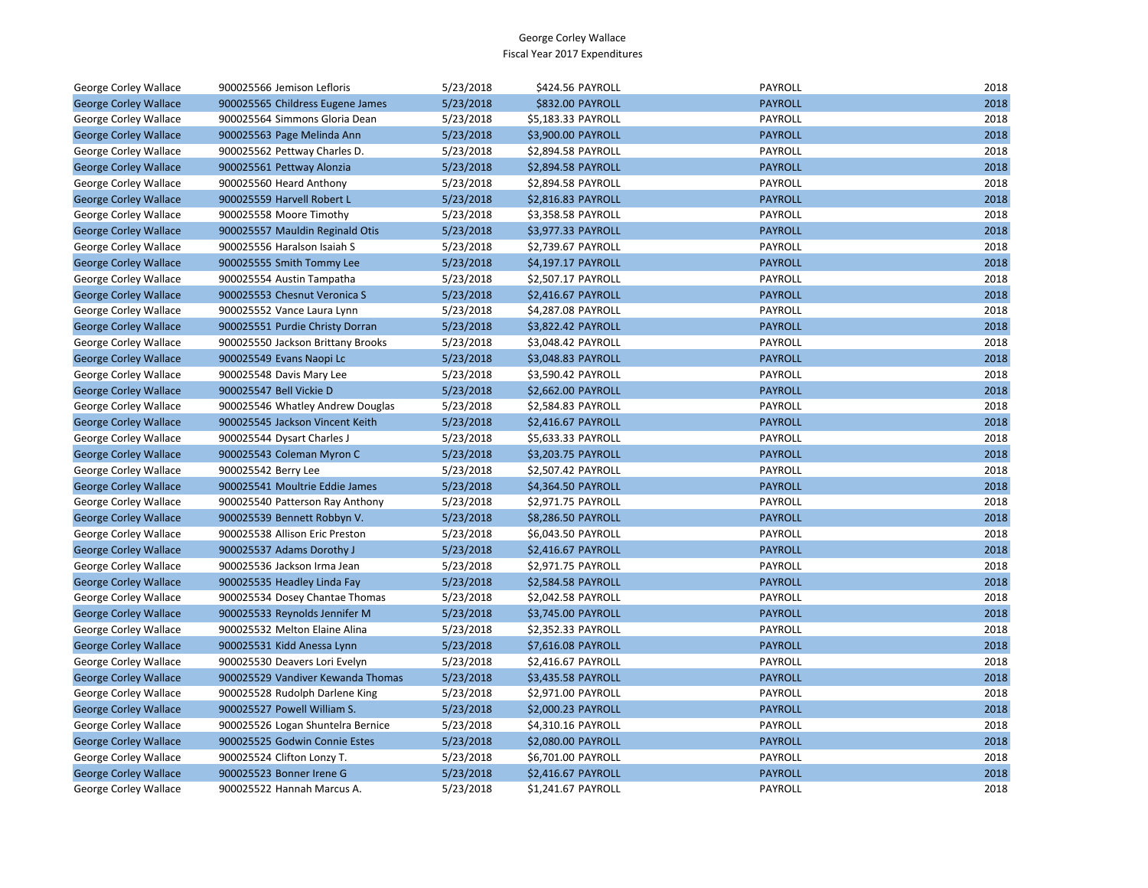| George Corley Wallace        | 900025566 Jemison Lefloris        | 5/23/2018 | \$424.56 PAYROLL   | PAYROLL        | 2018 |
|------------------------------|-----------------------------------|-----------|--------------------|----------------|------|
| <b>George Corley Wallace</b> | 900025565 Childress Eugene James  | 5/23/2018 | \$832.00 PAYROLL   | <b>PAYROLL</b> | 2018 |
| <b>George Corley Wallace</b> | 900025564 Simmons Gloria Dean     | 5/23/2018 | \$5,183.33 PAYROLL | PAYROLL        | 2018 |
| <b>George Corley Wallace</b> | 900025563 Page Melinda Ann        | 5/23/2018 | \$3,900.00 PAYROLL | <b>PAYROLL</b> | 2018 |
| George Corley Wallace        | 900025562 Pettway Charles D.      | 5/23/2018 | \$2,894.58 PAYROLL | PAYROLL        | 2018 |
| <b>George Corley Wallace</b> | 900025561 Pettway Alonzia         | 5/23/2018 | \$2,894.58 PAYROLL | <b>PAYROLL</b> | 2018 |
| George Corley Wallace        | 900025560 Heard Anthony           | 5/23/2018 | \$2,894.58 PAYROLL | PAYROLL        | 2018 |
| <b>George Corley Wallace</b> | 900025559 Harvell Robert L        | 5/23/2018 | \$2,816.83 PAYROLL | <b>PAYROLL</b> | 2018 |
| George Corley Wallace        | 900025558 Moore Timothy           | 5/23/2018 | \$3,358.58 PAYROLL | PAYROLL        | 2018 |
| <b>George Corley Wallace</b> | 900025557 Mauldin Reginald Otis   | 5/23/2018 | \$3,977.33 PAYROLL | <b>PAYROLL</b> | 2018 |
| George Corley Wallace        | 900025556 Haralson Isaiah S       | 5/23/2018 | \$2,739.67 PAYROLL | PAYROLL        | 2018 |
| <b>George Corley Wallace</b> | 900025555 Smith Tommy Lee         | 5/23/2018 | \$4,197.17 PAYROLL | <b>PAYROLL</b> | 2018 |
| George Corley Wallace        | 900025554 Austin Tampatha         | 5/23/2018 | \$2,507.17 PAYROLL | PAYROLL        | 2018 |
| <b>George Corley Wallace</b> | 900025553 Chesnut Veronica S      | 5/23/2018 | \$2,416.67 PAYROLL | <b>PAYROLL</b> | 2018 |
| George Corley Wallace        | 900025552 Vance Laura Lynn        | 5/23/2018 | \$4,287.08 PAYROLL | PAYROLL        | 2018 |
| <b>George Corley Wallace</b> | 900025551 Purdie Christy Dorran   | 5/23/2018 | \$3,822.42 PAYROLL | <b>PAYROLL</b> | 2018 |
| George Corley Wallace        | 900025550 Jackson Brittany Brooks | 5/23/2018 | \$3,048.42 PAYROLL | PAYROLL        | 2018 |
| <b>George Corley Wallace</b> | 900025549 Evans Naopi Lc          | 5/23/2018 | \$3,048.83 PAYROLL | <b>PAYROLL</b> | 2018 |
| George Corley Wallace        | 900025548 Davis Mary Lee          | 5/23/2018 | \$3,590.42 PAYROLL | PAYROLL        | 2018 |
| <b>George Corley Wallace</b> | 900025547 Bell Vickie D           | 5/23/2018 | \$2,662.00 PAYROLL | <b>PAYROLL</b> | 2018 |
| George Corley Wallace        | 900025546 Whatley Andrew Douglas  | 5/23/2018 | \$2,584.83 PAYROLL | PAYROLL        | 2018 |
| <b>George Corley Wallace</b> | 900025545 Jackson Vincent Keith   | 5/23/2018 | \$2,416.67 PAYROLL | <b>PAYROLL</b> | 2018 |
| George Corley Wallace        | 900025544 Dysart Charles J        | 5/23/2018 | \$5,633.33 PAYROLL | PAYROLL        | 2018 |
| <b>George Corley Wallace</b> | 900025543 Coleman Myron C         | 5/23/2018 | \$3,203.75 PAYROLL | <b>PAYROLL</b> | 2018 |
| George Corley Wallace        | 900025542 Berry Lee               | 5/23/2018 | \$2,507.42 PAYROLL | PAYROLL        | 2018 |
| <b>George Corley Wallace</b> | 900025541 Moultrie Eddie James    | 5/23/2018 | \$4,364.50 PAYROLL | <b>PAYROLL</b> | 2018 |
| George Corley Wallace        | 900025540 Patterson Ray Anthony   | 5/23/2018 | \$2,971.75 PAYROLL | PAYROLL        | 2018 |
| <b>George Corley Wallace</b> | 900025539 Bennett Robbyn V.       | 5/23/2018 | \$8,286.50 PAYROLL | <b>PAYROLL</b> | 2018 |
| George Corley Wallace        | 900025538 Allison Eric Preston    | 5/23/2018 | \$6,043.50 PAYROLL | PAYROLL        | 2018 |
| <b>George Corley Wallace</b> | 900025537 Adams Dorothy J         | 5/23/2018 | \$2,416.67 PAYROLL | <b>PAYROLL</b> | 2018 |
| George Corley Wallace        | 900025536 Jackson Irma Jean       | 5/23/2018 | \$2,971.75 PAYROLL | PAYROLL        | 2018 |
| <b>George Corley Wallace</b> | 900025535 Headley Linda Fay       | 5/23/2018 | \$2,584.58 PAYROLL | <b>PAYROLL</b> | 2018 |
| George Corley Wallace        | 900025534 Dosey Chantae Thomas    | 5/23/2018 | \$2,042.58 PAYROLL | PAYROLL        | 2018 |
| <b>George Corley Wallace</b> | 900025533 Reynolds Jennifer M     | 5/23/2018 | \$3,745.00 PAYROLL | <b>PAYROLL</b> | 2018 |
| George Corley Wallace        | 900025532 Melton Elaine Alina     | 5/23/2018 | \$2,352.33 PAYROLL | PAYROLL        | 2018 |
| <b>George Corley Wallace</b> | 900025531 Kidd Anessa Lynn        | 5/23/2018 | \$7,616.08 PAYROLL | <b>PAYROLL</b> | 2018 |
| George Corley Wallace        | 900025530 Deavers Lori Evelyn     | 5/23/2018 | \$2,416.67 PAYROLL | PAYROLL        | 2018 |
| <b>George Corley Wallace</b> | 900025529 Vandiver Kewanda Thomas | 5/23/2018 | \$3,435.58 PAYROLL | <b>PAYROLL</b> | 2018 |
| George Corley Wallace        | 900025528 Rudolph Darlene King    | 5/23/2018 | \$2,971.00 PAYROLL | PAYROLL        | 2018 |
| <b>George Corley Wallace</b> | 900025527 Powell William S.       | 5/23/2018 | \$2,000.23 PAYROLL | <b>PAYROLL</b> | 2018 |
| George Corley Wallace        | 900025526 Logan Shuntelra Bernice | 5/23/2018 | \$4,310.16 PAYROLL | PAYROLL        | 2018 |
| <b>George Corley Wallace</b> | 900025525 Godwin Connie Estes     | 5/23/2018 | \$2,080.00 PAYROLL | <b>PAYROLL</b> | 2018 |
| George Corley Wallace        | 900025524 Clifton Lonzy T.        | 5/23/2018 | \$6,701.00 PAYROLL | PAYROLL        | 2018 |
| <b>George Corley Wallace</b> | 900025523 Bonner Irene G          | 5/23/2018 | \$2,416.67 PAYROLL | <b>PAYROLL</b> | 2018 |
| <b>George Corley Wallace</b> | 900025522 Hannah Marcus A.        | 5/23/2018 | \$1.241.67 PAYROLL | <b>PAYROLL</b> | 2018 |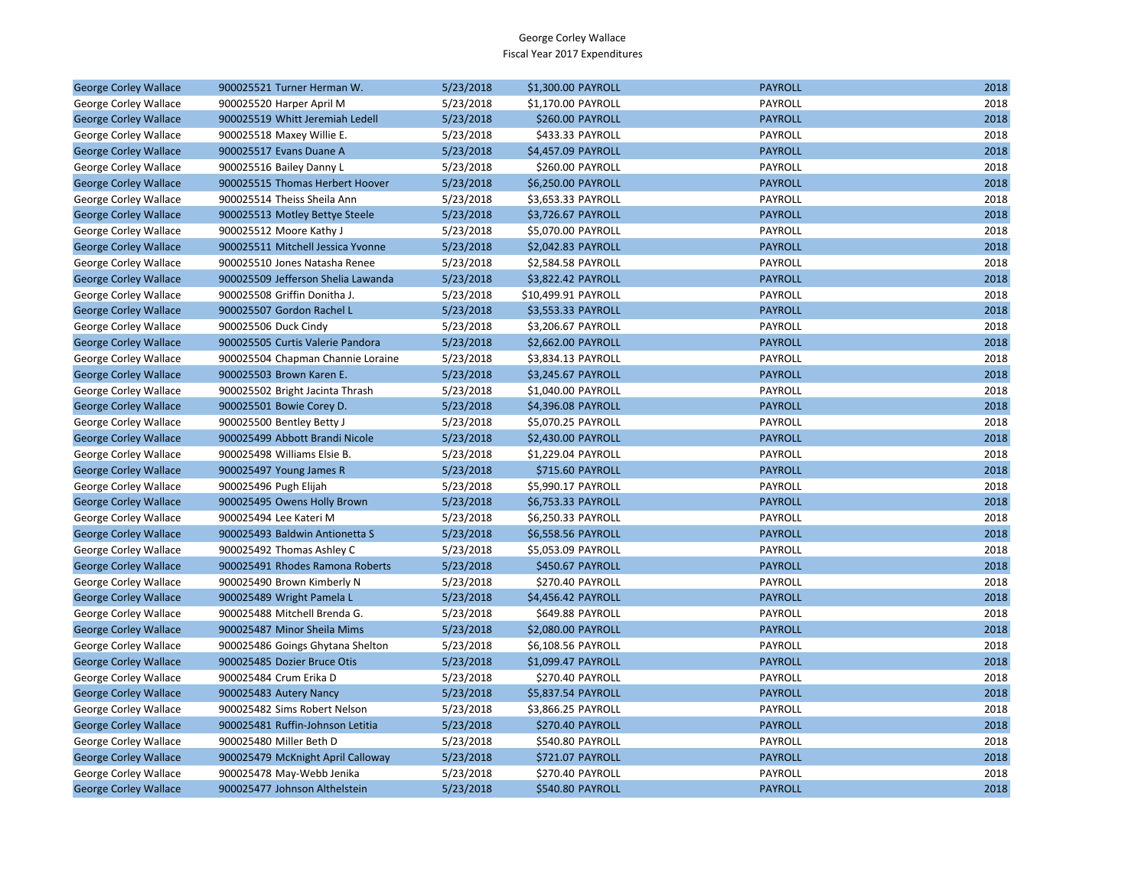| <b>George Corley Wallace</b> | 900025521 Turner Herman W.         | 5/23/2018 | \$1,300.00 PAYROLL  | <b>PAYROLL</b> | 2018 |
|------------------------------|------------------------------------|-----------|---------------------|----------------|------|
| George Corley Wallace        | 900025520 Harper April M           | 5/23/2018 | \$1,170.00 PAYROLL  | PAYROLL        | 2018 |
| <b>George Corley Wallace</b> | 900025519 Whitt Jeremiah Ledell    | 5/23/2018 | \$260.00 PAYROLL    | <b>PAYROLL</b> | 2018 |
| George Corley Wallace        | 900025518 Maxey Willie E.          | 5/23/2018 | \$433.33 PAYROLL    | PAYROLL        | 2018 |
| <b>George Corley Wallace</b> | 900025517 Evans Duane A            | 5/23/2018 | \$4,457.09 PAYROLL  | <b>PAYROLL</b> | 2018 |
| George Corley Wallace        | 900025516 Bailey Danny L           | 5/23/2018 | \$260.00 PAYROLL    | PAYROLL        | 2018 |
| <b>George Corley Wallace</b> | 900025515 Thomas Herbert Hoover    | 5/23/2018 | \$6,250.00 PAYROLL  | <b>PAYROLL</b> | 2018 |
| George Corley Wallace        | 900025514 Theiss Sheila Ann        | 5/23/2018 | \$3,653.33 PAYROLL  | PAYROLL        | 2018 |
| <b>George Corley Wallace</b> | 900025513 Motley Bettye Steele     | 5/23/2018 | \$3,726.67 PAYROLL  | <b>PAYROLL</b> | 2018 |
| George Corley Wallace        | 900025512 Moore Kathy J            | 5/23/2018 | \$5,070.00 PAYROLL  | PAYROLL        | 2018 |
| <b>George Corley Wallace</b> | 900025511 Mitchell Jessica Yvonne  | 5/23/2018 | \$2,042.83 PAYROLL  | <b>PAYROLL</b> | 2018 |
| George Corley Wallace        | 900025510 Jones Natasha Renee      | 5/23/2018 | \$2,584.58 PAYROLL  | PAYROLL        | 2018 |
| <b>George Corley Wallace</b> | 900025509 Jefferson Shelia Lawanda | 5/23/2018 | \$3,822.42 PAYROLL  | <b>PAYROLL</b> | 2018 |
| George Corley Wallace        | 900025508 Griffin Donitha J.       | 5/23/2018 | \$10,499.91 PAYROLL | PAYROLL        | 2018 |
| <b>George Corley Wallace</b> | 900025507 Gordon Rachel L          | 5/23/2018 | \$3,553.33 PAYROLL  | <b>PAYROLL</b> | 2018 |
| George Corley Wallace        | 900025506 Duck Cindy               | 5/23/2018 | \$3,206.67 PAYROLL  | PAYROLL        | 2018 |
| <b>George Corley Wallace</b> | 900025505 Curtis Valerie Pandora   | 5/23/2018 | \$2,662.00 PAYROLL  | <b>PAYROLL</b> | 2018 |
| George Corley Wallace        | 900025504 Chapman Channie Loraine  | 5/23/2018 | \$3,834.13 PAYROLL  | PAYROLL        | 2018 |
| <b>George Corley Wallace</b> | 900025503 Brown Karen E.           | 5/23/2018 | \$3,245.67 PAYROLL  | <b>PAYROLL</b> | 2018 |
| George Corley Wallace        | 900025502 Bright Jacinta Thrash    | 5/23/2018 | \$1,040.00 PAYROLL  | PAYROLL        | 2018 |
| <b>George Corley Wallace</b> | 900025501 Bowie Corey D.           | 5/23/2018 | \$4,396.08 PAYROLL  | <b>PAYROLL</b> | 2018 |
| George Corley Wallace        | 900025500 Bentley Betty J          | 5/23/2018 | \$5,070.25 PAYROLL  | PAYROLL        | 2018 |
| <b>George Corley Wallace</b> | 900025499 Abbott Brandi Nicole     | 5/23/2018 | \$2,430.00 PAYROLL  | <b>PAYROLL</b> | 2018 |
| George Corley Wallace        | 900025498 Williams Elsie B.        | 5/23/2018 | \$1,229.04 PAYROLL  | PAYROLL        | 2018 |
| <b>George Corley Wallace</b> | 900025497 Young James R            | 5/23/2018 | \$715.60 PAYROLL    | <b>PAYROLL</b> | 2018 |
| George Corley Wallace        | 900025496 Pugh Elijah              | 5/23/2018 | \$5,990.17 PAYROLL  | PAYROLL        | 2018 |
| <b>George Corley Wallace</b> | 900025495 Owens Holly Brown        | 5/23/2018 | \$6,753.33 PAYROLL  | <b>PAYROLL</b> | 2018 |
| George Corley Wallace        | 900025494 Lee Kateri M             | 5/23/2018 | \$6,250.33 PAYROLL  | PAYROLL        | 2018 |
| <b>George Corley Wallace</b> | 900025493 Baldwin Antionetta S     | 5/23/2018 | \$6,558.56 PAYROLL  | <b>PAYROLL</b> | 2018 |
| George Corley Wallace        | 900025492 Thomas Ashley C          | 5/23/2018 | \$5,053.09 PAYROLL  | PAYROLL        | 2018 |
| <b>George Corley Wallace</b> | 900025491 Rhodes Ramona Roberts    | 5/23/2018 | \$450.67 PAYROLL    | <b>PAYROLL</b> | 2018 |
| George Corley Wallace        | 900025490 Brown Kimberly N         | 5/23/2018 | \$270.40 PAYROLL    | PAYROLL        | 2018 |
| <b>George Corley Wallace</b> | 900025489 Wright Pamela L          | 5/23/2018 | \$4,456.42 PAYROLL  | <b>PAYROLL</b> | 2018 |
| George Corley Wallace        | 900025488 Mitchell Brenda G.       | 5/23/2018 | \$649.88 PAYROLL    | PAYROLL        | 2018 |
| <b>George Corley Wallace</b> | 900025487 Minor Sheila Mims        | 5/23/2018 | \$2,080.00 PAYROLL  | <b>PAYROLL</b> | 2018 |
| George Corley Wallace        | 900025486 Goings Ghytana Shelton   | 5/23/2018 | \$6,108.56 PAYROLL  | PAYROLL        | 2018 |
| <b>George Corley Wallace</b> | 900025485 Dozier Bruce Otis        | 5/23/2018 | \$1,099.47 PAYROLL  | <b>PAYROLL</b> | 2018 |
| George Corley Wallace        | 900025484 Crum Erika D             | 5/23/2018 | \$270.40 PAYROLL    | PAYROLL        | 2018 |
| <b>George Corley Wallace</b> | 900025483 Autery Nancy             | 5/23/2018 | \$5,837.54 PAYROLL  | <b>PAYROLL</b> | 2018 |
| George Corley Wallace        | 900025482 Sims Robert Nelson       | 5/23/2018 | \$3,866.25 PAYROLL  | PAYROLL        | 2018 |
| <b>George Corley Wallace</b> | 900025481 Ruffin-Johnson Letitia   | 5/23/2018 | \$270.40 PAYROLL    | <b>PAYROLL</b> | 2018 |
| George Corley Wallace        | 900025480 Miller Beth D            | 5/23/2018 | \$540.80 PAYROLL    | PAYROLL        | 2018 |
| <b>George Corley Wallace</b> | 900025479 McKnight April Calloway  | 5/23/2018 | \$721.07 PAYROLL    | <b>PAYROLL</b> | 2018 |
| George Corley Wallace        | 900025478 May-Webb Jenika          | 5/23/2018 | \$270.40 PAYROLL    | PAYROLL        | 2018 |
| <b>George Corley Wallace</b> | 900025477 Johnson Althelstein      | 5/23/2018 | \$540.80 PAYROLL    | <b>PAYROLL</b> | 2018 |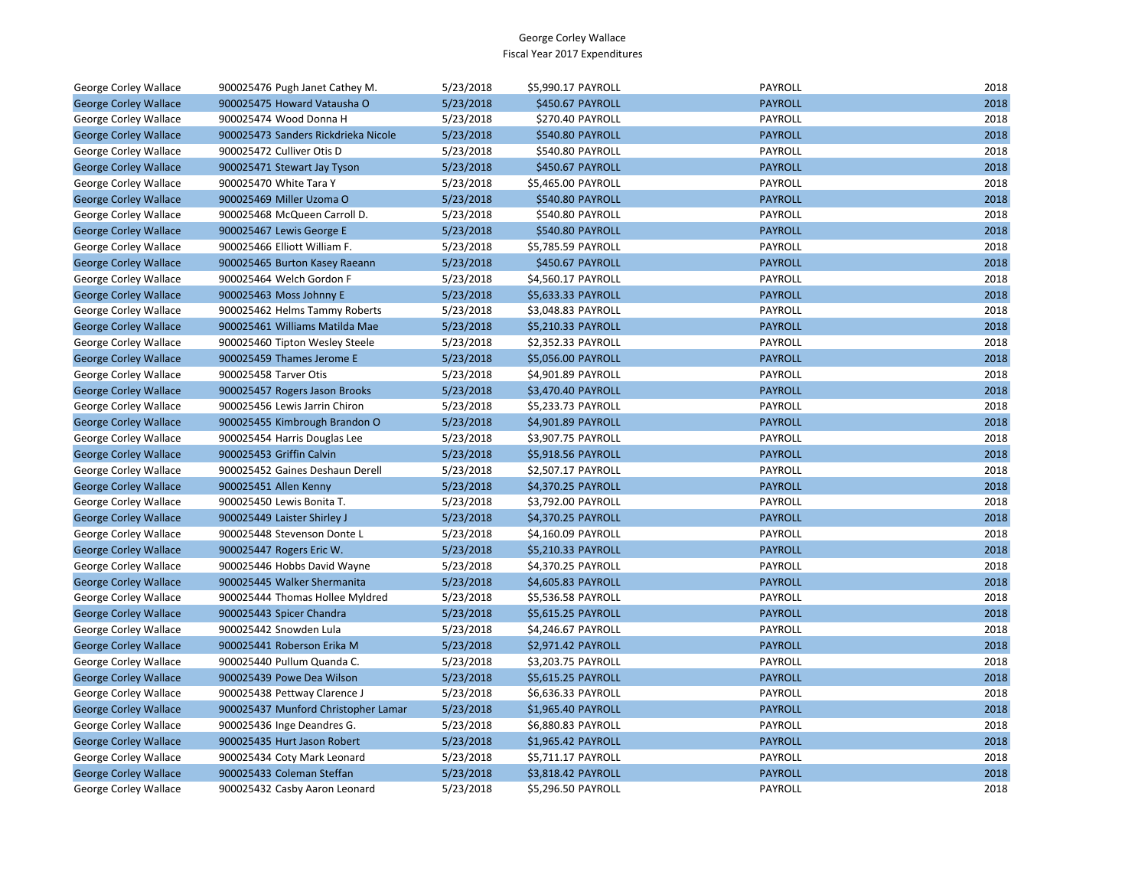| George Corley Wallace        | 900025476 Pugh Janet Cathey M.      | 5/23/2018 | \$5,990.17 PAYROLL | PAYROLL        | 2018 |
|------------------------------|-------------------------------------|-----------|--------------------|----------------|------|
| <b>George Corley Wallace</b> | 900025475 Howard Vatausha O         | 5/23/2018 | \$450.67 PAYROLL   | <b>PAYROLL</b> | 2018 |
| George Corley Wallace        | 900025474 Wood Donna H              | 5/23/2018 | \$270.40 PAYROLL   | PAYROLL        | 2018 |
| <b>George Corley Wallace</b> | 900025473 Sanders Rickdrieka Nicole | 5/23/2018 | \$540.80 PAYROLL   | <b>PAYROLL</b> | 2018 |
| George Corley Wallace        | 900025472 Culliver Otis D           | 5/23/2018 | \$540.80 PAYROLL   | PAYROLL        | 2018 |
| <b>George Corley Wallace</b> | 900025471 Stewart Jay Tyson         | 5/23/2018 | \$450.67 PAYROLL   | <b>PAYROLL</b> | 2018 |
| George Corley Wallace        | 900025470 White Tara Y              | 5/23/2018 | \$5,465.00 PAYROLL | PAYROLL        | 2018 |
| <b>George Corley Wallace</b> | 900025469 Miller Uzoma O            | 5/23/2018 | \$540.80 PAYROLL   | <b>PAYROLL</b> | 2018 |
| George Corley Wallace        | 900025468 McQueen Carroll D.        | 5/23/2018 | \$540.80 PAYROLL   | PAYROLL        | 2018 |
| <b>George Corley Wallace</b> | 900025467 Lewis George E            | 5/23/2018 | \$540.80 PAYROLL   | <b>PAYROLL</b> | 2018 |
| George Corley Wallace        | 900025466 Elliott William F.        | 5/23/2018 | \$5,785.59 PAYROLL | PAYROLL        | 2018 |
| <b>George Corley Wallace</b> | 900025465 Burton Kasey Raeann       | 5/23/2018 | \$450.67 PAYROLL   | <b>PAYROLL</b> | 2018 |
| George Corley Wallace        | 900025464 Welch Gordon F            | 5/23/2018 | \$4,560.17 PAYROLL | PAYROLL        | 2018 |
| <b>George Corley Wallace</b> | 900025463 Moss Johnny E             | 5/23/2018 | \$5,633.33 PAYROLL | <b>PAYROLL</b> | 2018 |
| George Corley Wallace        | 900025462 Helms Tammy Roberts       | 5/23/2018 | \$3,048.83 PAYROLL | PAYROLL        | 2018 |
| <b>George Corley Wallace</b> | 900025461 Williams Matilda Mae      | 5/23/2018 | \$5,210.33 PAYROLL | <b>PAYROLL</b> | 2018 |
| George Corley Wallace        | 900025460 Tipton Wesley Steele      | 5/23/2018 | \$2,352.33 PAYROLL | PAYROLL        | 2018 |
| <b>George Corley Wallace</b> | 900025459 Thames Jerome E           | 5/23/2018 | \$5,056.00 PAYROLL | <b>PAYROLL</b> | 2018 |
| George Corley Wallace        | 900025458 Tarver Otis               | 5/23/2018 | \$4,901.89 PAYROLL | PAYROLL        | 2018 |
| <b>George Corley Wallace</b> | 900025457 Rogers Jason Brooks       | 5/23/2018 | \$3,470.40 PAYROLL | <b>PAYROLL</b> | 2018 |
| George Corley Wallace        | 900025456 Lewis Jarrin Chiron       | 5/23/2018 | \$5,233.73 PAYROLL | PAYROLL        | 2018 |
| <b>George Corley Wallace</b> | 900025455 Kimbrough Brandon O       | 5/23/2018 | \$4,901.89 PAYROLL | <b>PAYROLL</b> | 2018 |
| George Corley Wallace        | 900025454 Harris Douglas Lee        | 5/23/2018 | \$3,907.75 PAYROLL | PAYROLL        | 2018 |
| <b>George Corley Wallace</b> | 900025453 Griffin Calvin            | 5/23/2018 | \$5,918.56 PAYROLL | <b>PAYROLL</b> | 2018 |
| George Corley Wallace        | 900025452 Gaines Deshaun Derell     | 5/23/2018 | \$2,507.17 PAYROLL | PAYROLL        | 2018 |
| <b>George Corley Wallace</b> | 900025451 Allen Kenny               | 5/23/2018 | \$4,370.25 PAYROLL | <b>PAYROLL</b> | 2018 |
| George Corley Wallace        | 900025450 Lewis Bonita T.           | 5/23/2018 | \$3,792.00 PAYROLL | PAYROLL        | 2018 |
| <b>George Corley Wallace</b> | 900025449 Laister Shirley J         | 5/23/2018 | \$4,370.25 PAYROLL | <b>PAYROLL</b> | 2018 |
| George Corley Wallace        | 900025448 Stevenson Donte L         | 5/23/2018 | \$4,160.09 PAYROLL | PAYROLL        | 2018 |
| <b>George Corley Wallace</b> | 900025447 Rogers Eric W.            | 5/23/2018 | \$5,210.33 PAYROLL | <b>PAYROLL</b> | 2018 |
| George Corley Wallace        | 900025446 Hobbs David Wayne         | 5/23/2018 | \$4,370.25 PAYROLL | PAYROLL        | 2018 |
| <b>George Corley Wallace</b> | 900025445 Walker Shermanita         | 5/23/2018 | \$4,605.83 PAYROLL | <b>PAYROLL</b> | 2018 |
| George Corley Wallace        | 900025444 Thomas Hollee Myldred     | 5/23/2018 | \$5,536.58 PAYROLL | PAYROLL        | 2018 |
| <b>George Corley Wallace</b> | 900025443 Spicer Chandra            | 5/23/2018 | \$5,615.25 PAYROLL | <b>PAYROLL</b> | 2018 |
| George Corley Wallace        | 900025442 Snowden Lula              | 5/23/2018 | \$4,246.67 PAYROLL | PAYROLL        | 2018 |
| <b>George Corley Wallace</b> | 900025441 Roberson Erika M          | 5/23/2018 | \$2,971.42 PAYROLL | <b>PAYROLL</b> | 2018 |
| George Corley Wallace        | 900025440 Pullum Quanda C.          | 5/23/2018 | \$3,203.75 PAYROLL | PAYROLL        | 2018 |
| <b>George Corley Wallace</b> | 900025439 Powe Dea Wilson           | 5/23/2018 | \$5,615.25 PAYROLL | <b>PAYROLL</b> | 2018 |
| George Corley Wallace        | 900025438 Pettway Clarence J        | 5/23/2018 | \$6,636.33 PAYROLL | PAYROLL        | 2018 |
| <b>George Corley Wallace</b> | 900025437 Munford Christopher Lamar | 5/23/2018 | \$1,965.40 PAYROLL | <b>PAYROLL</b> | 2018 |
| George Corley Wallace        | 900025436 Inge Deandres G.          | 5/23/2018 | \$6,880.83 PAYROLL | PAYROLL        | 2018 |
| <b>George Corley Wallace</b> | 900025435 Hurt Jason Robert         | 5/23/2018 | \$1,965.42 PAYROLL | <b>PAYROLL</b> | 2018 |
| George Corley Wallace        | 900025434 Coty Mark Leonard         | 5/23/2018 | \$5,711.17 PAYROLL | PAYROLL        | 2018 |
| <b>George Corley Wallace</b> | 900025433 Coleman Steffan           | 5/23/2018 | \$3,818.42 PAYROLL | <b>PAYROLL</b> | 2018 |
| <b>George Corley Wallace</b> | 900025432 Casby Aaron Leonard       | 5/23/2018 | \$5,296.50 PAYROLL | PAYROLL        | 2018 |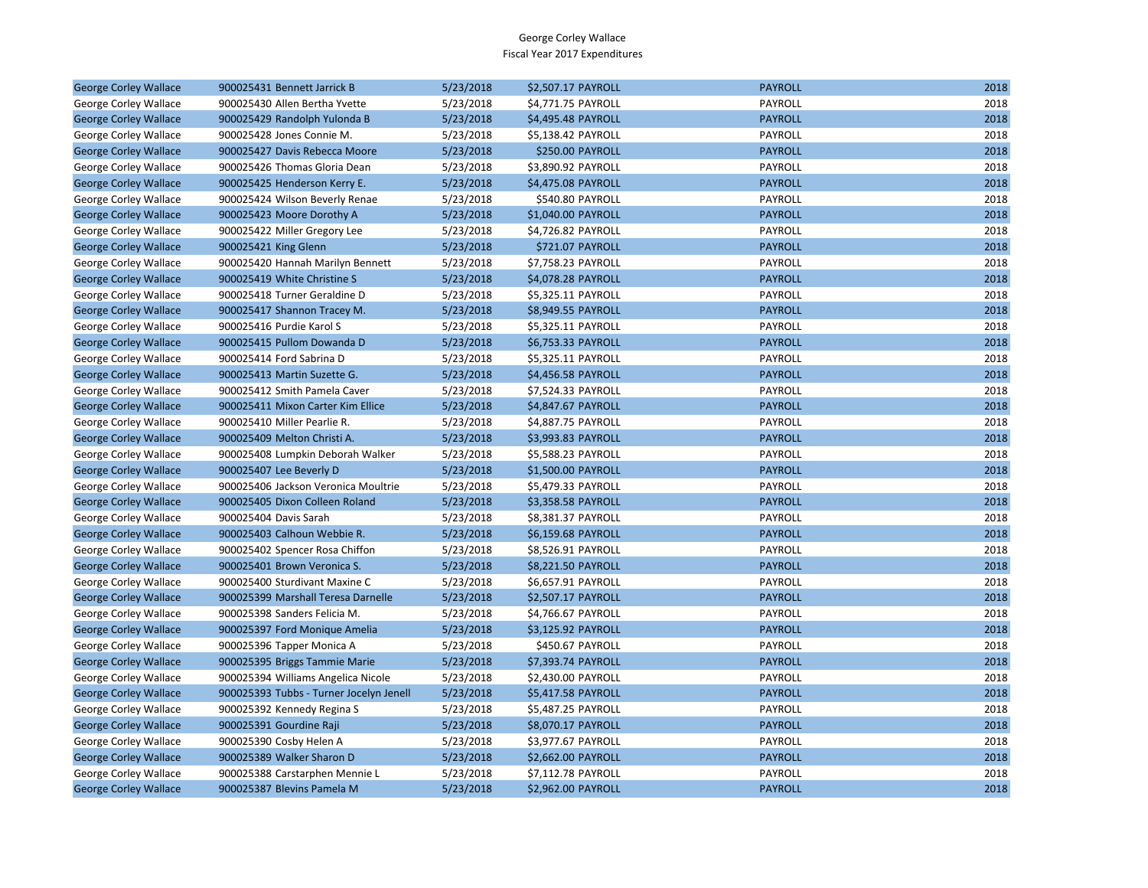| <b>George Corley Wallace</b> | 900025431 Bennett Jarrick B             | 5/23/2018 | \$2,507.17 PAYROLL | <b>PAYROLL</b> | 2018 |
|------------------------------|-----------------------------------------|-----------|--------------------|----------------|------|
| George Corley Wallace        | 900025430 Allen Bertha Yvette           | 5/23/2018 | \$4,771.75 PAYROLL | PAYROLL        | 2018 |
| <b>George Corley Wallace</b> | 900025429 Randolph Yulonda B            | 5/23/2018 | \$4,495.48 PAYROLL | <b>PAYROLL</b> | 2018 |
| George Corley Wallace        | 900025428 Jones Connie M.               | 5/23/2018 | \$5,138.42 PAYROLL | PAYROLL        | 2018 |
| <b>George Corley Wallace</b> | 900025427 Davis Rebecca Moore           | 5/23/2018 | \$250.00 PAYROLL   | <b>PAYROLL</b> | 2018 |
| George Corley Wallace        | 900025426 Thomas Gloria Dean            | 5/23/2018 | \$3,890.92 PAYROLL | PAYROLL        | 2018 |
| <b>George Corley Wallace</b> | 900025425 Henderson Kerry E.            | 5/23/2018 | \$4,475.08 PAYROLL | <b>PAYROLL</b> | 2018 |
| George Corley Wallace        | 900025424 Wilson Beverly Renae          | 5/23/2018 | \$540.80 PAYROLL   | PAYROLL        | 2018 |
| <b>George Corley Wallace</b> | 900025423 Moore Dorothy A               | 5/23/2018 | \$1,040.00 PAYROLL | <b>PAYROLL</b> | 2018 |
| George Corley Wallace        | 900025422 Miller Gregory Lee            | 5/23/2018 | \$4,726.82 PAYROLL | PAYROLL        | 2018 |
| <b>George Corley Wallace</b> | 900025421 King Glenn                    | 5/23/2018 | \$721.07 PAYROLL   | <b>PAYROLL</b> | 2018 |
| George Corley Wallace        | 900025420 Hannah Marilyn Bennett        | 5/23/2018 | \$7,758.23 PAYROLL | PAYROLL        | 2018 |
| <b>George Corley Wallace</b> | 900025419 White Christine S             | 5/23/2018 | \$4,078.28 PAYROLL | <b>PAYROLL</b> | 2018 |
| George Corley Wallace        | 900025418 Turner Geraldine D            | 5/23/2018 | \$5,325.11 PAYROLL | PAYROLL        | 2018 |
| <b>George Corley Wallace</b> | 900025417 Shannon Tracey M.             | 5/23/2018 | \$8,949.55 PAYROLL | <b>PAYROLL</b> | 2018 |
| George Corley Wallace        | 900025416 Purdie Karol S                | 5/23/2018 | \$5,325.11 PAYROLL | PAYROLL        | 2018 |
| <b>George Corley Wallace</b> | 900025415 Pullom Dowanda D              | 5/23/2018 | \$6,753.33 PAYROLL | <b>PAYROLL</b> | 2018 |
| George Corley Wallace        | 900025414 Ford Sabrina D                | 5/23/2018 | \$5,325.11 PAYROLL | PAYROLL        | 2018 |
| <b>George Corley Wallace</b> | 900025413 Martin Suzette G.             | 5/23/2018 | \$4,456.58 PAYROLL | <b>PAYROLL</b> | 2018 |
| George Corley Wallace        | 900025412 Smith Pamela Caver            | 5/23/2018 | \$7,524.33 PAYROLL | <b>PAYROLL</b> | 2018 |
| <b>George Corley Wallace</b> | 900025411 Mixon Carter Kim Ellice       | 5/23/2018 | \$4,847.67 PAYROLL | <b>PAYROLL</b> | 2018 |
| George Corley Wallace        | 900025410 Miller Pearlie R.             | 5/23/2018 | \$4,887.75 PAYROLL | PAYROLL        | 2018 |
| <b>George Corley Wallace</b> | 900025409 Melton Christi A.             | 5/23/2018 | \$3,993.83 PAYROLL | <b>PAYROLL</b> | 2018 |
| George Corley Wallace        | 900025408 Lumpkin Deborah Walker        | 5/23/2018 | \$5,588.23 PAYROLL | PAYROLL        | 2018 |
| <b>George Corley Wallace</b> | 900025407 Lee Beverly D                 | 5/23/2018 | \$1,500.00 PAYROLL | <b>PAYROLL</b> | 2018 |
| George Corley Wallace        | 900025406 Jackson Veronica Moultrie     | 5/23/2018 | \$5,479.33 PAYROLL | PAYROLL        | 2018 |
| <b>George Corley Wallace</b> | 900025405 Dixon Colleen Roland          | 5/23/2018 | \$3,358.58 PAYROLL | <b>PAYROLL</b> | 2018 |
| George Corley Wallace        | 900025404 Davis Sarah                   | 5/23/2018 | \$8,381.37 PAYROLL | PAYROLL        | 2018 |
| <b>George Corley Wallace</b> | 900025403 Calhoun Webbie R.             | 5/23/2018 | \$6,159.68 PAYROLL | <b>PAYROLL</b> | 2018 |
| George Corley Wallace        | 900025402 Spencer Rosa Chiffon          | 5/23/2018 | \$8,526.91 PAYROLL | PAYROLL        | 2018 |
| <b>George Corley Wallace</b> | 900025401 Brown Veronica S.             | 5/23/2018 | \$8,221.50 PAYROLL | <b>PAYROLL</b> | 2018 |
| George Corley Wallace        | 900025400 Sturdivant Maxine C           | 5/23/2018 | \$6,657.91 PAYROLL | PAYROLL        | 2018 |
| <b>George Corley Wallace</b> | 900025399 Marshall Teresa Darnelle      | 5/23/2018 | \$2,507.17 PAYROLL | <b>PAYROLL</b> | 2018 |
| George Corley Wallace        | 900025398 Sanders Felicia M.            | 5/23/2018 | \$4,766.67 PAYROLL | PAYROLL        | 2018 |
| <b>George Corley Wallace</b> | 900025397 Ford Monique Amelia           | 5/23/2018 | \$3,125.92 PAYROLL | <b>PAYROLL</b> | 2018 |
| George Corley Wallace        | 900025396 Tapper Monica A               | 5/23/2018 | \$450.67 PAYROLL   | PAYROLL        | 2018 |
| <b>George Corley Wallace</b> | 900025395 Briggs Tammie Marie           | 5/23/2018 | \$7,393.74 PAYROLL | <b>PAYROLL</b> | 2018 |
| George Corley Wallace        | 900025394 Williams Angelica Nicole      | 5/23/2018 | \$2,430.00 PAYROLL | PAYROLL        | 2018 |
| <b>George Corley Wallace</b> | 900025393 Tubbs - Turner Jocelyn Jenell | 5/23/2018 | \$5,417.58 PAYROLL | <b>PAYROLL</b> | 2018 |
| George Corley Wallace        | 900025392 Kennedy Regina S              | 5/23/2018 | \$5,487.25 PAYROLL | PAYROLL        | 2018 |
| <b>George Corley Wallace</b> | 900025391 Gourdine Raji                 | 5/23/2018 | \$8,070.17 PAYROLL | <b>PAYROLL</b> | 2018 |
| George Corley Wallace        | 900025390 Cosby Helen A                 | 5/23/2018 | \$3,977.67 PAYROLL | PAYROLL        | 2018 |
| <b>George Corley Wallace</b> | 900025389 Walker Sharon D               | 5/23/2018 | \$2,662.00 PAYROLL | <b>PAYROLL</b> | 2018 |
| George Corley Wallace        | 900025388 Carstarphen Mennie L          | 5/23/2018 | \$7,112.78 PAYROLL | PAYROLL        | 2018 |
| <b>George Corley Wallace</b> | 900025387 Blevins Pamela M              | 5/23/2018 | \$2,962.00 PAYROLL | <b>PAYROLL</b> | 2018 |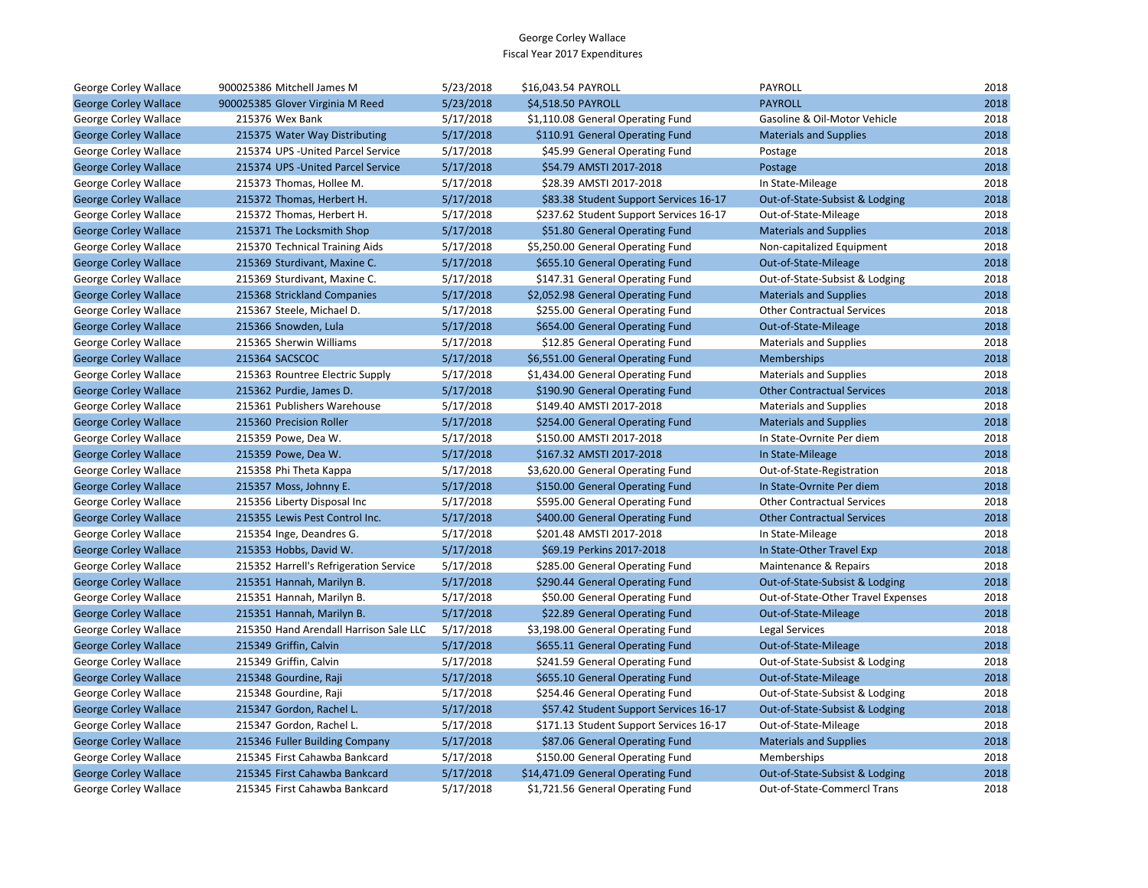| George Corley Wallace        | 900025386 Mitchell James M             | 5/23/2018 | \$16,043.54 PAYROLL                     | PAYROLL                            | 2018 |
|------------------------------|----------------------------------------|-----------|-----------------------------------------|------------------------------------|------|
| <b>George Corley Wallace</b> | 900025385 Glover Virginia M Reed       | 5/23/2018 | \$4,518.50 PAYROLL                      | <b>PAYROLL</b>                     | 2018 |
| George Corley Wallace        | 215376 Wex Bank                        | 5/17/2018 | \$1,110.08 General Operating Fund       | Gasoline & Oil-Motor Vehicle       | 2018 |
| <b>George Corley Wallace</b> | 215375 Water Way Distributing          | 5/17/2018 | \$110.91 General Operating Fund         | <b>Materials and Supplies</b>      | 2018 |
| George Corley Wallace        | 215374 UPS - United Parcel Service     | 5/17/2018 | \$45.99 General Operating Fund          | Postage                            | 2018 |
| <b>George Corley Wallace</b> | 215374 UPS - United Parcel Service     | 5/17/2018 | \$54.79 AMSTI 2017-2018                 | Postage                            | 2018 |
| George Corley Wallace        | 215373 Thomas, Hollee M.               | 5/17/2018 | \$28.39 AMSTI 2017-2018                 | In State-Mileage                   | 2018 |
| <b>George Corley Wallace</b> | 215372 Thomas, Herbert H.              | 5/17/2018 | \$83.38 Student Support Services 16-17  | Out-of-State-Subsist & Lodging     | 2018 |
| George Corley Wallace        | 215372 Thomas, Herbert H.              | 5/17/2018 | \$237.62 Student Support Services 16-17 | Out-of-State-Mileage               | 2018 |
| <b>George Corley Wallace</b> | 215371 The Locksmith Shop              | 5/17/2018 | \$51.80 General Operating Fund          | <b>Materials and Supplies</b>      | 2018 |
| George Corley Wallace        | 215370 Technical Training Aids         | 5/17/2018 | \$5,250.00 General Operating Fund       | Non-capitalized Equipment          | 2018 |
| <b>George Corley Wallace</b> | 215369 Sturdivant, Maxine C.           | 5/17/2018 | \$655.10 General Operating Fund         | Out-of-State-Mileage               | 2018 |
| George Corley Wallace        | 215369 Sturdivant, Maxine C.           | 5/17/2018 | \$147.31 General Operating Fund         | Out-of-State-Subsist & Lodging     | 2018 |
| <b>George Corley Wallace</b> | 215368 Strickland Companies            | 5/17/2018 | \$2,052.98 General Operating Fund       | <b>Materials and Supplies</b>      | 2018 |
| George Corley Wallace        | 215367 Steele, Michael D.              | 5/17/2018 | \$255.00 General Operating Fund         | <b>Other Contractual Services</b>  | 2018 |
| <b>George Corley Wallace</b> | 215366 Snowden, Lula                   | 5/17/2018 | \$654.00 General Operating Fund         | Out-of-State-Mileage               | 2018 |
| George Corley Wallace        | 215365 Sherwin Williams                | 5/17/2018 | \$12.85 General Operating Fund          | <b>Materials and Supplies</b>      | 2018 |
| <b>George Corley Wallace</b> | 215364 SACSCOC                         | 5/17/2018 | \$6,551.00 General Operating Fund       | <b>Memberships</b>                 | 2018 |
| George Corley Wallace        | 215363 Rountree Electric Supply        | 5/17/2018 | \$1,434.00 General Operating Fund       | <b>Materials and Supplies</b>      | 2018 |
| <b>George Corley Wallace</b> | 215362 Purdie, James D.                | 5/17/2018 | \$190.90 General Operating Fund         | <b>Other Contractual Services</b>  | 2018 |
| George Corley Wallace        | 215361 Publishers Warehouse            | 5/17/2018 | \$149.40 AMSTI 2017-2018                | <b>Materials and Supplies</b>      | 2018 |
| <b>George Corley Wallace</b> | 215360 Precision Roller                | 5/17/2018 | \$254.00 General Operating Fund         | <b>Materials and Supplies</b>      | 2018 |
| George Corley Wallace        | 215359 Powe, Dea W.                    | 5/17/2018 | \$150.00 AMSTI 2017-2018                | In State-Ovrnite Per diem          | 2018 |
| <b>George Corley Wallace</b> | 215359 Powe, Dea W.                    | 5/17/2018 | \$167.32 AMSTI 2017-2018                | In State-Mileage                   | 2018 |
| George Corley Wallace        | 215358 Phi Theta Kappa                 | 5/17/2018 | \$3,620.00 General Operating Fund       | Out-of-State-Registration          | 2018 |
| <b>George Corley Wallace</b> | 215357 Moss, Johnny E.                 | 5/17/2018 | \$150.00 General Operating Fund         | In State-Ovrnite Per diem          | 2018 |
| George Corley Wallace        | 215356 Liberty Disposal Inc            | 5/17/2018 | \$595.00 General Operating Fund         | <b>Other Contractual Services</b>  | 2018 |
| <b>George Corley Wallace</b> | 215355 Lewis Pest Control Inc.         | 5/17/2018 | \$400.00 General Operating Fund         | <b>Other Contractual Services</b>  | 2018 |
| George Corley Wallace        | 215354 Inge, Deandres G.               | 5/17/2018 | \$201.48 AMSTI 2017-2018                | In State-Mileage                   | 2018 |
| <b>George Corley Wallace</b> | 215353 Hobbs, David W.                 | 5/17/2018 | \$69.19 Perkins 2017-2018               | In State-Other Travel Exp          | 2018 |
| George Corley Wallace        | 215352 Harrell's Refrigeration Service | 5/17/2018 | \$285.00 General Operating Fund         | Maintenance & Repairs              | 2018 |
| <b>George Corley Wallace</b> | 215351 Hannah, Marilyn B.              | 5/17/2018 | \$290.44 General Operating Fund         | Out-of-State-Subsist & Lodging     | 2018 |
| George Corley Wallace        | 215351 Hannah, Marilyn B.              | 5/17/2018 | \$50.00 General Operating Fund          | Out-of-State-Other Travel Expenses | 2018 |
| <b>George Corley Wallace</b> | 215351 Hannah, Marilyn B.              | 5/17/2018 | \$22.89 General Operating Fund          | Out-of-State-Mileage               | 2018 |
| George Corley Wallace        | 215350 Hand Arendall Harrison Sale LLC | 5/17/2018 | \$3,198.00 General Operating Fund       | Legal Services                     | 2018 |
| <b>George Corley Wallace</b> | 215349 Griffin, Calvin                 | 5/17/2018 | \$655.11 General Operating Fund         | Out-of-State-Mileage               | 2018 |
| George Corley Wallace        | 215349 Griffin, Calvin                 | 5/17/2018 | \$241.59 General Operating Fund         | Out-of-State-Subsist & Lodging     | 2018 |
| <b>George Corley Wallace</b> | 215348 Gourdine, Raji                  | 5/17/2018 | \$655.10 General Operating Fund         | Out-of-State-Mileage               | 2018 |
| George Corley Wallace        | 215348 Gourdine, Raji                  | 5/17/2018 | \$254.46 General Operating Fund         | Out-of-State-Subsist & Lodging     | 2018 |
| <b>George Corley Wallace</b> | 215347 Gordon, Rachel L.               | 5/17/2018 | \$57.42 Student Support Services 16-17  | Out-of-State-Subsist & Lodging     | 2018 |
| George Corley Wallace        | 215347 Gordon, Rachel L.               | 5/17/2018 | \$171.13 Student Support Services 16-17 | Out-of-State-Mileage               | 2018 |
| <b>George Corley Wallace</b> | 215346 Fuller Building Company         | 5/17/2018 | \$87.06 General Operating Fund          | <b>Materials and Supplies</b>      | 2018 |
| George Corley Wallace        | 215345 First Cahawba Bankcard          | 5/17/2018 | \$150.00 General Operating Fund         | Memberships                        | 2018 |
| <b>George Corley Wallace</b> | 215345 First Cahawba Bankcard          | 5/17/2018 | \$14,471.09 General Operating Fund      | Out-of-State-Subsist & Lodging     | 2018 |
| George Corley Wallace        | 215345 First Cahawba Bankcard          | 5/17/2018 | \$1,721.56 General Operating Fund       | Out-of-State-Commercl Trans        | 2018 |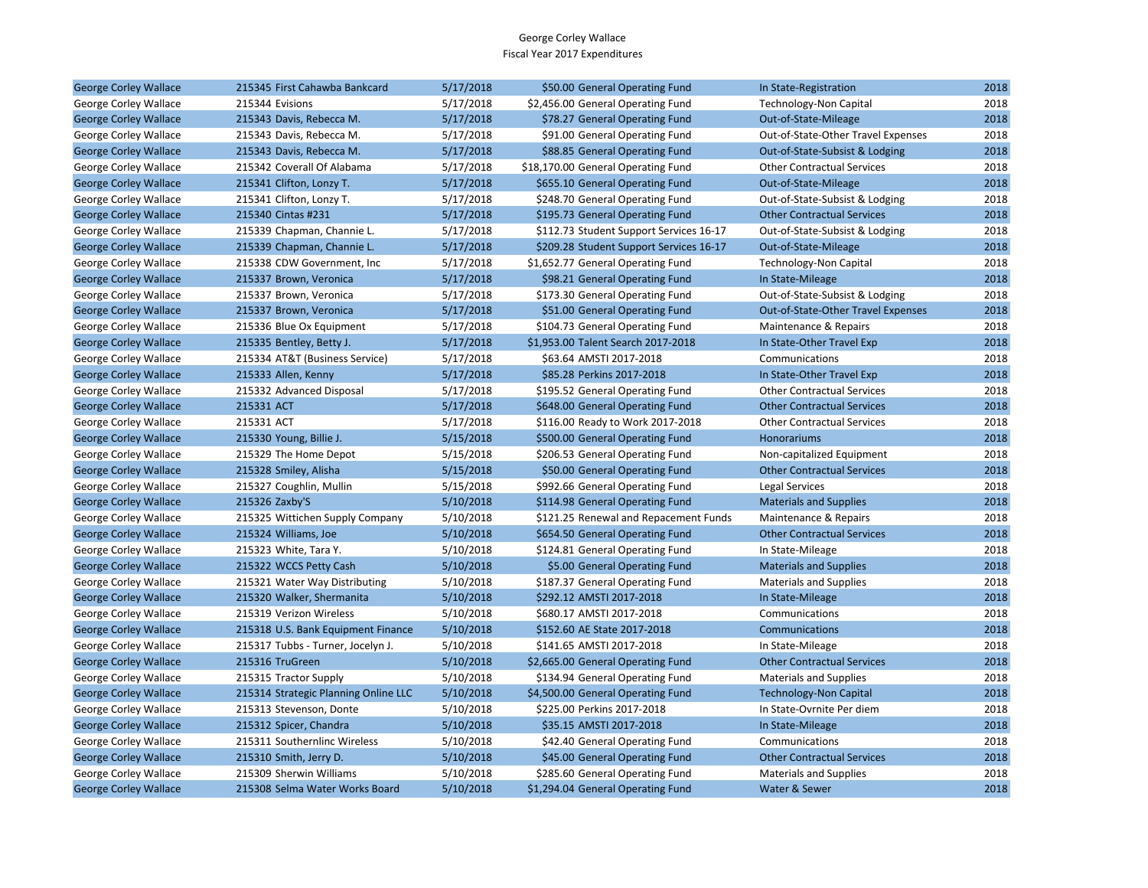| <b>George Corley Wallace</b> | 215345 First Cahawba Bankcard        | 5/17/2018 | \$50.00 General Operating Fund          | In State-Registration              | 2018 |
|------------------------------|--------------------------------------|-----------|-----------------------------------------|------------------------------------|------|
| George Corley Wallace        | 215344 Evisions                      | 5/17/2018 | \$2,456.00 General Operating Fund       | <b>Technology-Non Capital</b>      | 2018 |
| <b>George Corley Wallace</b> | 215343 Davis, Rebecca M.             | 5/17/2018 | \$78.27 General Operating Fund          | Out-of-State-Mileage               | 2018 |
| George Corley Wallace        | 215343 Davis, Rebecca M.             | 5/17/2018 | \$91.00 General Operating Fund          | Out-of-State-Other Travel Expenses | 2018 |
| <b>George Corley Wallace</b> | 215343 Davis, Rebecca M.             | 5/17/2018 | \$88.85 General Operating Fund          | Out-of-State-Subsist & Lodging     | 2018 |
| George Corley Wallace        | 215342 Coverall Of Alabama           | 5/17/2018 | \$18,170.00 General Operating Fund      | <b>Other Contractual Services</b>  | 2018 |
| <b>George Corley Wallace</b> | 215341 Clifton, Lonzy T.             | 5/17/2018 | \$655.10 General Operating Fund         | Out-of-State-Mileage               | 2018 |
| George Corley Wallace        | 215341 Clifton, Lonzy T.             | 5/17/2018 | \$248.70 General Operating Fund         | Out-of-State-Subsist & Lodging     | 2018 |
| <b>George Corley Wallace</b> | 215340 Cintas #231                   | 5/17/2018 | \$195.73 General Operating Fund         | <b>Other Contractual Services</b>  | 2018 |
| George Corley Wallace        | 215339 Chapman, Channie L.           | 5/17/2018 | \$112.73 Student Support Services 16-17 | Out-of-State-Subsist & Lodging     | 2018 |
| <b>George Corley Wallace</b> | 215339 Chapman, Channie L.           | 5/17/2018 | \$209.28 Student Support Services 16-17 | Out-of-State-Mileage               | 2018 |
| George Corley Wallace        | 215338 CDW Government, Inc.          | 5/17/2018 | \$1,652.77 General Operating Fund       | <b>Technology-Non Capital</b>      | 2018 |
| <b>George Corley Wallace</b> | 215337 Brown, Veronica               | 5/17/2018 | \$98.21 General Operating Fund          | In State-Mileage                   | 2018 |
| George Corley Wallace        | 215337 Brown, Veronica               | 5/17/2018 | \$173.30 General Operating Fund         | Out-of-State-Subsist & Lodging     | 2018 |
| <b>George Corley Wallace</b> | 215337 Brown, Veronica               | 5/17/2018 | \$51.00 General Operating Fund          | Out-of-State-Other Travel Expenses | 2018 |
| George Corley Wallace        | 215336 Blue Ox Equipment             | 5/17/2018 | \$104.73 General Operating Fund         | Maintenance & Repairs              | 2018 |
| <b>George Corley Wallace</b> | 215335 Bentley, Betty J.             | 5/17/2018 | \$1,953.00 Talent Search 2017-2018      | In State-Other Travel Exp          | 2018 |
| George Corley Wallace        | 215334 AT&T (Business Service)       | 5/17/2018 | \$63.64 AMSTI 2017-2018                 | Communications                     | 2018 |
| <b>George Corley Wallace</b> | 215333 Allen, Kenny                  | 5/17/2018 | \$85.28 Perkins 2017-2018               | In State-Other Travel Exp          | 2018 |
| George Corley Wallace        | 215332 Advanced Disposal             | 5/17/2018 | \$195.52 General Operating Fund         | <b>Other Contractual Services</b>  | 2018 |
| <b>George Corley Wallace</b> | 215331 ACT                           | 5/17/2018 | \$648.00 General Operating Fund         | <b>Other Contractual Services</b>  | 2018 |
| George Corley Wallace        | 215331 ACT                           | 5/17/2018 | \$116.00 Ready to Work 2017-2018        | <b>Other Contractual Services</b>  | 2018 |
| <b>George Corley Wallace</b> | 215330 Young, Billie J.              | 5/15/2018 | \$500.00 General Operating Fund         | <b>Honorariums</b>                 | 2018 |
| George Corley Wallace        | 215329 The Home Depot                | 5/15/2018 | \$206.53 General Operating Fund         | Non-capitalized Equipment          | 2018 |
| <b>George Corley Wallace</b> | 215328 Smiley, Alisha                | 5/15/2018 | \$50.00 General Operating Fund          | <b>Other Contractual Services</b>  | 2018 |
| George Corley Wallace        | 215327 Coughlin, Mullin              | 5/15/2018 | \$992.66 General Operating Fund         | Legal Services                     | 2018 |
| <b>George Corley Wallace</b> | 215326 Zaxby'S                       | 5/10/2018 | \$114.98 General Operating Fund         | <b>Materials and Supplies</b>      | 2018 |
| George Corley Wallace        | 215325 Wittichen Supply Company      | 5/10/2018 | \$121.25 Renewal and Repacement Funds   | Maintenance & Repairs              | 2018 |
| <b>George Corley Wallace</b> | 215324 Williams, Joe                 | 5/10/2018 | \$654.50 General Operating Fund         | <b>Other Contractual Services</b>  | 2018 |
| George Corley Wallace        | 215323 White, Tara Y.                | 5/10/2018 | \$124.81 General Operating Fund         | In State-Mileage                   | 2018 |
| <b>George Corley Wallace</b> | 215322 WCCS Petty Cash               | 5/10/2018 | \$5.00 General Operating Fund           | <b>Materials and Supplies</b>      | 2018 |
| George Corley Wallace        | 215321 Water Way Distributing        | 5/10/2018 | \$187.37 General Operating Fund         | <b>Materials and Supplies</b>      | 2018 |
| <b>George Corley Wallace</b> | 215320 Walker, Shermanita            | 5/10/2018 | \$292.12 AMSTI 2017-2018                | In State-Mileage                   | 2018 |
| George Corley Wallace        | 215319 Verizon Wireless              | 5/10/2018 | \$680.17 AMSTI 2017-2018                | Communications                     | 2018 |
| <b>George Corley Wallace</b> | 215318 U.S. Bank Equipment Finance   | 5/10/2018 | \$152.60 AE State 2017-2018             | Communications                     | 2018 |
| George Corley Wallace        | 215317 Tubbs - Turner, Jocelyn J.    | 5/10/2018 | \$141.65 AMSTI 2017-2018                | In State-Mileage                   | 2018 |
| <b>George Corley Wallace</b> | 215316 TruGreen                      | 5/10/2018 | \$2,665.00 General Operating Fund       | <b>Other Contractual Services</b>  | 2018 |
| George Corley Wallace        | 215315 Tractor Supply                | 5/10/2018 | \$134.94 General Operating Fund         | <b>Materials and Supplies</b>      | 2018 |
| <b>George Corley Wallace</b> | 215314 Strategic Planning Online LLC | 5/10/2018 | \$4,500.00 General Operating Fund       | <b>Technology-Non Capital</b>      | 2018 |
| George Corley Wallace        | 215313 Stevenson, Donte              | 5/10/2018 | \$225.00 Perkins 2017-2018              | In State-Ovrnite Per diem          | 2018 |
| <b>George Corley Wallace</b> | 215312 Spicer, Chandra               | 5/10/2018 | \$35.15 AMSTI 2017-2018                 | In State-Mileage                   | 2018 |
| George Corley Wallace        | 215311 Southernlinc Wireless         | 5/10/2018 | \$42.40 General Operating Fund          | Communications                     | 2018 |
| <b>George Corley Wallace</b> | 215310 Smith, Jerry D.               | 5/10/2018 | \$45.00 General Operating Fund          | <b>Other Contractual Services</b>  | 2018 |
| George Corley Wallace        | 215309 Sherwin Williams              | 5/10/2018 | \$285.60 General Operating Fund         | <b>Materials and Supplies</b>      | 2018 |
| <b>George Corley Wallace</b> | 215308 Selma Water Works Board       | 5/10/2018 | \$1,294.04 General Operating Fund       | Water & Sewer                      | 2018 |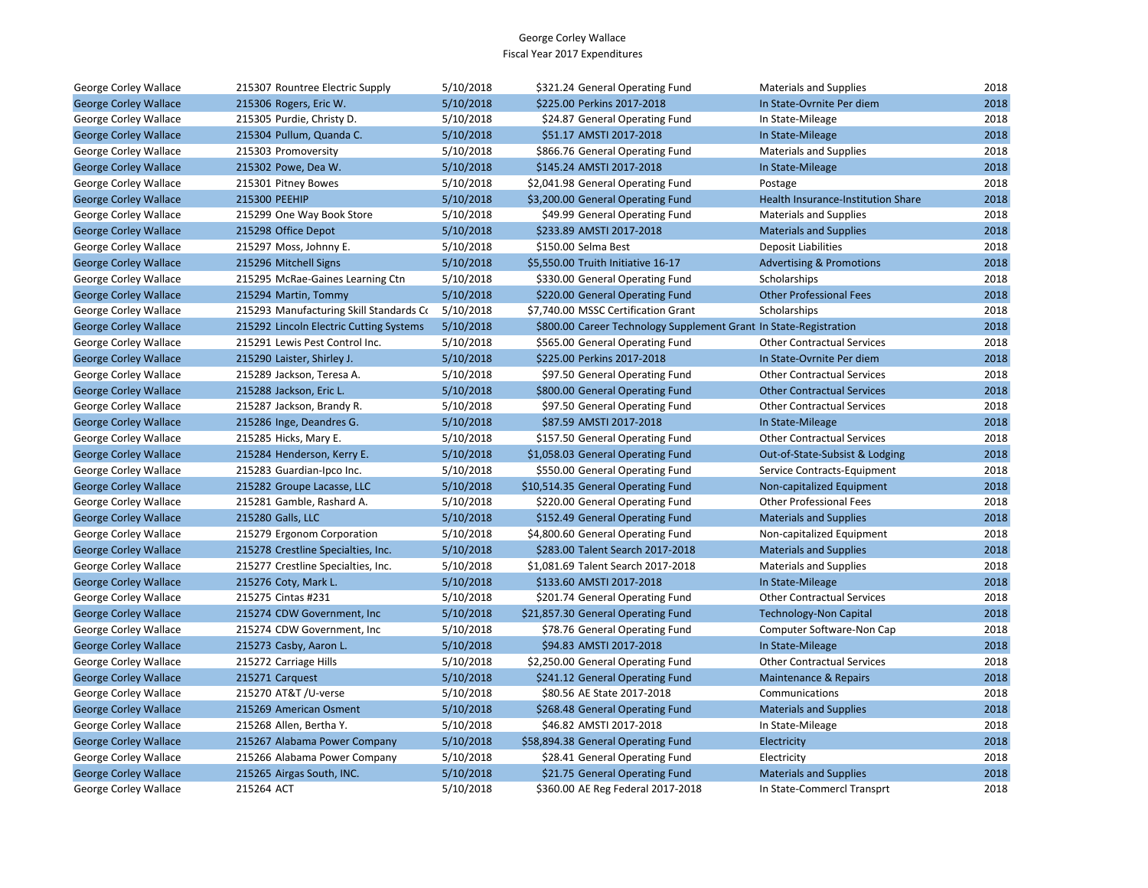| George Corley Wallace        | 215307 Rountree Electric Supply         | 5/10/2018 | \$321.24 General Operating Fund                                   | <b>Materials and Supplies</b>       | 2018 |
|------------------------------|-----------------------------------------|-----------|-------------------------------------------------------------------|-------------------------------------|------|
| <b>George Corley Wallace</b> | 215306 Rogers, Eric W.                  | 5/10/2018 | \$225.00 Perkins 2017-2018                                        | In State-Ovrnite Per diem           | 2018 |
| George Corley Wallace        | 215305 Purdie, Christy D.               | 5/10/2018 | \$24.87 General Operating Fund                                    | In State-Mileage                    | 2018 |
| <b>George Corley Wallace</b> | 215304 Pullum, Quanda C.                | 5/10/2018 | \$51.17 AMSTI 2017-2018                                           | In State-Mileage                    | 2018 |
| George Corley Wallace        | 215303 Promoversity                     | 5/10/2018 | \$866.76 General Operating Fund                                   | <b>Materials and Supplies</b>       | 2018 |
| <b>George Corley Wallace</b> | 215302 Powe, Dea W.                     | 5/10/2018 | \$145.24 AMSTI 2017-2018                                          | In State-Mileage                    | 2018 |
| George Corley Wallace        | 215301 Pitney Bowes                     | 5/10/2018 | \$2,041.98 General Operating Fund                                 | Postage                             | 2018 |
| <b>George Corley Wallace</b> | 215300 PEEHIP                           | 5/10/2018 | \$3,200.00 General Operating Fund                                 | Health Insurance-Institution Share  | 2018 |
| George Corley Wallace        | 215299 One Way Book Store               | 5/10/2018 | \$49.99 General Operating Fund                                    | <b>Materials and Supplies</b>       | 2018 |
| <b>George Corley Wallace</b> | 215298 Office Depot                     | 5/10/2018 | \$233.89 AMSTI 2017-2018                                          | <b>Materials and Supplies</b>       | 2018 |
| George Corley Wallace        | 215297 Moss, Johnny E.                  | 5/10/2018 | \$150.00 Selma Best                                               | <b>Deposit Liabilities</b>          | 2018 |
| <b>George Corley Wallace</b> | 215296 Mitchell Signs                   | 5/10/2018 | \$5,550.00 Truith Initiative 16-17                                | <b>Advertising &amp; Promotions</b> | 2018 |
| George Corley Wallace        | 215295 McRae-Gaines Learning Ctn        | 5/10/2018 | \$330.00 General Operating Fund                                   | Scholarships                        | 2018 |
| <b>George Corley Wallace</b> | 215294 Martin, Tommy                    | 5/10/2018 | \$220.00 General Operating Fund                                   | <b>Other Professional Fees</b>      | 2018 |
| George Corley Wallace        | 215293 Manufacturing Skill Standards Co | 5/10/2018 | \$7,740.00 MSSC Certification Grant                               | Scholarships                        | 2018 |
| <b>George Corley Wallace</b> | 215292 Lincoln Electric Cutting Systems | 5/10/2018 | \$800.00 Career Technology Supplement Grant In State-Registration |                                     | 2018 |
| George Corley Wallace        | 215291 Lewis Pest Control Inc.          | 5/10/2018 | \$565.00 General Operating Fund                                   | <b>Other Contractual Services</b>   | 2018 |
| <b>George Corley Wallace</b> | 215290 Laister, Shirley J.              | 5/10/2018 | \$225.00 Perkins 2017-2018                                        | In State-Ovrnite Per diem           | 2018 |
| George Corley Wallace        | 215289 Jackson, Teresa A.               | 5/10/2018 | \$97.50 General Operating Fund                                    | <b>Other Contractual Services</b>   | 2018 |
| <b>George Corley Wallace</b> | 215288 Jackson, Eric L.                 | 5/10/2018 | \$800.00 General Operating Fund                                   | <b>Other Contractual Services</b>   | 2018 |
| George Corley Wallace        | 215287 Jackson, Brandy R.               | 5/10/2018 | \$97.50 General Operating Fund                                    | <b>Other Contractual Services</b>   | 2018 |
| <b>George Corley Wallace</b> | 215286 Inge, Deandres G.                | 5/10/2018 | \$87.59 AMSTI 2017-2018                                           | In State-Mileage                    | 2018 |
| George Corley Wallace        | 215285 Hicks, Mary E.                   | 5/10/2018 | \$157.50 General Operating Fund                                   | <b>Other Contractual Services</b>   | 2018 |
| <b>George Corley Wallace</b> | 215284 Henderson, Kerry E.              | 5/10/2018 | \$1,058.03 General Operating Fund                                 | Out-of-State-Subsist & Lodging      | 2018 |
| George Corley Wallace        | 215283 Guardian-Ipco Inc.               | 5/10/2018 | \$550.00 General Operating Fund                                   | Service Contracts-Equipment         | 2018 |
| <b>George Corley Wallace</b> | 215282 Groupe Lacasse, LLC              | 5/10/2018 | \$10,514.35 General Operating Fund                                | Non-capitalized Equipment           | 2018 |
| George Corley Wallace        | 215281 Gamble, Rashard A.               | 5/10/2018 | \$220.00 General Operating Fund                                   | <b>Other Professional Fees</b>      | 2018 |
| <b>George Corley Wallace</b> | 215280 Galls, LLC                       | 5/10/2018 | \$152.49 General Operating Fund                                   | <b>Materials and Supplies</b>       | 2018 |
| George Corley Wallace        | 215279 Ergonom Corporation              | 5/10/2018 | \$4,800.60 General Operating Fund                                 | Non-capitalized Equipment           | 2018 |
| <b>George Corley Wallace</b> | 215278 Crestline Specialties, Inc.      | 5/10/2018 | \$283.00 Talent Search 2017-2018                                  | <b>Materials and Supplies</b>       | 2018 |
| George Corley Wallace        | 215277 Crestline Specialties, Inc.      | 5/10/2018 | \$1,081.69 Talent Search 2017-2018                                | Materials and Supplies              | 2018 |
| <b>George Corley Wallace</b> | 215276 Coty, Mark L.                    | 5/10/2018 | \$133.60 AMSTI 2017-2018                                          | In State-Mileage                    | 2018 |
| George Corley Wallace        | 215275 Cintas #231                      | 5/10/2018 | \$201.74 General Operating Fund                                   | <b>Other Contractual Services</b>   | 2018 |
| <b>George Corley Wallace</b> | 215274 CDW Government, Inc              | 5/10/2018 | \$21,857.30 General Operating Fund                                | <b>Technology-Non Capital</b>       | 2018 |
| George Corley Wallace        | 215274 CDW Government, Inc.             | 5/10/2018 | \$78.76 General Operating Fund                                    | Computer Software-Non Cap           | 2018 |
| <b>George Corley Wallace</b> | 215273 Casby, Aaron L.                  | 5/10/2018 | \$94.83 AMSTI 2017-2018                                           | In State-Mileage                    | 2018 |
| George Corley Wallace        | 215272 Carriage Hills                   | 5/10/2018 | \$2,250.00 General Operating Fund                                 | <b>Other Contractual Services</b>   | 2018 |
| <b>George Corley Wallace</b> | 215271 Carquest                         | 5/10/2018 | \$241.12 General Operating Fund                                   | Maintenance & Repairs               | 2018 |
| George Corley Wallace        | 215270 AT&T /U-verse                    | 5/10/2018 | \$80.56 AE State 2017-2018                                        | Communications                      | 2018 |
| <b>George Corley Wallace</b> | 215269 American Osment                  | 5/10/2018 | \$268.48 General Operating Fund                                   | <b>Materials and Supplies</b>       | 2018 |
| George Corley Wallace        | 215268 Allen, Bertha Y.                 | 5/10/2018 | \$46.82 AMSTI 2017-2018                                           | In State-Mileage                    | 2018 |
| <b>George Corley Wallace</b> | 215267 Alabama Power Company            | 5/10/2018 | \$58,894.38 General Operating Fund                                | Electricity                         | 2018 |
| George Corley Wallace        | 215266 Alabama Power Company            | 5/10/2018 | \$28.41 General Operating Fund                                    | Electricity                         | 2018 |
| <b>George Corley Wallace</b> | 215265 Airgas South, INC.               | 5/10/2018 | \$21.75 General Operating Fund                                    | <b>Materials and Supplies</b>       | 2018 |
| George Corley Wallace        | 215264 ACT                              | 5/10/2018 | \$360.00 AE Reg Federal 2017-2018                                 | In State-Commercl Transprt          | 2018 |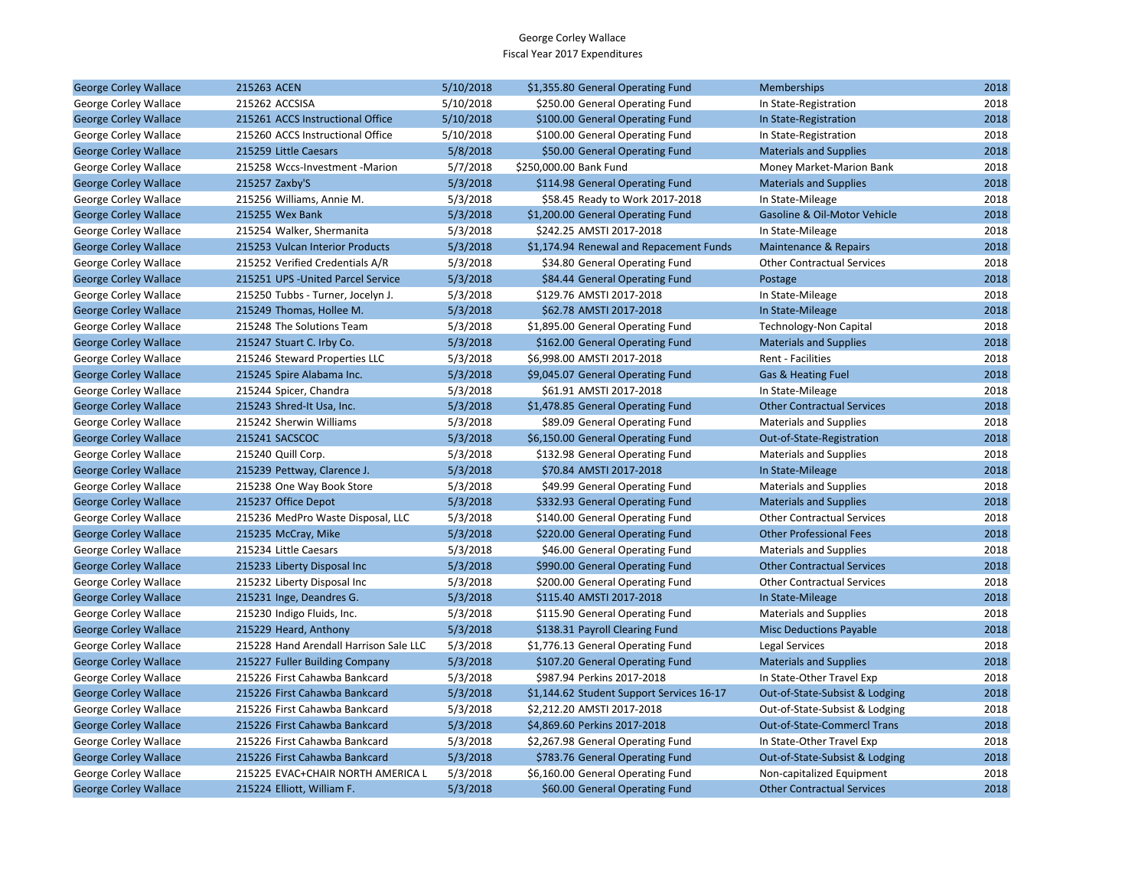| <b>George Corley Wallace</b> | 215263 ACEN                            | 5/10/2018 | \$1,355.80 General Operating Fund         | <b>Memberships</b>                 | 2018 |
|------------------------------|----------------------------------------|-----------|-------------------------------------------|------------------------------------|------|
| George Corley Wallace        | 215262 ACCSISA                         | 5/10/2018 | \$250.00 General Operating Fund           | In State-Registration              | 2018 |
| <b>George Corley Wallace</b> | 215261 ACCS Instructional Office       | 5/10/2018 | \$100.00 General Operating Fund           | In State-Registration              | 2018 |
| George Corley Wallace        | 215260 ACCS Instructional Office       | 5/10/2018 | \$100.00 General Operating Fund           | In State-Registration              | 2018 |
| <b>George Corley Wallace</b> | 215259 Little Caesars                  | 5/8/2018  | \$50.00 General Operating Fund            | <b>Materials and Supplies</b>      | 2018 |
| George Corley Wallace        | 215258 Wccs-Investment -Marion         | 5/7/2018  | \$250,000.00 Bank Fund                    | Money Market-Marion Bank           | 2018 |
| <b>George Corley Wallace</b> | 215257 Zaxby'S                         | 5/3/2018  | \$114.98 General Operating Fund           | <b>Materials and Supplies</b>      | 2018 |
| George Corley Wallace        | 215256 Williams, Annie M.              | 5/3/2018  | \$58.45 Ready to Work 2017-2018           | In State-Mileage                   | 2018 |
| <b>George Corley Wallace</b> | 215255 Wex Bank                        | 5/3/2018  | \$1,200.00 General Operating Fund         | Gasoline & Oil-Motor Vehicle       | 2018 |
| George Corley Wallace        | 215254 Walker, Shermanita              | 5/3/2018  | \$242.25 AMSTI 2017-2018                  | In State-Mileage                   | 2018 |
| <b>George Corley Wallace</b> | 215253 Vulcan Interior Products        | 5/3/2018  | \$1,174.94 Renewal and Repacement Funds   | Maintenance & Repairs              | 2018 |
| George Corley Wallace        | 215252 Verified Credentials A/R        | 5/3/2018  | \$34.80 General Operating Fund            | <b>Other Contractual Services</b>  | 2018 |
| <b>George Corley Wallace</b> | 215251 UPS - United Parcel Service     | 5/3/2018  | \$84.44 General Operating Fund            | Postage                            | 2018 |
| George Corley Wallace        | 215250 Tubbs - Turner, Jocelyn J.      | 5/3/2018  | \$129.76 AMSTI 2017-2018                  | In State-Mileage                   | 2018 |
| <b>George Corley Wallace</b> | 215249 Thomas, Hollee M.               | 5/3/2018  | \$62.78 AMSTI 2017-2018                   | In State-Mileage                   | 2018 |
| George Corley Wallace        | 215248 The Solutions Team              | 5/3/2018  | \$1,895.00 General Operating Fund         | Technology-Non Capital             | 2018 |
| <b>George Corley Wallace</b> | 215247 Stuart C. Irby Co.              | 5/3/2018  | \$162.00 General Operating Fund           | <b>Materials and Supplies</b>      | 2018 |
| George Corley Wallace        | 215246 Steward Properties LLC          | 5/3/2018  | \$6,998.00 AMSTI 2017-2018                | Rent - Facilities                  | 2018 |
| <b>George Corley Wallace</b> | 215245 Spire Alabama Inc.              | 5/3/2018  | \$9,045.07 General Operating Fund         | <b>Gas &amp; Heating Fuel</b>      | 2018 |
| George Corley Wallace        | 215244 Spicer, Chandra                 | 5/3/2018  | \$61.91 AMSTI 2017-2018                   | In State-Mileage                   | 2018 |
| <b>George Corley Wallace</b> | 215243 Shred-It Usa, Inc.              | 5/3/2018  | \$1,478.85 General Operating Fund         | <b>Other Contractual Services</b>  | 2018 |
| George Corley Wallace        | 215242 Sherwin Williams                | 5/3/2018  | \$89.09 General Operating Fund            | <b>Materials and Supplies</b>      | 2018 |
| <b>George Corley Wallace</b> | 215241 SACSCOC                         | 5/3/2018  | \$6,150.00 General Operating Fund         | Out-of-State-Registration          | 2018 |
| George Corley Wallace        | 215240 Quill Corp.                     | 5/3/2018  | \$132.98 General Operating Fund           | <b>Materials and Supplies</b>      | 2018 |
| <b>George Corley Wallace</b> | 215239 Pettway, Clarence J.            | 5/3/2018  | \$70.84 AMSTI 2017-2018                   | In State-Mileage                   | 2018 |
| George Corley Wallace        | 215238 One Way Book Store              | 5/3/2018  | \$49.99 General Operating Fund            | <b>Materials and Supplies</b>      | 2018 |
| <b>George Corley Wallace</b> | 215237 Office Depot                    | 5/3/2018  | \$332.93 General Operating Fund           | <b>Materials and Supplies</b>      | 2018 |
| George Corley Wallace        | 215236 MedPro Waste Disposal, LLC      | 5/3/2018  | \$140.00 General Operating Fund           | <b>Other Contractual Services</b>  | 2018 |
| <b>George Corley Wallace</b> | 215235 McCray, Mike                    | 5/3/2018  | \$220.00 General Operating Fund           | <b>Other Professional Fees</b>     | 2018 |
| George Corley Wallace        | 215234 Little Caesars                  | 5/3/2018  | \$46.00 General Operating Fund            | <b>Materials and Supplies</b>      | 2018 |
| <b>George Corley Wallace</b> | 215233 Liberty Disposal Inc            | 5/3/2018  | \$990.00 General Operating Fund           | <b>Other Contractual Services</b>  | 2018 |
| George Corley Wallace        | 215232 Liberty Disposal Inc            | 5/3/2018  | \$200.00 General Operating Fund           | <b>Other Contractual Services</b>  | 2018 |
| <b>George Corley Wallace</b> | 215231 Inge, Deandres G.               | 5/3/2018  | \$115.40 AMSTI 2017-2018                  | In State-Mileage                   | 2018 |
| George Corley Wallace        | 215230 Indigo Fluids, Inc.             | 5/3/2018  | \$115.90 General Operating Fund           | <b>Materials and Supplies</b>      | 2018 |
| <b>George Corley Wallace</b> | 215229 Heard, Anthony                  | 5/3/2018  | \$138.31 Payroll Clearing Fund            | <b>Misc Deductions Payable</b>     | 2018 |
| George Corley Wallace        | 215228 Hand Arendall Harrison Sale LLC | 5/3/2018  | \$1,776.13 General Operating Fund         | Legal Services                     | 2018 |
| <b>George Corley Wallace</b> | 215227 Fuller Building Company         | 5/3/2018  | \$107.20 General Operating Fund           | <b>Materials and Supplies</b>      | 2018 |
| George Corley Wallace        | 215226 First Cahawba Bankcard          | 5/3/2018  | \$987.94 Perkins 2017-2018                | In State-Other Travel Exp          | 2018 |
| <b>George Corley Wallace</b> | 215226 First Cahawba Bankcard          | 5/3/2018  | \$1,144.62 Student Support Services 16-17 | Out-of-State-Subsist & Lodging     | 2018 |
| George Corley Wallace        | 215226 First Cahawba Bankcard          | 5/3/2018  | \$2,212.20 AMSTI 2017-2018                | Out-of-State-Subsist & Lodging     | 2018 |
| <b>George Corley Wallace</b> | 215226 First Cahawba Bankcard          | 5/3/2018  | \$4,869.60 Perkins 2017-2018              | <b>Out-of-State-Commercl Trans</b> | 2018 |
| George Corley Wallace        | 215226 First Cahawba Bankcard          | 5/3/2018  | \$2,267.98 General Operating Fund         | In State-Other Travel Exp          | 2018 |
| <b>George Corley Wallace</b> | 215226 First Cahawba Bankcard          | 5/3/2018  | \$783.76 General Operating Fund           | Out-of-State-Subsist & Lodging     | 2018 |
| George Corley Wallace        | 215225 EVAC+CHAIR NORTH AMERICA L      | 5/3/2018  | \$6,160.00 General Operating Fund         | Non-capitalized Equipment          | 2018 |
| <b>George Corley Wallace</b> | 215224 Elliott, William F.             | 5/3/2018  | \$60.00 General Operating Fund            | <b>Other Contractual Services</b>  | 2018 |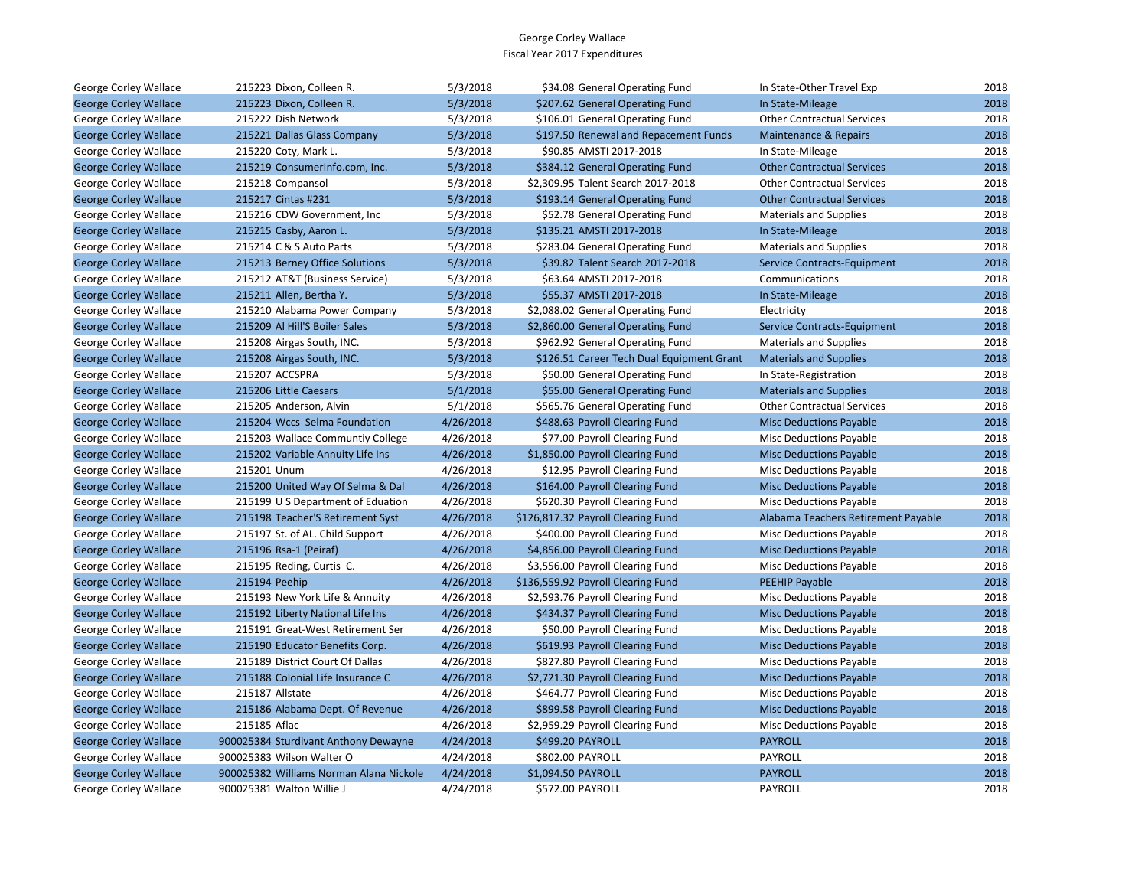| George Corley Wallace        | 215223 Dixon, Colleen R.                | 5/3/2018  | \$34.08 General Operating Fund            | In State-Other Travel Exp           | 2018 |
|------------------------------|-----------------------------------------|-----------|-------------------------------------------|-------------------------------------|------|
| <b>George Corley Wallace</b> | 215223 Dixon, Colleen R.                | 5/3/2018  | \$207.62 General Operating Fund           | In State-Mileage                    | 2018 |
| George Corley Wallace        | 215222 Dish Network                     | 5/3/2018  | \$106.01 General Operating Fund           | <b>Other Contractual Services</b>   | 2018 |
| <b>George Corley Wallace</b> | 215221 Dallas Glass Company             | 5/3/2018  | \$197.50 Renewal and Repacement Funds     | Maintenance & Repairs               | 2018 |
| George Corley Wallace        | 215220 Coty, Mark L.                    | 5/3/2018  | \$90.85 AMSTI 2017-2018                   | In State-Mileage                    | 2018 |
| <b>George Corley Wallace</b> | 215219 ConsumerInfo.com, Inc.           | 5/3/2018  | \$384.12 General Operating Fund           | <b>Other Contractual Services</b>   | 2018 |
| George Corley Wallace        | 215218 Compansol                        | 5/3/2018  | \$2,309.95 Talent Search 2017-2018        | <b>Other Contractual Services</b>   | 2018 |
| <b>George Corley Wallace</b> | 215217 Cintas #231                      | 5/3/2018  | \$193.14 General Operating Fund           | <b>Other Contractual Services</b>   | 2018 |
| George Corley Wallace        | 215216 CDW Government, Inc.             | 5/3/2018  | \$52.78 General Operating Fund            | <b>Materials and Supplies</b>       | 2018 |
| <b>George Corley Wallace</b> | 215215 Casby, Aaron L.                  | 5/3/2018  | \$135.21 AMSTI 2017-2018                  | In State-Mileage                    | 2018 |
| George Corley Wallace        | 215214 C & S Auto Parts                 | 5/3/2018  | \$283.04 General Operating Fund           | <b>Materials and Supplies</b>       | 2018 |
| <b>George Corley Wallace</b> | 215213 Berney Office Solutions          | 5/3/2018  | \$39.82 Talent Search 2017-2018           | Service Contracts-Equipment         | 2018 |
| George Corley Wallace        | 215212 AT&T (Business Service)          | 5/3/2018  | \$63.64 AMSTI 2017-2018                   | Communications                      | 2018 |
| <b>George Corley Wallace</b> | 215211 Allen, Bertha Y.                 | 5/3/2018  | \$55.37 AMSTI 2017-2018                   | In State-Mileage                    | 2018 |
| George Corley Wallace        | 215210 Alabama Power Company            | 5/3/2018  | \$2,088.02 General Operating Fund         | Electricity                         | 2018 |
| <b>George Corley Wallace</b> | 215209 Al Hill'S Boiler Sales           | 5/3/2018  | \$2,860.00 General Operating Fund         | Service Contracts-Equipment         | 2018 |
| George Corley Wallace        | 215208 Airgas South, INC.               | 5/3/2018  | \$962.92 General Operating Fund           | <b>Materials and Supplies</b>       | 2018 |
| <b>George Corley Wallace</b> | 215208 Airgas South, INC.               | 5/3/2018  | \$126.51 Career Tech Dual Equipment Grant | <b>Materials and Supplies</b>       | 2018 |
| George Corley Wallace        | 215207 ACCSPRA                          | 5/3/2018  | \$50.00 General Operating Fund            | In State-Registration               | 2018 |
| <b>George Corley Wallace</b> | 215206 Little Caesars                   | 5/1/2018  | \$55.00 General Operating Fund            | <b>Materials and Supplies</b>       | 2018 |
| George Corley Wallace        | 215205 Anderson, Alvin                  | 5/1/2018  | \$565.76 General Operating Fund           | <b>Other Contractual Services</b>   | 2018 |
| <b>George Corley Wallace</b> | 215204 Wccs Selma Foundation            | 4/26/2018 | \$488.63 Payroll Clearing Fund            | <b>Misc Deductions Payable</b>      | 2018 |
| George Corley Wallace        | 215203 Wallace Communtiy College        | 4/26/2018 | \$77.00 Payroll Clearing Fund             | Misc Deductions Payable             | 2018 |
| <b>George Corley Wallace</b> | 215202 Variable Annuity Life Ins        | 4/26/2018 | \$1,850.00 Payroll Clearing Fund          | <b>Misc Deductions Payable</b>      | 2018 |
| George Corley Wallace        | 215201 Unum                             | 4/26/2018 | \$12.95 Payroll Clearing Fund             | <b>Misc Deductions Payable</b>      | 2018 |
| <b>George Corley Wallace</b> | 215200 United Way Of Selma & Dal        | 4/26/2018 | \$164.00 Payroll Clearing Fund            | <b>Misc Deductions Payable</b>      | 2018 |
| George Corley Wallace        | 215199 U S Department of Eduation       | 4/26/2018 | \$620.30 Payroll Clearing Fund            | <b>Misc Deductions Payable</b>      | 2018 |
| <b>George Corley Wallace</b> | 215198 Teacher'S Retirement Syst        | 4/26/2018 | \$126,817.32 Payroll Clearing Fund        | Alabama Teachers Retirement Payable | 2018 |
| George Corley Wallace        | 215197 St. of AL. Child Support         | 4/26/2018 | \$400.00 Payroll Clearing Fund            | <b>Misc Deductions Payable</b>      | 2018 |
| <b>George Corley Wallace</b> | 215196 Rsa-1 (Peiraf)                   | 4/26/2018 | \$4,856.00 Payroll Clearing Fund          | <b>Misc Deductions Payable</b>      | 2018 |
| George Corley Wallace        | 215195 Reding, Curtis C.                | 4/26/2018 | \$3,556.00 Payroll Clearing Fund          | <b>Misc Deductions Payable</b>      | 2018 |
| <b>George Corley Wallace</b> | 215194 Peehip                           | 4/26/2018 | \$136,559.92 Payroll Clearing Fund        | <b>PEEHIP Payable</b>               | 2018 |
| George Corley Wallace        | 215193 New York Life & Annuity          | 4/26/2018 | \$2,593.76 Payroll Clearing Fund          | <b>Misc Deductions Payable</b>      | 2018 |
| <b>George Corley Wallace</b> | 215192 Liberty National Life Ins        | 4/26/2018 | \$434.37 Payroll Clearing Fund            | <b>Misc Deductions Payable</b>      | 2018 |
| George Corley Wallace        | 215191 Great-West Retirement Ser        | 4/26/2018 | \$50.00 Payroll Clearing Fund             | Misc Deductions Payable             | 2018 |
| <b>George Corley Wallace</b> | 215190 Educator Benefits Corp.          | 4/26/2018 | \$619.93 Payroll Clearing Fund            | <b>Misc Deductions Payable</b>      | 2018 |
| George Corley Wallace        | 215189 District Court Of Dallas         | 4/26/2018 | \$827.80 Payroll Clearing Fund            | Misc Deductions Payable             | 2018 |
| <b>George Corley Wallace</b> | 215188 Colonial Life Insurance C        | 4/26/2018 | \$2,721.30 Payroll Clearing Fund          | <b>Misc Deductions Payable</b>      | 2018 |
| George Corley Wallace        | 215187 Allstate                         | 4/26/2018 | \$464.77 Payroll Clearing Fund            | <b>Misc Deductions Payable</b>      | 2018 |
| <b>George Corley Wallace</b> | 215186 Alabama Dept. Of Revenue         | 4/26/2018 | \$899.58 Payroll Clearing Fund            | <b>Misc Deductions Payable</b>      | 2018 |
| George Corley Wallace        | 215185 Aflac                            | 4/26/2018 | \$2,959.29 Payroll Clearing Fund          | <b>Misc Deductions Payable</b>      | 2018 |
| <b>George Corley Wallace</b> | 900025384 Sturdivant Anthony Dewayne    | 4/24/2018 | \$499.20 PAYROLL                          | <b>PAYROLL</b>                      | 2018 |
| George Corley Wallace        | 900025383 Wilson Walter O               | 4/24/2018 | \$802.00 PAYROLL                          | PAYROLL                             | 2018 |
| <b>George Corley Wallace</b> | 900025382 Williams Norman Alana Nickole | 4/24/2018 | \$1,094.50 PAYROLL                        | <b>PAYROLL</b>                      | 2018 |
| George Corley Wallace        | 900025381 Walton Willie J               | 4/24/2018 | \$572.00 PAYROLL                          | PAYROLL                             | 2018 |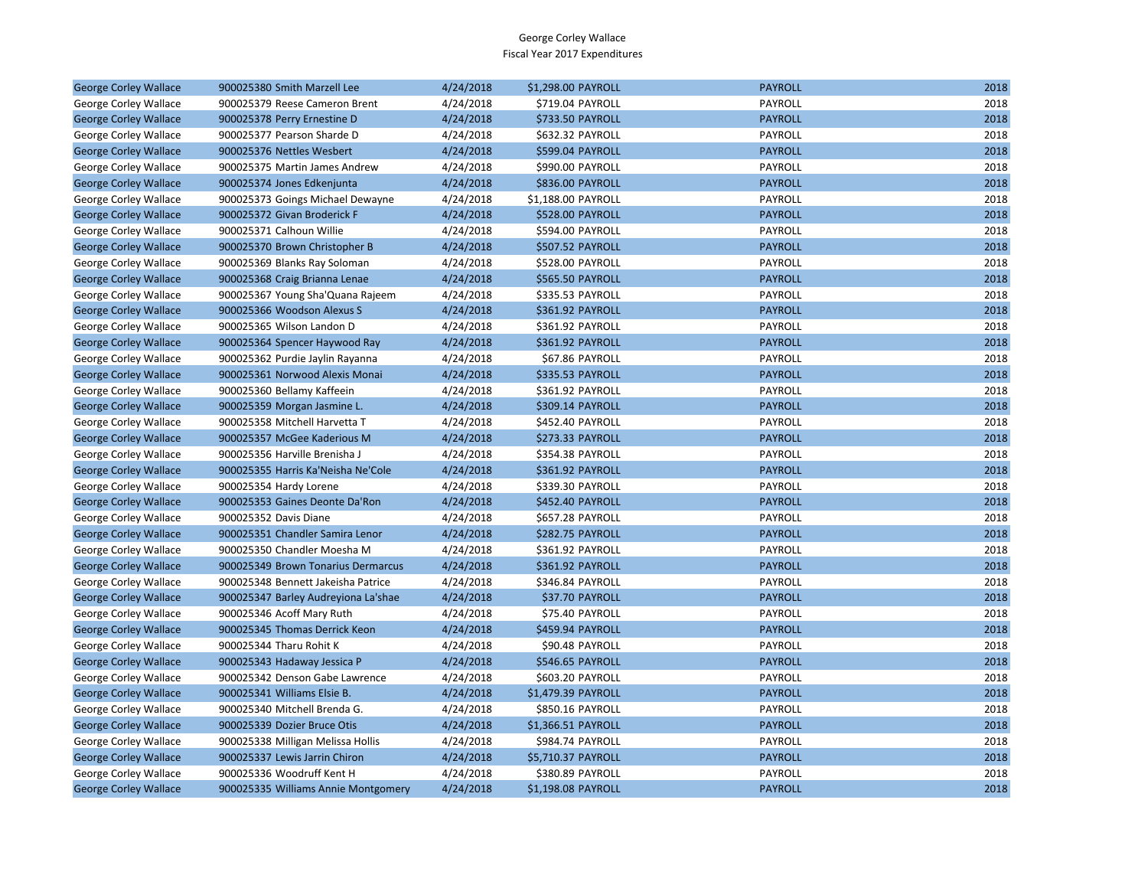| <b>George Corley Wallace</b> | 900025380 Smith Marzell Lee         | 4/24/2018 | \$1,298.00 PAYROLL      | <b>PAYROLL</b> | 2018 |
|------------------------------|-------------------------------------|-----------|-------------------------|----------------|------|
| George Corley Wallace        | 900025379 Reese Cameron Brent       | 4/24/2018 | \$719.04 PAYROLL        | PAYROLL        | 2018 |
| <b>George Corley Wallace</b> | 900025378 Perry Ernestine D         | 4/24/2018 | <b>\$733.50 PAYROLL</b> | <b>PAYROLL</b> | 2018 |
| George Corley Wallace        | 900025377 Pearson Sharde D          | 4/24/2018 | \$632.32 PAYROLL        | PAYROLL        | 2018 |
| <b>George Corley Wallace</b> | 900025376 Nettles Wesbert           | 4/24/2018 | \$599.04 PAYROLL        | <b>PAYROLL</b> | 2018 |
| George Corley Wallace        | 900025375 Martin James Andrew       | 4/24/2018 | \$990.00 PAYROLL        | PAYROLL        | 2018 |
| <b>George Corley Wallace</b> | 900025374 Jones Edkenjunta          | 4/24/2018 | <b>\$836.00 PAYROLL</b> | <b>PAYROLL</b> | 2018 |
| George Corley Wallace        | 900025373 Goings Michael Dewayne    | 4/24/2018 | \$1,188.00 PAYROLL      | PAYROLL        | 2018 |
| <b>George Corley Wallace</b> | 900025372 Givan Broderick F         | 4/24/2018 | \$528.00 PAYROLL        | <b>PAYROLL</b> | 2018 |
| George Corley Wallace        | 900025371 Calhoun Willie            | 4/24/2018 | \$594.00 PAYROLL        | PAYROLL        | 2018 |
| <b>George Corley Wallace</b> | 900025370 Brown Christopher B       | 4/24/2018 | \$507.52 PAYROLL        | <b>PAYROLL</b> | 2018 |
| George Corley Wallace        | 900025369 Blanks Ray Soloman        | 4/24/2018 | \$528.00 PAYROLL        | PAYROLL        | 2018 |
| <b>George Corley Wallace</b> | 900025368 Craig Brianna Lenae       | 4/24/2018 | <b>\$565.50 PAYROLL</b> | <b>PAYROLL</b> | 2018 |
| George Corley Wallace        | 900025367 Young Sha'Quana Rajeem    | 4/24/2018 | \$335.53 PAYROLL        | PAYROLL        | 2018 |
| <b>George Corley Wallace</b> | 900025366 Woodson Alexus S          | 4/24/2018 | \$361.92 PAYROLL        | <b>PAYROLL</b> | 2018 |
| George Corley Wallace        | 900025365 Wilson Landon D           | 4/24/2018 | \$361.92 PAYROLL        | PAYROLL        | 2018 |
| <b>George Corley Wallace</b> | 900025364 Spencer Haywood Ray       | 4/24/2018 | \$361.92 PAYROLL        | <b>PAYROLL</b> | 2018 |
| George Corley Wallace        | 900025362 Purdie Jaylin Rayanna     | 4/24/2018 | \$67.86 PAYROLL         | PAYROLL        | 2018 |
| <b>George Corley Wallace</b> | 900025361 Norwood Alexis Monai      | 4/24/2018 | \$335.53 PAYROLL        | <b>PAYROLL</b> | 2018 |
| George Corley Wallace        | 900025360 Bellamy Kaffeein          | 4/24/2018 | \$361.92 PAYROLL        | PAYROLL        | 2018 |
| <b>George Corley Wallace</b> | 900025359 Morgan Jasmine L.         | 4/24/2018 | \$309.14 PAYROLL        | <b>PAYROLL</b> | 2018 |
| George Corley Wallace        | 900025358 Mitchell Harvetta T       | 4/24/2018 | \$452.40 PAYROLL        | PAYROLL        | 2018 |
| <b>George Corley Wallace</b> | 900025357 McGee Kaderious M         | 4/24/2018 | \$273.33 PAYROLL        | <b>PAYROLL</b> | 2018 |
| George Corley Wallace        | 900025356 Harville Brenisha J       | 4/24/2018 | \$354.38 PAYROLL        | PAYROLL        | 2018 |
| <b>George Corley Wallace</b> | 900025355 Harris Ka'Neisha Ne'Cole  | 4/24/2018 | \$361.92 PAYROLL        | <b>PAYROLL</b> | 2018 |
| George Corley Wallace        | 900025354 Hardy Lorene              | 4/24/2018 | \$339.30 PAYROLL        | PAYROLL        | 2018 |
| <b>George Corley Wallace</b> | 900025353 Gaines Deonte Da'Ron      | 4/24/2018 | \$452.40 PAYROLL        | <b>PAYROLL</b> | 2018 |
| George Corley Wallace        | 900025352 Davis Diane               | 4/24/2018 | \$657.28 PAYROLL        | PAYROLL        | 2018 |
| <b>George Corley Wallace</b> | 900025351 Chandler Samira Lenor     | 4/24/2018 | \$282.75 PAYROLL        | <b>PAYROLL</b> | 2018 |
| George Corley Wallace        | 900025350 Chandler Moesha M         | 4/24/2018 | \$361.92 PAYROLL        | PAYROLL        | 2018 |
| <b>George Corley Wallace</b> | 900025349 Brown Tonarius Dermarcus  | 4/24/2018 | \$361.92 PAYROLL        | <b>PAYROLL</b> | 2018 |
| George Corley Wallace        | 900025348 Bennett Jakeisha Patrice  | 4/24/2018 | \$346.84 PAYROLL        | PAYROLL        | 2018 |
| <b>George Corley Wallace</b> | 900025347 Barley Audreyiona La'shae | 4/24/2018 | \$37.70 PAYROLL         | <b>PAYROLL</b> | 2018 |
| George Corley Wallace        | 900025346 Acoff Mary Ruth           | 4/24/2018 | \$75.40 PAYROLL         | PAYROLL        | 2018 |
| <b>George Corley Wallace</b> | 900025345 Thomas Derrick Keon       | 4/24/2018 | \$459.94 PAYROLL        | <b>PAYROLL</b> | 2018 |
| George Corley Wallace        | 900025344 Tharu Rohit K             | 4/24/2018 | \$90.48 PAYROLL         | PAYROLL        | 2018 |
| <b>George Corley Wallace</b> | 900025343 Hadaway Jessica P         | 4/24/2018 | \$546.65 PAYROLL        | <b>PAYROLL</b> | 2018 |
| George Corley Wallace        | 900025342 Denson Gabe Lawrence      | 4/24/2018 | \$603.20 PAYROLL        | PAYROLL        | 2018 |
| <b>George Corley Wallace</b> | 900025341 Williams Elsie B.         | 4/24/2018 | \$1,479.39 PAYROLL      | <b>PAYROLL</b> | 2018 |
| George Corley Wallace        | 900025340 Mitchell Brenda G.        | 4/24/2018 | \$850.16 PAYROLL        | PAYROLL        | 2018 |
| <b>George Corley Wallace</b> | 900025339 Dozier Bruce Otis         | 4/24/2018 | \$1,366.51 PAYROLL      | <b>PAYROLL</b> | 2018 |
| George Corley Wallace        | 900025338 Milligan Melissa Hollis   | 4/24/2018 | \$984.74 PAYROLL        | PAYROLL        | 2018 |
| <b>George Corley Wallace</b> | 900025337 Lewis Jarrin Chiron       | 4/24/2018 | \$5,710.37 PAYROLL      | <b>PAYROLL</b> | 2018 |
| George Corley Wallace        | 900025336 Woodruff Kent H           | 4/24/2018 | \$380.89 PAYROLL        | PAYROLL        | 2018 |
| <b>George Corley Wallace</b> | 900025335 Williams Annie Montgomery | 4/24/2018 | \$1,198.08 PAYROLL      | <b>PAYROLL</b> | 2018 |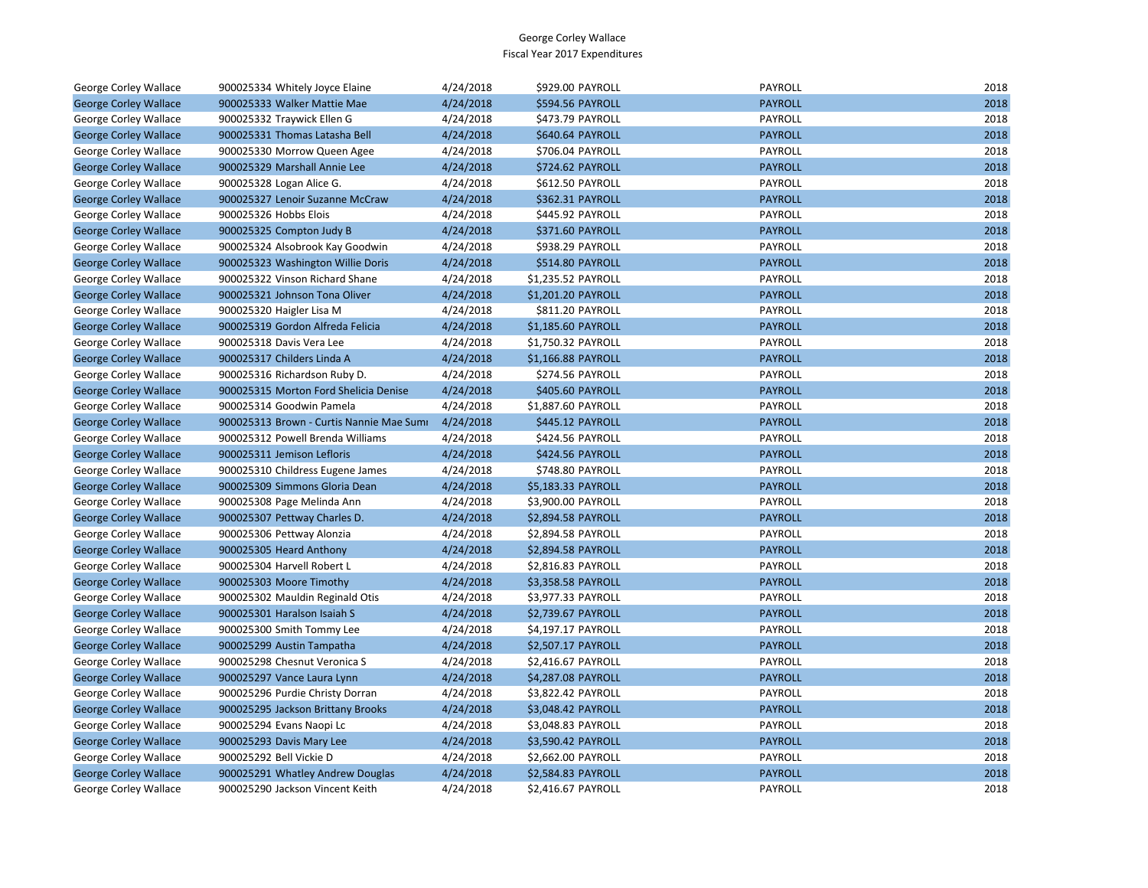| George Corley Wallace        | 900025334 Whitely Joyce Elaine           | 4/24/2018 | \$929.00 PAYROLL   | <b>PAYROLL</b> | 2018 |
|------------------------------|------------------------------------------|-----------|--------------------|----------------|------|
| <b>George Corley Wallace</b> | 900025333 Walker Mattie Mae              | 4/24/2018 | \$594.56 PAYROLL   | <b>PAYROLL</b> | 2018 |
| George Corley Wallace        | 900025332 Traywick Ellen G               | 4/24/2018 | \$473.79 PAYROLL   | PAYROLL        | 2018 |
| <b>George Corley Wallace</b> | 900025331 Thomas Latasha Bell            | 4/24/2018 | \$640.64 PAYROLL   | <b>PAYROLL</b> | 2018 |
| George Corley Wallace        | 900025330 Morrow Queen Agee              | 4/24/2018 | \$706.04 PAYROLL   | PAYROLL        | 2018 |
| <b>George Corley Wallace</b> | 900025329 Marshall Annie Lee             | 4/24/2018 | \$724.62 PAYROLL   | <b>PAYROLL</b> | 2018 |
| George Corley Wallace        | 900025328 Logan Alice G.                 | 4/24/2018 | \$612.50 PAYROLL   | PAYROLL        | 2018 |
| <b>George Corley Wallace</b> | 900025327 Lenoir Suzanne McCraw          | 4/24/2018 | \$362.31 PAYROLL   | <b>PAYROLL</b> | 2018 |
| George Corley Wallace        | 900025326 Hobbs Elois                    | 4/24/2018 | \$445.92 PAYROLL   | PAYROLL        | 2018 |
| <b>George Corley Wallace</b> | 900025325 Compton Judy B                 | 4/24/2018 | \$371.60 PAYROLL   | <b>PAYROLL</b> | 2018 |
| George Corley Wallace        | 900025324 Alsobrook Kay Goodwin          | 4/24/2018 | \$938.29 PAYROLL   | PAYROLL        | 2018 |
| <b>George Corley Wallace</b> | 900025323 Washington Willie Doris        | 4/24/2018 | \$514.80 PAYROLL   | <b>PAYROLL</b> | 2018 |
| George Corley Wallace        | 900025322 Vinson Richard Shane           | 4/24/2018 | \$1,235.52 PAYROLL | PAYROLL        | 2018 |
| <b>George Corley Wallace</b> | 900025321 Johnson Tona Oliver            | 4/24/2018 | \$1,201.20 PAYROLL | <b>PAYROLL</b> | 2018 |
| George Corley Wallace        | 900025320 Haigler Lisa M                 | 4/24/2018 | \$811.20 PAYROLL   | PAYROLL        | 2018 |
| <b>George Corley Wallace</b> | 900025319 Gordon Alfreda Felicia         | 4/24/2018 | \$1,185.60 PAYROLL | <b>PAYROLL</b> | 2018 |
| George Corley Wallace        | 900025318 Davis Vera Lee                 | 4/24/2018 | \$1,750.32 PAYROLL | PAYROLL        | 2018 |
| <b>George Corley Wallace</b> | 900025317 Childers Linda A               | 4/24/2018 | \$1,166.88 PAYROLL | <b>PAYROLL</b> | 2018 |
| George Corley Wallace        | 900025316 Richardson Ruby D.             | 4/24/2018 | \$274.56 PAYROLL   | PAYROLL        | 2018 |
| <b>George Corley Wallace</b> | 900025315 Morton Ford Shelicia Denise    | 4/24/2018 | \$405.60 PAYROLL   | <b>PAYROLL</b> | 2018 |
| George Corley Wallace        | 900025314 Goodwin Pamela                 | 4/24/2018 | \$1,887.60 PAYROLL | PAYROLL        | 2018 |
| <b>George Corley Wallace</b> | 900025313 Brown - Curtis Nannie Mae Sumi | 4/24/2018 | \$445.12 PAYROLL   | <b>PAYROLL</b> | 2018 |
| George Corley Wallace        | 900025312 Powell Brenda Williams         | 4/24/2018 | \$424.56 PAYROLL   | PAYROLL        | 2018 |
| <b>George Corley Wallace</b> | 900025311 Jemison Lefloris               | 4/24/2018 | \$424.56 PAYROLL   | <b>PAYROLL</b> | 2018 |
| George Corley Wallace        | 900025310 Childress Eugene James         | 4/24/2018 | \$748.80 PAYROLL   | PAYROLL        | 2018 |
| <b>George Corley Wallace</b> | 900025309 Simmons Gloria Dean            | 4/24/2018 | \$5,183.33 PAYROLL | <b>PAYROLL</b> | 2018 |
| George Corley Wallace        | 900025308 Page Melinda Ann               | 4/24/2018 | \$3,900.00 PAYROLL | PAYROLL        | 2018 |
| <b>George Corley Wallace</b> | 900025307 Pettway Charles D.             | 4/24/2018 | \$2,894.58 PAYROLL | <b>PAYROLL</b> | 2018 |
| George Corley Wallace        | 900025306 Pettway Alonzia                | 4/24/2018 | \$2,894.58 PAYROLL | PAYROLL        | 2018 |
| <b>George Corley Wallace</b> | 900025305 Heard Anthony                  | 4/24/2018 | \$2,894.58 PAYROLL | <b>PAYROLL</b> | 2018 |
| George Corley Wallace        | 900025304 Harvell Robert L               | 4/24/2018 | \$2,816.83 PAYROLL | PAYROLL        | 2018 |
| <b>George Corley Wallace</b> | 900025303 Moore Timothy                  | 4/24/2018 | \$3,358.58 PAYROLL | <b>PAYROLL</b> | 2018 |
| George Corley Wallace        | 900025302 Mauldin Reginald Otis          | 4/24/2018 | \$3,977.33 PAYROLL | PAYROLL        | 2018 |
| <b>George Corley Wallace</b> | 900025301 Haralson Isaiah S              | 4/24/2018 | \$2,739.67 PAYROLL | <b>PAYROLL</b> | 2018 |
| George Corley Wallace        | 900025300 Smith Tommy Lee                | 4/24/2018 | \$4,197.17 PAYROLL | PAYROLL        | 2018 |
| <b>George Corley Wallace</b> | 900025299 Austin Tampatha                | 4/24/2018 | \$2,507.17 PAYROLL | <b>PAYROLL</b> | 2018 |
| George Corley Wallace        | 900025298 Chesnut Veronica S             | 4/24/2018 | \$2,416.67 PAYROLL | PAYROLL        | 2018 |
| <b>George Corley Wallace</b> | 900025297 Vance Laura Lynn               | 4/24/2018 | \$4,287.08 PAYROLL | <b>PAYROLL</b> | 2018 |
| George Corley Wallace        | 900025296 Purdie Christy Dorran          | 4/24/2018 | \$3,822.42 PAYROLL | PAYROLL        | 2018 |
| <b>George Corley Wallace</b> | 900025295 Jackson Brittany Brooks        | 4/24/2018 | \$3,048.42 PAYROLL | <b>PAYROLL</b> | 2018 |
| George Corley Wallace        | 900025294 Evans Naopi Lc                 | 4/24/2018 | \$3,048.83 PAYROLL | PAYROLL        | 2018 |
| <b>George Corley Wallace</b> | 900025293 Davis Mary Lee                 | 4/24/2018 | \$3,590.42 PAYROLL | <b>PAYROLL</b> | 2018 |
| George Corley Wallace        | 900025292 Bell Vickie D                  | 4/24/2018 | \$2,662.00 PAYROLL | PAYROLL        | 2018 |
| <b>George Corley Wallace</b> | 900025291 Whatley Andrew Douglas         | 4/24/2018 | \$2,584.83 PAYROLL | <b>PAYROLL</b> | 2018 |
| George Corley Wallace        | 900025290 Jackson Vincent Keith          | 4/24/2018 | \$2.416.67 PAYROLL | PAYROLL        | 2018 |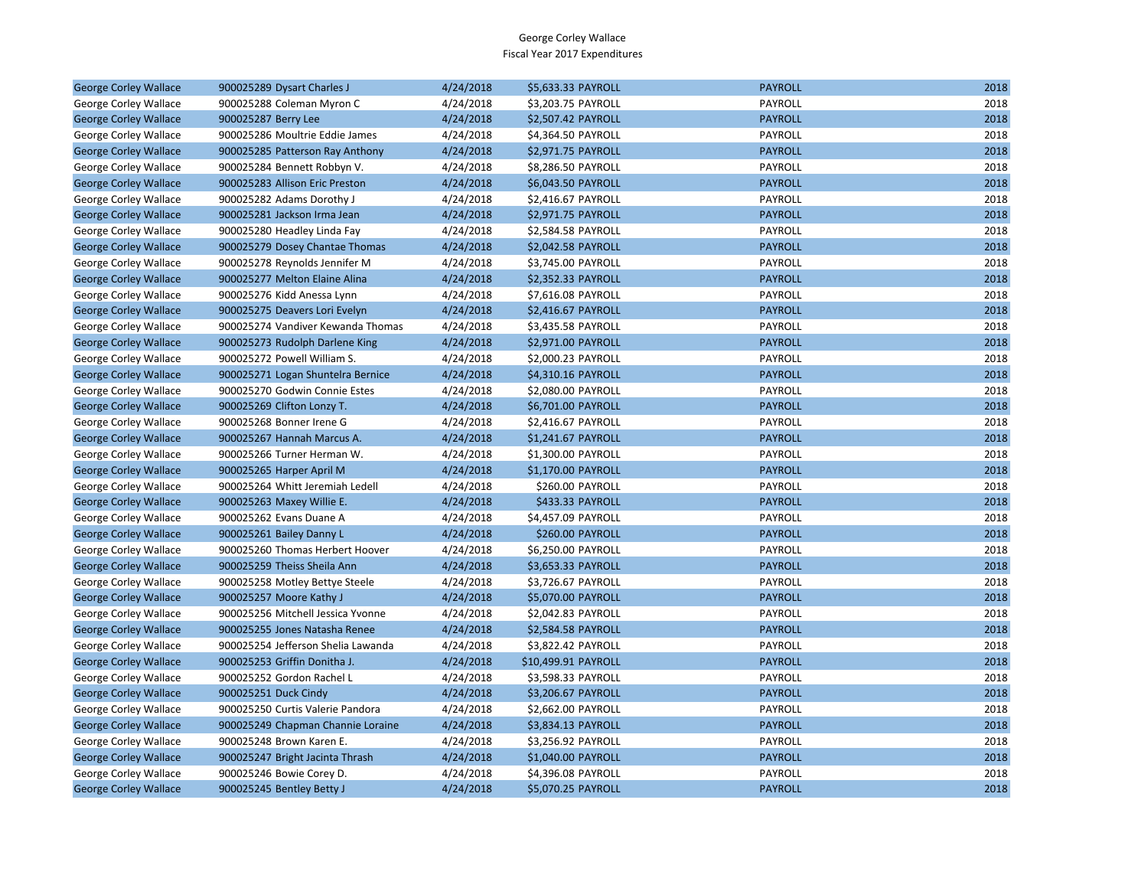| <b>George Corley Wallace</b> | 900025289 Dysart Charles J         | 4/24/2018 | \$5,633.33 PAYROLL  | <b>PAYROLL</b> | 2018 |
|------------------------------|------------------------------------|-----------|---------------------|----------------|------|
| George Corley Wallace        | 900025288 Coleman Myron C          | 4/24/2018 | \$3,203.75 PAYROLL  | PAYROLL        | 2018 |
| <b>George Corley Wallace</b> | 900025287 Berry Lee                | 4/24/2018 | \$2,507.42 PAYROLL  | <b>PAYROLL</b> | 2018 |
| George Corley Wallace        | 900025286 Moultrie Eddie James     | 4/24/2018 | \$4,364.50 PAYROLL  | PAYROLL        | 2018 |
| <b>George Corley Wallace</b> | 900025285 Patterson Ray Anthony    | 4/24/2018 | \$2,971.75 PAYROLL  | <b>PAYROLL</b> | 2018 |
| George Corley Wallace        | 900025284 Bennett Robbyn V.        | 4/24/2018 | \$8,286.50 PAYROLL  | PAYROLL        | 2018 |
| <b>George Corley Wallace</b> | 900025283 Allison Eric Preston     | 4/24/2018 | \$6,043.50 PAYROLL  | <b>PAYROLL</b> | 2018 |
| George Corley Wallace        | 900025282 Adams Dorothy J          | 4/24/2018 | \$2,416.67 PAYROLL  | PAYROLL        | 2018 |
| <b>George Corley Wallace</b> | 900025281 Jackson Irma Jean        | 4/24/2018 | \$2,971.75 PAYROLL  | <b>PAYROLL</b> | 2018 |
| George Corley Wallace        | 900025280 Headley Linda Fay        | 4/24/2018 | \$2,584.58 PAYROLL  | PAYROLL        | 2018 |
| <b>George Corley Wallace</b> | 900025279 Dosey Chantae Thomas     | 4/24/2018 | \$2,042.58 PAYROLL  | <b>PAYROLL</b> | 2018 |
| George Corley Wallace        | 900025278 Reynolds Jennifer M      | 4/24/2018 | \$3,745.00 PAYROLL  | PAYROLL        | 2018 |
| <b>George Corley Wallace</b> | 900025277 Melton Elaine Alina      | 4/24/2018 | \$2,352.33 PAYROLL  | <b>PAYROLL</b> | 2018 |
| George Corley Wallace        | 900025276 Kidd Anessa Lynn         | 4/24/2018 | \$7,616.08 PAYROLL  | PAYROLL        | 2018 |
| <b>George Corley Wallace</b> | 900025275 Deavers Lori Evelyn      | 4/24/2018 | \$2,416.67 PAYROLL  | <b>PAYROLL</b> | 2018 |
| George Corley Wallace        | 900025274 Vandiver Kewanda Thomas  | 4/24/2018 | \$3,435.58 PAYROLL  | PAYROLL        | 2018 |
| <b>George Corley Wallace</b> | 900025273 Rudolph Darlene King     | 4/24/2018 | \$2,971.00 PAYROLL  | <b>PAYROLL</b> | 2018 |
| George Corley Wallace        | 900025272 Powell William S.        | 4/24/2018 | \$2,000.23 PAYROLL  | PAYROLL        | 2018 |
| <b>George Corley Wallace</b> | 900025271 Logan Shuntelra Bernice  | 4/24/2018 | \$4,310.16 PAYROLL  | <b>PAYROLL</b> | 2018 |
| George Corley Wallace        | 900025270 Godwin Connie Estes      | 4/24/2018 | \$2,080.00 PAYROLL  | PAYROLL        | 2018 |
| <b>George Corley Wallace</b> | 900025269 Clifton Lonzy T.         | 4/24/2018 | \$6,701.00 PAYROLL  | <b>PAYROLL</b> | 2018 |
| George Corley Wallace        | 900025268 Bonner Irene G           | 4/24/2018 | \$2,416.67 PAYROLL  | PAYROLL        | 2018 |
| <b>George Corley Wallace</b> | 900025267 Hannah Marcus A.         | 4/24/2018 | \$1,241.67 PAYROLL  | <b>PAYROLL</b> | 2018 |
| George Corley Wallace        | 900025266 Turner Herman W.         | 4/24/2018 | \$1,300.00 PAYROLL  | PAYROLL        | 2018 |
| <b>George Corley Wallace</b> | 900025265 Harper April M           | 4/24/2018 | \$1,170.00 PAYROLL  | <b>PAYROLL</b> | 2018 |
| George Corley Wallace        | 900025264 Whitt Jeremiah Ledell    | 4/24/2018 | \$260.00 PAYROLL    | PAYROLL        | 2018 |
| <b>George Corley Wallace</b> | 900025263 Maxey Willie E.          | 4/24/2018 | \$433.33 PAYROLL    | <b>PAYROLL</b> | 2018 |
| George Corley Wallace        | 900025262 Evans Duane A            | 4/24/2018 | \$4,457.09 PAYROLL  | PAYROLL        | 2018 |
| <b>George Corley Wallace</b> | 900025261 Bailey Danny L           | 4/24/2018 | \$260.00 PAYROLL    | <b>PAYROLL</b> | 2018 |
| George Corley Wallace        | 900025260 Thomas Herbert Hoover    | 4/24/2018 | \$6,250.00 PAYROLL  | PAYROLL        | 2018 |
| <b>George Corley Wallace</b> | 900025259 Theiss Sheila Ann        | 4/24/2018 | \$3,653.33 PAYROLL  | <b>PAYROLL</b> | 2018 |
| George Corley Wallace        | 900025258 Motley Bettye Steele     | 4/24/2018 | \$3,726.67 PAYROLL  | PAYROLL        | 2018 |
| <b>George Corley Wallace</b> | 900025257 Moore Kathy J            | 4/24/2018 | \$5,070.00 PAYROLL  | <b>PAYROLL</b> | 2018 |
| George Corley Wallace        | 900025256 Mitchell Jessica Yvonne  | 4/24/2018 | \$2,042.83 PAYROLL  | PAYROLL        | 2018 |
| <b>George Corley Wallace</b> | 900025255 Jones Natasha Renee      | 4/24/2018 | \$2,584.58 PAYROLL  | <b>PAYROLL</b> | 2018 |
| George Corley Wallace        | 900025254 Jefferson Shelia Lawanda | 4/24/2018 | \$3,822.42 PAYROLL  | PAYROLL        | 2018 |
| <b>George Corley Wallace</b> | 900025253 Griffin Donitha J.       | 4/24/2018 | \$10,499.91 PAYROLL | <b>PAYROLL</b> | 2018 |
| George Corley Wallace        | 900025252 Gordon Rachel L          | 4/24/2018 | \$3,598.33 PAYROLL  | PAYROLL        | 2018 |
| <b>George Corley Wallace</b> | 900025251 Duck Cindy               | 4/24/2018 | \$3,206.67 PAYROLL  | <b>PAYROLL</b> | 2018 |
| George Corley Wallace        | 900025250 Curtis Valerie Pandora   | 4/24/2018 | \$2,662.00 PAYROLL  | PAYROLL        | 2018 |
| <b>George Corley Wallace</b> | 900025249 Chapman Channie Loraine  | 4/24/2018 | \$3,834.13 PAYROLL  | <b>PAYROLL</b> | 2018 |
| George Corley Wallace        | 900025248 Brown Karen E.           | 4/24/2018 | \$3,256.92 PAYROLL  | PAYROLL        | 2018 |
| <b>George Corley Wallace</b> | 900025247 Bright Jacinta Thrash    | 4/24/2018 | \$1,040.00 PAYROLL  | <b>PAYROLL</b> | 2018 |
| George Corley Wallace        | 900025246 Bowie Corey D.           | 4/24/2018 | \$4,396.08 PAYROLL  | PAYROLL        | 2018 |
| <b>George Corley Wallace</b> | 900025245 Bentley Betty J          | 4/24/2018 | \$5,070.25 PAYROLL  | <b>PAYROLL</b> | 2018 |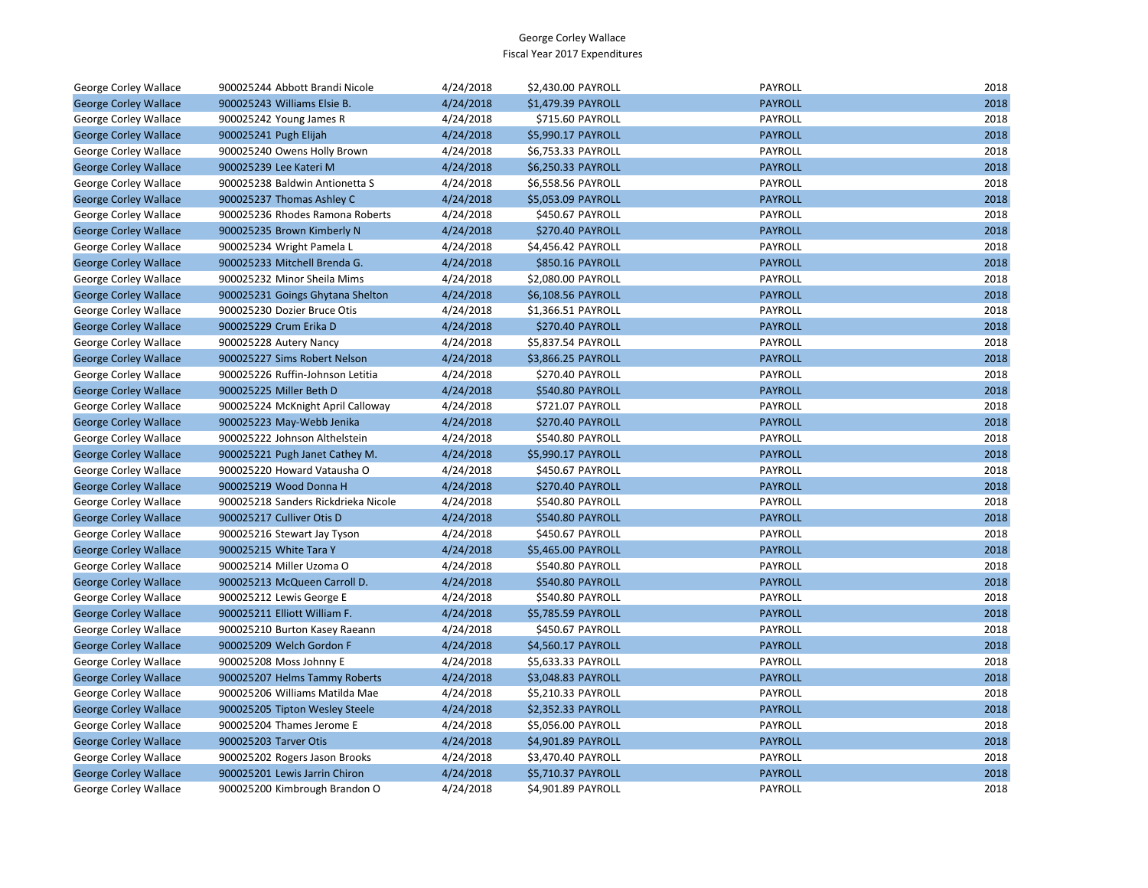| George Corley Wallace        | 900025244 Abbott Brandi Nicole      | 4/24/2018 | \$2,430.00 PAYROLL      | PAYROLL        | 2018 |
|------------------------------|-------------------------------------|-----------|-------------------------|----------------|------|
| <b>George Corley Wallace</b> | 900025243 Williams Elsie B.         | 4/24/2018 | \$1,479.39 PAYROLL      | <b>PAYROLL</b> | 2018 |
| George Corley Wallace        | 900025242 Young James R             | 4/24/2018 | \$715.60 PAYROLL        | PAYROLL        | 2018 |
| <b>George Corley Wallace</b> | 900025241 Pugh Elijah               | 4/24/2018 | \$5,990.17 PAYROLL      | <b>PAYROLL</b> | 2018 |
| George Corley Wallace        | 900025240 Owens Holly Brown         | 4/24/2018 | \$6,753.33 PAYROLL      | PAYROLL        | 2018 |
| <b>George Corley Wallace</b> | 900025239 Lee Kateri M              | 4/24/2018 | \$6,250.33 PAYROLL      | <b>PAYROLL</b> | 2018 |
| George Corley Wallace        | 900025238 Baldwin Antionetta S      | 4/24/2018 | \$6,558.56 PAYROLL      | PAYROLL        | 2018 |
| <b>George Corley Wallace</b> | 900025237 Thomas Ashley C           | 4/24/2018 | \$5,053.09 PAYROLL      | <b>PAYROLL</b> | 2018 |
| George Corley Wallace        | 900025236 Rhodes Ramona Roberts     | 4/24/2018 | \$450.67 PAYROLL        | PAYROLL        | 2018 |
| <b>George Corley Wallace</b> | 900025235 Brown Kimberly N          | 4/24/2018 | \$270.40 PAYROLL        | <b>PAYROLL</b> | 2018 |
| George Corley Wallace        | 900025234 Wright Pamela L           | 4/24/2018 | \$4,456.42 PAYROLL      | PAYROLL        | 2018 |
| <b>George Corley Wallace</b> | 900025233 Mitchell Brenda G.        | 4/24/2018 | <b>\$850.16 PAYROLL</b> | <b>PAYROLL</b> | 2018 |
| George Corley Wallace        | 900025232 Minor Sheila Mims         | 4/24/2018 | \$2,080.00 PAYROLL      | PAYROLL        | 2018 |
| <b>George Corley Wallace</b> | 900025231 Goings Ghytana Shelton    | 4/24/2018 | \$6,108.56 PAYROLL      | <b>PAYROLL</b> | 2018 |
| George Corley Wallace        | 900025230 Dozier Bruce Otis         | 4/24/2018 | \$1,366.51 PAYROLL      | PAYROLL        | 2018 |
| <b>George Corley Wallace</b> | 900025229 Crum Erika D              | 4/24/2018 | <b>\$270.40 PAYROLL</b> | <b>PAYROLL</b> | 2018 |
| George Corley Wallace        | 900025228 Autery Nancy              | 4/24/2018 | \$5,837.54 PAYROLL      | PAYROLL        | 2018 |
| <b>George Corley Wallace</b> | 900025227 Sims Robert Nelson        | 4/24/2018 | \$3,866.25 PAYROLL      | <b>PAYROLL</b> | 2018 |
| George Corley Wallace        | 900025226 Ruffin-Johnson Letitia    | 4/24/2018 | \$270.40 PAYROLL        | PAYROLL        | 2018 |
| <b>George Corley Wallace</b> | 900025225 Miller Beth D             | 4/24/2018 | \$540.80 PAYROLL        | <b>PAYROLL</b> | 2018 |
| George Corley Wallace        | 900025224 McKnight April Calloway   | 4/24/2018 | \$721.07 PAYROLL        | PAYROLL        | 2018 |
| <b>George Corley Wallace</b> | 900025223 May-Webb Jenika           | 4/24/2018 | <b>\$270.40 PAYROLL</b> | <b>PAYROLL</b> | 2018 |
| George Corley Wallace        | 900025222 Johnson Althelstein       | 4/24/2018 | \$540.80 PAYROLL        | PAYROLL        | 2018 |
| <b>George Corley Wallace</b> | 900025221 Pugh Janet Cathey M.      | 4/24/2018 | \$5,990.17 PAYROLL      | <b>PAYROLL</b> | 2018 |
| George Corley Wallace        | 900025220 Howard Vatausha O         | 4/24/2018 | \$450.67 PAYROLL        | PAYROLL        | 2018 |
| <b>George Corley Wallace</b> | 900025219 Wood Donna H              | 4/24/2018 | <b>\$270.40 PAYROLL</b> | <b>PAYROLL</b> | 2018 |
| George Corley Wallace        | 900025218 Sanders Rickdrieka Nicole | 4/24/2018 | \$540.80 PAYROLL        | PAYROLL        | 2018 |
| <b>George Corley Wallace</b> | 900025217 Culliver Otis D           | 4/24/2018 | \$540.80 PAYROLL        | <b>PAYROLL</b> | 2018 |
| George Corley Wallace        | 900025216 Stewart Jay Tyson         | 4/24/2018 | \$450.67 PAYROLL        | PAYROLL        | 2018 |
| <b>George Corley Wallace</b> | 900025215 White Tara Y              | 4/24/2018 | \$5,465.00 PAYROLL      | <b>PAYROLL</b> | 2018 |
| George Corley Wallace        | 900025214 Miller Uzoma O            | 4/24/2018 | \$540.80 PAYROLL        | PAYROLL        | 2018 |
| <b>George Corley Wallace</b> | 900025213 McQueen Carroll D.        | 4/24/2018 | \$540.80 PAYROLL        | <b>PAYROLL</b> | 2018 |
| George Corley Wallace        | 900025212 Lewis George E            | 4/24/2018 | \$540.80 PAYROLL        | PAYROLL        | 2018 |
| <b>George Corley Wallace</b> | 900025211 Elliott William F.        | 4/24/2018 | \$5,785.59 PAYROLL      | <b>PAYROLL</b> | 2018 |
| George Corley Wallace        | 900025210 Burton Kasey Raeann       | 4/24/2018 | \$450.67 PAYROLL        | PAYROLL        | 2018 |
| <b>George Corley Wallace</b> | 900025209 Welch Gordon F            | 4/24/2018 | \$4,560.17 PAYROLL      | <b>PAYROLL</b> | 2018 |
| George Corley Wallace        | 900025208 Moss Johnny E             | 4/24/2018 | \$5,633.33 PAYROLL      | PAYROLL        | 2018 |
| <b>George Corley Wallace</b> | 900025207 Helms Tammy Roberts       | 4/24/2018 | \$3,048.83 PAYROLL      | <b>PAYROLL</b> | 2018 |
| George Corley Wallace        | 900025206 Williams Matilda Mae      | 4/24/2018 | \$5,210.33 PAYROLL      | PAYROLL        | 2018 |
| <b>George Corley Wallace</b> | 900025205 Tipton Wesley Steele      | 4/24/2018 | \$2,352.33 PAYROLL      | <b>PAYROLL</b> | 2018 |
| George Corley Wallace        | 900025204 Thames Jerome E           | 4/24/2018 | \$5,056.00 PAYROLL      | PAYROLL        | 2018 |
| <b>George Corley Wallace</b> | 900025203 Tarver Otis               | 4/24/2018 | \$4,901.89 PAYROLL      | <b>PAYROLL</b> | 2018 |
| George Corley Wallace        | 900025202 Rogers Jason Brooks       | 4/24/2018 | \$3,470.40 PAYROLL      | PAYROLL        | 2018 |
| <b>George Corley Wallace</b> | 900025201 Lewis Jarrin Chiron       | 4/24/2018 | \$5,710.37 PAYROLL      | <b>PAYROLL</b> | 2018 |
| <b>George Corley Wallace</b> | 900025200 Kimbrough Brandon O       | 4/24/2018 | \$4.901.89 PAYROLL      | PAYROLL        | 2018 |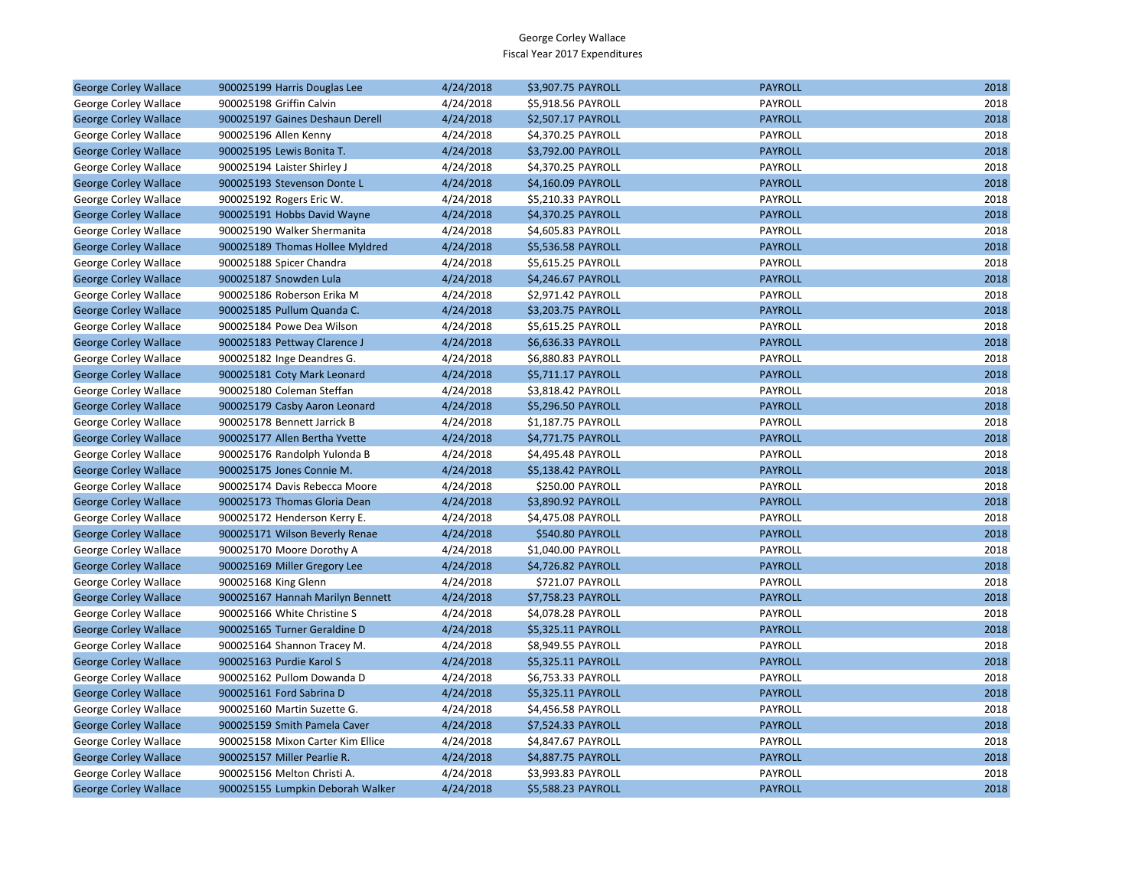| <b>George Corley Wallace</b> | 900025199 Harris Douglas Lee      | 4/24/2018 | \$3,907.75 PAYROLL | <b>PAYROLL</b> | 2018 |
|------------------------------|-----------------------------------|-----------|--------------------|----------------|------|
| George Corley Wallace        | 900025198 Griffin Calvin          | 4/24/2018 | \$5,918.56 PAYROLL | PAYROLL        | 2018 |
| <b>George Corley Wallace</b> | 900025197 Gaines Deshaun Derell   | 4/24/2018 | \$2,507.17 PAYROLL | <b>PAYROLL</b> | 2018 |
| George Corley Wallace        | 900025196 Allen Kenny             | 4/24/2018 | \$4,370.25 PAYROLL | PAYROLL        | 2018 |
| <b>George Corley Wallace</b> | 900025195 Lewis Bonita T.         | 4/24/2018 | \$3,792.00 PAYROLL | <b>PAYROLL</b> | 2018 |
| George Corley Wallace        | 900025194 Laister Shirley J       | 4/24/2018 | \$4,370.25 PAYROLL | PAYROLL        | 2018 |
| <b>George Corley Wallace</b> | 900025193 Stevenson Donte L       | 4/24/2018 | \$4,160.09 PAYROLL | <b>PAYROLL</b> | 2018 |
| George Corley Wallace        | 900025192 Rogers Eric W.          | 4/24/2018 | \$5,210.33 PAYROLL | PAYROLL        | 2018 |
| <b>George Corley Wallace</b> | 900025191 Hobbs David Wayne       | 4/24/2018 | \$4,370.25 PAYROLL | <b>PAYROLL</b> | 2018 |
| George Corley Wallace        | 900025190 Walker Shermanita       | 4/24/2018 | \$4,605.83 PAYROLL | PAYROLL        | 2018 |
| <b>George Corley Wallace</b> | 900025189 Thomas Hollee Myldred   | 4/24/2018 | \$5,536.58 PAYROLL | <b>PAYROLL</b> | 2018 |
| George Corley Wallace        | 900025188 Spicer Chandra          | 4/24/2018 | \$5,615.25 PAYROLL | PAYROLL        | 2018 |
| <b>George Corley Wallace</b> | 900025187 Snowden Lula            | 4/24/2018 | \$4,246.67 PAYROLL | <b>PAYROLL</b> | 2018 |
| George Corley Wallace        | 900025186 Roberson Erika M        | 4/24/2018 | \$2,971.42 PAYROLL | PAYROLL        | 2018 |
| <b>George Corley Wallace</b> | 900025185 Pullum Quanda C.        | 4/24/2018 | \$3,203.75 PAYROLL | <b>PAYROLL</b> | 2018 |
| George Corley Wallace        | 900025184 Powe Dea Wilson         | 4/24/2018 | \$5,615.25 PAYROLL | PAYROLL        | 2018 |
| <b>George Corley Wallace</b> | 900025183 Pettway Clarence J      | 4/24/2018 | \$6,636.33 PAYROLL | <b>PAYROLL</b> | 2018 |
| George Corley Wallace        | 900025182 Inge Deandres G.        | 4/24/2018 | \$6,880.83 PAYROLL | PAYROLL        | 2018 |
| <b>George Corley Wallace</b> | 900025181 Coty Mark Leonard       | 4/24/2018 | \$5,711.17 PAYROLL | <b>PAYROLL</b> | 2018 |
| George Corley Wallace        | 900025180 Coleman Steffan         | 4/24/2018 | \$3,818.42 PAYROLL | PAYROLL        | 2018 |
| <b>George Corley Wallace</b> | 900025179 Casby Aaron Leonard     | 4/24/2018 | \$5,296.50 PAYROLL | <b>PAYROLL</b> | 2018 |
| George Corley Wallace        | 900025178 Bennett Jarrick B       | 4/24/2018 | \$1,187.75 PAYROLL | PAYROLL        | 2018 |
| <b>George Corley Wallace</b> | 900025177 Allen Bertha Yvette     | 4/24/2018 | \$4,771.75 PAYROLL | <b>PAYROLL</b> | 2018 |
| George Corley Wallace        | 900025176 Randolph Yulonda B      | 4/24/2018 | \$4,495.48 PAYROLL | PAYROLL        | 2018 |
| <b>George Corley Wallace</b> | 900025175 Jones Connie M.         | 4/24/2018 | \$5,138.42 PAYROLL | <b>PAYROLL</b> | 2018 |
| George Corley Wallace        | 900025174 Davis Rebecca Moore     | 4/24/2018 | \$250.00 PAYROLL   | PAYROLL        | 2018 |
| <b>George Corley Wallace</b> | 900025173 Thomas Gloria Dean      | 4/24/2018 | \$3,890.92 PAYROLL | <b>PAYROLL</b> | 2018 |
| George Corley Wallace        | 900025172 Henderson Kerry E.      | 4/24/2018 | \$4,475.08 PAYROLL | PAYROLL        | 2018 |
| <b>George Corley Wallace</b> | 900025171 Wilson Beverly Renae    | 4/24/2018 | \$540.80 PAYROLL   | <b>PAYROLL</b> | 2018 |
| George Corley Wallace        | 900025170 Moore Dorothy A         | 4/24/2018 | \$1,040.00 PAYROLL | PAYROLL        | 2018 |
| <b>George Corley Wallace</b> | 900025169 Miller Gregory Lee      | 4/24/2018 | \$4,726.82 PAYROLL | <b>PAYROLL</b> | 2018 |
| George Corley Wallace        | 900025168 King Glenn              | 4/24/2018 | \$721.07 PAYROLL   | PAYROLL        | 2018 |
| <b>George Corley Wallace</b> | 900025167 Hannah Marilyn Bennett  | 4/24/2018 | \$7,758.23 PAYROLL | <b>PAYROLL</b> | 2018 |
| George Corley Wallace        | 900025166 White Christine S       | 4/24/2018 | \$4,078.28 PAYROLL | PAYROLL        | 2018 |
| <b>George Corley Wallace</b> | 900025165 Turner Geraldine D      | 4/24/2018 | \$5,325.11 PAYROLL | <b>PAYROLL</b> | 2018 |
| George Corley Wallace        | 900025164 Shannon Tracey M.       | 4/24/2018 | \$8,949.55 PAYROLL | PAYROLL        | 2018 |
| <b>George Corley Wallace</b> | 900025163 Purdie Karol S          | 4/24/2018 | \$5,325.11 PAYROLL | <b>PAYROLL</b> | 2018 |
| George Corley Wallace        | 900025162 Pullom Dowanda D        | 4/24/2018 | \$6,753.33 PAYROLL | PAYROLL        | 2018 |
| <b>George Corley Wallace</b> | 900025161 Ford Sabrina D          | 4/24/2018 | \$5,325.11 PAYROLL | <b>PAYROLL</b> | 2018 |
| George Corley Wallace        | 900025160 Martin Suzette G.       | 4/24/2018 | \$4,456.58 PAYROLL | PAYROLL        | 2018 |
| <b>George Corley Wallace</b> | 900025159 Smith Pamela Caver      | 4/24/2018 | \$7,524.33 PAYROLL | <b>PAYROLL</b> | 2018 |
| George Corley Wallace        | 900025158 Mixon Carter Kim Ellice | 4/24/2018 | \$4,847.67 PAYROLL | PAYROLL        | 2018 |
| <b>George Corley Wallace</b> | 900025157 Miller Pearlie R.       | 4/24/2018 | \$4,887.75 PAYROLL | <b>PAYROLL</b> | 2018 |
| George Corley Wallace        | 900025156 Melton Christi A.       | 4/24/2018 | \$3,993.83 PAYROLL | PAYROLL        | 2018 |
| <b>George Corley Wallace</b> | 900025155 Lumpkin Deborah Walker  | 4/24/2018 | \$5,588.23 PAYROLL | <b>PAYROLL</b> | 2018 |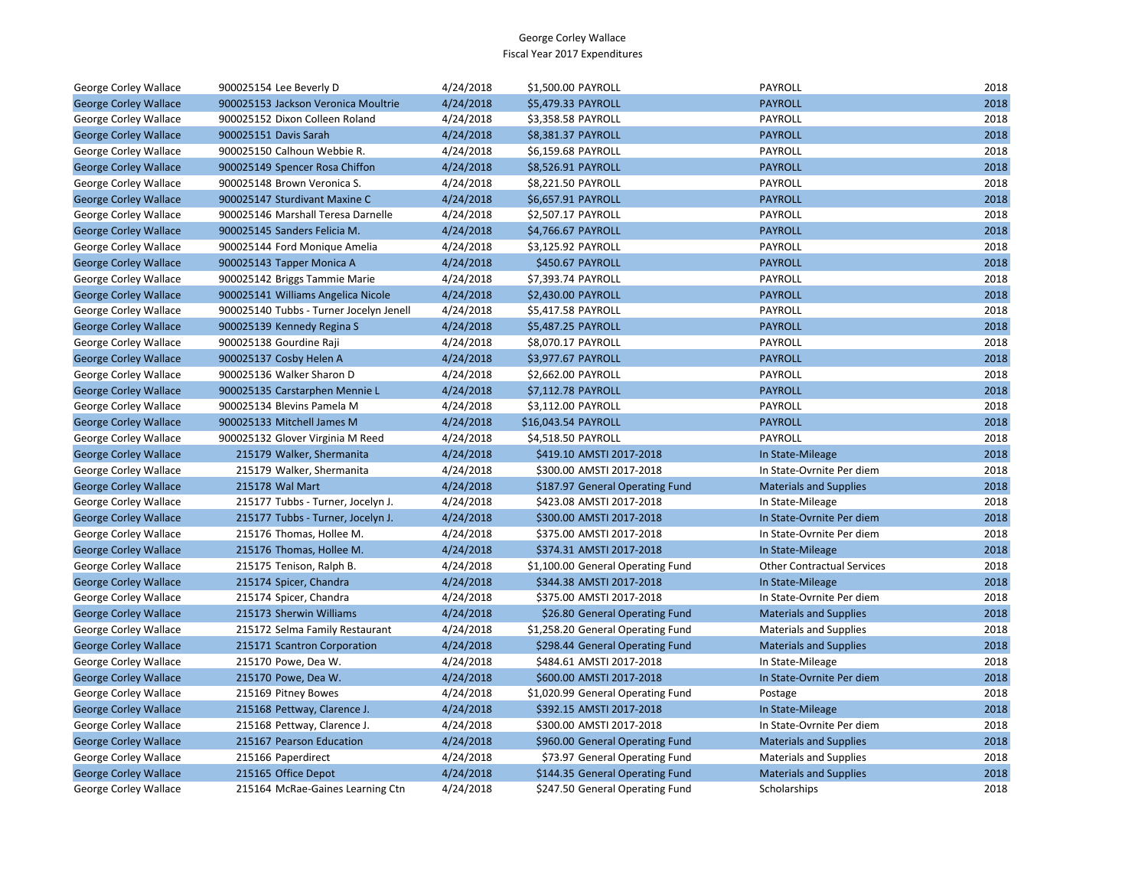| George Corley Wallace        | 900025154 Lee Beverly D                 | 4/24/2018 | \$1,500.00 PAYROLL                | PAYROLL                           | 2018 |
|------------------------------|-----------------------------------------|-----------|-----------------------------------|-----------------------------------|------|
| <b>George Corley Wallace</b> | 900025153 Jackson Veronica Moultrie     | 4/24/2018 | \$5,479.33 PAYROLL                | <b>PAYROLL</b>                    | 2018 |
| <b>George Corley Wallace</b> | 900025152 Dixon Colleen Roland          | 4/24/2018 | \$3,358.58 PAYROLL                | PAYROLL                           | 2018 |
| <b>George Corley Wallace</b> | 900025151 Davis Sarah                   | 4/24/2018 | \$8,381.37 PAYROLL                | <b>PAYROLL</b>                    | 2018 |
| George Corley Wallace        | 900025150 Calhoun Webbie R.             | 4/24/2018 | \$6,159.68 PAYROLL                | PAYROLL                           | 2018 |
| <b>George Corley Wallace</b> | 900025149 Spencer Rosa Chiffon          | 4/24/2018 | \$8,526.91 PAYROLL                | <b>PAYROLL</b>                    | 2018 |
| George Corley Wallace        | 900025148 Brown Veronica S.             | 4/24/2018 | \$8,221.50 PAYROLL                | PAYROLL                           | 2018 |
| <b>George Corley Wallace</b> | 900025147 Sturdivant Maxine C           | 4/24/2018 | \$6,657.91 PAYROLL                | <b>PAYROLL</b>                    | 2018 |
| George Corley Wallace        | 900025146 Marshall Teresa Darnelle      | 4/24/2018 | \$2,507.17 PAYROLL                | PAYROLL                           | 2018 |
| <b>George Corley Wallace</b> | 900025145 Sanders Felicia M.            | 4/24/2018 | \$4,766.67 PAYROLL                | <b>PAYROLL</b>                    | 2018 |
| George Corley Wallace        | 900025144 Ford Monique Amelia           | 4/24/2018 | \$3,125.92 PAYROLL                | PAYROLL                           | 2018 |
| <b>George Corley Wallace</b> | 900025143 Tapper Monica A               | 4/24/2018 | \$450.67 PAYROLL                  | <b>PAYROLL</b>                    | 2018 |
| George Corley Wallace        | 900025142 Briggs Tammie Marie           | 4/24/2018 | \$7,393.74 PAYROLL                | PAYROLL                           | 2018 |
| <b>George Corley Wallace</b> | 900025141 Williams Angelica Nicole      | 4/24/2018 | \$2,430.00 PAYROLL                | <b>PAYROLL</b>                    | 2018 |
| George Corley Wallace        | 900025140 Tubbs - Turner Jocelyn Jenell | 4/24/2018 | \$5,417.58 PAYROLL                | PAYROLL                           | 2018 |
| <b>George Corley Wallace</b> | 900025139 Kennedy Regina S              | 4/24/2018 | \$5,487.25 PAYROLL                | <b>PAYROLL</b>                    | 2018 |
| George Corley Wallace        | 900025138 Gourdine Raji                 | 4/24/2018 | \$8,070.17 PAYROLL                | PAYROLL                           | 2018 |
| <b>George Corley Wallace</b> | 900025137 Cosby Helen A                 | 4/24/2018 | \$3,977.67 PAYROLL                | <b>PAYROLL</b>                    | 2018 |
| George Corley Wallace        | 900025136 Walker Sharon D               | 4/24/2018 | \$2,662.00 PAYROLL                | PAYROLL                           | 2018 |
| <b>George Corley Wallace</b> | 900025135 Carstarphen Mennie L          | 4/24/2018 | \$7,112.78 PAYROLL                | <b>PAYROLL</b>                    | 2018 |
| George Corley Wallace        | 900025134 Blevins Pamela M              | 4/24/2018 | \$3,112.00 PAYROLL                | PAYROLL                           | 2018 |
| <b>George Corley Wallace</b> | 900025133 Mitchell James M              | 4/24/2018 | \$16,043.54 PAYROLL               | <b>PAYROLL</b>                    | 2018 |
| George Corley Wallace        | 900025132 Glover Virginia M Reed        | 4/24/2018 | \$4,518.50 PAYROLL                | PAYROLL                           | 2018 |
| <b>George Corley Wallace</b> | 215179 Walker, Shermanita               | 4/24/2018 | \$419.10 AMSTI 2017-2018          | In State-Mileage                  | 2018 |
| George Corley Wallace        | 215179 Walker, Shermanita               | 4/24/2018 | \$300.00 AMSTI 2017-2018          | In State-Ovrnite Per diem         | 2018 |
| <b>George Corley Wallace</b> | 215178 Wal Mart                         | 4/24/2018 | \$187.97 General Operating Fund   | <b>Materials and Supplies</b>     | 2018 |
| George Corley Wallace        | 215177 Tubbs - Turner, Jocelyn J.       | 4/24/2018 | \$423.08 AMSTI 2017-2018          | In State-Mileage                  | 2018 |
| <b>George Corley Wallace</b> | 215177 Tubbs - Turner, Jocelyn J.       | 4/24/2018 | \$300.00 AMSTI 2017-2018          | In State-Ovrnite Per diem         | 2018 |
| George Corley Wallace        | 215176 Thomas, Hollee M.                | 4/24/2018 | \$375.00 AMSTI 2017-2018          | In State-Ovrnite Per diem         | 2018 |
| <b>George Corley Wallace</b> | 215176 Thomas, Hollee M.                | 4/24/2018 | \$374.31 AMSTI 2017-2018          | In State-Mileage                  | 2018 |
| George Corley Wallace        | 215175 Tenison, Ralph B.                | 4/24/2018 | \$1,100.00 General Operating Fund | <b>Other Contractual Services</b> | 2018 |
| <b>George Corley Wallace</b> | 215174 Spicer, Chandra                  | 4/24/2018 | \$344.38 AMSTI 2017-2018          | In State-Mileage                  | 2018 |
| George Corley Wallace        | 215174 Spicer, Chandra                  | 4/24/2018 | \$375.00 AMSTI 2017-2018          | In State-Ovrnite Per diem         | 2018 |
| <b>George Corley Wallace</b> | 215173 Sherwin Williams                 | 4/24/2018 | \$26.80 General Operating Fund    | <b>Materials and Supplies</b>     | 2018 |
| George Corley Wallace        | 215172 Selma Family Restaurant          | 4/24/2018 | \$1,258.20 General Operating Fund | <b>Materials and Supplies</b>     | 2018 |
| <b>George Corley Wallace</b> | 215171 Scantron Corporation             | 4/24/2018 | \$298.44 General Operating Fund   | <b>Materials and Supplies</b>     | 2018 |
| George Corley Wallace        | 215170 Powe, Dea W.                     | 4/24/2018 | \$484.61 AMSTI 2017-2018          | In State-Mileage                  | 2018 |
| <b>George Corley Wallace</b> | 215170 Powe, Dea W.                     | 4/24/2018 | \$600.00 AMSTI 2017-2018          | In State-Ovrnite Per diem         | 2018 |
| George Corley Wallace        | 215169 Pitney Bowes                     | 4/24/2018 | \$1,020.99 General Operating Fund | Postage                           | 2018 |
| <b>George Corley Wallace</b> | 215168 Pettway, Clarence J.             | 4/24/2018 | \$392.15 AMSTI 2017-2018          | In State-Mileage                  | 2018 |
| George Corley Wallace        | 215168 Pettway, Clarence J.             | 4/24/2018 | \$300.00 AMSTI 2017-2018          | In State-Ovrnite Per diem         | 2018 |
| <b>George Corley Wallace</b> | 215167 Pearson Education                | 4/24/2018 | \$960.00 General Operating Fund   | <b>Materials and Supplies</b>     | 2018 |
| George Corley Wallace        | 215166 Paperdirect                      | 4/24/2018 | \$73.97 General Operating Fund    | <b>Materials and Supplies</b>     | 2018 |
| <b>George Corley Wallace</b> | 215165 Office Depot                     | 4/24/2018 | \$144.35 General Operating Fund   | <b>Materials and Supplies</b>     | 2018 |
| George Corley Wallace        | 215164 McRae-Gaines Learning Ctn        | 4/24/2018 | \$247.50 General Operating Fund   | Scholarships                      | 2018 |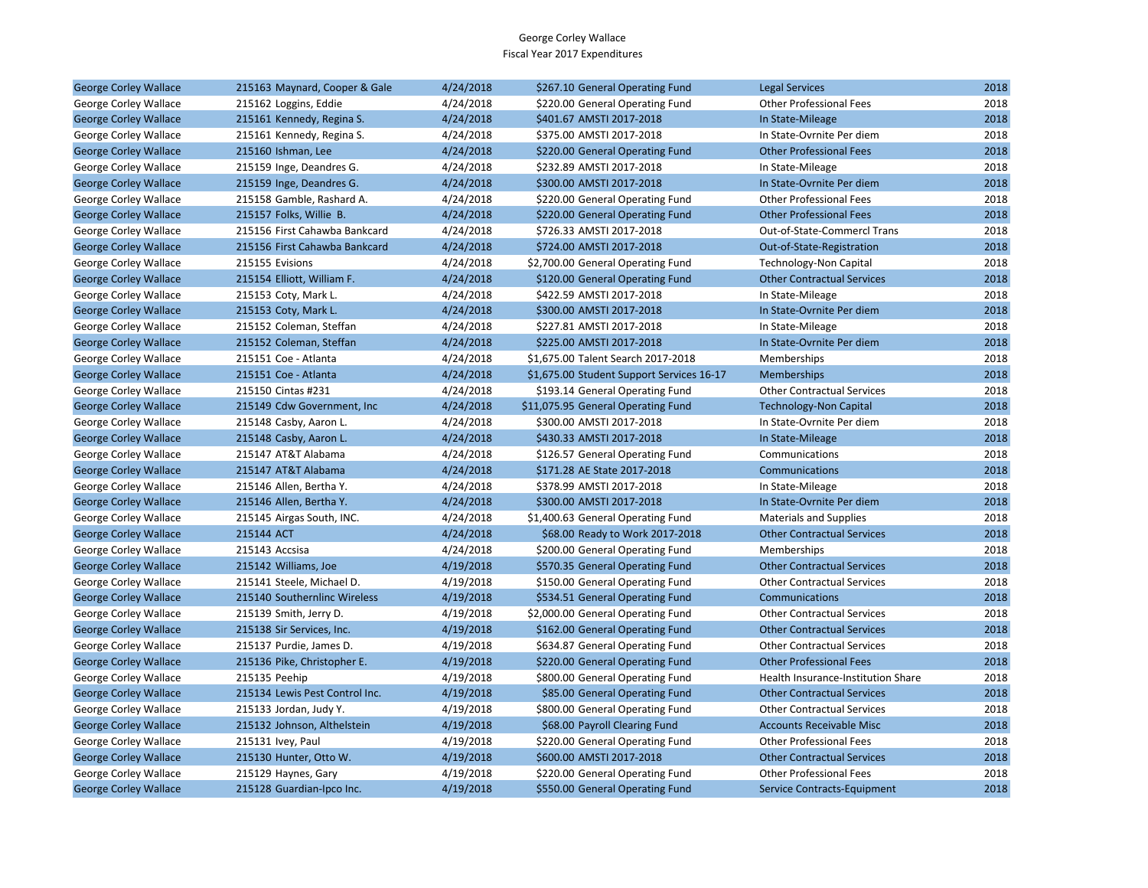| <b>George Corley Wallace</b> | 215163 Maynard, Cooper & Gale  | 4/24/2018 | \$267.10 General Operating Fund           | <b>Legal Services</b>              | 2018 |
|------------------------------|--------------------------------|-----------|-------------------------------------------|------------------------------------|------|
| George Corley Wallace        | 215162 Loggins, Eddie          | 4/24/2018 | \$220.00 General Operating Fund           | <b>Other Professional Fees</b>     | 2018 |
| <b>George Corley Wallace</b> | 215161 Kennedy, Regina S.      | 4/24/2018 | \$401.67 AMSTI 2017-2018                  | In State-Mileage                   | 2018 |
| George Corley Wallace        | 215161 Kennedy, Regina S.      | 4/24/2018 | \$375.00 AMSTI 2017-2018                  | In State-Ovrnite Per diem          | 2018 |
| <b>George Corley Wallace</b> | 215160 Ishman, Lee             | 4/24/2018 | \$220.00 General Operating Fund           | <b>Other Professional Fees</b>     | 2018 |
| George Corley Wallace        | 215159 Inge, Deandres G.       | 4/24/2018 | \$232.89 AMSTI 2017-2018                  | In State-Mileage                   | 2018 |
| <b>George Corley Wallace</b> | 215159 Inge, Deandres G.       | 4/24/2018 | \$300.00 AMSTI 2017-2018                  | In State-Ovrnite Per diem          | 2018 |
| George Corley Wallace        | 215158 Gamble, Rashard A.      | 4/24/2018 | \$220.00 General Operating Fund           | <b>Other Professional Fees</b>     | 2018 |
| <b>George Corley Wallace</b> | 215157 Folks, Willie B.        | 4/24/2018 | \$220.00 General Operating Fund           | <b>Other Professional Fees</b>     | 2018 |
| George Corley Wallace        | 215156 First Cahawba Bankcard  | 4/24/2018 | \$726.33 AMSTI 2017-2018                  | Out-of-State-Commercl Trans        | 2018 |
| <b>George Corley Wallace</b> | 215156 First Cahawba Bankcard  | 4/24/2018 | \$724.00 AMSTI 2017-2018                  | Out-of-State-Registration          | 2018 |
| George Corley Wallace        | 215155 Evisions                | 4/24/2018 | \$2,700.00 General Operating Fund         | Technology-Non Capital             | 2018 |
| <b>George Corley Wallace</b> | 215154 Elliott, William F.     | 4/24/2018 | \$120.00 General Operating Fund           | <b>Other Contractual Services</b>  | 2018 |
| George Corley Wallace        | 215153 Coty, Mark L.           | 4/24/2018 | \$422.59 AMSTI 2017-2018                  | In State-Mileage                   | 2018 |
| <b>George Corley Wallace</b> | 215153 Coty, Mark L.           | 4/24/2018 | \$300.00 AMSTI 2017-2018                  | In State-Ovrnite Per diem          | 2018 |
| George Corley Wallace        | 215152 Coleman, Steffan        | 4/24/2018 | \$227.81 AMSTI 2017-2018                  | In State-Mileage                   | 2018 |
| <b>George Corley Wallace</b> | 215152 Coleman, Steffan        | 4/24/2018 | \$225.00 AMSTI 2017-2018                  | In State-Ovrnite Per diem          | 2018 |
| George Corley Wallace        | 215151 Coe - Atlanta           | 4/24/2018 | \$1,675.00 Talent Search 2017-2018        | Memberships                        | 2018 |
| <b>George Corley Wallace</b> | 215151 Coe - Atlanta           | 4/24/2018 | \$1,675.00 Student Support Services 16-17 | <b>Memberships</b>                 | 2018 |
| George Corley Wallace        | 215150 Cintas #231             | 4/24/2018 | \$193.14 General Operating Fund           | <b>Other Contractual Services</b>  | 2018 |
| <b>George Corley Wallace</b> | 215149 Cdw Government, Inc.    | 4/24/2018 | \$11,075.95 General Operating Fund        | <b>Technology-Non Capital</b>      | 2018 |
| George Corley Wallace        | 215148 Casby, Aaron L.         | 4/24/2018 | \$300.00 AMSTI 2017-2018                  | In State-Ovrnite Per diem          | 2018 |
| <b>George Corley Wallace</b> | 215148 Casby, Aaron L.         | 4/24/2018 | \$430.33 AMSTI 2017-2018                  | In State-Mileage                   | 2018 |
| George Corley Wallace        | 215147 AT&T Alabama            | 4/24/2018 | \$126.57 General Operating Fund           | Communications                     | 2018 |
| <b>George Corley Wallace</b> | 215147 AT&T Alabama            | 4/24/2018 | \$171.28 AE State 2017-2018               | Communications                     | 2018 |
| George Corley Wallace        | 215146 Allen, Bertha Y.        | 4/24/2018 | \$378.99 AMSTI 2017-2018                  | In State-Mileage                   | 2018 |
| <b>George Corley Wallace</b> | 215146 Allen, Bertha Y.        | 4/24/2018 | \$300.00 AMSTI 2017-2018                  | In State-Ovrnite Per diem          | 2018 |
| George Corley Wallace        | 215145 Airgas South, INC.      | 4/24/2018 | \$1,400.63 General Operating Fund         | <b>Materials and Supplies</b>      | 2018 |
| <b>George Corley Wallace</b> | 215144 ACT                     | 4/24/2018 | \$68.00 Ready to Work 2017-2018           | <b>Other Contractual Services</b>  | 2018 |
| George Corley Wallace        | 215143 Accsisa                 | 4/24/2018 | \$200.00 General Operating Fund           | Memberships                        | 2018 |
| <b>George Corley Wallace</b> | 215142 Williams, Joe           | 4/19/2018 | \$570.35 General Operating Fund           | <b>Other Contractual Services</b>  | 2018 |
| George Corley Wallace        | 215141 Steele, Michael D.      | 4/19/2018 | \$150.00 General Operating Fund           | <b>Other Contractual Services</b>  | 2018 |
| <b>George Corley Wallace</b> | 215140 Southernlinc Wireless   | 4/19/2018 | \$534.51 General Operating Fund           | Communications                     | 2018 |
| George Corley Wallace        | 215139 Smith, Jerry D.         | 4/19/2018 | \$2,000.00 General Operating Fund         | <b>Other Contractual Services</b>  | 2018 |
| <b>George Corley Wallace</b> | 215138 Sir Services, Inc.      | 4/19/2018 | \$162.00 General Operating Fund           | <b>Other Contractual Services</b>  | 2018 |
| George Corley Wallace        | 215137 Purdie, James D.        | 4/19/2018 | \$634.87 General Operating Fund           | <b>Other Contractual Services</b>  | 2018 |
| <b>George Corley Wallace</b> | 215136 Pike, Christopher E.    | 4/19/2018 | \$220.00 General Operating Fund           | <b>Other Professional Fees</b>     | 2018 |
| George Corley Wallace        | 215135 Peehip                  | 4/19/2018 | \$800.00 General Operating Fund           | Health Insurance-Institution Share | 2018 |
| <b>George Corley Wallace</b> | 215134 Lewis Pest Control Inc. | 4/19/2018 | \$85.00 General Operating Fund            | <b>Other Contractual Services</b>  | 2018 |
| George Corley Wallace        | 215133 Jordan, Judy Y.         | 4/19/2018 | \$800.00 General Operating Fund           | <b>Other Contractual Services</b>  | 2018 |
| <b>George Corley Wallace</b> | 215132 Johnson, Althelstein    | 4/19/2018 | \$68.00 Payroll Clearing Fund             | <b>Accounts Receivable Misc</b>    | 2018 |
| George Corley Wallace        | 215131 Ivey, Paul              | 4/19/2018 | \$220.00 General Operating Fund           | <b>Other Professional Fees</b>     | 2018 |
| <b>George Corley Wallace</b> | 215130 Hunter, Otto W.         | 4/19/2018 | \$600.00 AMSTI 2017-2018                  | <b>Other Contractual Services</b>  | 2018 |
| George Corley Wallace        | 215129 Haynes, Gary            | 4/19/2018 | \$220.00 General Operating Fund           | <b>Other Professional Fees</b>     | 2018 |
| <b>George Corley Wallace</b> | 215128 Guardian-Ipco Inc.      | 4/19/2018 | \$550.00 General Operating Fund           | Service Contracts-Equipment        | 2018 |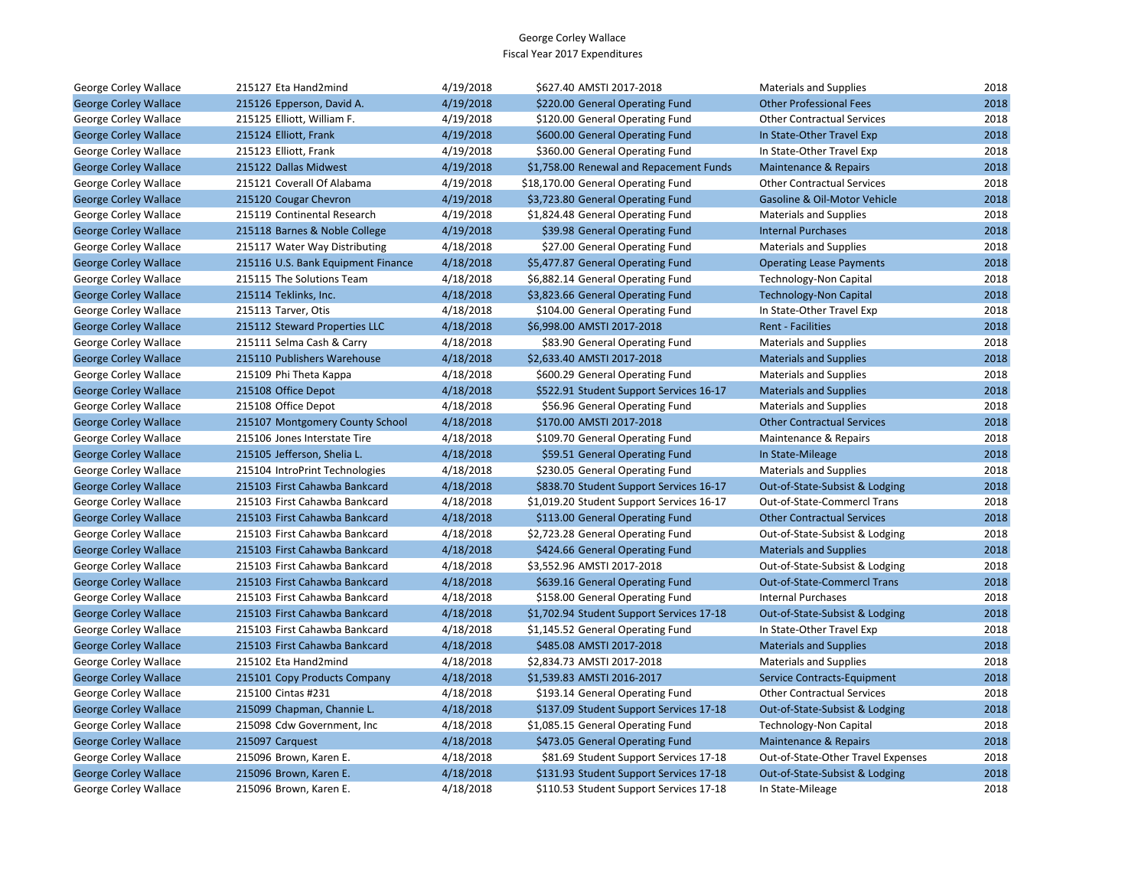| George Corley Wallace        | 215127 Eta Hand2mind               | 4/19/2018 | \$627.40 AMSTI 2017-2018                  | <b>Materials and Supplies</b>      | 2018 |
|------------------------------|------------------------------------|-----------|-------------------------------------------|------------------------------------|------|
| <b>George Corley Wallace</b> | 215126 Epperson, David A.          | 4/19/2018 | \$220.00 General Operating Fund           | <b>Other Professional Fees</b>     | 2018 |
| George Corley Wallace        | 215125 Elliott, William F.         | 4/19/2018 | \$120.00 General Operating Fund           | <b>Other Contractual Services</b>  | 2018 |
| <b>George Corley Wallace</b> | 215124 Elliott, Frank              | 4/19/2018 | \$600.00 General Operating Fund           | In State-Other Travel Exp          | 2018 |
| George Corley Wallace        | 215123 Elliott, Frank              | 4/19/2018 | \$360.00 General Operating Fund           | In State-Other Travel Exp          | 2018 |
| <b>George Corley Wallace</b> | 215122 Dallas Midwest              | 4/19/2018 | \$1,758.00 Renewal and Repacement Funds   | Maintenance & Repairs              | 2018 |
| George Corley Wallace        | 215121 Coverall Of Alabama         | 4/19/2018 | \$18,170.00 General Operating Fund        | <b>Other Contractual Services</b>  | 2018 |
| <b>George Corley Wallace</b> | 215120 Cougar Chevron              | 4/19/2018 | \$3,723.80 General Operating Fund         | Gasoline & Oil-Motor Vehicle       | 2018 |
| George Corley Wallace        | 215119 Continental Research        | 4/19/2018 | \$1,824.48 General Operating Fund         | <b>Materials and Supplies</b>      | 2018 |
| <b>George Corley Wallace</b> | 215118 Barnes & Noble College      | 4/19/2018 | \$39.98 General Operating Fund            | <b>Internal Purchases</b>          | 2018 |
| George Corley Wallace        | 215117 Water Way Distributing      | 4/18/2018 | \$27.00 General Operating Fund            | <b>Materials and Supplies</b>      | 2018 |
| <b>George Corley Wallace</b> | 215116 U.S. Bank Equipment Finance | 4/18/2018 | \$5,477.87 General Operating Fund         | <b>Operating Lease Payments</b>    | 2018 |
| George Corley Wallace        | 215115 The Solutions Team          | 4/18/2018 | \$6,882.14 General Operating Fund         | <b>Technology-Non Capital</b>      | 2018 |
| <b>George Corley Wallace</b> | 215114 Teklinks, Inc.              | 4/18/2018 | \$3,823.66 General Operating Fund         | <b>Technology-Non Capital</b>      | 2018 |
| George Corley Wallace        | 215113 Tarver, Otis                | 4/18/2018 | \$104.00 General Operating Fund           | In State-Other Travel Exp          | 2018 |
| <b>George Corley Wallace</b> | 215112 Steward Properties LLC      | 4/18/2018 | \$6,998.00 AMSTI 2017-2018                | <b>Rent - Facilities</b>           | 2018 |
| George Corley Wallace        | 215111 Selma Cash & Carry          | 4/18/2018 | \$83.90 General Operating Fund            | <b>Materials and Supplies</b>      | 2018 |
| <b>George Corley Wallace</b> | 215110 Publishers Warehouse        | 4/18/2018 | \$2,633.40 AMSTI 2017-2018                | <b>Materials and Supplies</b>      | 2018 |
| George Corley Wallace        | 215109 Phi Theta Kappa             | 4/18/2018 | \$600.29 General Operating Fund           | <b>Materials and Supplies</b>      | 2018 |
| <b>George Corley Wallace</b> | 215108 Office Depot                | 4/18/2018 | \$522.91 Student Support Services 16-17   | <b>Materials and Supplies</b>      | 2018 |
| George Corley Wallace        | 215108 Office Depot                | 4/18/2018 | \$56.96 General Operating Fund            | <b>Materials and Supplies</b>      | 2018 |
| <b>George Corley Wallace</b> | 215107 Montgomery County School    | 4/18/2018 | \$170.00 AMSTI 2017-2018                  | <b>Other Contractual Services</b>  | 2018 |
| George Corley Wallace        | 215106 Jones Interstate Tire       | 4/18/2018 | \$109.70 General Operating Fund           | Maintenance & Repairs              | 2018 |
| <b>George Corley Wallace</b> | 215105 Jefferson, Shelia L.        | 4/18/2018 | \$59.51 General Operating Fund            | In State-Mileage                   | 2018 |
| George Corley Wallace        | 215104 IntroPrint Technologies     | 4/18/2018 | \$230.05 General Operating Fund           | <b>Materials and Supplies</b>      | 2018 |
| <b>George Corley Wallace</b> | 215103 First Cahawba Bankcard      | 4/18/2018 | \$838.70 Student Support Services 16-17   | Out-of-State-Subsist & Lodging     | 2018 |
| George Corley Wallace        | 215103 First Cahawba Bankcard      | 4/18/2018 | \$1,019.20 Student Support Services 16-17 | Out-of-State-Commercl Trans        | 2018 |
| <b>George Corley Wallace</b> | 215103 First Cahawba Bankcard      | 4/18/2018 | \$113.00 General Operating Fund           | <b>Other Contractual Services</b>  | 2018 |
| George Corley Wallace        | 215103 First Cahawba Bankcard      | 4/18/2018 | \$2,723.28 General Operating Fund         | Out-of-State-Subsist & Lodging     | 2018 |
| <b>George Corley Wallace</b> | 215103 First Cahawba Bankcard      | 4/18/2018 | \$424.66 General Operating Fund           | <b>Materials and Supplies</b>      | 2018 |
| George Corley Wallace        | 215103 First Cahawba Bankcard      | 4/18/2018 | \$3,552.96 AMSTI 2017-2018                | Out-of-State-Subsist & Lodging     | 2018 |
| <b>George Corley Wallace</b> | 215103 First Cahawba Bankcard      | 4/18/2018 | \$639.16 General Operating Fund           | Out-of-State-Commercl Trans        | 2018 |
| George Corley Wallace        | 215103 First Cahawba Bankcard      | 4/18/2018 | \$158.00 General Operating Fund           | <b>Internal Purchases</b>          | 2018 |
| <b>George Corley Wallace</b> | 215103 First Cahawba Bankcard      | 4/18/2018 | \$1,702.94 Student Support Services 17-18 | Out-of-State-Subsist & Lodging     | 2018 |
| George Corley Wallace        | 215103 First Cahawba Bankcard      | 4/18/2018 | \$1,145.52 General Operating Fund         | In State-Other Travel Exp          | 2018 |
| <b>George Corley Wallace</b> | 215103 First Cahawba Bankcard      | 4/18/2018 | \$485.08 AMSTI 2017-2018                  | <b>Materials and Supplies</b>      | 2018 |
| George Corley Wallace        | 215102 Eta Hand2mind               | 4/18/2018 | \$2,834.73 AMSTI 2017-2018                | <b>Materials and Supplies</b>      | 2018 |
| <b>George Corley Wallace</b> | 215101 Copy Products Company       | 4/18/2018 | \$1,539.83 AMSTI 2016-2017                | Service Contracts-Equipment        | 2018 |
| George Corley Wallace        | 215100 Cintas #231                 | 4/18/2018 | \$193.14 General Operating Fund           | <b>Other Contractual Services</b>  | 2018 |
| <b>George Corley Wallace</b> | 215099 Chapman, Channie L.         | 4/18/2018 | \$137.09 Student Support Services 17-18   | Out-of-State-Subsist & Lodging     | 2018 |
| George Corley Wallace        | 215098 Cdw Government, Inc.        | 4/18/2018 | \$1,085.15 General Operating Fund         | Technology-Non Capital             | 2018 |
| <b>George Corley Wallace</b> | 215097 Carquest                    | 4/18/2018 | \$473.05 General Operating Fund           | <b>Maintenance &amp; Repairs</b>   | 2018 |
| George Corley Wallace        | 215096 Brown, Karen E.             | 4/18/2018 | \$81.69 Student Support Services 17-18    | Out-of-State-Other Travel Expenses | 2018 |
| <b>George Corley Wallace</b> | 215096 Brown, Karen E.             | 4/18/2018 | \$131.93 Student Support Services 17-18   | Out-of-State-Subsist & Lodging     | 2018 |
| George Corley Wallace        | 215096 Brown, Karen E.             | 4/18/2018 | \$110.53 Student Support Services 17-18   | In State-Mileage                   | 2018 |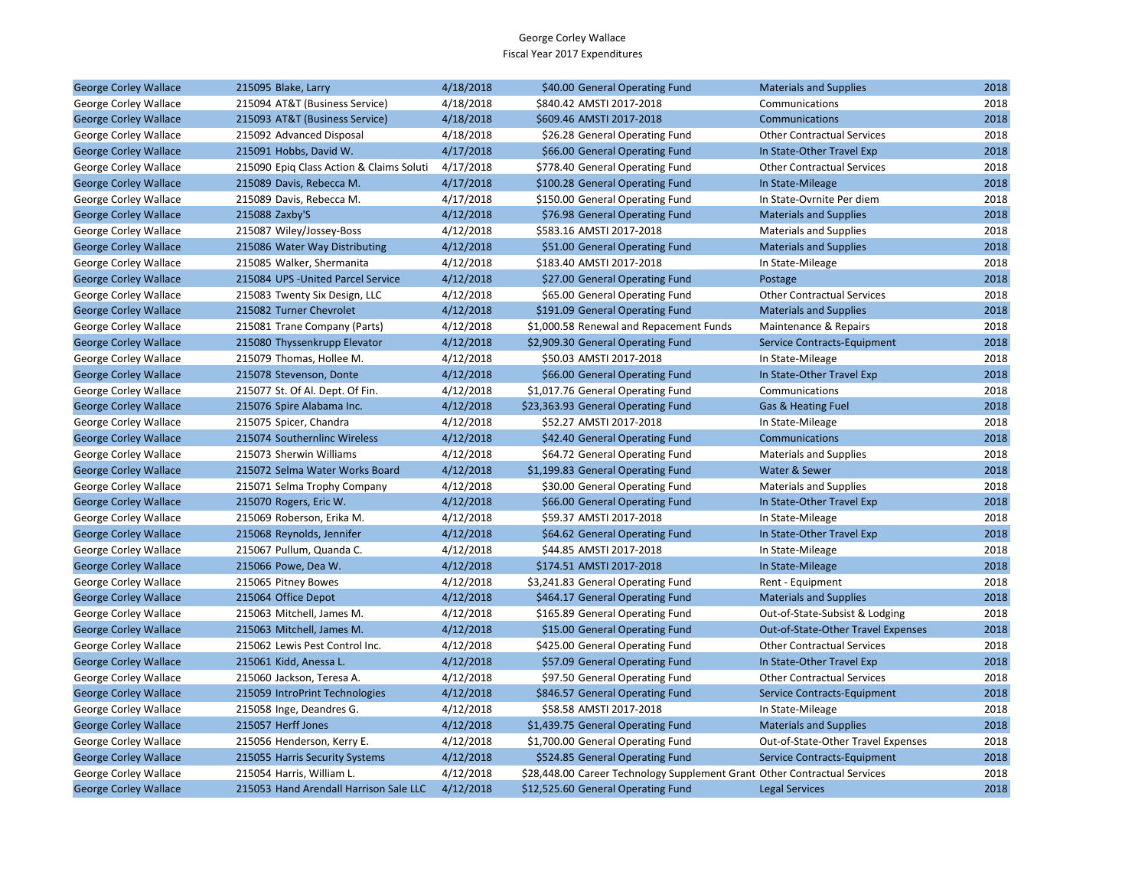| <b>George Corley Wallace</b> | 215095 Blake, Larry                      | 4/18/2018 | \$40.00 General Operating Fund                                            | <b>Materials and Supplies</b>      | 2018 |
|------------------------------|------------------------------------------|-----------|---------------------------------------------------------------------------|------------------------------------|------|
| George Corley Wallace        | 215094 AT&T (Business Service)           | 4/18/2018 | \$840.42 AMSTI 2017-2018                                                  | Communications                     | 2018 |
| <b>George Corley Wallace</b> | 215093 AT&T (Business Service)           | 4/18/2018 | \$609.46 AMSTI 2017-2018                                                  | Communications                     | 2018 |
| George Corley Wallace        | 215092 Advanced Disposal                 | 4/18/2018 | \$26.28 General Operating Fund                                            | <b>Other Contractual Services</b>  | 2018 |
| <b>George Corley Wallace</b> | 215091 Hobbs, David W.                   | 4/17/2018 | \$66.00 General Operating Fund                                            | In State-Other Travel Exp          | 2018 |
| George Corley Wallace        | 215090 Epiq Class Action & Claims Soluti | 4/17/2018 | \$778.40 General Operating Fund                                           | <b>Other Contractual Services</b>  | 2018 |
| <b>George Corley Wallace</b> | 215089 Davis, Rebecca M.                 | 4/17/2018 | \$100.28 General Operating Fund                                           | In State-Mileage                   | 2018 |
| George Corley Wallace        | 215089 Davis, Rebecca M.                 | 4/17/2018 | \$150.00 General Operating Fund                                           | In State-Ovrnite Per diem          | 2018 |
| <b>George Corley Wallace</b> | 215088 Zaxby'S                           | 4/12/2018 | \$76.98 General Operating Fund                                            | <b>Materials and Supplies</b>      | 2018 |
| George Corley Wallace        | 215087 Wiley/Jossey-Boss                 | 4/12/2018 | \$583.16 AMSTI 2017-2018                                                  | <b>Materials and Supplies</b>      | 2018 |
| <b>George Corley Wallace</b> | 215086 Water Way Distributing            | 4/12/2018 | \$51.00 General Operating Fund                                            | <b>Materials and Supplies</b>      | 2018 |
| George Corley Wallace        | 215085 Walker, Shermanita                | 4/12/2018 | \$183.40 AMSTI 2017-2018                                                  | In State-Mileage                   | 2018 |
| <b>George Corley Wallace</b> | 215084 UPS - United Parcel Service       | 4/12/2018 | \$27.00 General Operating Fund                                            | Postage                            | 2018 |
| George Corley Wallace        | 215083 Twenty Six Design, LLC            | 4/12/2018 | \$65.00 General Operating Fund                                            | <b>Other Contractual Services</b>  | 2018 |
| <b>George Corley Wallace</b> | 215082 Turner Chevrolet                  | 4/12/2018 | \$191.09 General Operating Fund                                           | <b>Materials and Supplies</b>      | 2018 |
| George Corley Wallace        | 215081 Trane Company (Parts)             | 4/12/2018 | \$1,000.58 Renewal and Repacement Funds                                   | Maintenance & Repairs              | 2018 |
| <b>George Corley Wallace</b> | 215080 Thyssenkrupp Elevator             | 4/12/2018 | \$2,909.30 General Operating Fund                                         | Service Contracts-Equipment        | 2018 |
| George Corley Wallace        | 215079 Thomas, Hollee M.                 | 4/12/2018 | \$50.03 AMSTI 2017-2018                                                   | In State-Mileage                   | 2018 |
| <b>George Corley Wallace</b> | 215078 Stevenson, Donte                  | 4/12/2018 | \$66.00 General Operating Fund                                            | In State-Other Travel Exp          | 2018 |
| George Corley Wallace        | 215077 St. Of Al. Dept. Of Fin.          | 4/12/2018 | \$1,017.76 General Operating Fund                                         | Communications                     | 2018 |
| <b>George Corley Wallace</b> | 215076 Spire Alabama Inc.                | 4/12/2018 | \$23,363.93 General Operating Fund                                        | Gas & Heating Fuel                 | 2018 |
| George Corley Wallace        | 215075 Spicer, Chandra                   | 4/12/2018 | \$52.27 AMSTI 2017-2018                                                   | In State-Mileage                   | 2018 |
| <b>George Corley Wallace</b> | 215074 Southernlinc Wireless             | 4/12/2018 | \$42.40 General Operating Fund                                            | Communications                     | 2018 |
| George Corley Wallace        | 215073 Sherwin Williams                  | 4/12/2018 | \$64.72 General Operating Fund                                            | <b>Materials and Supplies</b>      | 2018 |
| <b>George Corley Wallace</b> | 215072 Selma Water Works Board           | 4/12/2018 | \$1,199.83 General Operating Fund                                         | Water & Sewer                      | 2018 |
| George Corley Wallace        | 215071 Selma Trophy Company              | 4/12/2018 | \$30.00 General Operating Fund                                            | <b>Materials and Supplies</b>      | 2018 |
| <b>George Corley Wallace</b> | 215070 Rogers, Eric W.                   | 4/12/2018 | \$66.00 General Operating Fund                                            | In State-Other Travel Exp          | 2018 |
| George Corley Wallace        | 215069 Roberson, Erika M.                | 4/12/2018 | \$59.37 AMSTI 2017-2018                                                   | In State-Mileage                   | 2018 |
| <b>George Corley Wallace</b> | 215068 Reynolds, Jennifer                | 4/12/2018 | \$64.62 General Operating Fund                                            | In State-Other Travel Exp          | 2018 |
| George Corley Wallace        | 215067 Pullum, Quanda C.                 | 4/12/2018 | \$44.85 AMSTI 2017-2018                                                   | In State-Mileage                   | 2018 |
| <b>George Corley Wallace</b> | 215066 Powe, Dea W.                      | 4/12/2018 | \$174.51 AMSTI 2017-2018                                                  | In State-Mileage                   | 2018 |
| George Corley Wallace        | 215065 Pitney Bowes                      | 4/12/2018 | \$3,241.83 General Operating Fund                                         | Rent - Equipment                   | 2018 |
| <b>George Corley Wallace</b> | 215064 Office Depot                      | 4/12/2018 | \$464.17 General Operating Fund                                           | <b>Materials and Supplies</b>      | 2018 |
| George Corley Wallace        | 215063 Mitchell, James M.                | 4/12/2018 | \$165.89 General Operating Fund                                           | Out-of-State-Subsist & Lodging     | 2018 |
| <b>George Corley Wallace</b> | 215063 Mitchell, James M.                | 4/12/2018 | \$15.00 General Operating Fund                                            | Out-of-State-Other Travel Expenses | 2018 |
| George Corley Wallace        | 215062 Lewis Pest Control Inc.           | 4/12/2018 | \$425.00 General Operating Fund                                           | <b>Other Contractual Services</b>  | 2018 |
| <b>George Corley Wallace</b> | 215061 Kidd, Anessa L.                   | 4/12/2018 | \$57.09 General Operating Fund                                            | In State-Other Travel Exp          | 2018 |
| George Corley Wallace        | 215060 Jackson, Teresa A.                | 4/12/2018 | \$97.50 General Operating Fund                                            | <b>Other Contractual Services</b>  | 2018 |
| <b>George Corley Wallace</b> | 215059 IntroPrint Technologies           | 4/12/2018 | \$846.57 General Operating Fund                                           | Service Contracts-Equipment        | 2018 |
| George Corley Wallace        | 215058 Inge, Deandres G.                 | 4/12/2018 | \$58.58 AMSTI 2017-2018                                                   | In State-Mileage                   | 2018 |
| <b>George Corley Wallace</b> | 215057 Herff Jones                       | 4/12/2018 | \$1,439.75 General Operating Fund                                         | <b>Materials and Supplies</b>      | 2018 |
| George Corley Wallace        | 215056 Henderson, Kerry E.               | 4/12/2018 | \$1,700.00 General Operating Fund                                         | Out-of-State-Other Travel Expenses | 2018 |
| <b>George Corley Wallace</b> | 215055 Harris Security Systems           | 4/12/2018 | \$524.85 General Operating Fund                                           | Service Contracts-Equipment        | 2018 |
| George Corley Wallace        | 215054 Harris, William L.                | 4/12/2018 | \$28,448.00 Career Technology Supplement Grant Other Contractual Services |                                    | 2018 |
| <b>George Corley Wallace</b> | 215053 Hand Arendall Harrison Sale LLC   | 4/12/2018 | \$12,525.60 General Operating Fund                                        | <b>Legal Services</b>              | 2018 |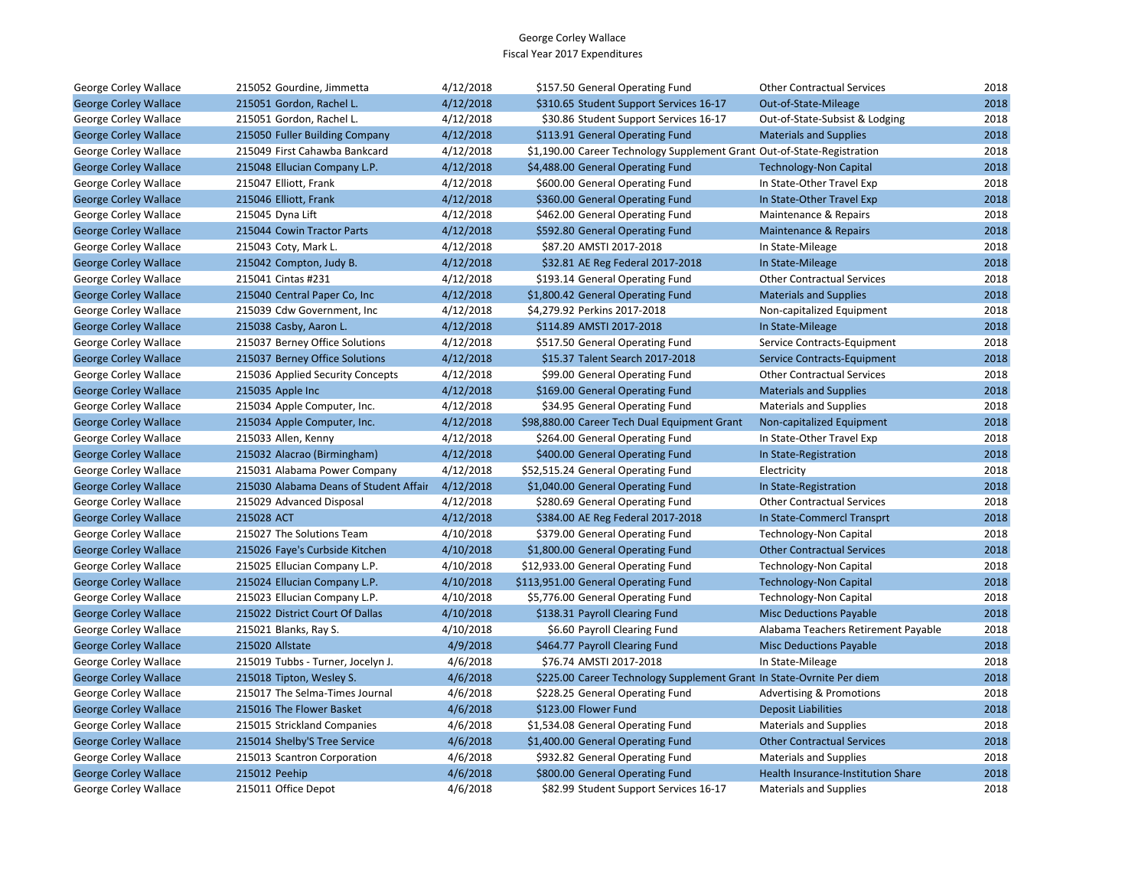| George Corley Wallace        | 215052 Gourdine, Jimmetta              | 4/12/2018 | \$157.50 General Operating Fund                                         | <b>Other Contractual Services</b>   | 2018 |
|------------------------------|----------------------------------------|-----------|-------------------------------------------------------------------------|-------------------------------------|------|
| <b>George Corley Wallace</b> | 215051 Gordon, Rachel L.               | 4/12/2018 | \$310.65 Student Support Services 16-17                                 | Out-of-State-Mileage                | 2018 |
| George Corley Wallace        | 215051 Gordon, Rachel L.               | 4/12/2018 | \$30.86 Student Support Services 16-17                                  | Out-of-State-Subsist & Lodging      | 2018 |
| <b>George Corley Wallace</b> | 215050 Fuller Building Company         | 4/12/2018 | \$113.91 General Operating Fund                                         | <b>Materials and Supplies</b>       | 2018 |
| George Corley Wallace        | 215049 First Cahawba Bankcard          | 4/12/2018 | \$1,190.00 Career Technology Supplement Grant Out-of-State-Registration |                                     | 2018 |
| <b>George Corley Wallace</b> | 215048 Ellucian Company L.P.           | 4/12/2018 | \$4,488.00 General Operating Fund                                       | <b>Technology-Non Capital</b>       | 2018 |
| George Corley Wallace        | 215047 Elliott, Frank                  | 4/12/2018 | \$600.00 General Operating Fund                                         | In State-Other Travel Exp           | 2018 |
| <b>George Corley Wallace</b> | 215046 Elliott, Frank                  | 4/12/2018 | \$360.00 General Operating Fund                                         | In State-Other Travel Exp           | 2018 |
| George Corley Wallace        | 215045 Dyna Lift                       | 4/12/2018 | \$462.00 General Operating Fund                                         | Maintenance & Repairs               | 2018 |
| <b>George Corley Wallace</b> | 215044 Cowin Tractor Parts             | 4/12/2018 | \$592.80 General Operating Fund                                         | <b>Maintenance &amp; Repairs</b>    | 2018 |
| George Corley Wallace        | 215043 Coty, Mark L.                   | 4/12/2018 | \$87.20 AMSTI 2017-2018                                                 | In State-Mileage                    | 2018 |
| <b>George Corley Wallace</b> | 215042 Compton, Judy B.                | 4/12/2018 | \$32.81 AE Reg Federal 2017-2018                                        | In State-Mileage                    | 2018 |
| George Corley Wallace        | 215041 Cintas #231                     | 4/12/2018 | \$193.14 General Operating Fund                                         | <b>Other Contractual Services</b>   | 2018 |
| <b>George Corley Wallace</b> | 215040 Central Paper Co, Inc           | 4/12/2018 | \$1,800.42 General Operating Fund                                       | <b>Materials and Supplies</b>       | 2018 |
| George Corley Wallace        | 215039 Cdw Government, Inc.            | 4/12/2018 | \$4,279.92 Perkins 2017-2018                                            | Non-capitalized Equipment           | 2018 |
| <b>George Corley Wallace</b> | 215038 Casby, Aaron L.                 | 4/12/2018 | \$114.89 AMSTI 2017-2018                                                | In State-Mileage                    | 2018 |
| George Corley Wallace        | 215037 Berney Office Solutions         | 4/12/2018 | \$517.50 General Operating Fund                                         | Service Contracts-Equipment         | 2018 |
| <b>George Corley Wallace</b> | 215037 Berney Office Solutions         | 4/12/2018 | \$15.37 Talent Search 2017-2018                                         | Service Contracts-Equipment         | 2018 |
| George Corley Wallace        | 215036 Applied Security Concepts       | 4/12/2018 | \$99.00 General Operating Fund                                          | <b>Other Contractual Services</b>   | 2018 |
| <b>George Corley Wallace</b> | 215035 Apple Inc                       | 4/12/2018 | \$169.00 General Operating Fund                                         | <b>Materials and Supplies</b>       | 2018 |
| George Corley Wallace        | 215034 Apple Computer, Inc.            | 4/12/2018 | \$34.95 General Operating Fund                                          | <b>Materials and Supplies</b>       | 2018 |
| <b>George Corley Wallace</b> | 215034 Apple Computer, Inc.            | 4/12/2018 | \$98,880.00 Career Tech Dual Equipment Grant                            | Non-capitalized Equipment           | 2018 |
| George Corley Wallace        | 215033 Allen, Kenny                    | 4/12/2018 | \$264.00 General Operating Fund                                         | In State-Other Travel Exp           | 2018 |
| <b>George Corley Wallace</b> | 215032 Alacrao (Birmingham)            | 4/12/2018 | \$400.00 General Operating Fund                                         | In State-Registration               | 2018 |
| George Corley Wallace        | 215031 Alabama Power Company           | 4/12/2018 | \$52,515.24 General Operating Fund                                      | Electricity                         | 2018 |
| <b>George Corley Wallace</b> | 215030 Alabama Deans of Student Affair | 4/12/2018 | \$1,040.00 General Operating Fund                                       | In State-Registration               | 2018 |
| George Corley Wallace        | 215029 Advanced Disposal               | 4/12/2018 | \$280.69 General Operating Fund                                         | <b>Other Contractual Services</b>   | 2018 |
| <b>George Corley Wallace</b> | 215028 ACT                             | 4/12/2018 | \$384.00 AE Reg Federal 2017-2018                                       | In State-Commercl Transprt          | 2018 |
| George Corley Wallace        | 215027 The Solutions Team              | 4/10/2018 | \$379.00 General Operating Fund                                         | Technology-Non Capital              | 2018 |
| <b>George Corley Wallace</b> | 215026 Faye's Curbside Kitchen         | 4/10/2018 | \$1,800.00 General Operating Fund                                       | <b>Other Contractual Services</b>   | 2018 |
| George Corley Wallace        | 215025 Ellucian Company L.P.           | 4/10/2018 | \$12,933.00 General Operating Fund                                      | <b>Technology-Non Capital</b>       | 2018 |
| <b>George Corley Wallace</b> | 215024 Ellucian Company L.P.           | 4/10/2018 | \$113,951.00 General Operating Fund                                     | <b>Technology-Non Capital</b>       | 2018 |
| George Corley Wallace        | 215023 Ellucian Company L.P.           | 4/10/2018 | \$5,776.00 General Operating Fund                                       | <b>Technology-Non Capital</b>       | 2018 |
| <b>George Corley Wallace</b> | 215022 District Court Of Dallas        | 4/10/2018 | \$138.31 Payroll Clearing Fund                                          | <b>Misc Deductions Payable</b>      | 2018 |
| George Corley Wallace        | 215021 Blanks, Ray S.                  | 4/10/2018 | \$6.60 Payroll Clearing Fund                                            | Alabama Teachers Retirement Payable | 2018 |
| <b>George Corley Wallace</b> | 215020 Allstate                        | 4/9/2018  | \$464.77 Payroll Clearing Fund                                          | <b>Misc Deductions Payable</b>      | 2018 |
| George Corley Wallace        | 215019 Tubbs - Turner, Jocelyn J.      | 4/6/2018  | \$76.74 AMSTI 2017-2018                                                 | In State-Mileage                    | 2018 |
| <b>George Corley Wallace</b> | 215018 Tipton, Wesley S.               | 4/6/2018  | \$225.00 Career Technology Supplement Grant In State-Ovrnite Per diem   |                                     | 2018 |
| George Corley Wallace        | 215017 The Selma-Times Journal         | 4/6/2018  | \$228.25 General Operating Fund                                         | <b>Advertising &amp; Promotions</b> | 2018 |
| <b>George Corley Wallace</b> | 215016 The Flower Basket               | 4/6/2018  | \$123.00 Flower Fund                                                    | <b>Deposit Liabilities</b>          | 2018 |
| George Corley Wallace        | 215015 Strickland Companies            | 4/6/2018  | \$1,534.08 General Operating Fund                                       | <b>Materials and Supplies</b>       | 2018 |
| <b>George Corley Wallace</b> | 215014 Shelby'S Tree Service           | 4/6/2018  | \$1,400.00 General Operating Fund                                       | <b>Other Contractual Services</b>   | 2018 |
| George Corley Wallace        | 215013 Scantron Corporation            | 4/6/2018  | \$932.82 General Operating Fund                                         | <b>Materials and Supplies</b>       | 2018 |
| <b>George Corley Wallace</b> | 215012 Peehip                          | 4/6/2018  | \$800.00 General Operating Fund                                         | Health Insurance-Institution Share  | 2018 |
| George Corley Wallace        | 215011 Office Depot                    | 4/6/2018  | \$82.99 Student Support Services 16-17                                  | <b>Materials and Supplies</b>       | 2018 |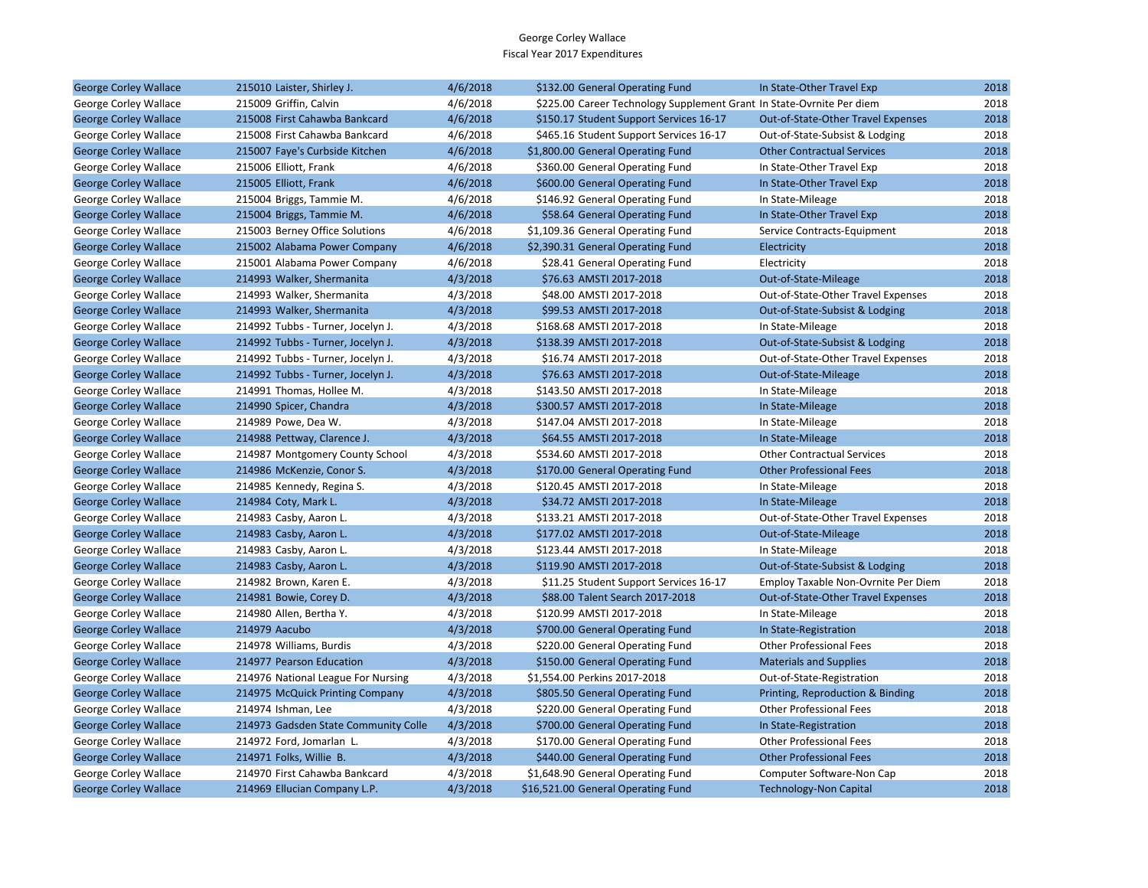| <b>George Corley Wallace</b> | 215010 Laister, Shirley J.           | 4/6/2018 | \$132.00 General Operating Fund                                       | In State-Other Travel Exp           | 2018 |
|------------------------------|--------------------------------------|----------|-----------------------------------------------------------------------|-------------------------------------|------|
| George Corley Wallace        | 215009 Griffin, Calvin               | 4/6/2018 | \$225.00 Career Technology Supplement Grant In State-Ovrnite Per diem |                                     | 2018 |
| <b>George Corley Wallace</b> | 215008 First Cahawba Bankcard        | 4/6/2018 | \$150.17 Student Support Services 16-17                               | Out-of-State-Other Travel Expenses  | 2018 |
| George Corley Wallace        | 215008 First Cahawba Bankcard        | 4/6/2018 | \$465.16 Student Support Services 16-17                               | Out-of-State-Subsist & Lodging      | 2018 |
| <b>George Corley Wallace</b> | 215007 Faye's Curbside Kitchen       | 4/6/2018 | \$1,800.00 General Operating Fund                                     | <b>Other Contractual Services</b>   | 2018 |
| George Corley Wallace        | 215006 Elliott, Frank                | 4/6/2018 | \$360.00 General Operating Fund                                       | In State-Other Travel Exp           | 2018 |
| <b>George Corley Wallace</b> | 215005 Elliott, Frank                | 4/6/2018 | \$600.00 General Operating Fund                                       | In State-Other Travel Exp           | 2018 |
| George Corley Wallace        | 215004 Briggs, Tammie M.             | 4/6/2018 | \$146.92 General Operating Fund                                       | In State-Mileage                    | 2018 |
| <b>George Corley Wallace</b> | 215004 Briggs, Tammie M.             | 4/6/2018 | \$58.64 General Operating Fund                                        | In State-Other Travel Exp           | 2018 |
| George Corley Wallace        | 215003 Berney Office Solutions       | 4/6/2018 | \$1,109.36 General Operating Fund                                     | Service Contracts-Equipment         | 2018 |
| <b>George Corley Wallace</b> | 215002 Alabama Power Company         | 4/6/2018 | \$2,390.31 General Operating Fund                                     | Electricity                         | 2018 |
| George Corley Wallace        | 215001 Alabama Power Company         | 4/6/2018 | \$28.41 General Operating Fund                                        | Electricity                         | 2018 |
| <b>George Corley Wallace</b> | 214993 Walker, Shermanita            | 4/3/2018 | \$76.63 AMSTI 2017-2018                                               | Out-of-State-Mileage                | 2018 |
| George Corley Wallace        | 214993 Walker, Shermanita            | 4/3/2018 | \$48.00 AMSTI 2017-2018                                               | Out-of-State-Other Travel Expenses  | 2018 |
| <b>George Corley Wallace</b> | 214993 Walker, Shermanita            | 4/3/2018 | \$99.53 AMSTI 2017-2018                                               | Out-of-State-Subsist & Lodging      | 2018 |
| George Corley Wallace        | 214992 Tubbs - Turner, Jocelyn J.    | 4/3/2018 | \$168.68 AMSTI 2017-2018                                              | In State-Mileage                    | 2018 |
| <b>George Corley Wallace</b> | 214992 Tubbs - Turner, Jocelyn J.    | 4/3/2018 | \$138.39 AMSTI 2017-2018                                              | Out-of-State-Subsist & Lodging      | 2018 |
| George Corley Wallace        | 214992 Tubbs - Turner, Jocelyn J.    | 4/3/2018 | \$16.74 AMSTI 2017-2018                                               | Out-of-State-Other Travel Expenses  | 2018 |
| <b>George Corley Wallace</b> | 214992 Tubbs - Turner, Jocelyn J.    | 4/3/2018 | \$76.63 AMSTI 2017-2018                                               | Out-of-State-Mileage                | 2018 |
| George Corley Wallace        | 214991 Thomas, Hollee M.             | 4/3/2018 | \$143.50 AMSTI 2017-2018                                              | In State-Mileage                    | 2018 |
| <b>George Corley Wallace</b> | 214990 Spicer, Chandra               | 4/3/2018 | \$300.57 AMSTI 2017-2018                                              | In State-Mileage                    | 2018 |
| George Corley Wallace        | 214989 Powe, Dea W.                  | 4/3/2018 | \$147.04 AMSTI 2017-2018                                              | In State-Mileage                    | 2018 |
| <b>George Corley Wallace</b> | 214988 Pettway, Clarence J.          | 4/3/2018 | \$64.55 AMSTI 2017-2018                                               | In State-Mileage                    | 2018 |
| George Corley Wallace        | 214987 Montgomery County School      | 4/3/2018 | \$534.60 AMSTI 2017-2018                                              | <b>Other Contractual Services</b>   | 2018 |
| <b>George Corley Wallace</b> | 214986 McKenzie, Conor S.            | 4/3/2018 | \$170.00 General Operating Fund                                       | <b>Other Professional Fees</b>      | 2018 |
| George Corley Wallace        | 214985 Kennedy, Regina S.            | 4/3/2018 | \$120.45 AMSTI 2017-2018                                              | In State-Mileage                    | 2018 |
| <b>George Corley Wallace</b> | 214984 Coty, Mark L.                 | 4/3/2018 | \$34.72 AMSTI 2017-2018                                               | In State-Mileage                    | 2018 |
| George Corley Wallace        | 214983 Casby, Aaron L.               | 4/3/2018 | \$133.21 AMSTI 2017-2018                                              | Out-of-State-Other Travel Expenses  | 2018 |
| <b>George Corley Wallace</b> | 214983 Casby, Aaron L.               | 4/3/2018 | \$177.02 AMSTI 2017-2018                                              | Out-of-State-Mileage                | 2018 |
| George Corley Wallace        | 214983 Casby, Aaron L.               | 4/3/2018 | \$123.44 AMSTI 2017-2018                                              | In State-Mileage                    | 2018 |
| <b>George Corley Wallace</b> | 214983 Casby, Aaron L.               | 4/3/2018 | \$119.90 AMSTI 2017-2018                                              | Out-of-State-Subsist & Lodging      | 2018 |
| George Corley Wallace        | 214982 Brown, Karen E.               | 4/3/2018 | \$11.25 Student Support Services 16-17                                | Employ Taxable Non-Ovrnite Per Diem | 2018 |
| <b>George Corley Wallace</b> | 214981 Bowie, Corey D.               | 4/3/2018 | \$88.00 Talent Search 2017-2018                                       | Out-of-State-Other Travel Expenses  | 2018 |
| George Corley Wallace        | 214980 Allen, Bertha Y.              | 4/3/2018 | \$120.99 AMSTI 2017-2018                                              | In State-Mileage                    | 2018 |
| <b>George Corley Wallace</b> | 214979 Aacubo                        | 4/3/2018 | \$700.00 General Operating Fund                                       | In State-Registration               | 2018 |
| George Corley Wallace        | 214978 Williams, Burdis              | 4/3/2018 | \$220.00 General Operating Fund                                       | <b>Other Professional Fees</b>      | 2018 |
| <b>George Corley Wallace</b> | 214977 Pearson Education             | 4/3/2018 | \$150.00 General Operating Fund                                       | <b>Materials and Supplies</b>       | 2018 |
| George Corley Wallace        | 214976 National League For Nursing   | 4/3/2018 | \$1,554.00 Perkins 2017-2018                                          | Out-of-State-Registration           | 2018 |
| <b>George Corley Wallace</b> | 214975 McQuick Printing Company      | 4/3/2018 | \$805.50 General Operating Fund                                       | Printing, Reproduction & Binding    | 2018 |
| George Corley Wallace        | 214974 Ishman, Lee                   | 4/3/2018 | \$220.00 General Operating Fund                                       | <b>Other Professional Fees</b>      | 2018 |
| <b>George Corley Wallace</b> | 214973 Gadsden State Community Colle | 4/3/2018 | \$700.00 General Operating Fund                                       | In State-Registration               | 2018 |
| George Corley Wallace        | 214972 Ford, Jomarlan L.             | 4/3/2018 | \$170.00 General Operating Fund                                       | <b>Other Professional Fees</b>      | 2018 |
| <b>George Corley Wallace</b> | 214971 Folks, Willie B.              | 4/3/2018 | \$440.00 General Operating Fund                                       | <b>Other Professional Fees</b>      | 2018 |
| George Corley Wallace        | 214970 First Cahawba Bankcard        | 4/3/2018 | \$1,648.90 General Operating Fund                                     | Computer Software-Non Cap           | 2018 |
| <b>George Corley Wallace</b> | 214969 Ellucian Company L.P.         | 4/3/2018 | \$16,521.00 General Operating Fund                                    | <b>Technology-Non Capital</b>       | 2018 |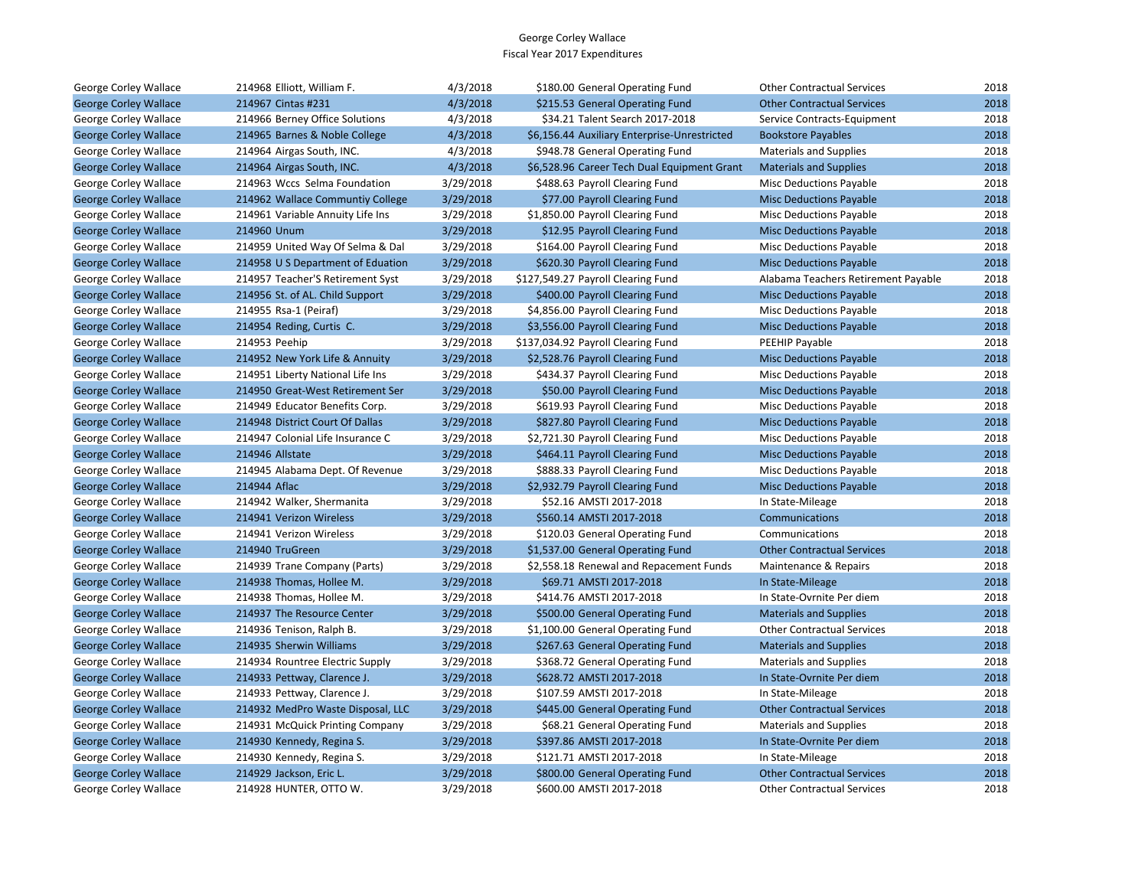| George Corley Wallace        | 214968 Elliott, William F.        | 4/3/2018  | \$180.00 General Operating Fund              | <b>Other Contractual Services</b>   | 2018 |
|------------------------------|-----------------------------------|-----------|----------------------------------------------|-------------------------------------|------|
| <b>George Corley Wallace</b> | 214967 Cintas #231                | 4/3/2018  | \$215.53 General Operating Fund              | <b>Other Contractual Services</b>   | 2018 |
| George Corley Wallace        | 214966 Berney Office Solutions    | 4/3/2018  | \$34.21 Talent Search 2017-2018              | Service Contracts-Equipment         | 2018 |
| <b>George Corley Wallace</b> | 214965 Barnes & Noble College     | 4/3/2018  | \$6,156.44 Auxiliary Enterprise-Unrestricted | <b>Bookstore Payables</b>           | 2018 |
| George Corley Wallace        | 214964 Airgas South, INC.         | 4/3/2018  | \$948.78 General Operating Fund              | <b>Materials and Supplies</b>       | 2018 |
| <b>George Corley Wallace</b> | 214964 Airgas South, INC.         | 4/3/2018  | \$6,528.96 Career Tech Dual Equipment Grant  | <b>Materials and Supplies</b>       | 2018 |
| George Corley Wallace        | 214963 Wccs Selma Foundation      | 3/29/2018 | \$488.63 Payroll Clearing Fund               | <b>Misc Deductions Payable</b>      | 2018 |
| <b>George Corley Wallace</b> | 214962 Wallace Communtiy College  | 3/29/2018 | \$77.00 Payroll Clearing Fund                | <b>Misc Deductions Payable</b>      | 2018 |
| George Corley Wallace        | 214961 Variable Annuity Life Ins  | 3/29/2018 | \$1,850.00 Payroll Clearing Fund             | Misc Deductions Payable             | 2018 |
| <b>George Corley Wallace</b> | 214960 Unum                       | 3/29/2018 | \$12.95 Payroll Clearing Fund                | <b>Misc Deductions Payable</b>      | 2018 |
| George Corley Wallace        | 214959 United Way Of Selma & Dal  | 3/29/2018 | \$164.00 Payroll Clearing Fund               | Misc Deductions Payable             | 2018 |
| <b>George Corley Wallace</b> | 214958 U S Department of Eduation | 3/29/2018 | \$620.30 Payroll Clearing Fund               | <b>Misc Deductions Payable</b>      | 2018 |
| George Corley Wallace        | 214957 Teacher'S Retirement Syst  | 3/29/2018 | \$127,549.27 Payroll Clearing Fund           | Alabama Teachers Retirement Payable | 2018 |
| <b>George Corley Wallace</b> | 214956 St. of AL. Child Support   | 3/29/2018 | \$400.00 Payroll Clearing Fund               | <b>Misc Deductions Payable</b>      | 2018 |
| George Corley Wallace        | 214955 Rsa-1 (Peiraf)             | 3/29/2018 | \$4,856.00 Payroll Clearing Fund             | <b>Misc Deductions Payable</b>      | 2018 |
| <b>George Corley Wallace</b> | 214954 Reding, Curtis C.          | 3/29/2018 | \$3,556.00 Payroll Clearing Fund             | <b>Misc Deductions Payable</b>      | 2018 |
| George Corley Wallace        | 214953 Peehip                     | 3/29/2018 | \$137,034.92 Payroll Clearing Fund           | PEEHIP Payable                      | 2018 |
| <b>George Corley Wallace</b> | 214952 New York Life & Annuity    | 3/29/2018 | \$2,528.76 Payroll Clearing Fund             | <b>Misc Deductions Payable</b>      | 2018 |
| George Corley Wallace        | 214951 Liberty National Life Ins  | 3/29/2018 | \$434.37 Payroll Clearing Fund               | <b>Misc Deductions Payable</b>      | 2018 |
| <b>George Corley Wallace</b> | 214950 Great-West Retirement Ser  | 3/29/2018 | \$50.00 Payroll Clearing Fund                | <b>Misc Deductions Payable</b>      | 2018 |
| George Corley Wallace        | 214949 Educator Benefits Corp.    | 3/29/2018 | \$619.93 Payroll Clearing Fund               | Misc Deductions Payable             | 2018 |
| <b>George Corley Wallace</b> | 214948 District Court Of Dallas   | 3/29/2018 | \$827.80 Payroll Clearing Fund               | <b>Misc Deductions Payable</b>      | 2018 |
| George Corley Wallace        | 214947 Colonial Life Insurance C  | 3/29/2018 | \$2,721.30 Payroll Clearing Fund             | <b>Misc Deductions Payable</b>      | 2018 |
| <b>George Corley Wallace</b> | 214946 Allstate                   | 3/29/2018 | \$464.11 Payroll Clearing Fund               | <b>Misc Deductions Payable</b>      | 2018 |
| George Corley Wallace        | 214945 Alabama Dept. Of Revenue   | 3/29/2018 | \$888.33 Payroll Clearing Fund               | <b>Misc Deductions Payable</b>      | 2018 |
| <b>George Corley Wallace</b> | 214944 Aflac                      | 3/29/2018 | \$2,932.79 Payroll Clearing Fund             | <b>Misc Deductions Payable</b>      | 2018 |
| George Corley Wallace        | 214942 Walker, Shermanita         | 3/29/2018 | \$52.16 AMSTI 2017-2018                      | In State-Mileage                    | 2018 |
| <b>George Corley Wallace</b> | 214941 Verizon Wireless           | 3/29/2018 | \$560.14 AMSTI 2017-2018                     | Communications                      | 2018 |
| George Corley Wallace        | 214941 Verizon Wireless           | 3/29/2018 | \$120.03 General Operating Fund              | Communications                      | 2018 |
| <b>George Corley Wallace</b> | 214940 TruGreen                   | 3/29/2018 | \$1,537.00 General Operating Fund            | <b>Other Contractual Services</b>   | 2018 |
| George Corley Wallace        | 214939 Trane Company (Parts)      | 3/29/2018 | \$2,558.18 Renewal and Repacement Funds      | Maintenance & Repairs               | 2018 |
| <b>George Corley Wallace</b> | 214938 Thomas, Hollee M.          | 3/29/2018 | \$69.71 AMSTI 2017-2018                      | In State-Mileage                    | 2018 |
| George Corley Wallace        | 214938 Thomas, Hollee M.          | 3/29/2018 | \$414.76 AMSTI 2017-2018                     | In State-Ovrnite Per diem           | 2018 |
| <b>George Corley Wallace</b> | 214937 The Resource Center        | 3/29/2018 | \$500.00 General Operating Fund              | <b>Materials and Supplies</b>       | 2018 |
| George Corley Wallace        | 214936 Tenison, Ralph B.          | 3/29/2018 | \$1,100.00 General Operating Fund            | <b>Other Contractual Services</b>   | 2018 |
| <b>George Corley Wallace</b> | 214935 Sherwin Williams           | 3/29/2018 | \$267.63 General Operating Fund              | <b>Materials and Supplies</b>       | 2018 |
| George Corley Wallace        | 214934 Rountree Electric Supply   | 3/29/2018 | \$368.72 General Operating Fund              | <b>Materials and Supplies</b>       | 2018 |
| <b>George Corley Wallace</b> | 214933 Pettway, Clarence J.       | 3/29/2018 | \$628.72 AMSTI 2017-2018                     | In State-Ovrnite Per diem           | 2018 |
| George Corley Wallace        | 214933 Pettway, Clarence J.       | 3/29/2018 | \$107.59 AMSTI 2017-2018                     | In State-Mileage                    | 2018 |
| <b>George Corley Wallace</b> | 214932 MedPro Waste Disposal, LLC | 3/29/2018 | \$445.00 General Operating Fund              | <b>Other Contractual Services</b>   | 2018 |
| George Corley Wallace        | 214931 McQuick Printing Company   | 3/29/2018 | \$68.21 General Operating Fund               | <b>Materials and Supplies</b>       | 2018 |
| <b>George Corley Wallace</b> | 214930 Kennedy, Regina S.         | 3/29/2018 | \$397.86 AMSTI 2017-2018                     | In State-Ovrnite Per diem           | 2018 |
| George Corley Wallace        | 214930 Kennedy, Regina S.         | 3/29/2018 | \$121.71 AMSTI 2017-2018                     | In State-Mileage                    | 2018 |
| <b>George Corley Wallace</b> | 214929 Jackson, Eric L.           | 3/29/2018 | \$800.00 General Operating Fund              | <b>Other Contractual Services</b>   | 2018 |
| George Corley Wallace        | 214928 HUNTER, OTTO W.            | 3/29/2018 | \$600.00 AMSTI 2017-2018                     | <b>Other Contractual Services</b>   | 2018 |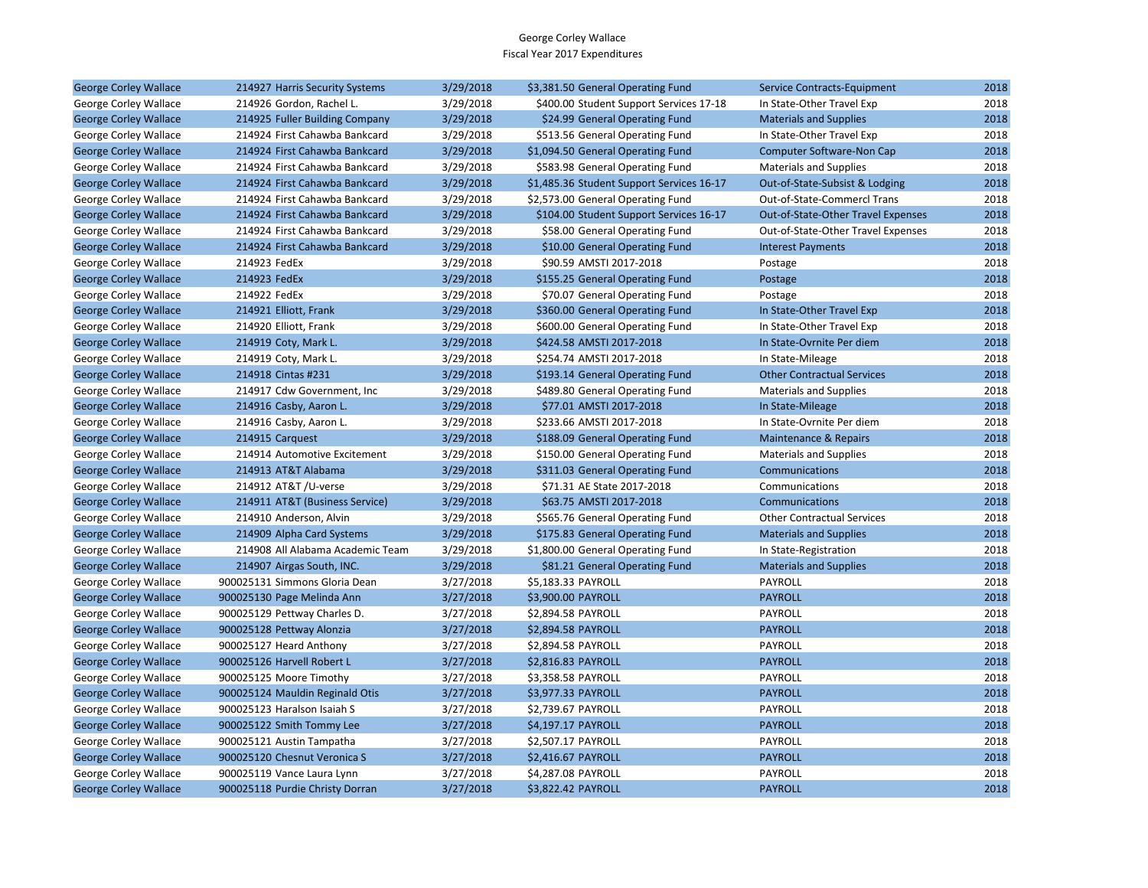| <b>George Corley Wallace</b> | 214927 Harris Security Systems   | 3/29/2018 | \$3,381.50 General Operating Fund         | Service Contracts-Equipment        | 2018 |
|------------------------------|----------------------------------|-----------|-------------------------------------------|------------------------------------|------|
| George Corley Wallace        | 214926 Gordon, Rachel L.         | 3/29/2018 | \$400.00 Student Support Services 17-18   | In State-Other Travel Exp          | 2018 |
| <b>George Corley Wallace</b> | 214925 Fuller Building Company   | 3/29/2018 | \$24.99 General Operating Fund            | <b>Materials and Supplies</b>      | 2018 |
| George Corley Wallace        | 214924 First Cahawba Bankcard    | 3/29/2018 | \$513.56 General Operating Fund           | In State-Other Travel Exp          | 2018 |
| <b>George Corley Wallace</b> | 214924 First Cahawba Bankcard    | 3/29/2018 | \$1,094.50 General Operating Fund         | <b>Computer Software-Non Cap</b>   | 2018 |
| George Corley Wallace        | 214924 First Cahawba Bankcard    | 3/29/2018 | \$583.98 General Operating Fund           | <b>Materials and Supplies</b>      | 2018 |
| <b>George Corley Wallace</b> | 214924 First Cahawba Bankcard    | 3/29/2018 | \$1,485.36 Student Support Services 16-17 | Out-of-State-Subsist & Lodging     | 2018 |
| George Corley Wallace        | 214924 First Cahawba Bankcard    | 3/29/2018 | \$2,573.00 General Operating Fund         | Out-of-State-Commercl Trans        | 2018 |
| <b>George Corley Wallace</b> | 214924 First Cahawba Bankcard    | 3/29/2018 | \$104.00 Student Support Services 16-17   | Out-of-State-Other Travel Expenses | 2018 |
| George Corley Wallace        | 214924 First Cahawba Bankcard    | 3/29/2018 | \$58.00 General Operating Fund            | Out-of-State-Other Travel Expenses | 2018 |
| <b>George Corley Wallace</b> | 214924 First Cahawba Bankcard    | 3/29/2018 | \$10.00 General Operating Fund            | <b>Interest Payments</b>           | 2018 |
| George Corley Wallace        | 214923 FedEx                     | 3/29/2018 | \$90.59 AMSTI 2017-2018                   | Postage                            | 2018 |
| <b>George Corley Wallace</b> | 214923 FedEx                     | 3/29/2018 | \$155.25 General Operating Fund           | Postage                            | 2018 |
| George Corley Wallace        | 214922 FedEx                     | 3/29/2018 | \$70.07 General Operating Fund            | Postage                            | 2018 |
| <b>George Corley Wallace</b> | 214921 Elliott, Frank            | 3/29/2018 | \$360.00 General Operating Fund           | In State-Other Travel Exp          | 2018 |
| George Corley Wallace        | 214920 Elliott, Frank            | 3/29/2018 | \$600.00 General Operating Fund           | In State-Other Travel Exp          | 2018 |
| <b>George Corley Wallace</b> | 214919 Coty, Mark L.             | 3/29/2018 | \$424.58 AMSTI 2017-2018                  | In State-Ovrnite Per diem          | 2018 |
| George Corley Wallace        | 214919 Coty, Mark L.             | 3/29/2018 | \$254.74 AMSTI 2017-2018                  | In State-Mileage                   | 2018 |
| <b>George Corley Wallace</b> | 214918 Cintas #231               | 3/29/2018 | \$193.14 General Operating Fund           | <b>Other Contractual Services</b>  | 2018 |
| George Corley Wallace        | 214917 Cdw Government, Inc.      | 3/29/2018 | \$489.80 General Operating Fund           | <b>Materials and Supplies</b>      | 2018 |
| <b>George Corley Wallace</b> | 214916 Casby, Aaron L.           | 3/29/2018 | \$77.01 AMSTI 2017-2018                   | In State-Mileage                   | 2018 |
| George Corley Wallace        | 214916 Casby, Aaron L.           | 3/29/2018 | \$233.66 AMSTI 2017-2018                  | In State-Ovrnite Per diem          | 2018 |
| <b>George Corley Wallace</b> | 214915 Carquest                  | 3/29/2018 | \$188.09 General Operating Fund           | <b>Maintenance &amp; Repairs</b>   | 2018 |
| George Corley Wallace        | 214914 Automotive Excitement     | 3/29/2018 | \$150.00 General Operating Fund           | <b>Materials and Supplies</b>      | 2018 |
| <b>George Corley Wallace</b> | 214913 AT&T Alabama              | 3/29/2018 | \$311.03 General Operating Fund           | Communications                     | 2018 |
| George Corley Wallace        | 214912 AT&T /U-verse             | 3/29/2018 | \$71.31 AE State 2017-2018                | Communications                     | 2018 |
| <b>George Corley Wallace</b> | 214911 AT&T (Business Service)   | 3/29/2018 | \$63.75 AMSTI 2017-2018                   | Communications                     | 2018 |
| George Corley Wallace        | 214910 Anderson, Alvin           | 3/29/2018 | \$565.76 General Operating Fund           | <b>Other Contractual Services</b>  | 2018 |
| <b>George Corley Wallace</b> | 214909 Alpha Card Systems        | 3/29/2018 | \$175.83 General Operating Fund           | <b>Materials and Supplies</b>      | 2018 |
| George Corley Wallace        | 214908 All Alabama Academic Team | 3/29/2018 | \$1,800.00 General Operating Fund         | In State-Registration              | 2018 |
| <b>George Corley Wallace</b> | 214907 Airgas South, INC.        | 3/29/2018 | \$81.21 General Operating Fund            | <b>Materials and Supplies</b>      | 2018 |
| George Corley Wallace        | 900025131 Simmons Gloria Dean    | 3/27/2018 | \$5,183.33 PAYROLL                        | <b>PAYROLL</b>                     | 2018 |
| <b>George Corley Wallace</b> | 900025130 Page Melinda Ann       | 3/27/2018 | \$3,900.00 PAYROLL                        | <b>PAYROLL</b>                     | 2018 |
| George Corley Wallace        | 900025129 Pettway Charles D.     | 3/27/2018 | \$2,894.58 PAYROLL                        | PAYROLL                            | 2018 |
| <b>George Corley Wallace</b> | 900025128 Pettway Alonzia        | 3/27/2018 | \$2,894.58 PAYROLL                        | <b>PAYROLL</b>                     | 2018 |
| George Corley Wallace        | 900025127 Heard Anthony          | 3/27/2018 | \$2,894.58 PAYROLL                        | <b>PAYROLL</b>                     | 2018 |
| <b>George Corley Wallace</b> | 900025126 Harvell Robert L       | 3/27/2018 | \$2,816.83 PAYROLL                        | <b>PAYROLL</b>                     | 2018 |
| George Corley Wallace        | 900025125 Moore Timothy          | 3/27/2018 | \$3,358.58 PAYROLL                        | PAYROLL                            | 2018 |
| <b>George Corley Wallace</b> | 900025124 Mauldin Reginald Otis  | 3/27/2018 | \$3,977.33 PAYROLL                        | <b>PAYROLL</b>                     | 2018 |
| George Corley Wallace        | 900025123 Haralson Isaiah S      | 3/27/2018 | \$2,739.67 PAYROLL                        | <b>PAYROLL</b>                     | 2018 |
| <b>George Corley Wallace</b> | 900025122 Smith Tommy Lee        | 3/27/2018 | \$4,197.17 PAYROLL                        | <b>PAYROLL</b>                     | 2018 |
| George Corley Wallace        | 900025121 Austin Tampatha        | 3/27/2018 | \$2,507.17 PAYROLL                        | PAYROLL                            | 2018 |
| <b>George Corley Wallace</b> | 900025120 Chesnut Veronica S     | 3/27/2018 | \$2,416.67 PAYROLL                        | <b>PAYROLL</b>                     | 2018 |
| George Corley Wallace        | 900025119 Vance Laura Lynn       | 3/27/2018 | \$4,287.08 PAYROLL                        | <b>PAYROLL</b>                     | 2018 |
| <b>George Corley Wallace</b> | 900025118 Purdie Christy Dorran  | 3/27/2018 | \$3,822.42 PAYROLL                        | <b>PAYROLL</b>                     | 2018 |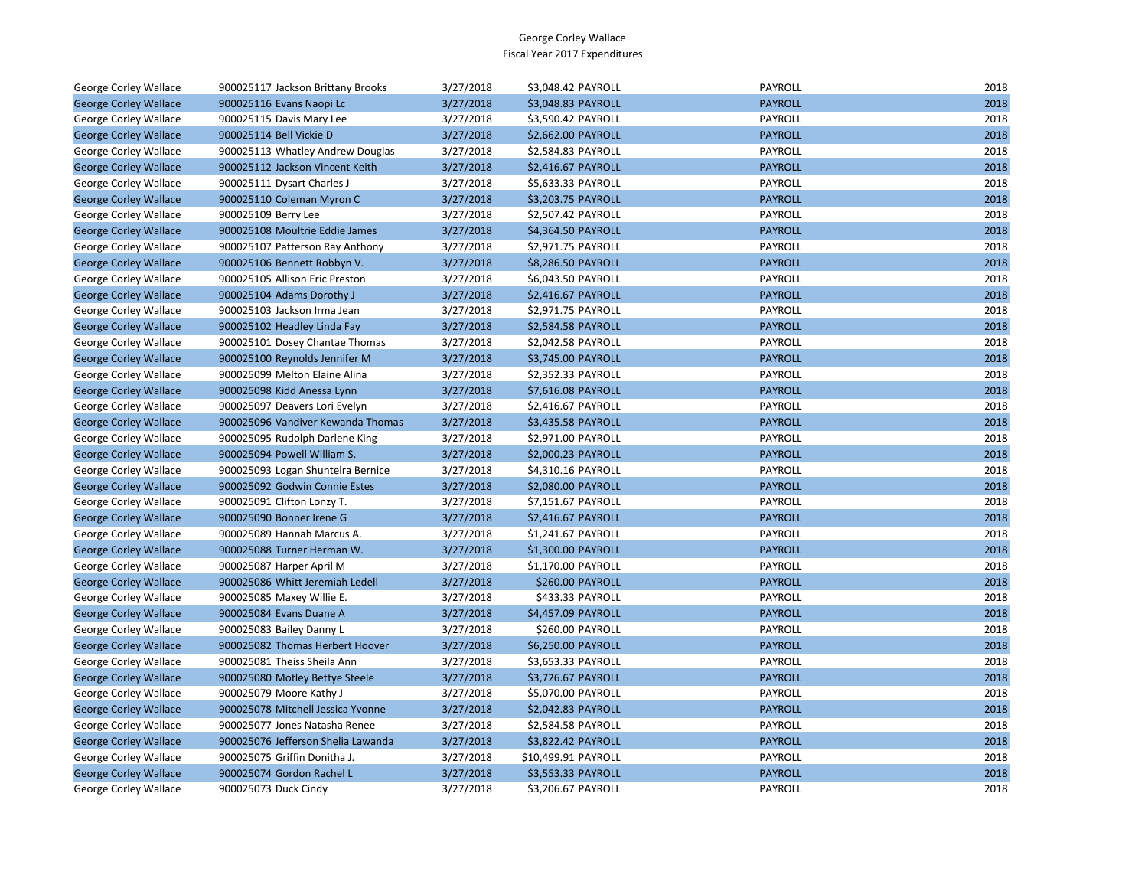| George Corley Wallace        | 900025117 Jackson Brittany Brooks  | 3/27/2018 | \$3,048.42 PAYROLL  | <b>PAYROLL</b> | 2018 |
|------------------------------|------------------------------------|-----------|---------------------|----------------|------|
| <b>George Corley Wallace</b> | 900025116 Evans Naopi Lc           | 3/27/2018 | \$3,048.83 PAYROLL  | <b>PAYROLL</b> | 2018 |
| George Corley Wallace        | 900025115 Davis Mary Lee           | 3/27/2018 | \$3,590.42 PAYROLL  | PAYROLL        | 2018 |
| <b>George Corley Wallace</b> | 900025114 Bell Vickie D            | 3/27/2018 | \$2,662.00 PAYROLL  | <b>PAYROLL</b> | 2018 |
| George Corley Wallace        | 900025113 Whatley Andrew Douglas   | 3/27/2018 | \$2,584.83 PAYROLL  | PAYROLL        | 2018 |
| <b>George Corley Wallace</b> | 900025112 Jackson Vincent Keith    | 3/27/2018 | \$2,416.67 PAYROLL  | <b>PAYROLL</b> | 2018 |
| George Corley Wallace        | 900025111 Dysart Charles J         | 3/27/2018 | \$5,633.33 PAYROLL  | PAYROLL        | 2018 |
| <b>George Corley Wallace</b> | 900025110 Coleman Myron C          | 3/27/2018 | \$3,203.75 PAYROLL  | <b>PAYROLL</b> | 2018 |
| George Corley Wallace        | 900025109 Berry Lee                | 3/27/2018 | \$2,507.42 PAYROLL  | PAYROLL        | 2018 |
| <b>George Corley Wallace</b> | 900025108 Moultrie Eddie James     | 3/27/2018 | \$4,364.50 PAYROLL  | <b>PAYROLL</b> | 2018 |
| George Corley Wallace        | 900025107 Patterson Ray Anthony    | 3/27/2018 | \$2,971.75 PAYROLL  | PAYROLL        | 2018 |
| <b>George Corley Wallace</b> | 900025106 Bennett Robbyn V.        | 3/27/2018 | \$8,286.50 PAYROLL  | <b>PAYROLL</b> | 2018 |
| George Corley Wallace        | 900025105 Allison Eric Preston     | 3/27/2018 | \$6,043.50 PAYROLL  | <b>PAYROLL</b> | 2018 |
| <b>George Corley Wallace</b> | 900025104 Adams Dorothy J          | 3/27/2018 | \$2,416.67 PAYROLL  | <b>PAYROLL</b> | 2018 |
| George Corley Wallace        | 900025103 Jackson Irma Jean        | 3/27/2018 | \$2,971.75 PAYROLL  | PAYROLL        | 2018 |
| <b>George Corley Wallace</b> | 900025102 Headley Linda Fay        | 3/27/2018 | \$2,584.58 PAYROLL  | <b>PAYROLL</b> | 2018 |
| George Corley Wallace        | 900025101 Dosey Chantae Thomas     | 3/27/2018 | \$2,042.58 PAYROLL  | PAYROLL        | 2018 |
| <b>George Corley Wallace</b> | 900025100 Reynolds Jennifer M      | 3/27/2018 | \$3,745.00 PAYROLL  | <b>PAYROLL</b> | 2018 |
| George Corley Wallace        | 900025099 Melton Elaine Alina      | 3/27/2018 | \$2,352.33 PAYROLL  | PAYROLL        | 2018 |
| <b>George Corley Wallace</b> | 900025098 Kidd Anessa Lynn         | 3/27/2018 | \$7,616.08 PAYROLL  | <b>PAYROLL</b> | 2018 |
| George Corley Wallace        | 900025097 Deavers Lori Evelyn      | 3/27/2018 | \$2,416.67 PAYROLL  | PAYROLL        | 2018 |
| <b>George Corley Wallace</b> | 900025096 Vandiver Kewanda Thomas  | 3/27/2018 | \$3,435.58 PAYROLL  | <b>PAYROLL</b> | 2018 |
| George Corley Wallace        | 900025095 Rudolph Darlene King     | 3/27/2018 | \$2,971.00 PAYROLL  | PAYROLL        | 2018 |
| <b>George Corley Wallace</b> | 900025094 Powell William S.        | 3/27/2018 | \$2,000.23 PAYROLL  | <b>PAYROLL</b> | 2018 |
| George Corley Wallace        | 900025093 Logan Shuntelra Bernice  | 3/27/2018 | \$4,310.16 PAYROLL  | PAYROLL        | 2018 |
| <b>George Corley Wallace</b> | 900025092 Godwin Connie Estes      | 3/27/2018 | \$2,080.00 PAYROLL  | <b>PAYROLL</b> | 2018 |
| George Corley Wallace        | 900025091 Clifton Lonzy T.         | 3/27/2018 | \$7,151.67 PAYROLL  | PAYROLL        | 2018 |
| <b>George Corley Wallace</b> | 900025090 Bonner Irene G           | 3/27/2018 | \$2,416.67 PAYROLL  | <b>PAYROLL</b> | 2018 |
| George Corley Wallace        | 900025089 Hannah Marcus A.         | 3/27/2018 | \$1,241.67 PAYROLL  | PAYROLL        | 2018 |
| <b>George Corley Wallace</b> | 900025088 Turner Herman W.         | 3/27/2018 | \$1,300.00 PAYROLL  | <b>PAYROLL</b> | 2018 |
| George Corley Wallace        | 900025087 Harper April M           | 3/27/2018 | \$1,170.00 PAYROLL  | PAYROLL        | 2018 |
| <b>George Corley Wallace</b> | 900025086 Whitt Jeremiah Ledell    | 3/27/2018 | \$260.00 PAYROLL    | <b>PAYROLL</b> | 2018 |
| George Corley Wallace        | 900025085 Maxey Willie E.          | 3/27/2018 | \$433.33 PAYROLL    | PAYROLL        | 2018 |
| <b>George Corley Wallace</b> | 900025084 Evans Duane A            | 3/27/2018 | \$4,457.09 PAYROLL  | <b>PAYROLL</b> | 2018 |
| George Corley Wallace        | 900025083 Bailey Danny L           | 3/27/2018 | \$260.00 PAYROLL    | PAYROLL        | 2018 |
| <b>George Corley Wallace</b> | 900025082 Thomas Herbert Hoover    | 3/27/2018 | \$6,250.00 PAYROLL  | <b>PAYROLL</b> | 2018 |
| George Corley Wallace        | 900025081 Theiss Sheila Ann        | 3/27/2018 | \$3,653.33 PAYROLL  | PAYROLL        | 2018 |
| <b>George Corley Wallace</b> | 900025080 Motley Bettye Steele     | 3/27/2018 | \$3,726.67 PAYROLL  | <b>PAYROLL</b> | 2018 |
| George Corley Wallace        | 900025079 Moore Kathy J            | 3/27/2018 | \$5,070.00 PAYROLL  | PAYROLL        | 2018 |
| <b>George Corley Wallace</b> | 900025078 Mitchell Jessica Yvonne  | 3/27/2018 | \$2,042.83 PAYROLL  | <b>PAYROLL</b> | 2018 |
| George Corley Wallace        | 900025077 Jones Natasha Renee      | 3/27/2018 | \$2,584.58 PAYROLL  | PAYROLL        | 2018 |
| <b>George Corley Wallace</b> | 900025076 Jefferson Shelia Lawanda | 3/27/2018 | \$3,822.42 PAYROLL  | <b>PAYROLL</b> | 2018 |
| George Corley Wallace        | 900025075 Griffin Donitha J.       | 3/27/2018 | \$10,499.91 PAYROLL | PAYROLL        | 2018 |
| <b>George Corley Wallace</b> | 900025074 Gordon Rachel L          | 3/27/2018 | \$3,553.33 PAYROLL  | <b>PAYROLL</b> | 2018 |
| George Corley Wallace        | 900025073 Duck Cindy               | 3/27/2018 | \$3,206.67 PAYROLL  | PAYROLL        | 2018 |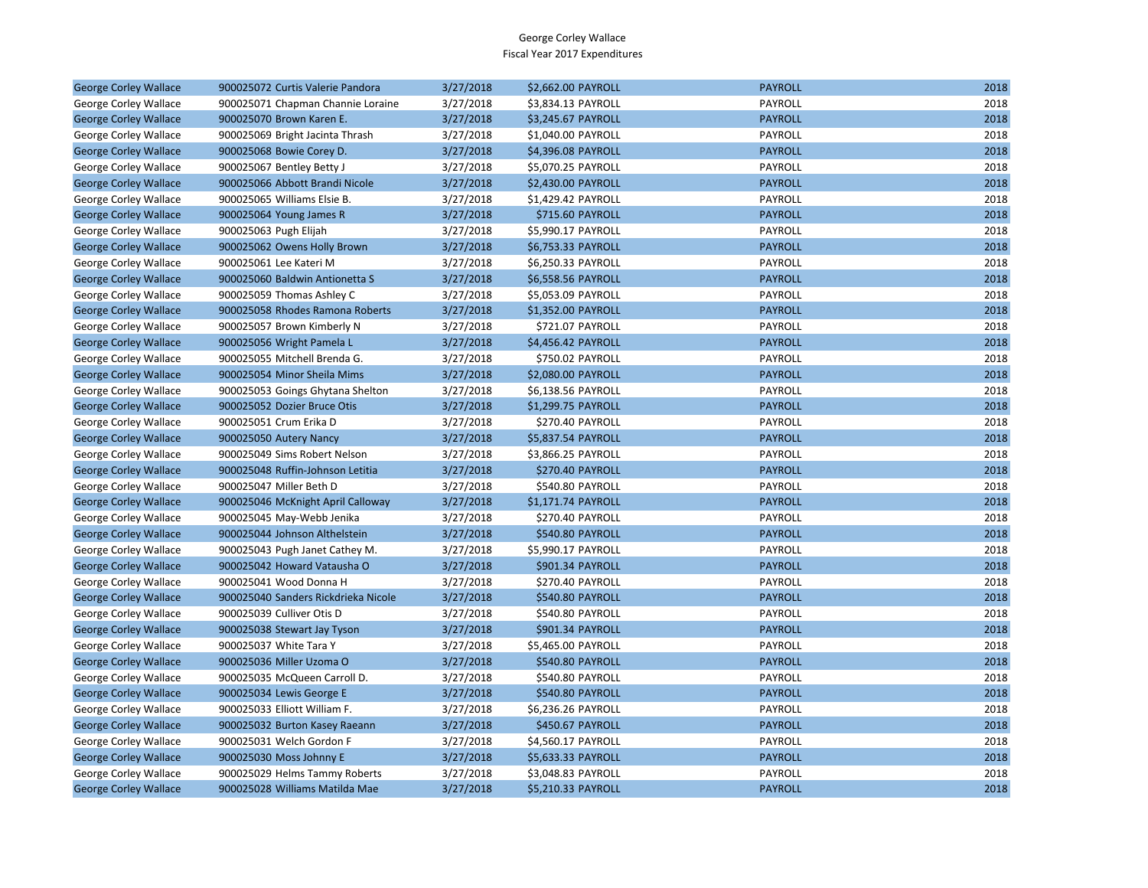| <b>George Corley Wallace</b> | 900025072 Curtis Valerie Pandora    | 3/27/2018 | \$2,662.00 PAYROLL | <b>PAYROLL</b> | 2018 |
|------------------------------|-------------------------------------|-----------|--------------------|----------------|------|
| George Corley Wallace        | 900025071 Chapman Channie Loraine   | 3/27/2018 | \$3,834.13 PAYROLL | PAYROLL        | 2018 |
| <b>George Corley Wallace</b> | 900025070 Brown Karen E.            | 3/27/2018 | \$3,245.67 PAYROLL | <b>PAYROLL</b> | 2018 |
| George Corley Wallace        | 900025069 Bright Jacinta Thrash     | 3/27/2018 | \$1,040.00 PAYROLL | PAYROLL        | 2018 |
| <b>George Corley Wallace</b> | 900025068 Bowie Corey D.            | 3/27/2018 | \$4,396.08 PAYROLL | <b>PAYROLL</b> | 2018 |
| George Corley Wallace        | 900025067 Bentley Betty J           | 3/27/2018 | \$5,070.25 PAYROLL | PAYROLL        | 2018 |
| <b>George Corley Wallace</b> | 900025066 Abbott Brandi Nicole      | 3/27/2018 | \$2,430.00 PAYROLL | <b>PAYROLL</b> | 2018 |
| George Corley Wallace        | 900025065 Williams Elsie B.         | 3/27/2018 | \$1,429.42 PAYROLL | PAYROLL        | 2018 |
| <b>George Corley Wallace</b> | 900025064 Young James R             | 3/27/2018 | \$715.60 PAYROLL   | <b>PAYROLL</b> | 2018 |
| George Corley Wallace        | 900025063 Pugh Elijah               | 3/27/2018 | \$5,990.17 PAYROLL | PAYROLL        | 2018 |
| <b>George Corley Wallace</b> | 900025062 Owens Holly Brown         | 3/27/2018 | \$6,753.33 PAYROLL | <b>PAYROLL</b> | 2018 |
| George Corley Wallace        | 900025061 Lee Kateri M              | 3/27/2018 | \$6,250.33 PAYROLL | PAYROLL        | 2018 |
| <b>George Corley Wallace</b> | 900025060 Baldwin Antionetta S      | 3/27/2018 | \$6,558.56 PAYROLL | <b>PAYROLL</b> | 2018 |
| George Corley Wallace        | 900025059 Thomas Ashley C           | 3/27/2018 | \$5,053.09 PAYROLL | PAYROLL        | 2018 |
| <b>George Corley Wallace</b> | 900025058 Rhodes Ramona Roberts     | 3/27/2018 | \$1,352.00 PAYROLL | <b>PAYROLL</b> | 2018 |
| George Corley Wallace        | 900025057 Brown Kimberly N          | 3/27/2018 | \$721.07 PAYROLL   | PAYROLL        | 2018 |
| <b>George Corley Wallace</b> | 900025056 Wright Pamela L           | 3/27/2018 | \$4,456.42 PAYROLL | <b>PAYROLL</b> | 2018 |
| George Corley Wallace        | 900025055 Mitchell Brenda G.        | 3/27/2018 | \$750.02 PAYROLL   | PAYROLL        | 2018 |
| <b>George Corley Wallace</b> | 900025054 Minor Sheila Mims         | 3/27/2018 | \$2,080.00 PAYROLL | <b>PAYROLL</b> | 2018 |
| George Corley Wallace        | 900025053 Goings Ghytana Shelton    | 3/27/2018 | \$6,138.56 PAYROLL | PAYROLL        | 2018 |
| <b>George Corley Wallace</b> | 900025052 Dozier Bruce Otis         | 3/27/2018 | \$1,299.75 PAYROLL | <b>PAYROLL</b> | 2018 |
| George Corley Wallace        | 900025051 Crum Erika D              | 3/27/2018 | \$270.40 PAYROLL   | PAYROLL        | 2018 |
| <b>George Corley Wallace</b> | 900025050 Autery Nancy              | 3/27/2018 | \$5,837.54 PAYROLL | <b>PAYROLL</b> | 2018 |
| George Corley Wallace        | 900025049 Sims Robert Nelson        | 3/27/2018 | \$3,866.25 PAYROLL | PAYROLL        | 2018 |
| <b>George Corley Wallace</b> | 900025048 Ruffin-Johnson Letitia    | 3/27/2018 | \$270.40 PAYROLL   | <b>PAYROLL</b> | 2018 |
| George Corley Wallace        | 900025047 Miller Beth D             | 3/27/2018 | \$540.80 PAYROLL   | PAYROLL        | 2018 |
| <b>George Corley Wallace</b> | 900025046 McKnight April Calloway   | 3/27/2018 | \$1,171.74 PAYROLL | <b>PAYROLL</b> | 2018 |
| George Corley Wallace        | 900025045 May-Webb Jenika           | 3/27/2018 | \$270.40 PAYROLL   | PAYROLL        | 2018 |
| <b>George Corley Wallace</b> | 900025044 Johnson Althelstein       | 3/27/2018 | \$540.80 PAYROLL   | <b>PAYROLL</b> | 2018 |
| George Corley Wallace        | 900025043 Pugh Janet Cathey M.      | 3/27/2018 | \$5,990.17 PAYROLL | PAYROLL        | 2018 |
| <b>George Corley Wallace</b> | 900025042 Howard Vatausha O         | 3/27/2018 | \$901.34 PAYROLL   | <b>PAYROLL</b> | 2018 |
| George Corley Wallace        | 900025041 Wood Donna H              | 3/27/2018 | \$270.40 PAYROLL   | PAYROLL        | 2018 |
| <b>George Corley Wallace</b> | 900025040 Sanders Rickdrieka Nicole | 3/27/2018 | \$540.80 PAYROLL   | <b>PAYROLL</b> | 2018 |
| George Corley Wallace        | 900025039 Culliver Otis D           | 3/27/2018 | \$540.80 PAYROLL   | PAYROLL        | 2018 |
| <b>George Corley Wallace</b> | 900025038 Stewart Jay Tyson         | 3/27/2018 | \$901.34 PAYROLL   | <b>PAYROLL</b> | 2018 |
| George Corley Wallace        | 900025037 White Tara Y              | 3/27/2018 | \$5,465.00 PAYROLL | PAYROLL        | 2018 |
| <b>George Corley Wallace</b> | 900025036 Miller Uzoma O            | 3/27/2018 | \$540.80 PAYROLL   | <b>PAYROLL</b> | 2018 |
| George Corley Wallace        | 900025035 McQueen Carroll D.        | 3/27/2018 | \$540.80 PAYROLL   | PAYROLL        | 2018 |
| <b>George Corley Wallace</b> | 900025034 Lewis George E            | 3/27/2018 | \$540.80 PAYROLL   | <b>PAYROLL</b> | 2018 |
| George Corley Wallace        | 900025033 Elliott William F.        | 3/27/2018 | \$6,236.26 PAYROLL | PAYROLL        | 2018 |
| <b>George Corley Wallace</b> | 900025032 Burton Kasey Raeann       | 3/27/2018 | \$450.67 PAYROLL   | <b>PAYROLL</b> | 2018 |
| George Corley Wallace        | 900025031 Welch Gordon F            | 3/27/2018 | \$4,560.17 PAYROLL | PAYROLL        | 2018 |
| <b>George Corley Wallace</b> | 900025030 Moss Johnny E             | 3/27/2018 | \$5,633.33 PAYROLL | <b>PAYROLL</b> | 2018 |
| George Corley Wallace        | 900025029 Helms Tammy Roberts       | 3/27/2018 | \$3,048.83 PAYROLL | PAYROLL        | 2018 |
| <b>George Corley Wallace</b> | 900025028 Williams Matilda Mae      | 3/27/2018 | \$5,210.33 PAYROLL | <b>PAYROLL</b> | 2018 |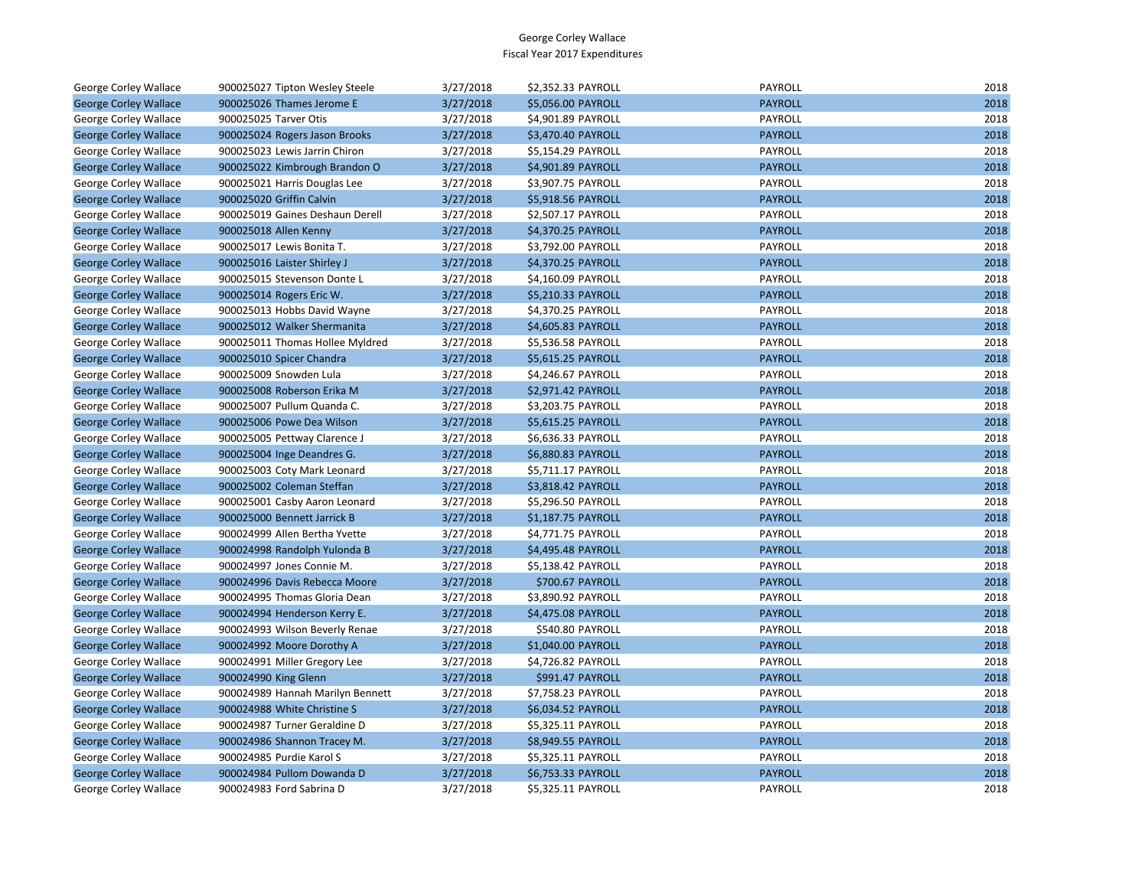| George Corley Wallace        | 900025027 Tipton Wesley Steele   | 3/27/2018 | \$2,352.33 PAYROLL | <b>PAYROLL</b> | 2018 |
|------------------------------|----------------------------------|-----------|--------------------|----------------|------|
| <b>George Corley Wallace</b> | 900025026 Thames Jerome E        | 3/27/2018 | \$5,056.00 PAYROLL | <b>PAYROLL</b> | 2018 |
| George Corley Wallace        | 900025025 Tarver Otis            | 3/27/2018 | \$4,901.89 PAYROLL | PAYROLL        | 2018 |
| <b>George Corley Wallace</b> | 900025024 Rogers Jason Brooks    | 3/27/2018 | \$3,470.40 PAYROLL | <b>PAYROLL</b> | 2018 |
| George Corley Wallace        | 900025023 Lewis Jarrin Chiron    | 3/27/2018 | \$5,154.29 PAYROLL | PAYROLL        | 2018 |
| <b>George Corley Wallace</b> | 900025022 Kimbrough Brandon O    | 3/27/2018 | \$4,901.89 PAYROLL | <b>PAYROLL</b> | 2018 |
| George Corley Wallace        | 900025021 Harris Douglas Lee     | 3/27/2018 | \$3,907.75 PAYROLL | PAYROLL        | 2018 |
| <b>George Corley Wallace</b> | 900025020 Griffin Calvin         | 3/27/2018 | \$5,918.56 PAYROLL | <b>PAYROLL</b> | 2018 |
| George Corley Wallace        | 900025019 Gaines Deshaun Derell  | 3/27/2018 | \$2,507.17 PAYROLL | PAYROLL        | 2018 |
| <b>George Corley Wallace</b> | 900025018 Allen Kenny            | 3/27/2018 | \$4,370.25 PAYROLL | <b>PAYROLL</b> | 2018 |
| George Corley Wallace        | 900025017 Lewis Bonita T.        | 3/27/2018 | \$3,792.00 PAYROLL | PAYROLL        | 2018 |
| <b>George Corley Wallace</b> | 900025016 Laister Shirley J      | 3/27/2018 | \$4,370.25 PAYROLL | <b>PAYROLL</b> | 2018 |
| George Corley Wallace        | 900025015 Stevenson Donte L      | 3/27/2018 | \$4,160.09 PAYROLL | <b>PAYROLL</b> | 2018 |
| <b>George Corley Wallace</b> | 900025014 Rogers Eric W.         | 3/27/2018 | \$5,210.33 PAYROLL | <b>PAYROLL</b> | 2018 |
| George Corley Wallace        | 900025013 Hobbs David Wayne      | 3/27/2018 | \$4,370.25 PAYROLL | PAYROLL        | 2018 |
| <b>George Corley Wallace</b> | 900025012 Walker Shermanita      | 3/27/2018 | \$4,605.83 PAYROLL | <b>PAYROLL</b> | 2018 |
| George Corley Wallace        | 900025011 Thomas Hollee Myldred  | 3/27/2018 | \$5,536.58 PAYROLL | PAYROLL        | 2018 |
| <b>George Corley Wallace</b> | 900025010 Spicer Chandra         | 3/27/2018 | \$5,615.25 PAYROLL | <b>PAYROLL</b> | 2018 |
| George Corley Wallace        | 900025009 Snowden Lula           | 3/27/2018 | \$4,246.67 PAYROLL | PAYROLL        | 2018 |
| <b>George Corley Wallace</b> | 900025008 Roberson Erika M       | 3/27/2018 | \$2,971.42 PAYROLL | <b>PAYROLL</b> | 2018 |
| George Corley Wallace        | 900025007 Pullum Quanda C.       | 3/27/2018 | \$3,203.75 PAYROLL | PAYROLL        | 2018 |
| <b>George Corley Wallace</b> | 900025006 Powe Dea Wilson        | 3/27/2018 | \$5,615.25 PAYROLL | <b>PAYROLL</b> | 2018 |
| George Corley Wallace        | 900025005 Pettway Clarence J     | 3/27/2018 | \$6,636.33 PAYROLL | PAYROLL        | 2018 |
| <b>George Corley Wallace</b> | 900025004 Inge Deandres G.       | 3/27/2018 | \$6,880.83 PAYROLL | <b>PAYROLL</b> | 2018 |
| George Corley Wallace        | 900025003 Coty Mark Leonard      | 3/27/2018 | \$5,711.17 PAYROLL | PAYROLL        | 2018 |
| <b>George Corley Wallace</b> | 900025002 Coleman Steffan        | 3/27/2018 | \$3,818.42 PAYROLL | <b>PAYROLL</b> | 2018 |
| George Corley Wallace        | 900025001 Casby Aaron Leonard    | 3/27/2018 | \$5,296.50 PAYROLL | PAYROLL        | 2018 |
| <b>George Corley Wallace</b> | 900025000 Bennett Jarrick B      | 3/27/2018 | \$1,187.75 PAYROLL | <b>PAYROLL</b> | 2018 |
| George Corley Wallace        | 900024999 Allen Bertha Yvette    | 3/27/2018 | \$4,771.75 PAYROLL | PAYROLL        | 2018 |
| <b>George Corley Wallace</b> | 900024998 Randolph Yulonda B     | 3/27/2018 | \$4,495.48 PAYROLL | <b>PAYROLL</b> | 2018 |
| George Corley Wallace        | 900024997 Jones Connie M.        | 3/27/2018 | \$5,138.42 PAYROLL | PAYROLL        | 2018 |
| <b>George Corley Wallace</b> | 900024996 Davis Rebecca Moore    | 3/27/2018 | \$700.67 PAYROLL   | <b>PAYROLL</b> | 2018 |
| George Corley Wallace        | 900024995 Thomas Gloria Dean     | 3/27/2018 | \$3,890.92 PAYROLL | PAYROLL        | 2018 |
| <b>George Corley Wallace</b> | 900024994 Henderson Kerry E.     | 3/27/2018 | \$4,475.08 PAYROLL | <b>PAYROLL</b> | 2018 |
| George Corley Wallace        | 900024993 Wilson Beverly Renae   | 3/27/2018 | \$540.80 PAYROLL   | PAYROLL        | 2018 |
| <b>George Corley Wallace</b> | 900024992 Moore Dorothy A        | 3/27/2018 | \$1,040.00 PAYROLL | <b>PAYROLL</b> | 2018 |
| George Corley Wallace        | 900024991 Miller Gregory Lee     | 3/27/2018 | \$4,726.82 PAYROLL | PAYROLL        | 2018 |
| <b>George Corley Wallace</b> | 900024990 King Glenn             | 3/27/2018 | \$991.47 PAYROLL   | <b>PAYROLL</b> | 2018 |
| George Corley Wallace        | 900024989 Hannah Marilyn Bennett | 3/27/2018 | \$7,758.23 PAYROLL | PAYROLL        | 2018 |
| <b>George Corley Wallace</b> | 900024988 White Christine S      | 3/27/2018 | \$6,034.52 PAYROLL | <b>PAYROLL</b> | 2018 |
| George Corley Wallace        | 900024987 Turner Geraldine D     | 3/27/2018 | \$5,325.11 PAYROLL | PAYROLL        | 2018 |
| <b>George Corley Wallace</b> | 900024986 Shannon Tracey M.      | 3/27/2018 | \$8,949.55 PAYROLL | <b>PAYROLL</b> | 2018 |
| George Corley Wallace        | 900024985 Purdie Karol S         | 3/27/2018 | \$5,325.11 PAYROLL | PAYROLL        | 2018 |
| <b>George Corley Wallace</b> | 900024984 Pullom Dowanda D       | 3/27/2018 | \$6,753.33 PAYROLL | <b>PAYROLL</b> | 2018 |
| George Corley Wallace        | 900024983 Ford Sabrina D         | 3/27/2018 | \$5,325.11 PAYROLL | PAYROLL        | 2018 |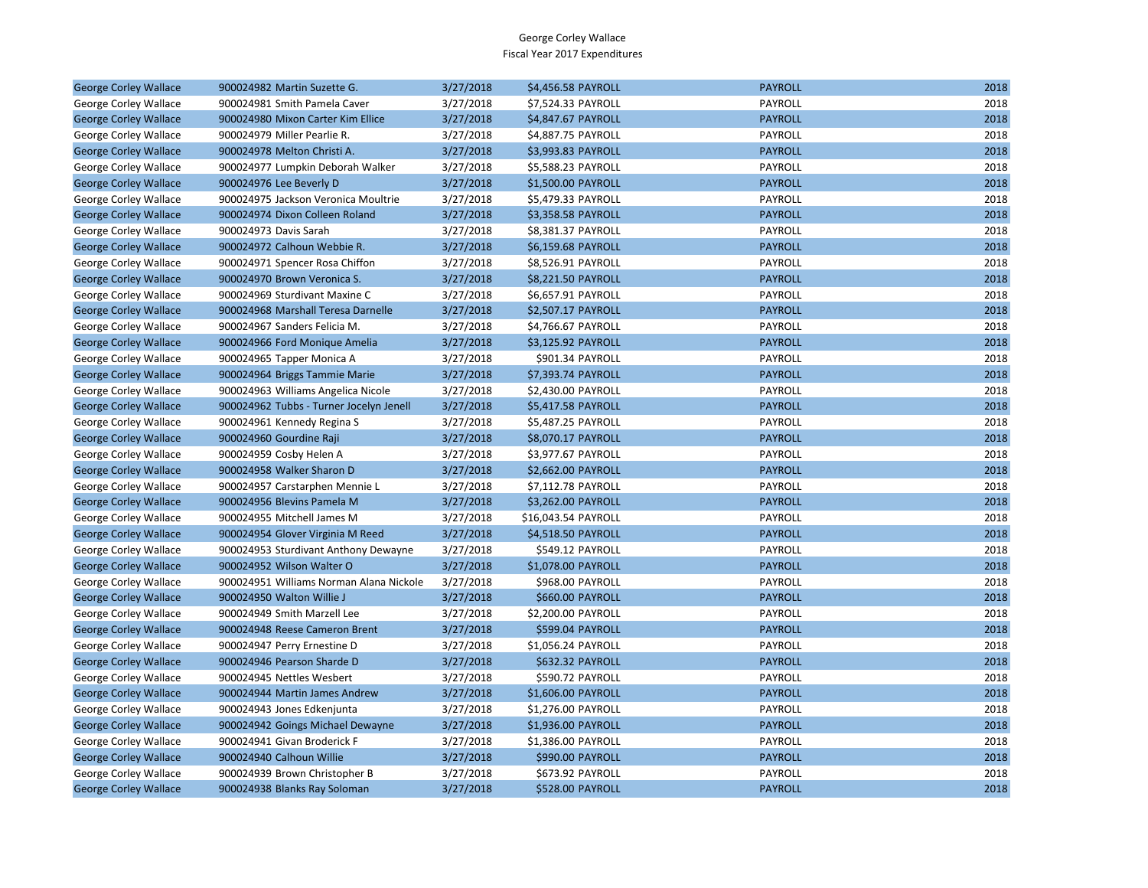| <b>George Corley Wallace</b> | 900024982 Martin Suzette G.             | 3/27/2018 | \$4,456.58 PAYROLL      | <b>PAYROLL</b> | 2018 |
|------------------------------|-----------------------------------------|-----------|-------------------------|----------------|------|
| George Corley Wallace        | 900024981 Smith Pamela Caver            | 3/27/2018 | \$7,524.33 PAYROLL      | PAYROLL        | 2018 |
| <b>George Corley Wallace</b> | 900024980 Mixon Carter Kim Ellice       | 3/27/2018 | \$4,847.67 PAYROLL      | <b>PAYROLL</b> | 2018 |
| George Corley Wallace        | 900024979 Miller Pearlie R.             | 3/27/2018 | \$4,887.75 PAYROLL      | PAYROLL        | 2018 |
| <b>George Corley Wallace</b> | 900024978 Melton Christi A.             | 3/27/2018 | \$3,993.83 PAYROLL      | <b>PAYROLL</b> | 2018 |
| George Corley Wallace        | 900024977 Lumpkin Deborah Walker        | 3/27/2018 | \$5,588.23 PAYROLL      | PAYROLL        | 2018 |
| <b>George Corley Wallace</b> | 900024976 Lee Beverly D                 | 3/27/2018 | \$1,500.00 PAYROLL      | <b>PAYROLL</b> | 2018 |
| George Corley Wallace        | 900024975 Jackson Veronica Moultrie     | 3/27/2018 | \$5,479.33 PAYROLL      | PAYROLL        | 2018 |
| <b>George Corley Wallace</b> | 900024974 Dixon Colleen Roland          | 3/27/2018 | \$3,358.58 PAYROLL      | <b>PAYROLL</b> | 2018 |
| George Corley Wallace        | 900024973 Davis Sarah                   | 3/27/2018 | \$8,381.37 PAYROLL      | PAYROLL        | 2018 |
| <b>George Corley Wallace</b> | 900024972 Calhoun Webbie R.             | 3/27/2018 | \$6,159.68 PAYROLL      | <b>PAYROLL</b> | 2018 |
| George Corley Wallace        | 900024971 Spencer Rosa Chiffon          | 3/27/2018 | \$8,526.91 PAYROLL      | PAYROLL        | 2018 |
| <b>George Corley Wallace</b> | 900024970 Brown Veronica S.             | 3/27/2018 | \$8,221.50 PAYROLL      | <b>PAYROLL</b> | 2018 |
| George Corley Wallace        | 900024969 Sturdivant Maxine C           | 3/27/2018 | \$6,657.91 PAYROLL      | PAYROLL        | 2018 |
| <b>George Corley Wallace</b> | 900024968 Marshall Teresa Darnelle      | 3/27/2018 | \$2,507.17 PAYROLL      | <b>PAYROLL</b> | 2018 |
| George Corley Wallace        | 900024967 Sanders Felicia M.            | 3/27/2018 | \$4,766.67 PAYROLL      | PAYROLL        | 2018 |
| <b>George Corley Wallace</b> | 900024966 Ford Monique Amelia           | 3/27/2018 | \$3,125.92 PAYROLL      | <b>PAYROLL</b> | 2018 |
| George Corley Wallace        | 900024965 Tapper Monica A               | 3/27/2018 | \$901.34 PAYROLL        | PAYROLL        | 2018 |
| <b>George Corley Wallace</b> | 900024964 Briggs Tammie Marie           | 3/27/2018 | \$7,393.74 PAYROLL      | <b>PAYROLL</b> | 2018 |
| George Corley Wallace        | 900024963 Williams Angelica Nicole      | 3/27/2018 | \$2,430.00 PAYROLL      | PAYROLL        | 2018 |
| <b>George Corley Wallace</b> | 900024962 Tubbs - Turner Jocelyn Jenell | 3/27/2018 | \$5,417.58 PAYROLL      | <b>PAYROLL</b> | 2018 |
| George Corley Wallace        | 900024961 Kennedy Regina S              | 3/27/2018 | \$5,487.25 PAYROLL      | PAYROLL        | 2018 |
| <b>George Corley Wallace</b> | 900024960 Gourdine Raji                 | 3/27/2018 | \$8,070.17 PAYROLL      | <b>PAYROLL</b> | 2018 |
| George Corley Wallace        | 900024959 Cosby Helen A                 | 3/27/2018 | \$3,977.67 PAYROLL      | PAYROLL        | 2018 |
| <b>George Corley Wallace</b> | 900024958 Walker Sharon D               | 3/27/2018 | \$2,662.00 PAYROLL      | <b>PAYROLL</b> | 2018 |
| George Corley Wallace        | 900024957 Carstarphen Mennie L          | 3/27/2018 | \$7,112.78 PAYROLL      | PAYROLL        | 2018 |
| <b>George Corley Wallace</b> | 900024956 Blevins Pamela M              | 3/27/2018 | \$3,262.00 PAYROLL      | <b>PAYROLL</b> | 2018 |
| George Corley Wallace        | 900024955 Mitchell James M              | 3/27/2018 | \$16,043.54 PAYROLL     | PAYROLL        | 2018 |
| <b>George Corley Wallace</b> | 900024954 Glover Virginia M Reed        | 3/27/2018 | \$4,518.50 PAYROLL      | <b>PAYROLL</b> | 2018 |
| George Corley Wallace        | 900024953 Sturdivant Anthony Dewayne    | 3/27/2018 | \$549.12 PAYROLL        | PAYROLL        | 2018 |
| <b>George Corley Wallace</b> | 900024952 Wilson Walter O               | 3/27/2018 | \$1,078.00 PAYROLL      | <b>PAYROLL</b> | 2018 |
| George Corley Wallace        | 900024951 Williams Norman Alana Nickole | 3/27/2018 | \$968.00 PAYROLL        | PAYROLL        | 2018 |
| <b>George Corley Wallace</b> | 900024950 Walton Willie J               | 3/27/2018 | \$660.00 PAYROLL        | <b>PAYROLL</b> | 2018 |
| George Corley Wallace        | 900024949 Smith Marzell Lee             | 3/27/2018 | \$2,200.00 PAYROLL      | PAYROLL        | 2018 |
| <b>George Corley Wallace</b> | 900024948 Reese Cameron Brent           | 3/27/2018 | \$599.04 PAYROLL        | <b>PAYROLL</b> | 2018 |
| George Corley Wallace        | 900024947 Perry Ernestine D             | 3/27/2018 | \$1,056.24 PAYROLL      | PAYROLL        | 2018 |
| <b>George Corley Wallace</b> | 900024946 Pearson Sharde D              | 3/27/2018 | \$632.32 PAYROLL        | <b>PAYROLL</b> | 2018 |
| George Corley Wallace        | 900024945 Nettles Wesbert               | 3/27/2018 | \$590.72 PAYROLL        | PAYROLL        | 2018 |
| <b>George Corley Wallace</b> | 900024944 Martin James Andrew           | 3/27/2018 | \$1,606.00 PAYROLL      | <b>PAYROLL</b> | 2018 |
| George Corley Wallace        | 900024943 Jones Edkenjunta              | 3/27/2018 | \$1,276.00 PAYROLL      | PAYROLL        | 2018 |
| <b>George Corley Wallace</b> | 900024942 Goings Michael Dewayne        | 3/27/2018 | \$1,936.00 PAYROLL      | <b>PAYROLL</b> | 2018 |
| George Corley Wallace        | 900024941 Givan Broderick F             | 3/27/2018 | \$1,386.00 PAYROLL      | PAYROLL        | 2018 |
| <b>George Corley Wallace</b> | 900024940 Calhoun Willie                | 3/27/2018 | \$990.00 PAYROLL        | <b>PAYROLL</b> | 2018 |
| George Corley Wallace        | 900024939 Brown Christopher B           | 3/27/2018 | \$673.92 PAYROLL        | PAYROLL        | 2018 |
| <b>George Corley Wallace</b> | 900024938 Blanks Ray Soloman            | 3/27/2018 | <b>\$528.00 PAYROLL</b> | <b>PAYROLL</b> | 2018 |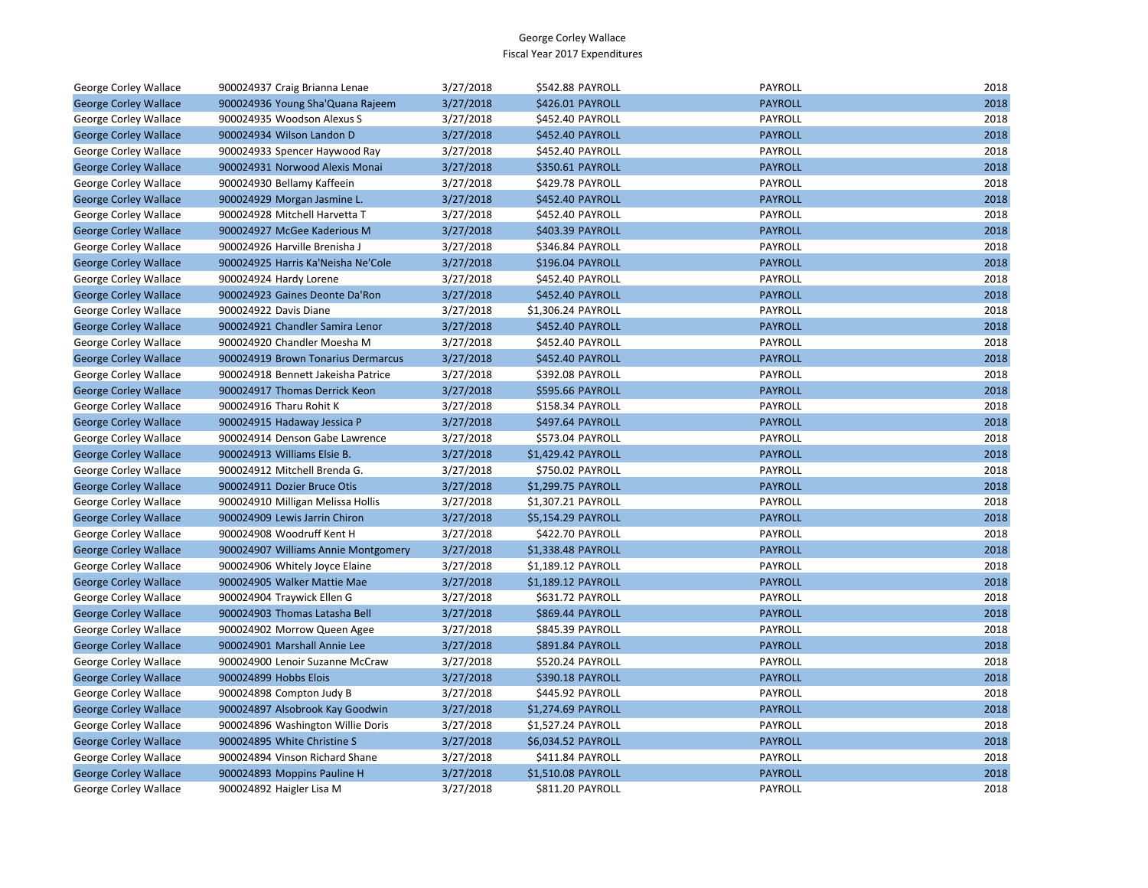| George Corley Wallace        | 900024937 Craig Brianna Lenae       | 3/27/2018 | \$542.88 PAYROLL        | PAYROLL        | 2018 |
|------------------------------|-------------------------------------|-----------|-------------------------|----------------|------|
| <b>George Corley Wallace</b> | 900024936 Young Sha'Quana Rajeem    | 3/27/2018 | \$426.01 PAYROLL        | <b>PAYROLL</b> | 2018 |
| George Corley Wallace        | 900024935 Woodson Alexus S          | 3/27/2018 | \$452.40 PAYROLL        | PAYROLL        | 2018 |
| <b>George Corley Wallace</b> | 900024934 Wilson Landon D           | 3/27/2018 | \$452.40 PAYROLL        | <b>PAYROLL</b> | 2018 |
| George Corley Wallace        | 900024933 Spencer Haywood Ray       | 3/27/2018 | \$452.40 PAYROLL        | PAYROLL        | 2018 |
| <b>George Corley Wallace</b> | 900024931 Norwood Alexis Monai      | 3/27/2018 | \$350.61 PAYROLL        | <b>PAYROLL</b> | 2018 |
| George Corley Wallace        | 900024930 Bellamy Kaffeein          | 3/27/2018 | \$429.78 PAYROLL        | PAYROLL        | 2018 |
| <b>George Corley Wallace</b> | 900024929 Morgan Jasmine L.         | 3/27/2018 | \$452.40 PAYROLL        | <b>PAYROLL</b> | 2018 |
| George Corley Wallace        | 900024928 Mitchell Harvetta T       | 3/27/2018 | \$452.40 PAYROLL        | PAYROLL        | 2018 |
| <b>George Corley Wallace</b> | 900024927 McGee Kaderious M         | 3/27/2018 | \$403.39 PAYROLL        | <b>PAYROLL</b> | 2018 |
| George Corley Wallace        | 900024926 Harville Brenisha J       | 3/27/2018 | \$346.84 PAYROLL        | PAYROLL        | 2018 |
| <b>George Corley Wallace</b> | 900024925 Harris Ka'Neisha Ne'Cole  | 3/27/2018 | \$196.04 PAYROLL        | <b>PAYROLL</b> | 2018 |
| George Corley Wallace        | 900024924 Hardy Lorene              | 3/27/2018 | \$452.40 PAYROLL        | PAYROLL        | 2018 |
| <b>George Corley Wallace</b> | 900024923 Gaines Deonte Da'Ron      | 3/27/2018 | \$452.40 PAYROLL        | <b>PAYROLL</b> | 2018 |
| George Corley Wallace        | 900024922 Davis Diane               | 3/27/2018 | \$1,306.24 PAYROLL      | PAYROLL        | 2018 |
| <b>George Corley Wallace</b> | 900024921 Chandler Samira Lenor     | 3/27/2018 | \$452.40 PAYROLL        | <b>PAYROLL</b> | 2018 |
| George Corley Wallace        | 900024920 Chandler Moesha M         | 3/27/2018 | \$452.40 PAYROLL        | PAYROLL        | 2018 |
| <b>George Corley Wallace</b> | 900024919 Brown Tonarius Dermarcus  | 3/27/2018 | \$452.40 PAYROLL        | <b>PAYROLL</b> | 2018 |
| George Corley Wallace        | 900024918 Bennett Jakeisha Patrice  | 3/27/2018 | \$392.08 PAYROLL        | PAYROLL        | 2018 |
| <b>George Corley Wallace</b> | 900024917 Thomas Derrick Keon       | 3/27/2018 | \$595.66 PAYROLL        | <b>PAYROLL</b> | 2018 |
| George Corley Wallace        | 900024916 Tharu Rohit K             | 3/27/2018 | \$158.34 PAYROLL        | PAYROLL        | 2018 |
| <b>George Corley Wallace</b> | 900024915 Hadaway Jessica P         | 3/27/2018 | \$497.64 PAYROLL        | <b>PAYROLL</b> | 2018 |
| George Corley Wallace        | 900024914 Denson Gabe Lawrence      | 3/27/2018 | \$573.04 PAYROLL        | PAYROLL        | 2018 |
| <b>George Corley Wallace</b> | 900024913 Williams Elsie B.         | 3/27/2018 | \$1,429.42 PAYROLL      | <b>PAYROLL</b> | 2018 |
| George Corley Wallace        | 900024912 Mitchell Brenda G.        | 3/27/2018 | \$750.02 PAYROLL        | PAYROLL        | 2018 |
| <b>George Corley Wallace</b> | 900024911 Dozier Bruce Otis         | 3/27/2018 | \$1,299.75 PAYROLL      | <b>PAYROLL</b> | 2018 |
| George Corley Wallace        | 900024910 Milligan Melissa Hollis   | 3/27/2018 | \$1,307.21 PAYROLL      | PAYROLL        | 2018 |
| <b>George Corley Wallace</b> | 900024909 Lewis Jarrin Chiron       | 3/27/2018 | \$5,154.29 PAYROLL      | <b>PAYROLL</b> | 2018 |
| George Corley Wallace        | 900024908 Woodruff Kent H           | 3/27/2018 | \$422.70 PAYROLL        | PAYROLL        | 2018 |
| <b>George Corley Wallace</b> | 900024907 Williams Annie Montgomery | 3/27/2018 | \$1,338.48 PAYROLL      | <b>PAYROLL</b> | 2018 |
| George Corley Wallace        | 900024906 Whitely Joyce Elaine      | 3/27/2018 | \$1,189.12 PAYROLL      | PAYROLL        | 2018 |
| <b>George Corley Wallace</b> | 900024905 Walker Mattie Mae         | 3/27/2018 | \$1,189.12 PAYROLL      | <b>PAYROLL</b> | 2018 |
| George Corley Wallace        | 900024904 Traywick Ellen G          | 3/27/2018 | \$631.72 PAYROLL        | PAYROLL        | 2018 |
| <b>George Corley Wallace</b> | 900024903 Thomas Latasha Bell       | 3/27/2018 | \$869.44 PAYROLL        | <b>PAYROLL</b> | 2018 |
| George Corley Wallace        | 900024902 Morrow Queen Agee         | 3/27/2018 | \$845.39 PAYROLL        | PAYROLL        | 2018 |
| <b>George Corley Wallace</b> | 900024901 Marshall Annie Lee        | 3/27/2018 | <b>\$891.84 PAYROLL</b> | <b>PAYROLL</b> | 2018 |
| George Corley Wallace        | 900024900 Lenoir Suzanne McCraw     | 3/27/2018 | \$520.24 PAYROLL        | PAYROLL        | 2018 |
| <b>George Corley Wallace</b> | 900024899 Hobbs Elois               | 3/27/2018 | \$390.18 PAYROLL        | <b>PAYROLL</b> | 2018 |
| George Corley Wallace        | 900024898 Compton Judy B            | 3/27/2018 | \$445.92 PAYROLL        | PAYROLL        | 2018 |
| <b>George Corley Wallace</b> | 900024897 Alsobrook Kay Goodwin     | 3/27/2018 | \$1,274.69 PAYROLL      | <b>PAYROLL</b> | 2018 |
| George Corley Wallace        | 900024896 Washington Willie Doris   | 3/27/2018 | \$1,527.24 PAYROLL      | PAYROLL        | 2018 |
| <b>George Corley Wallace</b> | 900024895 White Christine S         | 3/27/2018 | \$6,034.52 PAYROLL      | <b>PAYROLL</b> | 2018 |
| George Corley Wallace        | 900024894 Vinson Richard Shane      | 3/27/2018 | \$411.84 PAYROLL        | PAYROLL        | 2018 |
| <b>George Corley Wallace</b> | 900024893 Moppins Pauline H         | 3/27/2018 | \$1,510.08 PAYROLL      | <b>PAYROLL</b> | 2018 |
| George Corley Wallace        | 900024892 Haigler Lisa M            | 3/27/2018 | \$811.20 PAYROLL        | PAYROLL        | 2018 |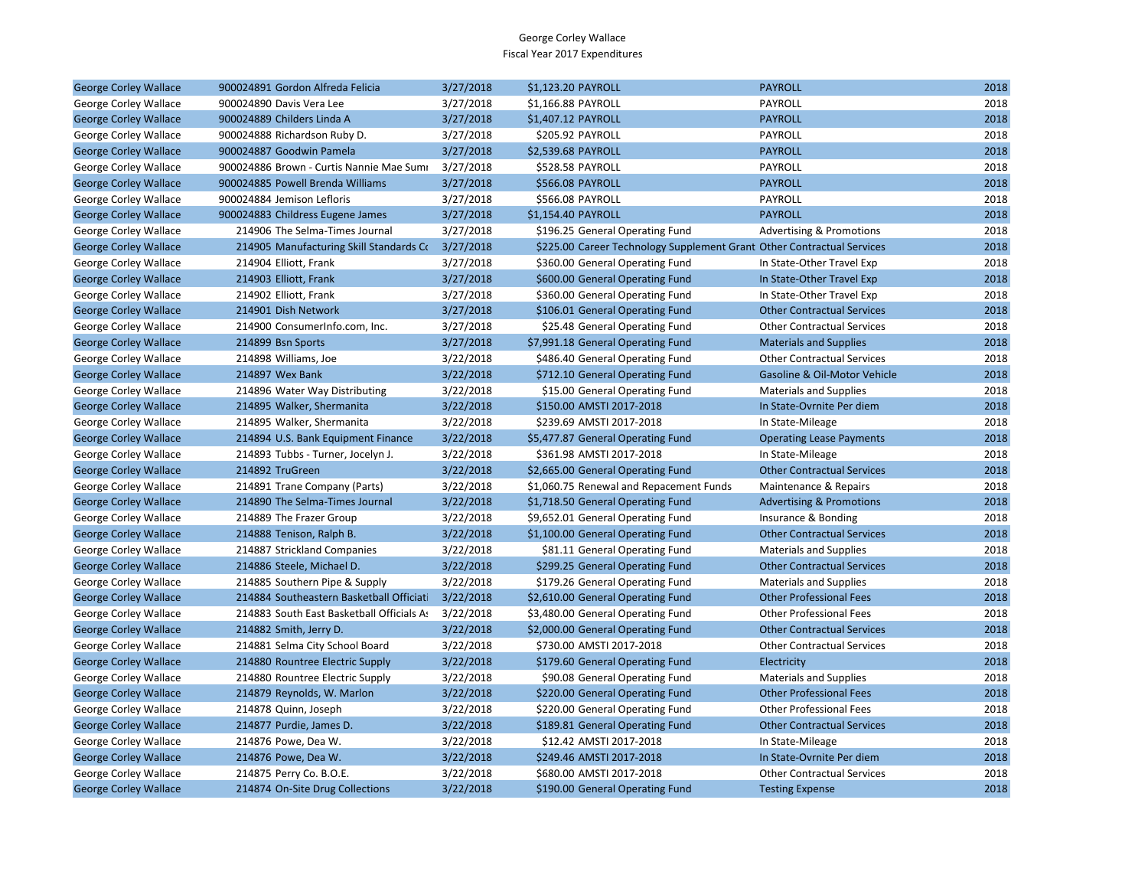| <b>George Corley Wallace</b> | 900024891 Gordon Alfreda Felicia                  | 3/27/2018 | \$1,123.20 PAYROLL                                                     | <b>PAYROLL</b>                      | 2018 |
|------------------------------|---------------------------------------------------|-----------|------------------------------------------------------------------------|-------------------------------------|------|
| George Corley Wallace        | 900024890 Davis Vera Lee                          | 3/27/2018 | \$1,166.88 PAYROLL                                                     | PAYROLL                             | 2018 |
| <b>George Corley Wallace</b> | 900024889 Childers Linda A                        | 3/27/2018 | \$1,407.12 PAYROLL                                                     | <b>PAYROLL</b>                      | 2018 |
| George Corley Wallace        | 900024888 Richardson Ruby D.                      | 3/27/2018 | \$205.92 PAYROLL                                                       | PAYROLL                             | 2018 |
| <b>George Corley Wallace</b> | 900024887 Goodwin Pamela                          | 3/27/2018 | \$2,539.68 PAYROLL                                                     | <b>PAYROLL</b>                      | 2018 |
| George Corley Wallace        | 900024886 Brown - Curtis Nannie Mae Sumi          | 3/27/2018 | \$528.58 PAYROLL                                                       | PAYROLL                             | 2018 |
| <b>George Corley Wallace</b> | 900024885 Powell Brenda Williams                  | 3/27/2018 | <b>\$566.08 PAYROLL</b>                                                | <b>PAYROLL</b>                      | 2018 |
| George Corley Wallace        | 900024884 Jemison Lefloris                        | 3/27/2018 | \$566.08 PAYROLL                                                       | PAYROLL                             | 2018 |
| <b>George Corley Wallace</b> | 900024883 Childress Eugene James                  | 3/27/2018 | \$1,154.40 PAYROLL                                                     | <b>PAYROLL</b>                      | 2018 |
| George Corley Wallace        | 214906 The Selma-Times Journal                    | 3/27/2018 | \$196.25 General Operating Fund                                        | <b>Advertising &amp; Promotions</b> | 2018 |
| <b>George Corley Wallace</b> | 214905 Manufacturing Skill Standards Co 3/27/2018 |           | \$225.00 Career Technology Supplement Grant Other Contractual Services |                                     | 2018 |
| George Corley Wallace        | 214904 Elliott, Frank                             | 3/27/2018 | \$360.00 General Operating Fund                                        | In State-Other Travel Exp           | 2018 |
| <b>George Corley Wallace</b> | 214903 Elliott, Frank                             | 3/27/2018 | \$600.00 General Operating Fund                                        | In State-Other Travel Exp           | 2018 |
| George Corley Wallace        | 214902 Elliott, Frank                             | 3/27/2018 | \$360.00 General Operating Fund                                        | In State-Other Travel Exp           | 2018 |
| <b>George Corley Wallace</b> | 214901 Dish Network                               | 3/27/2018 | \$106.01 General Operating Fund                                        | <b>Other Contractual Services</b>   | 2018 |
| George Corley Wallace        | 214900 ConsumerInfo.com, Inc.                     | 3/27/2018 | \$25.48 General Operating Fund                                         | <b>Other Contractual Services</b>   | 2018 |
| <b>George Corley Wallace</b> | 214899 Bsn Sports                                 | 3/27/2018 | \$7,991.18 General Operating Fund                                      | <b>Materials and Supplies</b>       | 2018 |
| George Corley Wallace        | 214898 Williams, Joe                              | 3/22/2018 | \$486.40 General Operating Fund                                        | <b>Other Contractual Services</b>   | 2018 |
| <b>George Corley Wallace</b> | 214897 Wex Bank                                   | 3/22/2018 | \$712.10 General Operating Fund                                        | Gasoline & Oil-Motor Vehicle        | 2018 |
| George Corley Wallace        | 214896 Water Way Distributing                     | 3/22/2018 | \$15.00 General Operating Fund                                         | <b>Materials and Supplies</b>       | 2018 |
| <b>George Corley Wallace</b> | 214895 Walker, Shermanita                         | 3/22/2018 | \$150.00 AMSTI 2017-2018                                               | In State-Ovrnite Per diem           | 2018 |
| George Corley Wallace        | 214895 Walker, Shermanita                         | 3/22/2018 | \$239.69 AMSTI 2017-2018                                               | In State-Mileage                    | 2018 |
| <b>George Corley Wallace</b> | 214894 U.S. Bank Equipment Finance                | 3/22/2018 | \$5,477.87 General Operating Fund                                      | <b>Operating Lease Payments</b>     | 2018 |
| George Corley Wallace        | 214893 Tubbs - Turner, Jocelyn J.                 | 3/22/2018 | \$361.98 AMSTI 2017-2018                                               | In State-Mileage                    | 2018 |
| <b>George Corley Wallace</b> | 214892 TruGreen                                   | 3/22/2018 | \$2,665.00 General Operating Fund                                      | <b>Other Contractual Services</b>   | 2018 |
| George Corley Wallace        | 214891 Trane Company (Parts)                      | 3/22/2018 | \$1,060.75 Renewal and Repacement Funds                                | Maintenance & Repairs               | 2018 |
| <b>George Corley Wallace</b> | 214890 The Selma-Times Journal                    | 3/22/2018 | \$1,718.50 General Operating Fund                                      | <b>Advertising &amp; Promotions</b> | 2018 |
| George Corley Wallace        | 214889 The Frazer Group                           | 3/22/2018 | \$9,652.01 General Operating Fund                                      | Insurance & Bonding                 | 2018 |
| <b>George Corley Wallace</b> | 214888 Tenison, Ralph B.                          | 3/22/2018 | \$1,100.00 General Operating Fund                                      | <b>Other Contractual Services</b>   | 2018 |
| George Corley Wallace        | 214887 Strickland Companies                       | 3/22/2018 | \$81.11 General Operating Fund                                         | <b>Materials and Supplies</b>       | 2018 |
| <b>George Corley Wallace</b> | 214886 Steele, Michael D.                         | 3/22/2018 | \$299.25 General Operating Fund                                        | <b>Other Contractual Services</b>   | 2018 |
| George Corley Wallace        | 214885 Southern Pipe & Supply                     | 3/22/2018 | \$179.26 General Operating Fund                                        | <b>Materials and Supplies</b>       | 2018 |
| <b>George Corley Wallace</b> | 214884 Southeastern Basketball Officiati          | 3/22/2018 | \$2,610.00 General Operating Fund                                      | <b>Other Professional Fees</b>      | 2018 |
| George Corley Wallace        | 214883 South East Basketball Officials As         | 3/22/2018 | \$3,480.00 General Operating Fund                                      | <b>Other Professional Fees</b>      | 2018 |
| <b>George Corley Wallace</b> | 214882 Smith, Jerry D.                            | 3/22/2018 | \$2,000.00 General Operating Fund                                      | <b>Other Contractual Services</b>   | 2018 |
| George Corley Wallace        | 214881 Selma City School Board                    | 3/22/2018 | \$730.00 AMSTI 2017-2018                                               | <b>Other Contractual Services</b>   | 2018 |
| <b>George Corley Wallace</b> | 214880 Rountree Electric Supply                   | 3/22/2018 | \$179.60 General Operating Fund                                        | Electricity                         | 2018 |
| George Corley Wallace        | 214880 Rountree Electric Supply                   | 3/22/2018 | \$90.08 General Operating Fund                                         | <b>Materials and Supplies</b>       | 2018 |
| <b>George Corley Wallace</b> | 214879 Reynolds, W. Marlon                        | 3/22/2018 | \$220.00 General Operating Fund                                        | <b>Other Professional Fees</b>      | 2018 |
| George Corley Wallace        | 214878 Quinn, Joseph                              | 3/22/2018 | \$220.00 General Operating Fund                                        | <b>Other Professional Fees</b>      | 2018 |
| <b>George Corley Wallace</b> | 214877 Purdie, James D.                           | 3/22/2018 | \$189.81 General Operating Fund                                        | <b>Other Contractual Services</b>   | 2018 |
| George Corley Wallace        | 214876 Powe, Dea W.                               | 3/22/2018 | \$12.42 AMSTI 2017-2018                                                | In State-Mileage                    | 2018 |
| <b>George Corley Wallace</b> | 214876 Powe, Dea W.                               | 3/22/2018 | \$249.46 AMSTI 2017-2018                                               | In State-Ovrnite Per diem           | 2018 |
| George Corley Wallace        | 214875 Perry Co. B.O.E.                           | 3/22/2018 | \$680.00 AMSTI 2017-2018                                               | <b>Other Contractual Services</b>   | 2018 |
| <b>George Corley Wallace</b> | 214874 On-Site Drug Collections                   | 3/22/2018 | \$190.00 General Operating Fund                                        | <b>Testing Expense</b>              | 2018 |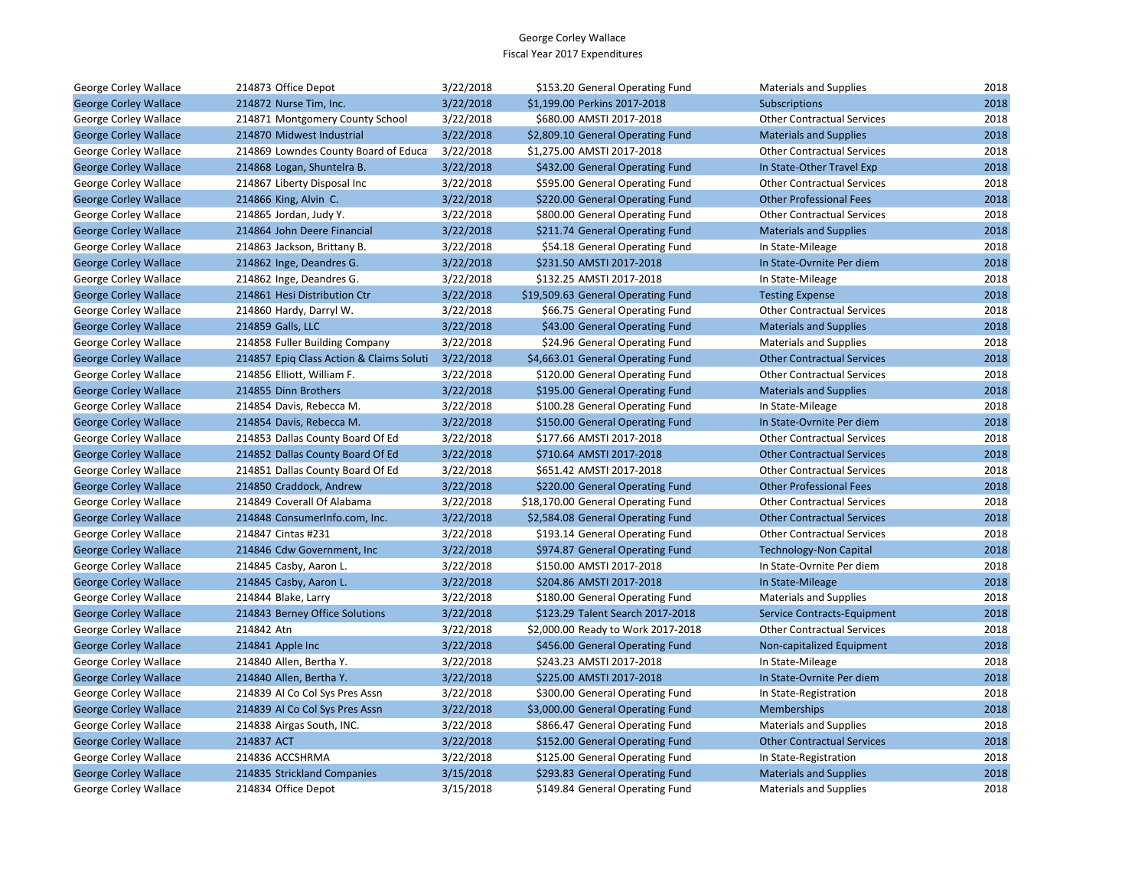| George Corley Wallace        | 214873 Office Depot                      | 3/22/2018 | \$153.20 General Operating Fund    | <b>Materials and Supplies</b>     | 2018 |
|------------------------------|------------------------------------------|-----------|------------------------------------|-----------------------------------|------|
| <b>George Corley Wallace</b> | 214872 Nurse Tim, Inc.                   | 3/22/2018 | \$1,199.00 Perkins 2017-2018       | Subscriptions                     | 2018 |
| George Corley Wallace        | 214871 Montgomery County School          | 3/22/2018 | \$680.00 AMSTI 2017-2018           | <b>Other Contractual Services</b> | 2018 |
| <b>George Corley Wallace</b> | 214870 Midwest Industrial                | 3/22/2018 | \$2,809.10 General Operating Fund  | <b>Materials and Supplies</b>     | 2018 |
| George Corley Wallace        | 214869 Lowndes County Board of Educa     | 3/22/2018 | \$1,275.00 AMSTI 2017-2018         | <b>Other Contractual Services</b> | 2018 |
| <b>George Corley Wallace</b> | 214868 Logan, Shuntelra B.               | 3/22/2018 | \$432.00 General Operating Fund    | In State-Other Travel Exp         | 2018 |
| George Corley Wallace        | 214867 Liberty Disposal Inc              | 3/22/2018 | \$595.00 General Operating Fund    | <b>Other Contractual Services</b> | 2018 |
| <b>George Corley Wallace</b> | 214866 King, Alvin C.                    | 3/22/2018 | \$220.00 General Operating Fund    | <b>Other Professional Fees</b>    | 2018 |
| George Corley Wallace        | 214865 Jordan, Judy Y.                   | 3/22/2018 | \$800.00 General Operating Fund    | <b>Other Contractual Services</b> | 2018 |
| <b>George Corley Wallace</b> | 214864 John Deere Financial              | 3/22/2018 | \$211.74 General Operating Fund    | <b>Materials and Supplies</b>     | 2018 |
| George Corley Wallace        | 214863 Jackson, Brittany B.              | 3/22/2018 | \$54.18 General Operating Fund     | In State-Mileage                  | 2018 |
| <b>George Corley Wallace</b> | 214862 Inge, Deandres G.                 | 3/22/2018 | \$231.50 AMSTI 2017-2018           | In State-Ovrnite Per diem         | 2018 |
| George Corley Wallace        | 214862 Inge, Deandres G.                 | 3/22/2018 | \$132.25 AMSTI 2017-2018           | In State-Mileage                  | 2018 |
| <b>George Corley Wallace</b> | 214861 Hesi Distribution Ctr             | 3/22/2018 | \$19,509.63 General Operating Fund | <b>Testing Expense</b>            | 2018 |
| George Corley Wallace        | 214860 Hardy, Darryl W.                  | 3/22/2018 | \$66.75 General Operating Fund     | <b>Other Contractual Services</b> | 2018 |
| <b>George Corley Wallace</b> | 214859 Galls, LLC                        | 3/22/2018 | \$43.00 General Operating Fund     | <b>Materials and Supplies</b>     | 2018 |
| George Corley Wallace        | 214858 Fuller Building Company           | 3/22/2018 | \$24.96 General Operating Fund     | <b>Materials and Supplies</b>     | 2018 |
| <b>George Corley Wallace</b> | 214857 Epig Class Action & Claims Soluti | 3/22/2018 | \$4,663.01 General Operating Fund  | <b>Other Contractual Services</b> | 2018 |
| George Corley Wallace        | 214856 Elliott, William F.               | 3/22/2018 | \$120.00 General Operating Fund    | <b>Other Contractual Services</b> | 2018 |
| <b>George Corley Wallace</b> | 214855 Dinn Brothers                     | 3/22/2018 | \$195.00 General Operating Fund    | <b>Materials and Supplies</b>     | 2018 |
| George Corley Wallace        | 214854 Davis, Rebecca M.                 | 3/22/2018 | \$100.28 General Operating Fund    | In State-Mileage                  | 2018 |
| <b>George Corley Wallace</b> | 214854 Davis, Rebecca M.                 | 3/22/2018 | \$150.00 General Operating Fund    | In State-Ovrnite Per diem         | 2018 |
| George Corley Wallace        | 214853 Dallas County Board Of Ed         | 3/22/2018 | \$177.66 AMSTI 2017-2018           | <b>Other Contractual Services</b> | 2018 |
| <b>George Corley Wallace</b> | 214852 Dallas County Board Of Ed         | 3/22/2018 | \$710.64 AMSTI 2017-2018           | <b>Other Contractual Services</b> | 2018 |
| George Corley Wallace        | 214851 Dallas County Board Of Ed         | 3/22/2018 | \$651.42 AMSTI 2017-2018           | <b>Other Contractual Services</b> | 2018 |
| <b>George Corley Wallace</b> | 214850 Craddock, Andrew                  | 3/22/2018 | \$220.00 General Operating Fund    | <b>Other Professional Fees</b>    | 2018 |
| George Corley Wallace        | 214849 Coverall Of Alabama               | 3/22/2018 | \$18,170.00 General Operating Fund | <b>Other Contractual Services</b> | 2018 |
| <b>George Corley Wallace</b> | 214848 ConsumerInfo.com, Inc.            | 3/22/2018 | \$2,584.08 General Operating Fund  | <b>Other Contractual Services</b> | 2018 |
| George Corley Wallace        | 214847 Cintas #231                       | 3/22/2018 | \$193.14 General Operating Fund    | <b>Other Contractual Services</b> | 2018 |
| <b>George Corley Wallace</b> | 214846 Cdw Government, Inc               | 3/22/2018 | \$974.87 General Operating Fund    | <b>Technology-Non Capital</b>     | 2018 |
| George Corley Wallace        | 214845 Casby, Aaron L.                   | 3/22/2018 | \$150.00 AMSTI 2017-2018           | In State-Ovrnite Per diem         | 2018 |
| <b>George Corley Wallace</b> | 214845 Casby, Aaron L.                   | 3/22/2018 | \$204.86 AMSTI 2017-2018           | In State-Mileage                  | 2018 |
| George Corley Wallace        | 214844 Blake, Larry                      | 3/22/2018 | \$180.00 General Operating Fund    | <b>Materials and Supplies</b>     | 2018 |
| <b>George Corley Wallace</b> | 214843 Berney Office Solutions           | 3/22/2018 | \$123.29 Talent Search 2017-2018   | Service Contracts-Equipment       | 2018 |
| George Corley Wallace        | 214842 Atn                               | 3/22/2018 | \$2,000.00 Ready to Work 2017-2018 | <b>Other Contractual Services</b> | 2018 |
| <b>George Corley Wallace</b> | 214841 Apple Inc                         | 3/22/2018 | \$456.00 General Operating Fund    | Non-capitalized Equipment         | 2018 |
| George Corley Wallace        | 214840 Allen, Bertha Y.                  | 3/22/2018 | \$243.23 AMSTI 2017-2018           | In State-Mileage                  | 2018 |
| <b>George Corley Wallace</b> | 214840 Allen, Bertha Y.                  | 3/22/2018 | \$225.00 AMSTI 2017-2018           | In State-Ovrnite Per diem         | 2018 |
| George Corley Wallace        | 214839 Al Co Col Sys Pres Assn           | 3/22/2018 | \$300.00 General Operating Fund    | In State-Registration             | 2018 |
| <b>George Corley Wallace</b> | 214839 Al Co Col Sys Pres Assn           | 3/22/2018 | \$3,000.00 General Operating Fund  | Memberships                       | 2018 |
| George Corley Wallace        | 214838 Airgas South, INC.                | 3/22/2018 | \$866.47 General Operating Fund    | <b>Materials and Supplies</b>     | 2018 |
| <b>George Corley Wallace</b> | 214837 ACT                               | 3/22/2018 | \$152.00 General Operating Fund    | <b>Other Contractual Services</b> | 2018 |
| George Corley Wallace        | 214836 ACCSHRMA                          | 3/22/2018 | \$125.00 General Operating Fund    | In State-Registration             | 2018 |
| <b>George Corley Wallace</b> | 214835 Strickland Companies              | 3/15/2018 | \$293.83 General Operating Fund    | <b>Materials and Supplies</b>     | 2018 |
| George Corley Wallace        | 214834 Office Depot                      | 3/15/2018 | \$149.84 General Operating Fund    | <b>Materials and Supplies</b>     | 2018 |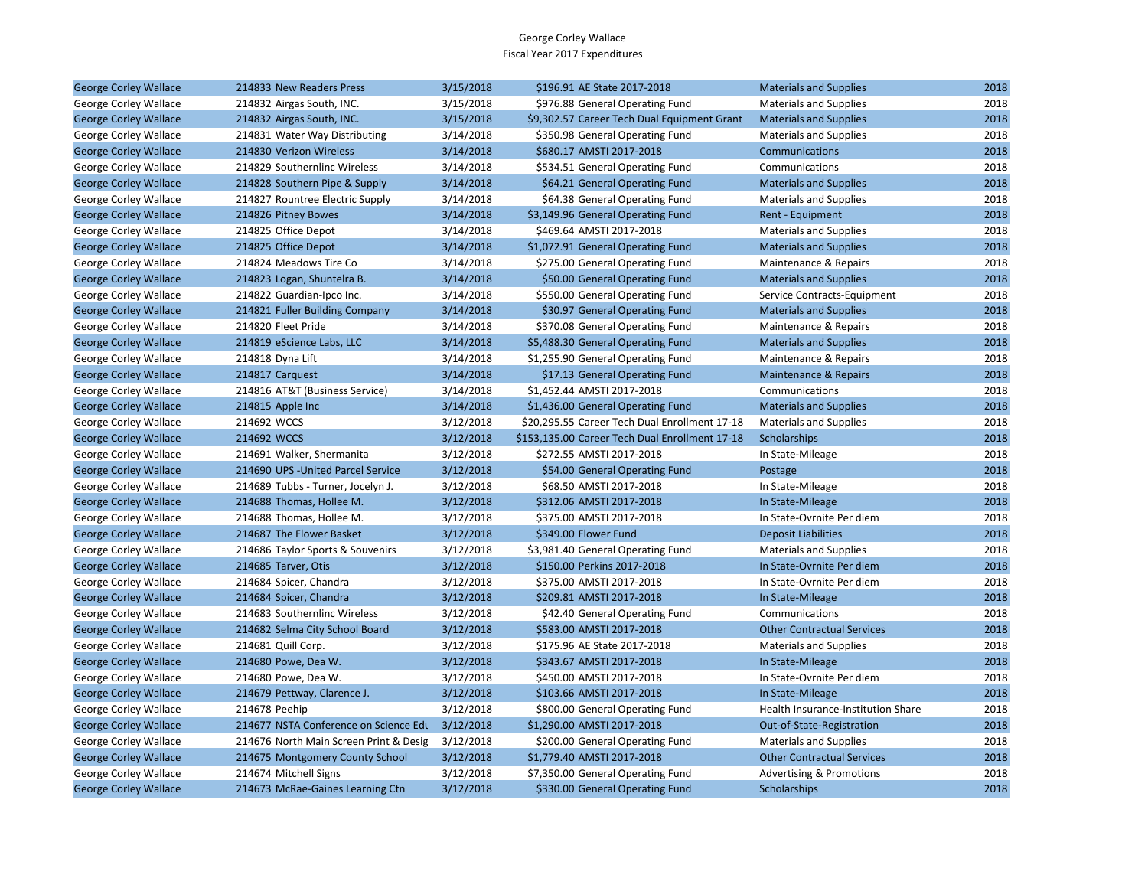| <b>George Corley Wallace</b> | 214833 New Readers Press               | 3/15/2018 | \$196.91 AE State 2017-2018                    | <b>Materials and Supplies</b>       | 2018 |
|------------------------------|----------------------------------------|-----------|------------------------------------------------|-------------------------------------|------|
| George Corley Wallace        | 214832 Airgas South, INC.              | 3/15/2018 | \$976.88 General Operating Fund                | <b>Materials and Supplies</b>       | 2018 |
| <b>George Corley Wallace</b> | 214832 Airgas South, INC.              | 3/15/2018 | \$9,302.57 Career Tech Dual Equipment Grant    | <b>Materials and Supplies</b>       | 2018 |
| George Corley Wallace        | 214831 Water Way Distributing          | 3/14/2018 | \$350.98 General Operating Fund                | <b>Materials and Supplies</b>       | 2018 |
| <b>George Corley Wallace</b> | 214830 Verizon Wireless                | 3/14/2018 | \$680.17 AMSTI 2017-2018                       | Communications                      | 2018 |
| George Corley Wallace        | 214829 Southernlinc Wireless           | 3/14/2018 | \$534.51 General Operating Fund                | Communications                      | 2018 |
| <b>George Corley Wallace</b> | 214828 Southern Pipe & Supply          | 3/14/2018 | \$64.21 General Operating Fund                 | <b>Materials and Supplies</b>       | 2018 |
| George Corley Wallace        | 214827 Rountree Electric Supply        | 3/14/2018 | \$64.38 General Operating Fund                 | <b>Materials and Supplies</b>       | 2018 |
| <b>George Corley Wallace</b> | 214826 Pitney Bowes                    | 3/14/2018 | \$3,149.96 General Operating Fund              | Rent - Equipment                    | 2018 |
| George Corley Wallace        | 214825 Office Depot                    | 3/14/2018 | \$469.64 AMSTI 2017-2018                       | <b>Materials and Supplies</b>       | 2018 |
| <b>George Corley Wallace</b> | 214825 Office Depot                    | 3/14/2018 | \$1,072.91 General Operating Fund              | <b>Materials and Supplies</b>       | 2018 |
| George Corley Wallace        | 214824 Meadows Tire Co                 | 3/14/2018 | \$275.00 General Operating Fund                | Maintenance & Repairs               | 2018 |
| <b>George Corley Wallace</b> | 214823 Logan, Shuntelra B.             | 3/14/2018 | \$50.00 General Operating Fund                 | <b>Materials and Supplies</b>       | 2018 |
| George Corley Wallace        | 214822 Guardian-Ipco Inc.              | 3/14/2018 | \$550.00 General Operating Fund                | Service Contracts-Equipment         | 2018 |
| <b>George Corley Wallace</b> | 214821 Fuller Building Company         | 3/14/2018 | \$30.97 General Operating Fund                 | <b>Materials and Supplies</b>       | 2018 |
| George Corley Wallace        | 214820 Fleet Pride                     | 3/14/2018 | \$370.08 General Operating Fund                | Maintenance & Repairs               | 2018 |
| <b>George Corley Wallace</b> | 214819 eScience Labs, LLC              | 3/14/2018 | \$5,488.30 General Operating Fund              | <b>Materials and Supplies</b>       | 2018 |
| George Corley Wallace        | 214818 Dyna Lift                       | 3/14/2018 | \$1,255.90 General Operating Fund              | Maintenance & Repairs               | 2018 |
| <b>George Corley Wallace</b> | 214817 Carquest                        | 3/14/2018 | \$17.13 General Operating Fund                 | Maintenance & Repairs               | 2018 |
| George Corley Wallace        | 214816 AT&T (Business Service)         | 3/14/2018 | \$1,452.44 AMSTI 2017-2018                     | Communications                      | 2018 |
| <b>George Corley Wallace</b> | 214815 Apple Inc                       | 3/14/2018 | \$1,436.00 General Operating Fund              | <b>Materials and Supplies</b>       | 2018 |
| George Corley Wallace        | 214692 WCCS                            | 3/12/2018 | \$20,295.55 Career Tech Dual Enrollment 17-18  | <b>Materials and Supplies</b>       | 2018 |
| <b>George Corley Wallace</b> | 214692 WCCS                            | 3/12/2018 | \$153,135.00 Career Tech Dual Enrollment 17-18 | Scholarships                        | 2018 |
| George Corley Wallace        | 214691 Walker, Shermanita              | 3/12/2018 | \$272.55 AMSTI 2017-2018                       | In State-Mileage                    | 2018 |
| <b>George Corley Wallace</b> | 214690 UPS - United Parcel Service     | 3/12/2018 | \$54.00 General Operating Fund                 | Postage                             | 2018 |
| George Corley Wallace        | 214689 Tubbs - Turner, Jocelyn J.      | 3/12/2018 | \$68.50 AMSTI 2017-2018                        | In State-Mileage                    | 2018 |
| <b>George Corley Wallace</b> | 214688 Thomas, Hollee M.               | 3/12/2018 | \$312.06 AMSTI 2017-2018                       | In State-Mileage                    | 2018 |
| George Corley Wallace        | 214688 Thomas, Hollee M.               | 3/12/2018 | \$375.00 AMSTI 2017-2018                       | In State-Ovrnite Per diem           | 2018 |
| <b>George Corley Wallace</b> | 214687 The Flower Basket               | 3/12/2018 | \$349.00 Flower Fund                           | <b>Deposit Liabilities</b>          | 2018 |
| George Corley Wallace        | 214686 Taylor Sports & Souvenirs       | 3/12/2018 | \$3,981.40 General Operating Fund              | <b>Materials and Supplies</b>       | 2018 |
| <b>George Corley Wallace</b> | 214685 Tarver, Otis                    | 3/12/2018 | \$150.00 Perkins 2017-2018                     | In State-Ovrnite Per diem           | 2018 |
| George Corley Wallace        | 214684 Spicer, Chandra                 | 3/12/2018 | \$375.00 AMSTI 2017-2018                       | In State-Ovrnite Per diem           | 2018 |
| <b>George Corley Wallace</b> | 214684 Spicer, Chandra                 | 3/12/2018 | \$209.81 AMSTI 2017-2018                       | In State-Mileage                    | 2018 |
| George Corley Wallace        | 214683 Southernlinc Wireless           | 3/12/2018 | \$42.40 General Operating Fund                 | Communications                      | 2018 |
| <b>George Corley Wallace</b> | 214682 Selma City School Board         | 3/12/2018 | \$583.00 AMSTI 2017-2018                       | <b>Other Contractual Services</b>   | 2018 |
| George Corley Wallace        | 214681 Quill Corp.                     | 3/12/2018 | \$175.96 AE State 2017-2018                    | <b>Materials and Supplies</b>       | 2018 |
| <b>George Corley Wallace</b> | 214680 Powe, Dea W.                    | 3/12/2018 | \$343.67 AMSTI 2017-2018                       | In State-Mileage                    | 2018 |
| George Corley Wallace        | 214680 Powe, Dea W.                    | 3/12/2018 | \$450.00 AMSTI 2017-2018                       | In State-Ovrnite Per diem           | 2018 |
| <b>George Corley Wallace</b> | 214679 Pettway, Clarence J.            | 3/12/2018 | \$103.66 AMSTI 2017-2018                       | In State-Mileage                    | 2018 |
| George Corley Wallace        | 214678 Peehip                          | 3/12/2018 | \$800.00 General Operating Fund                | Health Insurance-Institution Share  | 2018 |
| <b>George Corley Wallace</b> | 214677 NSTA Conference on Science Edu  | 3/12/2018 | \$1,290.00 AMSTI 2017-2018                     | Out-of-State-Registration           | 2018 |
| George Corley Wallace        | 214676 North Main Screen Print & Desig | 3/12/2018 | \$200.00 General Operating Fund                | <b>Materials and Supplies</b>       | 2018 |
| <b>George Corley Wallace</b> | 214675 Montgomery County School        | 3/12/2018 | \$1,779.40 AMSTI 2017-2018                     | <b>Other Contractual Services</b>   | 2018 |
| George Corley Wallace        | 214674 Mitchell Signs                  | 3/12/2018 | \$7,350.00 General Operating Fund              | <b>Advertising &amp; Promotions</b> | 2018 |
| <b>George Corley Wallace</b> | 214673 McRae-Gaines Learning Ctn       | 3/12/2018 | \$330.00 General Operating Fund                | Scholarships                        | 2018 |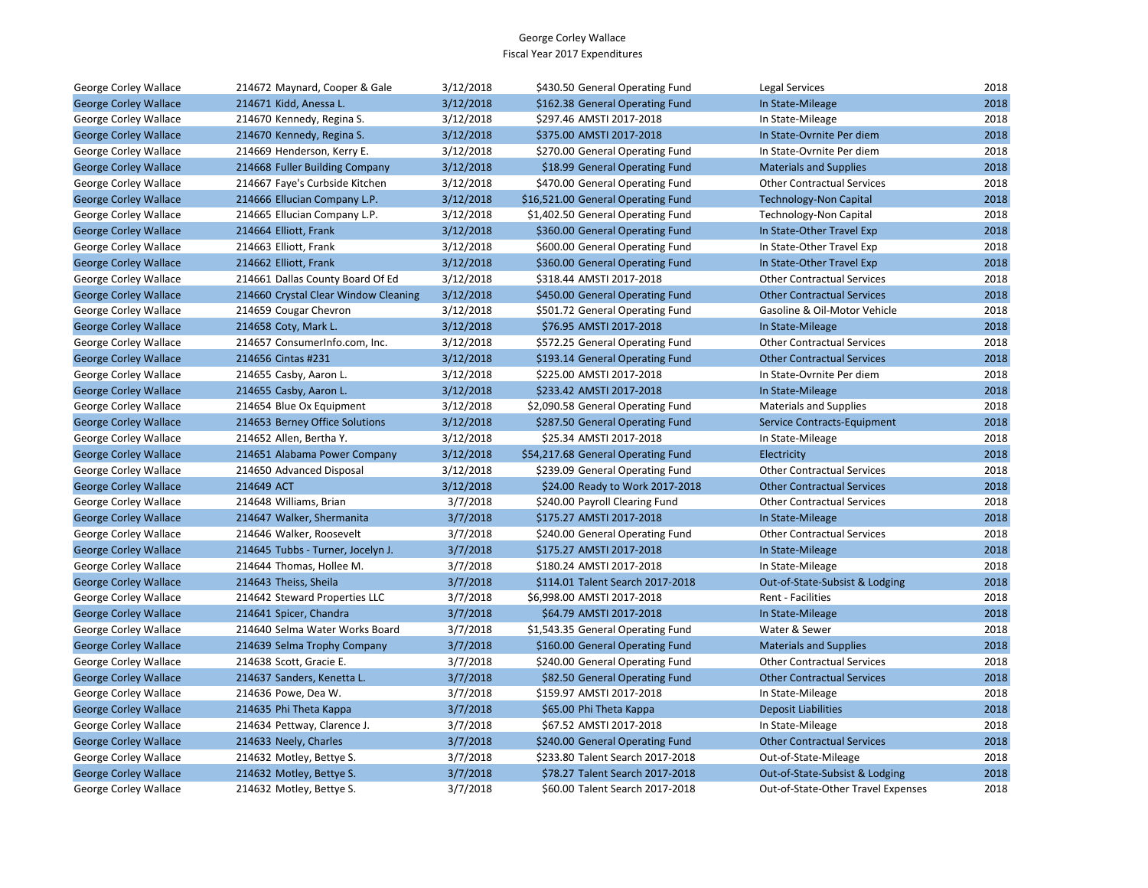| George Corley Wallace        | 214672 Maynard, Cooper & Gale        | 3/12/2018 | \$430.50 General Operating Fund    | Legal Services                     | 2018 |
|------------------------------|--------------------------------------|-----------|------------------------------------|------------------------------------|------|
| <b>George Corley Wallace</b> | 214671 Kidd, Anessa L.               | 3/12/2018 | \$162.38 General Operating Fund    | In State-Mileage                   | 2018 |
| <b>George Corley Wallace</b> | 214670 Kennedy, Regina S.            | 3/12/2018 | \$297.46 AMSTI 2017-2018           | In State-Mileage                   | 2018 |
| <b>George Corley Wallace</b> | 214670 Kennedy, Regina S.            | 3/12/2018 | \$375.00 AMSTI 2017-2018           | In State-Ovrnite Per diem          | 2018 |
| George Corley Wallace        | 214669 Henderson, Kerry E.           | 3/12/2018 | \$270.00 General Operating Fund    | In State-Ovrnite Per diem          | 2018 |
| <b>George Corley Wallace</b> | 214668 Fuller Building Company       | 3/12/2018 | \$18.99 General Operating Fund     | <b>Materials and Supplies</b>      | 2018 |
| George Corley Wallace        | 214667 Faye's Curbside Kitchen       | 3/12/2018 | \$470.00 General Operating Fund    | <b>Other Contractual Services</b>  | 2018 |
| <b>George Corley Wallace</b> | 214666 Ellucian Company L.P.         | 3/12/2018 | \$16,521.00 General Operating Fund | <b>Technology-Non Capital</b>      | 2018 |
| George Corley Wallace        | 214665 Ellucian Company L.P.         | 3/12/2018 | \$1,402.50 General Operating Fund  | <b>Technology-Non Capital</b>      | 2018 |
| <b>George Corley Wallace</b> | 214664 Elliott, Frank                | 3/12/2018 | \$360.00 General Operating Fund    | In State-Other Travel Exp          | 2018 |
| George Corley Wallace        | 214663 Elliott, Frank                | 3/12/2018 | \$600.00 General Operating Fund    | In State-Other Travel Exp          | 2018 |
| <b>George Corley Wallace</b> | 214662 Elliott, Frank                | 3/12/2018 | \$360.00 General Operating Fund    | In State-Other Travel Exp          | 2018 |
| George Corley Wallace        | 214661 Dallas County Board Of Ed     | 3/12/2018 | \$318.44 AMSTI 2017-2018           | <b>Other Contractual Services</b>  | 2018 |
| <b>George Corley Wallace</b> | 214660 Crystal Clear Window Cleaning | 3/12/2018 | \$450.00 General Operating Fund    | <b>Other Contractual Services</b>  | 2018 |
| George Corley Wallace        | 214659 Cougar Chevron                | 3/12/2018 | \$501.72 General Operating Fund    | Gasoline & Oil-Motor Vehicle       | 2018 |
| <b>George Corley Wallace</b> | 214658 Coty, Mark L.                 | 3/12/2018 | \$76.95 AMSTI 2017-2018            | In State-Mileage                   | 2018 |
| George Corley Wallace        | 214657 ConsumerInfo.com, Inc.        | 3/12/2018 | \$572.25 General Operating Fund    | <b>Other Contractual Services</b>  | 2018 |
| <b>George Corley Wallace</b> | 214656 Cintas #231                   | 3/12/2018 | \$193.14 General Operating Fund    | <b>Other Contractual Services</b>  | 2018 |
| George Corley Wallace        | 214655 Casby, Aaron L.               | 3/12/2018 | \$225.00 AMSTI 2017-2018           | In State-Ovrnite Per diem          | 2018 |
| <b>George Corley Wallace</b> | 214655 Casby, Aaron L.               | 3/12/2018 | \$233.42 AMSTI 2017-2018           | In State-Mileage                   | 2018 |
| George Corley Wallace        | 214654 Blue Ox Equipment             | 3/12/2018 | \$2,090.58 General Operating Fund  | <b>Materials and Supplies</b>      | 2018 |
| <b>George Corley Wallace</b> | 214653 Berney Office Solutions       | 3/12/2018 | \$287.50 General Operating Fund    | Service Contracts-Equipment        | 2018 |
| George Corley Wallace        | 214652 Allen, Bertha Y.              | 3/12/2018 | \$25.34 AMSTI 2017-2018            | In State-Mileage                   | 2018 |
| <b>George Corley Wallace</b> | 214651 Alabama Power Company         | 3/12/2018 | \$54,217.68 General Operating Fund | Electricity                        | 2018 |
| George Corley Wallace        | 214650 Advanced Disposal             | 3/12/2018 | \$239.09 General Operating Fund    | <b>Other Contractual Services</b>  | 2018 |
| <b>George Corley Wallace</b> | 214649 ACT                           | 3/12/2018 | \$24.00 Ready to Work 2017-2018    | <b>Other Contractual Services</b>  | 2018 |
| George Corley Wallace        | 214648 Williams, Brian               | 3/7/2018  | \$240.00 Payroll Clearing Fund     | <b>Other Contractual Services</b>  | 2018 |
| <b>George Corley Wallace</b> | 214647 Walker, Shermanita            | 3/7/2018  | \$175.27 AMSTI 2017-2018           | In State-Mileage                   | 2018 |
| George Corley Wallace        | 214646 Walker, Roosevelt             | 3/7/2018  | \$240.00 General Operating Fund    | <b>Other Contractual Services</b>  | 2018 |
| <b>George Corley Wallace</b> | 214645 Tubbs - Turner, Jocelyn J.    | 3/7/2018  | \$175.27 AMSTI 2017-2018           | In State-Mileage                   | 2018 |
| George Corley Wallace        | 214644 Thomas, Hollee M.             | 3/7/2018  | \$180.24 AMSTI 2017-2018           | In State-Mileage                   | 2018 |
| <b>George Corley Wallace</b> | 214643 Theiss, Sheila                | 3/7/2018  | \$114.01 Talent Search 2017-2018   | Out-of-State-Subsist & Lodging     | 2018 |
| George Corley Wallace        | 214642 Steward Properties LLC        | 3/7/2018  | \$6,998.00 AMSTI 2017-2018         | Rent - Facilities                  | 2018 |
| <b>George Corley Wallace</b> | 214641 Spicer, Chandra               | 3/7/2018  | \$64.79 AMSTI 2017-2018            | In State-Mileage                   | 2018 |
| George Corley Wallace        | 214640 Selma Water Works Board       | 3/7/2018  | \$1,543.35 General Operating Fund  | Water & Sewer                      | 2018 |
| <b>George Corley Wallace</b> | 214639 Selma Trophy Company          | 3/7/2018  | \$160.00 General Operating Fund    | <b>Materials and Supplies</b>      | 2018 |
| George Corley Wallace        | 214638 Scott, Gracie E.              | 3/7/2018  | \$240.00 General Operating Fund    | <b>Other Contractual Services</b>  | 2018 |
| <b>George Corley Wallace</b> | 214637 Sanders, Kenetta L.           | 3/7/2018  | \$82.50 General Operating Fund     | <b>Other Contractual Services</b>  | 2018 |
| George Corley Wallace        | 214636 Powe, Dea W.                  | 3/7/2018  | \$159.97 AMSTI 2017-2018           | In State-Mileage                   | 2018 |
| <b>George Corley Wallace</b> | 214635 Phi Theta Kappa               | 3/7/2018  | \$65.00 Phi Theta Kappa            | <b>Deposit Liabilities</b>         | 2018 |
| George Corley Wallace        | 214634 Pettway, Clarence J.          | 3/7/2018  | \$67.52 AMSTI 2017-2018            | In State-Mileage                   | 2018 |
| <b>George Corley Wallace</b> | 214633 Neely, Charles                | 3/7/2018  | \$240.00 General Operating Fund    | <b>Other Contractual Services</b>  | 2018 |
| George Corley Wallace        | 214632 Motley, Bettye S.             | 3/7/2018  | \$233.80 Talent Search 2017-2018   | Out-of-State-Mileage               | 2018 |
| <b>George Corley Wallace</b> | 214632 Motley, Bettye S.             | 3/7/2018  | \$78.27 Talent Search 2017-2018    | Out-of-State-Subsist & Lodging     | 2018 |
| George Corley Wallace        | 214632 Motley, Bettye S.             | 3/7/2018  | \$60.00 Talent Search 2017-2018    | Out-of-State-Other Travel Expenses | 2018 |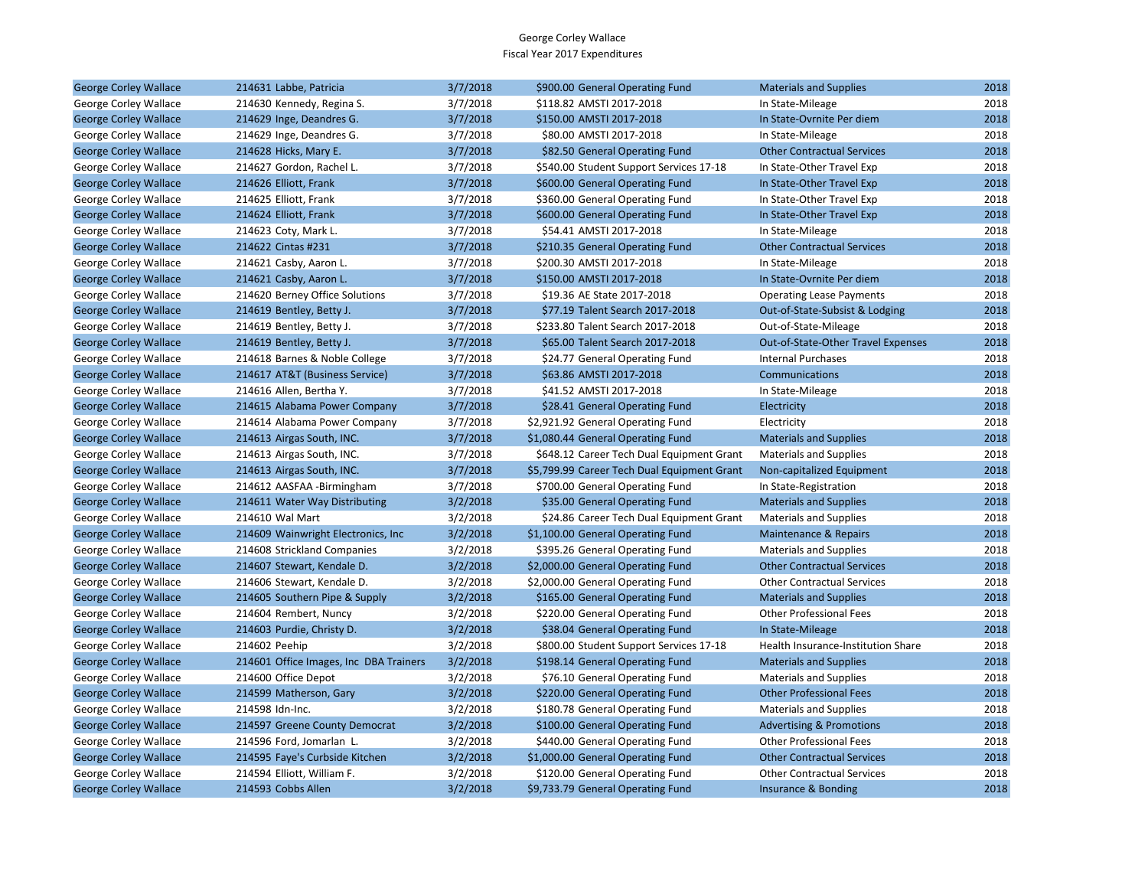| <b>George Corley Wallace</b> | 214631 Labbe, Patricia                 | 3/7/2018 | \$900.00 General Operating Fund             | <b>Materials and Supplies</b>       | 2018 |
|------------------------------|----------------------------------------|----------|---------------------------------------------|-------------------------------------|------|
| George Corley Wallace        | 214630 Kennedy, Regina S.              | 3/7/2018 | \$118.82 AMSTI 2017-2018                    | In State-Mileage                    | 2018 |
| <b>George Corley Wallace</b> | 214629 Inge, Deandres G.               | 3/7/2018 | \$150.00 AMSTI 2017-2018                    | In State-Ovrnite Per diem           | 2018 |
| George Corley Wallace        | 214629 Inge, Deandres G.               | 3/7/2018 | \$80.00 AMSTI 2017-2018                     | In State-Mileage                    | 2018 |
| <b>George Corley Wallace</b> | 214628 Hicks, Mary E.                  | 3/7/2018 | \$82.50 General Operating Fund              | <b>Other Contractual Services</b>   | 2018 |
| George Corley Wallace        | 214627 Gordon, Rachel L.               | 3/7/2018 | \$540.00 Student Support Services 17-18     | In State-Other Travel Exp           | 2018 |
| <b>George Corley Wallace</b> | 214626 Elliott, Frank                  | 3/7/2018 | \$600.00 General Operating Fund             | In State-Other Travel Exp           | 2018 |
| George Corley Wallace        | 214625 Elliott, Frank                  | 3/7/2018 | \$360.00 General Operating Fund             | In State-Other Travel Exp           | 2018 |
| <b>George Corley Wallace</b> | 214624 Elliott, Frank                  | 3/7/2018 | \$600.00 General Operating Fund             | In State-Other Travel Exp           | 2018 |
| George Corley Wallace        | 214623 Coty, Mark L.                   | 3/7/2018 | \$54.41 AMSTI 2017-2018                     | In State-Mileage                    | 2018 |
| <b>George Corley Wallace</b> | 214622 Cintas #231                     | 3/7/2018 | \$210.35 General Operating Fund             | <b>Other Contractual Services</b>   | 2018 |
| George Corley Wallace        | 214621 Casby, Aaron L.                 | 3/7/2018 | \$200.30 AMSTI 2017-2018                    | In State-Mileage                    | 2018 |
| <b>George Corley Wallace</b> | 214621 Casby, Aaron L.                 | 3/7/2018 | \$150.00 AMSTI 2017-2018                    | In State-Ovrnite Per diem           | 2018 |
| George Corley Wallace        | 214620 Berney Office Solutions         | 3/7/2018 | \$19.36 AE State 2017-2018                  | <b>Operating Lease Payments</b>     | 2018 |
| <b>George Corley Wallace</b> | 214619 Bentley, Betty J.               | 3/7/2018 | \$77.19 Talent Search 2017-2018             | Out-of-State-Subsist & Lodging      | 2018 |
| George Corley Wallace        | 214619 Bentley, Betty J.               | 3/7/2018 | \$233.80 Talent Search 2017-2018            | Out-of-State-Mileage                | 2018 |
| <b>George Corley Wallace</b> | 214619 Bentley, Betty J.               | 3/7/2018 | \$65.00 Talent Search 2017-2018             | Out-of-State-Other Travel Expenses  | 2018 |
| George Corley Wallace        | 214618 Barnes & Noble College          | 3/7/2018 | \$24.77 General Operating Fund              | <b>Internal Purchases</b>           | 2018 |
| <b>George Corley Wallace</b> | 214617 AT&T (Business Service)         | 3/7/2018 | \$63.86 AMSTI 2017-2018                     | Communications                      | 2018 |
| George Corley Wallace        | 214616 Allen, Bertha Y.                | 3/7/2018 | \$41.52 AMSTI 2017-2018                     | In State-Mileage                    | 2018 |
| <b>George Corley Wallace</b> | 214615 Alabama Power Company           | 3/7/2018 | \$28.41 General Operating Fund              | Electricity                         | 2018 |
| George Corley Wallace        | 214614 Alabama Power Company           | 3/7/2018 | \$2,921.92 General Operating Fund           | Electricity                         | 2018 |
| <b>George Corley Wallace</b> | 214613 Airgas South, INC.              | 3/7/2018 | \$1,080.44 General Operating Fund           | <b>Materials and Supplies</b>       | 2018 |
| George Corley Wallace        | 214613 Airgas South, INC.              | 3/7/2018 | \$648.12 Career Tech Dual Equipment Grant   | <b>Materials and Supplies</b>       | 2018 |
| <b>George Corley Wallace</b> | 214613 Airgas South, INC.              | 3/7/2018 | \$5,799.99 Career Tech Dual Equipment Grant | Non-capitalized Equipment           | 2018 |
| George Corley Wallace        | 214612 AASFAA -Birmingham              | 3/7/2018 | \$700.00 General Operating Fund             | In State-Registration               | 2018 |
| <b>George Corley Wallace</b> | 214611 Water Way Distributing          | 3/2/2018 | \$35.00 General Operating Fund              | <b>Materials and Supplies</b>       | 2018 |
| George Corley Wallace        | 214610 Wal Mart                        | 3/2/2018 | \$24.86 Career Tech Dual Equipment Grant    | <b>Materials and Supplies</b>       | 2018 |
| <b>George Corley Wallace</b> | 214609 Wainwright Electronics, Inc.    | 3/2/2018 | \$1,100.00 General Operating Fund           | Maintenance & Repairs               | 2018 |
| George Corley Wallace        | 214608 Strickland Companies            | 3/2/2018 | \$395.26 General Operating Fund             | <b>Materials and Supplies</b>       | 2018 |
| <b>George Corley Wallace</b> | 214607 Stewart, Kendale D.             | 3/2/2018 | \$2,000.00 General Operating Fund           | <b>Other Contractual Services</b>   | 2018 |
| George Corley Wallace        | 214606 Stewart, Kendale D.             | 3/2/2018 | \$2,000.00 General Operating Fund           | <b>Other Contractual Services</b>   | 2018 |
| <b>George Corley Wallace</b> | 214605 Southern Pipe & Supply          | 3/2/2018 | \$165.00 General Operating Fund             | <b>Materials and Supplies</b>       | 2018 |
| George Corley Wallace        | 214604 Rembert, Nuncy                  | 3/2/2018 | \$220.00 General Operating Fund             | <b>Other Professional Fees</b>      | 2018 |
| <b>George Corley Wallace</b> | 214603 Purdie, Christy D.              | 3/2/2018 | \$38.04 General Operating Fund              | In State-Mileage                    | 2018 |
| George Corley Wallace        | 214602 Peehip                          | 3/2/2018 | \$800.00 Student Support Services 17-18     | Health Insurance-Institution Share  | 2018 |
| <b>George Corley Wallace</b> | 214601 Office Images, Inc DBA Trainers | 3/2/2018 | \$198.14 General Operating Fund             | <b>Materials and Supplies</b>       | 2018 |
| George Corley Wallace        | 214600 Office Depot                    | 3/2/2018 | \$76.10 General Operating Fund              | <b>Materials and Supplies</b>       | 2018 |
| <b>George Corley Wallace</b> | 214599 Matherson, Gary                 | 3/2/2018 | \$220.00 General Operating Fund             | <b>Other Professional Fees</b>      | 2018 |
| George Corley Wallace        | 214598 Idn-Inc.                        | 3/2/2018 | \$180.78 General Operating Fund             | <b>Materials and Supplies</b>       | 2018 |
| <b>George Corley Wallace</b> | 214597 Greene County Democrat          | 3/2/2018 | \$100.00 General Operating Fund             | <b>Advertising &amp; Promotions</b> | 2018 |
| George Corley Wallace        | 214596 Ford, Jomarlan L.               | 3/2/2018 | \$440.00 General Operating Fund             | <b>Other Professional Fees</b>      | 2018 |
| <b>George Corley Wallace</b> | 214595 Faye's Curbside Kitchen         | 3/2/2018 | \$1,000.00 General Operating Fund           | <b>Other Contractual Services</b>   | 2018 |
| George Corley Wallace        | 214594 Elliott, William F.             | 3/2/2018 | \$120.00 General Operating Fund             | <b>Other Contractual Services</b>   | 2018 |
| <b>George Corley Wallace</b> | 214593 Cobbs Allen                     | 3/2/2018 | \$9,733.79 General Operating Fund           | Insurance & Bonding                 | 2018 |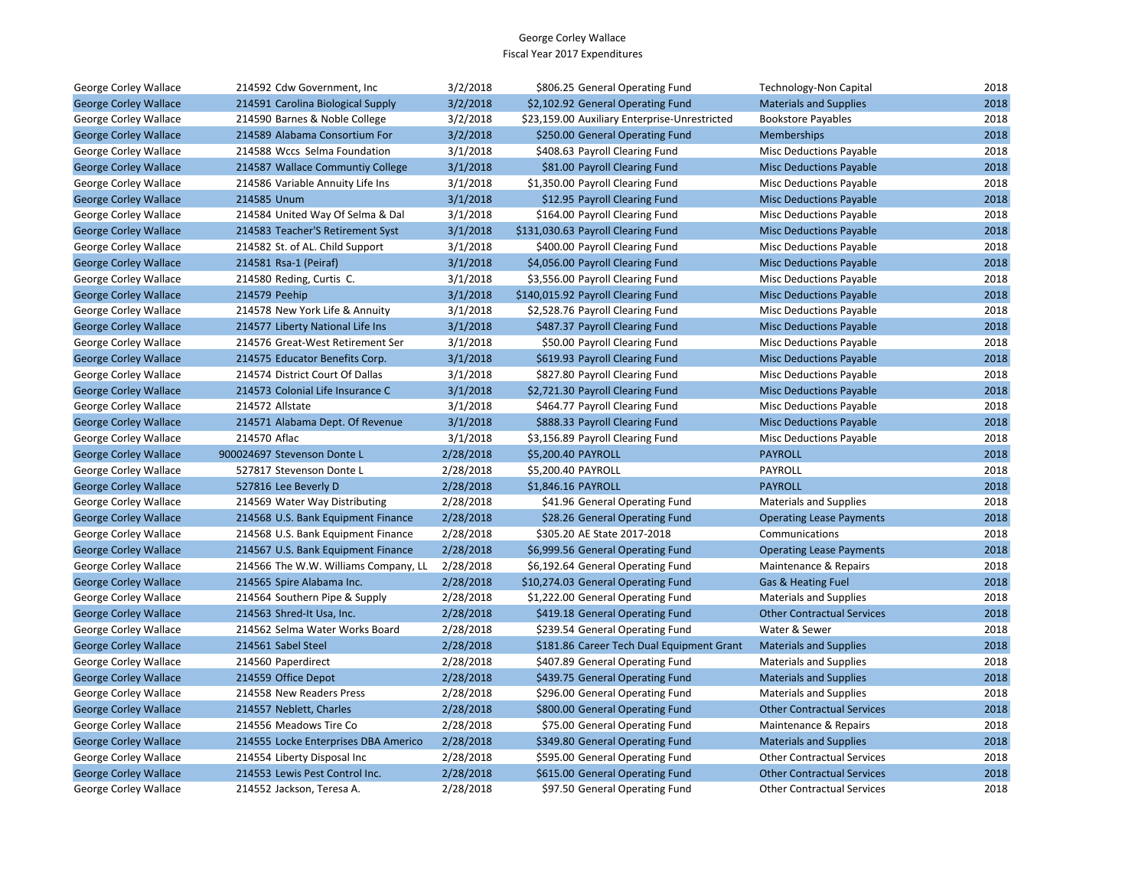| George Corley Wallace        | 214592 Cdw Government, Inc           | 3/2/2018  | \$806.25 General Operating Fund               | Technology-Non Capital            | 2018 |
|------------------------------|--------------------------------------|-----------|-----------------------------------------------|-----------------------------------|------|
| <b>George Corley Wallace</b> | 214591 Carolina Biological Supply    | 3/2/2018  | \$2,102.92 General Operating Fund             | <b>Materials and Supplies</b>     | 2018 |
| George Corley Wallace        | 214590 Barnes & Noble College        | 3/2/2018  | \$23,159.00 Auxiliary Enterprise-Unrestricted | <b>Bookstore Payables</b>         | 2018 |
| <b>George Corley Wallace</b> | 214589 Alabama Consortium For        | 3/2/2018  | \$250.00 General Operating Fund               | Memberships                       | 2018 |
| George Corley Wallace        | 214588 Wccs Selma Foundation         | 3/1/2018  | \$408.63 Payroll Clearing Fund                | Misc Deductions Payable           | 2018 |
| <b>George Corley Wallace</b> | 214587 Wallace Communtiy College     | 3/1/2018  | \$81.00 Payroll Clearing Fund                 | <b>Misc Deductions Payable</b>    | 2018 |
| George Corley Wallace        | 214586 Variable Annuity Life Ins     | 3/1/2018  | \$1,350.00 Payroll Clearing Fund              | <b>Misc Deductions Payable</b>    | 2018 |
| <b>George Corley Wallace</b> | 214585 Unum                          | 3/1/2018  | \$12.95 Payroll Clearing Fund                 | <b>Misc Deductions Payable</b>    | 2018 |
| George Corley Wallace        | 214584 United Way Of Selma & Dal     | 3/1/2018  | \$164.00 Payroll Clearing Fund                | <b>Misc Deductions Payable</b>    | 2018 |
| <b>George Corley Wallace</b> | 214583 Teacher'S Retirement Syst     | 3/1/2018  | \$131,030.63 Payroll Clearing Fund            | <b>Misc Deductions Payable</b>    | 2018 |
| George Corley Wallace        | 214582 St. of AL. Child Support      | 3/1/2018  | \$400.00 Payroll Clearing Fund                | Misc Deductions Payable           | 2018 |
| <b>George Corley Wallace</b> | 214581 Rsa-1 (Peiraf)                | 3/1/2018  | \$4,056.00 Payroll Clearing Fund              | <b>Misc Deductions Payable</b>    | 2018 |
| George Corley Wallace        | 214580 Reding, Curtis C.             | 3/1/2018  | \$3,556.00 Payroll Clearing Fund              | <b>Misc Deductions Payable</b>    | 2018 |
| <b>George Corley Wallace</b> | 214579 Peehip                        | 3/1/2018  | \$140,015.92 Payroll Clearing Fund            | <b>Misc Deductions Payable</b>    | 2018 |
| George Corley Wallace        | 214578 New York Life & Annuity       | 3/1/2018  | \$2,528.76 Payroll Clearing Fund              | <b>Misc Deductions Payable</b>    | 2018 |
| <b>George Corley Wallace</b> | 214577 Liberty National Life Ins     | 3/1/2018  | \$487.37 Payroll Clearing Fund                | <b>Misc Deductions Payable</b>    | 2018 |
| George Corley Wallace        | 214576 Great-West Retirement Ser     | 3/1/2018  | \$50.00 Payroll Clearing Fund                 | Misc Deductions Payable           | 2018 |
| <b>George Corley Wallace</b> | 214575 Educator Benefits Corp.       | 3/1/2018  | \$619.93 Payroll Clearing Fund                | <b>Misc Deductions Payable</b>    | 2018 |
| George Corley Wallace        | 214574 District Court Of Dallas      | 3/1/2018  | \$827.80 Payroll Clearing Fund                | <b>Misc Deductions Payable</b>    | 2018 |
| <b>George Corley Wallace</b> | 214573 Colonial Life Insurance C     | 3/1/2018  | \$2,721.30 Payroll Clearing Fund              | <b>Misc Deductions Payable</b>    | 2018 |
| George Corley Wallace        | 214572 Allstate                      | 3/1/2018  | \$464.77 Payroll Clearing Fund                | Misc Deductions Payable           | 2018 |
| <b>George Corley Wallace</b> | 214571 Alabama Dept. Of Revenue      | 3/1/2018  | \$888.33 Payroll Clearing Fund                | <b>Misc Deductions Payable</b>    | 2018 |
| George Corley Wallace        | 214570 Aflac                         | 3/1/2018  | \$3,156.89 Payroll Clearing Fund              | <b>Misc Deductions Payable</b>    | 2018 |
| <b>George Corley Wallace</b> | 900024697 Stevenson Donte L          | 2/28/2018 | \$5,200.40 PAYROLL                            | <b>PAYROLL</b>                    | 2018 |
| George Corley Wallace        | 527817 Stevenson Donte L             | 2/28/2018 | \$5,200.40 PAYROLL                            | PAYROLL                           | 2018 |
| <b>George Corley Wallace</b> | 527816 Lee Beverly D                 | 2/28/2018 | \$1,846.16 PAYROLL                            | <b>PAYROLL</b>                    | 2018 |
| George Corley Wallace        | 214569 Water Way Distributing        | 2/28/2018 | \$41.96 General Operating Fund                | <b>Materials and Supplies</b>     | 2018 |
| <b>George Corley Wallace</b> | 214568 U.S. Bank Equipment Finance   | 2/28/2018 | \$28.26 General Operating Fund                | <b>Operating Lease Payments</b>   | 2018 |
| George Corley Wallace        | 214568 U.S. Bank Equipment Finance   | 2/28/2018 | \$305.20 AE State 2017-2018                   | Communications                    | 2018 |
| <b>George Corley Wallace</b> | 214567 U.S. Bank Equipment Finance   | 2/28/2018 | \$6,999.56 General Operating Fund             | <b>Operating Lease Payments</b>   | 2018 |
| George Corley Wallace        | 214566 The W.W. Williams Company, LL | 2/28/2018 | \$6,192.64 General Operating Fund             | Maintenance & Repairs             | 2018 |
| <b>George Corley Wallace</b> | 214565 Spire Alabama Inc.            | 2/28/2018 | \$10,274.03 General Operating Fund            | Gas & Heating Fuel                | 2018 |
| George Corley Wallace        | 214564 Southern Pipe & Supply        | 2/28/2018 | \$1,222.00 General Operating Fund             | <b>Materials and Supplies</b>     | 2018 |
| <b>George Corley Wallace</b> | 214563 Shred-It Usa, Inc.            | 2/28/2018 | \$419.18 General Operating Fund               | <b>Other Contractual Services</b> | 2018 |
| George Corley Wallace        | 214562 Selma Water Works Board       | 2/28/2018 | \$239.54 General Operating Fund               | Water & Sewer                     | 2018 |
| <b>George Corley Wallace</b> | 214561 Sabel Steel                   | 2/28/2018 | \$181.86 Career Tech Dual Equipment Grant     | <b>Materials and Supplies</b>     | 2018 |
| George Corley Wallace        | 214560 Paperdirect                   | 2/28/2018 | \$407.89 General Operating Fund               | <b>Materials and Supplies</b>     | 2018 |
| <b>George Corley Wallace</b> | 214559 Office Depot                  | 2/28/2018 | \$439.75 General Operating Fund               | <b>Materials and Supplies</b>     | 2018 |
| George Corley Wallace        | 214558 New Readers Press             | 2/28/2018 | \$296.00 General Operating Fund               | <b>Materials and Supplies</b>     | 2018 |
| <b>George Corley Wallace</b> | 214557 Neblett, Charles              | 2/28/2018 | \$800.00 General Operating Fund               | <b>Other Contractual Services</b> | 2018 |
| George Corley Wallace        | 214556 Meadows Tire Co               | 2/28/2018 | \$75.00 General Operating Fund                | Maintenance & Repairs             | 2018 |
| <b>George Corley Wallace</b> | 214555 Locke Enterprises DBA Americo | 2/28/2018 | \$349.80 General Operating Fund               | <b>Materials and Supplies</b>     | 2018 |
| George Corley Wallace        | 214554 Liberty Disposal Inc          | 2/28/2018 | \$595.00 General Operating Fund               | <b>Other Contractual Services</b> | 2018 |
| <b>George Corley Wallace</b> | 214553 Lewis Pest Control Inc.       | 2/28/2018 | \$615.00 General Operating Fund               | <b>Other Contractual Services</b> | 2018 |
| George Corley Wallace        | 214552 Jackson, Teresa A.            | 2/28/2018 | \$97.50 General Operating Fund                | <b>Other Contractual Services</b> | 2018 |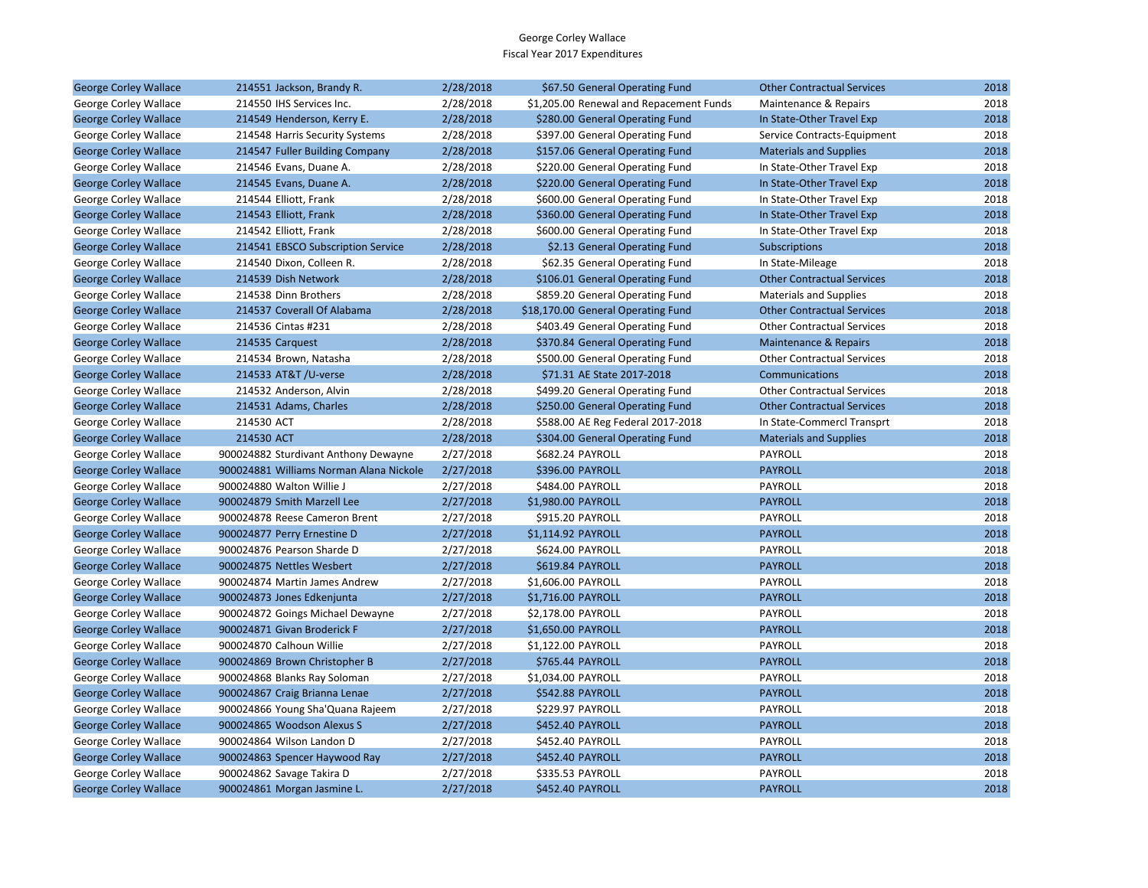| <b>George Corley Wallace</b> | 214551 Jackson, Brandy R.               | 2/28/2018 | \$67.50 General Operating Fund          | <b>Other Contractual Services</b> | 2018 |
|------------------------------|-----------------------------------------|-----------|-----------------------------------------|-----------------------------------|------|
| George Corley Wallace        | 214550 IHS Services Inc.                | 2/28/2018 | \$1,205.00 Renewal and Repacement Funds | Maintenance & Repairs             | 2018 |
| <b>George Corley Wallace</b> | 214549 Henderson, Kerry E.              | 2/28/2018 | \$280.00 General Operating Fund         | In State-Other Travel Exp         | 2018 |
| George Corley Wallace        | 214548 Harris Security Systems          | 2/28/2018 | \$397.00 General Operating Fund         | Service Contracts-Equipment       | 2018 |
| <b>George Corley Wallace</b> | 214547 Fuller Building Company          | 2/28/2018 | \$157.06 General Operating Fund         | <b>Materials and Supplies</b>     | 2018 |
| George Corley Wallace        | 214546 Evans, Duane A.                  | 2/28/2018 | \$220.00 General Operating Fund         | In State-Other Travel Exp         | 2018 |
| <b>George Corley Wallace</b> | 214545 Evans, Duane A.                  | 2/28/2018 | \$220.00 General Operating Fund         | In State-Other Travel Exp         | 2018 |
| George Corley Wallace        | 214544 Elliott, Frank                   | 2/28/2018 | \$600.00 General Operating Fund         | In State-Other Travel Exp         | 2018 |
| <b>George Corley Wallace</b> | 214543 Elliott, Frank                   | 2/28/2018 | \$360.00 General Operating Fund         | In State-Other Travel Exp         | 2018 |
| George Corley Wallace        | 214542 Elliott, Frank                   | 2/28/2018 | \$600.00 General Operating Fund         | In State-Other Travel Exp         | 2018 |
| <b>George Corley Wallace</b> | 214541 EBSCO Subscription Service       | 2/28/2018 | \$2.13 General Operating Fund           | Subscriptions                     | 2018 |
| George Corley Wallace        | 214540 Dixon, Colleen R.                | 2/28/2018 | \$62.35 General Operating Fund          | In State-Mileage                  | 2018 |
| <b>George Corley Wallace</b> | 214539 Dish Network                     | 2/28/2018 | \$106.01 General Operating Fund         | <b>Other Contractual Services</b> | 2018 |
| George Corley Wallace        | 214538 Dinn Brothers                    | 2/28/2018 | \$859.20 General Operating Fund         | <b>Materials and Supplies</b>     | 2018 |
| <b>George Corley Wallace</b> | 214537 Coverall Of Alabama              | 2/28/2018 | \$18,170.00 General Operating Fund      | <b>Other Contractual Services</b> | 2018 |
| George Corley Wallace        | 214536 Cintas #231                      | 2/28/2018 | \$403.49 General Operating Fund         | <b>Other Contractual Services</b> | 2018 |
| <b>George Corley Wallace</b> | 214535 Carquest                         | 2/28/2018 | \$370.84 General Operating Fund         | <b>Maintenance &amp; Repairs</b>  | 2018 |
| George Corley Wallace        | 214534 Brown, Natasha                   | 2/28/2018 | \$500.00 General Operating Fund         | <b>Other Contractual Services</b> | 2018 |
| <b>George Corley Wallace</b> | 214533 AT&T /U-verse                    | 2/28/2018 | \$71.31 AE State 2017-2018              | Communications                    | 2018 |
| George Corley Wallace        | 214532 Anderson, Alvin                  | 2/28/2018 | \$499.20 General Operating Fund         | <b>Other Contractual Services</b> | 2018 |
| <b>George Corley Wallace</b> | 214531 Adams, Charles                   | 2/28/2018 | \$250.00 General Operating Fund         | <b>Other Contractual Services</b> | 2018 |
| George Corley Wallace        | 214530 ACT                              | 2/28/2018 | \$588.00 AE Reg Federal 2017-2018       | In State-Commercl Transprt        | 2018 |
| <b>George Corley Wallace</b> | 214530 ACT                              | 2/28/2018 | \$304.00 General Operating Fund         | <b>Materials and Supplies</b>     | 2018 |
| George Corley Wallace        | 900024882 Sturdivant Anthony Dewayne    | 2/27/2018 | \$682.24 PAYROLL                        | PAYROLL                           | 2018 |
| <b>George Corley Wallace</b> | 900024881 Williams Norman Alana Nickole | 2/27/2018 | \$396.00 PAYROLL                        | <b>PAYROLL</b>                    | 2018 |
| George Corley Wallace        | 900024880 Walton Willie J               | 2/27/2018 | \$484.00 PAYROLL                        | PAYROLL                           | 2018 |
| <b>George Corley Wallace</b> | 900024879 Smith Marzell Lee             | 2/27/2018 | \$1,980.00 PAYROLL                      | <b>PAYROLL</b>                    | 2018 |
| George Corley Wallace        | 900024878 Reese Cameron Brent           | 2/27/2018 | \$915.20 PAYROLL                        | PAYROLL                           | 2018 |
| <b>George Corley Wallace</b> | 900024877 Perry Ernestine D             | 2/27/2018 | \$1,114.92 PAYROLL                      | <b>PAYROLL</b>                    | 2018 |
| George Corley Wallace        | 900024876 Pearson Sharde D              | 2/27/2018 | \$624.00 PAYROLL                        | PAYROLL                           | 2018 |
| <b>George Corley Wallace</b> | 900024875 Nettles Wesbert               | 2/27/2018 | \$619.84 PAYROLL                        | <b>PAYROLL</b>                    | 2018 |
| George Corley Wallace        | 900024874 Martin James Andrew           | 2/27/2018 | \$1,606.00 PAYROLL                      | PAYROLL                           | 2018 |
| <b>George Corley Wallace</b> | 900024873 Jones Edkenjunta              | 2/27/2018 | \$1,716.00 PAYROLL                      | <b>PAYROLL</b>                    | 2018 |
| George Corley Wallace        | 900024872 Goings Michael Dewayne        | 2/27/2018 | \$2,178.00 PAYROLL                      | <b>PAYROLL</b>                    | 2018 |
| <b>George Corley Wallace</b> | 900024871 Givan Broderick F             | 2/27/2018 | \$1,650.00 PAYROLL                      | <b>PAYROLL</b>                    | 2018 |
| George Corley Wallace        | 900024870 Calhoun Willie                | 2/27/2018 | \$1,122.00 PAYROLL                      | PAYROLL                           | 2018 |
| <b>George Corley Wallace</b> | 900024869 Brown Christopher B           | 2/27/2018 | \$765.44 PAYROLL                        | <b>PAYROLL</b>                    | 2018 |
| George Corley Wallace        | 900024868 Blanks Ray Soloman            | 2/27/2018 | \$1,034.00 PAYROLL                      | PAYROLL                           | 2018 |
| <b>George Corley Wallace</b> | 900024867 Craig Brianna Lenae           | 2/27/2018 | \$542.88 PAYROLL                        | <b>PAYROLL</b>                    | 2018 |
| George Corley Wallace        | 900024866 Young Sha'Quana Rajeem        | 2/27/2018 | \$229.97 PAYROLL                        | PAYROLL                           | 2018 |
| <b>George Corley Wallace</b> | 900024865 Woodson Alexus S              | 2/27/2018 | \$452.40 PAYROLL                        | <b>PAYROLL</b>                    | 2018 |
| George Corley Wallace        | 900024864 Wilson Landon D               | 2/27/2018 | \$452.40 PAYROLL                        | <b>PAYROLL</b>                    | 2018 |
| <b>George Corley Wallace</b> | 900024863 Spencer Haywood Ray           | 2/27/2018 | \$452.40 PAYROLL                        | <b>PAYROLL</b>                    | 2018 |
| George Corley Wallace        | 900024862 Savage Takira D               | 2/27/2018 | \$335.53 PAYROLL                        | PAYROLL                           | 2018 |
| <b>George Corley Wallace</b> | 900024861 Morgan Jasmine L.             | 2/27/2018 | \$452.40 PAYROLL                        | <b>PAYROLL</b>                    | 2018 |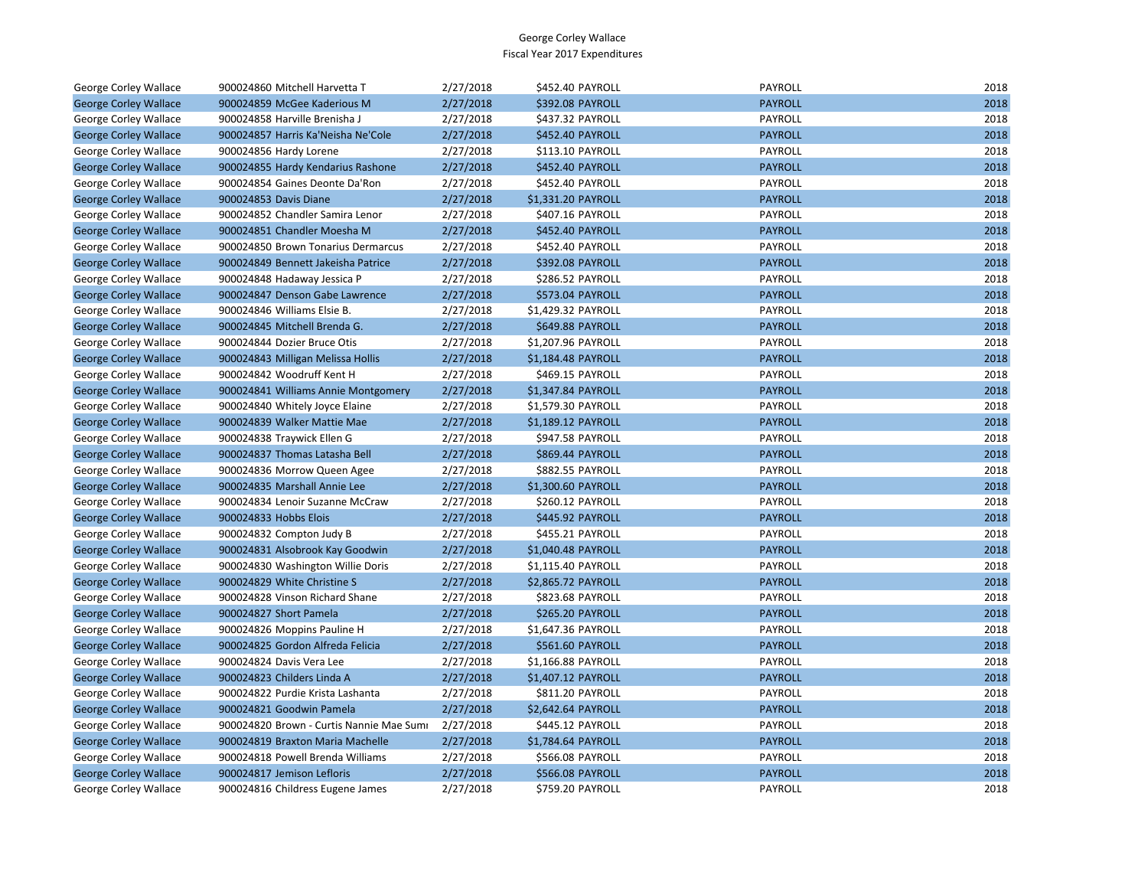| George Corley Wallace        | 900024860 Mitchell Harvetta T            | 2/27/2018 | \$452.40 PAYROLL        | <b>PAYROLL</b> | 2018 |
|------------------------------|------------------------------------------|-----------|-------------------------|----------------|------|
| <b>George Corley Wallace</b> | 900024859 McGee Kaderious M              | 2/27/2018 | \$392.08 PAYROLL        | <b>PAYROLL</b> | 2018 |
| George Corley Wallace        | 900024858 Harville Brenisha J            | 2/27/2018 | \$437.32 PAYROLL        | PAYROLL        | 2018 |
| <b>George Corley Wallace</b> | 900024857 Harris Ka'Neisha Ne'Cole       | 2/27/2018 | \$452.40 PAYROLL        | <b>PAYROLL</b> | 2018 |
| George Corley Wallace        | 900024856 Hardy Lorene                   | 2/27/2018 | \$113.10 PAYROLL        | PAYROLL        | 2018 |
| <b>George Corley Wallace</b> | 900024855 Hardy Kendarius Rashone        | 2/27/2018 | \$452.40 PAYROLL        | <b>PAYROLL</b> | 2018 |
| George Corley Wallace        | 900024854 Gaines Deonte Da'Ron           | 2/27/2018 | \$452.40 PAYROLL        | PAYROLL        | 2018 |
| <b>George Corley Wallace</b> | 900024853 Davis Diane                    | 2/27/2018 | \$1,331.20 PAYROLL      | <b>PAYROLL</b> | 2018 |
| <b>George Corley Wallace</b> | 900024852 Chandler Samira Lenor          | 2/27/2018 | \$407.16 PAYROLL        | PAYROLL        | 2018 |
| <b>George Corley Wallace</b> | 900024851 Chandler Moesha M              | 2/27/2018 | \$452.40 PAYROLL        | <b>PAYROLL</b> | 2018 |
| George Corley Wallace        | 900024850 Brown Tonarius Dermarcus       | 2/27/2018 | \$452.40 PAYROLL        | PAYROLL        | 2018 |
| <b>George Corley Wallace</b> | 900024849 Bennett Jakeisha Patrice       | 2/27/2018 | \$392.08 PAYROLL        | <b>PAYROLL</b> | 2018 |
| George Corley Wallace        | 900024848 Hadaway Jessica P              | 2/27/2018 | \$286.52 PAYROLL        | PAYROLL        | 2018 |
| <b>George Corley Wallace</b> | 900024847 Denson Gabe Lawrence           | 2/27/2018 | \$573.04 PAYROLL        | <b>PAYROLL</b> | 2018 |
| George Corley Wallace        | 900024846 Williams Elsie B.              | 2/27/2018 | \$1,429.32 PAYROLL      | PAYROLL        | 2018 |
| <b>George Corley Wallace</b> | 900024845 Mitchell Brenda G.             | 2/27/2018 | \$649.88 PAYROLL        | <b>PAYROLL</b> | 2018 |
| George Corley Wallace        | 900024844 Dozier Bruce Otis              | 2/27/2018 | \$1,207.96 PAYROLL      | PAYROLL        | 2018 |
| <b>George Corley Wallace</b> | 900024843 Milligan Melissa Hollis        | 2/27/2018 | \$1,184.48 PAYROLL      | <b>PAYROLL</b> | 2018 |
| George Corley Wallace        | 900024842 Woodruff Kent H                | 2/27/2018 | \$469.15 PAYROLL        | PAYROLL        | 2018 |
| <b>George Corley Wallace</b> | 900024841 Williams Annie Montgomery      | 2/27/2018 | \$1,347.84 PAYROLL      | <b>PAYROLL</b> | 2018 |
| George Corley Wallace        | 900024840 Whitely Joyce Elaine           | 2/27/2018 | \$1,579.30 PAYROLL      | PAYROLL        | 2018 |
| <b>George Corley Wallace</b> | 900024839 Walker Mattie Mae              | 2/27/2018 | \$1,189.12 PAYROLL      | <b>PAYROLL</b> | 2018 |
| George Corley Wallace        | 900024838 Traywick Ellen G               | 2/27/2018 | \$947.58 PAYROLL        | PAYROLL        | 2018 |
| <b>George Corley Wallace</b> | 900024837 Thomas Latasha Bell            | 2/27/2018 | \$869.44 PAYROLL        | <b>PAYROLL</b> | 2018 |
| George Corley Wallace        | 900024836 Morrow Queen Agee              | 2/27/2018 | \$882.55 PAYROLL        | PAYROLL        | 2018 |
| <b>George Corley Wallace</b> | 900024835 Marshall Annie Lee             | 2/27/2018 | \$1,300.60 PAYROLL      | <b>PAYROLL</b> | 2018 |
| George Corley Wallace        | 900024834 Lenoir Suzanne McCraw          | 2/27/2018 | \$260.12 PAYROLL        | PAYROLL        | 2018 |
| <b>George Corley Wallace</b> | 900024833 Hobbs Elois                    | 2/27/2018 | \$445.92 PAYROLL        | <b>PAYROLL</b> | 2018 |
| George Corley Wallace        | 900024832 Compton Judy B                 | 2/27/2018 | \$455.21 PAYROLL        | PAYROLL        | 2018 |
| <b>George Corley Wallace</b> | 900024831 Alsobrook Kay Goodwin          | 2/27/2018 | \$1,040.48 PAYROLL      | <b>PAYROLL</b> | 2018 |
| George Corley Wallace        | 900024830 Washington Willie Doris        | 2/27/2018 | \$1,115.40 PAYROLL      | PAYROLL        | 2018 |
| <b>George Corley Wallace</b> | 900024829 White Christine S              | 2/27/2018 | \$2,865.72 PAYROLL      | <b>PAYROLL</b> | 2018 |
| George Corley Wallace        | 900024828 Vinson Richard Shane           | 2/27/2018 | \$823.68 PAYROLL        | PAYROLL        | 2018 |
| <b>George Corley Wallace</b> | 900024827 Short Pamela                   | 2/27/2018 | \$265.20 PAYROLL        | <b>PAYROLL</b> | 2018 |
| George Corley Wallace        | 900024826 Moppins Pauline H              | 2/27/2018 | \$1,647.36 PAYROLL      | PAYROLL        | 2018 |
| <b>George Corley Wallace</b> | 900024825 Gordon Alfreda Felicia         | 2/27/2018 | \$561.60 PAYROLL        | <b>PAYROLL</b> | 2018 |
| George Corley Wallace        | 900024824 Davis Vera Lee                 | 2/27/2018 | \$1,166.88 PAYROLL      | PAYROLL        | 2018 |
| <b>George Corley Wallace</b> | 900024823 Childers Linda A               | 2/27/2018 | \$1,407.12 PAYROLL      | <b>PAYROLL</b> | 2018 |
| George Corley Wallace        | 900024822 Purdie Krista Lashanta         | 2/27/2018 | \$811.20 PAYROLL        | PAYROLL        | 2018 |
| <b>George Corley Wallace</b> | 900024821 Goodwin Pamela                 | 2/27/2018 | \$2,642.64 PAYROLL      | <b>PAYROLL</b> | 2018 |
| George Corley Wallace        | 900024820 Brown - Curtis Nannie Mae Sumi | 2/27/2018 | \$445.12 PAYROLL        | PAYROLL        | 2018 |
| <b>George Corley Wallace</b> | 900024819 Braxton Maria Machelle         | 2/27/2018 | \$1,784.64 PAYROLL      | <b>PAYROLL</b> | 2018 |
| George Corley Wallace        | 900024818 Powell Brenda Williams         | 2/27/2018 | \$566.08 PAYROLL        | PAYROLL        | 2018 |
| <b>George Corley Wallace</b> | 900024817 Jemison Lefloris               | 2/27/2018 | <b>\$566.08 PAYROLL</b> | <b>PAYROLL</b> | 2018 |
| George Corley Wallace        | 900024816 Childress Eugene James         | 2/27/2018 | \$759.20 PAYROLL        | PAYROLL        | 2018 |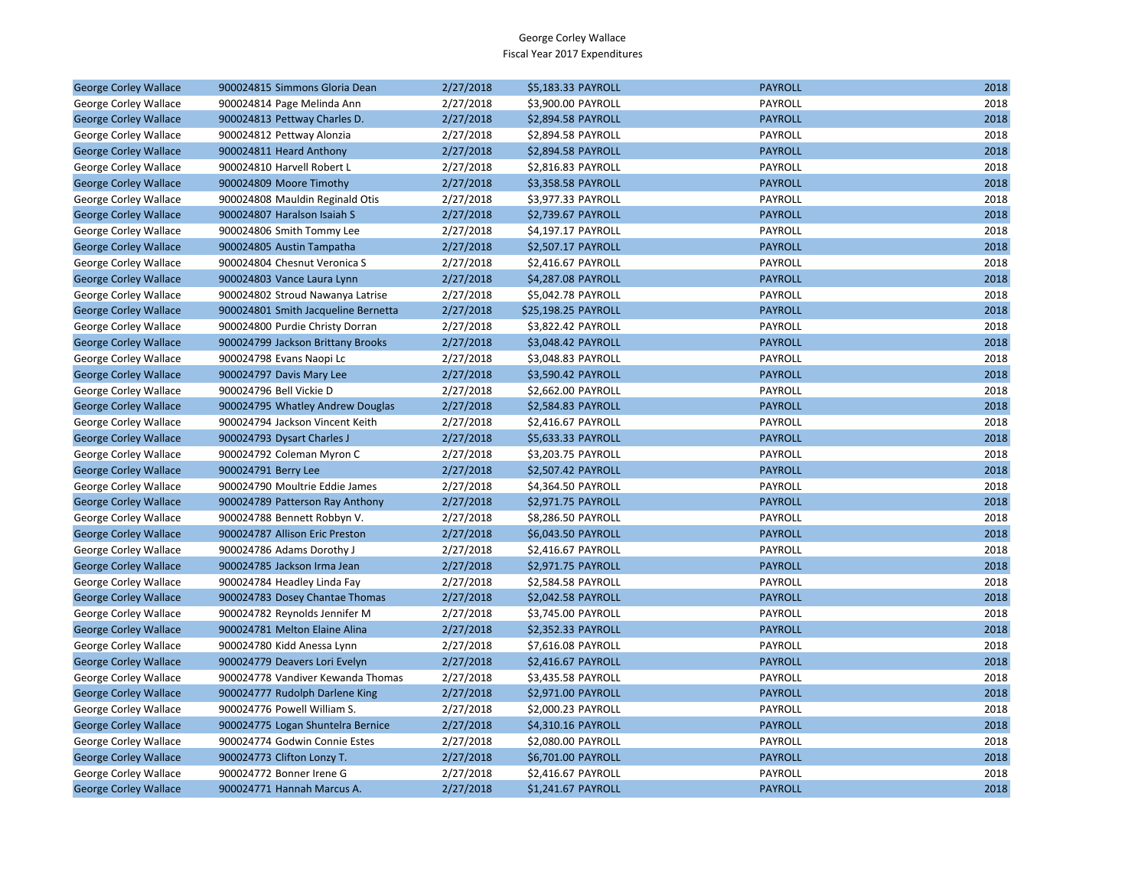| <b>George Corley Wallace</b> | 900024815 Simmons Gloria Dean       | 2/27/2018 | \$5,183.33 PAYROLL  | <b>PAYROLL</b> | 2018 |
|------------------------------|-------------------------------------|-----------|---------------------|----------------|------|
| George Corley Wallace        | 900024814 Page Melinda Ann          | 2/27/2018 | \$3,900.00 PAYROLL  | PAYROLL        | 2018 |
| <b>George Corley Wallace</b> | 900024813 Pettway Charles D.        | 2/27/2018 | \$2,894.58 PAYROLL  | <b>PAYROLL</b> | 2018 |
| George Corley Wallace        | 900024812 Pettway Alonzia           | 2/27/2018 | \$2,894.58 PAYROLL  | PAYROLL        | 2018 |
| <b>George Corley Wallace</b> | 900024811 Heard Anthony             | 2/27/2018 | \$2,894.58 PAYROLL  | <b>PAYROLL</b> | 2018 |
| George Corley Wallace        | 900024810 Harvell Robert L          | 2/27/2018 | \$2,816.83 PAYROLL  | PAYROLL        | 2018 |
| <b>George Corley Wallace</b> | 900024809 Moore Timothy             | 2/27/2018 | \$3,358.58 PAYROLL  | <b>PAYROLL</b> | 2018 |
| George Corley Wallace        | 900024808 Mauldin Reginald Otis     | 2/27/2018 | \$3,977.33 PAYROLL  | PAYROLL        | 2018 |
| <b>George Corley Wallace</b> | 900024807 Haralson Isaiah S         | 2/27/2018 | \$2,739.67 PAYROLL  | <b>PAYROLL</b> | 2018 |
| George Corley Wallace        | 900024806 Smith Tommy Lee           | 2/27/2018 | \$4,197.17 PAYROLL  | PAYROLL        | 2018 |
| <b>George Corley Wallace</b> | 900024805 Austin Tampatha           | 2/27/2018 | \$2,507.17 PAYROLL  | <b>PAYROLL</b> | 2018 |
| George Corley Wallace        | 900024804 Chesnut Veronica S        | 2/27/2018 | \$2,416.67 PAYROLL  | PAYROLL        | 2018 |
| <b>George Corley Wallace</b> | 900024803 Vance Laura Lynn          | 2/27/2018 | \$4,287.08 PAYROLL  | <b>PAYROLL</b> | 2018 |
| George Corley Wallace        | 900024802 Stroud Nawanya Latrise    | 2/27/2018 | \$5,042.78 PAYROLL  | PAYROLL        | 2018 |
| <b>George Corley Wallace</b> | 900024801 Smith Jacqueline Bernetta | 2/27/2018 | \$25,198.25 PAYROLL | <b>PAYROLL</b> | 2018 |
| George Corley Wallace        | 900024800 Purdie Christy Dorran     | 2/27/2018 | \$3,822.42 PAYROLL  | PAYROLL        | 2018 |
| <b>George Corley Wallace</b> | 900024799 Jackson Brittany Brooks   | 2/27/2018 | \$3,048.42 PAYROLL  | <b>PAYROLL</b> | 2018 |
| George Corley Wallace        | 900024798 Evans Naopi Lc            | 2/27/2018 | \$3,048.83 PAYROLL  | PAYROLL        | 2018 |
| <b>George Corley Wallace</b> | 900024797 Davis Mary Lee            | 2/27/2018 | \$3,590.42 PAYROLL  | <b>PAYROLL</b> | 2018 |
| George Corley Wallace        | 900024796 Bell Vickie D             | 2/27/2018 | \$2,662.00 PAYROLL  | PAYROLL        | 2018 |
| <b>George Corley Wallace</b> | 900024795 Whatley Andrew Douglas    | 2/27/2018 | \$2,584.83 PAYROLL  | <b>PAYROLL</b> | 2018 |
| George Corley Wallace        | 900024794 Jackson Vincent Keith     | 2/27/2018 | \$2,416.67 PAYROLL  | PAYROLL        | 2018 |
| <b>George Corley Wallace</b> | 900024793 Dysart Charles J          | 2/27/2018 | \$5,633.33 PAYROLL  | <b>PAYROLL</b> | 2018 |
| George Corley Wallace        | 900024792 Coleman Myron C           | 2/27/2018 | \$3,203.75 PAYROLL  | PAYROLL        | 2018 |
| <b>George Corley Wallace</b> | 900024791 Berry Lee                 | 2/27/2018 | \$2,507.42 PAYROLL  | <b>PAYROLL</b> | 2018 |
| George Corley Wallace        | 900024790 Moultrie Eddie James      | 2/27/2018 | \$4,364.50 PAYROLL  | PAYROLL        | 2018 |
| <b>George Corley Wallace</b> | 900024789 Patterson Ray Anthony     | 2/27/2018 | \$2,971.75 PAYROLL  | <b>PAYROLL</b> | 2018 |
| George Corley Wallace        | 900024788 Bennett Robbyn V.         | 2/27/2018 | \$8,286.50 PAYROLL  | PAYROLL        | 2018 |
| <b>George Corley Wallace</b> | 900024787 Allison Eric Preston      | 2/27/2018 | \$6,043.50 PAYROLL  | <b>PAYROLL</b> | 2018 |
| George Corley Wallace        | 900024786 Adams Dorothy J           | 2/27/2018 | \$2,416.67 PAYROLL  | PAYROLL        | 2018 |
| <b>George Corley Wallace</b> | 900024785 Jackson Irma Jean         | 2/27/2018 | \$2,971.75 PAYROLL  | <b>PAYROLL</b> | 2018 |
| George Corley Wallace        | 900024784 Headley Linda Fay         | 2/27/2018 | \$2,584.58 PAYROLL  | PAYROLL        | 2018 |
| <b>George Corley Wallace</b> | 900024783 Dosey Chantae Thomas      | 2/27/2018 | \$2,042.58 PAYROLL  | <b>PAYROLL</b> | 2018 |
| George Corley Wallace        | 900024782 Reynolds Jennifer M       | 2/27/2018 | \$3,745.00 PAYROLL  | PAYROLL        | 2018 |
| <b>George Corley Wallace</b> | 900024781 Melton Elaine Alina       | 2/27/2018 | \$2,352.33 PAYROLL  | <b>PAYROLL</b> | 2018 |
| George Corley Wallace        | 900024780 Kidd Anessa Lynn          | 2/27/2018 | \$7,616.08 PAYROLL  | PAYROLL        | 2018 |
| <b>George Corley Wallace</b> | 900024779 Deavers Lori Evelyn       | 2/27/2018 | \$2,416.67 PAYROLL  | <b>PAYROLL</b> | 2018 |
| George Corley Wallace        | 900024778 Vandiver Kewanda Thomas   | 2/27/2018 | \$3,435.58 PAYROLL  | PAYROLL        | 2018 |
| <b>George Corley Wallace</b> | 900024777 Rudolph Darlene King      | 2/27/2018 | \$2,971.00 PAYROLL  | <b>PAYROLL</b> | 2018 |
| George Corley Wallace        | 900024776 Powell William S.         | 2/27/2018 | \$2,000.23 PAYROLL  | PAYROLL        | 2018 |
| <b>George Corley Wallace</b> | 900024775 Logan Shuntelra Bernice   | 2/27/2018 | \$4,310.16 PAYROLL  | <b>PAYROLL</b> | 2018 |
| George Corley Wallace        | 900024774 Godwin Connie Estes       | 2/27/2018 | \$2,080.00 PAYROLL  | PAYROLL        | 2018 |
| <b>George Corley Wallace</b> | 900024773 Clifton Lonzy T.          | 2/27/2018 | \$6,701.00 PAYROLL  | <b>PAYROLL</b> | 2018 |
| George Corley Wallace        | 900024772 Bonner Irene G            | 2/27/2018 | \$2,416.67 PAYROLL  | PAYROLL        | 2018 |
| <b>George Corley Wallace</b> | 900024771 Hannah Marcus A.          | 2/27/2018 | \$1,241.67 PAYROLL  | <b>PAYROLL</b> | 2018 |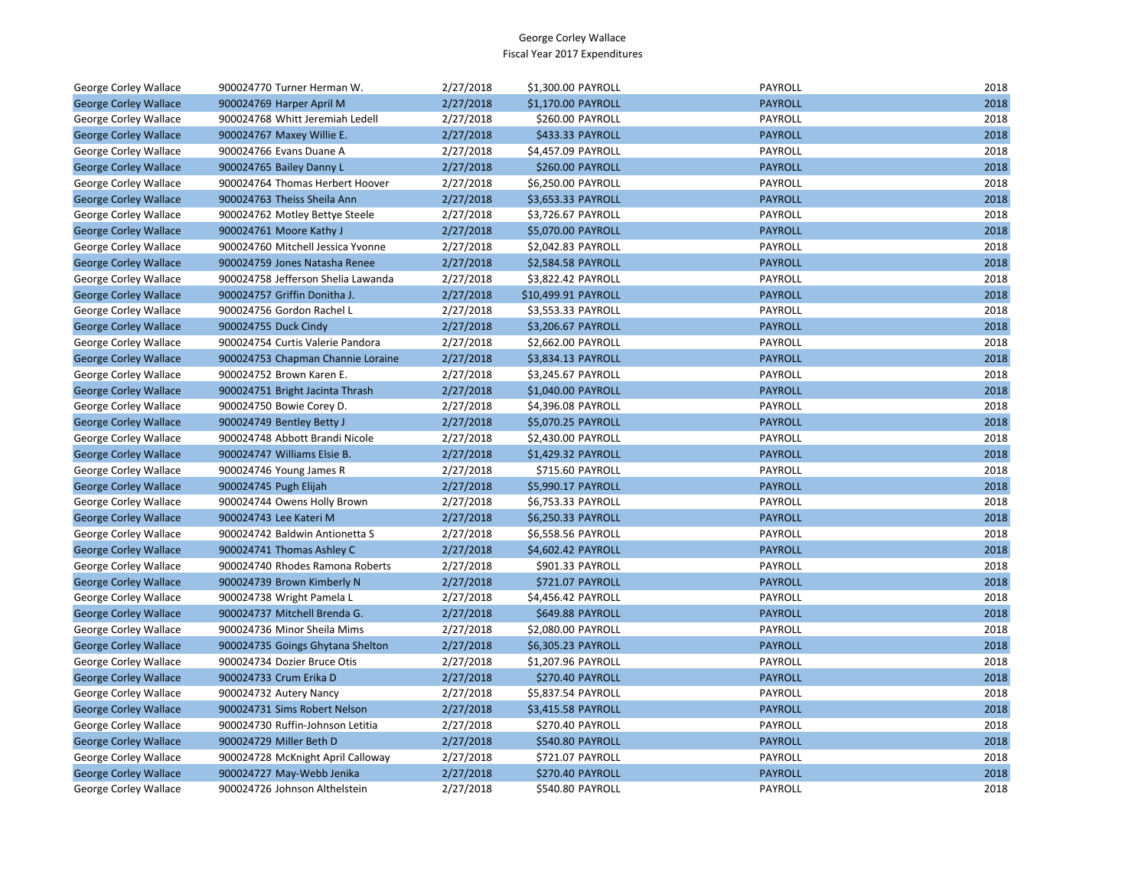| George Corley Wallace        | 900024770 Turner Herman W.         | 2/27/2018 | \$1,300.00 PAYROLL      | PAYROLL        | 2018 |
|------------------------------|------------------------------------|-----------|-------------------------|----------------|------|
| <b>George Corley Wallace</b> | 900024769 Harper April M           | 2/27/2018 | \$1,170.00 PAYROLL      | <b>PAYROLL</b> | 2018 |
| <b>George Corley Wallace</b> | 900024768 Whitt Jeremiah Ledell    | 2/27/2018 | \$260.00 PAYROLL        | PAYROLL        | 2018 |
| <b>George Corley Wallace</b> | 900024767 Maxey Willie E.          | 2/27/2018 | \$433.33 PAYROLL        | <b>PAYROLL</b> | 2018 |
| George Corley Wallace        | 900024766 Evans Duane A            | 2/27/2018 | \$4,457.09 PAYROLL      | PAYROLL        | 2018 |
| <b>George Corley Wallace</b> | 900024765 Bailey Danny L           | 2/27/2018 | \$260.00 PAYROLL        | <b>PAYROLL</b> | 2018 |
| George Corley Wallace        | 900024764 Thomas Herbert Hoover    | 2/27/2018 | \$6,250.00 PAYROLL      | PAYROLL        | 2018 |
| <b>George Corley Wallace</b> | 900024763 Theiss Sheila Ann        | 2/27/2018 | \$3,653.33 PAYROLL      | <b>PAYROLL</b> | 2018 |
| George Corley Wallace        | 900024762 Motley Bettye Steele     | 2/27/2018 | \$3,726.67 PAYROLL      | PAYROLL        | 2018 |
| <b>George Corley Wallace</b> | 900024761 Moore Kathy J            | 2/27/2018 | \$5,070.00 PAYROLL      | <b>PAYROLL</b> | 2018 |
| George Corley Wallace        | 900024760 Mitchell Jessica Yvonne  | 2/27/2018 | \$2,042.83 PAYROLL      | PAYROLL        | 2018 |
| <b>George Corley Wallace</b> | 900024759 Jones Natasha Renee      | 2/27/2018 | \$2,584.58 PAYROLL      | <b>PAYROLL</b> | 2018 |
| George Corley Wallace        | 900024758 Jefferson Shelia Lawanda | 2/27/2018 | \$3,822.42 PAYROLL      | PAYROLL        | 2018 |
| <b>George Corley Wallace</b> | 900024757 Griffin Donitha J.       | 2/27/2018 | \$10,499.91 PAYROLL     | <b>PAYROLL</b> | 2018 |
| George Corley Wallace        | 900024756 Gordon Rachel L          | 2/27/2018 | \$3,553.33 PAYROLL      | PAYROLL        | 2018 |
| <b>George Corley Wallace</b> | 900024755 Duck Cindy               | 2/27/2018 | \$3,206.67 PAYROLL      | <b>PAYROLL</b> | 2018 |
| George Corley Wallace        | 900024754 Curtis Valerie Pandora   | 2/27/2018 | \$2,662.00 PAYROLL      | PAYROLL        | 2018 |
| <b>George Corley Wallace</b> | 900024753 Chapman Channie Loraine  | 2/27/2018 | \$3,834.13 PAYROLL      | <b>PAYROLL</b> | 2018 |
| George Corley Wallace        | 900024752 Brown Karen E.           | 2/27/2018 | \$3,245.67 PAYROLL      | PAYROLL        | 2018 |
| <b>George Corley Wallace</b> | 900024751 Bright Jacinta Thrash    | 2/27/2018 | \$1,040.00 PAYROLL      | <b>PAYROLL</b> | 2018 |
| George Corley Wallace        | 900024750 Bowie Corey D.           | 2/27/2018 | \$4,396.08 PAYROLL      | PAYROLL        | 2018 |
| <b>George Corley Wallace</b> | 900024749 Bentley Betty J          | 2/27/2018 | \$5,070.25 PAYROLL      | <b>PAYROLL</b> | 2018 |
| George Corley Wallace        | 900024748 Abbott Brandi Nicole     | 2/27/2018 | \$2,430.00 PAYROLL      | PAYROLL        | 2018 |
| <b>George Corley Wallace</b> | 900024747 Williams Elsie B.        | 2/27/2018 | \$1,429.32 PAYROLL      | <b>PAYROLL</b> | 2018 |
| George Corley Wallace        | 900024746 Young James R            | 2/27/2018 | \$715.60 PAYROLL        | PAYROLL        | 2018 |
| <b>George Corley Wallace</b> | 900024745 Pugh Elijah              | 2/27/2018 | \$5,990.17 PAYROLL      | <b>PAYROLL</b> | 2018 |
| George Corley Wallace        | 900024744 Owens Holly Brown        | 2/27/2018 | \$6,753.33 PAYROLL      | PAYROLL        | 2018 |
| <b>George Corley Wallace</b> | 900024743 Lee Kateri M             | 2/27/2018 | \$6,250.33 PAYROLL      | <b>PAYROLL</b> | 2018 |
| George Corley Wallace        | 900024742 Baldwin Antionetta S     | 2/27/2018 | \$6,558.56 PAYROLL      | PAYROLL        | 2018 |
| <b>George Corley Wallace</b> | 900024741 Thomas Ashley C          | 2/27/2018 | \$4,602.42 PAYROLL      | <b>PAYROLL</b> | 2018 |
| George Corley Wallace        | 900024740 Rhodes Ramona Roberts    | 2/27/2018 | \$901.33 PAYROLL        | PAYROLL        | 2018 |
| <b>George Corley Wallace</b> | 900024739 Brown Kimberly N         | 2/27/2018 | \$721.07 PAYROLL        | <b>PAYROLL</b> | 2018 |
| George Corley Wallace        | 900024738 Wright Pamela L          | 2/27/2018 | \$4,456.42 PAYROLL      | PAYROLL        | 2018 |
| <b>George Corley Wallace</b> | 900024737 Mitchell Brenda G.       | 2/27/2018 | \$649.88 PAYROLL        | <b>PAYROLL</b> | 2018 |
| George Corley Wallace        | 900024736 Minor Sheila Mims        | 2/27/2018 | \$2,080.00 PAYROLL      | PAYROLL        | 2018 |
| <b>George Corley Wallace</b> | 900024735 Goings Ghytana Shelton   | 2/27/2018 | \$6,305.23 PAYROLL      | <b>PAYROLL</b> | 2018 |
| George Corley Wallace        | 900024734 Dozier Bruce Otis        | 2/27/2018 | \$1,207.96 PAYROLL      | PAYROLL        | 2018 |
| <b>George Corley Wallace</b> | 900024733 Crum Erika D             | 2/27/2018 | \$270.40 PAYROLL        | <b>PAYROLL</b> | 2018 |
| George Corley Wallace        | 900024732 Autery Nancy             | 2/27/2018 | \$5,837.54 PAYROLL      | PAYROLL        | 2018 |
| <b>George Corley Wallace</b> | 900024731 Sims Robert Nelson       | 2/27/2018 | \$3,415.58 PAYROLL      | <b>PAYROLL</b> | 2018 |
| George Corley Wallace        | 900024730 Ruffin-Johnson Letitia   | 2/27/2018 | \$270.40 PAYROLL        | PAYROLL        | 2018 |
| <b>George Corley Wallace</b> | 900024729 Miller Beth D            | 2/27/2018 | \$540.80 PAYROLL        | <b>PAYROLL</b> | 2018 |
| George Corley Wallace        | 900024728 McKnight April Calloway  | 2/27/2018 | \$721.07 PAYROLL        | PAYROLL        | 2018 |
| <b>George Corley Wallace</b> | 900024727 May-Webb Jenika          | 2/27/2018 | <b>\$270.40 PAYROLL</b> | <b>PAYROLL</b> | 2018 |
| <b>George Corley Wallace</b> | 900024726 Johnson Althelstein      | 2/27/2018 | <b>\$540.80 PAYROLL</b> | PAYROLL        | 2018 |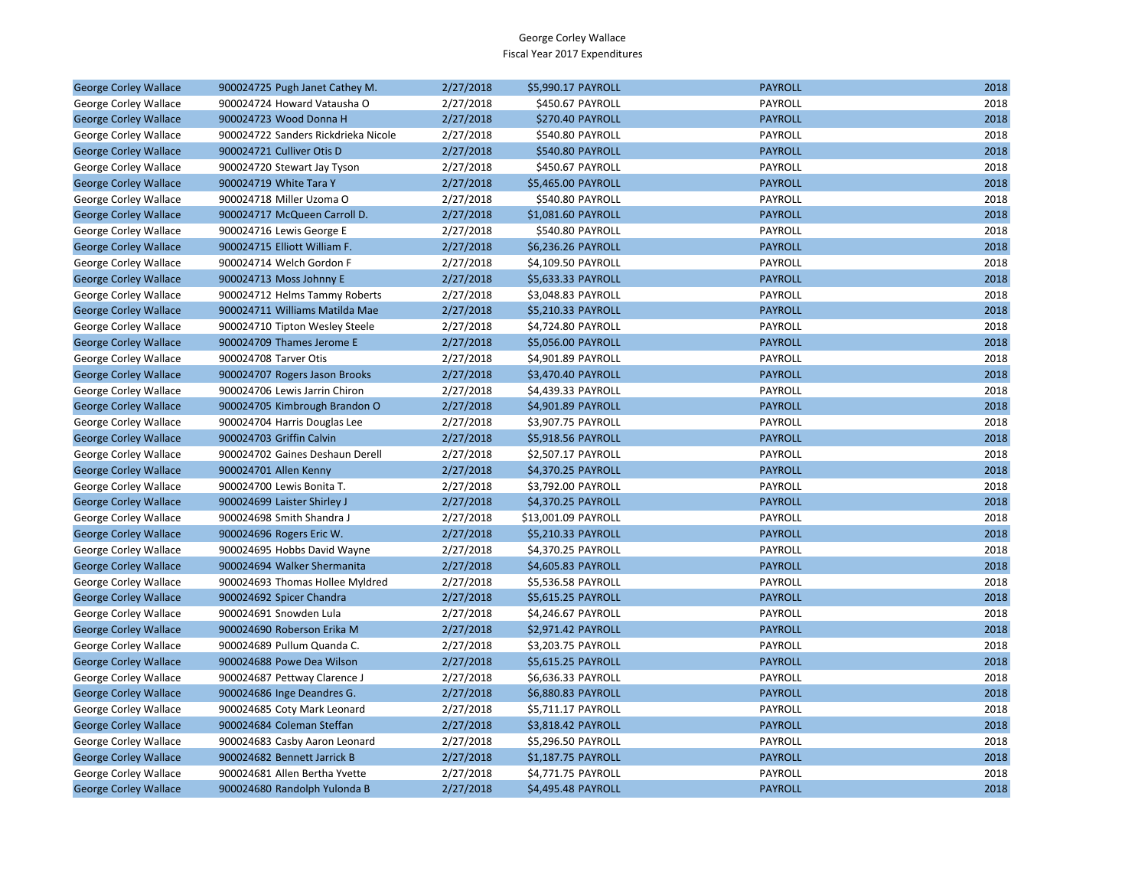| <b>George Corley Wallace</b> | 900024725 Pugh Janet Cathey M.      | 2/27/2018 | \$5,990.17 PAYROLL      | <b>PAYROLL</b> | 2018 |
|------------------------------|-------------------------------------|-----------|-------------------------|----------------|------|
| George Corley Wallace        | 900024724 Howard Vatausha O         | 2/27/2018 | \$450.67 PAYROLL        | PAYROLL        | 2018 |
| <b>George Corley Wallace</b> | 900024723 Wood Donna H              | 2/27/2018 | <b>\$270.40 PAYROLL</b> | <b>PAYROLL</b> | 2018 |
| George Corley Wallace        | 900024722 Sanders Rickdrieka Nicole | 2/27/2018 | \$540.80 PAYROLL        | PAYROLL        | 2018 |
| <b>George Corley Wallace</b> | 900024721 Culliver Otis D           | 2/27/2018 | \$540.80 PAYROLL        | <b>PAYROLL</b> | 2018 |
| George Corley Wallace        | 900024720 Stewart Jay Tyson         | 2/27/2018 | \$450.67 PAYROLL        | PAYROLL        | 2018 |
| <b>George Corley Wallace</b> | 900024719 White Tara Y              | 2/27/2018 | \$5,465.00 PAYROLL      | <b>PAYROLL</b> | 2018 |
| George Corley Wallace        | 900024718 Miller Uzoma O            | 2/27/2018 | \$540.80 PAYROLL        | PAYROLL        | 2018 |
| <b>George Corley Wallace</b> | 900024717 McQueen Carroll D.        | 2/27/2018 | \$1,081.60 PAYROLL      | <b>PAYROLL</b> | 2018 |
| George Corley Wallace        | 900024716 Lewis George E            | 2/27/2018 | \$540.80 PAYROLL        | PAYROLL        | 2018 |
| <b>George Corley Wallace</b> | 900024715 Elliott William F.        | 2/27/2018 | \$6,236.26 PAYROLL      | <b>PAYROLL</b> | 2018 |
| George Corley Wallace        | 900024714 Welch Gordon F            | 2/27/2018 | \$4,109.50 PAYROLL      | PAYROLL        | 2018 |
| <b>George Corley Wallace</b> | 900024713 Moss Johnny E             | 2/27/2018 | \$5,633.33 PAYROLL      | <b>PAYROLL</b> | 2018 |
| George Corley Wallace        | 900024712 Helms Tammy Roberts       | 2/27/2018 | \$3,048.83 PAYROLL      | PAYROLL        | 2018 |
| <b>George Corley Wallace</b> | 900024711 Williams Matilda Mae      | 2/27/2018 | \$5,210.33 PAYROLL      | <b>PAYROLL</b> | 2018 |
| George Corley Wallace        | 900024710 Tipton Wesley Steele      | 2/27/2018 | \$4,724.80 PAYROLL      | PAYROLL        | 2018 |
| <b>George Corley Wallace</b> | 900024709 Thames Jerome E           | 2/27/2018 | \$5,056.00 PAYROLL      | <b>PAYROLL</b> | 2018 |
| George Corley Wallace        | 900024708 Tarver Otis               | 2/27/2018 | \$4,901.89 PAYROLL      | PAYROLL        | 2018 |
| <b>George Corley Wallace</b> | 900024707 Rogers Jason Brooks       | 2/27/2018 | \$3,470.40 PAYROLL      | <b>PAYROLL</b> | 2018 |
| George Corley Wallace        | 900024706 Lewis Jarrin Chiron       | 2/27/2018 | \$4,439.33 PAYROLL      | PAYROLL        | 2018 |
| <b>George Corley Wallace</b> | 900024705 Kimbrough Brandon O       | 2/27/2018 | \$4,901.89 PAYROLL      | <b>PAYROLL</b> | 2018 |
| George Corley Wallace        | 900024704 Harris Douglas Lee        | 2/27/2018 | \$3,907.75 PAYROLL      | PAYROLL        | 2018 |
| <b>George Corley Wallace</b> | 900024703 Griffin Calvin            | 2/27/2018 | \$5,918.56 PAYROLL      | <b>PAYROLL</b> | 2018 |
| George Corley Wallace        | 900024702 Gaines Deshaun Derell     | 2/27/2018 | \$2,507.17 PAYROLL      | PAYROLL        | 2018 |
| <b>George Corley Wallace</b> | 900024701 Allen Kenny               | 2/27/2018 | \$4,370.25 PAYROLL      | <b>PAYROLL</b> | 2018 |
| George Corley Wallace        | 900024700 Lewis Bonita T.           | 2/27/2018 | \$3,792.00 PAYROLL      | PAYROLL        | 2018 |
| <b>George Corley Wallace</b> | 900024699 Laister Shirley J         | 2/27/2018 | \$4,370.25 PAYROLL      | <b>PAYROLL</b> | 2018 |
| George Corley Wallace        | 900024698 Smith Shandra J           | 2/27/2018 | \$13,001.09 PAYROLL     | PAYROLL        | 2018 |
| <b>George Corley Wallace</b> | 900024696 Rogers Eric W.            | 2/27/2018 | \$5,210.33 PAYROLL      | <b>PAYROLL</b> | 2018 |
| George Corley Wallace        | 900024695 Hobbs David Wayne         | 2/27/2018 | \$4,370.25 PAYROLL      | PAYROLL        | 2018 |
| <b>George Corley Wallace</b> | 900024694 Walker Shermanita         | 2/27/2018 | \$4,605.83 PAYROLL      | <b>PAYROLL</b> | 2018 |
| George Corley Wallace        | 900024693 Thomas Hollee Myldred     | 2/27/2018 | \$5,536.58 PAYROLL      | PAYROLL        | 2018 |
| <b>George Corley Wallace</b> | 900024692 Spicer Chandra            | 2/27/2018 | \$5,615.25 PAYROLL      | <b>PAYROLL</b> | 2018 |
| George Corley Wallace        | 900024691 Snowden Lula              | 2/27/2018 | \$4,246.67 PAYROLL      | PAYROLL        | 2018 |
| <b>George Corley Wallace</b> | 900024690 Roberson Erika M          | 2/27/2018 | \$2,971.42 PAYROLL      | <b>PAYROLL</b> | 2018 |
| George Corley Wallace        | 900024689 Pullum Quanda C.          | 2/27/2018 | \$3,203.75 PAYROLL      | PAYROLL        | 2018 |
| <b>George Corley Wallace</b> | 900024688 Powe Dea Wilson           | 2/27/2018 | \$5,615.25 PAYROLL      | <b>PAYROLL</b> | 2018 |
| George Corley Wallace        | 900024687 Pettway Clarence J        | 2/27/2018 | \$6,636.33 PAYROLL      | PAYROLL        | 2018 |
| <b>George Corley Wallace</b> | 900024686 Inge Deandres G.          | 2/27/2018 | \$6,880.83 PAYROLL      | <b>PAYROLL</b> | 2018 |
| George Corley Wallace        | 900024685 Coty Mark Leonard         | 2/27/2018 | \$5,711.17 PAYROLL      | PAYROLL        | 2018 |
| <b>George Corley Wallace</b> | 900024684 Coleman Steffan           | 2/27/2018 | \$3,818.42 PAYROLL      | <b>PAYROLL</b> | 2018 |
| George Corley Wallace        | 900024683 Casby Aaron Leonard       | 2/27/2018 | \$5,296.50 PAYROLL      | PAYROLL        | 2018 |
| <b>George Corley Wallace</b> | 900024682 Bennett Jarrick B         | 2/27/2018 | \$1,187.75 PAYROLL      | <b>PAYROLL</b> | 2018 |
| George Corley Wallace        | 900024681 Allen Bertha Yvette       | 2/27/2018 | \$4,771.75 PAYROLL      | PAYROLL        | 2018 |
| <b>George Corley Wallace</b> | 900024680 Randolph Yulonda B        | 2/27/2018 | \$4,495.48 PAYROLL      | <b>PAYROLL</b> | 2018 |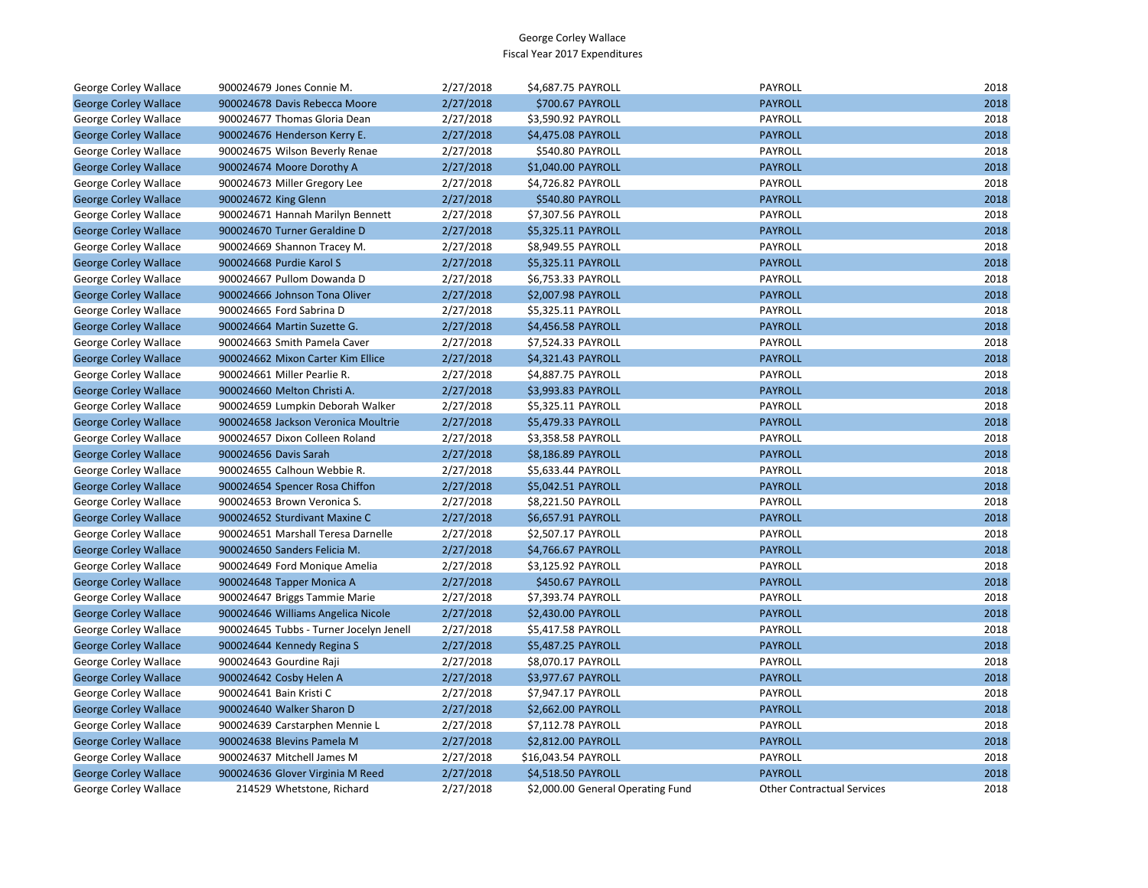| George Corley Wallace        | 900024679 Jones Connie M.               | 2/27/2018 | \$4,687.75 PAYROLL                | PAYROLL                           | 2018 |
|------------------------------|-----------------------------------------|-----------|-----------------------------------|-----------------------------------|------|
| <b>George Corley Wallace</b> | 900024678 Davis Rebecca Moore           | 2/27/2018 | \$700.67 PAYROLL                  | <b>PAYROLL</b>                    | 2018 |
| George Corley Wallace        | 900024677 Thomas Gloria Dean            | 2/27/2018 | \$3,590.92 PAYROLL                | PAYROLL                           | 2018 |
| <b>George Corley Wallace</b> | 900024676 Henderson Kerry E.            | 2/27/2018 | \$4,475.08 PAYROLL                | <b>PAYROLL</b>                    | 2018 |
| George Corley Wallace        | 900024675 Wilson Beverly Renae          | 2/27/2018 | \$540.80 PAYROLL                  | PAYROLL                           | 2018 |
| <b>George Corley Wallace</b> | 900024674 Moore Dorothy A               | 2/27/2018 | \$1,040.00 PAYROLL                | <b>PAYROLL</b>                    | 2018 |
| George Corley Wallace        | 900024673 Miller Gregory Lee            | 2/27/2018 | \$4,726.82 PAYROLL                | PAYROLL                           | 2018 |
| <b>George Corley Wallace</b> | 900024672 King Glenn                    | 2/27/2018 | \$540.80 PAYROLL                  | <b>PAYROLL</b>                    | 2018 |
| George Corley Wallace        | 900024671 Hannah Marilyn Bennett        | 2/27/2018 | \$7,307.56 PAYROLL                | <b>PAYROLL</b>                    | 2018 |
| <b>George Corley Wallace</b> | 900024670 Turner Geraldine D            | 2/27/2018 | \$5,325.11 PAYROLL                | <b>PAYROLL</b>                    | 2018 |
| George Corley Wallace        | 900024669 Shannon Tracey M.             | 2/27/2018 | \$8,949.55 PAYROLL                | PAYROLL                           | 2018 |
| <b>George Corley Wallace</b> | 900024668 Purdie Karol S                | 2/27/2018 | \$5,325.11 PAYROLL                | <b>PAYROLL</b>                    | 2018 |
| George Corley Wallace        | 900024667 Pullom Dowanda D              | 2/27/2018 | \$6,753.33 PAYROLL                | PAYROLL                           | 2018 |
| <b>George Corley Wallace</b> | 900024666 Johnson Tona Oliver           | 2/27/2018 | \$2,007.98 PAYROLL                | <b>PAYROLL</b>                    | 2018 |
| George Corley Wallace        | 900024665 Ford Sabrina D                | 2/27/2018 | \$5,325.11 PAYROLL                | PAYROLL                           | 2018 |
| <b>George Corley Wallace</b> | 900024664 Martin Suzette G.             | 2/27/2018 | \$4,456.58 PAYROLL                | <b>PAYROLL</b>                    | 2018 |
| George Corley Wallace        | 900024663 Smith Pamela Caver            | 2/27/2018 | \$7,524.33 PAYROLL                | PAYROLL                           | 2018 |
| <b>George Corley Wallace</b> | 900024662 Mixon Carter Kim Ellice       | 2/27/2018 | \$4,321.43 PAYROLL                | <b>PAYROLL</b>                    | 2018 |
| George Corley Wallace        | 900024661 Miller Pearlie R.             | 2/27/2018 | \$4,887.75 PAYROLL                | PAYROLL                           | 2018 |
| <b>George Corley Wallace</b> | 900024660 Melton Christi A.             | 2/27/2018 | \$3,993.83 PAYROLL                | <b>PAYROLL</b>                    | 2018 |
| George Corley Wallace        | 900024659 Lumpkin Deborah Walker        | 2/27/2018 | \$5,325.11 PAYROLL                | PAYROLL                           | 2018 |
| <b>George Corley Wallace</b> | 900024658 Jackson Veronica Moultrie     | 2/27/2018 | \$5,479.33 PAYROLL                | <b>PAYROLL</b>                    | 2018 |
| George Corley Wallace        | 900024657 Dixon Colleen Roland          | 2/27/2018 | \$3,358.58 PAYROLL                | PAYROLL                           | 2018 |
| <b>George Corley Wallace</b> | 900024656 Davis Sarah                   | 2/27/2018 | \$8,186.89 PAYROLL                | <b>PAYROLL</b>                    | 2018 |
| George Corley Wallace        | 900024655 Calhoun Webbie R.             | 2/27/2018 | \$5,633.44 PAYROLL                | PAYROLL                           | 2018 |
| <b>George Corley Wallace</b> | 900024654 Spencer Rosa Chiffon          | 2/27/2018 | \$5,042.51 PAYROLL                | <b>PAYROLL</b>                    | 2018 |
| George Corley Wallace        | 900024653 Brown Veronica S.             | 2/27/2018 | \$8,221.50 PAYROLL                | PAYROLL                           | 2018 |
| <b>George Corley Wallace</b> | 900024652 Sturdivant Maxine C           | 2/27/2018 | \$6,657.91 PAYROLL                | <b>PAYROLL</b>                    | 2018 |
| George Corley Wallace        | 900024651 Marshall Teresa Darnelle      | 2/27/2018 | \$2,507.17 PAYROLL                | PAYROLL                           | 2018 |
| <b>George Corley Wallace</b> | 900024650 Sanders Felicia M.            | 2/27/2018 | \$4,766.67 PAYROLL                | <b>PAYROLL</b>                    | 2018 |
| George Corley Wallace        | 900024649 Ford Monique Amelia           | 2/27/2018 | \$3,125.92 PAYROLL                | PAYROLL                           | 2018 |
| <b>George Corley Wallace</b> | 900024648 Tapper Monica A               | 2/27/2018 | \$450.67 PAYROLL                  | <b>PAYROLL</b>                    | 2018 |
| George Corley Wallace        | 900024647 Briggs Tammie Marie           | 2/27/2018 | \$7,393.74 PAYROLL                | PAYROLL                           | 2018 |
| <b>George Corley Wallace</b> | 900024646 Williams Angelica Nicole      | 2/27/2018 | \$2,430.00 PAYROLL                | <b>PAYROLL</b>                    | 2018 |
| George Corley Wallace        | 900024645 Tubbs - Turner Jocelyn Jenell | 2/27/2018 | \$5,417.58 PAYROLL                | PAYROLL                           | 2018 |
| <b>George Corley Wallace</b> | 900024644 Kennedy Regina S              | 2/27/2018 | \$5,487.25 PAYROLL                | <b>PAYROLL</b>                    | 2018 |
| George Corley Wallace        | 900024643 Gourdine Raji                 | 2/27/2018 | \$8,070.17 PAYROLL                | PAYROLL                           | 2018 |
| <b>George Corley Wallace</b> | 900024642 Cosby Helen A                 | 2/27/2018 | \$3,977.67 PAYROLL                | <b>PAYROLL</b>                    | 2018 |
| George Corley Wallace        | 900024641 Bain Kristi C                 | 2/27/2018 | \$7,947.17 PAYROLL                | PAYROLL                           | 2018 |
| <b>George Corley Wallace</b> | 900024640 Walker Sharon D               | 2/27/2018 | \$2,662.00 PAYROLL                | <b>PAYROLL</b>                    | 2018 |
| George Corley Wallace        | 900024639 Carstarphen Mennie L          | 2/27/2018 | \$7,112.78 PAYROLL                | PAYROLL                           | 2018 |
| <b>George Corley Wallace</b> | 900024638 Blevins Pamela M              | 2/27/2018 | \$2,812.00 PAYROLL                | <b>PAYROLL</b>                    | 2018 |
| George Corley Wallace        | 900024637 Mitchell James M              | 2/27/2018 | \$16,043.54 PAYROLL               | PAYROLL                           | 2018 |
| <b>George Corley Wallace</b> | 900024636 Glover Virginia M Reed        | 2/27/2018 | \$4,518.50 PAYROLL                | <b>PAYROLL</b>                    | 2018 |
| <b>George Corley Wallace</b> | 214529 Whetstone, Richard               | 2/27/2018 | \$2,000.00 General Operating Fund | <b>Other Contractual Services</b> | 2018 |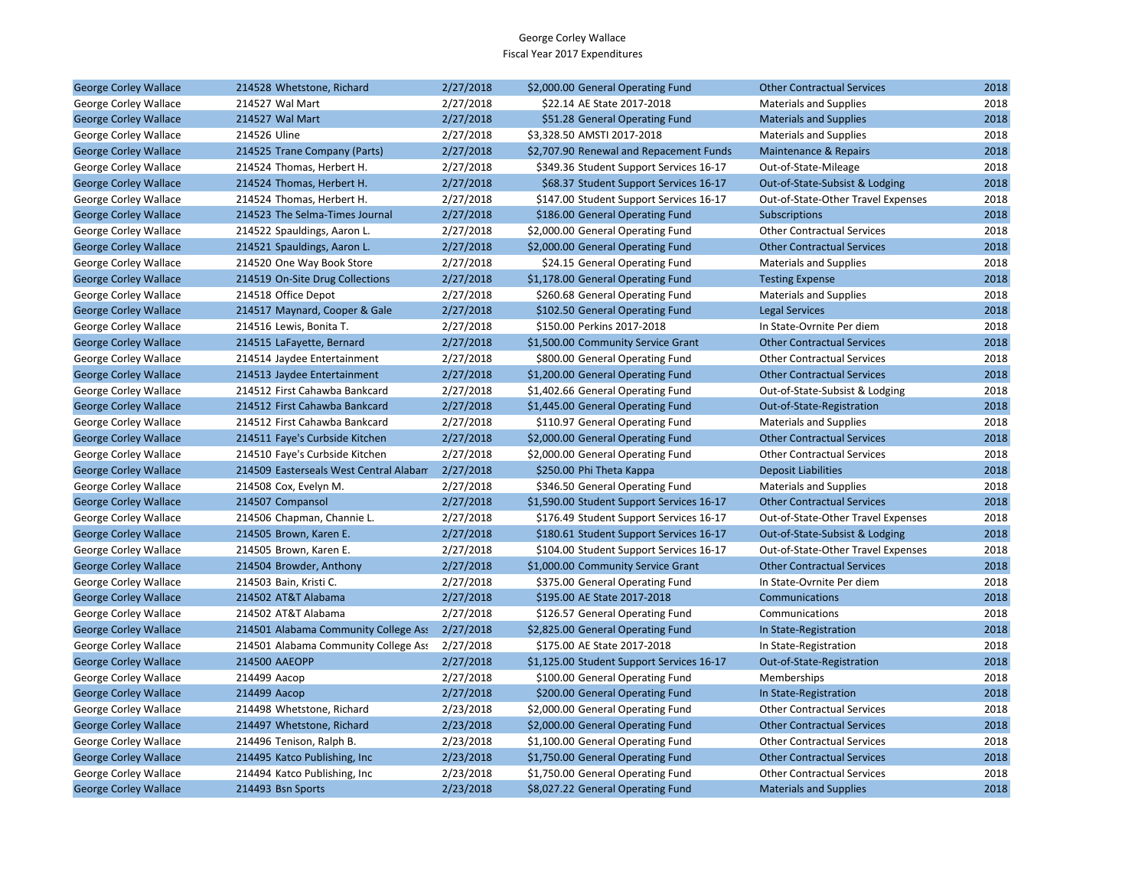| <b>George Corley Wallace</b> | 214528 Whetstone, Richard              | 2/27/2018 | \$2,000.00 General Operating Fund         | <b>Other Contractual Services</b>  | 2018 |
|------------------------------|----------------------------------------|-----------|-------------------------------------------|------------------------------------|------|
| George Corley Wallace        | 214527 Wal Mart                        | 2/27/2018 | \$22.14 AE State 2017-2018                | <b>Materials and Supplies</b>      | 2018 |
| <b>George Corley Wallace</b> | 214527 Wal Mart                        | 2/27/2018 | \$51.28 General Operating Fund            | <b>Materials and Supplies</b>      | 2018 |
| George Corley Wallace        | 214526 Uline                           | 2/27/2018 | \$3,328.50 AMSTI 2017-2018                | <b>Materials and Supplies</b>      | 2018 |
| <b>George Corley Wallace</b> | 214525 Trane Company (Parts)           | 2/27/2018 | \$2,707.90 Renewal and Repacement Funds   | Maintenance & Repairs              | 2018 |
| George Corley Wallace        | 214524 Thomas, Herbert H.              | 2/27/2018 | \$349.36 Student Support Services 16-17   | Out-of-State-Mileage               | 2018 |
| <b>George Corley Wallace</b> | 214524 Thomas, Herbert H.              | 2/27/2018 | \$68.37 Student Support Services 16-17    | Out-of-State-Subsist & Lodging     | 2018 |
| George Corley Wallace        | 214524 Thomas, Herbert H.              | 2/27/2018 | \$147.00 Student Support Services 16-17   | Out-of-State-Other Travel Expenses | 2018 |
| <b>George Corley Wallace</b> | 214523 The Selma-Times Journal         | 2/27/2018 | \$186.00 General Operating Fund           | Subscriptions                      | 2018 |
| George Corley Wallace        | 214522 Spauldings, Aaron L.            | 2/27/2018 | \$2,000.00 General Operating Fund         | <b>Other Contractual Services</b>  | 2018 |
| <b>George Corley Wallace</b> | 214521 Spauldings, Aaron L.            | 2/27/2018 | \$2,000.00 General Operating Fund         | <b>Other Contractual Services</b>  | 2018 |
| George Corley Wallace        | 214520 One Way Book Store              | 2/27/2018 | \$24.15 General Operating Fund            | <b>Materials and Supplies</b>      | 2018 |
| <b>George Corley Wallace</b> | 214519 On-Site Drug Collections        | 2/27/2018 | \$1,178.00 General Operating Fund         | <b>Testing Expense</b>             | 2018 |
| George Corley Wallace        | 214518 Office Depot                    | 2/27/2018 | \$260.68 General Operating Fund           | <b>Materials and Supplies</b>      | 2018 |
| <b>George Corley Wallace</b> | 214517 Maynard, Cooper & Gale          | 2/27/2018 | \$102.50 General Operating Fund           | <b>Legal Services</b>              | 2018 |
| George Corley Wallace        | 214516 Lewis, Bonita T.                | 2/27/2018 | \$150.00 Perkins 2017-2018                | In State-Ovrnite Per diem          | 2018 |
| <b>George Corley Wallace</b> | 214515 LaFayette, Bernard              | 2/27/2018 | \$1,500.00 Community Service Grant        | <b>Other Contractual Services</b>  | 2018 |
| George Corley Wallace        | 214514 Jaydee Entertainment            | 2/27/2018 | \$800.00 General Operating Fund           | <b>Other Contractual Services</b>  | 2018 |
| <b>George Corley Wallace</b> | 214513 Jaydee Entertainment            | 2/27/2018 | \$1,200.00 General Operating Fund         | <b>Other Contractual Services</b>  | 2018 |
| George Corley Wallace        | 214512 First Cahawba Bankcard          | 2/27/2018 | \$1,402.66 General Operating Fund         | Out-of-State-Subsist & Lodging     | 2018 |
| <b>George Corley Wallace</b> | 214512 First Cahawba Bankcard          | 2/27/2018 | \$1,445.00 General Operating Fund         | Out-of-State-Registration          | 2018 |
| George Corley Wallace        | 214512 First Cahawba Bankcard          | 2/27/2018 | \$110.97 General Operating Fund           | <b>Materials and Supplies</b>      | 2018 |
| <b>George Corley Wallace</b> | 214511 Faye's Curbside Kitchen         | 2/27/2018 | \$2,000.00 General Operating Fund         | <b>Other Contractual Services</b>  | 2018 |
| George Corley Wallace        | 214510 Faye's Curbside Kitchen         | 2/27/2018 | \$2,000.00 General Operating Fund         | <b>Other Contractual Services</b>  | 2018 |
| <b>George Corley Wallace</b> | 214509 Easterseals West Central Alabam | 2/27/2018 | \$250.00 Phi Theta Kappa                  | <b>Deposit Liabilities</b>         | 2018 |
| George Corley Wallace        | 214508 Cox, Evelyn M.                  | 2/27/2018 | \$346.50 General Operating Fund           | <b>Materials and Supplies</b>      | 2018 |
| <b>George Corley Wallace</b> | 214507 Compansol                       | 2/27/2018 | \$1,590.00 Student Support Services 16-17 | <b>Other Contractual Services</b>  | 2018 |
| George Corley Wallace        | 214506 Chapman, Channie L.             | 2/27/2018 | \$176.49 Student Support Services 16-17   | Out-of-State-Other Travel Expenses | 2018 |
| <b>George Corley Wallace</b> | 214505 Brown, Karen E.                 | 2/27/2018 | \$180.61 Student Support Services 16-17   | Out-of-State-Subsist & Lodging     | 2018 |
| George Corley Wallace        | 214505 Brown, Karen E.                 | 2/27/2018 | \$104.00 Student Support Services 16-17   | Out-of-State-Other Travel Expenses | 2018 |
| <b>George Corley Wallace</b> | 214504 Browder, Anthony                | 2/27/2018 | \$1,000.00 Community Service Grant        | <b>Other Contractual Services</b>  | 2018 |
| George Corley Wallace        | 214503 Bain, Kristi C.                 | 2/27/2018 | \$375.00 General Operating Fund           | In State-Ovrnite Per diem          | 2018 |
| <b>George Corley Wallace</b> | 214502 AT&T Alabama                    | 2/27/2018 | \$195.00 AE State 2017-2018               | Communications                     | 2018 |
| George Corley Wallace        | 214502 AT&T Alabama                    | 2/27/2018 | \$126.57 General Operating Fund           | Communications                     | 2018 |
| <b>George Corley Wallace</b> | 214501 Alabama Community College Ass   | 2/27/2018 | \$2,825.00 General Operating Fund         | In State-Registration              | 2018 |
| George Corley Wallace        | 214501 Alabama Community College Ass   | 2/27/2018 | \$175.00 AE State 2017-2018               | In State-Registration              | 2018 |
| <b>George Corley Wallace</b> | 214500 AAEOPP                          | 2/27/2018 | \$1,125.00 Student Support Services 16-17 | Out-of-State-Registration          | 2018 |
| George Corley Wallace        | 214499 Aacop                           | 2/27/2018 | \$100.00 General Operating Fund           | Memberships                        | 2018 |
| <b>George Corley Wallace</b> | 214499 Aacop                           | 2/27/2018 | \$200.00 General Operating Fund           | In State-Registration              | 2018 |
| George Corley Wallace        | 214498 Whetstone, Richard              | 2/23/2018 | \$2,000.00 General Operating Fund         | <b>Other Contractual Services</b>  | 2018 |
| <b>George Corley Wallace</b> | 214497 Whetstone, Richard              | 2/23/2018 | \$2,000.00 General Operating Fund         | <b>Other Contractual Services</b>  | 2018 |
| George Corley Wallace        | 214496 Tenison, Ralph B.               | 2/23/2018 | \$1,100.00 General Operating Fund         | <b>Other Contractual Services</b>  | 2018 |
| <b>George Corley Wallace</b> | 214495 Katco Publishing, Inc.          | 2/23/2018 | \$1,750.00 General Operating Fund         | <b>Other Contractual Services</b>  | 2018 |
| George Corley Wallace        | 214494 Katco Publishing, Inc           | 2/23/2018 | \$1,750.00 General Operating Fund         | <b>Other Contractual Services</b>  | 2018 |
| <b>George Corley Wallace</b> | 214493 Bsn Sports                      | 2/23/2018 | \$8,027.22 General Operating Fund         | <b>Materials and Supplies</b>      | 2018 |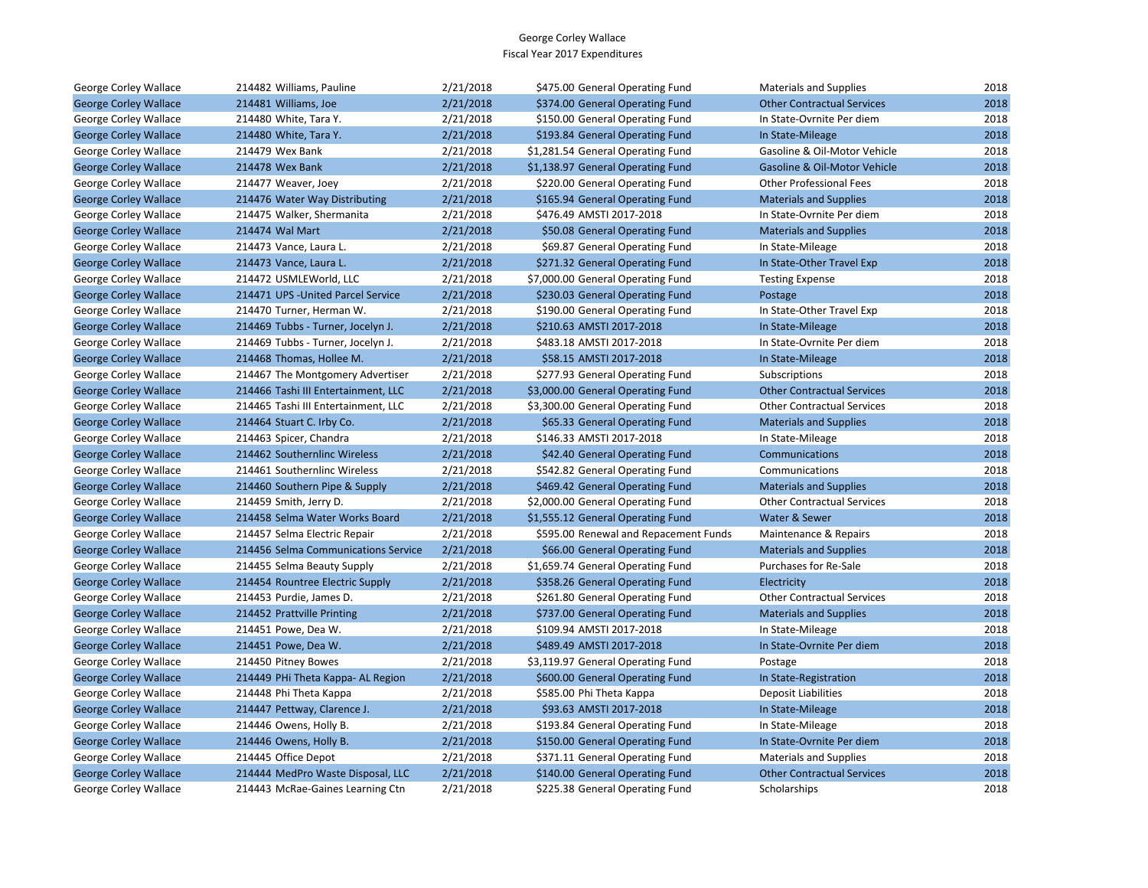| George Corley Wallace        | 214482 Williams, Pauline            | 2/21/2018 | \$475.00 General Operating Fund       | <b>Materials and Supplies</b>     | 2018 |
|------------------------------|-------------------------------------|-----------|---------------------------------------|-----------------------------------|------|
| <b>George Corley Wallace</b> | 214481 Williams, Joe                | 2/21/2018 | \$374.00 General Operating Fund       | <b>Other Contractual Services</b> | 2018 |
| George Corley Wallace        | 214480 White, Tara Y.               | 2/21/2018 | \$150.00 General Operating Fund       | In State-Ovrnite Per diem         | 2018 |
| <b>George Corley Wallace</b> | 214480 White, Tara Y.               | 2/21/2018 | \$193.84 General Operating Fund       | In State-Mileage                  | 2018 |
| George Corley Wallace        | 214479 Wex Bank                     | 2/21/2018 | \$1,281.54 General Operating Fund     | Gasoline & Oil-Motor Vehicle      | 2018 |
| <b>George Corley Wallace</b> | 214478 Wex Bank                     | 2/21/2018 | \$1,138.97 General Operating Fund     | Gasoline & Oil-Motor Vehicle      | 2018 |
| George Corley Wallace        | 214477 Weaver, Joey                 | 2/21/2018 | \$220.00 General Operating Fund       | <b>Other Professional Fees</b>    | 2018 |
| <b>George Corley Wallace</b> | 214476 Water Way Distributing       | 2/21/2018 | \$165.94 General Operating Fund       | <b>Materials and Supplies</b>     | 2018 |
| George Corley Wallace        | 214475 Walker, Shermanita           | 2/21/2018 | \$476.49 AMSTI 2017-2018              | In State-Ovrnite Per diem         | 2018 |
| <b>George Corley Wallace</b> | 214474 Wal Mart                     | 2/21/2018 | \$50.08 General Operating Fund        | <b>Materials and Supplies</b>     | 2018 |
| George Corley Wallace        | 214473 Vance, Laura L.              | 2/21/2018 | \$69.87 General Operating Fund        | In State-Mileage                  | 2018 |
| <b>George Corley Wallace</b> | 214473 Vance, Laura L.              | 2/21/2018 | \$271.32 General Operating Fund       | In State-Other Travel Exp         | 2018 |
| George Corley Wallace        | 214472 USMLEWorld, LLC              | 2/21/2018 | \$7,000.00 General Operating Fund     | <b>Testing Expense</b>            | 2018 |
| <b>George Corley Wallace</b> | 214471 UPS - United Parcel Service  | 2/21/2018 | \$230.03 General Operating Fund       | Postage                           | 2018 |
| George Corley Wallace        | 214470 Turner, Herman W.            | 2/21/2018 | \$190.00 General Operating Fund       | In State-Other Travel Exp         | 2018 |
| <b>George Corley Wallace</b> | 214469 Tubbs - Turner, Jocelyn J.   | 2/21/2018 | \$210.63 AMSTI 2017-2018              | In State-Mileage                  | 2018 |
| George Corley Wallace        | 214469 Tubbs - Turner, Jocelyn J.   | 2/21/2018 | \$483.18 AMSTI 2017-2018              | In State-Ovrnite Per diem         | 2018 |
| <b>George Corley Wallace</b> | 214468 Thomas, Hollee M.            | 2/21/2018 | \$58.15 AMSTI 2017-2018               | In State-Mileage                  | 2018 |
| George Corley Wallace        | 214467 The Montgomery Advertiser    | 2/21/2018 | \$277.93 General Operating Fund       | Subscriptions                     | 2018 |
| <b>George Corley Wallace</b> | 214466 Tashi III Entertainment, LLC | 2/21/2018 | \$3,000.00 General Operating Fund     | <b>Other Contractual Services</b> | 2018 |
| George Corley Wallace        | 214465 Tashi III Entertainment, LLC | 2/21/2018 | \$3,300.00 General Operating Fund     | <b>Other Contractual Services</b> | 2018 |
| <b>George Corley Wallace</b> | 214464 Stuart C. Irby Co.           | 2/21/2018 | \$65.33 General Operating Fund        | <b>Materials and Supplies</b>     | 2018 |
| George Corley Wallace        | 214463 Spicer, Chandra              | 2/21/2018 | \$146.33 AMSTI 2017-2018              | In State-Mileage                  | 2018 |
| <b>George Corley Wallace</b> | 214462 Southernlinc Wireless        | 2/21/2018 | \$42.40 General Operating Fund        | Communications                    | 2018 |
| George Corley Wallace        | 214461 Southernlinc Wireless        | 2/21/2018 | \$542.82 General Operating Fund       | Communications                    | 2018 |
| <b>George Corley Wallace</b> | 214460 Southern Pipe & Supply       | 2/21/2018 | \$469.42 General Operating Fund       | <b>Materials and Supplies</b>     | 2018 |
| George Corley Wallace        | 214459 Smith, Jerry D.              | 2/21/2018 | \$2,000.00 General Operating Fund     | <b>Other Contractual Services</b> | 2018 |
| <b>George Corley Wallace</b> | 214458 Selma Water Works Board      | 2/21/2018 | \$1,555.12 General Operating Fund     | Water & Sewer                     | 2018 |
| George Corley Wallace        | 214457 Selma Electric Repair        | 2/21/2018 | \$595.00 Renewal and Repacement Funds | Maintenance & Repairs             | 2018 |
| <b>George Corley Wallace</b> | 214456 Selma Communications Service | 2/21/2018 | \$66.00 General Operating Fund        | <b>Materials and Supplies</b>     | 2018 |
| George Corley Wallace        | 214455 Selma Beauty Supply          | 2/21/2018 | \$1,659.74 General Operating Fund     | Purchases for Re-Sale             | 2018 |
| <b>George Corley Wallace</b> | 214454 Rountree Electric Supply     | 2/21/2018 | \$358.26 General Operating Fund       | Electricity                       | 2018 |
| George Corley Wallace        | 214453 Purdie, James D.             | 2/21/2018 | \$261.80 General Operating Fund       | <b>Other Contractual Services</b> | 2018 |
| <b>George Corley Wallace</b> | 214452 Prattville Printing          | 2/21/2018 | \$737.00 General Operating Fund       | <b>Materials and Supplies</b>     | 2018 |
| George Corley Wallace        | 214451 Powe, Dea W.                 | 2/21/2018 | \$109.94 AMSTI 2017-2018              | In State-Mileage                  | 2018 |
| <b>George Corley Wallace</b> | 214451 Powe, Dea W.                 | 2/21/2018 | \$489.49 AMSTI 2017-2018              | In State-Ovrnite Per diem         | 2018 |
| George Corley Wallace        | 214450 Pitney Bowes                 | 2/21/2018 | \$3,119.97 General Operating Fund     | Postage                           | 2018 |
| <b>George Corley Wallace</b> | 214449 PHi Theta Kappa- AL Region   | 2/21/2018 | \$600.00 General Operating Fund       | In State-Registration             | 2018 |
| George Corley Wallace        | 214448 Phi Theta Kappa              | 2/21/2018 | \$585.00 Phi Theta Kappa              | <b>Deposit Liabilities</b>        | 2018 |
| <b>George Corley Wallace</b> | 214447 Pettway, Clarence J.         | 2/21/2018 | \$93.63 AMSTI 2017-2018               | In State-Mileage                  | 2018 |
| George Corley Wallace        | 214446 Owens, Holly B.              | 2/21/2018 | \$193.84 General Operating Fund       | In State-Mileage                  | 2018 |
| <b>George Corley Wallace</b> | 214446 Owens, Holly B.              | 2/21/2018 | \$150.00 General Operating Fund       | In State-Ovrnite Per diem         | 2018 |
| George Corley Wallace        | 214445 Office Depot                 | 2/21/2018 | \$371.11 General Operating Fund       | <b>Materials and Supplies</b>     | 2018 |
| <b>George Corley Wallace</b> | 214444 MedPro Waste Disposal, LLC   | 2/21/2018 | \$140.00 General Operating Fund       | <b>Other Contractual Services</b> | 2018 |
| George Corley Wallace        | 214443 McRae-Gaines Learning Ctn    | 2/21/2018 | \$225.38 General Operating Fund       | Scholarships                      | 2018 |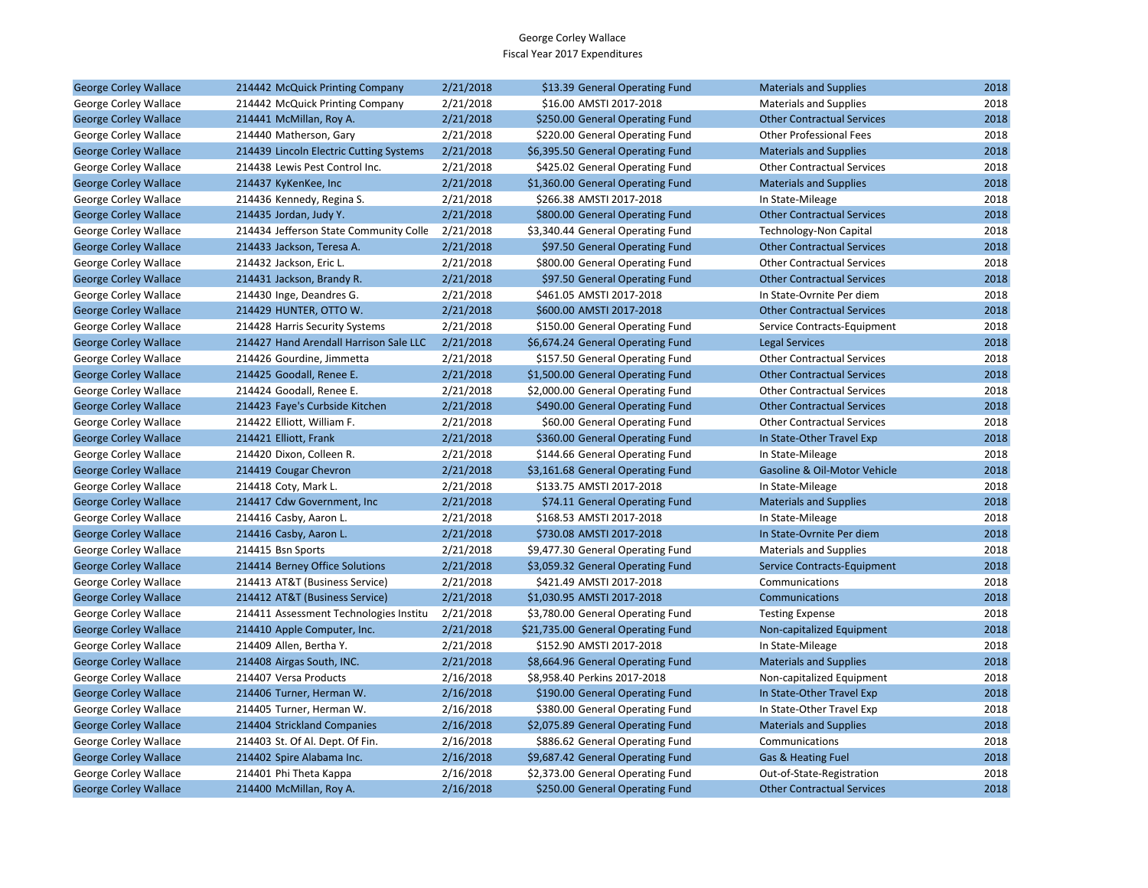| <b>George Corley Wallace</b> | 214442 McQuick Printing Company         | 2/21/2018 | \$13.39 General Operating Fund     | <b>Materials and Supplies</b>     | 2018 |
|------------------------------|-----------------------------------------|-----------|------------------------------------|-----------------------------------|------|
| George Corley Wallace        | 214442 McQuick Printing Company         | 2/21/2018 | \$16.00 AMSTI 2017-2018            | <b>Materials and Supplies</b>     | 2018 |
| <b>George Corley Wallace</b> | 214441 McMillan, Roy A.                 | 2/21/2018 | \$250.00 General Operating Fund    | <b>Other Contractual Services</b> | 2018 |
| George Corley Wallace        | 214440 Matherson, Gary                  | 2/21/2018 | \$220.00 General Operating Fund    | <b>Other Professional Fees</b>    | 2018 |
| <b>George Corley Wallace</b> | 214439 Lincoln Electric Cutting Systems | 2/21/2018 | \$6,395.50 General Operating Fund  | <b>Materials and Supplies</b>     | 2018 |
| George Corley Wallace        | 214438 Lewis Pest Control Inc.          | 2/21/2018 | \$425.02 General Operating Fund    | <b>Other Contractual Services</b> | 2018 |
| <b>George Corley Wallace</b> | 214437 KyKenKee, Inc                    | 2/21/2018 | \$1,360.00 General Operating Fund  | <b>Materials and Supplies</b>     | 2018 |
| George Corley Wallace        | 214436 Kennedy, Regina S.               | 2/21/2018 | \$266.38 AMSTI 2017-2018           | In State-Mileage                  | 2018 |
| <b>George Corley Wallace</b> | 214435 Jordan, Judy Y.                  | 2/21/2018 | \$800.00 General Operating Fund    | <b>Other Contractual Services</b> | 2018 |
| George Corley Wallace        | 214434 Jefferson State Community Colle  | 2/21/2018 | \$3,340.44 General Operating Fund  | Technology-Non Capital            | 2018 |
| <b>George Corley Wallace</b> | 214433 Jackson, Teresa A.               | 2/21/2018 | \$97.50 General Operating Fund     | <b>Other Contractual Services</b> | 2018 |
| George Corley Wallace        | 214432 Jackson, Eric L.                 | 2/21/2018 | \$800.00 General Operating Fund    | <b>Other Contractual Services</b> | 2018 |
| <b>George Corley Wallace</b> | 214431 Jackson, Brandy R.               | 2/21/2018 | \$97.50 General Operating Fund     | <b>Other Contractual Services</b> | 2018 |
| George Corley Wallace        | 214430 Inge, Deandres G.                | 2/21/2018 | \$461.05 AMSTI 2017-2018           | In State-Ovrnite Per diem         | 2018 |
| <b>George Corley Wallace</b> | 214429 HUNTER, OTTO W.                  | 2/21/2018 | \$600.00 AMSTI 2017-2018           | <b>Other Contractual Services</b> | 2018 |
| George Corley Wallace        | 214428 Harris Security Systems          | 2/21/2018 | \$150.00 General Operating Fund    | Service Contracts-Equipment       | 2018 |
| <b>George Corley Wallace</b> | 214427 Hand Arendall Harrison Sale LLC  | 2/21/2018 | \$6,674.24 General Operating Fund  | <b>Legal Services</b>             | 2018 |
| George Corley Wallace        | 214426 Gourdine, Jimmetta               | 2/21/2018 | \$157.50 General Operating Fund    | <b>Other Contractual Services</b> | 2018 |
| <b>George Corley Wallace</b> | 214425 Goodall, Renee E.                | 2/21/2018 | \$1,500.00 General Operating Fund  | <b>Other Contractual Services</b> | 2018 |
| George Corley Wallace        | 214424 Goodall, Renee E.                | 2/21/2018 | \$2,000.00 General Operating Fund  | <b>Other Contractual Services</b> | 2018 |
| <b>George Corley Wallace</b> | 214423 Faye's Curbside Kitchen          | 2/21/2018 | \$490.00 General Operating Fund    | <b>Other Contractual Services</b> | 2018 |
| George Corley Wallace        | 214422 Elliott, William F.              | 2/21/2018 | \$60.00 General Operating Fund     | <b>Other Contractual Services</b> | 2018 |
| <b>George Corley Wallace</b> | 214421 Elliott, Frank                   | 2/21/2018 | \$360.00 General Operating Fund    | In State-Other Travel Exp         | 2018 |
| George Corley Wallace        | 214420 Dixon, Colleen R.                | 2/21/2018 | \$144.66 General Operating Fund    | In State-Mileage                  | 2018 |
| <b>George Corley Wallace</b> | 214419 Cougar Chevron                   | 2/21/2018 | \$3,161.68 General Operating Fund  | Gasoline & Oil-Motor Vehicle      | 2018 |
| George Corley Wallace        | 214418 Coty, Mark L.                    | 2/21/2018 | \$133.75 AMSTI 2017-2018           | In State-Mileage                  | 2018 |
| <b>George Corley Wallace</b> | 214417 Cdw Government, Inc.             | 2/21/2018 | \$74.11 General Operating Fund     | <b>Materials and Supplies</b>     | 2018 |
| George Corley Wallace        | 214416 Casby, Aaron L.                  | 2/21/2018 | \$168.53 AMSTI 2017-2018           | In State-Mileage                  | 2018 |
| <b>George Corley Wallace</b> | 214416 Casby, Aaron L.                  | 2/21/2018 | \$730.08 AMSTI 2017-2018           | In State-Ovrnite Per diem         | 2018 |
| George Corley Wallace        | 214415 Bsn Sports                       | 2/21/2018 | \$9,477.30 General Operating Fund  | <b>Materials and Supplies</b>     | 2018 |
| <b>George Corley Wallace</b> | 214414 Berney Office Solutions          | 2/21/2018 | \$3,059.32 General Operating Fund  | Service Contracts-Equipment       | 2018 |
| George Corley Wallace        | 214413 AT&T (Business Service)          | 2/21/2018 | \$421.49 AMSTI 2017-2018           | Communications                    | 2018 |
| <b>George Corley Wallace</b> | 214412 AT&T (Business Service)          | 2/21/2018 | \$1,030.95 AMSTI 2017-2018         | Communications                    | 2018 |
| George Corley Wallace        | 214411 Assessment Technologies Institu  | 2/21/2018 | \$3,780.00 General Operating Fund  | <b>Testing Expense</b>            | 2018 |
| <b>George Corley Wallace</b> | 214410 Apple Computer, Inc.             | 2/21/2018 | \$21,735.00 General Operating Fund | Non-capitalized Equipment         | 2018 |
| George Corley Wallace        | 214409 Allen, Bertha Y.                 | 2/21/2018 | \$152.90 AMSTI 2017-2018           | In State-Mileage                  | 2018 |
| <b>George Corley Wallace</b> | 214408 Airgas South, INC.               | 2/21/2018 | \$8,664.96 General Operating Fund  | <b>Materials and Supplies</b>     | 2018 |
| George Corley Wallace        | 214407 Versa Products                   | 2/16/2018 | \$8,958.40 Perkins 2017-2018       | Non-capitalized Equipment         | 2018 |
| <b>George Corley Wallace</b> | 214406 Turner, Herman W.                | 2/16/2018 | \$190.00 General Operating Fund    | In State-Other Travel Exp         | 2018 |
| George Corley Wallace        | 214405 Turner, Herman W.                | 2/16/2018 | \$380.00 General Operating Fund    | In State-Other Travel Exp         | 2018 |
| <b>George Corley Wallace</b> | 214404 Strickland Companies             | 2/16/2018 | \$2,075.89 General Operating Fund  | <b>Materials and Supplies</b>     | 2018 |
| George Corley Wallace        | 214403 St. Of Al. Dept. Of Fin.         | 2/16/2018 | \$886.62 General Operating Fund    | Communications                    | 2018 |
| <b>George Corley Wallace</b> | 214402 Spire Alabama Inc.               | 2/16/2018 | \$9,687.42 General Operating Fund  | Gas & Heating Fuel                | 2018 |
| George Corley Wallace        | 214401 Phi Theta Kappa                  | 2/16/2018 | \$2,373.00 General Operating Fund  | Out-of-State-Registration         | 2018 |
| <b>George Corley Wallace</b> | 214400 McMillan, Roy A.                 | 2/16/2018 | \$250.00 General Operating Fund    | <b>Other Contractual Services</b> | 2018 |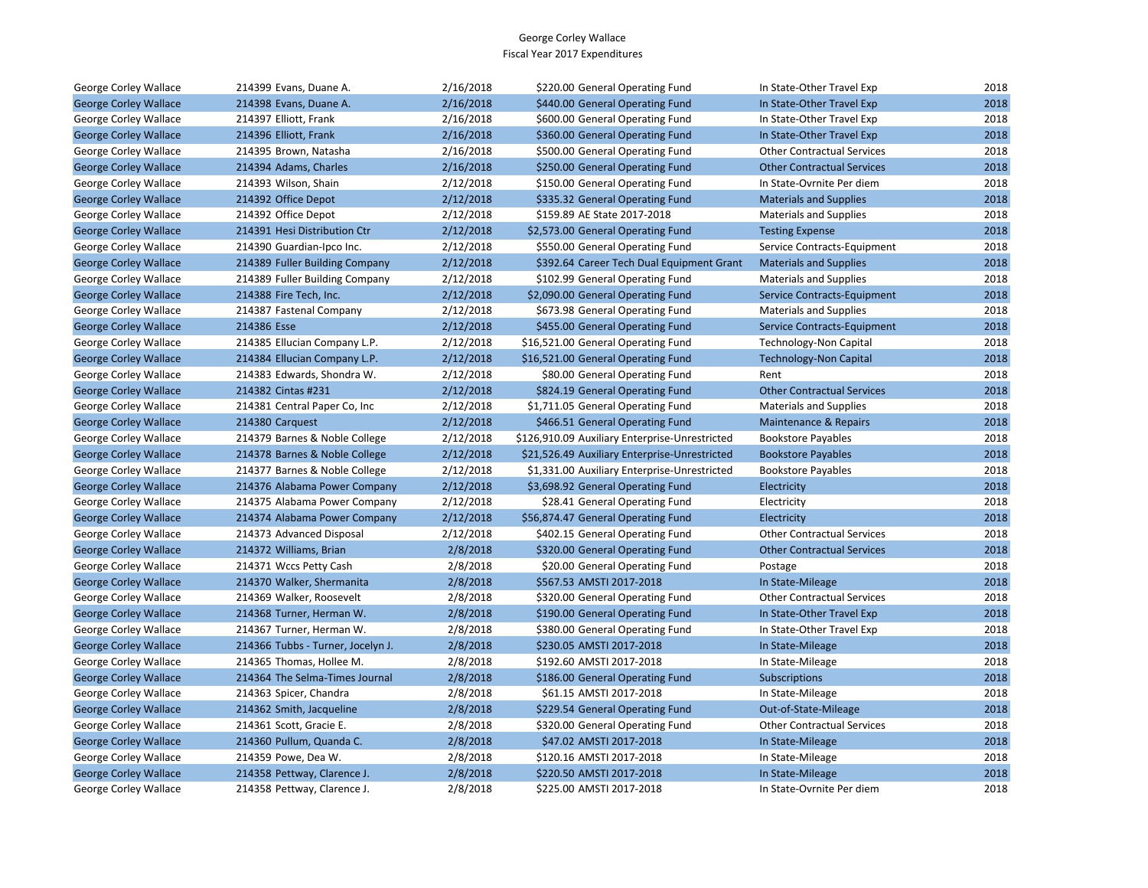| George Corley Wallace        | 214399 Evans, Duane A.            | 2/16/2018 | \$220.00 General Operating Fund                | In State-Other Travel Exp         | 2018 |
|------------------------------|-----------------------------------|-----------|------------------------------------------------|-----------------------------------|------|
| <b>George Corley Wallace</b> | 214398 Evans, Duane A.            | 2/16/2018 | \$440.00 General Operating Fund                | In State-Other Travel Exp         | 2018 |
| George Corley Wallace        | 214397 Elliott, Frank             | 2/16/2018 | \$600.00 General Operating Fund                | In State-Other Travel Exp         | 2018 |
| <b>George Corley Wallace</b> | 214396 Elliott, Frank             | 2/16/2018 | \$360.00 General Operating Fund                | In State-Other Travel Exp         | 2018 |
| George Corley Wallace        | 214395 Brown, Natasha             | 2/16/2018 | \$500.00 General Operating Fund                | <b>Other Contractual Services</b> | 2018 |
| <b>George Corley Wallace</b> | 214394 Adams, Charles             | 2/16/2018 | \$250.00 General Operating Fund                | <b>Other Contractual Services</b> | 2018 |
| George Corley Wallace        | 214393 Wilson, Shain              | 2/12/2018 | \$150.00 General Operating Fund                | In State-Ovrnite Per diem         | 2018 |
| <b>George Corley Wallace</b> | 214392 Office Depot               | 2/12/2018 | \$335.32 General Operating Fund                | <b>Materials and Supplies</b>     | 2018 |
| George Corley Wallace        | 214392 Office Depot               | 2/12/2018 | \$159.89 AE State 2017-2018                    | <b>Materials and Supplies</b>     | 2018 |
| <b>George Corley Wallace</b> | 214391 Hesi Distribution Ctr      | 2/12/2018 | \$2,573.00 General Operating Fund              | <b>Testing Expense</b>            | 2018 |
| George Corley Wallace        | 214390 Guardian-Ipco Inc.         | 2/12/2018 | \$550.00 General Operating Fund                | Service Contracts-Equipment       | 2018 |
| <b>George Corley Wallace</b> | 214389 Fuller Building Company    | 2/12/2018 | \$392.64 Career Tech Dual Equipment Grant      | <b>Materials and Supplies</b>     | 2018 |
| George Corley Wallace        | 214389 Fuller Building Company    | 2/12/2018 | \$102.99 General Operating Fund                | <b>Materials and Supplies</b>     | 2018 |
| <b>George Corley Wallace</b> | 214388 Fire Tech, Inc.            | 2/12/2018 | \$2,090.00 General Operating Fund              | Service Contracts-Equipment       | 2018 |
| George Corley Wallace        | 214387 Fastenal Company           | 2/12/2018 | \$673.98 General Operating Fund                | <b>Materials and Supplies</b>     | 2018 |
| <b>George Corley Wallace</b> | 214386 Esse                       | 2/12/2018 | \$455.00 General Operating Fund                | Service Contracts-Equipment       | 2018 |
| George Corley Wallace        | 214385 Ellucian Company L.P.      | 2/12/2018 | \$16,521.00 General Operating Fund             | Technology-Non Capital            | 2018 |
| <b>George Corley Wallace</b> | 214384 Ellucian Company L.P.      | 2/12/2018 | \$16,521.00 General Operating Fund             | <b>Technology-Non Capital</b>     | 2018 |
| George Corley Wallace        | 214383 Edwards, Shondra W.        | 2/12/2018 | \$80.00 General Operating Fund                 | Rent                              | 2018 |
| <b>George Corley Wallace</b> | 214382 Cintas #231                | 2/12/2018 | \$824.19 General Operating Fund                | <b>Other Contractual Services</b> | 2018 |
| George Corley Wallace        | 214381 Central Paper Co, Inc.     | 2/12/2018 | \$1,711.05 General Operating Fund              | <b>Materials and Supplies</b>     | 2018 |
| <b>George Corley Wallace</b> | 214380 Carquest                   | 2/12/2018 | \$466.51 General Operating Fund                | Maintenance & Repairs             | 2018 |
| George Corley Wallace        | 214379 Barnes & Noble College     | 2/12/2018 | \$126,910.09 Auxiliary Enterprise-Unrestricted | <b>Bookstore Payables</b>         | 2018 |
| <b>George Corley Wallace</b> | 214378 Barnes & Noble College     | 2/12/2018 | \$21,526.49 Auxiliary Enterprise-Unrestricted  | <b>Bookstore Payables</b>         | 2018 |
| George Corley Wallace        | 214377 Barnes & Noble College     | 2/12/2018 | \$1,331.00 Auxiliary Enterprise-Unrestricted   | <b>Bookstore Payables</b>         | 2018 |
| <b>George Corley Wallace</b> | 214376 Alabama Power Company      | 2/12/2018 | \$3,698.92 General Operating Fund              | Electricity                       | 2018 |
| George Corley Wallace        | 214375 Alabama Power Company      | 2/12/2018 | \$28.41 General Operating Fund                 | Electricity                       | 2018 |
| <b>George Corley Wallace</b> | 214374 Alabama Power Company      | 2/12/2018 | \$56,874.47 General Operating Fund             | Electricity                       | 2018 |
| George Corley Wallace        | 214373 Advanced Disposal          | 2/12/2018 | \$402.15 General Operating Fund                | <b>Other Contractual Services</b> | 2018 |
| <b>George Corley Wallace</b> | 214372 Williams, Brian            | 2/8/2018  | \$320.00 General Operating Fund                | <b>Other Contractual Services</b> | 2018 |
| George Corley Wallace        | 214371 Wccs Petty Cash            | 2/8/2018  | \$20.00 General Operating Fund                 | Postage                           | 2018 |
| <b>George Corley Wallace</b> | 214370 Walker, Shermanita         | 2/8/2018  | \$567.53 AMSTI 2017-2018                       | In State-Mileage                  | 2018 |
| George Corley Wallace        | 214369 Walker, Roosevelt          | 2/8/2018  | \$320.00 General Operating Fund                | <b>Other Contractual Services</b> | 2018 |
| <b>George Corley Wallace</b> | 214368 Turner, Herman W.          | 2/8/2018  | \$190.00 General Operating Fund                | In State-Other Travel Exp         | 2018 |
| George Corley Wallace        | 214367 Turner, Herman W.          | 2/8/2018  | \$380.00 General Operating Fund                | In State-Other Travel Exp         | 2018 |
| <b>George Corley Wallace</b> | 214366 Tubbs - Turner, Jocelyn J. | 2/8/2018  | \$230.05 AMSTI 2017-2018                       | In State-Mileage                  | 2018 |
| George Corley Wallace        | 214365 Thomas, Hollee M.          | 2/8/2018  | \$192.60 AMSTI 2017-2018                       | In State-Mileage                  | 2018 |
| <b>George Corley Wallace</b> | 214364 The Selma-Times Journal    | 2/8/2018  | \$186.00 General Operating Fund                | Subscriptions                     | 2018 |
| George Corley Wallace        | 214363 Spicer, Chandra            | 2/8/2018  | \$61.15 AMSTI 2017-2018                        | In State-Mileage                  | 2018 |
| <b>George Corley Wallace</b> | 214362 Smith, Jacqueline          | 2/8/2018  | \$229.54 General Operating Fund                | Out-of-State-Mileage              | 2018 |
| George Corley Wallace        | 214361 Scott, Gracie E.           | 2/8/2018  | \$320.00 General Operating Fund                | <b>Other Contractual Services</b> | 2018 |
| <b>George Corley Wallace</b> | 214360 Pullum, Quanda C.          | 2/8/2018  | \$47.02 AMSTI 2017-2018                        | In State-Mileage                  | 2018 |
| George Corley Wallace        | 214359 Powe, Dea W.               | 2/8/2018  | \$120.16 AMSTI 2017-2018                       | In State-Mileage                  | 2018 |
| <b>George Corley Wallace</b> | 214358 Pettway, Clarence J.       | 2/8/2018  | \$220.50 AMSTI 2017-2018                       | In State-Mileage                  | 2018 |
| George Corley Wallace        | 214358 Pettway, Clarence J.       | 2/8/2018  | \$225.00 AMSTI 2017-2018                       | In State-Ovrnite Per diem         | 2018 |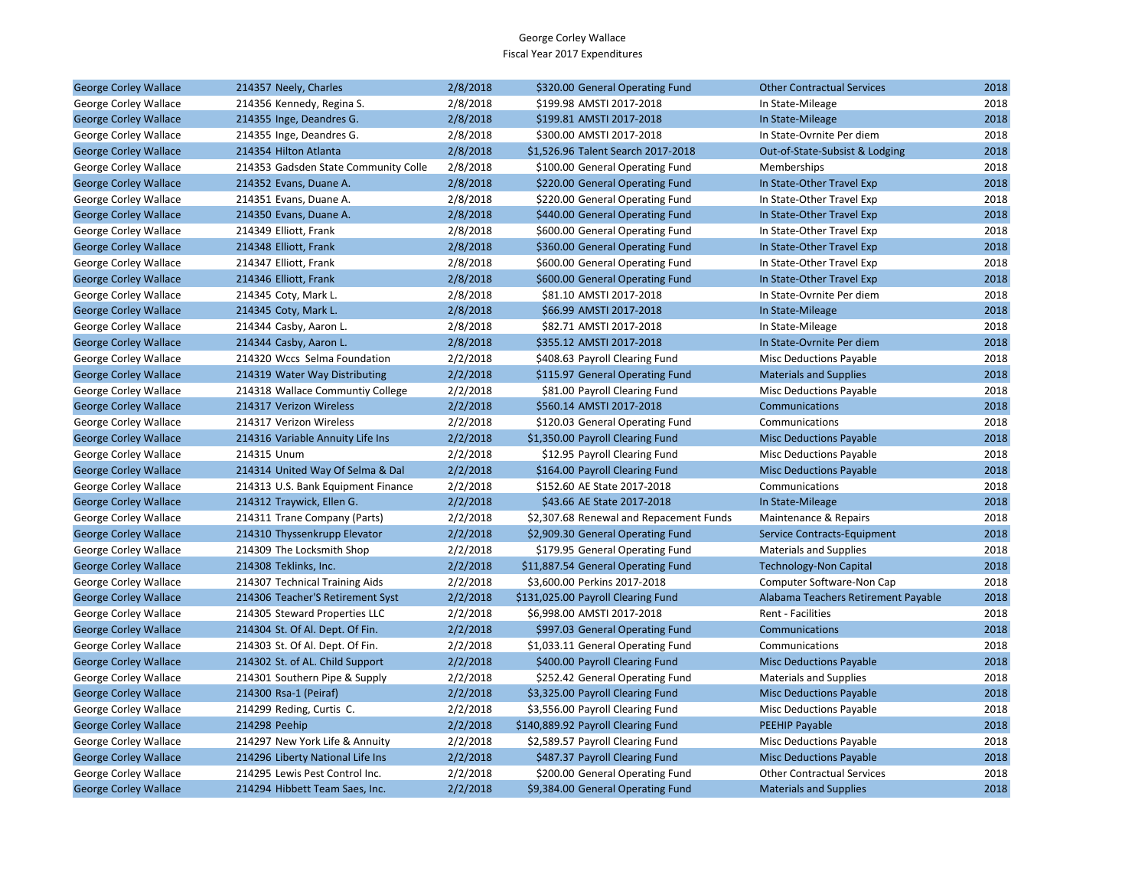| <b>George Corley Wallace</b> | 214357 Neely, Charles                | 2/8/2018 | \$320.00 General Operating Fund         | <b>Other Contractual Services</b>   | 2018 |
|------------------------------|--------------------------------------|----------|-----------------------------------------|-------------------------------------|------|
| George Corley Wallace        | 214356 Kennedy, Regina S.            | 2/8/2018 | \$199.98 AMSTI 2017-2018                | In State-Mileage                    | 2018 |
| <b>George Corley Wallace</b> | 214355 Inge, Deandres G.             | 2/8/2018 | \$199.81 AMSTI 2017-2018                | In State-Mileage                    | 2018 |
| George Corley Wallace        | 214355 Inge, Deandres G.             | 2/8/2018 | \$300.00 AMSTI 2017-2018                | In State-Ovrnite Per diem           | 2018 |
| <b>George Corley Wallace</b> | 214354 Hilton Atlanta                | 2/8/2018 | \$1,526.96 Talent Search 2017-2018      | Out-of-State-Subsist & Lodging      | 2018 |
| George Corley Wallace        | 214353 Gadsden State Community Colle | 2/8/2018 | \$100.00 General Operating Fund         | Memberships                         | 2018 |
| <b>George Corley Wallace</b> | 214352 Evans, Duane A.               | 2/8/2018 | \$220.00 General Operating Fund         | In State-Other Travel Exp           | 2018 |
| George Corley Wallace        | 214351 Evans, Duane A.               | 2/8/2018 | \$220.00 General Operating Fund         | In State-Other Travel Exp           | 2018 |
| <b>George Corley Wallace</b> | 214350 Evans, Duane A.               | 2/8/2018 | \$440.00 General Operating Fund         | In State-Other Travel Exp           | 2018 |
| George Corley Wallace        | 214349 Elliott, Frank                | 2/8/2018 | \$600.00 General Operating Fund         | In State-Other Travel Exp           | 2018 |
| <b>George Corley Wallace</b> | 214348 Elliott, Frank                | 2/8/2018 | \$360.00 General Operating Fund         | In State-Other Travel Exp           | 2018 |
| George Corley Wallace        | 214347 Elliott, Frank                | 2/8/2018 | \$600.00 General Operating Fund         | In State-Other Travel Exp           | 2018 |
| <b>George Corley Wallace</b> | 214346 Elliott, Frank                | 2/8/2018 | \$600.00 General Operating Fund         | In State-Other Travel Exp           | 2018 |
| George Corley Wallace        | 214345 Coty, Mark L.                 | 2/8/2018 | \$81.10 AMSTI 2017-2018                 | In State-Ovrnite Per diem           | 2018 |
| <b>George Corley Wallace</b> | 214345 Coty, Mark L.                 | 2/8/2018 | \$66.99 AMSTI 2017-2018                 | In State-Mileage                    | 2018 |
| George Corley Wallace        | 214344 Casby, Aaron L.               | 2/8/2018 | \$82.71 AMSTI 2017-2018                 | In State-Mileage                    | 2018 |
| <b>George Corley Wallace</b> | 214344 Casby, Aaron L.               | 2/8/2018 | \$355.12 AMSTI 2017-2018                | In State-Ovrnite Per diem           | 2018 |
| George Corley Wallace        | 214320 Wccs Selma Foundation         | 2/2/2018 | \$408.63 Payroll Clearing Fund          | <b>Misc Deductions Payable</b>      | 2018 |
| <b>George Corley Wallace</b> | 214319 Water Way Distributing        | 2/2/2018 | \$115.97 General Operating Fund         | <b>Materials and Supplies</b>       | 2018 |
| George Corley Wallace        | 214318 Wallace Communtiy College     | 2/2/2018 | \$81.00 Payroll Clearing Fund           | Misc Deductions Payable             | 2018 |
| <b>George Corley Wallace</b> | 214317 Verizon Wireless              | 2/2/2018 | \$560.14 AMSTI 2017-2018                | Communications                      | 2018 |
| George Corley Wallace        | 214317 Verizon Wireless              | 2/2/2018 | \$120.03 General Operating Fund         | Communications                      | 2018 |
| <b>George Corley Wallace</b> | 214316 Variable Annuity Life Ins     | 2/2/2018 | \$1,350.00 Payroll Clearing Fund        | <b>Misc Deductions Payable</b>      | 2018 |
| George Corley Wallace        | 214315 Unum                          | 2/2/2018 | \$12.95 Payroll Clearing Fund           | <b>Misc Deductions Payable</b>      | 2018 |
| <b>George Corley Wallace</b> | 214314 United Way Of Selma & Dal     | 2/2/2018 | \$164.00 Payroll Clearing Fund          | <b>Misc Deductions Payable</b>      | 2018 |
| George Corley Wallace        | 214313 U.S. Bank Equipment Finance   | 2/2/2018 | \$152.60 AE State 2017-2018             | Communications                      | 2018 |
| <b>George Corley Wallace</b> | 214312 Traywick, Ellen G.            | 2/2/2018 | \$43.66 AE State 2017-2018              | In State-Mileage                    | 2018 |
| George Corley Wallace        | 214311 Trane Company (Parts)         | 2/2/2018 | \$2,307.68 Renewal and Repacement Funds | Maintenance & Repairs               | 2018 |
| <b>George Corley Wallace</b> | 214310 Thyssenkrupp Elevator         | 2/2/2018 | \$2,909.30 General Operating Fund       | Service Contracts-Equipment         | 2018 |
| George Corley Wallace        | 214309 The Locksmith Shop            | 2/2/2018 | \$179.95 General Operating Fund         | <b>Materials and Supplies</b>       | 2018 |
| <b>George Corley Wallace</b> | 214308 Teklinks, Inc.                | 2/2/2018 | \$11,887.54 General Operating Fund      | <b>Technology-Non Capital</b>       | 2018 |
| George Corley Wallace        | 214307 Technical Training Aids       | 2/2/2018 | \$3,600.00 Perkins 2017-2018            | Computer Software-Non Cap           | 2018 |
| <b>George Corley Wallace</b> | 214306 Teacher'S Retirement Syst     | 2/2/2018 | \$131,025.00 Payroll Clearing Fund      | Alabama Teachers Retirement Payable | 2018 |
| George Corley Wallace        | 214305 Steward Properties LLC        | 2/2/2018 | \$6,998.00 AMSTI 2017-2018              | Rent - Facilities                   | 2018 |
| <b>George Corley Wallace</b> | 214304 St. Of Al. Dept. Of Fin.      | 2/2/2018 | \$997.03 General Operating Fund         | Communications                      | 2018 |
| George Corley Wallace        | 214303 St. Of Al. Dept. Of Fin.      | 2/2/2018 | \$1,033.11 General Operating Fund       | Communications                      | 2018 |
| <b>George Corley Wallace</b> | 214302 St. of AL. Child Support      | 2/2/2018 | \$400.00 Payroll Clearing Fund          | <b>Misc Deductions Payable</b>      | 2018 |
| George Corley Wallace        | 214301 Southern Pipe & Supply        | 2/2/2018 | \$252.42 General Operating Fund         | <b>Materials and Supplies</b>       | 2018 |
| <b>George Corley Wallace</b> | 214300 Rsa-1 (Peiraf)                | 2/2/2018 | \$3,325.00 Payroll Clearing Fund        | <b>Misc Deductions Payable</b>      | 2018 |
| George Corley Wallace        | 214299 Reding, Curtis C.             | 2/2/2018 | \$3,556.00 Payroll Clearing Fund        | <b>Misc Deductions Payable</b>      | 2018 |
| <b>George Corley Wallace</b> | 214298 Peehip                        | 2/2/2018 | \$140,889.92 Payroll Clearing Fund      | <b>PEEHIP Payable</b>               | 2018 |
| George Corley Wallace        | 214297 New York Life & Annuity       | 2/2/2018 | \$2,589.57 Payroll Clearing Fund        | <b>Misc Deductions Payable</b>      | 2018 |
| <b>George Corley Wallace</b> | 214296 Liberty National Life Ins     | 2/2/2018 | \$487.37 Payroll Clearing Fund          | <b>Misc Deductions Payable</b>      | 2018 |
| George Corley Wallace        | 214295 Lewis Pest Control Inc.       | 2/2/2018 | \$200.00 General Operating Fund         | <b>Other Contractual Services</b>   | 2018 |
| <b>George Corley Wallace</b> | 214294 Hibbett Team Saes, Inc.       | 2/2/2018 | \$9,384.00 General Operating Fund       | <b>Materials and Supplies</b>       | 2018 |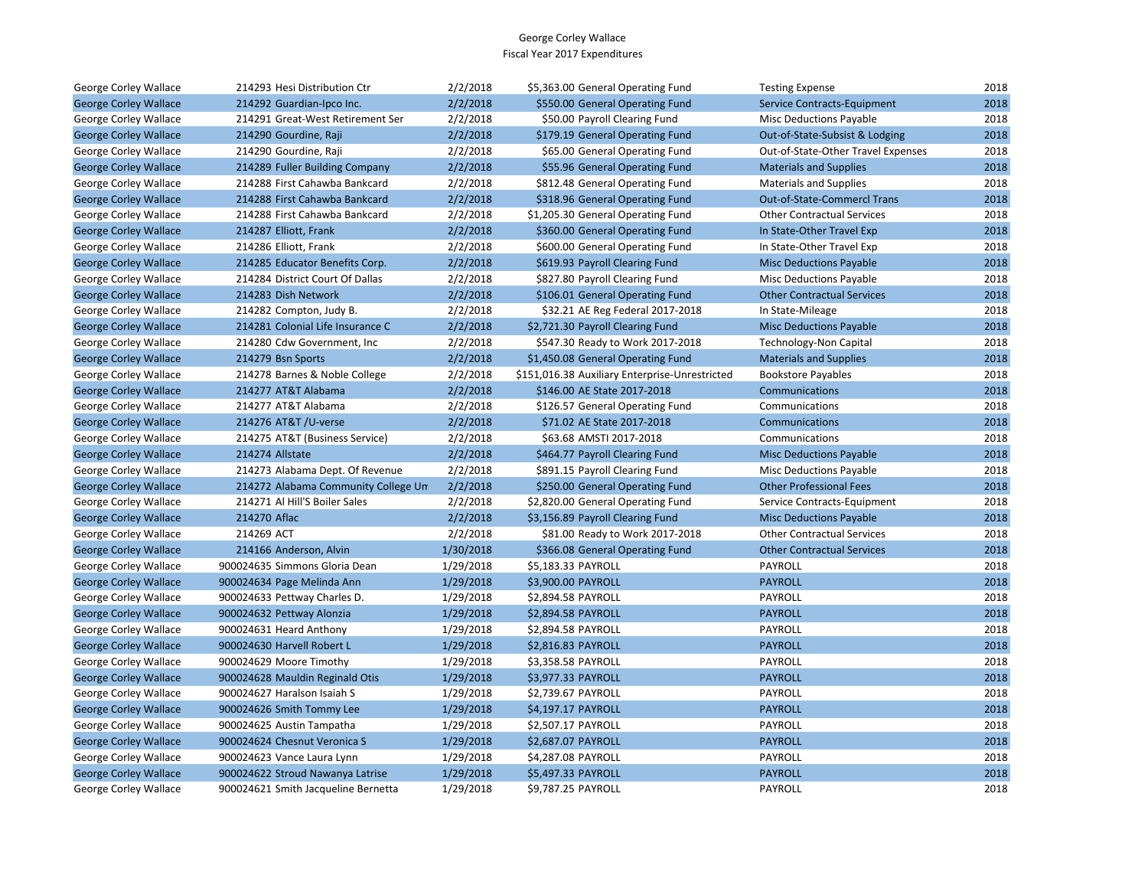| George Corley Wallace        | 214293 Hesi Distribution Ctr        | 2/2/2018  | \$5,363.00 General Operating Fund              | <b>Testing Expense</b>             | 2018 |
|------------------------------|-------------------------------------|-----------|------------------------------------------------|------------------------------------|------|
| <b>George Corley Wallace</b> | 214292 Guardian-Ipco Inc.           | 2/2/2018  | \$550.00 General Operating Fund                | <b>Service Contracts-Equipment</b> | 2018 |
| George Corley Wallace        | 214291 Great-West Retirement Ser    | 2/2/2018  | \$50.00 Payroll Clearing Fund                  | <b>Misc Deductions Payable</b>     | 2018 |
| <b>George Corley Wallace</b> | 214290 Gourdine, Raji               | 2/2/2018  | \$179.19 General Operating Fund                | Out-of-State-Subsist & Lodging     | 2018 |
| George Corley Wallace        | 214290 Gourdine, Raji               | 2/2/2018  | \$65.00 General Operating Fund                 | Out-of-State-Other Travel Expenses | 2018 |
| <b>George Corley Wallace</b> | 214289 Fuller Building Company      | 2/2/2018  | \$55.96 General Operating Fund                 | <b>Materials and Supplies</b>      | 2018 |
| George Corley Wallace        | 214288 First Cahawba Bankcard       | 2/2/2018  | \$812.48 General Operating Fund                | <b>Materials and Supplies</b>      | 2018 |
| <b>George Corley Wallace</b> | 214288 First Cahawba Bankcard       | 2/2/2018  | \$318.96 General Operating Fund                | <b>Out-of-State-Commercl Trans</b> | 2018 |
| George Corley Wallace        | 214288 First Cahawba Bankcard       | 2/2/2018  | \$1,205.30 General Operating Fund              | <b>Other Contractual Services</b>  | 2018 |
| <b>George Corley Wallace</b> | 214287 Elliott, Frank               | 2/2/2018  | \$360.00 General Operating Fund                | In State-Other Travel Exp          | 2018 |
| George Corley Wallace        | 214286 Elliott, Frank               | 2/2/2018  | \$600.00 General Operating Fund                | In State-Other Travel Exp          | 2018 |
| <b>George Corley Wallace</b> | 214285 Educator Benefits Corp.      | 2/2/2018  | \$619.93 Payroll Clearing Fund                 | <b>Misc Deductions Payable</b>     | 2018 |
| George Corley Wallace        | 214284 District Court Of Dallas     | 2/2/2018  | \$827.80 Payroll Clearing Fund                 | <b>Misc Deductions Payable</b>     | 2018 |
| <b>George Corley Wallace</b> | 214283 Dish Network                 | 2/2/2018  | \$106.01 General Operating Fund                | <b>Other Contractual Services</b>  | 2018 |
| George Corley Wallace        | 214282 Compton, Judy B.             | 2/2/2018  | \$32.21 AE Reg Federal 2017-2018               | In State-Mileage                   | 2018 |
| <b>George Corley Wallace</b> | 214281 Colonial Life Insurance C    | 2/2/2018  | \$2,721.30 Payroll Clearing Fund               | <b>Misc Deductions Payable</b>     | 2018 |
| George Corley Wallace        | 214280 Cdw Government, Inc          | 2/2/2018  | \$547.30 Ready to Work 2017-2018               | <b>Technology-Non Capital</b>      | 2018 |
| <b>George Corley Wallace</b> | 214279 Bsn Sports                   | 2/2/2018  | \$1,450.08 General Operating Fund              | <b>Materials and Supplies</b>      | 2018 |
| George Corley Wallace        | 214278 Barnes & Noble College       | 2/2/2018  | \$151,016.38 Auxiliary Enterprise-Unrestricted | <b>Bookstore Payables</b>          | 2018 |
| <b>George Corley Wallace</b> | 214277 AT&T Alabama                 | 2/2/2018  | \$146.00 AE State 2017-2018                    | Communications                     | 2018 |
| George Corley Wallace        | 214277 AT&T Alabama                 | 2/2/2018  | \$126.57 General Operating Fund                | Communications                     | 2018 |
| <b>George Corley Wallace</b> | 214276 AT&T /U-verse                | 2/2/2018  | \$71.02 AE State 2017-2018                     | Communications                     | 2018 |
| George Corley Wallace        | 214275 AT&T (Business Service)      | 2/2/2018  | \$63.68 AMSTI 2017-2018                        | Communications                     | 2018 |
| <b>George Corley Wallace</b> | 214274 Allstate                     | 2/2/2018  | \$464.77 Payroll Clearing Fund                 | <b>Misc Deductions Payable</b>     | 2018 |
| George Corley Wallace        | 214273 Alabama Dept. Of Revenue     | 2/2/2018  | \$891.15 Payroll Clearing Fund                 | <b>Misc Deductions Payable</b>     | 2018 |
| <b>George Corley Wallace</b> | 214272 Alabama Community College Un | 2/2/2018  | \$250.00 General Operating Fund                | <b>Other Professional Fees</b>     | 2018 |
| George Corley Wallace        | 214271 Al Hill'S Boiler Sales       | 2/2/2018  | \$2,820.00 General Operating Fund              | Service Contracts-Equipment        | 2018 |
| <b>George Corley Wallace</b> | 214270 Aflac                        | 2/2/2018  | \$3,156.89 Payroll Clearing Fund               | <b>Misc Deductions Payable</b>     | 2018 |
| George Corley Wallace        | 214269 ACT                          | 2/2/2018  | \$81.00 Ready to Work 2017-2018                | <b>Other Contractual Services</b>  | 2018 |
| <b>George Corley Wallace</b> | 214166 Anderson, Alvin              | 1/30/2018 | \$366.08 General Operating Fund                | <b>Other Contractual Services</b>  | 2018 |
| George Corley Wallace        | 900024635 Simmons Gloria Dean       | 1/29/2018 | \$5,183.33 PAYROLL                             | PAYROLL                            | 2018 |
| <b>George Corley Wallace</b> | 900024634 Page Melinda Ann          | 1/29/2018 | \$3,900.00 PAYROLL                             | <b>PAYROLL</b>                     | 2018 |
| George Corley Wallace        | 900024633 Pettway Charles D.        | 1/29/2018 | \$2,894.58 PAYROLL                             | PAYROLL                            | 2018 |
| <b>George Corley Wallace</b> | 900024632 Pettway Alonzia           | 1/29/2018 | \$2,894.58 PAYROLL                             | <b>PAYROLL</b>                     | 2018 |
| George Corley Wallace        | 900024631 Heard Anthony             | 1/29/2018 | \$2,894.58 PAYROLL                             | PAYROLL                            | 2018 |
| <b>George Corley Wallace</b> | 900024630 Harvell Robert L          | 1/29/2018 | \$2,816.83 PAYROLL                             | <b>PAYROLL</b>                     | 2018 |
| George Corley Wallace        | 900024629 Moore Timothy             | 1/29/2018 | \$3,358.58 PAYROLL                             | PAYROLL                            | 2018 |
| <b>George Corley Wallace</b> | 900024628 Mauldin Reginald Otis     | 1/29/2018 | \$3,977.33 PAYROLL                             | <b>PAYROLL</b>                     | 2018 |
| George Corley Wallace        | 900024627 Haralson Isaiah S         | 1/29/2018 | \$2,739.67 PAYROLL                             | PAYROLL                            | 2018 |
| <b>George Corley Wallace</b> | 900024626 Smith Tommy Lee           | 1/29/2018 | \$4,197.17 PAYROLL                             | <b>PAYROLL</b>                     | 2018 |
| George Corley Wallace        | 900024625 Austin Tampatha           | 1/29/2018 | \$2,507.17 PAYROLL                             | PAYROLL                            | 2018 |
| <b>George Corley Wallace</b> | 900024624 Chesnut Veronica S        | 1/29/2018 | \$2,687.07 PAYROLL                             | <b>PAYROLL</b>                     | 2018 |
| George Corley Wallace        | 900024623 Vance Laura Lynn          | 1/29/2018 | \$4,287.08 PAYROLL                             | PAYROLL                            | 2018 |
| <b>George Corley Wallace</b> | 900024622 Stroud Nawanya Latrise    | 1/29/2018 | \$5,497.33 PAYROLL                             | <b>PAYROLL</b>                     | 2018 |
| George Corley Wallace        | 900024621 Smith Jacqueline Bernetta | 1/29/2018 | \$9,787.25 PAYROLL                             | PAYROLL                            | 2018 |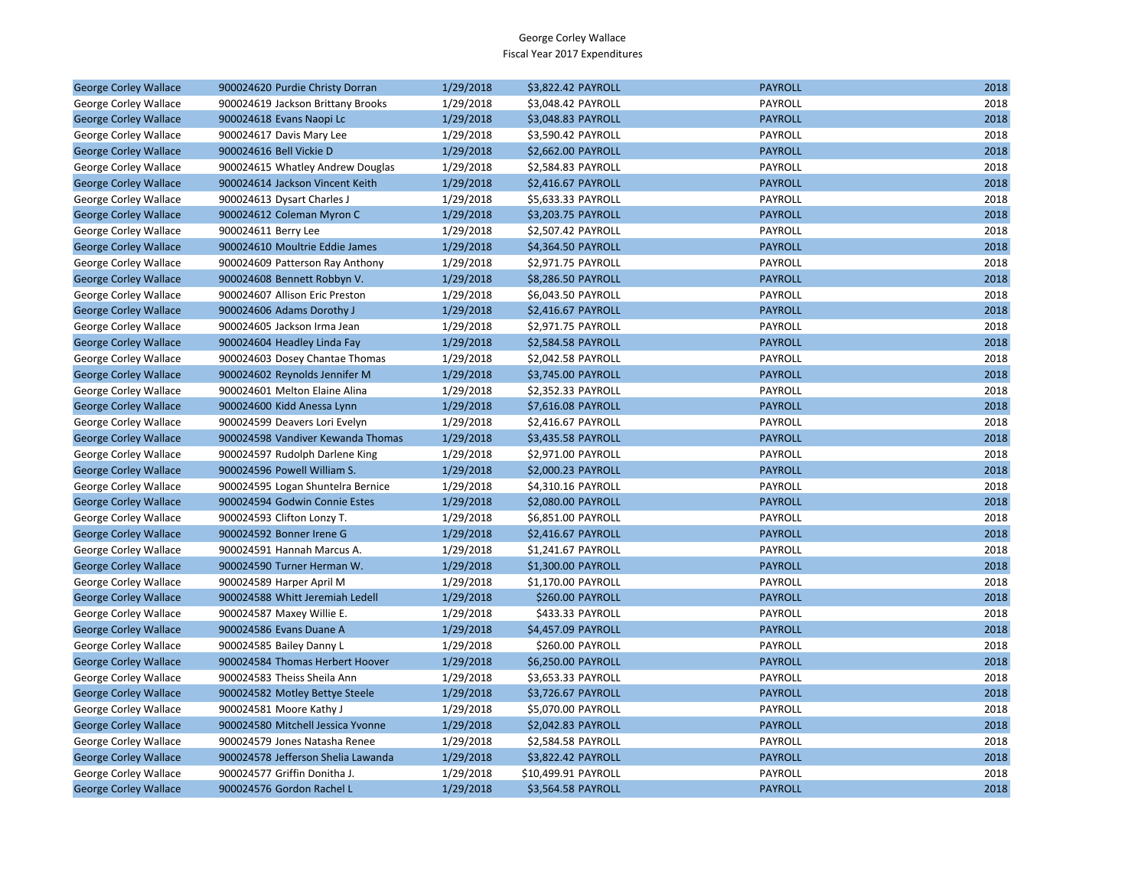| <b>George Corley Wallace</b> | 900024620 Purdie Christy Dorran    | 1/29/2018 | \$3,822.42 PAYROLL  | <b>PAYROLL</b> | 2018 |
|------------------------------|------------------------------------|-----------|---------------------|----------------|------|
| George Corley Wallace        | 900024619 Jackson Brittany Brooks  | 1/29/2018 | \$3,048.42 PAYROLL  | PAYROLL        | 2018 |
| <b>George Corley Wallace</b> | 900024618 Evans Naopi Lc           | 1/29/2018 | \$3,048.83 PAYROLL  | <b>PAYROLL</b> | 2018 |
| George Corley Wallace        | 900024617 Davis Mary Lee           | 1/29/2018 | \$3,590.42 PAYROLL  | PAYROLL        | 2018 |
| <b>George Corley Wallace</b> | 900024616 Bell Vickie D            | 1/29/2018 | \$2,662.00 PAYROLL  | <b>PAYROLL</b> | 2018 |
| George Corley Wallace        | 900024615 Whatley Andrew Douglas   | 1/29/2018 | \$2,584.83 PAYROLL  | PAYROLL        | 2018 |
| <b>George Corley Wallace</b> | 900024614 Jackson Vincent Keith    | 1/29/2018 | \$2,416.67 PAYROLL  | <b>PAYROLL</b> | 2018 |
| George Corley Wallace        | 900024613 Dysart Charles J         | 1/29/2018 | \$5,633.33 PAYROLL  | PAYROLL        | 2018 |
| <b>George Corley Wallace</b> | 900024612 Coleman Myron C          | 1/29/2018 | \$3,203.75 PAYROLL  | <b>PAYROLL</b> | 2018 |
| George Corley Wallace        | 900024611 Berry Lee                | 1/29/2018 | \$2,507.42 PAYROLL  | PAYROLL        | 2018 |
| <b>George Corley Wallace</b> | 900024610 Moultrie Eddie James     | 1/29/2018 | \$4,364.50 PAYROLL  | <b>PAYROLL</b> | 2018 |
| George Corley Wallace        | 900024609 Patterson Ray Anthony    | 1/29/2018 | \$2,971.75 PAYROLL  | PAYROLL        | 2018 |
| <b>George Corley Wallace</b> | 900024608 Bennett Robbyn V.        | 1/29/2018 | \$8,286.50 PAYROLL  | <b>PAYROLL</b> | 2018 |
| George Corley Wallace        | 900024607 Allison Eric Preston     | 1/29/2018 | \$6,043.50 PAYROLL  | PAYROLL        | 2018 |
| <b>George Corley Wallace</b> | 900024606 Adams Dorothy J          | 1/29/2018 | \$2,416.67 PAYROLL  | <b>PAYROLL</b> | 2018 |
| George Corley Wallace        | 900024605 Jackson Irma Jean        | 1/29/2018 | \$2,971.75 PAYROLL  | PAYROLL        | 2018 |
| <b>George Corley Wallace</b> | 900024604 Headley Linda Fay        | 1/29/2018 | \$2,584.58 PAYROLL  | <b>PAYROLL</b> | 2018 |
| George Corley Wallace        | 900024603 Dosey Chantae Thomas     | 1/29/2018 | \$2,042.58 PAYROLL  | PAYROLL        | 2018 |
| <b>George Corley Wallace</b> | 900024602 Reynolds Jennifer M      | 1/29/2018 | \$3,745.00 PAYROLL  | <b>PAYROLL</b> | 2018 |
| George Corley Wallace        | 900024601 Melton Elaine Alina      | 1/29/2018 | \$2,352.33 PAYROLL  | PAYROLL        | 2018 |
| <b>George Corley Wallace</b> | 900024600 Kidd Anessa Lynn         | 1/29/2018 | \$7,616.08 PAYROLL  | <b>PAYROLL</b> | 2018 |
| George Corley Wallace        | 900024599 Deavers Lori Evelyn      | 1/29/2018 | \$2,416.67 PAYROLL  | PAYROLL        | 2018 |
| <b>George Corley Wallace</b> | 900024598 Vandiver Kewanda Thomas  | 1/29/2018 | \$3,435.58 PAYROLL  | <b>PAYROLL</b> | 2018 |
| George Corley Wallace        | 900024597 Rudolph Darlene King     | 1/29/2018 | \$2,971.00 PAYROLL  | PAYROLL        | 2018 |
| <b>George Corley Wallace</b> | 900024596 Powell William S.        | 1/29/2018 | \$2,000.23 PAYROLL  | <b>PAYROLL</b> | 2018 |
| George Corley Wallace        | 900024595 Logan Shuntelra Bernice  | 1/29/2018 | \$4,310.16 PAYROLL  | PAYROLL        | 2018 |
| <b>George Corley Wallace</b> | 900024594 Godwin Connie Estes      | 1/29/2018 | \$2,080.00 PAYROLL  | <b>PAYROLL</b> | 2018 |
| George Corley Wallace        | 900024593 Clifton Lonzy T.         | 1/29/2018 | \$6,851.00 PAYROLL  | PAYROLL        | 2018 |
| <b>George Corley Wallace</b> | 900024592 Bonner Irene G           | 1/29/2018 | \$2,416.67 PAYROLL  | <b>PAYROLL</b> | 2018 |
| George Corley Wallace        | 900024591 Hannah Marcus A.         | 1/29/2018 | \$1,241.67 PAYROLL  | PAYROLL        | 2018 |
| <b>George Corley Wallace</b> | 900024590 Turner Herman W.         | 1/29/2018 | \$1,300.00 PAYROLL  | <b>PAYROLL</b> | 2018 |
| George Corley Wallace        | 900024589 Harper April M           | 1/29/2018 | \$1,170.00 PAYROLL  | PAYROLL        | 2018 |
| <b>George Corley Wallace</b> | 900024588 Whitt Jeremiah Ledell    | 1/29/2018 | \$260.00 PAYROLL    | <b>PAYROLL</b> | 2018 |
| George Corley Wallace        | 900024587 Maxey Willie E.          | 1/29/2018 | \$433.33 PAYROLL    | PAYROLL        | 2018 |
| <b>George Corley Wallace</b> | 900024586 Evans Duane A            | 1/29/2018 | \$4,457.09 PAYROLL  | <b>PAYROLL</b> | 2018 |
| George Corley Wallace        | 900024585 Bailey Danny L           | 1/29/2018 | \$260.00 PAYROLL    | PAYROLL        | 2018 |
| <b>George Corley Wallace</b> | 900024584 Thomas Herbert Hoover    | 1/29/2018 | \$6,250.00 PAYROLL  | <b>PAYROLL</b> | 2018 |
| George Corley Wallace        | 900024583 Theiss Sheila Ann        | 1/29/2018 | \$3,653.33 PAYROLL  | PAYROLL        | 2018 |
| <b>George Corley Wallace</b> | 900024582 Motley Bettye Steele     | 1/29/2018 | \$3,726.67 PAYROLL  | <b>PAYROLL</b> | 2018 |
| George Corley Wallace        | 900024581 Moore Kathy J            | 1/29/2018 | \$5,070.00 PAYROLL  | PAYROLL        | 2018 |
| <b>George Corley Wallace</b> | 900024580 Mitchell Jessica Yvonne  | 1/29/2018 | \$2,042.83 PAYROLL  | <b>PAYROLL</b> | 2018 |
| George Corley Wallace        | 900024579 Jones Natasha Renee      | 1/29/2018 | \$2,584.58 PAYROLL  | PAYROLL        | 2018 |
| <b>George Corley Wallace</b> | 900024578 Jefferson Shelia Lawanda | 1/29/2018 | \$3,822.42 PAYROLL  | <b>PAYROLL</b> | 2018 |
| George Corley Wallace        | 900024577 Griffin Donitha J.       | 1/29/2018 | \$10,499.91 PAYROLL | PAYROLL        | 2018 |
| <b>George Corley Wallace</b> | 900024576 Gordon Rachel L          | 1/29/2018 | \$3,564.58 PAYROLL  | <b>PAYROLL</b> | 2018 |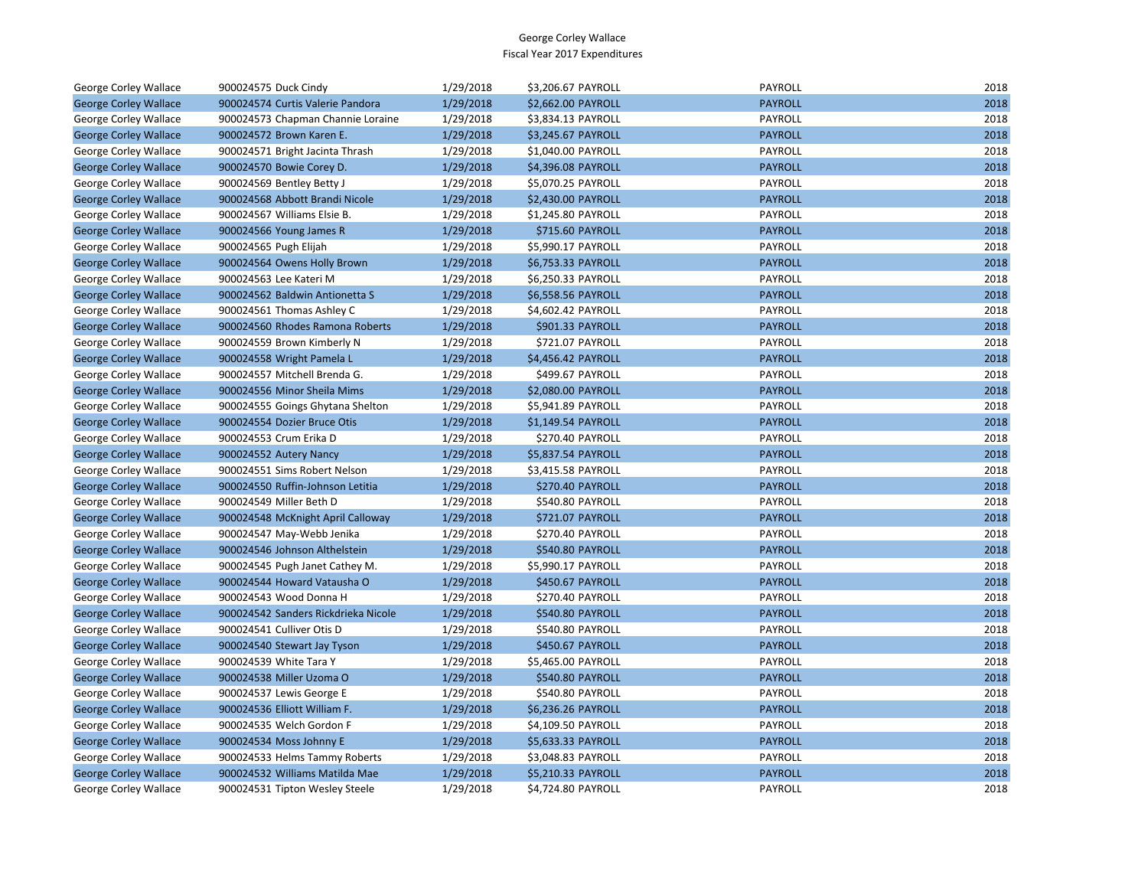| George Corley Wallace        | 900024575 Duck Cindy                | 1/29/2018 | \$3,206.67 PAYROLL | <b>PAYROLL</b> | 2018 |
|------------------------------|-------------------------------------|-----------|--------------------|----------------|------|
| <b>George Corley Wallace</b> | 900024574 Curtis Valerie Pandora    | 1/29/2018 | \$2,662.00 PAYROLL | <b>PAYROLL</b> | 2018 |
| George Corley Wallace        | 900024573 Chapman Channie Loraine   | 1/29/2018 | \$3,834.13 PAYROLL | PAYROLL        | 2018 |
| <b>George Corley Wallace</b> | 900024572 Brown Karen E.            | 1/29/2018 | \$3,245.67 PAYROLL | <b>PAYROLL</b> | 2018 |
| George Corley Wallace        | 900024571 Bright Jacinta Thrash     | 1/29/2018 | \$1,040.00 PAYROLL | PAYROLL        | 2018 |
| <b>George Corley Wallace</b> | 900024570 Bowie Corey D.            | 1/29/2018 | \$4,396.08 PAYROLL | <b>PAYROLL</b> | 2018 |
| George Corley Wallace        | 900024569 Bentley Betty J           | 1/29/2018 | \$5,070.25 PAYROLL | PAYROLL        | 2018 |
| <b>George Corley Wallace</b> | 900024568 Abbott Brandi Nicole      | 1/29/2018 | \$2,430.00 PAYROLL | <b>PAYROLL</b> | 2018 |
| George Corley Wallace        | 900024567 Williams Elsie B.         | 1/29/2018 | \$1,245.80 PAYROLL | PAYROLL        | 2018 |
| <b>George Corley Wallace</b> | 900024566 Young James R             | 1/29/2018 | \$715.60 PAYROLL   | <b>PAYROLL</b> | 2018 |
| George Corley Wallace        | 900024565 Pugh Elijah               | 1/29/2018 | \$5,990.17 PAYROLL | PAYROLL        | 2018 |
| <b>George Corley Wallace</b> | 900024564 Owens Holly Brown         | 1/29/2018 | \$6,753.33 PAYROLL | <b>PAYROLL</b> | 2018 |
| George Corley Wallace        | 900024563 Lee Kateri M              | 1/29/2018 | \$6,250.33 PAYROLL | PAYROLL        | 2018 |
| <b>George Corley Wallace</b> | 900024562 Baldwin Antionetta S      | 1/29/2018 | \$6,558.56 PAYROLL | <b>PAYROLL</b> | 2018 |
| George Corley Wallace        | 900024561 Thomas Ashley C           | 1/29/2018 | \$4,602.42 PAYROLL | PAYROLL        | 2018 |
| <b>George Corley Wallace</b> | 900024560 Rhodes Ramona Roberts     | 1/29/2018 | \$901.33 PAYROLL   | <b>PAYROLL</b> | 2018 |
| George Corley Wallace        | 900024559 Brown Kimberly N          | 1/29/2018 | \$721.07 PAYROLL   | PAYROLL        | 2018 |
| <b>George Corley Wallace</b> | 900024558 Wright Pamela L           | 1/29/2018 | \$4,456.42 PAYROLL | <b>PAYROLL</b> | 2018 |
| George Corley Wallace        | 900024557 Mitchell Brenda G.        | 1/29/2018 | \$499.67 PAYROLL   | PAYROLL        | 2018 |
| <b>George Corley Wallace</b> | 900024556 Minor Sheila Mims         | 1/29/2018 | \$2,080.00 PAYROLL | <b>PAYROLL</b> | 2018 |
| George Corley Wallace        | 900024555 Goings Ghytana Shelton    | 1/29/2018 | \$5,941.89 PAYROLL | PAYROLL        | 2018 |
| <b>George Corley Wallace</b> | 900024554 Dozier Bruce Otis         | 1/29/2018 | \$1,149.54 PAYROLL | <b>PAYROLL</b> | 2018 |
| George Corley Wallace        | 900024553 Crum Erika D              | 1/29/2018 | \$270.40 PAYROLL   | PAYROLL        | 2018 |
| <b>George Corley Wallace</b> | 900024552 Autery Nancy              | 1/29/2018 | \$5,837.54 PAYROLL | <b>PAYROLL</b> | 2018 |
| George Corley Wallace        | 900024551 Sims Robert Nelson        | 1/29/2018 | \$3,415.58 PAYROLL | PAYROLL        | 2018 |
| <b>George Corley Wallace</b> | 900024550 Ruffin-Johnson Letitia    | 1/29/2018 | \$270.40 PAYROLL   | <b>PAYROLL</b> | 2018 |
| George Corley Wallace        | 900024549 Miller Beth D             | 1/29/2018 | \$540.80 PAYROLL   | PAYROLL        | 2018 |
| <b>George Corley Wallace</b> | 900024548 McKnight April Calloway   | 1/29/2018 | \$721.07 PAYROLL   | <b>PAYROLL</b> | 2018 |
| George Corley Wallace        | 900024547 May-Webb Jenika           | 1/29/2018 | \$270.40 PAYROLL   | PAYROLL        | 2018 |
| <b>George Corley Wallace</b> | 900024546 Johnson Althelstein       | 1/29/2018 | \$540.80 PAYROLL   | <b>PAYROLL</b> | 2018 |
| George Corley Wallace        | 900024545 Pugh Janet Cathey M.      | 1/29/2018 | \$5,990.17 PAYROLL | PAYROLL        | 2018 |
| <b>George Corley Wallace</b> | 900024544 Howard Vatausha O         | 1/29/2018 | \$450.67 PAYROLL   | <b>PAYROLL</b> | 2018 |
| George Corley Wallace        | 900024543 Wood Donna H              | 1/29/2018 | \$270.40 PAYROLL   | PAYROLL        | 2018 |
| <b>George Corley Wallace</b> | 900024542 Sanders Rickdrieka Nicole | 1/29/2018 | \$540.80 PAYROLL   | <b>PAYROLL</b> | 2018 |
| George Corley Wallace        | 900024541 Culliver Otis D           | 1/29/2018 | \$540.80 PAYROLL   | PAYROLL        | 2018 |
| <b>George Corley Wallace</b> | 900024540 Stewart Jay Tyson         | 1/29/2018 | \$450.67 PAYROLL   | <b>PAYROLL</b> | 2018 |
| George Corley Wallace        | 900024539 White Tara Y              | 1/29/2018 | \$5,465.00 PAYROLL | PAYROLL        | 2018 |
| <b>George Corley Wallace</b> | 900024538 Miller Uzoma O            | 1/29/2018 | \$540.80 PAYROLL   | <b>PAYROLL</b> | 2018 |
| George Corley Wallace        | 900024537 Lewis George E            | 1/29/2018 | \$540.80 PAYROLL   | PAYROLL        | 2018 |
| <b>George Corley Wallace</b> | 900024536 Elliott William F.        | 1/29/2018 | \$6,236.26 PAYROLL | <b>PAYROLL</b> | 2018 |
| George Corley Wallace        | 900024535 Welch Gordon F            | 1/29/2018 | \$4,109.50 PAYROLL | PAYROLL        | 2018 |
| <b>George Corley Wallace</b> | 900024534 Moss Johnny E             | 1/29/2018 | \$5,633.33 PAYROLL | <b>PAYROLL</b> | 2018 |
| George Corley Wallace        | 900024533 Helms Tammy Roberts       | 1/29/2018 | \$3,048.83 PAYROLL | PAYROLL        | 2018 |
| <b>George Corley Wallace</b> | 900024532 Williams Matilda Mae      | 1/29/2018 | \$5,210.33 PAYROLL | <b>PAYROLL</b> | 2018 |
| <b>George Corley Wallace</b> | 900024531 Tipton Wesley Steele      | 1/29/2018 | \$4.724.80 PAYROLL | PAYROLL        | 2018 |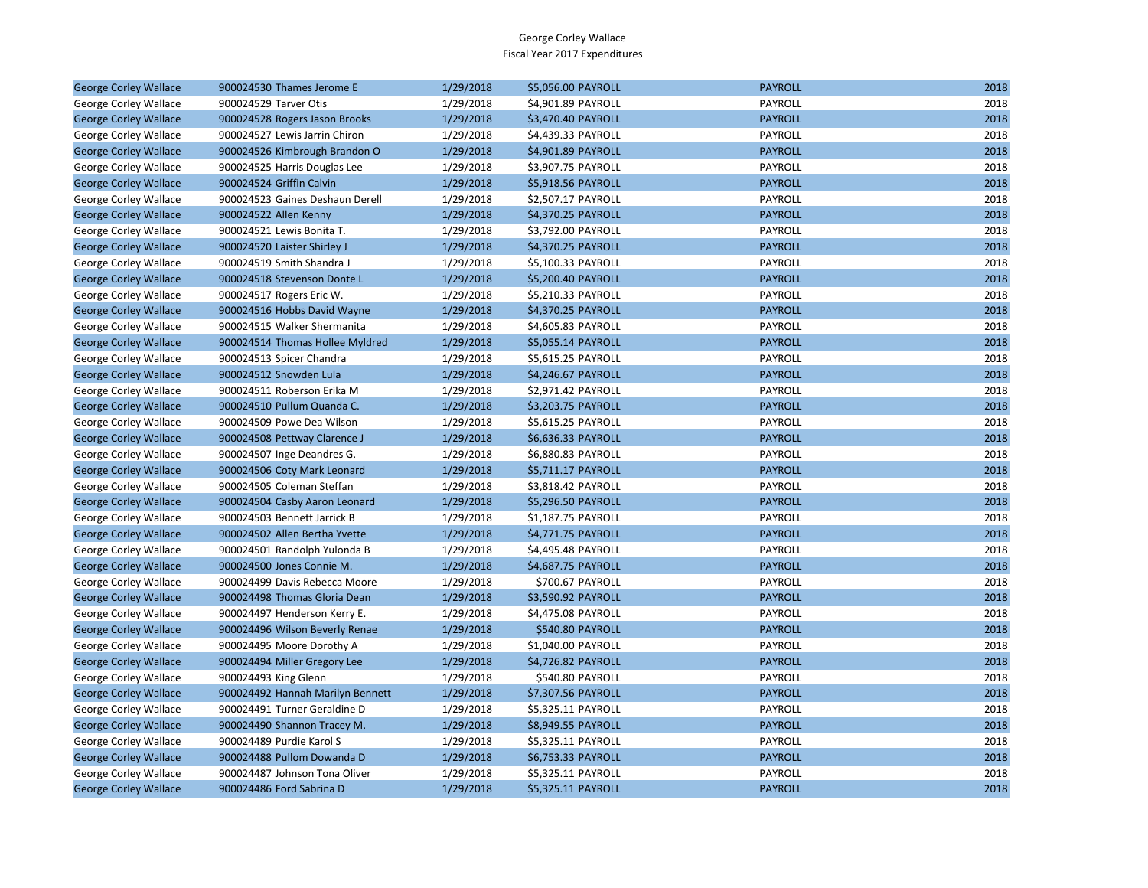| <b>George Corley Wallace</b> | 900024530 Thames Jerome E        | 1/29/2018 | \$5,056.00 PAYROLL | <b>PAYROLL</b> | 2018 |
|------------------------------|----------------------------------|-----------|--------------------|----------------|------|
| George Corley Wallace        | 900024529 Tarver Otis            | 1/29/2018 | \$4,901.89 PAYROLL | PAYROLL        | 2018 |
| <b>George Corley Wallace</b> | 900024528 Rogers Jason Brooks    | 1/29/2018 | \$3,470.40 PAYROLL | <b>PAYROLL</b> | 2018 |
| George Corley Wallace        | 900024527 Lewis Jarrin Chiron    | 1/29/2018 | \$4,439.33 PAYROLL | PAYROLL        | 2018 |
| <b>George Corley Wallace</b> | 900024526 Kimbrough Brandon O    | 1/29/2018 | \$4,901.89 PAYROLL | <b>PAYROLL</b> | 2018 |
| George Corley Wallace        | 900024525 Harris Douglas Lee     | 1/29/2018 | \$3,907.75 PAYROLL | PAYROLL        | 2018 |
| <b>George Corley Wallace</b> | 900024524 Griffin Calvin         | 1/29/2018 | \$5,918.56 PAYROLL | <b>PAYROLL</b> | 2018 |
| George Corley Wallace        | 900024523 Gaines Deshaun Derell  | 1/29/2018 | \$2,507.17 PAYROLL | PAYROLL        | 2018 |
| <b>George Corley Wallace</b> | 900024522 Allen Kenny            | 1/29/2018 | \$4,370.25 PAYROLL | <b>PAYROLL</b> | 2018 |
| George Corley Wallace        | 900024521 Lewis Bonita T.        | 1/29/2018 | \$3,792.00 PAYROLL | PAYROLL        | 2018 |
| <b>George Corley Wallace</b> | 900024520 Laister Shirley J      | 1/29/2018 | \$4,370.25 PAYROLL | <b>PAYROLL</b> | 2018 |
| George Corley Wallace        | 900024519 Smith Shandra J        | 1/29/2018 | \$5,100.33 PAYROLL | PAYROLL        | 2018 |
| <b>George Corley Wallace</b> | 900024518 Stevenson Donte L      | 1/29/2018 | \$5,200.40 PAYROLL | <b>PAYROLL</b> | 2018 |
| George Corley Wallace        | 900024517 Rogers Eric W.         | 1/29/2018 | \$5,210.33 PAYROLL | PAYROLL        | 2018 |
| <b>George Corley Wallace</b> | 900024516 Hobbs David Wayne      | 1/29/2018 | \$4,370.25 PAYROLL | <b>PAYROLL</b> | 2018 |
| George Corley Wallace        | 900024515 Walker Shermanita      | 1/29/2018 | \$4,605.83 PAYROLL | PAYROLL        | 2018 |
| <b>George Corley Wallace</b> | 900024514 Thomas Hollee Myldred  | 1/29/2018 | \$5,055.14 PAYROLL | <b>PAYROLL</b> | 2018 |
| George Corley Wallace        | 900024513 Spicer Chandra         | 1/29/2018 | \$5,615.25 PAYROLL | PAYROLL        | 2018 |
| <b>George Corley Wallace</b> | 900024512 Snowden Lula           | 1/29/2018 | \$4,246.67 PAYROLL | <b>PAYROLL</b> | 2018 |
| George Corley Wallace        | 900024511 Roberson Erika M       | 1/29/2018 | \$2,971.42 PAYROLL | PAYROLL        | 2018 |
| <b>George Corley Wallace</b> | 900024510 Pullum Quanda C.       | 1/29/2018 | \$3,203.75 PAYROLL | <b>PAYROLL</b> | 2018 |
| George Corley Wallace        | 900024509 Powe Dea Wilson        | 1/29/2018 | \$5,615.25 PAYROLL | PAYROLL        | 2018 |
| <b>George Corley Wallace</b> | 900024508 Pettway Clarence J     | 1/29/2018 | \$6,636.33 PAYROLL | <b>PAYROLL</b> | 2018 |
| George Corley Wallace        | 900024507 Inge Deandres G.       | 1/29/2018 | \$6,880.83 PAYROLL | PAYROLL        | 2018 |
| <b>George Corley Wallace</b> | 900024506 Coty Mark Leonard      | 1/29/2018 | \$5,711.17 PAYROLL | <b>PAYROLL</b> | 2018 |
| George Corley Wallace        | 900024505 Coleman Steffan        | 1/29/2018 | \$3,818.42 PAYROLL | PAYROLL        | 2018 |
| <b>George Corley Wallace</b> | 900024504 Casby Aaron Leonard    | 1/29/2018 | \$5,296.50 PAYROLL | <b>PAYROLL</b> | 2018 |
| George Corley Wallace        | 900024503 Bennett Jarrick B      | 1/29/2018 | \$1,187.75 PAYROLL | PAYROLL        | 2018 |
| <b>George Corley Wallace</b> | 900024502 Allen Bertha Yvette    | 1/29/2018 | \$4,771.75 PAYROLL | <b>PAYROLL</b> | 2018 |
| George Corley Wallace        | 900024501 Randolph Yulonda B     | 1/29/2018 | \$4,495.48 PAYROLL | PAYROLL        | 2018 |
| <b>George Corley Wallace</b> | 900024500 Jones Connie M.        | 1/29/2018 | \$4,687.75 PAYROLL | <b>PAYROLL</b> | 2018 |
| George Corley Wallace        | 900024499 Davis Rebecca Moore    | 1/29/2018 | \$700.67 PAYROLL   | PAYROLL        | 2018 |
| <b>George Corley Wallace</b> | 900024498 Thomas Gloria Dean     | 1/29/2018 | \$3,590.92 PAYROLL | <b>PAYROLL</b> | 2018 |
| George Corley Wallace        | 900024497 Henderson Kerry E.     | 1/29/2018 | \$4,475.08 PAYROLL | PAYROLL        | 2018 |
| <b>George Corley Wallace</b> | 900024496 Wilson Beverly Renae   | 1/29/2018 | \$540.80 PAYROLL   | <b>PAYROLL</b> | 2018 |
| George Corley Wallace        | 900024495 Moore Dorothy A        | 1/29/2018 | \$1,040.00 PAYROLL | PAYROLL        | 2018 |
| <b>George Corley Wallace</b> | 900024494 Miller Gregory Lee     | 1/29/2018 | \$4,726.82 PAYROLL | <b>PAYROLL</b> | 2018 |
| George Corley Wallace        | 900024493 King Glenn             | 1/29/2018 | \$540.80 PAYROLL   | PAYROLL        | 2018 |
| <b>George Corley Wallace</b> | 900024492 Hannah Marilyn Bennett | 1/29/2018 | \$7,307.56 PAYROLL | <b>PAYROLL</b> | 2018 |
| George Corley Wallace        | 900024491 Turner Geraldine D     | 1/29/2018 | \$5,325.11 PAYROLL | PAYROLL        | 2018 |
| <b>George Corley Wallace</b> | 900024490 Shannon Tracey M.      | 1/29/2018 | \$8,949.55 PAYROLL | <b>PAYROLL</b> | 2018 |
| George Corley Wallace        | 900024489 Purdie Karol S         | 1/29/2018 | \$5,325.11 PAYROLL | PAYROLL        | 2018 |
| <b>George Corley Wallace</b> | 900024488 Pullom Dowanda D       | 1/29/2018 | \$6,753.33 PAYROLL | <b>PAYROLL</b> | 2018 |
| George Corley Wallace        | 900024487 Johnson Tona Oliver    | 1/29/2018 | \$5,325.11 PAYROLL | PAYROLL        | 2018 |
| <b>George Corley Wallace</b> | 900024486 Ford Sabrina D         | 1/29/2018 | \$5,325.11 PAYROLL | <b>PAYROLL</b> | 2018 |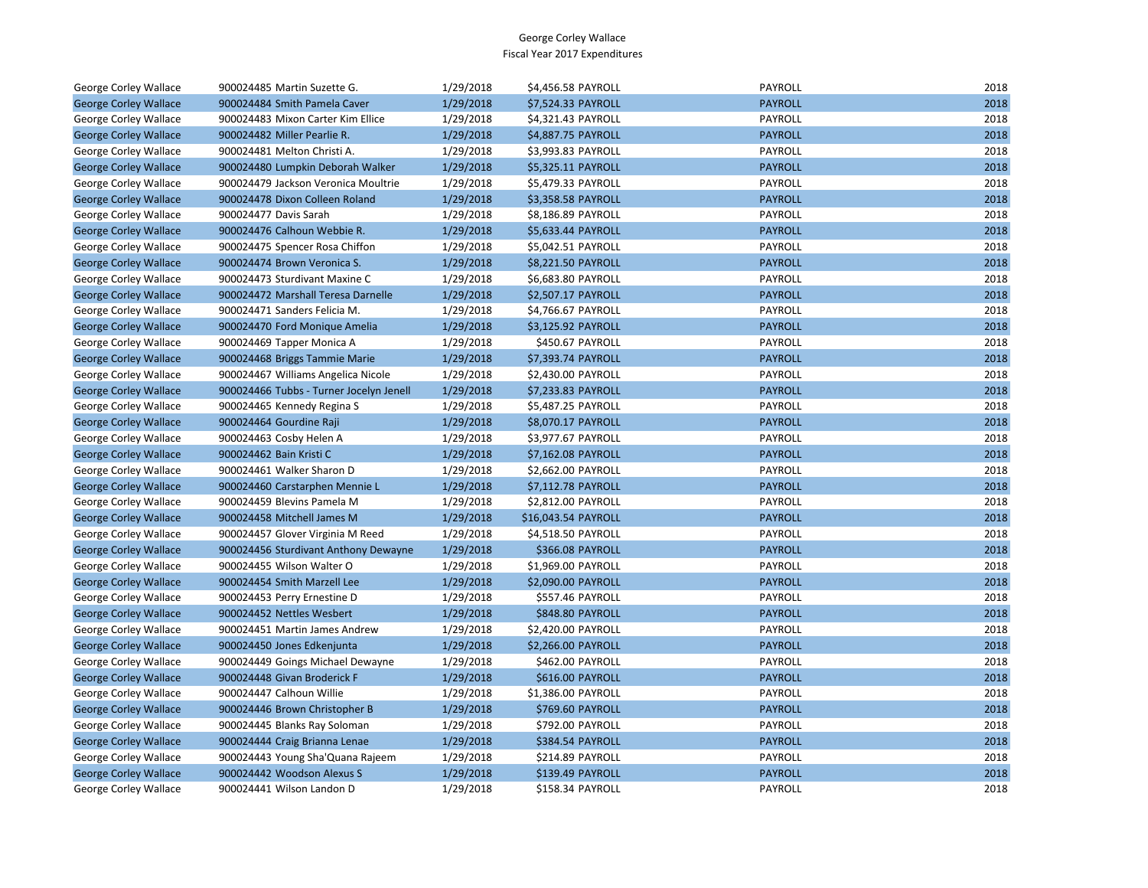| George Corley Wallace        | 900024485 Martin Suzette G.             | 1/29/2018 | \$4,456.58 PAYROLL      | PAYROLL        | 2018 |
|------------------------------|-----------------------------------------|-----------|-------------------------|----------------|------|
| <b>George Corley Wallace</b> | 900024484 Smith Pamela Caver            | 1/29/2018 | \$7,524.33 PAYROLL      | <b>PAYROLL</b> | 2018 |
| <b>George Corley Wallace</b> | 900024483 Mixon Carter Kim Ellice       | 1/29/2018 | \$4,321.43 PAYROLL      | PAYROLL        | 2018 |
| <b>George Corley Wallace</b> | 900024482 Miller Pearlie R.             | 1/29/2018 | \$4,887.75 PAYROLL      | <b>PAYROLL</b> | 2018 |
| George Corley Wallace        | 900024481 Melton Christi A.             | 1/29/2018 | \$3,993.83 PAYROLL      | PAYROLL        | 2018 |
| <b>George Corley Wallace</b> | 900024480 Lumpkin Deborah Walker        | 1/29/2018 | \$5,325.11 PAYROLL      | <b>PAYROLL</b> | 2018 |
| George Corley Wallace        | 900024479 Jackson Veronica Moultrie     | 1/29/2018 | \$5,479.33 PAYROLL      | PAYROLL        | 2018 |
| <b>George Corley Wallace</b> | 900024478 Dixon Colleen Roland          | 1/29/2018 | \$3,358.58 PAYROLL      | <b>PAYROLL</b> | 2018 |
| George Corley Wallace        | 900024477 Davis Sarah                   | 1/29/2018 | \$8,186.89 PAYROLL      | PAYROLL        | 2018 |
| <b>George Corley Wallace</b> | 900024476 Calhoun Webbie R.             | 1/29/2018 | \$5,633.44 PAYROLL      | <b>PAYROLL</b> | 2018 |
| George Corley Wallace        | 900024475 Spencer Rosa Chiffon          | 1/29/2018 | \$5,042.51 PAYROLL      | PAYROLL        | 2018 |
| <b>George Corley Wallace</b> | 900024474 Brown Veronica S.             | 1/29/2018 | \$8,221.50 PAYROLL      | <b>PAYROLL</b> | 2018 |
| George Corley Wallace        | 900024473 Sturdivant Maxine C           | 1/29/2018 | \$6,683.80 PAYROLL      | PAYROLL        | 2018 |
| <b>George Corley Wallace</b> | 900024472 Marshall Teresa Darnelle      | 1/29/2018 | \$2,507.17 PAYROLL      | <b>PAYROLL</b> | 2018 |
| George Corley Wallace        | 900024471 Sanders Felicia M.            | 1/29/2018 | \$4,766.67 PAYROLL      | PAYROLL        | 2018 |
| <b>George Corley Wallace</b> | 900024470 Ford Monique Amelia           | 1/29/2018 | \$3,125.92 PAYROLL      | <b>PAYROLL</b> | 2018 |
| George Corley Wallace        | 900024469 Tapper Monica A               | 1/29/2018 | \$450.67 PAYROLL        | PAYROLL        | 2018 |
| <b>George Corley Wallace</b> | 900024468 Briggs Tammie Marie           | 1/29/2018 | \$7,393.74 PAYROLL      | <b>PAYROLL</b> | 2018 |
| George Corley Wallace        | 900024467 Williams Angelica Nicole      | 1/29/2018 | \$2,430.00 PAYROLL      | PAYROLL        | 2018 |
| <b>George Corley Wallace</b> | 900024466 Tubbs - Turner Jocelyn Jenell | 1/29/2018 | \$7,233.83 PAYROLL      | <b>PAYROLL</b> | 2018 |
| George Corley Wallace        | 900024465 Kennedy Regina S              | 1/29/2018 | \$5,487.25 PAYROLL      | PAYROLL        | 2018 |
| <b>George Corley Wallace</b> | 900024464 Gourdine Raji                 | 1/29/2018 | \$8,070.17 PAYROLL      | <b>PAYROLL</b> | 2018 |
| George Corley Wallace        | 900024463 Cosby Helen A                 | 1/29/2018 | \$3,977.67 PAYROLL      | PAYROLL        | 2018 |
| <b>George Corley Wallace</b> | 900024462 Bain Kristi C                 | 1/29/2018 | \$7,162.08 PAYROLL      | <b>PAYROLL</b> | 2018 |
| George Corley Wallace        | 900024461 Walker Sharon D               | 1/29/2018 | \$2,662.00 PAYROLL      | PAYROLL        | 2018 |
| <b>George Corley Wallace</b> | 900024460 Carstarphen Mennie L          | 1/29/2018 | \$7,112.78 PAYROLL      | <b>PAYROLL</b> | 2018 |
| George Corley Wallace        | 900024459 Blevins Pamela M              | 1/29/2018 | \$2,812.00 PAYROLL      | PAYROLL        | 2018 |
| <b>George Corley Wallace</b> | 900024458 Mitchell James M              | 1/29/2018 | \$16,043.54 PAYROLL     | <b>PAYROLL</b> | 2018 |
| George Corley Wallace        | 900024457 Glover Virginia M Reed        | 1/29/2018 | \$4,518.50 PAYROLL      | PAYROLL        | 2018 |
| <b>George Corley Wallace</b> | 900024456 Sturdivant Anthony Dewayne    | 1/29/2018 | \$366.08 PAYROLL        | <b>PAYROLL</b> | 2018 |
| George Corley Wallace        | 900024455 Wilson Walter O               | 1/29/2018 | \$1,969.00 PAYROLL      | PAYROLL        | 2018 |
| <b>George Corley Wallace</b> | 900024454 Smith Marzell Lee             | 1/29/2018 | \$2,090.00 PAYROLL      | <b>PAYROLL</b> | 2018 |
| George Corley Wallace        | 900024453 Perry Ernestine D             | 1/29/2018 | \$557.46 PAYROLL        | PAYROLL        | 2018 |
| <b>George Corley Wallace</b> | 900024452 Nettles Wesbert               | 1/29/2018 | <b>\$848.80 PAYROLL</b> | <b>PAYROLL</b> | 2018 |
| George Corley Wallace        | 900024451 Martin James Andrew           | 1/29/2018 | \$2,420.00 PAYROLL      | PAYROLL        | 2018 |
| <b>George Corley Wallace</b> | 900024450 Jones Edkenjunta              | 1/29/2018 | \$2,266.00 PAYROLL      | <b>PAYROLL</b> | 2018 |
| George Corley Wallace        | 900024449 Goings Michael Dewayne        | 1/29/2018 | \$462.00 PAYROLL        | PAYROLL        | 2018 |
| <b>George Corley Wallace</b> | 900024448 Givan Broderick F             | 1/29/2018 | \$616.00 PAYROLL        | <b>PAYROLL</b> | 2018 |
| George Corley Wallace        | 900024447 Calhoun Willie                | 1/29/2018 | \$1,386.00 PAYROLL      | PAYROLL        | 2018 |
| <b>George Corley Wallace</b> | 900024446 Brown Christopher B           | 1/29/2018 | \$769.60 PAYROLL        | <b>PAYROLL</b> | 2018 |
| George Corley Wallace        | 900024445 Blanks Ray Soloman            | 1/29/2018 | \$792.00 PAYROLL        | PAYROLL        | 2018 |
| <b>George Corley Wallace</b> | 900024444 Craig Brianna Lenae           | 1/29/2018 | \$384.54 PAYROLL        | <b>PAYROLL</b> | 2018 |
| George Corley Wallace        | 900024443 Young Sha'Quana Rajeem        | 1/29/2018 | \$214.89 PAYROLL        | PAYROLL        | 2018 |
| <b>George Corley Wallace</b> | 900024442 Woodson Alexus S              | 1/29/2018 | \$139.49 PAYROLL        | <b>PAYROLL</b> | 2018 |
| <b>George Corley Wallace</b> | 900024441 Wilson Landon D               | 1/29/2018 | <b>\$158.34 PAYROLL</b> | PAYROLL        | 2018 |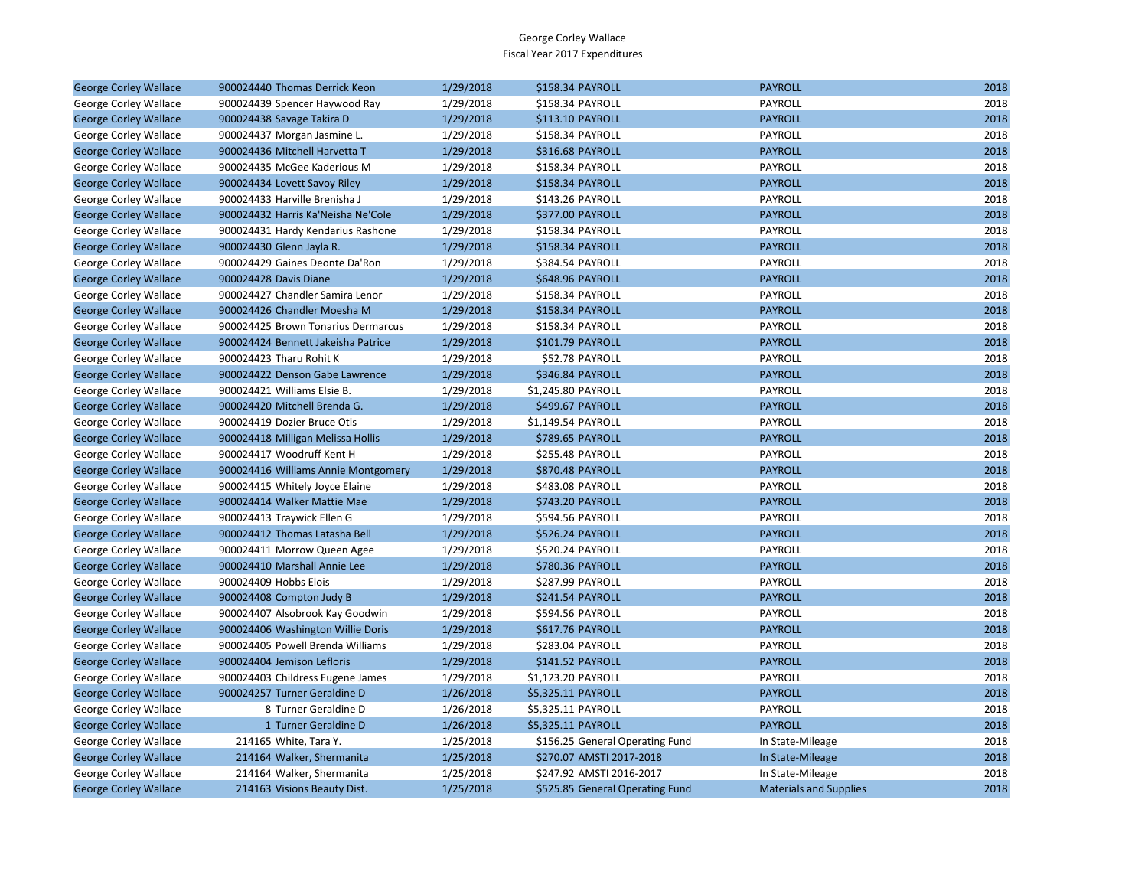| <b>George Corley Wallace</b> | 900024440 Thomas Derrick Keon       | 1/29/2018 | \$158.34 PAYROLL                | <b>PAYROLL</b>                | 2018 |
|------------------------------|-------------------------------------|-----------|---------------------------------|-------------------------------|------|
| George Corley Wallace        | 900024439 Spencer Haywood Ray       | 1/29/2018 | \$158.34 PAYROLL                | PAYROLL                       | 2018 |
| <b>George Corley Wallace</b> | 900024438 Savage Takira D           | 1/29/2018 | <b>\$113.10 PAYROLL</b>         | <b>PAYROLL</b>                | 2018 |
| George Corley Wallace        | 900024437 Morgan Jasmine L.         | 1/29/2018 | \$158.34 PAYROLL                | PAYROLL                       | 2018 |
| <b>George Corley Wallace</b> | 900024436 Mitchell Harvetta T       | 1/29/2018 | \$316.68 PAYROLL                | <b>PAYROLL</b>                | 2018 |
| George Corley Wallace        | 900024435 McGee Kaderious M         | 1/29/2018 | \$158.34 PAYROLL                | <b>PAYROLL</b>                | 2018 |
| <b>George Corley Wallace</b> | 900024434 Lovett Savoy Riley        | 1/29/2018 | \$158.34 PAYROLL                | <b>PAYROLL</b>                | 2018 |
| George Corley Wallace        | 900024433 Harville Brenisha J       | 1/29/2018 | \$143.26 PAYROLL                | PAYROLL                       | 2018 |
| <b>George Corley Wallace</b> | 900024432 Harris Ka'Neisha Ne'Cole  | 1/29/2018 | \$377.00 PAYROLL                | <b>PAYROLL</b>                | 2018 |
| George Corley Wallace        | 900024431 Hardy Kendarius Rashone   | 1/29/2018 | \$158.34 PAYROLL                | PAYROLL                       | 2018 |
| <b>George Corley Wallace</b> | 900024430 Glenn Jayla R.            | 1/29/2018 | \$158.34 PAYROLL                | <b>PAYROLL</b>                | 2018 |
| George Corley Wallace        | 900024429 Gaines Deonte Da'Ron      | 1/29/2018 | \$384.54 PAYROLL                | PAYROLL                       | 2018 |
| <b>George Corley Wallace</b> | 900024428 Davis Diane               | 1/29/2018 | \$648.96 PAYROLL                | <b>PAYROLL</b>                | 2018 |
| George Corley Wallace        | 900024427 Chandler Samira Lenor     | 1/29/2018 | \$158.34 PAYROLL                | PAYROLL                       | 2018 |
| <b>George Corley Wallace</b> | 900024426 Chandler Moesha M         | 1/29/2018 | \$158.34 PAYROLL                | <b>PAYROLL</b>                | 2018 |
| George Corley Wallace        | 900024425 Brown Tonarius Dermarcus  | 1/29/2018 | \$158.34 PAYROLL                | <b>PAYROLL</b>                | 2018 |
| <b>George Corley Wallace</b> | 900024424 Bennett Jakeisha Patrice  | 1/29/2018 | \$101.79 PAYROLL                | <b>PAYROLL</b>                | 2018 |
| George Corley Wallace        | 900024423 Tharu Rohit K             | 1/29/2018 | \$52.78 PAYROLL                 | PAYROLL                       | 2018 |
| <b>George Corley Wallace</b> | 900024422 Denson Gabe Lawrence      | 1/29/2018 | \$346.84 PAYROLL                | <b>PAYROLL</b>                | 2018 |
| George Corley Wallace        | 900024421 Williams Elsie B.         | 1/29/2018 | \$1,245.80 PAYROLL              | PAYROLL                       | 2018 |
| <b>George Corley Wallace</b> | 900024420 Mitchell Brenda G.        | 1/29/2018 | \$499.67 PAYROLL                | <b>PAYROLL</b>                | 2018 |
| George Corley Wallace        | 900024419 Dozier Bruce Otis         | 1/29/2018 | \$1,149.54 PAYROLL              | PAYROLL                       | 2018 |
| <b>George Corley Wallace</b> | 900024418 Milligan Melissa Hollis   | 1/29/2018 | \$789.65 PAYROLL                | <b>PAYROLL</b>                | 2018 |
| George Corley Wallace        | 900024417 Woodruff Kent H           | 1/29/2018 | \$255.48 PAYROLL                | PAYROLL                       | 2018 |
| <b>George Corley Wallace</b> | 900024416 Williams Annie Montgomery | 1/29/2018 | \$870.48 PAYROLL                | <b>PAYROLL</b>                | 2018 |
| George Corley Wallace        | 900024415 Whitely Joyce Elaine      | 1/29/2018 | \$483.08 PAYROLL                | <b>PAYROLL</b>                | 2018 |
| <b>George Corley Wallace</b> | 900024414 Walker Mattie Mae         | 1/29/2018 | \$743.20 PAYROLL                | <b>PAYROLL</b>                | 2018 |
| George Corley Wallace        | 900024413 Traywick Ellen G          | 1/29/2018 | \$594.56 PAYROLL                | PAYROLL                       | 2018 |
| <b>George Corley Wallace</b> | 900024412 Thomas Latasha Bell       | 1/29/2018 | \$526.24 PAYROLL                | <b>PAYROLL</b>                | 2018 |
| George Corley Wallace        | 900024411 Morrow Queen Agee         | 1/29/2018 | \$520.24 PAYROLL                | PAYROLL                       | 2018 |
| <b>George Corley Wallace</b> | 900024410 Marshall Annie Lee        | 1/29/2018 | \$780.36 PAYROLL                | <b>PAYROLL</b>                | 2018 |
| George Corley Wallace        | 900024409 Hobbs Elois               | 1/29/2018 | \$287.99 PAYROLL                | <b>PAYROLL</b>                | 2018 |
| <b>George Corley Wallace</b> | 900024408 Compton Judy B            | 1/29/2018 | \$241.54 PAYROLL                | <b>PAYROLL</b>                | 2018 |
| George Corley Wallace        | 900024407 Alsobrook Kay Goodwin     | 1/29/2018 | \$594.56 PAYROLL                | PAYROLL                       | 2018 |
| <b>George Corley Wallace</b> | 900024406 Washington Willie Doris   | 1/29/2018 | \$617.76 PAYROLL                | <b>PAYROLL</b>                | 2018 |
| George Corley Wallace        | 900024405 Powell Brenda Williams    | 1/29/2018 | \$283.04 PAYROLL                | PAYROLL                       | 2018 |
| <b>George Corley Wallace</b> | 900024404 Jemison Lefloris          | 1/29/2018 | \$141.52 PAYROLL                | <b>PAYROLL</b>                | 2018 |
| George Corley Wallace        | 900024403 Childress Eugene James    | 1/29/2018 | \$1,123.20 PAYROLL              | PAYROLL                       | 2018 |
| <b>George Corley Wallace</b> | 900024257 Turner Geraldine D        | 1/26/2018 | \$5,325.11 PAYROLL              | <b>PAYROLL</b>                | 2018 |
| George Corley Wallace        | 8 Turner Geraldine D                | 1/26/2018 | \$5,325.11 PAYROLL              | PAYROLL                       | 2018 |
| <b>George Corley Wallace</b> | 1 Turner Geraldine D                | 1/26/2018 | \$5,325.11 PAYROLL              | <b>PAYROLL</b>                | 2018 |
| George Corley Wallace        | 214165 White, Tara Y.               | 1/25/2018 | \$156.25 General Operating Fund | In State-Mileage              | 2018 |
| <b>George Corley Wallace</b> | 214164 Walker, Shermanita           | 1/25/2018 | \$270.07 AMSTI 2017-2018        | In State-Mileage              | 2018 |
| George Corley Wallace        | 214164 Walker, Shermanita           | 1/25/2018 | \$247.92 AMSTI 2016-2017        | In State-Mileage              | 2018 |
| <b>George Corley Wallace</b> | 214163 Visions Beauty Dist.         | 1/25/2018 | \$525.85 General Operating Fund | <b>Materials and Supplies</b> | 2018 |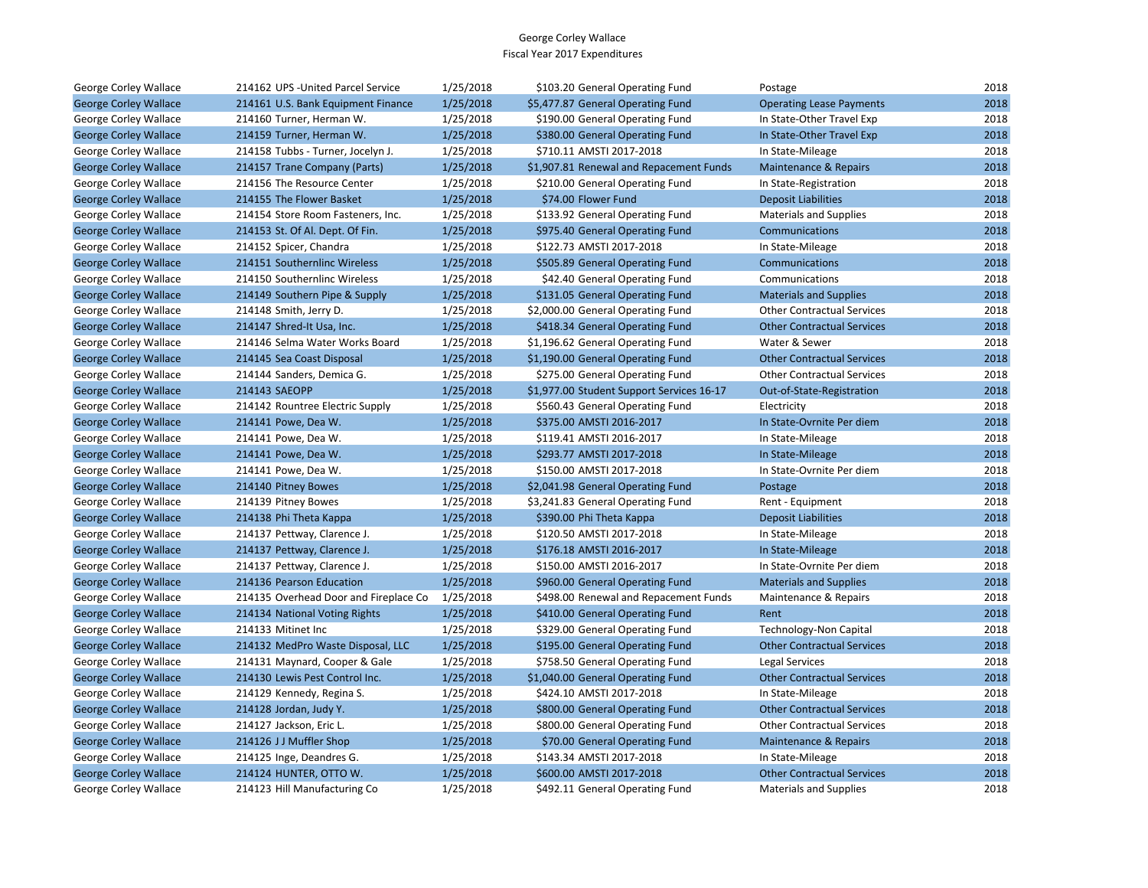| George Corley Wallace        | 214162 UPS - United Parcel Service    | 1/25/2018 | \$103.20 General Operating Fund           | Postage                           | 2018 |
|------------------------------|---------------------------------------|-----------|-------------------------------------------|-----------------------------------|------|
| <b>George Corley Wallace</b> | 214161 U.S. Bank Equipment Finance    | 1/25/2018 | \$5,477.87 General Operating Fund         | <b>Operating Lease Payments</b>   | 2018 |
| George Corley Wallace        | 214160 Turner, Herman W.              | 1/25/2018 | \$190.00 General Operating Fund           | In State-Other Travel Exp         | 2018 |
| <b>George Corley Wallace</b> | 214159 Turner, Herman W.              | 1/25/2018 | \$380.00 General Operating Fund           | In State-Other Travel Exp         | 2018 |
| George Corley Wallace        | 214158 Tubbs - Turner, Jocelyn J.     | 1/25/2018 | \$710.11 AMSTI 2017-2018                  | In State-Mileage                  | 2018 |
| <b>George Corley Wallace</b> | 214157 Trane Company (Parts)          | 1/25/2018 | \$1,907.81 Renewal and Repacement Funds   | Maintenance & Repairs             | 2018 |
| George Corley Wallace        | 214156 The Resource Center            | 1/25/2018 | \$210.00 General Operating Fund           | In State-Registration             | 2018 |
| <b>George Corley Wallace</b> | 214155 The Flower Basket              | 1/25/2018 | \$74.00 Flower Fund                       | <b>Deposit Liabilities</b>        | 2018 |
| George Corley Wallace        | 214154 Store Room Fasteners, Inc.     | 1/25/2018 | \$133.92 General Operating Fund           | <b>Materials and Supplies</b>     | 2018 |
| <b>George Corley Wallace</b> | 214153 St. Of Al. Dept. Of Fin.       | 1/25/2018 | \$975.40 General Operating Fund           | <b>Communications</b>             | 2018 |
| George Corley Wallace        | 214152 Spicer, Chandra                | 1/25/2018 | \$122.73 AMSTI 2017-2018                  | In State-Mileage                  | 2018 |
| <b>George Corley Wallace</b> | 214151 Southernlinc Wireless          | 1/25/2018 | \$505.89 General Operating Fund           | Communications                    | 2018 |
| George Corley Wallace        | 214150 Southernlinc Wireless          | 1/25/2018 | \$42.40 General Operating Fund            | Communications                    | 2018 |
| <b>George Corley Wallace</b> | 214149 Southern Pipe & Supply         | 1/25/2018 | \$131.05 General Operating Fund           | <b>Materials and Supplies</b>     | 2018 |
| George Corley Wallace        | 214148 Smith, Jerry D.                | 1/25/2018 | \$2,000.00 General Operating Fund         | <b>Other Contractual Services</b> | 2018 |
| <b>George Corley Wallace</b> | 214147 Shred-It Usa, Inc.             | 1/25/2018 | \$418.34 General Operating Fund           | <b>Other Contractual Services</b> | 2018 |
| George Corley Wallace        | 214146 Selma Water Works Board        | 1/25/2018 | \$1,196.62 General Operating Fund         | Water & Sewer                     | 2018 |
| <b>George Corley Wallace</b> | 214145 Sea Coast Disposal             | 1/25/2018 | \$1,190.00 General Operating Fund         | <b>Other Contractual Services</b> | 2018 |
| George Corley Wallace        | 214144 Sanders, Demica G.             | 1/25/2018 | \$275.00 General Operating Fund           | <b>Other Contractual Services</b> | 2018 |
| <b>George Corley Wallace</b> | 214143 SAEOPP                         | 1/25/2018 | \$1,977.00 Student Support Services 16-17 | Out-of-State-Registration         | 2018 |
| George Corley Wallace        | 214142 Rountree Electric Supply       | 1/25/2018 | \$560.43 General Operating Fund           | Electricity                       | 2018 |
| <b>George Corley Wallace</b> | 214141 Powe, Dea W.                   | 1/25/2018 | \$375.00 AMSTI 2016-2017                  | In State-Ovrnite Per diem         | 2018 |
| George Corley Wallace        | 214141 Powe, Dea W.                   | 1/25/2018 | \$119.41 AMSTI 2016-2017                  | In State-Mileage                  | 2018 |
| <b>George Corley Wallace</b> | 214141 Powe, Dea W.                   | 1/25/2018 | \$293.77 AMSTI 2017-2018                  | In State-Mileage                  | 2018 |
| George Corley Wallace        | 214141 Powe, Dea W.                   | 1/25/2018 | \$150.00 AMSTI 2017-2018                  | In State-Ovrnite Per diem         | 2018 |
| <b>George Corley Wallace</b> | 214140 Pitney Bowes                   | 1/25/2018 | \$2,041.98 General Operating Fund         | Postage                           | 2018 |
| George Corley Wallace        | 214139 Pitney Bowes                   | 1/25/2018 | \$3,241.83 General Operating Fund         | Rent - Equipment                  | 2018 |
| <b>George Corley Wallace</b> | 214138 Phi Theta Kappa                | 1/25/2018 | \$390.00 Phi Theta Kappa                  | <b>Deposit Liabilities</b>        | 2018 |
| George Corley Wallace        | 214137 Pettway, Clarence J.           | 1/25/2018 | \$120.50 AMSTI 2017-2018                  | In State-Mileage                  | 2018 |
| <b>George Corley Wallace</b> | 214137 Pettway, Clarence J.           | 1/25/2018 | \$176.18 AMSTI 2016-2017                  | In State-Mileage                  | 2018 |
| George Corley Wallace        | 214137 Pettway, Clarence J.           | 1/25/2018 | \$150.00 AMSTI 2016-2017                  | In State-Ovrnite Per diem         | 2018 |
| <b>George Corley Wallace</b> | 214136 Pearson Education              | 1/25/2018 | \$960.00 General Operating Fund           | <b>Materials and Supplies</b>     | 2018 |
| George Corley Wallace        | 214135 Overhead Door and Fireplace Co | 1/25/2018 | \$498.00 Renewal and Repacement Funds     | Maintenance & Repairs             | 2018 |
| <b>George Corley Wallace</b> | 214134 National Voting Rights         | 1/25/2018 | \$410.00 General Operating Fund           | Rent                              | 2018 |
| George Corley Wallace        | 214133 Mitinet Inc                    | 1/25/2018 | \$329.00 General Operating Fund           | Technology-Non Capital            | 2018 |
| <b>George Corley Wallace</b> | 214132 MedPro Waste Disposal, LLC     | 1/25/2018 | \$195.00 General Operating Fund           | <b>Other Contractual Services</b> | 2018 |
| George Corley Wallace        | 214131 Maynard, Cooper & Gale         | 1/25/2018 | \$758.50 General Operating Fund           | Legal Services                    | 2018 |
| <b>George Corley Wallace</b> | 214130 Lewis Pest Control Inc.        | 1/25/2018 | \$1,040.00 General Operating Fund         | <b>Other Contractual Services</b> | 2018 |
| George Corley Wallace        | 214129 Kennedy, Regina S.             | 1/25/2018 | \$424.10 AMSTI 2017-2018                  | In State-Mileage                  | 2018 |
| <b>George Corley Wallace</b> | 214128 Jordan, Judy Y.                | 1/25/2018 | \$800.00 General Operating Fund           | <b>Other Contractual Services</b> | 2018 |
| George Corley Wallace        | 214127 Jackson, Eric L.               | 1/25/2018 | \$800.00 General Operating Fund           | <b>Other Contractual Services</b> | 2018 |
| <b>George Corley Wallace</b> | 214126 JJ Muffler Shop                | 1/25/2018 | \$70.00 General Operating Fund            | Maintenance & Repairs             | 2018 |
| George Corley Wallace        | 214125 Inge, Deandres G.              | 1/25/2018 | \$143.34 AMSTI 2017-2018                  | In State-Mileage                  | 2018 |
| <b>George Corley Wallace</b> | 214124 HUNTER, OTTO W.                | 1/25/2018 | \$600.00 AMSTI 2017-2018                  | <b>Other Contractual Services</b> | 2018 |
| George Corley Wallace        | 214123 Hill Manufacturing Co          | 1/25/2018 | \$492.11 General Operating Fund           | <b>Materials and Supplies</b>     | 2018 |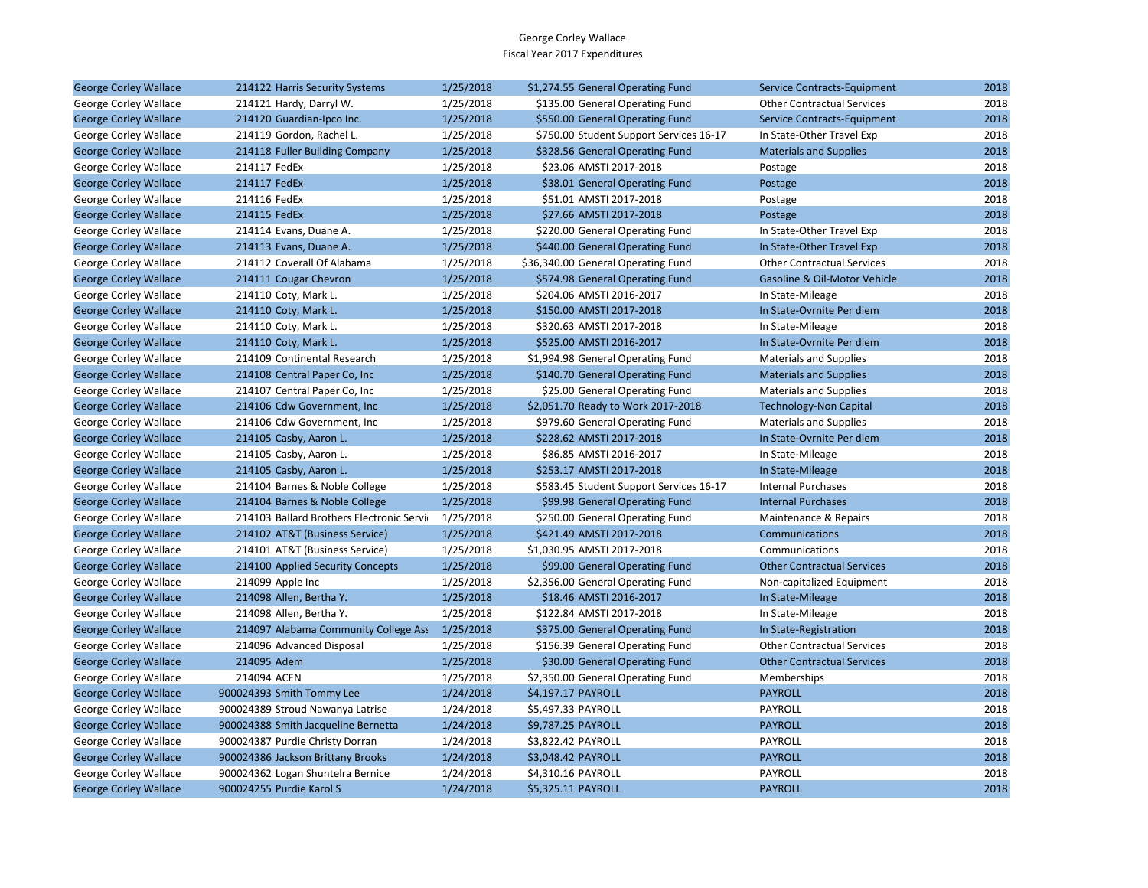| <b>George Corley Wallace</b> | 214122 Harris Security Systems           | 1/25/2018 | \$1,274.55 General Operating Fund       | Service Contracts-Equipment       | 2018 |
|------------------------------|------------------------------------------|-----------|-----------------------------------------|-----------------------------------|------|
| George Corley Wallace        | 214121 Hardy, Darryl W.                  | 1/25/2018 | \$135.00 General Operating Fund         | <b>Other Contractual Services</b> | 2018 |
| <b>George Corley Wallace</b> | 214120 Guardian-Ipco Inc.                | 1/25/2018 | \$550.00 General Operating Fund         | Service Contracts-Equipment       | 2018 |
| George Corley Wallace        | 214119 Gordon, Rachel L.                 | 1/25/2018 | \$750.00 Student Support Services 16-17 | In State-Other Travel Exp         | 2018 |
| <b>George Corley Wallace</b> | 214118 Fuller Building Company           | 1/25/2018 | \$328.56 General Operating Fund         | <b>Materials and Supplies</b>     | 2018 |
| George Corley Wallace        | 214117 FedEx                             | 1/25/2018 | \$23.06 AMSTI 2017-2018                 | Postage                           | 2018 |
| <b>George Corley Wallace</b> | 214117 FedEx                             | 1/25/2018 | \$38.01 General Operating Fund          | Postage                           | 2018 |
| George Corley Wallace        | 214116 FedEx                             | 1/25/2018 | \$51.01 AMSTI 2017-2018                 | Postage                           | 2018 |
| <b>George Corley Wallace</b> | 214115 FedEx                             | 1/25/2018 | \$27.66 AMSTI 2017-2018                 | Postage                           | 2018 |
| George Corley Wallace        | 214114 Evans, Duane A.                   | 1/25/2018 | \$220.00 General Operating Fund         | In State-Other Travel Exp         | 2018 |
| <b>George Corley Wallace</b> | 214113 Evans, Duane A.                   | 1/25/2018 | \$440.00 General Operating Fund         | In State-Other Travel Exp         | 2018 |
| George Corley Wallace        | 214112 Coverall Of Alabama               | 1/25/2018 | \$36,340.00 General Operating Fund      | <b>Other Contractual Services</b> | 2018 |
| <b>George Corley Wallace</b> | 214111 Cougar Chevron                    | 1/25/2018 | \$574.98 General Operating Fund         | Gasoline & Oil-Motor Vehicle      | 2018 |
| George Corley Wallace        | 214110 Coty, Mark L.                     | 1/25/2018 | \$204.06 AMSTI 2016-2017                | In State-Mileage                  | 2018 |
| <b>George Corley Wallace</b> | 214110 Coty, Mark L.                     | 1/25/2018 | \$150.00 AMSTI 2017-2018                | In State-Ovrnite Per diem         | 2018 |
| George Corley Wallace        | 214110 Coty, Mark L.                     | 1/25/2018 | \$320.63 AMSTI 2017-2018                | In State-Mileage                  | 2018 |
| <b>George Corley Wallace</b> | 214110 Coty, Mark L.                     | 1/25/2018 | \$525.00 AMSTI 2016-2017                | In State-Ovrnite Per diem         | 2018 |
| George Corley Wallace        | 214109 Continental Research              | 1/25/2018 | \$1,994.98 General Operating Fund       | <b>Materials and Supplies</b>     | 2018 |
| <b>George Corley Wallace</b> | 214108 Central Paper Co, Inc.            | 1/25/2018 | \$140.70 General Operating Fund         | <b>Materials and Supplies</b>     | 2018 |
| George Corley Wallace        | 214107 Central Paper Co, Inc             | 1/25/2018 | \$25.00 General Operating Fund          | <b>Materials and Supplies</b>     | 2018 |
| <b>George Corley Wallace</b> | 214106 Cdw Government, Inc.              | 1/25/2018 | \$2,051.70 Ready to Work 2017-2018      | <b>Technology-Non Capital</b>     | 2018 |
| George Corley Wallace        | 214106 Cdw Government, Inc.              | 1/25/2018 | \$979.60 General Operating Fund         | <b>Materials and Supplies</b>     | 2018 |
| <b>George Corley Wallace</b> | 214105 Casby, Aaron L.                   | 1/25/2018 | \$228.62 AMSTI 2017-2018                | In State-Ovrnite Per diem         | 2018 |
| George Corley Wallace        | 214105 Casby, Aaron L.                   | 1/25/2018 | \$86.85 AMSTI 2016-2017                 | In State-Mileage                  | 2018 |
| <b>George Corley Wallace</b> | 214105 Casby, Aaron L.                   | 1/25/2018 | \$253.17 AMSTI 2017-2018                | In State-Mileage                  | 2018 |
| George Corley Wallace        | 214104 Barnes & Noble College            | 1/25/2018 | \$583.45 Student Support Services 16-17 | <b>Internal Purchases</b>         | 2018 |
| <b>George Corley Wallace</b> | 214104 Barnes & Noble College            | 1/25/2018 | \$99.98 General Operating Fund          | <b>Internal Purchases</b>         | 2018 |
| George Corley Wallace        | 214103 Ballard Brothers Electronic Servi | 1/25/2018 | \$250.00 General Operating Fund         | Maintenance & Repairs             | 2018 |
| <b>George Corley Wallace</b> | 214102 AT&T (Business Service)           | 1/25/2018 | \$421.49 AMSTI 2017-2018                | Communications                    | 2018 |
| George Corley Wallace        | 214101 AT&T (Business Service)           | 1/25/2018 | \$1,030.95 AMSTI 2017-2018              | Communications                    | 2018 |
| <b>George Corley Wallace</b> | 214100 Applied Security Concepts         | 1/25/2018 | \$99.00 General Operating Fund          | <b>Other Contractual Services</b> | 2018 |
| George Corley Wallace        | 214099 Apple Inc                         | 1/25/2018 | \$2,356.00 General Operating Fund       | Non-capitalized Equipment         | 2018 |
| <b>George Corley Wallace</b> | 214098 Allen, Bertha Y.                  | 1/25/2018 | \$18.46 AMSTI 2016-2017                 | In State-Mileage                  | 2018 |
| George Corley Wallace        | 214098 Allen, Bertha Y.                  | 1/25/2018 | \$122.84 AMSTI 2017-2018                | In State-Mileage                  | 2018 |
| <b>George Corley Wallace</b> | 214097 Alabama Community College Ass     | 1/25/2018 | \$375.00 General Operating Fund         | In State-Registration             | 2018 |
| George Corley Wallace        | 214096 Advanced Disposal                 | 1/25/2018 | \$156.39 General Operating Fund         | <b>Other Contractual Services</b> | 2018 |
| <b>George Corley Wallace</b> | 214095 Adem                              | 1/25/2018 | \$30.00 General Operating Fund          | <b>Other Contractual Services</b> | 2018 |
| George Corley Wallace        | 214094 ACEN                              | 1/25/2018 | \$2,350.00 General Operating Fund       | Memberships                       | 2018 |
| <b>George Corley Wallace</b> | 900024393 Smith Tommy Lee                | 1/24/2018 | \$4,197.17 PAYROLL                      | <b>PAYROLL</b>                    | 2018 |
| George Corley Wallace        | 900024389 Stroud Nawanya Latrise         | 1/24/2018 | \$5,497.33 PAYROLL                      | PAYROLL                           | 2018 |
| <b>George Corley Wallace</b> | 900024388 Smith Jacqueline Bernetta      | 1/24/2018 | \$9,787.25 PAYROLL                      | <b>PAYROLL</b>                    | 2018 |
| George Corley Wallace        | 900024387 Purdie Christy Dorran          | 1/24/2018 | \$3,822.42 PAYROLL                      | PAYROLL                           | 2018 |
| <b>George Corley Wallace</b> | 900024386 Jackson Brittany Brooks        | 1/24/2018 | \$3,048.42 PAYROLL                      | <b>PAYROLL</b>                    | 2018 |
| George Corley Wallace        | 900024362 Logan Shuntelra Bernice        | 1/24/2018 | \$4,310.16 PAYROLL                      | PAYROLL                           | 2018 |
| <b>George Corley Wallace</b> | 900024255 Purdie Karol S                 | 1/24/2018 | \$5,325.11 PAYROLL                      | <b>PAYROLL</b>                    | 2018 |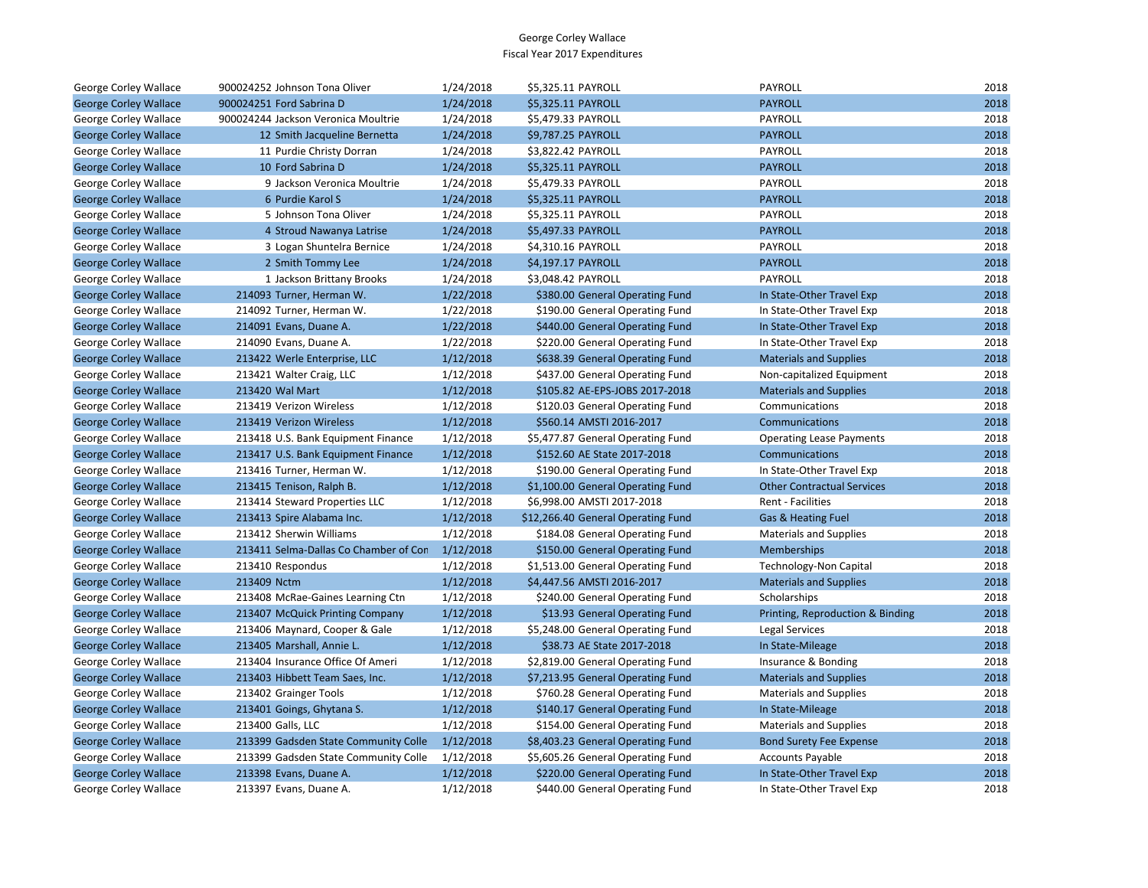| George Corley Wallace        | 900024252 Johnson Tona Oliver         | 1/24/2018 | \$5,325.11 PAYROLL                 | PAYROLL                           | 2018 |
|------------------------------|---------------------------------------|-----------|------------------------------------|-----------------------------------|------|
| <b>George Corley Wallace</b> | 900024251 Ford Sabrina D              | 1/24/2018 | \$5,325.11 PAYROLL                 | <b>PAYROLL</b>                    | 2018 |
| George Corley Wallace        | 900024244 Jackson Veronica Moultrie   | 1/24/2018 | \$5,479.33 PAYROLL                 | PAYROLL                           | 2018 |
| <b>George Corley Wallace</b> | 12 Smith Jacqueline Bernetta          | 1/24/2018 | \$9,787.25 PAYROLL                 | <b>PAYROLL</b>                    | 2018 |
| George Corley Wallace        | 11 Purdie Christy Dorran              | 1/24/2018 | \$3,822.42 PAYROLL                 | PAYROLL                           | 2018 |
| <b>George Corley Wallace</b> | 10 Ford Sabrina D                     | 1/24/2018 | \$5,325.11 PAYROLL                 | <b>PAYROLL</b>                    | 2018 |
| George Corley Wallace        | 9 Jackson Veronica Moultrie           | 1/24/2018 | \$5,479.33 PAYROLL                 | PAYROLL                           | 2018 |
| <b>George Corley Wallace</b> | 6 Purdie Karol S                      | 1/24/2018 | \$5,325.11 PAYROLL                 | <b>PAYROLL</b>                    | 2018 |
| George Corley Wallace        | 5 Johnson Tona Oliver                 | 1/24/2018 | \$5,325.11 PAYROLL                 | PAYROLL                           | 2018 |
| <b>George Corley Wallace</b> | 4 Stroud Nawanya Latrise              | 1/24/2018 | \$5,497.33 PAYROLL                 | <b>PAYROLL</b>                    | 2018 |
| George Corley Wallace        | 3 Logan Shuntelra Bernice             | 1/24/2018 | \$4,310.16 PAYROLL                 | PAYROLL                           | 2018 |
| <b>George Corley Wallace</b> | 2 Smith Tommy Lee                     | 1/24/2018 | \$4,197.17 PAYROLL                 | <b>PAYROLL</b>                    | 2018 |
| George Corley Wallace        | 1 Jackson Brittany Brooks             | 1/24/2018 | \$3,048.42 PAYROLL                 | PAYROLL                           | 2018 |
| <b>George Corley Wallace</b> | 214093 Turner, Herman W.              | 1/22/2018 | \$380.00 General Operating Fund    | In State-Other Travel Exp         | 2018 |
| George Corley Wallace        | 214092 Turner, Herman W.              | 1/22/2018 | \$190.00 General Operating Fund    | In State-Other Travel Exp         | 2018 |
| <b>George Corley Wallace</b> | 214091 Evans, Duane A.                | 1/22/2018 | \$440.00 General Operating Fund    | In State-Other Travel Exp         | 2018 |
| George Corley Wallace        | 214090 Evans, Duane A.                | 1/22/2018 | \$220.00 General Operating Fund    | In State-Other Travel Exp         | 2018 |
| <b>George Corley Wallace</b> | 213422 Werle Enterprise, LLC          | 1/12/2018 | \$638.39 General Operating Fund    | <b>Materials and Supplies</b>     | 2018 |
| George Corley Wallace        | 213421 Walter Craig, LLC              | 1/12/2018 | \$437.00 General Operating Fund    | Non-capitalized Equipment         | 2018 |
| <b>George Corley Wallace</b> | 213420 Wal Mart                       | 1/12/2018 | \$105.82 AE-EPS-JOBS 2017-2018     | <b>Materials and Supplies</b>     | 2018 |
| George Corley Wallace        | 213419 Verizon Wireless               | 1/12/2018 | \$120.03 General Operating Fund    | Communications                    | 2018 |
| <b>George Corley Wallace</b> | 213419 Verizon Wireless               | 1/12/2018 | \$560.14 AMSTI 2016-2017           | Communications                    | 2018 |
| George Corley Wallace        | 213418 U.S. Bank Equipment Finance    | 1/12/2018 | \$5,477.87 General Operating Fund  | <b>Operating Lease Payments</b>   | 2018 |
| <b>George Corley Wallace</b> | 213417 U.S. Bank Equipment Finance    | 1/12/2018 | \$152.60 AE State 2017-2018        | Communications                    | 2018 |
| George Corley Wallace        | 213416 Turner, Herman W.              | 1/12/2018 | \$190.00 General Operating Fund    | In State-Other Travel Exp         | 2018 |
| <b>George Corley Wallace</b> | 213415 Tenison, Ralph B.              | 1/12/2018 | \$1,100.00 General Operating Fund  | <b>Other Contractual Services</b> | 2018 |
| George Corley Wallace        | 213414 Steward Properties LLC         | 1/12/2018 | \$6,998.00 AMSTI 2017-2018         | Rent - Facilities                 | 2018 |
| <b>George Corley Wallace</b> | 213413 Spire Alabama Inc.             | 1/12/2018 | \$12,266.40 General Operating Fund | Gas & Heating Fuel                | 2018 |
| George Corley Wallace        | 213412 Sherwin Williams               | 1/12/2018 | \$184.08 General Operating Fund    | <b>Materials and Supplies</b>     | 2018 |
| <b>George Corley Wallace</b> | 213411 Selma-Dallas Co Chamber of Con | 1/12/2018 | \$150.00 General Operating Fund    | Memberships                       | 2018 |
| George Corley Wallace        | 213410 Respondus                      | 1/12/2018 | \$1,513.00 General Operating Fund  | Technology-Non Capital            | 2018 |
| <b>George Corley Wallace</b> | 213409 Nctm                           | 1/12/2018 | \$4,447.56 AMSTI 2016-2017         | <b>Materials and Supplies</b>     | 2018 |
| George Corley Wallace        | 213408 McRae-Gaines Learning Ctn      | 1/12/2018 | \$240.00 General Operating Fund    | Scholarships                      | 2018 |
| <b>George Corley Wallace</b> | 213407 McQuick Printing Company       | 1/12/2018 | \$13.93 General Operating Fund     | Printing, Reproduction & Binding  | 2018 |
| George Corley Wallace        | 213406 Maynard, Cooper & Gale         | 1/12/2018 | \$5,248.00 General Operating Fund  | <b>Legal Services</b>             | 2018 |
| <b>George Corley Wallace</b> | 213405 Marshall, Annie L.             | 1/12/2018 | \$38.73 AE State 2017-2018         | In State-Mileage                  | 2018 |
| George Corley Wallace        | 213404 Insurance Office Of Ameri      | 1/12/2018 | \$2,819.00 General Operating Fund  | Insurance & Bonding               | 2018 |
| <b>George Corley Wallace</b> | 213403 Hibbett Team Saes, Inc.        | 1/12/2018 | \$7,213.95 General Operating Fund  | <b>Materials and Supplies</b>     | 2018 |
| George Corley Wallace        | 213402 Grainger Tools                 | 1/12/2018 | \$760.28 General Operating Fund    | <b>Materials and Supplies</b>     | 2018 |
| <b>George Corley Wallace</b> | 213401 Goings, Ghytana S.             | 1/12/2018 | \$140.17 General Operating Fund    | In State-Mileage                  | 2018 |
| George Corley Wallace        | 213400 Galls, LLC                     | 1/12/2018 | \$154.00 General Operating Fund    | <b>Materials and Supplies</b>     | 2018 |
| <b>George Corley Wallace</b> | 213399 Gadsden State Community Colle  | 1/12/2018 | \$8,403.23 General Operating Fund  | <b>Bond Surety Fee Expense</b>    | 2018 |
| George Corley Wallace        | 213399 Gadsden State Community Colle  | 1/12/2018 | \$5,605.26 General Operating Fund  | <b>Accounts Payable</b>           | 2018 |
| <b>George Corley Wallace</b> | 213398 Evans, Duane A.                | 1/12/2018 | \$220.00 General Operating Fund    | In State-Other Travel Exp         | 2018 |
| George Corley Wallace        | 213397 Evans, Duane A.                | 1/12/2018 | \$440.00 General Operating Fund    | In State-Other Travel Exp         | 2018 |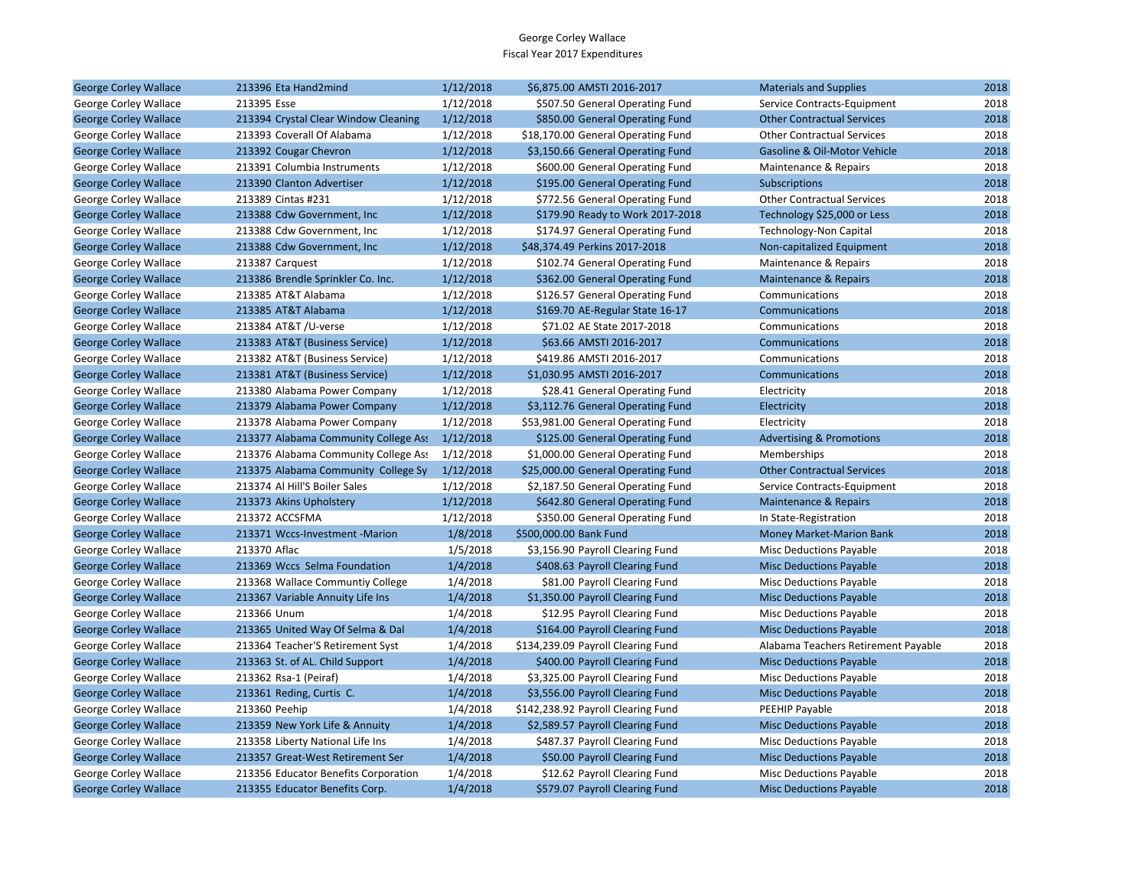| <b>George Corley Wallace</b> | 213396 Eta Hand2mind                 | 1/12/2018 | \$6,875.00 AMSTI 2016-2017         | <b>Materials and Supplies</b>       | 2018 |
|------------------------------|--------------------------------------|-----------|------------------------------------|-------------------------------------|------|
| George Corley Wallace        | 213395 Esse                          | 1/12/2018 | \$507.50 General Operating Fund    | Service Contracts-Equipment         | 2018 |
| <b>George Corley Wallace</b> | 213394 Crystal Clear Window Cleaning | 1/12/2018 | \$850.00 General Operating Fund    | <b>Other Contractual Services</b>   | 2018 |
| George Corley Wallace        | 213393 Coverall Of Alabama           | 1/12/2018 | \$18,170.00 General Operating Fund | <b>Other Contractual Services</b>   | 2018 |
| <b>George Corley Wallace</b> | 213392 Cougar Chevron                | 1/12/2018 | \$3,150.66 General Operating Fund  | Gasoline & Oil-Motor Vehicle        | 2018 |
| George Corley Wallace        | 213391 Columbia Instruments          | 1/12/2018 | \$600.00 General Operating Fund    | Maintenance & Repairs               | 2018 |
| <b>George Corley Wallace</b> | 213390 Clanton Advertiser            | 1/12/2018 | \$195.00 General Operating Fund    | <b>Subscriptions</b>                | 2018 |
| George Corley Wallace        | 213389 Cintas #231                   | 1/12/2018 | \$772.56 General Operating Fund    | <b>Other Contractual Services</b>   | 2018 |
| <b>George Corley Wallace</b> | 213388 Cdw Government, Inc.          | 1/12/2018 | \$179.90 Ready to Work 2017-2018   | Technology \$25,000 or Less         | 2018 |
| George Corley Wallace        | 213388 Cdw Government, Inc.          | 1/12/2018 | \$174.97 General Operating Fund    | <b>Technology-Non Capital</b>       | 2018 |
| <b>George Corley Wallace</b> | 213388 Cdw Government, Inc.          | 1/12/2018 | \$48,374.49 Perkins 2017-2018      | Non-capitalized Equipment           | 2018 |
| George Corley Wallace        | 213387 Carquest                      | 1/12/2018 | \$102.74 General Operating Fund    | Maintenance & Repairs               | 2018 |
| <b>George Corley Wallace</b> | 213386 Brendle Sprinkler Co. Inc.    | 1/12/2018 | \$362.00 General Operating Fund    | <b>Maintenance &amp; Repairs</b>    | 2018 |
| George Corley Wallace        | 213385 AT&T Alabama                  | 1/12/2018 | \$126.57 General Operating Fund    | Communications                      | 2018 |
| <b>George Corley Wallace</b> | 213385 AT&T Alabama                  | 1/12/2018 | \$169.70 AE-Regular State 16-17    | Communications                      | 2018 |
| George Corley Wallace        | 213384 AT&T /U-verse                 | 1/12/2018 | \$71.02 AE State 2017-2018         | Communications                      | 2018 |
| <b>George Corley Wallace</b> | 213383 AT&T (Business Service)       | 1/12/2018 | \$63.66 AMSTI 2016-2017            | Communications                      | 2018 |
| George Corley Wallace        | 213382 AT&T (Business Service)       | 1/12/2018 | \$419.86 AMSTI 2016-2017           | Communications                      | 2018 |
| <b>George Corley Wallace</b> | 213381 AT&T (Business Service)       | 1/12/2018 | \$1,030.95 AMSTI 2016-2017         | Communications                      | 2018 |
| George Corley Wallace        | 213380 Alabama Power Company         | 1/12/2018 | \$28.41 General Operating Fund     | Electricity                         | 2018 |
| <b>George Corley Wallace</b> | 213379 Alabama Power Company         | 1/12/2018 | \$3,112.76 General Operating Fund  | Electricity                         | 2018 |
| George Corley Wallace        | 213378 Alabama Power Company         | 1/12/2018 | \$53,981.00 General Operating Fund | Electricity                         | 2018 |
| <b>George Corley Wallace</b> | 213377 Alabama Community College Ass | 1/12/2018 | \$125.00 General Operating Fund    | <b>Advertising &amp; Promotions</b> | 2018 |
| George Corley Wallace        | 213376 Alabama Community College Ass | 1/12/2018 | \$1,000.00 General Operating Fund  | Memberships                         | 2018 |
| <b>George Corley Wallace</b> | 213375 Alabama Community College Sy  | 1/12/2018 | \$25,000.00 General Operating Fund | <b>Other Contractual Services</b>   | 2018 |
| George Corley Wallace        | 213374 Al Hill'S Boiler Sales        | 1/12/2018 | \$2,187.50 General Operating Fund  | Service Contracts-Equipment         | 2018 |
| <b>George Corley Wallace</b> | 213373 Akins Upholstery              | 1/12/2018 | \$642.80 General Operating Fund    | Maintenance & Repairs               | 2018 |
| George Corley Wallace        | 213372 ACCSFMA                       | 1/12/2018 | \$350.00 General Operating Fund    | In State-Registration               | 2018 |
| <b>George Corley Wallace</b> | 213371 Wccs-Investment -Marion       | 1/8/2018  | \$500,000.00 Bank Fund             | Money Market-Marion Bank            | 2018 |
| George Corley Wallace        | 213370 Aflac                         | 1/5/2018  | \$3,156.90 Payroll Clearing Fund   | Misc Deductions Payable             | 2018 |
| <b>George Corley Wallace</b> | 213369 Wccs Selma Foundation         | 1/4/2018  | \$408.63 Payroll Clearing Fund     | <b>Misc Deductions Payable</b>      | 2018 |
| George Corley Wallace        | 213368 Wallace Communtiy College     | 1/4/2018  | \$81.00 Payroll Clearing Fund      | Misc Deductions Payable             | 2018 |
| <b>George Corley Wallace</b> | 213367 Variable Annuity Life Ins     | 1/4/2018  | \$1,350.00 Payroll Clearing Fund   | <b>Misc Deductions Payable</b>      | 2018 |
| George Corley Wallace        | 213366 Unum                          | 1/4/2018  | \$12.95 Payroll Clearing Fund      | Misc Deductions Payable             | 2018 |
| <b>George Corley Wallace</b> | 213365 United Way Of Selma & Dal     | 1/4/2018  | \$164.00 Payroll Clearing Fund     | <b>Misc Deductions Payable</b>      | 2018 |
| George Corley Wallace        | 213364 Teacher'S Retirement Syst     | 1/4/2018  | \$134,239.09 Payroll Clearing Fund | Alabama Teachers Retirement Payable | 2018 |
| <b>George Corley Wallace</b> | 213363 St. of AL. Child Support      | 1/4/2018  | \$400.00 Payroll Clearing Fund     | <b>Misc Deductions Payable</b>      | 2018 |
| George Corley Wallace        | 213362 Rsa-1 (Peiraf)                | 1/4/2018  | \$3,325.00 Payroll Clearing Fund   | <b>Misc Deductions Payable</b>      | 2018 |
| <b>George Corley Wallace</b> | 213361 Reding, Curtis C.             | 1/4/2018  | \$3,556.00 Payroll Clearing Fund   | <b>Misc Deductions Payable</b>      | 2018 |
| George Corley Wallace        | 213360 Peehip                        | 1/4/2018  | \$142,238.92 Payroll Clearing Fund | PEEHIP Payable                      | 2018 |
| <b>George Corley Wallace</b> | 213359 New York Life & Annuity       | 1/4/2018  | \$2,589.57 Payroll Clearing Fund   | <b>Misc Deductions Payable</b>      | 2018 |
| George Corley Wallace        | 213358 Liberty National Life Ins     | 1/4/2018  | \$487.37 Payroll Clearing Fund     | <b>Misc Deductions Payable</b>      | 2018 |
| <b>George Corley Wallace</b> | 213357 Great-West Retirement Ser     | 1/4/2018  | \$50.00 Payroll Clearing Fund      | <b>Misc Deductions Payable</b>      | 2018 |
| George Corley Wallace        | 213356 Educator Benefits Corporation | 1/4/2018  | \$12.62 Payroll Clearing Fund      | <b>Misc Deductions Payable</b>      | 2018 |
| <b>George Corley Wallace</b> | 213355 Educator Benefits Corp.       | 1/4/2018  | \$579.07 Payroll Clearing Fund     | <b>Misc Deductions Payable</b>      | 2018 |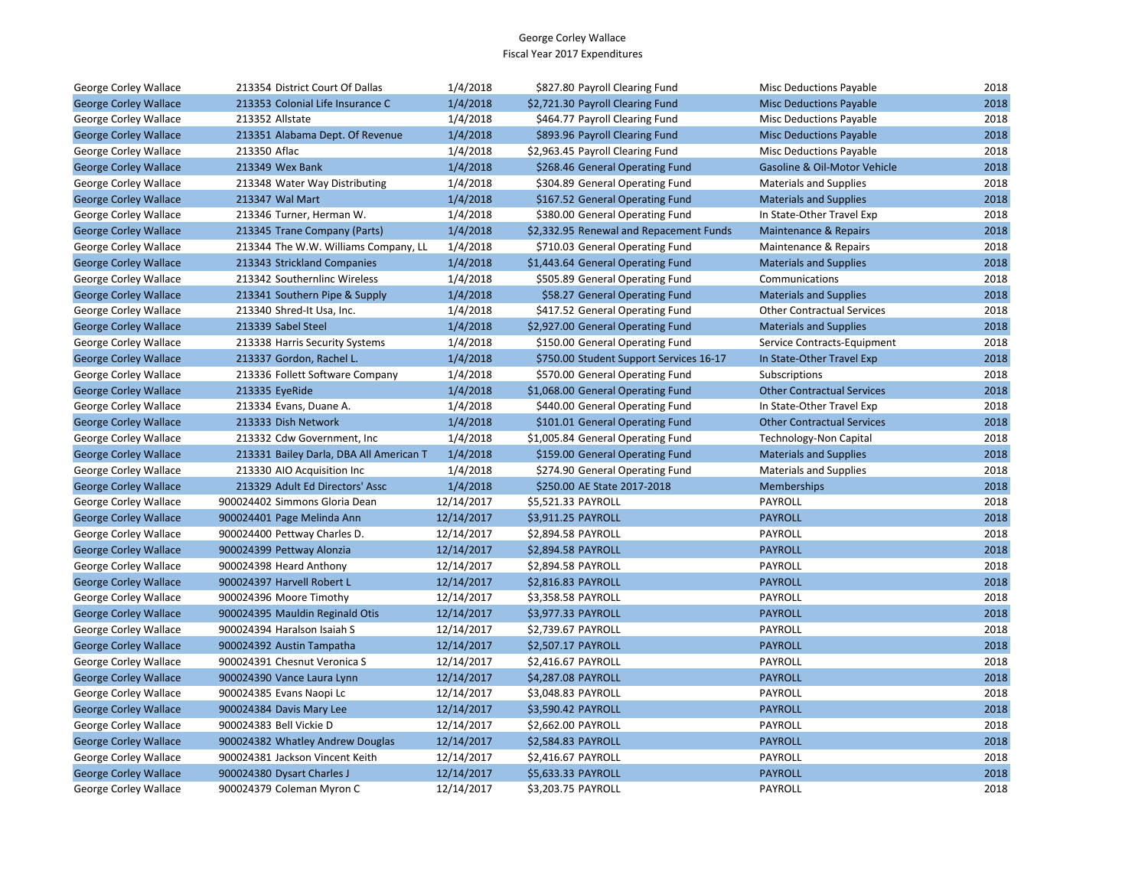| George Corley Wallace        | 213354 District Court Of Dallas         | 1/4/2018   | \$827.80 Payroll Clearing Fund          | <b>Misc Deductions Payable</b>    | 2018 |
|------------------------------|-----------------------------------------|------------|-----------------------------------------|-----------------------------------|------|
| <b>George Corley Wallace</b> | 213353 Colonial Life Insurance C        | 1/4/2018   | \$2,721.30 Payroll Clearing Fund        | <b>Misc Deductions Payable</b>    | 2018 |
| George Corley Wallace        | 213352 Allstate                         | 1/4/2018   | \$464.77 Payroll Clearing Fund          | <b>Misc Deductions Payable</b>    | 2018 |
| <b>George Corley Wallace</b> | 213351 Alabama Dept. Of Revenue         | 1/4/2018   | \$893.96 Payroll Clearing Fund          | <b>Misc Deductions Payable</b>    | 2018 |
| George Corley Wallace        | 213350 Aflac                            | 1/4/2018   | \$2,963.45 Payroll Clearing Fund        | <b>Misc Deductions Payable</b>    | 2018 |
| <b>George Corley Wallace</b> | 213349 Wex Bank                         | 1/4/2018   | \$268.46 General Operating Fund         | Gasoline & Oil-Motor Vehicle      | 2018 |
| George Corley Wallace        | 213348 Water Way Distributing           | 1/4/2018   | \$304.89 General Operating Fund         | <b>Materials and Supplies</b>     | 2018 |
| <b>George Corley Wallace</b> | 213347 Wal Mart                         | 1/4/2018   | \$167.52 General Operating Fund         | <b>Materials and Supplies</b>     | 2018 |
| George Corley Wallace        | 213346 Turner, Herman W.                | 1/4/2018   | \$380.00 General Operating Fund         | In State-Other Travel Exp         | 2018 |
| <b>George Corley Wallace</b> | 213345 Trane Company (Parts)            | 1/4/2018   | \$2,332.95 Renewal and Repacement Funds | Maintenance & Repairs             | 2018 |
| George Corley Wallace        | 213344 The W.W. Williams Company, LL    | 1/4/2018   | \$710.03 General Operating Fund         | Maintenance & Repairs             | 2018 |
| <b>George Corley Wallace</b> | 213343 Strickland Companies             | 1/4/2018   | \$1,443.64 General Operating Fund       | <b>Materials and Supplies</b>     | 2018 |
| George Corley Wallace        | 213342 Southernlinc Wireless            | 1/4/2018   | \$505.89 General Operating Fund         | Communications                    | 2018 |
| <b>George Corley Wallace</b> | 213341 Southern Pipe & Supply           | 1/4/2018   | \$58.27 General Operating Fund          | <b>Materials and Supplies</b>     | 2018 |
| George Corley Wallace        | 213340 Shred-It Usa, Inc.               | 1/4/2018   | \$417.52 General Operating Fund         | <b>Other Contractual Services</b> | 2018 |
| <b>George Corley Wallace</b> | 213339 Sabel Steel                      | 1/4/2018   | \$2,927.00 General Operating Fund       | <b>Materials and Supplies</b>     | 2018 |
| George Corley Wallace        | 213338 Harris Security Systems          | 1/4/2018   | \$150.00 General Operating Fund         | Service Contracts-Equipment       | 2018 |
| <b>George Corley Wallace</b> | 213337 Gordon, Rachel L.                | 1/4/2018   | \$750.00 Student Support Services 16-17 | In State-Other Travel Exp         | 2018 |
| George Corley Wallace        | 213336 Follett Software Company         | 1/4/2018   | \$570.00 General Operating Fund         | Subscriptions                     | 2018 |
| <b>George Corley Wallace</b> | 213335 EyeRide                          | 1/4/2018   | \$1,068.00 General Operating Fund       | <b>Other Contractual Services</b> | 2018 |
| George Corley Wallace        | 213334 Evans, Duane A.                  | 1/4/2018   | \$440.00 General Operating Fund         | In State-Other Travel Exp         | 2018 |
| <b>George Corley Wallace</b> | 213333 Dish Network                     | 1/4/2018   | \$101.01 General Operating Fund         | <b>Other Contractual Services</b> | 2018 |
| George Corley Wallace        | 213332 Cdw Government, Inc.             | 1/4/2018   | \$1,005.84 General Operating Fund       | Technology-Non Capital            | 2018 |
| <b>George Corley Wallace</b> | 213331 Bailey Darla, DBA All American T | 1/4/2018   | \$159.00 General Operating Fund         | <b>Materials and Supplies</b>     | 2018 |
| George Corley Wallace        | 213330 AIO Acquisition Inc              | 1/4/2018   | \$274.90 General Operating Fund         | <b>Materials and Supplies</b>     | 2018 |
| <b>George Corley Wallace</b> | 213329 Adult Ed Directors' Assc         | 1/4/2018   | \$250.00 AE State 2017-2018             | Memberships                       | 2018 |
| George Corley Wallace        | 900024402 Simmons Gloria Dean           | 12/14/2017 | \$5,521.33 PAYROLL                      | PAYROLL                           | 2018 |
| <b>George Corley Wallace</b> | 900024401 Page Melinda Ann              | 12/14/2017 | \$3,911.25 PAYROLL                      | <b>PAYROLL</b>                    | 2018 |
| George Corley Wallace        | 900024400 Pettway Charles D.            | 12/14/2017 | \$2,894.58 PAYROLL                      | PAYROLL                           | 2018 |
| <b>George Corley Wallace</b> | 900024399 Pettway Alonzia               | 12/14/2017 | \$2,894.58 PAYROLL                      | <b>PAYROLL</b>                    | 2018 |
| George Corley Wallace        | 900024398 Heard Anthony                 | 12/14/2017 | \$2,894.58 PAYROLL                      | PAYROLL                           | 2018 |
| <b>George Corley Wallace</b> | 900024397 Harvell Robert L              | 12/14/2017 | \$2,816.83 PAYROLL                      | <b>PAYROLL</b>                    | 2018 |
| George Corley Wallace        | 900024396 Moore Timothy                 | 12/14/2017 | \$3,358.58 PAYROLL                      | <b>PAYROLL</b>                    | 2018 |
| <b>George Corley Wallace</b> | 900024395 Mauldin Reginald Otis         | 12/14/2017 | \$3,977.33 PAYROLL                      | <b>PAYROLL</b>                    | 2018 |
| George Corley Wallace        | 900024394 Haralson Isaiah S             | 12/14/2017 | \$2,739.67 PAYROLL                      | PAYROLL                           | 2018 |
| <b>George Corley Wallace</b> | 900024392 Austin Tampatha               | 12/14/2017 | \$2,507.17 PAYROLL                      | <b>PAYROLL</b>                    | 2018 |
| George Corley Wallace        | 900024391 Chesnut Veronica S            | 12/14/2017 | \$2,416.67 PAYROLL                      | PAYROLL                           | 2018 |
| <b>George Corley Wallace</b> | 900024390 Vance Laura Lynn              | 12/14/2017 | \$4,287.08 PAYROLL                      | <b>PAYROLL</b>                    | 2018 |
| George Corley Wallace        | 900024385 Evans Naopi Lc                | 12/14/2017 | \$3,048.83 PAYROLL                      | PAYROLL                           | 2018 |
| <b>George Corley Wallace</b> | 900024384 Davis Mary Lee                | 12/14/2017 | \$3,590.42 PAYROLL                      | <b>PAYROLL</b>                    | 2018 |
| George Corley Wallace        | 900024383 Bell Vickie D                 | 12/14/2017 | \$2,662.00 PAYROLL                      | PAYROLL                           | 2018 |
| <b>George Corley Wallace</b> | 900024382 Whatley Andrew Douglas        | 12/14/2017 | \$2,584.83 PAYROLL                      | <b>PAYROLL</b>                    | 2018 |
| George Corley Wallace        | 900024381 Jackson Vincent Keith         | 12/14/2017 | \$2,416.67 PAYROLL                      | PAYROLL                           | 2018 |
| <b>George Corley Wallace</b> | 900024380 Dysart Charles J              | 12/14/2017 | \$5,633.33 PAYROLL                      | <b>PAYROLL</b>                    | 2018 |
| George Corley Wallace        | 900024379 Coleman Myron C               | 12/14/2017 | \$3.203.75 PAYROLL                      | <b>PAYROLL</b>                    | 2018 |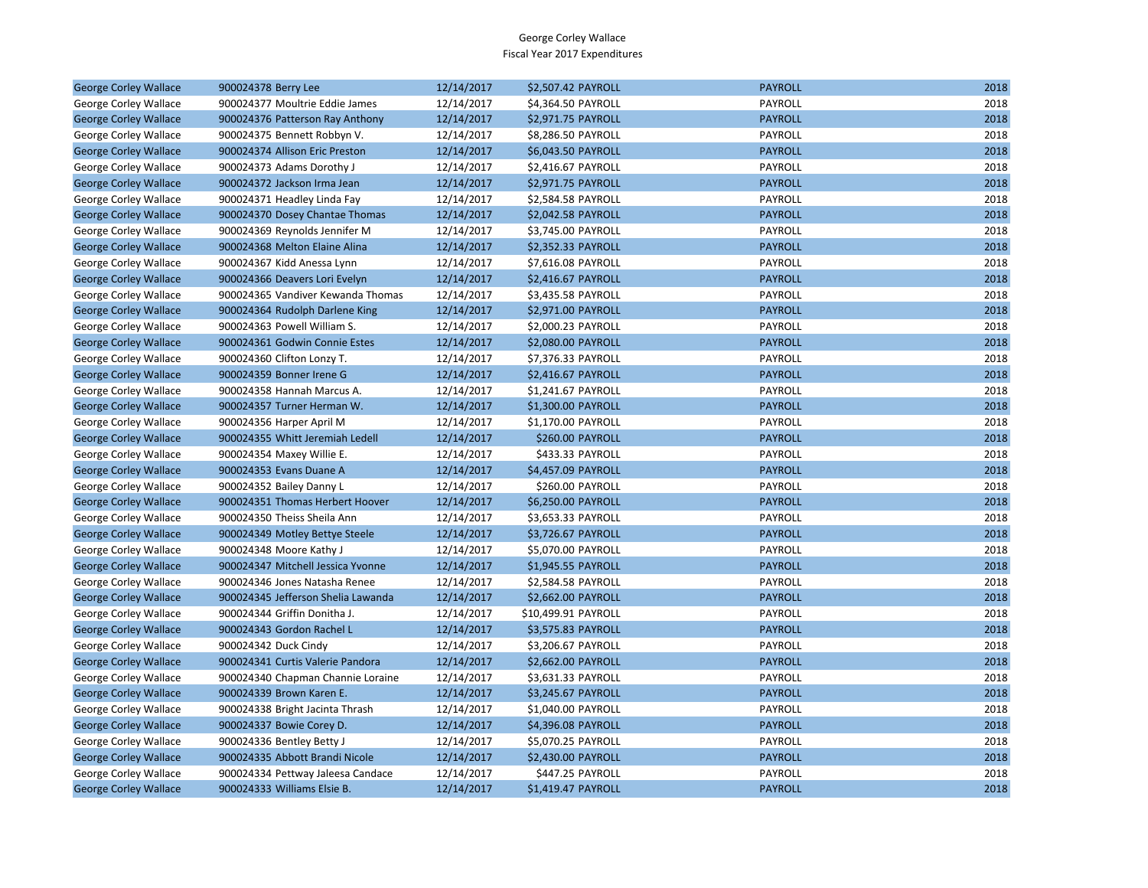| <b>George Corley Wallace</b> | 900024378 Berry Lee                | 12/14/2017 | \$2,507.42 PAYROLL  | <b>PAYROLL</b> | 2018 |
|------------------------------|------------------------------------|------------|---------------------|----------------|------|
| George Corley Wallace        | 900024377 Moultrie Eddie James     | 12/14/2017 | \$4,364.50 PAYROLL  | PAYROLL        | 2018 |
| <b>George Corley Wallace</b> | 900024376 Patterson Ray Anthony    | 12/14/2017 | \$2,971.75 PAYROLL  | <b>PAYROLL</b> | 2018 |
| George Corley Wallace        | 900024375 Bennett Robbyn V.        | 12/14/2017 | \$8,286.50 PAYROLL  | PAYROLL        | 2018 |
| <b>George Corley Wallace</b> | 900024374 Allison Eric Preston     | 12/14/2017 | \$6,043.50 PAYROLL  | <b>PAYROLL</b> | 2018 |
| George Corley Wallace        | 900024373 Adams Dorothy J          | 12/14/2017 | \$2,416.67 PAYROLL  | PAYROLL        | 2018 |
| <b>George Corley Wallace</b> | 900024372 Jackson Irma Jean        | 12/14/2017 | \$2,971.75 PAYROLL  | <b>PAYROLL</b> | 2018 |
| George Corley Wallace        | 900024371 Headley Linda Fay        | 12/14/2017 | \$2,584.58 PAYROLL  | PAYROLL        | 2018 |
| <b>George Corley Wallace</b> | 900024370 Dosey Chantae Thomas     | 12/14/2017 | \$2,042.58 PAYROLL  | <b>PAYROLL</b> | 2018 |
| George Corley Wallace        | 900024369 Reynolds Jennifer M      | 12/14/2017 | \$3,745.00 PAYROLL  | PAYROLL        | 2018 |
| <b>George Corley Wallace</b> | 900024368 Melton Elaine Alina      | 12/14/2017 | \$2,352.33 PAYROLL  | <b>PAYROLL</b> | 2018 |
| George Corley Wallace        | 900024367 Kidd Anessa Lynn         | 12/14/2017 | \$7,616.08 PAYROLL  | PAYROLL        | 2018 |
| <b>George Corley Wallace</b> | 900024366 Deavers Lori Evelyn      | 12/14/2017 | \$2,416.67 PAYROLL  | <b>PAYROLL</b> | 2018 |
| George Corley Wallace        | 900024365 Vandiver Kewanda Thomas  | 12/14/2017 | \$3,435.58 PAYROLL  | PAYROLL        | 2018 |
| <b>George Corley Wallace</b> | 900024364 Rudolph Darlene King     | 12/14/2017 | \$2,971.00 PAYROLL  | <b>PAYROLL</b> | 2018 |
| George Corley Wallace        | 900024363 Powell William S.        | 12/14/2017 | \$2,000.23 PAYROLL  | PAYROLL        | 2018 |
| <b>George Corley Wallace</b> | 900024361 Godwin Connie Estes      | 12/14/2017 | \$2,080.00 PAYROLL  | <b>PAYROLL</b> | 2018 |
| George Corley Wallace        | 900024360 Clifton Lonzy T.         | 12/14/2017 | \$7,376.33 PAYROLL  | PAYROLL        | 2018 |
| <b>George Corley Wallace</b> | 900024359 Bonner Irene G           | 12/14/2017 | \$2,416.67 PAYROLL  | <b>PAYROLL</b> | 2018 |
| George Corley Wallace        | 900024358 Hannah Marcus A.         | 12/14/2017 | \$1,241.67 PAYROLL  | PAYROLL        | 2018 |
| <b>George Corley Wallace</b> | 900024357 Turner Herman W.         | 12/14/2017 | \$1,300.00 PAYROLL  | <b>PAYROLL</b> | 2018 |
| George Corley Wallace        | 900024356 Harper April M           | 12/14/2017 | \$1,170.00 PAYROLL  | PAYROLL        | 2018 |
| <b>George Corley Wallace</b> | 900024355 Whitt Jeremiah Ledell    | 12/14/2017 | \$260.00 PAYROLL    | <b>PAYROLL</b> | 2018 |
| George Corley Wallace        | 900024354 Maxey Willie E.          | 12/14/2017 | \$433.33 PAYROLL    | PAYROLL        | 2018 |
| <b>George Corley Wallace</b> | 900024353 Evans Duane A            | 12/14/2017 | \$4,457.09 PAYROLL  | <b>PAYROLL</b> | 2018 |
| George Corley Wallace        | 900024352 Bailey Danny L           | 12/14/2017 | \$260.00 PAYROLL    | PAYROLL        | 2018 |
| <b>George Corley Wallace</b> | 900024351 Thomas Herbert Hoover    | 12/14/2017 | \$6,250.00 PAYROLL  | <b>PAYROLL</b> | 2018 |
| George Corley Wallace        | 900024350 Theiss Sheila Ann        | 12/14/2017 | \$3,653.33 PAYROLL  | PAYROLL        | 2018 |
| <b>George Corley Wallace</b> | 900024349 Motley Bettye Steele     | 12/14/2017 | \$3,726.67 PAYROLL  | <b>PAYROLL</b> | 2018 |
| George Corley Wallace        | 900024348 Moore Kathy J            | 12/14/2017 | \$5,070.00 PAYROLL  | PAYROLL        | 2018 |
| <b>George Corley Wallace</b> | 900024347 Mitchell Jessica Yvonne  | 12/14/2017 | \$1,945.55 PAYROLL  | <b>PAYROLL</b> | 2018 |
| George Corley Wallace        | 900024346 Jones Natasha Renee      | 12/14/2017 | \$2,584.58 PAYROLL  | PAYROLL        | 2018 |
| <b>George Corley Wallace</b> | 900024345 Jefferson Shelia Lawanda | 12/14/2017 | \$2,662.00 PAYROLL  | <b>PAYROLL</b> | 2018 |
| George Corley Wallace        | 900024344 Griffin Donitha J.       | 12/14/2017 | \$10,499.91 PAYROLL | PAYROLL        | 2018 |
| <b>George Corley Wallace</b> | 900024343 Gordon Rachel L          | 12/14/2017 | \$3,575.83 PAYROLL  | <b>PAYROLL</b> | 2018 |
| George Corley Wallace        | 900024342 Duck Cindy               | 12/14/2017 | \$3,206.67 PAYROLL  | PAYROLL        | 2018 |
| <b>George Corley Wallace</b> | 900024341 Curtis Valerie Pandora   | 12/14/2017 | \$2,662.00 PAYROLL  | <b>PAYROLL</b> | 2018 |
| George Corley Wallace        | 900024340 Chapman Channie Loraine  | 12/14/2017 | \$3,631.33 PAYROLL  | PAYROLL        | 2018 |
| <b>George Corley Wallace</b> | 900024339 Brown Karen E.           | 12/14/2017 | \$3,245.67 PAYROLL  | <b>PAYROLL</b> | 2018 |
| George Corley Wallace        | 900024338 Bright Jacinta Thrash    | 12/14/2017 | \$1,040.00 PAYROLL  | PAYROLL        | 2018 |
| <b>George Corley Wallace</b> | 900024337 Bowie Corey D.           | 12/14/2017 | \$4,396.08 PAYROLL  | <b>PAYROLL</b> | 2018 |
| George Corley Wallace        | 900024336 Bentley Betty J          | 12/14/2017 | \$5,070.25 PAYROLL  | PAYROLL        | 2018 |
| <b>George Corley Wallace</b> | 900024335 Abbott Brandi Nicole     | 12/14/2017 | \$2,430.00 PAYROLL  | <b>PAYROLL</b> | 2018 |
| George Corley Wallace        | 900024334 Pettway Jaleesa Candace  | 12/14/2017 | \$447.25 PAYROLL    | PAYROLL        | 2018 |
| <b>George Corley Wallace</b> | 900024333 Williams Elsie B.        | 12/14/2017 | \$1,419.47 PAYROLL  | <b>PAYROLL</b> | 2018 |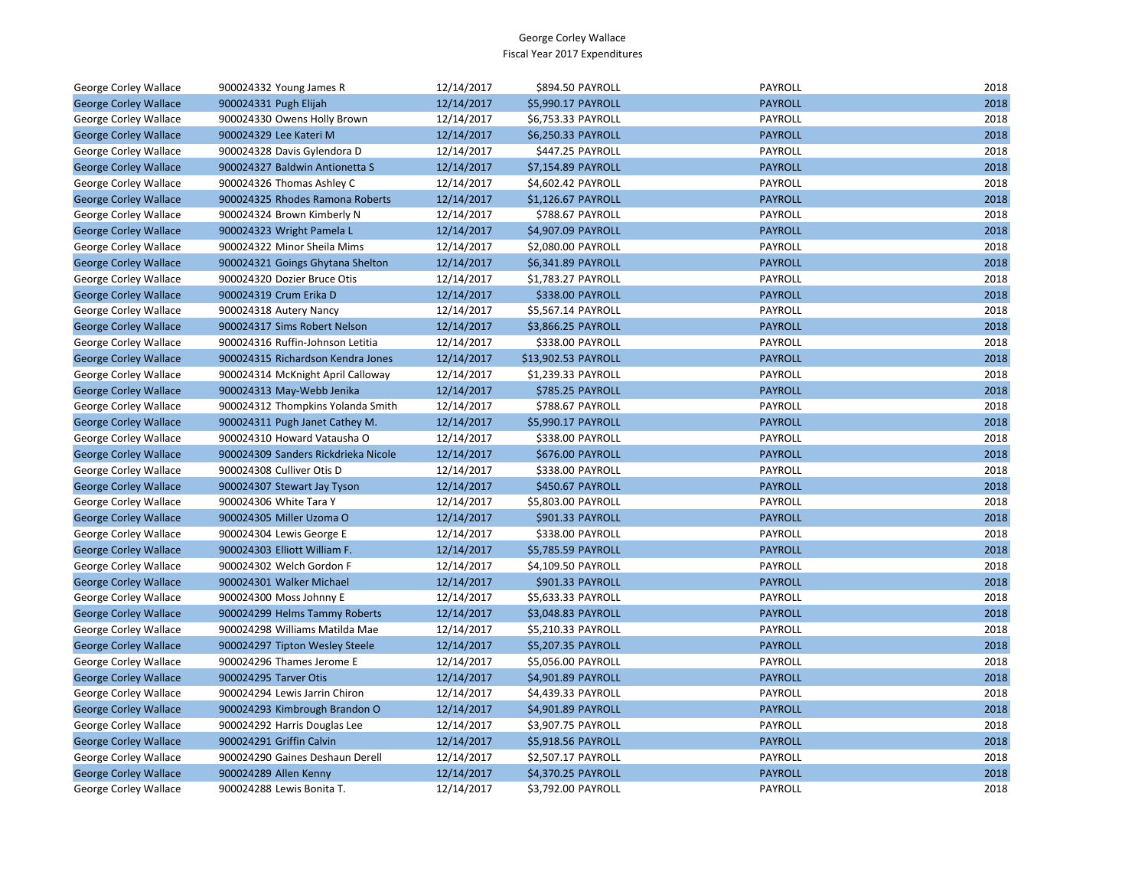| George Corley Wallace        | 900024332 Young James R             | 12/14/2017 | \$894.50 PAYROLL    | <b>PAYROLL</b> | 2018 |
|------------------------------|-------------------------------------|------------|---------------------|----------------|------|
| <b>George Corley Wallace</b> | 900024331 Pugh Elijah               | 12/14/2017 | \$5,990.17 PAYROLL  | <b>PAYROLL</b> | 2018 |
| George Corley Wallace        | 900024330 Owens Holly Brown         | 12/14/2017 | \$6,753.33 PAYROLL  | PAYROLL        | 2018 |
| <b>George Corley Wallace</b> | 900024329 Lee Kateri M              | 12/14/2017 | \$6,250.33 PAYROLL  | <b>PAYROLL</b> | 2018 |
| George Corley Wallace        | 900024328 Davis Gylendora D         | 12/14/2017 | \$447.25 PAYROLL    | PAYROLL        | 2018 |
| <b>George Corley Wallace</b> | 900024327 Baldwin Antionetta S      | 12/14/2017 | \$7,154.89 PAYROLL  | <b>PAYROLL</b> | 2018 |
| George Corley Wallace        | 900024326 Thomas Ashley C           | 12/14/2017 | \$4,602.42 PAYROLL  | PAYROLL        | 2018 |
| <b>George Corley Wallace</b> | 900024325 Rhodes Ramona Roberts     | 12/14/2017 | \$1,126.67 PAYROLL  | <b>PAYROLL</b> | 2018 |
| George Corley Wallace        | 900024324 Brown Kimberly N          | 12/14/2017 | \$788.67 PAYROLL    | PAYROLL        | 2018 |
| <b>George Corley Wallace</b> | 900024323 Wright Pamela L           | 12/14/2017 | \$4,907.09 PAYROLL  | <b>PAYROLL</b> | 2018 |
| George Corley Wallace        | 900024322 Minor Sheila Mims         | 12/14/2017 | \$2,080.00 PAYROLL  | PAYROLL        | 2018 |
| <b>George Corley Wallace</b> | 900024321 Goings Ghytana Shelton    | 12/14/2017 | \$6,341.89 PAYROLL  | <b>PAYROLL</b> | 2018 |
| George Corley Wallace        | 900024320 Dozier Bruce Otis         | 12/14/2017 | \$1,783.27 PAYROLL  | PAYROLL        | 2018 |
| <b>George Corley Wallace</b> | 900024319 Crum Erika D              | 12/14/2017 | \$338.00 PAYROLL    | <b>PAYROLL</b> | 2018 |
| George Corley Wallace        | 900024318 Autery Nancy              | 12/14/2017 | \$5,567.14 PAYROLL  | PAYROLL        | 2018 |
| <b>George Corley Wallace</b> | 900024317 Sims Robert Nelson        | 12/14/2017 | \$3,866.25 PAYROLL  | <b>PAYROLL</b> | 2018 |
| George Corley Wallace        | 900024316 Ruffin-Johnson Letitia    | 12/14/2017 | \$338.00 PAYROLL    | PAYROLL        | 2018 |
| <b>George Corley Wallace</b> | 900024315 Richardson Kendra Jones   | 12/14/2017 | \$13,902.53 PAYROLL | <b>PAYROLL</b> | 2018 |
| George Corley Wallace        | 900024314 McKnight April Calloway   | 12/14/2017 | \$1,239.33 PAYROLL  | PAYROLL        | 2018 |
| <b>George Corley Wallace</b> | 900024313 May-Webb Jenika           | 12/14/2017 | \$785.25 PAYROLL    | <b>PAYROLL</b> | 2018 |
| George Corley Wallace        | 900024312 Thompkins Yolanda Smith   | 12/14/2017 | \$788.67 PAYROLL    | PAYROLL        | 2018 |
| <b>George Corley Wallace</b> | 900024311 Pugh Janet Cathey M.      | 12/14/2017 | \$5,990.17 PAYROLL  | <b>PAYROLL</b> | 2018 |
| George Corley Wallace        | 900024310 Howard Vatausha O         | 12/14/2017 | \$338.00 PAYROLL    | PAYROLL        | 2018 |
| <b>George Corley Wallace</b> | 900024309 Sanders Rickdrieka Nicole | 12/14/2017 | \$676.00 PAYROLL    | <b>PAYROLL</b> | 2018 |
| George Corley Wallace        | 900024308 Culliver Otis D           | 12/14/2017 | \$338.00 PAYROLL    | PAYROLL        | 2018 |
| <b>George Corley Wallace</b> | 900024307 Stewart Jay Tyson         | 12/14/2017 | \$450.67 PAYROLL    | <b>PAYROLL</b> | 2018 |
| George Corley Wallace        | 900024306 White Tara Y              | 12/14/2017 | \$5,803.00 PAYROLL  | PAYROLL        | 2018 |
| <b>George Corley Wallace</b> | 900024305 Miller Uzoma O            | 12/14/2017 | \$901.33 PAYROLL    | <b>PAYROLL</b> | 2018 |
| George Corley Wallace        | 900024304 Lewis George E            | 12/14/2017 | \$338.00 PAYROLL    | PAYROLL        | 2018 |
| <b>George Corley Wallace</b> | 900024303 Elliott William F.        | 12/14/2017 | \$5,785.59 PAYROLL  | <b>PAYROLL</b> | 2018 |
| George Corley Wallace        | 900024302 Welch Gordon F            | 12/14/2017 | \$4,109.50 PAYROLL  | PAYROLL        | 2018 |
| <b>George Corley Wallace</b> | 900024301 Walker Michael            | 12/14/2017 | \$901.33 PAYROLL    | <b>PAYROLL</b> | 2018 |
| George Corley Wallace        | 900024300 Moss Johnny E             | 12/14/2017 | \$5,633.33 PAYROLL  | PAYROLL        | 2018 |
| <b>George Corley Wallace</b> | 900024299 Helms Tammy Roberts       | 12/14/2017 | \$3,048.83 PAYROLL  | <b>PAYROLL</b> | 2018 |
| George Corley Wallace        | 900024298 Williams Matilda Mae      | 12/14/2017 | \$5,210.33 PAYROLL  | PAYROLL        | 2018 |
| <b>George Corley Wallace</b> | 900024297 Tipton Wesley Steele      | 12/14/2017 | \$5,207.35 PAYROLL  | <b>PAYROLL</b> | 2018 |
| George Corley Wallace        | 900024296 Thames Jerome E           | 12/14/2017 | \$5,056.00 PAYROLL  | PAYROLL        | 2018 |
| <b>George Corley Wallace</b> | 900024295 Tarver Otis               | 12/14/2017 | \$4,901.89 PAYROLL  | <b>PAYROLL</b> | 2018 |
| George Corley Wallace        | 900024294 Lewis Jarrin Chiron       | 12/14/2017 | \$4,439.33 PAYROLL  | PAYROLL        | 2018 |
| <b>George Corley Wallace</b> | 900024293 Kimbrough Brandon O       | 12/14/2017 | \$4,901.89 PAYROLL  | <b>PAYROLL</b> | 2018 |
| George Corley Wallace        | 900024292 Harris Douglas Lee        | 12/14/2017 | \$3,907.75 PAYROLL  | PAYROLL        | 2018 |
| <b>George Corley Wallace</b> | 900024291 Griffin Calvin            | 12/14/2017 | \$5,918.56 PAYROLL  | <b>PAYROLL</b> | 2018 |
| George Corley Wallace        | 900024290 Gaines Deshaun Derell     | 12/14/2017 | \$2,507.17 PAYROLL  | PAYROLL        | 2018 |
| <b>George Corley Wallace</b> | 900024289 Allen Kenny               | 12/14/2017 | \$4,370.25 PAYROLL  | <b>PAYROLL</b> | 2018 |
| <b>George Corley Wallace</b> | 900024288 Lewis Bonita T.           | 12/14/2017 | \$3.792.00 PAYROLL  | PAYROLL        | 2018 |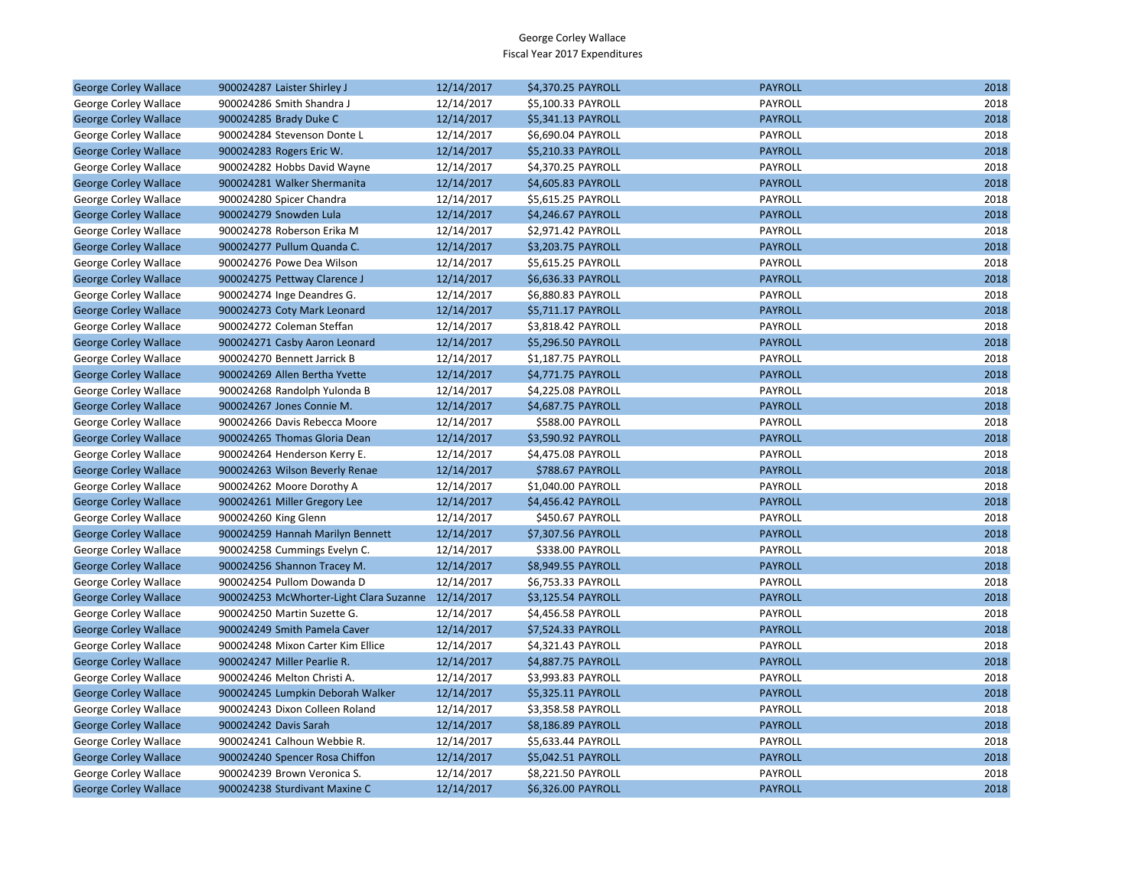| PAYROLL<br>12/14/2017<br>2018<br>George Corley Wallace<br>900024286 Smith Shandra J<br>\$5,100.33 PAYROLL<br>2018<br>900024285 Brady Duke C<br>12/14/2017<br>\$5,341.13 PAYROLL<br><b>PAYROLL</b><br><b>George Corley Wallace</b><br>PAYROLL<br>2018<br>George Corley Wallace<br>900024284 Stevenson Donte L<br>12/14/2017<br>\$6,690.04 PAYROLL<br><b>PAYROLL</b><br>2018<br><b>George Corley Wallace</b><br>900024283 Rogers Eric W.<br>12/14/2017<br>\$5,210.33 PAYROLL<br>2018<br>George Corley Wallace<br>12/14/2017<br>\$4,370.25 PAYROLL<br>PAYROLL<br>900024282 Hobbs David Wayne<br>2018<br><b>George Corley Wallace</b><br>900024281 Walker Shermanita<br>12/14/2017<br>\$4,605.83 PAYROLL<br><b>PAYROLL</b><br>2018<br>PAYROLL<br>George Corley Wallace<br>900024280 Spicer Chandra<br>12/14/2017<br>\$5,615.25 PAYROLL<br>2018<br><b>George Corley Wallace</b><br>900024279 Snowden Lula<br>12/14/2017<br>\$4,246.67 PAYROLL<br><b>PAYROLL</b><br>2018<br>George Corley Wallace<br>900024278 Roberson Erika M<br>12/14/2017<br>\$2,971.42 PAYROLL<br>PAYROLL<br><b>PAYROLL</b><br>2018<br><b>George Corley Wallace</b><br>900024277 Pullum Quanda C.<br>12/14/2017<br>\$3,203.75 PAYROLL<br>2018<br>George Corley Wallace<br>900024276 Powe Dea Wilson<br>12/14/2017<br>\$5,615.25 PAYROLL<br>PAYROLL<br>2018<br>12/14/2017<br>\$6,636.33 PAYROLL<br><b>PAYROLL</b><br><b>George Corley Wallace</b><br>900024275 Pettway Clarence J<br>\$6,880.83 PAYROLL<br>PAYROLL<br>2018<br>George Corley Wallace<br>900024274 Inge Deandres G.<br>12/14/2017<br>2018<br>900024273 Coty Mark Leonard<br>12/14/2017<br>\$5,711.17 PAYROLL<br><b>PAYROLL</b><br><b>George Corley Wallace</b><br>2018<br>900024272 Coleman Steffan<br>12/14/2017<br>\$3,818.42 PAYROLL<br>PAYROLL<br>George Corley Wallace<br>2018<br><b>George Corley Wallace</b><br>900024271 Casby Aaron Leonard<br>12/14/2017<br>\$5,296.50 PAYROLL<br><b>PAYROLL</b><br>2018<br>\$1,187.75 PAYROLL<br>PAYROLL<br>George Corley Wallace<br>900024270 Bennett Jarrick B<br>12/14/2017<br>2018<br>900024269 Allen Bertha Yvette<br>12/14/2017<br>\$4,771.75 PAYROLL<br><b>PAYROLL</b><br><b>George Corley Wallace</b><br>PAYROLL<br>2018<br>George Corley Wallace<br>900024268 Randolph Yulonda B<br>12/14/2017<br>\$4,225.08 PAYROLL<br>2018<br><b>PAYROLL</b><br><b>George Corley Wallace</b><br>900024267 Jones Connie M.<br>12/14/2017<br>\$4,687.75 PAYROLL<br>2018<br>12/14/2017<br>\$588.00 PAYROLL<br>PAYROLL<br>George Corley Wallace<br>900024266 Davis Rebecca Moore<br>2018<br>900024265 Thomas Gloria Dean<br>12/14/2017<br>\$3,590.92 PAYROLL<br><b>PAYROLL</b><br><b>George Corley Wallace</b><br>PAYROLL<br>2018<br>George Corley Wallace<br>900024264 Henderson Kerry E.<br>12/14/2017<br>\$4,475.08 PAYROLL<br>12/14/2017<br>\$788.67 PAYROLL<br><b>PAYROLL</b><br>2018<br><b>George Corley Wallace</b><br>900024263 Wilson Beverly Renae<br>2018<br>12/14/2017<br>\$1,040.00 PAYROLL<br>PAYROLL<br>George Corley Wallace<br>900024262 Moore Dorothy A<br>2018<br><b>PAYROLL</b><br><b>George Corley Wallace</b><br>900024261 Miller Gregory Lee<br>12/14/2017<br>\$4,456.42 PAYROLL<br>2018<br>12/14/2017<br>\$450.67 PAYROLL<br>PAYROLL<br>George Corley Wallace<br>900024260 King Glenn<br>2018<br><b>PAYROLL</b><br><b>George Corley Wallace</b><br>900024259 Hannah Marilyn Bennett<br>12/14/2017<br>\$7,307.56 PAYROLL<br>2018<br>George Corley Wallace<br>900024258 Cummings Evelyn C.<br>12/14/2017<br>\$338.00 PAYROLL<br>PAYROLL<br>\$8,949.55 PAYROLL<br><b>PAYROLL</b><br>2018<br><b>George Corley Wallace</b><br>900024256 Shannon Tracey M.<br>12/14/2017<br>2018<br>900024254 Pullom Dowanda D<br>12/14/2017<br>\$6,753.33 PAYROLL<br>PAYROLL<br>George Corley Wallace<br>2018<br><b>George Corley Wallace</b><br>900024253 McWhorter-Light Clara Suzanne 12/14/2017<br>\$3,125.54 PAYROLL<br><b>PAYROLL</b><br>12/14/2017<br>\$4,456.58 PAYROLL<br>PAYROLL<br>2018<br>George Corley Wallace<br>900024250 Martin Suzette G.<br>2018<br><b>PAYROLL</b><br><b>George Corley Wallace</b><br>900024249 Smith Pamela Caver<br>12/14/2017<br>\$7,524.33 PAYROLL<br>PAYROLL<br>2018<br>George Corley Wallace<br>900024248 Mixon Carter Kim Ellice<br>12/14/2017<br>\$4,321.43 PAYROLL<br>\$4,887.75 PAYROLL<br><b>PAYROLL</b><br>2018<br><b>George Corley Wallace</b><br>900024247 Miller Pearlie R.<br>12/14/2017<br>2018<br>900024246 Melton Christi A.<br>12/14/2017<br>\$3,993.83 PAYROLL<br>PAYROLL<br>George Corley Wallace<br>2018<br><b>George Corley Wallace</b><br>900024245 Lumpkin Deborah Walker<br>12/14/2017<br>\$5,325.11 PAYROLL<br><b>PAYROLL</b><br>PAYROLL<br>2018<br>George Corley Wallace<br>900024243 Dixon Colleen Roland<br>12/14/2017<br>\$3,358.58 PAYROLL<br><b>PAYROLL</b><br>2018<br><b>George Corley Wallace</b><br>900024242 Davis Sarah<br>12/14/2017<br>\$8,186.89 PAYROLL<br>2018<br>George Corley Wallace<br>900024241 Calhoun Webbie R.<br>12/14/2017<br>\$5,633.44 PAYROLL<br>PAYROLL<br><b>PAYROLL</b><br>2018<br><b>George Corley Wallace</b><br>900024240 Spencer Rosa Chiffon<br>12/14/2017<br>\$5,042.51 PAYROLL<br>2018<br>900024239 Brown Veronica S.<br>12/14/2017<br>\$8,221.50 PAYROLL<br>PAYROLL<br>George Corley Wallace<br>2018<br>900024238 Sturdivant Maxine C<br>12/14/2017<br>\$6,326.00 PAYROLL<br><b>PAYROLL</b><br><b>George Corley Wallace</b> |                              |                             |            |                    |                |      |
|----------------------------------------------------------------------------------------------------------------------------------------------------------------------------------------------------------------------------------------------------------------------------------------------------------------------------------------------------------------------------------------------------------------------------------------------------------------------------------------------------------------------------------------------------------------------------------------------------------------------------------------------------------------------------------------------------------------------------------------------------------------------------------------------------------------------------------------------------------------------------------------------------------------------------------------------------------------------------------------------------------------------------------------------------------------------------------------------------------------------------------------------------------------------------------------------------------------------------------------------------------------------------------------------------------------------------------------------------------------------------------------------------------------------------------------------------------------------------------------------------------------------------------------------------------------------------------------------------------------------------------------------------------------------------------------------------------------------------------------------------------------------------------------------------------------------------------------------------------------------------------------------------------------------------------------------------------------------------------------------------------------------------------------------------------------------------------------------------------------------------------------------------------------------------------------------------------------------------------------------------------------------------------------------------------------------------------------------------------------------------------------------------------------------------------------------------------------------------------------------------------------------------------------------------------------------------------------------------------------------------------------------------------------------------------------------------------------------------------------------------------------------------------------------------------------------------------------------------------------------------------------------------------------------------------------------------------------------------------------------------------------------------------------------------------------------------------------------------------------------------------------------------------------------------------------------------------------------------------------------------------------------------------------------------------------------------------------------------------------------------------------------------------------------------------------------------------------------------------------------------------------------------------------------------------------------------------------------------------------------------------------------------------------------------------------------------------------------------------------------------------------------------------------------------------------------------------------------------------------------------------------------------------------------------------------------------------------------------------------------------------------------------------------------------------------------------------------------------------------------------------------------------------------------------------------------------------------------------------------------------------------------------------------------------------------------------------------------------------------------------------------------------------------------------------------------------------------------------------------------------------------------------------------------------------------------------------------------------------------------------------------------------------------------------------------------------------------------------------------------------------------------------------------------------------------------------------------------------------------------------------------------------------------------------------------------------------------------------------------------------------------------------------------------------------------------------------------------------------------------------------------------------------------------------------------------------------------------------------------------------------------------------------------------------------------------------------------------------------------------------------------------------|------------------------------|-----------------------------|------------|--------------------|----------------|------|
|                                                                                                                                                                                                                                                                                                                                                                                                                                                                                                                                                                                                                                                                                                                                                                                                                                                                                                                                                                                                                                                                                                                                                                                                                                                                                                                                                                                                                                                                                                                                                                                                                                                                                                                                                                                                                                                                                                                                                                                                                                                                                                                                                                                                                                                                                                                                                                                                                                                                                                                                                                                                                                                                                                                                                                                                                                                                                                                                                                                                                                                                                                                                                                                                                                                                                                                                                                                                                                                                                                                                                                                                                                                                                                                                                                                                                                                                                                                                                                                                                                                                                                                                                                                                                                                                                                                                                                                                                                                                                                                                                                                                                                                                                                                                                                                                                                                                                                                                                                                                                                                                                                                                                                                                                                                                                                                                                                                                    | <b>George Corley Wallace</b> | 900024287 Laister Shirley J | 12/14/2017 | \$4,370.25 PAYROLL | <b>PAYROLL</b> | 2018 |
|                                                                                                                                                                                                                                                                                                                                                                                                                                                                                                                                                                                                                                                                                                                                                                                                                                                                                                                                                                                                                                                                                                                                                                                                                                                                                                                                                                                                                                                                                                                                                                                                                                                                                                                                                                                                                                                                                                                                                                                                                                                                                                                                                                                                                                                                                                                                                                                                                                                                                                                                                                                                                                                                                                                                                                                                                                                                                                                                                                                                                                                                                                                                                                                                                                                                                                                                                                                                                                                                                                                                                                                                                                                                                                                                                                                                                                                                                                                                                                                                                                                                                                                                                                                                                                                                                                                                                                                                                                                                                                                                                                                                                                                                                                                                                                                                                                                                                                                                                                                                                                                                                                                                                                                                                                                                                                                                                                                                    |                              |                             |            |                    |                |      |
|                                                                                                                                                                                                                                                                                                                                                                                                                                                                                                                                                                                                                                                                                                                                                                                                                                                                                                                                                                                                                                                                                                                                                                                                                                                                                                                                                                                                                                                                                                                                                                                                                                                                                                                                                                                                                                                                                                                                                                                                                                                                                                                                                                                                                                                                                                                                                                                                                                                                                                                                                                                                                                                                                                                                                                                                                                                                                                                                                                                                                                                                                                                                                                                                                                                                                                                                                                                                                                                                                                                                                                                                                                                                                                                                                                                                                                                                                                                                                                                                                                                                                                                                                                                                                                                                                                                                                                                                                                                                                                                                                                                                                                                                                                                                                                                                                                                                                                                                                                                                                                                                                                                                                                                                                                                                                                                                                                                                    |                              |                             |            |                    |                |      |
|                                                                                                                                                                                                                                                                                                                                                                                                                                                                                                                                                                                                                                                                                                                                                                                                                                                                                                                                                                                                                                                                                                                                                                                                                                                                                                                                                                                                                                                                                                                                                                                                                                                                                                                                                                                                                                                                                                                                                                                                                                                                                                                                                                                                                                                                                                                                                                                                                                                                                                                                                                                                                                                                                                                                                                                                                                                                                                                                                                                                                                                                                                                                                                                                                                                                                                                                                                                                                                                                                                                                                                                                                                                                                                                                                                                                                                                                                                                                                                                                                                                                                                                                                                                                                                                                                                                                                                                                                                                                                                                                                                                                                                                                                                                                                                                                                                                                                                                                                                                                                                                                                                                                                                                                                                                                                                                                                                                                    |                              |                             |            |                    |                |      |
|                                                                                                                                                                                                                                                                                                                                                                                                                                                                                                                                                                                                                                                                                                                                                                                                                                                                                                                                                                                                                                                                                                                                                                                                                                                                                                                                                                                                                                                                                                                                                                                                                                                                                                                                                                                                                                                                                                                                                                                                                                                                                                                                                                                                                                                                                                                                                                                                                                                                                                                                                                                                                                                                                                                                                                                                                                                                                                                                                                                                                                                                                                                                                                                                                                                                                                                                                                                                                                                                                                                                                                                                                                                                                                                                                                                                                                                                                                                                                                                                                                                                                                                                                                                                                                                                                                                                                                                                                                                                                                                                                                                                                                                                                                                                                                                                                                                                                                                                                                                                                                                                                                                                                                                                                                                                                                                                                                                                    |                              |                             |            |                    |                |      |
|                                                                                                                                                                                                                                                                                                                                                                                                                                                                                                                                                                                                                                                                                                                                                                                                                                                                                                                                                                                                                                                                                                                                                                                                                                                                                                                                                                                                                                                                                                                                                                                                                                                                                                                                                                                                                                                                                                                                                                                                                                                                                                                                                                                                                                                                                                                                                                                                                                                                                                                                                                                                                                                                                                                                                                                                                                                                                                                                                                                                                                                                                                                                                                                                                                                                                                                                                                                                                                                                                                                                                                                                                                                                                                                                                                                                                                                                                                                                                                                                                                                                                                                                                                                                                                                                                                                                                                                                                                                                                                                                                                                                                                                                                                                                                                                                                                                                                                                                                                                                                                                                                                                                                                                                                                                                                                                                                                                                    |                              |                             |            |                    |                |      |
|                                                                                                                                                                                                                                                                                                                                                                                                                                                                                                                                                                                                                                                                                                                                                                                                                                                                                                                                                                                                                                                                                                                                                                                                                                                                                                                                                                                                                                                                                                                                                                                                                                                                                                                                                                                                                                                                                                                                                                                                                                                                                                                                                                                                                                                                                                                                                                                                                                                                                                                                                                                                                                                                                                                                                                                                                                                                                                                                                                                                                                                                                                                                                                                                                                                                                                                                                                                                                                                                                                                                                                                                                                                                                                                                                                                                                                                                                                                                                                                                                                                                                                                                                                                                                                                                                                                                                                                                                                                                                                                                                                                                                                                                                                                                                                                                                                                                                                                                                                                                                                                                                                                                                                                                                                                                                                                                                                                                    |                              |                             |            |                    |                |      |
|                                                                                                                                                                                                                                                                                                                                                                                                                                                                                                                                                                                                                                                                                                                                                                                                                                                                                                                                                                                                                                                                                                                                                                                                                                                                                                                                                                                                                                                                                                                                                                                                                                                                                                                                                                                                                                                                                                                                                                                                                                                                                                                                                                                                                                                                                                                                                                                                                                                                                                                                                                                                                                                                                                                                                                                                                                                                                                                                                                                                                                                                                                                                                                                                                                                                                                                                                                                                                                                                                                                                                                                                                                                                                                                                                                                                                                                                                                                                                                                                                                                                                                                                                                                                                                                                                                                                                                                                                                                                                                                                                                                                                                                                                                                                                                                                                                                                                                                                                                                                                                                                                                                                                                                                                                                                                                                                                                                                    |                              |                             |            |                    |                |      |
|                                                                                                                                                                                                                                                                                                                                                                                                                                                                                                                                                                                                                                                                                                                                                                                                                                                                                                                                                                                                                                                                                                                                                                                                                                                                                                                                                                                                                                                                                                                                                                                                                                                                                                                                                                                                                                                                                                                                                                                                                                                                                                                                                                                                                                                                                                                                                                                                                                                                                                                                                                                                                                                                                                                                                                                                                                                                                                                                                                                                                                                                                                                                                                                                                                                                                                                                                                                                                                                                                                                                                                                                                                                                                                                                                                                                                                                                                                                                                                                                                                                                                                                                                                                                                                                                                                                                                                                                                                                                                                                                                                                                                                                                                                                                                                                                                                                                                                                                                                                                                                                                                                                                                                                                                                                                                                                                                                                                    |                              |                             |            |                    |                |      |
|                                                                                                                                                                                                                                                                                                                                                                                                                                                                                                                                                                                                                                                                                                                                                                                                                                                                                                                                                                                                                                                                                                                                                                                                                                                                                                                                                                                                                                                                                                                                                                                                                                                                                                                                                                                                                                                                                                                                                                                                                                                                                                                                                                                                                                                                                                                                                                                                                                                                                                                                                                                                                                                                                                                                                                                                                                                                                                                                                                                                                                                                                                                                                                                                                                                                                                                                                                                                                                                                                                                                                                                                                                                                                                                                                                                                                                                                                                                                                                                                                                                                                                                                                                                                                                                                                                                                                                                                                                                                                                                                                                                                                                                                                                                                                                                                                                                                                                                                                                                                                                                                                                                                                                                                                                                                                                                                                                                                    |                              |                             |            |                    |                |      |
|                                                                                                                                                                                                                                                                                                                                                                                                                                                                                                                                                                                                                                                                                                                                                                                                                                                                                                                                                                                                                                                                                                                                                                                                                                                                                                                                                                                                                                                                                                                                                                                                                                                                                                                                                                                                                                                                                                                                                                                                                                                                                                                                                                                                                                                                                                                                                                                                                                                                                                                                                                                                                                                                                                                                                                                                                                                                                                                                                                                                                                                                                                                                                                                                                                                                                                                                                                                                                                                                                                                                                                                                                                                                                                                                                                                                                                                                                                                                                                                                                                                                                                                                                                                                                                                                                                                                                                                                                                                                                                                                                                                                                                                                                                                                                                                                                                                                                                                                                                                                                                                                                                                                                                                                                                                                                                                                                                                                    |                              |                             |            |                    |                |      |
|                                                                                                                                                                                                                                                                                                                                                                                                                                                                                                                                                                                                                                                                                                                                                                                                                                                                                                                                                                                                                                                                                                                                                                                                                                                                                                                                                                                                                                                                                                                                                                                                                                                                                                                                                                                                                                                                                                                                                                                                                                                                                                                                                                                                                                                                                                                                                                                                                                                                                                                                                                                                                                                                                                                                                                                                                                                                                                                                                                                                                                                                                                                                                                                                                                                                                                                                                                                                                                                                                                                                                                                                                                                                                                                                                                                                                                                                                                                                                                                                                                                                                                                                                                                                                                                                                                                                                                                                                                                                                                                                                                                                                                                                                                                                                                                                                                                                                                                                                                                                                                                                                                                                                                                                                                                                                                                                                                                                    |                              |                             |            |                    |                |      |
|                                                                                                                                                                                                                                                                                                                                                                                                                                                                                                                                                                                                                                                                                                                                                                                                                                                                                                                                                                                                                                                                                                                                                                                                                                                                                                                                                                                                                                                                                                                                                                                                                                                                                                                                                                                                                                                                                                                                                                                                                                                                                                                                                                                                                                                                                                                                                                                                                                                                                                                                                                                                                                                                                                                                                                                                                                                                                                                                                                                                                                                                                                                                                                                                                                                                                                                                                                                                                                                                                                                                                                                                                                                                                                                                                                                                                                                                                                                                                                                                                                                                                                                                                                                                                                                                                                                                                                                                                                                                                                                                                                                                                                                                                                                                                                                                                                                                                                                                                                                                                                                                                                                                                                                                                                                                                                                                                                                                    |                              |                             |            |                    |                |      |
|                                                                                                                                                                                                                                                                                                                                                                                                                                                                                                                                                                                                                                                                                                                                                                                                                                                                                                                                                                                                                                                                                                                                                                                                                                                                                                                                                                                                                                                                                                                                                                                                                                                                                                                                                                                                                                                                                                                                                                                                                                                                                                                                                                                                                                                                                                                                                                                                                                                                                                                                                                                                                                                                                                                                                                                                                                                                                                                                                                                                                                                                                                                                                                                                                                                                                                                                                                                                                                                                                                                                                                                                                                                                                                                                                                                                                                                                                                                                                                                                                                                                                                                                                                                                                                                                                                                                                                                                                                                                                                                                                                                                                                                                                                                                                                                                                                                                                                                                                                                                                                                                                                                                                                                                                                                                                                                                                                                                    |                              |                             |            |                    |                |      |
|                                                                                                                                                                                                                                                                                                                                                                                                                                                                                                                                                                                                                                                                                                                                                                                                                                                                                                                                                                                                                                                                                                                                                                                                                                                                                                                                                                                                                                                                                                                                                                                                                                                                                                                                                                                                                                                                                                                                                                                                                                                                                                                                                                                                                                                                                                                                                                                                                                                                                                                                                                                                                                                                                                                                                                                                                                                                                                                                                                                                                                                                                                                                                                                                                                                                                                                                                                                                                                                                                                                                                                                                                                                                                                                                                                                                                                                                                                                                                                                                                                                                                                                                                                                                                                                                                                                                                                                                                                                                                                                                                                                                                                                                                                                                                                                                                                                                                                                                                                                                                                                                                                                                                                                                                                                                                                                                                                                                    |                              |                             |            |                    |                |      |
|                                                                                                                                                                                                                                                                                                                                                                                                                                                                                                                                                                                                                                                                                                                                                                                                                                                                                                                                                                                                                                                                                                                                                                                                                                                                                                                                                                                                                                                                                                                                                                                                                                                                                                                                                                                                                                                                                                                                                                                                                                                                                                                                                                                                                                                                                                                                                                                                                                                                                                                                                                                                                                                                                                                                                                                                                                                                                                                                                                                                                                                                                                                                                                                                                                                                                                                                                                                                                                                                                                                                                                                                                                                                                                                                                                                                                                                                                                                                                                                                                                                                                                                                                                                                                                                                                                                                                                                                                                                                                                                                                                                                                                                                                                                                                                                                                                                                                                                                                                                                                                                                                                                                                                                                                                                                                                                                                                                                    |                              |                             |            |                    |                |      |
|                                                                                                                                                                                                                                                                                                                                                                                                                                                                                                                                                                                                                                                                                                                                                                                                                                                                                                                                                                                                                                                                                                                                                                                                                                                                                                                                                                                                                                                                                                                                                                                                                                                                                                                                                                                                                                                                                                                                                                                                                                                                                                                                                                                                                                                                                                                                                                                                                                                                                                                                                                                                                                                                                                                                                                                                                                                                                                                                                                                                                                                                                                                                                                                                                                                                                                                                                                                                                                                                                                                                                                                                                                                                                                                                                                                                                                                                                                                                                                                                                                                                                                                                                                                                                                                                                                                                                                                                                                                                                                                                                                                                                                                                                                                                                                                                                                                                                                                                                                                                                                                                                                                                                                                                                                                                                                                                                                                                    |                              |                             |            |                    |                |      |
|                                                                                                                                                                                                                                                                                                                                                                                                                                                                                                                                                                                                                                                                                                                                                                                                                                                                                                                                                                                                                                                                                                                                                                                                                                                                                                                                                                                                                                                                                                                                                                                                                                                                                                                                                                                                                                                                                                                                                                                                                                                                                                                                                                                                                                                                                                                                                                                                                                                                                                                                                                                                                                                                                                                                                                                                                                                                                                                                                                                                                                                                                                                                                                                                                                                                                                                                                                                                                                                                                                                                                                                                                                                                                                                                                                                                                                                                                                                                                                                                                                                                                                                                                                                                                                                                                                                                                                                                                                                                                                                                                                                                                                                                                                                                                                                                                                                                                                                                                                                                                                                                                                                                                                                                                                                                                                                                                                                                    |                              |                             |            |                    |                |      |
|                                                                                                                                                                                                                                                                                                                                                                                                                                                                                                                                                                                                                                                                                                                                                                                                                                                                                                                                                                                                                                                                                                                                                                                                                                                                                                                                                                                                                                                                                                                                                                                                                                                                                                                                                                                                                                                                                                                                                                                                                                                                                                                                                                                                                                                                                                                                                                                                                                                                                                                                                                                                                                                                                                                                                                                                                                                                                                                                                                                                                                                                                                                                                                                                                                                                                                                                                                                                                                                                                                                                                                                                                                                                                                                                                                                                                                                                                                                                                                                                                                                                                                                                                                                                                                                                                                                                                                                                                                                                                                                                                                                                                                                                                                                                                                                                                                                                                                                                                                                                                                                                                                                                                                                                                                                                                                                                                                                                    |                              |                             |            |                    |                |      |
|                                                                                                                                                                                                                                                                                                                                                                                                                                                                                                                                                                                                                                                                                                                                                                                                                                                                                                                                                                                                                                                                                                                                                                                                                                                                                                                                                                                                                                                                                                                                                                                                                                                                                                                                                                                                                                                                                                                                                                                                                                                                                                                                                                                                                                                                                                                                                                                                                                                                                                                                                                                                                                                                                                                                                                                                                                                                                                                                                                                                                                                                                                                                                                                                                                                                                                                                                                                                                                                                                                                                                                                                                                                                                                                                                                                                                                                                                                                                                                                                                                                                                                                                                                                                                                                                                                                                                                                                                                                                                                                                                                                                                                                                                                                                                                                                                                                                                                                                                                                                                                                                                                                                                                                                                                                                                                                                                                                                    |                              |                             |            |                    |                |      |
|                                                                                                                                                                                                                                                                                                                                                                                                                                                                                                                                                                                                                                                                                                                                                                                                                                                                                                                                                                                                                                                                                                                                                                                                                                                                                                                                                                                                                                                                                                                                                                                                                                                                                                                                                                                                                                                                                                                                                                                                                                                                                                                                                                                                                                                                                                                                                                                                                                                                                                                                                                                                                                                                                                                                                                                                                                                                                                                                                                                                                                                                                                                                                                                                                                                                                                                                                                                                                                                                                                                                                                                                                                                                                                                                                                                                                                                                                                                                                                                                                                                                                                                                                                                                                                                                                                                                                                                                                                                                                                                                                                                                                                                                                                                                                                                                                                                                                                                                                                                                                                                                                                                                                                                                                                                                                                                                                                                                    |                              |                             |            |                    |                |      |
|                                                                                                                                                                                                                                                                                                                                                                                                                                                                                                                                                                                                                                                                                                                                                                                                                                                                                                                                                                                                                                                                                                                                                                                                                                                                                                                                                                                                                                                                                                                                                                                                                                                                                                                                                                                                                                                                                                                                                                                                                                                                                                                                                                                                                                                                                                                                                                                                                                                                                                                                                                                                                                                                                                                                                                                                                                                                                                                                                                                                                                                                                                                                                                                                                                                                                                                                                                                                                                                                                                                                                                                                                                                                                                                                                                                                                                                                                                                                                                                                                                                                                                                                                                                                                                                                                                                                                                                                                                                                                                                                                                                                                                                                                                                                                                                                                                                                                                                                                                                                                                                                                                                                                                                                                                                                                                                                                                                                    |                              |                             |            |                    |                |      |
|                                                                                                                                                                                                                                                                                                                                                                                                                                                                                                                                                                                                                                                                                                                                                                                                                                                                                                                                                                                                                                                                                                                                                                                                                                                                                                                                                                                                                                                                                                                                                                                                                                                                                                                                                                                                                                                                                                                                                                                                                                                                                                                                                                                                                                                                                                                                                                                                                                                                                                                                                                                                                                                                                                                                                                                                                                                                                                                                                                                                                                                                                                                                                                                                                                                                                                                                                                                                                                                                                                                                                                                                                                                                                                                                                                                                                                                                                                                                                                                                                                                                                                                                                                                                                                                                                                                                                                                                                                                                                                                                                                                                                                                                                                                                                                                                                                                                                                                                                                                                                                                                                                                                                                                                                                                                                                                                                                                                    |                              |                             |            |                    |                |      |
|                                                                                                                                                                                                                                                                                                                                                                                                                                                                                                                                                                                                                                                                                                                                                                                                                                                                                                                                                                                                                                                                                                                                                                                                                                                                                                                                                                                                                                                                                                                                                                                                                                                                                                                                                                                                                                                                                                                                                                                                                                                                                                                                                                                                                                                                                                                                                                                                                                                                                                                                                                                                                                                                                                                                                                                                                                                                                                                                                                                                                                                                                                                                                                                                                                                                                                                                                                                                                                                                                                                                                                                                                                                                                                                                                                                                                                                                                                                                                                                                                                                                                                                                                                                                                                                                                                                                                                                                                                                                                                                                                                                                                                                                                                                                                                                                                                                                                                                                                                                                                                                                                                                                                                                                                                                                                                                                                                                                    |                              |                             |            |                    |                |      |
|                                                                                                                                                                                                                                                                                                                                                                                                                                                                                                                                                                                                                                                                                                                                                                                                                                                                                                                                                                                                                                                                                                                                                                                                                                                                                                                                                                                                                                                                                                                                                                                                                                                                                                                                                                                                                                                                                                                                                                                                                                                                                                                                                                                                                                                                                                                                                                                                                                                                                                                                                                                                                                                                                                                                                                                                                                                                                                                                                                                                                                                                                                                                                                                                                                                                                                                                                                                                                                                                                                                                                                                                                                                                                                                                                                                                                                                                                                                                                                                                                                                                                                                                                                                                                                                                                                                                                                                                                                                                                                                                                                                                                                                                                                                                                                                                                                                                                                                                                                                                                                                                                                                                                                                                                                                                                                                                                                                                    |                              |                             |            |                    |                |      |
|                                                                                                                                                                                                                                                                                                                                                                                                                                                                                                                                                                                                                                                                                                                                                                                                                                                                                                                                                                                                                                                                                                                                                                                                                                                                                                                                                                                                                                                                                                                                                                                                                                                                                                                                                                                                                                                                                                                                                                                                                                                                                                                                                                                                                                                                                                                                                                                                                                                                                                                                                                                                                                                                                                                                                                                                                                                                                                                                                                                                                                                                                                                                                                                                                                                                                                                                                                                                                                                                                                                                                                                                                                                                                                                                                                                                                                                                                                                                                                                                                                                                                                                                                                                                                                                                                                                                                                                                                                                                                                                                                                                                                                                                                                                                                                                                                                                                                                                                                                                                                                                                                                                                                                                                                                                                                                                                                                                                    |                              |                             |            |                    |                |      |
|                                                                                                                                                                                                                                                                                                                                                                                                                                                                                                                                                                                                                                                                                                                                                                                                                                                                                                                                                                                                                                                                                                                                                                                                                                                                                                                                                                                                                                                                                                                                                                                                                                                                                                                                                                                                                                                                                                                                                                                                                                                                                                                                                                                                                                                                                                                                                                                                                                                                                                                                                                                                                                                                                                                                                                                                                                                                                                                                                                                                                                                                                                                                                                                                                                                                                                                                                                                                                                                                                                                                                                                                                                                                                                                                                                                                                                                                                                                                                                                                                                                                                                                                                                                                                                                                                                                                                                                                                                                                                                                                                                                                                                                                                                                                                                                                                                                                                                                                                                                                                                                                                                                                                                                                                                                                                                                                                                                                    |                              |                             |            |                    |                |      |
|                                                                                                                                                                                                                                                                                                                                                                                                                                                                                                                                                                                                                                                                                                                                                                                                                                                                                                                                                                                                                                                                                                                                                                                                                                                                                                                                                                                                                                                                                                                                                                                                                                                                                                                                                                                                                                                                                                                                                                                                                                                                                                                                                                                                                                                                                                                                                                                                                                                                                                                                                                                                                                                                                                                                                                                                                                                                                                                                                                                                                                                                                                                                                                                                                                                                                                                                                                                                                                                                                                                                                                                                                                                                                                                                                                                                                                                                                                                                                                                                                                                                                                                                                                                                                                                                                                                                                                                                                                                                                                                                                                                                                                                                                                                                                                                                                                                                                                                                                                                                                                                                                                                                                                                                                                                                                                                                                                                                    |                              |                             |            |                    |                |      |
|                                                                                                                                                                                                                                                                                                                                                                                                                                                                                                                                                                                                                                                                                                                                                                                                                                                                                                                                                                                                                                                                                                                                                                                                                                                                                                                                                                                                                                                                                                                                                                                                                                                                                                                                                                                                                                                                                                                                                                                                                                                                                                                                                                                                                                                                                                                                                                                                                                                                                                                                                                                                                                                                                                                                                                                                                                                                                                                                                                                                                                                                                                                                                                                                                                                                                                                                                                                                                                                                                                                                                                                                                                                                                                                                                                                                                                                                                                                                                                                                                                                                                                                                                                                                                                                                                                                                                                                                                                                                                                                                                                                                                                                                                                                                                                                                                                                                                                                                                                                                                                                                                                                                                                                                                                                                                                                                                                                                    |                              |                             |            |                    |                |      |
|                                                                                                                                                                                                                                                                                                                                                                                                                                                                                                                                                                                                                                                                                                                                                                                                                                                                                                                                                                                                                                                                                                                                                                                                                                                                                                                                                                                                                                                                                                                                                                                                                                                                                                                                                                                                                                                                                                                                                                                                                                                                                                                                                                                                                                                                                                                                                                                                                                                                                                                                                                                                                                                                                                                                                                                                                                                                                                                                                                                                                                                                                                                                                                                                                                                                                                                                                                                                                                                                                                                                                                                                                                                                                                                                                                                                                                                                                                                                                                                                                                                                                                                                                                                                                                                                                                                                                                                                                                                                                                                                                                                                                                                                                                                                                                                                                                                                                                                                                                                                                                                                                                                                                                                                                                                                                                                                                                                                    |                              |                             |            |                    |                |      |
|                                                                                                                                                                                                                                                                                                                                                                                                                                                                                                                                                                                                                                                                                                                                                                                                                                                                                                                                                                                                                                                                                                                                                                                                                                                                                                                                                                                                                                                                                                                                                                                                                                                                                                                                                                                                                                                                                                                                                                                                                                                                                                                                                                                                                                                                                                                                                                                                                                                                                                                                                                                                                                                                                                                                                                                                                                                                                                                                                                                                                                                                                                                                                                                                                                                                                                                                                                                                                                                                                                                                                                                                                                                                                                                                                                                                                                                                                                                                                                                                                                                                                                                                                                                                                                                                                                                                                                                                                                                                                                                                                                                                                                                                                                                                                                                                                                                                                                                                                                                                                                                                                                                                                                                                                                                                                                                                                                                                    |                              |                             |            |                    |                |      |
|                                                                                                                                                                                                                                                                                                                                                                                                                                                                                                                                                                                                                                                                                                                                                                                                                                                                                                                                                                                                                                                                                                                                                                                                                                                                                                                                                                                                                                                                                                                                                                                                                                                                                                                                                                                                                                                                                                                                                                                                                                                                                                                                                                                                                                                                                                                                                                                                                                                                                                                                                                                                                                                                                                                                                                                                                                                                                                                                                                                                                                                                                                                                                                                                                                                                                                                                                                                                                                                                                                                                                                                                                                                                                                                                                                                                                                                                                                                                                                                                                                                                                                                                                                                                                                                                                                                                                                                                                                                                                                                                                                                                                                                                                                                                                                                                                                                                                                                                                                                                                                                                                                                                                                                                                                                                                                                                                                                                    |                              |                             |            |                    |                |      |
|                                                                                                                                                                                                                                                                                                                                                                                                                                                                                                                                                                                                                                                                                                                                                                                                                                                                                                                                                                                                                                                                                                                                                                                                                                                                                                                                                                                                                                                                                                                                                                                                                                                                                                                                                                                                                                                                                                                                                                                                                                                                                                                                                                                                                                                                                                                                                                                                                                                                                                                                                                                                                                                                                                                                                                                                                                                                                                                                                                                                                                                                                                                                                                                                                                                                                                                                                                                                                                                                                                                                                                                                                                                                                                                                                                                                                                                                                                                                                                                                                                                                                                                                                                                                                                                                                                                                                                                                                                                                                                                                                                                                                                                                                                                                                                                                                                                                                                                                                                                                                                                                                                                                                                                                                                                                                                                                                                                                    |                              |                             |            |                    |                |      |
|                                                                                                                                                                                                                                                                                                                                                                                                                                                                                                                                                                                                                                                                                                                                                                                                                                                                                                                                                                                                                                                                                                                                                                                                                                                                                                                                                                                                                                                                                                                                                                                                                                                                                                                                                                                                                                                                                                                                                                                                                                                                                                                                                                                                                                                                                                                                                                                                                                                                                                                                                                                                                                                                                                                                                                                                                                                                                                                                                                                                                                                                                                                                                                                                                                                                                                                                                                                                                                                                                                                                                                                                                                                                                                                                                                                                                                                                                                                                                                                                                                                                                                                                                                                                                                                                                                                                                                                                                                                                                                                                                                                                                                                                                                                                                                                                                                                                                                                                                                                                                                                                                                                                                                                                                                                                                                                                                                                                    |                              |                             |            |                    |                |      |
|                                                                                                                                                                                                                                                                                                                                                                                                                                                                                                                                                                                                                                                                                                                                                                                                                                                                                                                                                                                                                                                                                                                                                                                                                                                                                                                                                                                                                                                                                                                                                                                                                                                                                                                                                                                                                                                                                                                                                                                                                                                                                                                                                                                                                                                                                                                                                                                                                                                                                                                                                                                                                                                                                                                                                                                                                                                                                                                                                                                                                                                                                                                                                                                                                                                                                                                                                                                                                                                                                                                                                                                                                                                                                                                                                                                                                                                                                                                                                                                                                                                                                                                                                                                                                                                                                                                                                                                                                                                                                                                                                                                                                                                                                                                                                                                                                                                                                                                                                                                                                                                                                                                                                                                                                                                                                                                                                                                                    |                              |                             |            |                    |                |      |
|                                                                                                                                                                                                                                                                                                                                                                                                                                                                                                                                                                                                                                                                                                                                                                                                                                                                                                                                                                                                                                                                                                                                                                                                                                                                                                                                                                                                                                                                                                                                                                                                                                                                                                                                                                                                                                                                                                                                                                                                                                                                                                                                                                                                                                                                                                                                                                                                                                                                                                                                                                                                                                                                                                                                                                                                                                                                                                                                                                                                                                                                                                                                                                                                                                                                                                                                                                                                                                                                                                                                                                                                                                                                                                                                                                                                                                                                                                                                                                                                                                                                                                                                                                                                                                                                                                                                                                                                                                                                                                                                                                                                                                                                                                                                                                                                                                                                                                                                                                                                                                                                                                                                                                                                                                                                                                                                                                                                    |                              |                             |            |                    |                |      |
|                                                                                                                                                                                                                                                                                                                                                                                                                                                                                                                                                                                                                                                                                                                                                                                                                                                                                                                                                                                                                                                                                                                                                                                                                                                                                                                                                                                                                                                                                                                                                                                                                                                                                                                                                                                                                                                                                                                                                                                                                                                                                                                                                                                                                                                                                                                                                                                                                                                                                                                                                                                                                                                                                                                                                                                                                                                                                                                                                                                                                                                                                                                                                                                                                                                                                                                                                                                                                                                                                                                                                                                                                                                                                                                                                                                                                                                                                                                                                                                                                                                                                                                                                                                                                                                                                                                                                                                                                                                                                                                                                                                                                                                                                                                                                                                                                                                                                                                                                                                                                                                                                                                                                                                                                                                                                                                                                                                                    |                              |                             |            |                    |                |      |
|                                                                                                                                                                                                                                                                                                                                                                                                                                                                                                                                                                                                                                                                                                                                                                                                                                                                                                                                                                                                                                                                                                                                                                                                                                                                                                                                                                                                                                                                                                                                                                                                                                                                                                                                                                                                                                                                                                                                                                                                                                                                                                                                                                                                                                                                                                                                                                                                                                                                                                                                                                                                                                                                                                                                                                                                                                                                                                                                                                                                                                                                                                                                                                                                                                                                                                                                                                                                                                                                                                                                                                                                                                                                                                                                                                                                                                                                                                                                                                                                                                                                                                                                                                                                                                                                                                                                                                                                                                                                                                                                                                                                                                                                                                                                                                                                                                                                                                                                                                                                                                                                                                                                                                                                                                                                                                                                                                                                    |                              |                             |            |                    |                |      |
|                                                                                                                                                                                                                                                                                                                                                                                                                                                                                                                                                                                                                                                                                                                                                                                                                                                                                                                                                                                                                                                                                                                                                                                                                                                                                                                                                                                                                                                                                                                                                                                                                                                                                                                                                                                                                                                                                                                                                                                                                                                                                                                                                                                                                                                                                                                                                                                                                                                                                                                                                                                                                                                                                                                                                                                                                                                                                                                                                                                                                                                                                                                                                                                                                                                                                                                                                                                                                                                                                                                                                                                                                                                                                                                                                                                                                                                                                                                                                                                                                                                                                                                                                                                                                                                                                                                                                                                                                                                                                                                                                                                                                                                                                                                                                                                                                                                                                                                                                                                                                                                                                                                                                                                                                                                                                                                                                                                                    |                              |                             |            |                    |                |      |
|                                                                                                                                                                                                                                                                                                                                                                                                                                                                                                                                                                                                                                                                                                                                                                                                                                                                                                                                                                                                                                                                                                                                                                                                                                                                                                                                                                                                                                                                                                                                                                                                                                                                                                                                                                                                                                                                                                                                                                                                                                                                                                                                                                                                                                                                                                                                                                                                                                                                                                                                                                                                                                                                                                                                                                                                                                                                                                                                                                                                                                                                                                                                                                                                                                                                                                                                                                                                                                                                                                                                                                                                                                                                                                                                                                                                                                                                                                                                                                                                                                                                                                                                                                                                                                                                                                                                                                                                                                                                                                                                                                                                                                                                                                                                                                                                                                                                                                                                                                                                                                                                                                                                                                                                                                                                                                                                                                                                    |                              |                             |            |                    |                |      |
|                                                                                                                                                                                                                                                                                                                                                                                                                                                                                                                                                                                                                                                                                                                                                                                                                                                                                                                                                                                                                                                                                                                                                                                                                                                                                                                                                                                                                                                                                                                                                                                                                                                                                                                                                                                                                                                                                                                                                                                                                                                                                                                                                                                                                                                                                                                                                                                                                                                                                                                                                                                                                                                                                                                                                                                                                                                                                                                                                                                                                                                                                                                                                                                                                                                                                                                                                                                                                                                                                                                                                                                                                                                                                                                                                                                                                                                                                                                                                                                                                                                                                                                                                                                                                                                                                                                                                                                                                                                                                                                                                                                                                                                                                                                                                                                                                                                                                                                                                                                                                                                                                                                                                                                                                                                                                                                                                                                                    |                              |                             |            |                    |                |      |
|                                                                                                                                                                                                                                                                                                                                                                                                                                                                                                                                                                                                                                                                                                                                                                                                                                                                                                                                                                                                                                                                                                                                                                                                                                                                                                                                                                                                                                                                                                                                                                                                                                                                                                                                                                                                                                                                                                                                                                                                                                                                                                                                                                                                                                                                                                                                                                                                                                                                                                                                                                                                                                                                                                                                                                                                                                                                                                                                                                                                                                                                                                                                                                                                                                                                                                                                                                                                                                                                                                                                                                                                                                                                                                                                                                                                                                                                                                                                                                                                                                                                                                                                                                                                                                                                                                                                                                                                                                                                                                                                                                                                                                                                                                                                                                                                                                                                                                                                                                                                                                                                                                                                                                                                                                                                                                                                                                                                    |                              |                             |            |                    |                |      |
|                                                                                                                                                                                                                                                                                                                                                                                                                                                                                                                                                                                                                                                                                                                                                                                                                                                                                                                                                                                                                                                                                                                                                                                                                                                                                                                                                                                                                                                                                                                                                                                                                                                                                                                                                                                                                                                                                                                                                                                                                                                                                                                                                                                                                                                                                                                                                                                                                                                                                                                                                                                                                                                                                                                                                                                                                                                                                                                                                                                                                                                                                                                                                                                                                                                                                                                                                                                                                                                                                                                                                                                                                                                                                                                                                                                                                                                                                                                                                                                                                                                                                                                                                                                                                                                                                                                                                                                                                                                                                                                                                                                                                                                                                                                                                                                                                                                                                                                                                                                                                                                                                                                                                                                                                                                                                                                                                                                                    |                              |                             |            |                    |                |      |
|                                                                                                                                                                                                                                                                                                                                                                                                                                                                                                                                                                                                                                                                                                                                                                                                                                                                                                                                                                                                                                                                                                                                                                                                                                                                                                                                                                                                                                                                                                                                                                                                                                                                                                                                                                                                                                                                                                                                                                                                                                                                                                                                                                                                                                                                                                                                                                                                                                                                                                                                                                                                                                                                                                                                                                                                                                                                                                                                                                                                                                                                                                                                                                                                                                                                                                                                                                                                                                                                                                                                                                                                                                                                                                                                                                                                                                                                                                                                                                                                                                                                                                                                                                                                                                                                                                                                                                                                                                                                                                                                                                                                                                                                                                                                                                                                                                                                                                                                                                                                                                                                                                                                                                                                                                                                                                                                                                                                    |                              |                             |            |                    |                |      |
|                                                                                                                                                                                                                                                                                                                                                                                                                                                                                                                                                                                                                                                                                                                                                                                                                                                                                                                                                                                                                                                                                                                                                                                                                                                                                                                                                                                                                                                                                                                                                                                                                                                                                                                                                                                                                                                                                                                                                                                                                                                                                                                                                                                                                                                                                                                                                                                                                                                                                                                                                                                                                                                                                                                                                                                                                                                                                                                                                                                                                                                                                                                                                                                                                                                                                                                                                                                                                                                                                                                                                                                                                                                                                                                                                                                                                                                                                                                                                                                                                                                                                                                                                                                                                                                                                                                                                                                                                                                                                                                                                                                                                                                                                                                                                                                                                                                                                                                                                                                                                                                                                                                                                                                                                                                                                                                                                                                                    |                              |                             |            |                    |                |      |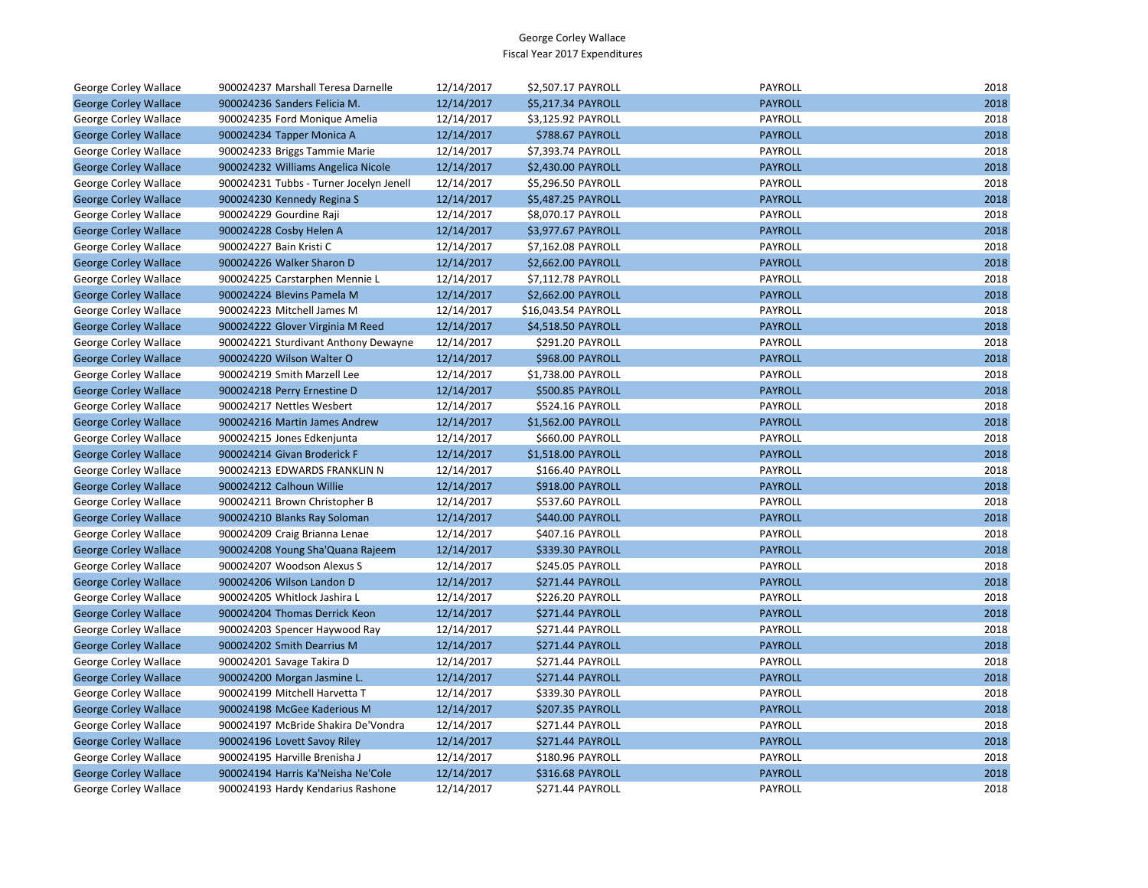| George Corley Wallace        | 900024237 Marshall Teresa Darnelle      | 12/14/2017 | \$2,507.17 PAYROLL      | PAYROLL        | 2018 |
|------------------------------|-----------------------------------------|------------|-------------------------|----------------|------|
| <b>George Corley Wallace</b> | 900024236 Sanders Felicia M.            | 12/14/2017 | \$5,217.34 PAYROLL      | <b>PAYROLL</b> | 2018 |
| George Corley Wallace        | 900024235 Ford Monique Amelia           | 12/14/2017 | \$3,125.92 PAYROLL      | PAYROLL        | 2018 |
| <b>George Corley Wallace</b> | 900024234 Tapper Monica A               | 12/14/2017 | \$788.67 PAYROLL        | <b>PAYROLL</b> | 2018 |
| George Corley Wallace        | 900024233 Briggs Tammie Marie           | 12/14/2017 | \$7,393.74 PAYROLL      | PAYROLL        | 2018 |
| <b>George Corley Wallace</b> | 900024232 Williams Angelica Nicole      | 12/14/2017 | \$2,430.00 PAYROLL      | <b>PAYROLL</b> | 2018 |
| George Corley Wallace        | 900024231 Tubbs - Turner Jocelyn Jenell | 12/14/2017 | \$5,296.50 PAYROLL      | PAYROLL        | 2018 |
| <b>George Corley Wallace</b> | 900024230 Kennedy Regina S              | 12/14/2017 | \$5,487.25 PAYROLL      | <b>PAYROLL</b> | 2018 |
| George Corley Wallace        | 900024229 Gourdine Raji                 | 12/14/2017 | \$8,070.17 PAYROLL      | PAYROLL        | 2018 |
| <b>George Corley Wallace</b> | 900024228 Cosby Helen A                 | 12/14/2017 | \$3,977.67 PAYROLL      | <b>PAYROLL</b> | 2018 |
| George Corley Wallace        | 900024227 Bain Kristi C                 | 12/14/2017 | \$7,162.08 PAYROLL      | PAYROLL        | 2018 |
| <b>George Corley Wallace</b> | 900024226 Walker Sharon D               | 12/14/2017 | \$2,662.00 PAYROLL      | <b>PAYROLL</b> | 2018 |
| George Corley Wallace        | 900024225 Carstarphen Mennie L          | 12/14/2017 | \$7,112.78 PAYROLL      | PAYROLL        | 2018 |
| <b>George Corley Wallace</b> | 900024224 Blevins Pamela M              | 12/14/2017 | \$2,662.00 PAYROLL      | <b>PAYROLL</b> | 2018 |
| George Corley Wallace        | 900024223 Mitchell James M              | 12/14/2017 | \$16,043.54 PAYROLL     | PAYROLL        | 2018 |
| <b>George Corley Wallace</b> | 900024222 Glover Virginia M Reed        | 12/14/2017 | \$4,518.50 PAYROLL      | <b>PAYROLL</b> | 2018 |
| George Corley Wallace        | 900024221 Sturdivant Anthony Dewayne    | 12/14/2017 | \$291.20 PAYROLL        | PAYROLL        | 2018 |
| <b>George Corley Wallace</b> | 900024220 Wilson Walter O               | 12/14/2017 | <b>\$968.00 PAYROLL</b> | <b>PAYROLL</b> | 2018 |
| George Corley Wallace        | 900024219 Smith Marzell Lee             | 12/14/2017 | \$1,738.00 PAYROLL      | PAYROLL        | 2018 |
| <b>George Corley Wallace</b> | 900024218 Perry Ernestine D             | 12/14/2017 | \$500.85 PAYROLL        | <b>PAYROLL</b> | 2018 |
| George Corley Wallace        | 900024217 Nettles Wesbert               | 12/14/2017 | \$524.16 PAYROLL        | PAYROLL        | 2018 |
| <b>George Corley Wallace</b> | 900024216 Martin James Andrew           | 12/14/2017 | \$1,562.00 PAYROLL      | <b>PAYROLL</b> | 2018 |
| George Corley Wallace        | 900024215 Jones Edkenjunta              | 12/14/2017 | \$660.00 PAYROLL        | PAYROLL        | 2018 |
| <b>George Corley Wallace</b> | 900024214 Givan Broderick F             | 12/14/2017 | \$1,518.00 PAYROLL      | <b>PAYROLL</b> | 2018 |
| George Corley Wallace        | 900024213 EDWARDS FRANKLIN N            | 12/14/2017 | \$166.40 PAYROLL        | PAYROLL        | 2018 |
| <b>George Corley Wallace</b> | 900024212 Calhoun Willie                | 12/14/2017 | \$918.00 PAYROLL        | <b>PAYROLL</b> | 2018 |
| George Corley Wallace        | 900024211 Brown Christopher B           | 12/14/2017 | \$537.60 PAYROLL        | PAYROLL        | 2018 |
| <b>George Corley Wallace</b> | 900024210 Blanks Ray Soloman            | 12/14/2017 | \$440.00 PAYROLL        | <b>PAYROLL</b> | 2018 |
| George Corley Wallace        | 900024209 Craig Brianna Lenae           | 12/14/2017 | \$407.16 PAYROLL        | PAYROLL        | 2018 |
| <b>George Corley Wallace</b> | 900024208 Young Sha'Quana Rajeem        | 12/14/2017 | \$339.30 PAYROLL        | <b>PAYROLL</b> | 2018 |
| George Corley Wallace        | 900024207 Woodson Alexus S              | 12/14/2017 | \$245.05 PAYROLL        | PAYROLL        | 2018 |
| <b>George Corley Wallace</b> | 900024206 Wilson Landon D               | 12/14/2017 | \$271.44 PAYROLL        | <b>PAYROLL</b> | 2018 |
| George Corley Wallace        | 900024205 Whitlock Jashira L            | 12/14/2017 | \$226.20 PAYROLL        | PAYROLL        | 2018 |
| <b>George Corley Wallace</b> | 900024204 Thomas Derrick Keon           | 12/14/2017 | \$271.44 PAYROLL        | <b>PAYROLL</b> | 2018 |
| George Corley Wallace        | 900024203 Spencer Haywood Ray           | 12/14/2017 | \$271.44 PAYROLL        | PAYROLL        | 2018 |
| <b>George Corley Wallace</b> | 900024202 Smith Dearrius M              | 12/14/2017 | <b>\$271.44 PAYROLL</b> | <b>PAYROLL</b> | 2018 |
| George Corley Wallace        | 900024201 Savage Takira D               | 12/14/2017 | \$271.44 PAYROLL        | PAYROLL        | 2018 |
| <b>George Corley Wallace</b> | 900024200 Morgan Jasmine L.             | 12/14/2017 | \$271.44 PAYROLL        | <b>PAYROLL</b> | 2018 |
| George Corley Wallace        | 900024199 Mitchell Harvetta T           | 12/14/2017 | \$339.30 PAYROLL        | PAYROLL        | 2018 |
| <b>George Corley Wallace</b> | 900024198 McGee Kaderious M             | 12/14/2017 | \$207.35 PAYROLL        | <b>PAYROLL</b> | 2018 |
| George Corley Wallace        | 900024197 McBride Shakira De'Vondra     | 12/14/2017 | \$271.44 PAYROLL        | PAYROLL        | 2018 |
| <b>George Corley Wallace</b> | 900024196 Lovett Savoy Riley            | 12/14/2017 | \$271.44 PAYROLL        | <b>PAYROLL</b> | 2018 |
| George Corley Wallace        | 900024195 Harville Brenisha J           | 12/14/2017 | \$180.96 PAYROLL        | PAYROLL        | 2018 |
| <b>George Corley Wallace</b> | 900024194 Harris Ka'Neisha Ne'Cole      | 12/14/2017 | \$316.68 PAYROLL        | <b>PAYROLL</b> | 2018 |
| George Corley Wallace        | 900024193 Hardy Kendarius Rashone       | 12/14/2017 | \$271.44 PAYROLL        | PAYROLL        | 2018 |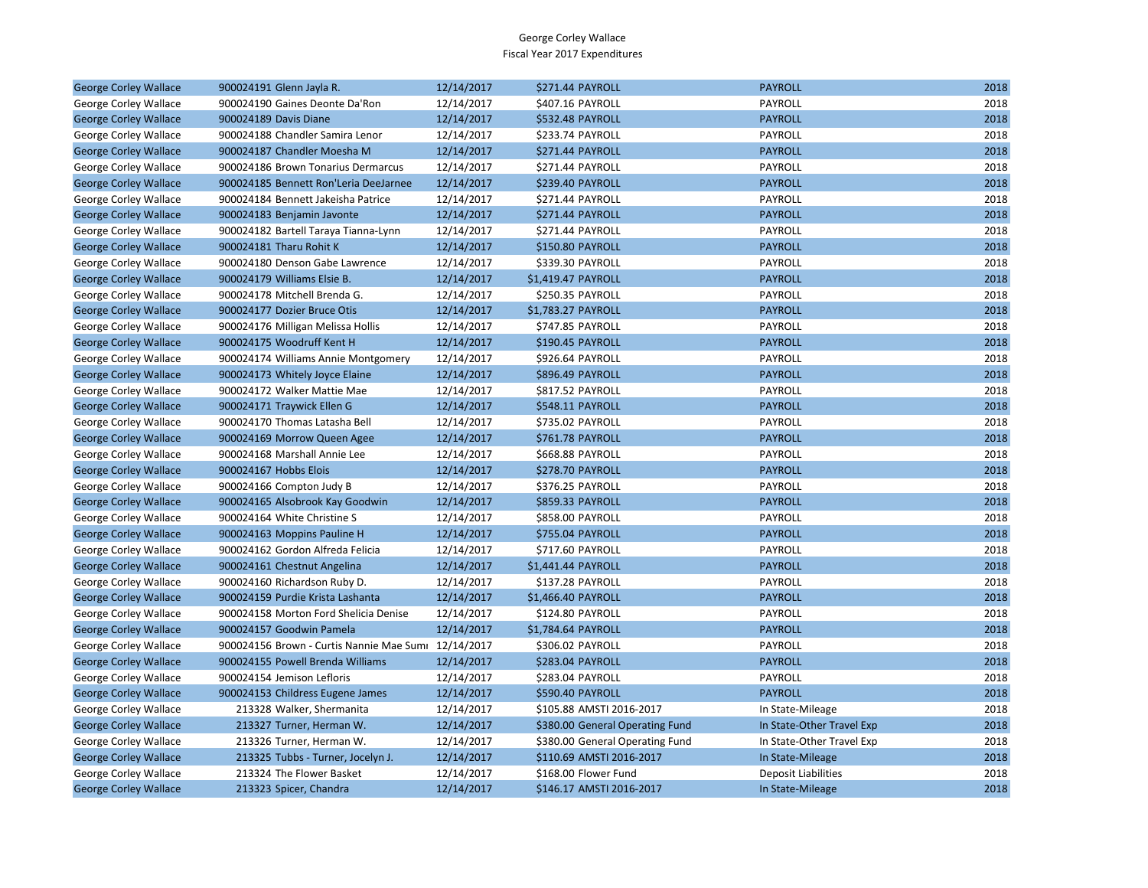| <b>George Corley Wallace</b> | 900024191 Glenn Jayla R.                            | 12/14/2017 | \$271.44 PAYROLL                | <b>PAYROLL</b>             | 2018 |
|------------------------------|-----------------------------------------------------|------------|---------------------------------|----------------------------|------|
| George Corley Wallace        | 900024190 Gaines Deonte Da'Ron                      | 12/14/2017 | \$407.16 PAYROLL                | PAYROLL                    | 2018 |
| <b>George Corley Wallace</b> | 900024189 Davis Diane                               | 12/14/2017 | <b>\$532.48 PAYROLL</b>         | <b>PAYROLL</b>             | 2018 |
| George Corley Wallace        | 900024188 Chandler Samira Lenor                     | 12/14/2017 | \$233.74 PAYROLL                | PAYROLL                    | 2018 |
| <b>George Corley Wallace</b> | 900024187 Chandler Moesha M                         | 12/14/2017 | \$271.44 PAYROLL                | <b>PAYROLL</b>             | 2018 |
| George Corley Wallace        | 900024186 Brown Tonarius Dermarcus                  | 12/14/2017 | \$271.44 PAYROLL                | PAYROLL                    | 2018 |
| <b>George Corley Wallace</b> | 900024185 Bennett Ron'Leria DeeJarnee               | 12/14/2017 | <b>\$239.40 PAYROLL</b>         | <b>PAYROLL</b>             | 2018 |
| George Corley Wallace        | 900024184 Bennett Jakeisha Patrice                  | 12/14/2017 | \$271.44 PAYROLL                | PAYROLL                    | 2018 |
| <b>George Corley Wallace</b> | 900024183 Benjamin Javonte                          | 12/14/2017 | \$271.44 PAYROLL                | <b>PAYROLL</b>             | 2018 |
| George Corley Wallace        | 900024182 Bartell Taraya Tianna-Lynn                | 12/14/2017 | \$271.44 PAYROLL                | PAYROLL                    | 2018 |
| <b>George Corley Wallace</b> | 900024181 Tharu Rohit K                             | 12/14/2017 | \$150.80 PAYROLL                | <b>PAYROLL</b>             | 2018 |
| George Corley Wallace        | 900024180 Denson Gabe Lawrence                      | 12/14/2017 | \$339.30 PAYROLL                | PAYROLL                    | 2018 |
| <b>George Corley Wallace</b> | 900024179 Williams Elsie B.                         | 12/14/2017 | \$1,419.47 PAYROLL              | <b>PAYROLL</b>             | 2018 |
| George Corley Wallace        | 900024178 Mitchell Brenda G.                        | 12/14/2017 | \$250.35 PAYROLL                | PAYROLL                    | 2018 |
| <b>George Corley Wallace</b> | 900024177 Dozier Bruce Otis                         | 12/14/2017 | \$1,783.27 PAYROLL              | <b>PAYROLL</b>             | 2018 |
| George Corley Wallace        | 900024176 Milligan Melissa Hollis                   | 12/14/2017 | \$747.85 PAYROLL                | PAYROLL                    | 2018 |
| <b>George Corley Wallace</b> | 900024175 Woodruff Kent H                           | 12/14/2017 | \$190.45 PAYROLL                | <b>PAYROLL</b>             | 2018 |
| George Corley Wallace        | 900024174 Williams Annie Montgomery                 | 12/14/2017 | \$926.64 PAYROLL                | PAYROLL                    | 2018 |
| <b>George Corley Wallace</b> | 900024173 Whitely Joyce Elaine                      | 12/14/2017 | <b>\$896.49 PAYROLL</b>         | <b>PAYROLL</b>             | 2018 |
| George Corley Wallace        | 900024172 Walker Mattie Mae                         | 12/14/2017 | \$817.52 PAYROLL                | PAYROLL                    | 2018 |
| <b>George Corley Wallace</b> | 900024171 Traywick Ellen G                          | 12/14/2017 | \$548.11 PAYROLL                | <b>PAYROLL</b>             | 2018 |
| George Corley Wallace        | 900024170 Thomas Latasha Bell                       | 12/14/2017 | \$735.02 PAYROLL                | PAYROLL                    | 2018 |
| <b>George Corley Wallace</b> | 900024169 Morrow Queen Agee                         | 12/14/2017 | \$761.78 PAYROLL                | <b>PAYROLL</b>             | 2018 |
| George Corley Wallace        | 900024168 Marshall Annie Lee                        | 12/14/2017 | \$668.88 PAYROLL                | PAYROLL                    | 2018 |
| <b>George Corley Wallace</b> | 900024167 Hobbs Elois                               | 12/14/2017 | \$278.70 PAYROLL                | <b>PAYROLL</b>             | 2018 |
| George Corley Wallace        | 900024166 Compton Judy B                            | 12/14/2017 | \$376.25 PAYROLL                | PAYROLL                    | 2018 |
| <b>George Corley Wallace</b> | 900024165 Alsobrook Kay Goodwin                     | 12/14/2017 | \$859.33 PAYROLL                | <b>PAYROLL</b>             | 2018 |
| George Corley Wallace        | 900024164 White Christine S                         | 12/14/2017 | \$858.00 PAYROLL                | PAYROLL                    | 2018 |
| <b>George Corley Wallace</b> | 900024163 Moppins Pauline H                         | 12/14/2017 | \$755.04 PAYROLL                | <b>PAYROLL</b>             | 2018 |
| George Corley Wallace        | 900024162 Gordon Alfreda Felicia                    | 12/14/2017 | \$717.60 PAYROLL                | PAYROLL                    | 2018 |
| <b>George Corley Wallace</b> | 900024161 Chestnut Angelina                         | 12/14/2017 | \$1,441.44 PAYROLL              | <b>PAYROLL</b>             | 2018 |
| George Corley Wallace        | 900024160 Richardson Ruby D.                        | 12/14/2017 | \$137.28 PAYROLL                | PAYROLL                    | 2018 |
| <b>George Corley Wallace</b> | 900024159 Purdie Krista Lashanta                    | 12/14/2017 | \$1,466.40 PAYROLL              | <b>PAYROLL</b>             | 2018 |
| George Corley Wallace        | 900024158 Morton Ford Shelicia Denise               | 12/14/2017 | \$124.80 PAYROLL                | PAYROLL                    | 2018 |
| <b>George Corley Wallace</b> | 900024157 Goodwin Pamela                            | 12/14/2017 | \$1,784.64 PAYROLL              | <b>PAYROLL</b>             | 2018 |
| George Corley Wallace        | 900024156 Brown - Curtis Nannie Mae Sumi 12/14/2017 |            | \$306.02 PAYROLL                | PAYROLL                    | 2018 |
| <b>George Corley Wallace</b> | 900024155 Powell Brenda Williams                    | 12/14/2017 | \$283.04 PAYROLL                | <b>PAYROLL</b>             | 2018 |
| George Corley Wallace        | 900024154 Jemison Lefloris                          | 12/14/2017 | \$283.04 PAYROLL                | PAYROLL                    | 2018 |
| <b>George Corley Wallace</b> | 900024153 Childress Eugene James                    | 12/14/2017 | \$590.40 PAYROLL                | <b>PAYROLL</b>             | 2018 |
| George Corley Wallace        | 213328 Walker, Shermanita                           | 12/14/2017 | \$105.88 AMSTI 2016-2017        | In State-Mileage           | 2018 |
| <b>George Corley Wallace</b> | 213327 Turner, Herman W.                            | 12/14/2017 | \$380.00 General Operating Fund | In State-Other Travel Exp  | 2018 |
| George Corley Wallace        | 213326 Turner, Herman W.                            | 12/14/2017 | \$380.00 General Operating Fund | In State-Other Travel Exp  | 2018 |
| <b>George Corley Wallace</b> | 213325 Tubbs - Turner, Jocelyn J.                   | 12/14/2017 | \$110.69 AMSTI 2016-2017        | In State-Mileage           | 2018 |
| George Corley Wallace        | 213324 The Flower Basket                            | 12/14/2017 | \$168.00 Flower Fund            | <b>Deposit Liabilities</b> | 2018 |
| <b>George Corley Wallace</b> | 213323 Spicer, Chandra                              | 12/14/2017 | \$146.17 AMSTI 2016-2017        | In State-Mileage           | 2018 |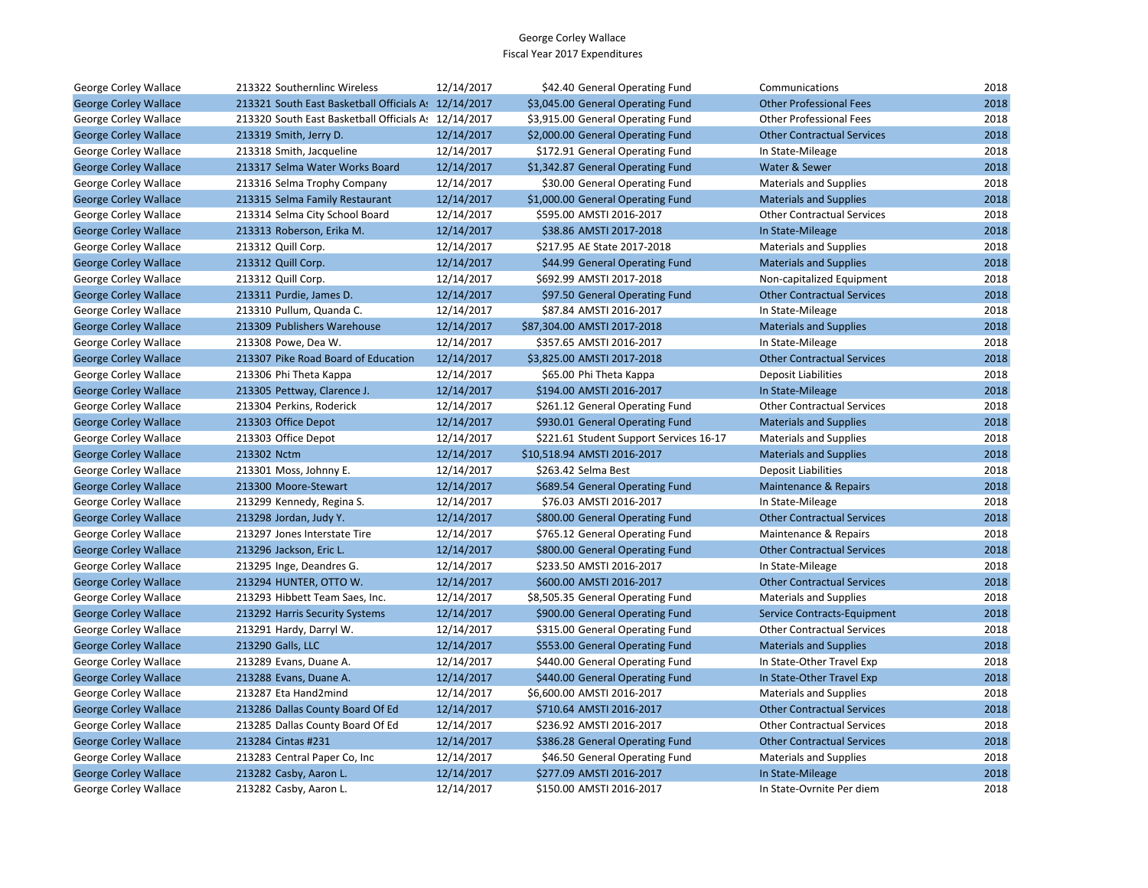| George Corley Wallace        | 213322 Southernlinc Wireless                         | 12/14/2017 | \$42.40 General Operating Fund          | Communications                     | 2018 |
|------------------------------|------------------------------------------------------|------------|-----------------------------------------|------------------------------------|------|
| <b>George Corley Wallace</b> | 213321 South East Basketball Officials A: 12/14/2017 |            | \$3,045.00 General Operating Fund       | <b>Other Professional Fees</b>     | 2018 |
| George Corley Wallace        | 213320 South East Basketball Officials As 12/14/2017 |            | \$3,915.00 General Operating Fund       | <b>Other Professional Fees</b>     | 2018 |
| <b>George Corley Wallace</b> | 213319 Smith, Jerry D.                               | 12/14/2017 | \$2,000.00 General Operating Fund       | <b>Other Contractual Services</b>  | 2018 |
| George Corley Wallace        | 213318 Smith, Jacqueline                             | 12/14/2017 | \$172.91 General Operating Fund         | In State-Mileage                   | 2018 |
| <b>George Corley Wallace</b> | 213317 Selma Water Works Board                       | 12/14/2017 | \$1,342.87 General Operating Fund       | Water & Sewer                      | 2018 |
| George Corley Wallace        | 213316 Selma Trophy Company                          | 12/14/2017 | \$30.00 General Operating Fund          | <b>Materials and Supplies</b>      | 2018 |
| <b>George Corley Wallace</b> | 213315 Selma Family Restaurant                       | 12/14/2017 | \$1,000.00 General Operating Fund       | <b>Materials and Supplies</b>      | 2018 |
| George Corley Wallace        | 213314 Selma City School Board                       | 12/14/2017 | \$595.00 AMSTI 2016-2017                | <b>Other Contractual Services</b>  | 2018 |
| <b>George Corley Wallace</b> | 213313 Roberson, Erika M.                            | 12/14/2017 | \$38.86 AMSTI 2017-2018                 | In State-Mileage                   | 2018 |
| George Corley Wallace        | 213312 Quill Corp.                                   | 12/14/2017 | \$217.95 AE State 2017-2018             | <b>Materials and Supplies</b>      | 2018 |
| <b>George Corley Wallace</b> | 213312 Quill Corp.                                   | 12/14/2017 | \$44.99 General Operating Fund          | <b>Materials and Supplies</b>      | 2018 |
| George Corley Wallace        | 213312 Quill Corp.                                   | 12/14/2017 | \$692.99 AMSTI 2017-2018                | Non-capitalized Equipment          | 2018 |
| <b>George Corley Wallace</b> | 213311 Purdie, James D.                              | 12/14/2017 | \$97.50 General Operating Fund          | <b>Other Contractual Services</b>  | 2018 |
| George Corley Wallace        | 213310 Pullum, Quanda C.                             | 12/14/2017 | \$87.84 AMSTI 2016-2017                 | In State-Mileage                   | 2018 |
| <b>George Corley Wallace</b> | 213309 Publishers Warehouse                          | 12/14/2017 | \$87,304.00 AMSTI 2017-2018             | <b>Materials and Supplies</b>      | 2018 |
| George Corley Wallace        | 213308 Powe, Dea W.                                  | 12/14/2017 | \$357.65 AMSTI 2016-2017                | In State-Mileage                   | 2018 |
| <b>George Corley Wallace</b> | 213307 Pike Road Board of Education                  | 12/14/2017 | \$3,825.00 AMSTI 2017-2018              | <b>Other Contractual Services</b>  | 2018 |
| George Corley Wallace        | 213306 Phi Theta Kappa                               | 12/14/2017 | \$65.00 Phi Theta Kappa                 | <b>Deposit Liabilities</b>         | 2018 |
| <b>George Corley Wallace</b> | 213305 Pettway, Clarence J.                          | 12/14/2017 | \$194.00 AMSTI 2016-2017                | In State-Mileage                   | 2018 |
| George Corley Wallace        | 213304 Perkins, Roderick                             | 12/14/2017 | \$261.12 General Operating Fund         | <b>Other Contractual Services</b>  | 2018 |
| <b>George Corley Wallace</b> | 213303 Office Depot                                  | 12/14/2017 | \$930.01 General Operating Fund         | <b>Materials and Supplies</b>      | 2018 |
| George Corley Wallace        | 213303 Office Depot                                  | 12/14/2017 | \$221.61 Student Support Services 16-17 | <b>Materials and Supplies</b>      | 2018 |
| <b>George Corley Wallace</b> | 213302 Nctm                                          | 12/14/2017 | \$10,518.94 AMSTI 2016-2017             | <b>Materials and Supplies</b>      | 2018 |
| George Corley Wallace        | 213301 Moss, Johnny E.                               | 12/14/2017 | \$263.42 Selma Best                     | <b>Deposit Liabilities</b>         | 2018 |
| <b>George Corley Wallace</b> | 213300 Moore-Stewart                                 | 12/14/2017 | \$689.54 General Operating Fund         | <b>Maintenance &amp; Repairs</b>   | 2018 |
| George Corley Wallace        | 213299 Kennedy, Regina S.                            | 12/14/2017 | \$76.03 AMSTI 2016-2017                 | In State-Mileage                   | 2018 |
| <b>George Corley Wallace</b> | 213298 Jordan, Judy Y.                               | 12/14/2017 | \$800.00 General Operating Fund         | <b>Other Contractual Services</b>  | 2018 |
| George Corley Wallace        | 213297 Jones Interstate Tire                         | 12/14/2017 | \$765.12 General Operating Fund         | Maintenance & Repairs              | 2018 |
| <b>George Corley Wallace</b> | 213296 Jackson, Eric L.                              | 12/14/2017 | \$800.00 General Operating Fund         | <b>Other Contractual Services</b>  | 2018 |
| George Corley Wallace        | 213295 Inge, Deandres G.                             | 12/14/2017 | \$233.50 AMSTI 2016-2017                | In State-Mileage                   | 2018 |
| <b>George Corley Wallace</b> | 213294 HUNTER, OTTO W.                               | 12/14/2017 | \$600.00 AMSTI 2016-2017                | <b>Other Contractual Services</b>  | 2018 |
| George Corley Wallace        | 213293 Hibbett Team Saes, Inc.                       | 12/14/2017 | \$8,505.35 General Operating Fund       | <b>Materials and Supplies</b>      | 2018 |
| <b>George Corley Wallace</b> | 213292 Harris Security Systems                       | 12/14/2017 | \$900.00 General Operating Fund         | <b>Service Contracts-Equipment</b> | 2018 |
| George Corley Wallace        | 213291 Hardy, Darryl W.                              | 12/14/2017 | \$315.00 General Operating Fund         | <b>Other Contractual Services</b>  | 2018 |
| <b>George Corley Wallace</b> | 213290 Galls, LLC                                    | 12/14/2017 | \$553.00 General Operating Fund         | <b>Materials and Supplies</b>      | 2018 |
| George Corley Wallace        | 213289 Evans, Duane A.                               | 12/14/2017 | \$440.00 General Operating Fund         | In State-Other Travel Exp          | 2018 |
| <b>George Corley Wallace</b> | 213288 Evans, Duane A.                               | 12/14/2017 | \$440.00 General Operating Fund         | In State-Other Travel Exp          | 2018 |
| George Corley Wallace        | 213287 Eta Hand2mind                                 | 12/14/2017 | \$6,600.00 AMSTI 2016-2017              | <b>Materials and Supplies</b>      | 2018 |
| <b>George Corley Wallace</b> | 213286 Dallas County Board Of Ed                     | 12/14/2017 | \$710.64 AMSTI 2016-2017                | <b>Other Contractual Services</b>  | 2018 |
| George Corley Wallace        | 213285 Dallas County Board Of Ed                     | 12/14/2017 | \$236.92 AMSTI 2016-2017                | <b>Other Contractual Services</b>  | 2018 |
| <b>George Corley Wallace</b> | 213284 Cintas #231                                   | 12/14/2017 | \$386.28 General Operating Fund         | <b>Other Contractual Services</b>  | 2018 |
| George Corley Wallace        | 213283 Central Paper Co, Inc                         | 12/14/2017 | \$46.50 General Operating Fund          | <b>Materials and Supplies</b>      | 2018 |
| <b>George Corley Wallace</b> | 213282 Casby, Aaron L.                               | 12/14/2017 | \$277.09 AMSTI 2016-2017                | In State-Mileage                   | 2018 |
| George Corley Wallace        | 213282 Casby, Aaron L.                               | 12/14/2017 | \$150.00 AMSTI 2016-2017                | In State-Ovrnite Per diem          | 2018 |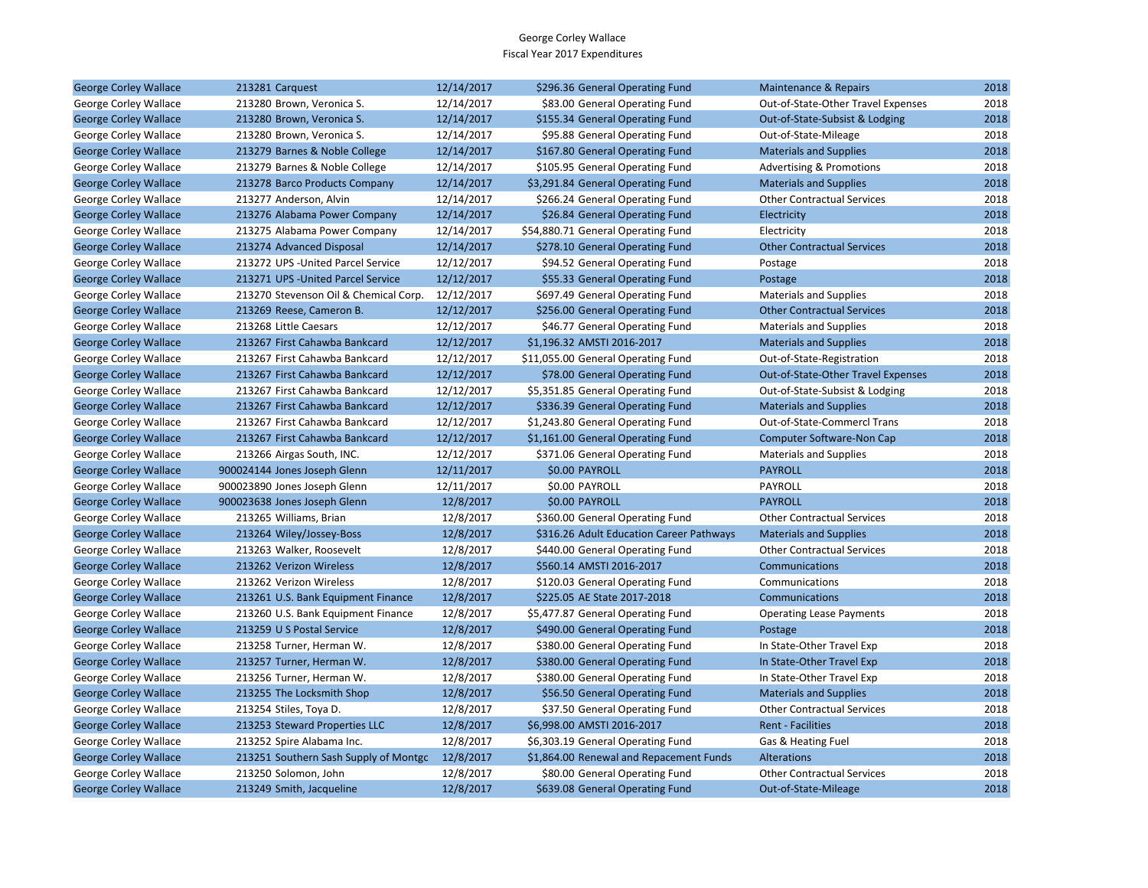| George Corley Wallace        | 213281 Carquest                       | 12/14/2017 | \$296.36 General Operating Fund          | Maintenance & Repairs               | 2018 |
|------------------------------|---------------------------------------|------------|------------------------------------------|-------------------------------------|------|
| George Corley Wallace        | 213280 Brown, Veronica S.             | 12/14/2017 | \$83.00 General Operating Fund           | Out-of-State-Other Travel Expenses  | 2018 |
| <b>George Corley Wallace</b> | 213280 Brown, Veronica S.             | 12/14/2017 | \$155.34 General Operating Fund          | Out-of-State-Subsist & Lodging      | 2018 |
| George Corley Wallace        | 213280 Brown, Veronica S.             | 12/14/2017 | \$95.88 General Operating Fund           | Out-of-State-Mileage                | 2018 |
| <b>George Corley Wallace</b> | 213279 Barnes & Noble College         | 12/14/2017 | \$167.80 General Operating Fund          | <b>Materials and Supplies</b>       | 2018 |
| George Corley Wallace        | 213279 Barnes & Noble College         | 12/14/2017 | \$105.95 General Operating Fund          | <b>Advertising &amp; Promotions</b> | 2018 |
| <b>George Corley Wallace</b> | 213278 Barco Products Company         | 12/14/2017 | \$3,291.84 General Operating Fund        | <b>Materials and Supplies</b>       | 2018 |
| George Corley Wallace        | 213277 Anderson, Alvin                | 12/14/2017 | \$266.24 General Operating Fund          | <b>Other Contractual Services</b>   | 2018 |
| <b>George Corley Wallace</b> | 213276 Alabama Power Company          | 12/14/2017 | \$26.84 General Operating Fund           | Electricity                         | 2018 |
| George Corley Wallace        | 213275 Alabama Power Company          | 12/14/2017 | \$54,880.71 General Operating Fund       | Electricity                         | 2018 |
| <b>George Corley Wallace</b> | 213274 Advanced Disposal              | 12/14/2017 | \$278.10 General Operating Fund          | <b>Other Contractual Services</b>   | 2018 |
| George Corley Wallace        | 213272 UPS - United Parcel Service    | 12/12/2017 | \$94.52 General Operating Fund           | Postage                             | 2018 |
| <b>George Corley Wallace</b> | 213271 UPS - United Parcel Service    | 12/12/2017 | \$55.33 General Operating Fund           | Postage                             | 2018 |
| George Corley Wallace        | 213270 Stevenson Oil & Chemical Corp. | 12/12/2017 | \$697.49 General Operating Fund          | <b>Materials and Supplies</b>       | 2018 |
| <b>George Corley Wallace</b> | 213269 Reese, Cameron B.              | 12/12/2017 | \$256.00 General Operating Fund          | <b>Other Contractual Services</b>   | 2018 |
| George Corley Wallace        | 213268 Little Caesars                 | 12/12/2017 | \$46.77 General Operating Fund           | <b>Materials and Supplies</b>       | 2018 |
| <b>George Corley Wallace</b> | 213267 First Cahawba Bankcard         | 12/12/2017 | \$1,196.32 AMSTI 2016-2017               | <b>Materials and Supplies</b>       | 2018 |
| George Corley Wallace        | 213267 First Cahawba Bankcard         | 12/12/2017 | \$11,055.00 General Operating Fund       | Out-of-State-Registration           | 2018 |
| <b>George Corley Wallace</b> | 213267 First Cahawba Bankcard         | 12/12/2017 | \$78.00 General Operating Fund           | Out-of-State-Other Travel Expenses  | 2018 |
| George Corley Wallace        | 213267 First Cahawba Bankcard         | 12/12/2017 | \$5,351.85 General Operating Fund        | Out-of-State-Subsist & Lodging      | 2018 |
| <b>George Corley Wallace</b> | 213267 First Cahawba Bankcard         | 12/12/2017 | \$336.39 General Operating Fund          | <b>Materials and Supplies</b>       | 2018 |
| George Corley Wallace        | 213267 First Cahawba Bankcard         | 12/12/2017 | \$1,243.80 General Operating Fund        | Out-of-State-Commercl Trans         | 2018 |
| <b>George Corley Wallace</b> | 213267 First Cahawba Bankcard         | 12/12/2017 | \$1,161.00 General Operating Fund        | <b>Computer Software-Non Cap</b>    | 2018 |
| George Corley Wallace        | 213266 Airgas South, INC.             | 12/12/2017 | \$371.06 General Operating Fund          | <b>Materials and Supplies</b>       | 2018 |
| <b>George Corley Wallace</b> | 900024144 Jones Joseph Glenn          | 12/11/2017 | \$0.00 PAYROLL                           | <b>PAYROLL</b>                      | 2018 |
| George Corley Wallace        | 900023890 Jones Joseph Glenn          | 12/11/2017 | \$0.00 PAYROLL                           | PAYROLL                             | 2018 |
| <b>George Corley Wallace</b> | 900023638 Jones Joseph Glenn          | 12/8/2017  | \$0.00 PAYROLL                           | <b>PAYROLL</b>                      | 2018 |
| George Corley Wallace        | 213265 Williams, Brian                | 12/8/2017  | \$360.00 General Operating Fund          | <b>Other Contractual Services</b>   | 2018 |
| <b>George Corley Wallace</b> | 213264 Wiley/Jossey-Boss              | 12/8/2017  | \$316.26 Adult Education Career Pathways | <b>Materials and Supplies</b>       | 2018 |
| George Corley Wallace        | 213263 Walker, Roosevelt              | 12/8/2017  | \$440.00 General Operating Fund          | <b>Other Contractual Services</b>   | 2018 |
| <b>George Corley Wallace</b> | 213262 Verizon Wireless               | 12/8/2017  | \$560.14 AMSTI 2016-2017                 | Communications                      | 2018 |
| George Corley Wallace        | 213262 Verizon Wireless               | 12/8/2017  | \$120.03 General Operating Fund          | Communications                      | 2018 |
| <b>George Corley Wallace</b> | 213261 U.S. Bank Equipment Finance    | 12/8/2017  | \$225.05 AE State 2017-2018              | Communications                      | 2018 |
| George Corley Wallace        | 213260 U.S. Bank Equipment Finance    | 12/8/2017  | \$5,477.87 General Operating Fund        | <b>Operating Lease Payments</b>     | 2018 |
| <b>George Corley Wallace</b> | 213259 U S Postal Service             | 12/8/2017  | \$490.00 General Operating Fund          | Postage                             | 2018 |
| George Corley Wallace        | 213258 Turner, Herman W.              | 12/8/2017  | \$380.00 General Operating Fund          | In State-Other Travel Exp           | 2018 |
| <b>George Corley Wallace</b> | 213257 Turner, Herman W.              | 12/8/2017  | \$380.00 General Operating Fund          | In State-Other Travel Exp           | 2018 |
| George Corley Wallace        | 213256 Turner, Herman W.              | 12/8/2017  | \$380.00 General Operating Fund          | In State-Other Travel Exp           | 2018 |
| <b>George Corley Wallace</b> | 213255 The Locksmith Shop             | 12/8/2017  | \$56.50 General Operating Fund           | <b>Materials and Supplies</b>       | 2018 |
| George Corley Wallace        | 213254 Stiles, Toya D.                | 12/8/2017  | \$37.50 General Operating Fund           | <b>Other Contractual Services</b>   | 2018 |
| <b>George Corley Wallace</b> | 213253 Steward Properties LLC         | 12/8/2017  | \$6,998.00 AMSTI 2016-2017               | <b>Rent - Facilities</b>            | 2018 |
| George Corley Wallace        | 213252 Spire Alabama Inc.             | 12/8/2017  | \$6,303.19 General Operating Fund        | Gas & Heating Fuel                  | 2018 |
| <b>George Corley Wallace</b> | 213251 Southern Sash Supply of Montgc | 12/8/2017  | \$1,864.00 Renewal and Repacement Funds  | <b>Alterations</b>                  | 2018 |
| George Corley Wallace        | 213250 Solomon, John                  | 12/8/2017  | \$80.00 General Operating Fund           | <b>Other Contractual Services</b>   | 2018 |
| <b>George Corley Wallace</b> | 213249 Smith, Jacqueline              | 12/8/2017  | \$639.08 General Operating Fund          | Out-of-State-Mileage                | 2018 |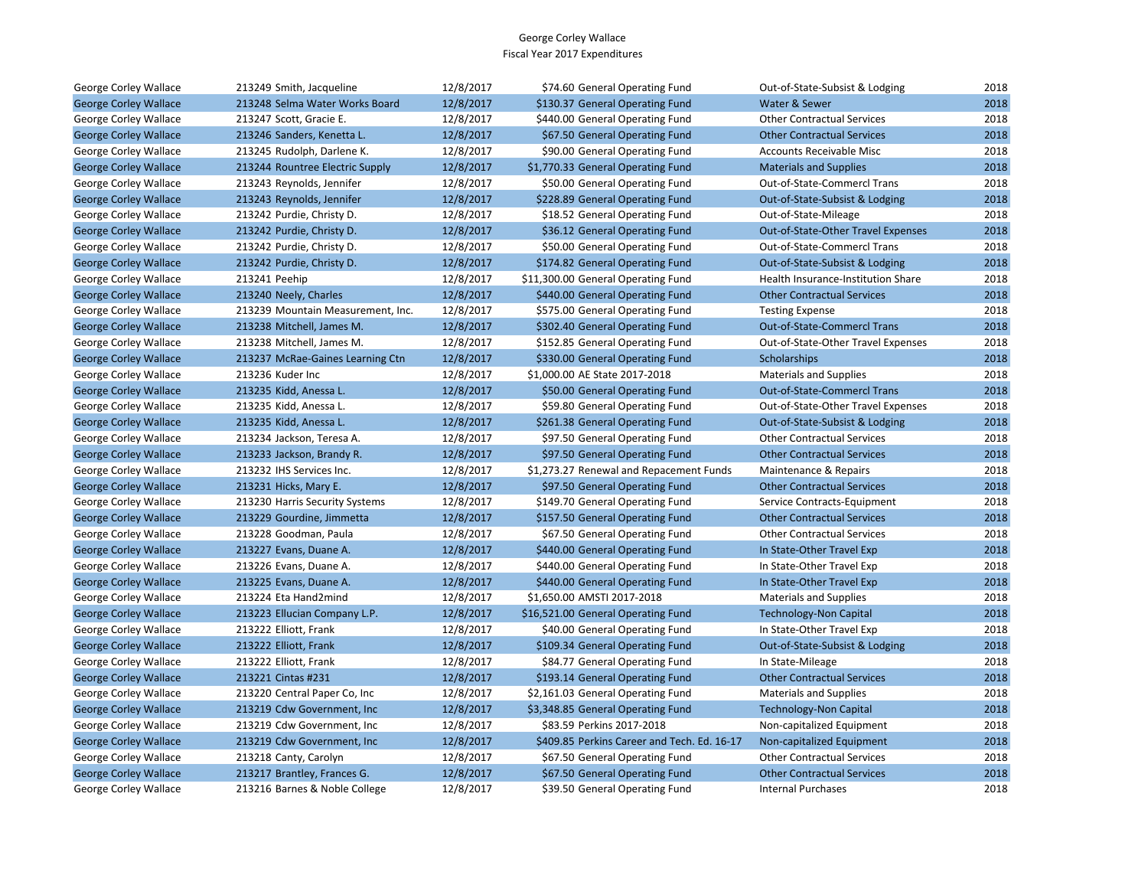| George Corley Wallace        | 213249 Smith, Jacqueline          | 12/8/2017 | \$74.60 General Operating Fund              | Out-of-State-Subsist & Lodging     | 2018 |
|------------------------------|-----------------------------------|-----------|---------------------------------------------|------------------------------------|------|
| <b>George Corley Wallace</b> | 213248 Selma Water Works Board    | 12/8/2017 | \$130.37 General Operating Fund             | Water & Sewer                      | 2018 |
| George Corley Wallace        | 213247 Scott, Gracie E.           | 12/8/2017 | \$440.00 General Operating Fund             | <b>Other Contractual Services</b>  | 2018 |
| <b>George Corley Wallace</b> | 213246 Sanders, Kenetta L.        | 12/8/2017 | \$67.50 General Operating Fund              | <b>Other Contractual Services</b>  | 2018 |
| George Corley Wallace        | 213245 Rudolph, Darlene K.        | 12/8/2017 | \$90.00 General Operating Fund              | Accounts Receivable Misc           | 2018 |
| <b>George Corley Wallace</b> | 213244 Rountree Electric Supply   | 12/8/2017 | \$1,770.33 General Operating Fund           | <b>Materials and Supplies</b>      | 2018 |
| George Corley Wallace        | 213243 Reynolds, Jennifer         | 12/8/2017 | \$50.00 General Operating Fund              | Out-of-State-Commercl Trans        | 2018 |
| <b>George Corley Wallace</b> | 213243 Reynolds, Jennifer         | 12/8/2017 | \$228.89 General Operating Fund             | Out-of-State-Subsist & Lodging     | 2018 |
| George Corley Wallace        | 213242 Purdie, Christy D.         | 12/8/2017 | \$18.52 General Operating Fund              | Out-of-State-Mileage               | 2018 |
| <b>George Corley Wallace</b> | 213242 Purdie, Christy D.         | 12/8/2017 | \$36.12 General Operating Fund              | Out-of-State-Other Travel Expenses | 2018 |
| George Corley Wallace        | 213242 Purdie, Christy D.         | 12/8/2017 | \$50.00 General Operating Fund              | Out-of-State-Commercl Trans        | 2018 |
| <b>George Corley Wallace</b> | 213242 Purdie, Christy D.         | 12/8/2017 | \$174.82 General Operating Fund             | Out-of-State-Subsist & Lodging     | 2018 |
| George Corley Wallace        | 213241 Peehip                     | 12/8/2017 | \$11,300.00 General Operating Fund          | Health Insurance-Institution Share | 2018 |
| <b>George Corley Wallace</b> | 213240 Neely, Charles             | 12/8/2017 | \$440.00 General Operating Fund             | <b>Other Contractual Services</b>  | 2018 |
| George Corley Wallace        | 213239 Mountain Measurement, Inc. | 12/8/2017 | \$575.00 General Operating Fund             | <b>Testing Expense</b>             | 2018 |
| <b>George Corley Wallace</b> | 213238 Mitchell, James M.         | 12/8/2017 | \$302.40 General Operating Fund             | <b>Out-of-State-Commercl Trans</b> | 2018 |
| George Corley Wallace        | 213238 Mitchell, James M.         | 12/8/2017 | \$152.85 General Operating Fund             | Out-of-State-Other Travel Expenses | 2018 |
| <b>George Corley Wallace</b> | 213237 McRae-Gaines Learning Ctn  | 12/8/2017 | \$330.00 General Operating Fund             | Scholarships                       | 2018 |
| George Corley Wallace        | 213236 Kuder Inc                  | 12/8/2017 | \$1,000.00 AE State 2017-2018               | <b>Materials and Supplies</b>      | 2018 |
| <b>George Corley Wallace</b> | 213235 Kidd, Anessa L.            | 12/8/2017 | \$50.00 General Operating Fund              | <b>Out-of-State-Commercl Trans</b> | 2018 |
| George Corley Wallace        | 213235 Kidd, Anessa L.            | 12/8/2017 | \$59.80 General Operating Fund              | Out-of-State-Other Travel Expenses | 2018 |
| <b>George Corley Wallace</b> | 213235 Kidd, Anessa L.            | 12/8/2017 | \$261.38 General Operating Fund             | Out-of-State-Subsist & Lodging     | 2018 |
| George Corley Wallace        | 213234 Jackson, Teresa A.         | 12/8/2017 | \$97.50 General Operating Fund              | <b>Other Contractual Services</b>  | 2018 |
| <b>George Corley Wallace</b> | 213233 Jackson, Brandy R.         | 12/8/2017 | \$97.50 General Operating Fund              | <b>Other Contractual Services</b>  | 2018 |
| George Corley Wallace        | 213232 IHS Services Inc.          | 12/8/2017 | \$1,273.27 Renewal and Repacement Funds     | Maintenance & Repairs              | 2018 |
| <b>George Corley Wallace</b> | 213231 Hicks, Mary E.             | 12/8/2017 | \$97.50 General Operating Fund              | <b>Other Contractual Services</b>  | 2018 |
| George Corley Wallace        | 213230 Harris Security Systems    | 12/8/2017 | \$149.70 General Operating Fund             | Service Contracts-Equipment        | 2018 |
| <b>George Corley Wallace</b> | 213229 Gourdine, Jimmetta         | 12/8/2017 | \$157.50 General Operating Fund             | <b>Other Contractual Services</b>  | 2018 |
| George Corley Wallace        | 213228 Goodman, Paula             | 12/8/2017 | \$67.50 General Operating Fund              | <b>Other Contractual Services</b>  | 2018 |
| <b>George Corley Wallace</b> | 213227 Evans, Duane A.            | 12/8/2017 | \$440.00 General Operating Fund             | In State-Other Travel Exp          | 2018 |
| George Corley Wallace        | 213226 Evans, Duane A.            | 12/8/2017 | \$440.00 General Operating Fund             | In State-Other Travel Exp          | 2018 |
| <b>George Corley Wallace</b> | 213225 Evans, Duane A.            | 12/8/2017 | \$440.00 General Operating Fund             | In State-Other Travel Exp          | 2018 |
| George Corley Wallace        | 213224 Eta Hand2mind              | 12/8/2017 | \$1,650.00 AMSTI 2017-2018                  | <b>Materials and Supplies</b>      | 2018 |
| <b>George Corley Wallace</b> | 213223 Ellucian Company L.P.      | 12/8/2017 | \$16,521.00 General Operating Fund          | <b>Technology-Non Capital</b>      | 2018 |
| George Corley Wallace        | 213222 Elliott, Frank             | 12/8/2017 | \$40.00 General Operating Fund              | In State-Other Travel Exp          | 2018 |
| <b>George Corley Wallace</b> | 213222 Elliott, Frank             | 12/8/2017 | \$109.34 General Operating Fund             | Out-of-State-Subsist & Lodging     | 2018 |
| George Corley Wallace        | 213222 Elliott, Frank             | 12/8/2017 | \$84.77 General Operating Fund              | In State-Mileage                   | 2018 |
| <b>George Corley Wallace</b> | 213221 Cintas #231                | 12/8/2017 | \$193.14 General Operating Fund             | <b>Other Contractual Services</b>  | 2018 |
| George Corley Wallace        | 213220 Central Paper Co, Inc      | 12/8/2017 | \$2,161.03 General Operating Fund           | <b>Materials and Supplies</b>      | 2018 |
| <b>George Corley Wallace</b> | 213219 Cdw Government, Inc        | 12/8/2017 | \$3,348.85 General Operating Fund           | <b>Technology-Non Capital</b>      | 2018 |
| George Corley Wallace        | 213219 Cdw Government, Inc.       | 12/8/2017 | \$83.59 Perkins 2017-2018                   | Non-capitalized Equipment          | 2018 |
| <b>George Corley Wallace</b> | 213219 Cdw Government, Inc.       | 12/8/2017 | \$409.85 Perkins Career and Tech. Ed. 16-17 | Non-capitalized Equipment          | 2018 |
| George Corley Wallace        | 213218 Canty, Carolyn             | 12/8/2017 | \$67.50 General Operating Fund              | <b>Other Contractual Services</b>  | 2018 |
| <b>George Corley Wallace</b> | 213217 Brantley, Frances G.       | 12/8/2017 | \$67.50 General Operating Fund              | <b>Other Contractual Services</b>  | 2018 |
| George Corley Wallace        | 213216 Barnes & Noble College     | 12/8/2017 | \$39.50 General Operating Fund              | <b>Internal Purchases</b>          | 2018 |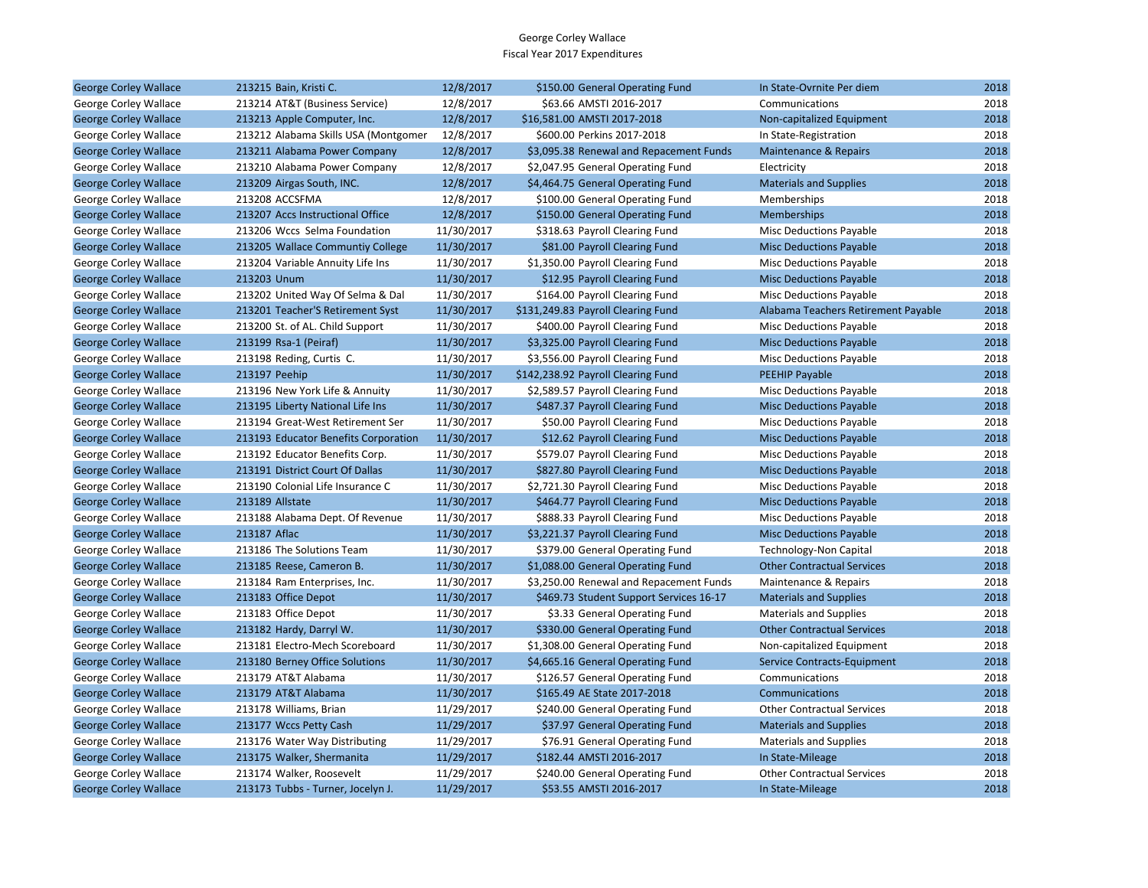| George Corley Wallace        | 213215 Bain, Kristi C.               | 12/8/2017  | \$150.00 General Operating Fund         | In State-Ovrnite Per diem           | 2018 |
|------------------------------|--------------------------------------|------------|-----------------------------------------|-------------------------------------|------|
| George Corley Wallace        | 213214 AT&T (Business Service)       | 12/8/2017  | \$63.66 AMSTI 2016-2017                 | Communications                      | 2018 |
| <b>George Corley Wallace</b> | 213213 Apple Computer, Inc.          | 12/8/2017  | \$16,581.00 AMSTI 2017-2018             | Non-capitalized Equipment           | 2018 |
| George Corley Wallace        | 213212 Alabama Skills USA (Montgomer | 12/8/2017  | \$600.00 Perkins 2017-2018              | In State-Registration               | 2018 |
| <b>George Corley Wallace</b> | 213211 Alabama Power Company         | 12/8/2017  | \$3,095.38 Renewal and Repacement Funds | Maintenance & Repairs               | 2018 |
| George Corley Wallace        | 213210 Alabama Power Company         | 12/8/2017  | \$2,047.95 General Operating Fund       | Electricity                         | 2018 |
| <b>George Corley Wallace</b> | 213209 Airgas South, INC.            | 12/8/2017  | \$4,464.75 General Operating Fund       | <b>Materials and Supplies</b>       | 2018 |
| George Corley Wallace        | 213208 ACCSFMA                       | 12/8/2017  | \$100.00 General Operating Fund         | Memberships                         | 2018 |
| <b>George Corley Wallace</b> | 213207 Accs Instructional Office     | 12/8/2017  | \$150.00 General Operating Fund         | <b>Memberships</b>                  | 2018 |
| George Corley Wallace        | 213206 Wccs Selma Foundation         | 11/30/2017 | \$318.63 Payroll Clearing Fund          | Misc Deductions Payable             | 2018 |
| <b>George Corley Wallace</b> | 213205 Wallace Communtiy College     | 11/30/2017 | \$81.00 Payroll Clearing Fund           | <b>Misc Deductions Payable</b>      | 2018 |
| George Corley Wallace        | 213204 Variable Annuity Life Ins     | 11/30/2017 | \$1,350.00 Payroll Clearing Fund        | <b>Misc Deductions Payable</b>      | 2018 |
| <b>George Corley Wallace</b> | 213203 Unum                          | 11/30/2017 | \$12.95 Payroll Clearing Fund           | <b>Misc Deductions Payable</b>      | 2018 |
| George Corley Wallace        | 213202 United Way Of Selma & Dal     | 11/30/2017 | \$164.00 Payroll Clearing Fund          | <b>Misc Deductions Payable</b>      | 2018 |
| <b>George Corley Wallace</b> | 213201 Teacher'S Retirement Syst     | 11/30/2017 | \$131,249.83 Payroll Clearing Fund      | Alabama Teachers Retirement Payable | 2018 |
| George Corley Wallace        | 213200 St. of AL. Child Support      | 11/30/2017 | \$400.00 Payroll Clearing Fund          | Misc Deductions Payable             | 2018 |
| <b>George Corley Wallace</b> | 213199 Rsa-1 (Peiraf)                | 11/30/2017 | \$3,325.00 Payroll Clearing Fund        | <b>Misc Deductions Payable</b>      | 2018 |
| George Corley Wallace        | 213198 Reding, Curtis C.             | 11/30/2017 | \$3,556.00 Payroll Clearing Fund        | <b>Misc Deductions Payable</b>      | 2018 |
| <b>George Corley Wallace</b> | 213197 Peehip                        | 11/30/2017 | \$142,238.92 Payroll Clearing Fund      | <b>PEEHIP Payable</b>               | 2018 |
| George Corley Wallace        | 213196 New York Life & Annuity       | 11/30/2017 | \$2,589.57 Payroll Clearing Fund        | Misc Deductions Payable             | 2018 |
| <b>George Corley Wallace</b> | 213195 Liberty National Life Ins     | 11/30/2017 | \$487.37 Payroll Clearing Fund          | <b>Misc Deductions Payable</b>      | 2018 |
| George Corley Wallace        | 213194 Great-West Retirement Ser     | 11/30/2017 | \$50.00 Payroll Clearing Fund           | <b>Misc Deductions Payable</b>      | 2018 |
| <b>George Corley Wallace</b> | 213193 Educator Benefits Corporation | 11/30/2017 | \$12.62 Payroll Clearing Fund           | <b>Misc Deductions Payable</b>      | 2018 |
| George Corley Wallace        | 213192 Educator Benefits Corp.       | 11/30/2017 | \$579.07 Payroll Clearing Fund          | Misc Deductions Payable             | 2018 |
| <b>George Corley Wallace</b> | 213191 District Court Of Dallas      | 11/30/2017 | \$827.80 Payroll Clearing Fund          | <b>Misc Deductions Payable</b>      | 2018 |
| George Corley Wallace        | 213190 Colonial Life Insurance C     | 11/30/2017 | \$2,721.30 Payroll Clearing Fund        | <b>Misc Deductions Payable</b>      | 2018 |
| <b>George Corley Wallace</b> | 213189 Allstate                      | 11/30/2017 | \$464.77 Payroll Clearing Fund          | <b>Misc Deductions Payable</b>      | 2018 |
| George Corley Wallace        | 213188 Alabama Dept. Of Revenue      | 11/30/2017 | \$888.33 Payroll Clearing Fund          | Misc Deductions Payable             | 2018 |
| <b>George Corley Wallace</b> | 213187 Aflac                         | 11/30/2017 | \$3,221.37 Payroll Clearing Fund        | <b>Misc Deductions Payable</b>      | 2018 |
| George Corley Wallace        | 213186 The Solutions Team            | 11/30/2017 | \$379.00 General Operating Fund         | Technology-Non Capital              | 2018 |
| <b>George Corley Wallace</b> | 213185 Reese, Cameron B.             | 11/30/2017 | \$1,088.00 General Operating Fund       | <b>Other Contractual Services</b>   | 2018 |
| George Corley Wallace        | 213184 Ram Enterprises, Inc.         | 11/30/2017 | \$3,250.00 Renewal and Repacement Funds | Maintenance & Repairs               | 2018 |
| <b>George Corley Wallace</b> | 213183 Office Depot                  | 11/30/2017 | \$469.73 Student Support Services 16-17 | <b>Materials and Supplies</b>       | 2018 |
| George Corley Wallace        | 213183 Office Depot                  | 11/30/2017 | \$3.33 General Operating Fund           | <b>Materials and Supplies</b>       | 2018 |
| <b>George Corley Wallace</b> | 213182 Hardy, Darryl W.              | 11/30/2017 | \$330.00 General Operating Fund         | <b>Other Contractual Services</b>   | 2018 |
| George Corley Wallace        | 213181 Electro-Mech Scoreboard       | 11/30/2017 | \$1,308.00 General Operating Fund       | Non-capitalized Equipment           | 2018 |
| <b>George Corley Wallace</b> | 213180 Berney Office Solutions       | 11/30/2017 | \$4,665.16 General Operating Fund       | Service Contracts-Equipment         | 2018 |
| George Corley Wallace        | 213179 AT&T Alabama                  | 11/30/2017 | \$126.57 General Operating Fund         | Communications                      | 2018 |
| <b>George Corley Wallace</b> | 213179 AT&T Alabama                  | 11/30/2017 | \$165.49 AE State 2017-2018             | Communications                      | 2018 |
| George Corley Wallace        | 213178 Williams, Brian               | 11/29/2017 | \$240.00 General Operating Fund         | <b>Other Contractual Services</b>   | 2018 |
| <b>George Corley Wallace</b> | 213177 Wccs Petty Cash               | 11/29/2017 | \$37.97 General Operating Fund          | <b>Materials and Supplies</b>       | 2018 |
| George Corley Wallace        | 213176 Water Way Distributing        | 11/29/2017 | \$76.91 General Operating Fund          | <b>Materials and Supplies</b>       | 2018 |
| <b>George Corley Wallace</b> | 213175 Walker, Shermanita            | 11/29/2017 | \$182.44 AMSTI 2016-2017                | In State-Mileage                    | 2018 |
| George Corley Wallace        | 213174 Walker, Roosevelt             | 11/29/2017 | \$240.00 General Operating Fund         | <b>Other Contractual Services</b>   | 2018 |
| <b>George Corley Wallace</b> | 213173 Tubbs - Turner, Jocelyn J.    | 11/29/2017 | \$53.55 AMSTI 2016-2017                 | In State-Mileage                    | 2018 |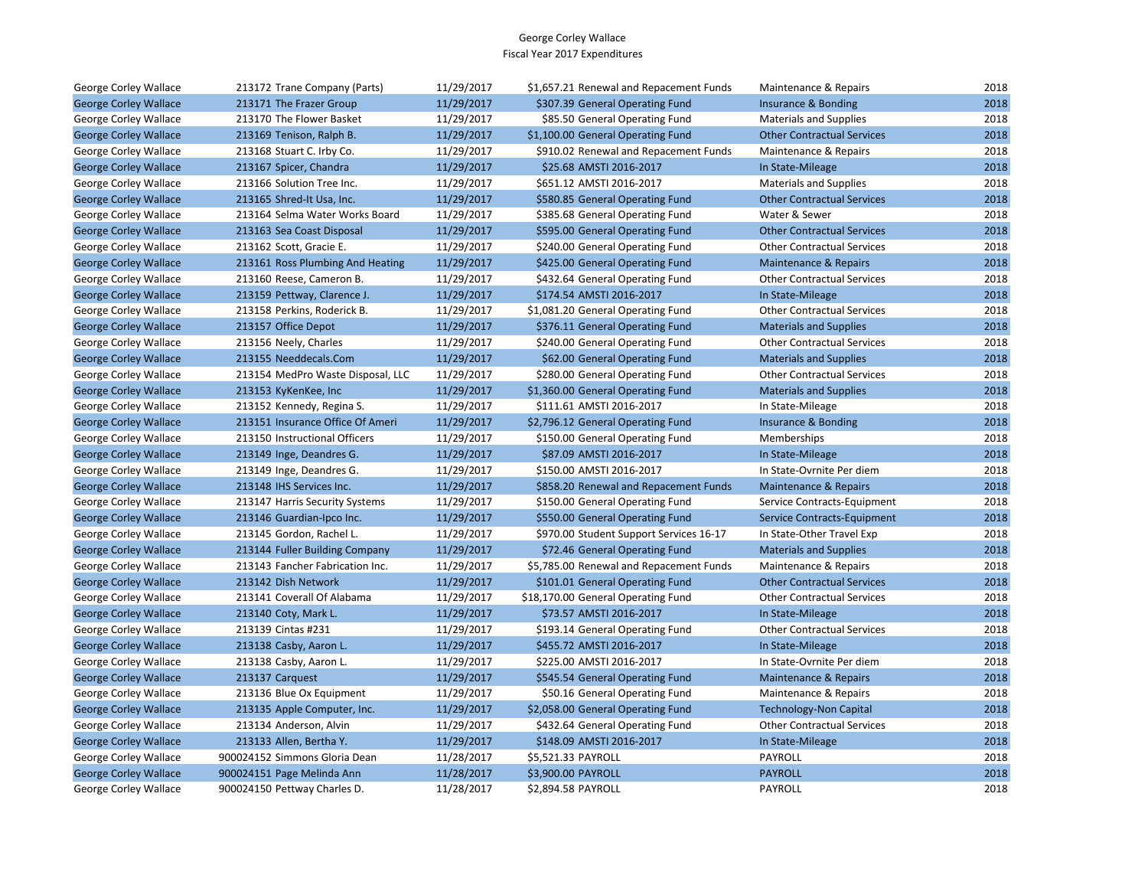| George Corley Wallace        | 213172 Trane Company (Parts)      | 11/29/2017 | \$1,657.21 Renewal and Repacement Funds | Maintenance & Repairs             | 2018 |
|------------------------------|-----------------------------------|------------|-----------------------------------------|-----------------------------------|------|
| <b>George Corley Wallace</b> | 213171 The Frazer Group           | 11/29/2017 | \$307.39 General Operating Fund         | Insurance & Bonding               | 2018 |
| George Corley Wallace        | 213170 The Flower Basket          | 11/29/2017 | \$85.50 General Operating Fund          | <b>Materials and Supplies</b>     | 2018 |
| <b>George Corley Wallace</b> | 213169 Tenison, Ralph B.          | 11/29/2017 | \$1,100.00 General Operating Fund       | <b>Other Contractual Services</b> | 2018 |
| George Corley Wallace        | 213168 Stuart C. Irby Co.         | 11/29/2017 | \$910.02 Renewal and Repacement Funds   | Maintenance & Repairs             | 2018 |
| <b>George Corley Wallace</b> | 213167 Spicer, Chandra            | 11/29/2017 | \$25.68 AMSTI 2016-2017                 | In State-Mileage                  | 2018 |
| George Corley Wallace        | 213166 Solution Tree Inc.         | 11/29/2017 | \$651.12 AMSTI 2016-2017                | Materials and Supplies            | 2018 |
| <b>George Corley Wallace</b> | 213165 Shred-It Usa, Inc.         | 11/29/2017 | \$580.85 General Operating Fund         | <b>Other Contractual Services</b> | 2018 |
| George Corley Wallace        | 213164 Selma Water Works Board    | 11/29/2017 | \$385.68 General Operating Fund         | Water & Sewer                     | 2018 |
| <b>George Corley Wallace</b> | 213163 Sea Coast Disposal         | 11/29/2017 | \$595.00 General Operating Fund         | <b>Other Contractual Services</b> | 2018 |
| George Corley Wallace        | 213162 Scott, Gracie E.           | 11/29/2017 | \$240.00 General Operating Fund         | <b>Other Contractual Services</b> | 2018 |
| <b>George Corley Wallace</b> | 213161 Ross Plumbing And Heating  | 11/29/2017 | \$425.00 General Operating Fund         | Maintenance & Repairs             | 2018 |
| George Corley Wallace        | 213160 Reese, Cameron B.          | 11/29/2017 | \$432.64 General Operating Fund         | <b>Other Contractual Services</b> | 2018 |
| <b>George Corley Wallace</b> | 213159 Pettway, Clarence J.       | 11/29/2017 | \$174.54 AMSTI 2016-2017                | In State-Mileage                  | 2018 |
| George Corley Wallace        | 213158 Perkins, Roderick B.       | 11/29/2017 | \$1,081.20 General Operating Fund       | <b>Other Contractual Services</b> | 2018 |
| <b>George Corley Wallace</b> | 213157 Office Depot               | 11/29/2017 | \$376.11 General Operating Fund         | <b>Materials and Supplies</b>     | 2018 |
| George Corley Wallace        | 213156 Neely, Charles             | 11/29/2017 | \$240.00 General Operating Fund         | <b>Other Contractual Services</b> | 2018 |
| <b>George Corley Wallace</b> | 213155 Needdecals.Com             | 11/29/2017 | \$62.00 General Operating Fund          | <b>Materials and Supplies</b>     | 2018 |
| George Corley Wallace        | 213154 MedPro Waste Disposal, LLC | 11/29/2017 | \$280.00 General Operating Fund         | <b>Other Contractual Services</b> | 2018 |
| <b>George Corley Wallace</b> | 213153 KyKenKee, Inc              | 11/29/2017 | \$1,360.00 General Operating Fund       | <b>Materials and Supplies</b>     | 2018 |
| George Corley Wallace        | 213152 Kennedy, Regina S.         | 11/29/2017 | \$111.61 AMSTI 2016-2017                | In State-Mileage                  | 2018 |
| <b>George Corley Wallace</b> | 213151 Insurance Office Of Ameri  | 11/29/2017 | \$2,796.12 General Operating Fund       | Insurance & Bonding               | 2018 |
| George Corley Wallace        | 213150 Instructional Officers     | 11/29/2017 | \$150.00 General Operating Fund         | Memberships                       | 2018 |
| <b>George Corley Wallace</b> | 213149 Inge, Deandres G.          | 11/29/2017 | \$87.09 AMSTI 2016-2017                 | In State-Mileage                  | 2018 |
| George Corley Wallace        | 213149 Inge, Deandres G.          | 11/29/2017 | \$150.00 AMSTI 2016-2017                | In State-Ovrnite Per diem         | 2018 |
| <b>George Corley Wallace</b> | 213148 IHS Services Inc.          | 11/29/2017 | \$858.20 Renewal and Repacement Funds   | <b>Maintenance &amp; Repairs</b>  | 2018 |
| George Corley Wallace        | 213147 Harris Security Systems    | 11/29/2017 | \$150.00 General Operating Fund         | Service Contracts-Equipment       | 2018 |
| <b>George Corley Wallace</b> | 213146 Guardian-Ipco Inc.         | 11/29/2017 | \$550.00 General Operating Fund         | Service Contracts-Equipment       | 2018 |
| George Corley Wallace        | 213145 Gordon, Rachel L.          | 11/29/2017 | \$970.00 Student Support Services 16-17 | In State-Other Travel Exp         | 2018 |
| <b>George Corley Wallace</b> | 213144 Fuller Building Company    | 11/29/2017 | \$72.46 General Operating Fund          | <b>Materials and Supplies</b>     | 2018 |
| George Corley Wallace        | 213143 Fancher Fabrication Inc.   | 11/29/2017 | \$5,785.00 Renewal and Repacement Funds | Maintenance & Repairs             | 2018 |
| <b>George Corley Wallace</b> | 213142 Dish Network               | 11/29/2017 | \$101.01 General Operating Fund         | <b>Other Contractual Services</b> | 2018 |
| George Corley Wallace        | 213141 Coverall Of Alabama        | 11/29/2017 | \$18,170.00 General Operating Fund      | <b>Other Contractual Services</b> | 2018 |
| <b>George Corley Wallace</b> | 213140 Coty, Mark L.              | 11/29/2017 | \$73.57 AMSTI 2016-2017                 | In State-Mileage                  | 2018 |
| George Corley Wallace        | 213139 Cintas #231                | 11/29/2017 | \$193.14 General Operating Fund         | <b>Other Contractual Services</b> | 2018 |
| <b>George Corley Wallace</b> | 213138 Casby, Aaron L.            | 11/29/2017 | \$455.72 AMSTI 2016-2017                | In State-Mileage                  | 2018 |
| George Corley Wallace        | 213138 Casby, Aaron L.            | 11/29/2017 | \$225.00 AMSTI 2016-2017                | In State-Ovrnite Per diem         | 2018 |
| <b>George Corley Wallace</b> | 213137 Carquest                   | 11/29/2017 | \$545.54 General Operating Fund         | <b>Maintenance &amp; Repairs</b>  | 2018 |
| George Corley Wallace        | 213136 Blue Ox Equipment          | 11/29/2017 | \$50.16 General Operating Fund          | Maintenance & Repairs             | 2018 |
| <b>George Corley Wallace</b> | 213135 Apple Computer, Inc.       | 11/29/2017 | \$2,058.00 General Operating Fund       | <b>Technology-Non Capital</b>     | 2018 |
| George Corley Wallace        | 213134 Anderson, Alvin            | 11/29/2017 | \$432.64 General Operating Fund         | <b>Other Contractual Services</b> | 2018 |
| <b>George Corley Wallace</b> | 213133 Allen, Bertha Y.           | 11/29/2017 | \$148.09 AMSTI 2016-2017                | In State-Mileage                  | 2018 |
| George Corley Wallace        | 900024152 Simmons Gloria Dean     | 11/28/2017 | \$5,521.33 PAYROLL                      | PAYROLL                           | 2018 |
| <b>George Corley Wallace</b> | 900024151 Page Melinda Ann        | 11/28/2017 | \$3,900.00 PAYROLL                      | <b>PAYROLL</b>                    | 2018 |
| George Corley Wallace        | 900024150 Pettway Charles D.      | 11/28/2017 | \$2,894.58 PAYROLL                      | <b>PAYROLL</b>                    | 2018 |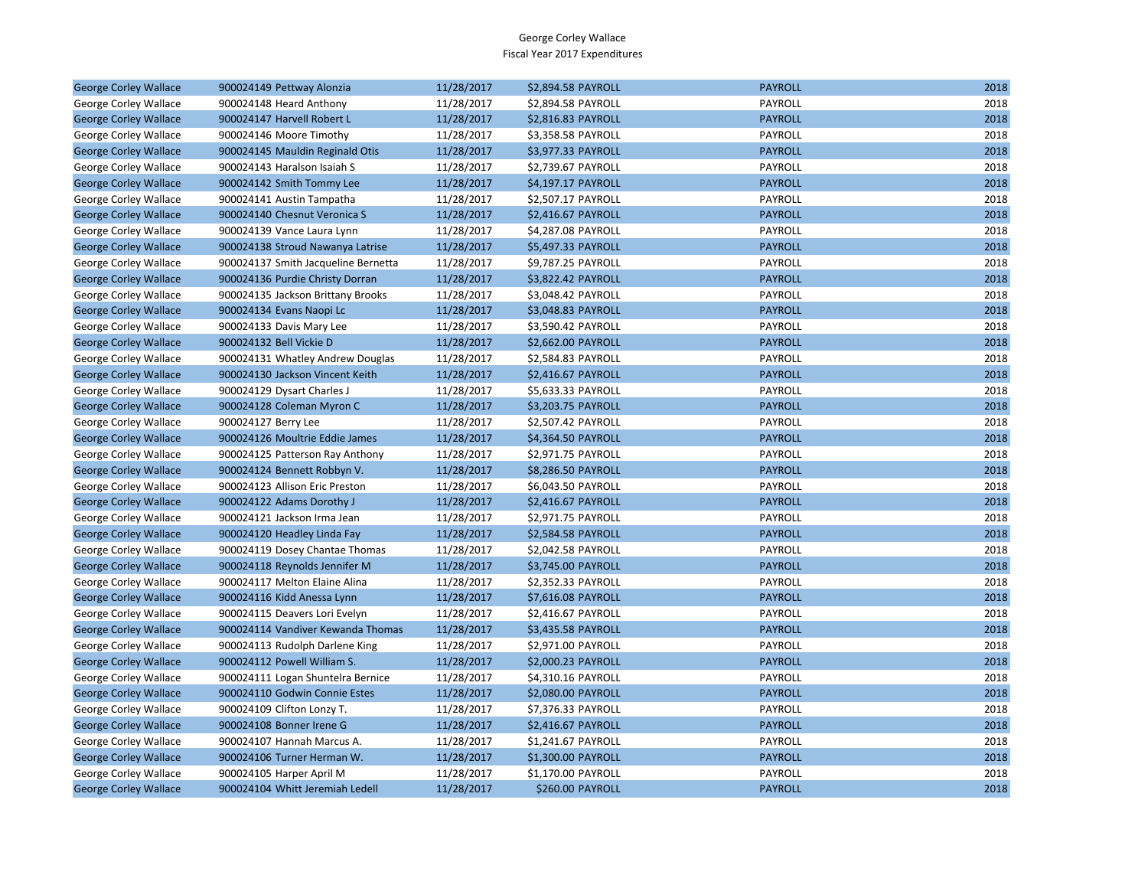| <b>George Corley Wallace</b> | 900024149 Pettway Alonzia           | 11/28/2017 | \$2,894.58 PAYROLL | <b>PAYROLL</b> | 2018 |
|------------------------------|-------------------------------------|------------|--------------------|----------------|------|
| George Corley Wallace        | 900024148 Heard Anthony             | 11/28/2017 | \$2,894.58 PAYROLL | PAYROLL        | 2018 |
| <b>George Corley Wallace</b> | 900024147 Harvell Robert L          | 11/28/2017 | \$2,816.83 PAYROLL | <b>PAYROLL</b> | 2018 |
| George Corley Wallace        | 900024146 Moore Timothy             | 11/28/2017 | \$3,358.58 PAYROLL | PAYROLL        | 2018 |
| <b>George Corley Wallace</b> | 900024145 Mauldin Reginald Otis     | 11/28/2017 | \$3,977.33 PAYROLL | <b>PAYROLL</b> | 2018 |
| George Corley Wallace        | 900024143 Haralson Isaiah S         | 11/28/2017 | \$2,739.67 PAYROLL | <b>PAYROLL</b> | 2018 |
| <b>George Corley Wallace</b> | 900024142 Smith Tommy Lee           | 11/28/2017 | \$4,197.17 PAYROLL | <b>PAYROLL</b> | 2018 |
| George Corley Wallace        | 900024141 Austin Tampatha           | 11/28/2017 | \$2,507.17 PAYROLL | PAYROLL        | 2018 |
| <b>George Corley Wallace</b> | 900024140 Chesnut Veronica S        | 11/28/2017 | \$2,416.67 PAYROLL | <b>PAYROLL</b> | 2018 |
| George Corley Wallace        | 900024139 Vance Laura Lynn          | 11/28/2017 | \$4,287.08 PAYROLL | <b>PAYROLL</b> | 2018 |
| <b>George Corley Wallace</b> | 900024138 Stroud Nawanya Latrise    | 11/28/2017 | \$5,497.33 PAYROLL | <b>PAYROLL</b> | 2018 |
| George Corley Wallace        | 900024137 Smith Jacqueline Bernetta | 11/28/2017 | \$9,787.25 PAYROLL | PAYROLL        | 2018 |
| <b>George Corley Wallace</b> | 900024136 Purdie Christy Dorran     | 11/28/2017 | \$3,822.42 PAYROLL | <b>PAYROLL</b> | 2018 |
| George Corley Wallace        | 900024135 Jackson Brittany Brooks   | 11/28/2017 | \$3,048.42 PAYROLL | PAYROLL        | 2018 |
| <b>George Corley Wallace</b> | 900024134 Evans Naopi Lc            | 11/28/2017 | \$3,048.83 PAYROLL | <b>PAYROLL</b> | 2018 |
| George Corley Wallace        | 900024133 Davis Mary Lee            | 11/28/2017 | \$3,590.42 PAYROLL | PAYROLL        | 2018 |
| <b>George Corley Wallace</b> | 900024132 Bell Vickie D             | 11/28/2017 | \$2,662.00 PAYROLL | <b>PAYROLL</b> | 2018 |
| George Corley Wallace        | 900024131 Whatley Andrew Douglas    | 11/28/2017 | \$2,584.83 PAYROLL | PAYROLL        | 2018 |
| <b>George Corley Wallace</b> | 900024130 Jackson Vincent Keith     | 11/28/2017 | \$2,416.67 PAYROLL | <b>PAYROLL</b> | 2018 |
| George Corley Wallace        | 900024129 Dysart Charles J          | 11/28/2017 | \$5,633.33 PAYROLL | <b>PAYROLL</b> | 2018 |
| <b>George Corley Wallace</b> | 900024128 Coleman Myron C           | 11/28/2017 | \$3,203.75 PAYROLL | <b>PAYROLL</b> | 2018 |
| George Corley Wallace        | 900024127 Berry Lee                 | 11/28/2017 | \$2,507.42 PAYROLL | PAYROLL        | 2018 |
| <b>George Corley Wallace</b> | 900024126 Moultrie Eddie James      | 11/28/2017 | \$4,364.50 PAYROLL | <b>PAYROLL</b> | 2018 |
| George Corley Wallace        | 900024125 Patterson Ray Anthony     | 11/28/2017 | \$2,971.75 PAYROLL | <b>PAYROLL</b> | 2018 |
| <b>George Corley Wallace</b> | 900024124 Bennett Robbyn V.         | 11/28/2017 | \$8,286.50 PAYROLL | <b>PAYROLL</b> | 2018 |
| George Corley Wallace        | 900024123 Allison Eric Preston      | 11/28/2017 | \$6,043.50 PAYROLL | PAYROLL        | 2018 |
| <b>George Corley Wallace</b> | 900024122 Adams Dorothy J           | 11/28/2017 | \$2,416.67 PAYROLL | <b>PAYROLL</b> | 2018 |
| George Corley Wallace        | 900024121 Jackson Irma Jean         | 11/28/2017 | \$2,971.75 PAYROLL | PAYROLL        | 2018 |
| <b>George Corley Wallace</b> | 900024120 Headley Linda Fay         | 11/28/2017 | \$2,584.58 PAYROLL | <b>PAYROLL</b> | 2018 |
| George Corley Wallace        | 900024119 Dosey Chantae Thomas      | 11/28/2017 | \$2,042.58 PAYROLL | PAYROLL        | 2018 |
| <b>George Corley Wallace</b> | 900024118 Reynolds Jennifer M       | 11/28/2017 | \$3,745.00 PAYROLL | <b>PAYROLL</b> | 2018 |
| George Corley Wallace        | 900024117 Melton Elaine Alina       | 11/28/2017 | \$2,352.33 PAYROLL | PAYROLL        | 2018 |
| <b>George Corley Wallace</b> | 900024116 Kidd Anessa Lynn          | 11/28/2017 | \$7,616.08 PAYROLL | <b>PAYROLL</b> | 2018 |
| George Corley Wallace        | 900024115 Deavers Lori Evelyn       | 11/28/2017 | \$2,416.67 PAYROLL | PAYROLL        | 2018 |
| <b>George Corley Wallace</b> | 900024114 Vandiver Kewanda Thomas   | 11/28/2017 | \$3,435.58 PAYROLL | <b>PAYROLL</b> | 2018 |
| George Corley Wallace        | 900024113 Rudolph Darlene King      | 11/28/2017 | \$2,971.00 PAYROLL | PAYROLL        | 2018 |
| <b>George Corley Wallace</b> | 900024112 Powell William S.         | 11/28/2017 | \$2,000.23 PAYROLL | <b>PAYROLL</b> | 2018 |
| George Corley Wallace        | 900024111 Logan Shuntelra Bernice   | 11/28/2017 | \$4,310.16 PAYROLL | PAYROLL        | 2018 |
| <b>George Corley Wallace</b> | 900024110 Godwin Connie Estes       | 11/28/2017 | \$2,080.00 PAYROLL | <b>PAYROLL</b> | 2018 |
| George Corley Wallace        | 900024109 Clifton Lonzy T.          | 11/28/2017 | \$7,376.33 PAYROLL | PAYROLL        | 2018 |
| <b>George Corley Wallace</b> | 900024108 Bonner Irene G            | 11/28/2017 | \$2,416.67 PAYROLL | <b>PAYROLL</b> | 2018 |
| George Corley Wallace        | 900024107 Hannah Marcus A.          | 11/28/2017 | \$1,241.67 PAYROLL | PAYROLL        | 2018 |
| <b>George Corley Wallace</b> | 900024106 Turner Herman W.          | 11/28/2017 | \$1,300.00 PAYROLL | <b>PAYROLL</b> | 2018 |
| George Corley Wallace        | 900024105 Harper April M            | 11/28/2017 | \$1,170.00 PAYROLL | PAYROLL        | 2018 |
| <b>George Corley Wallace</b> | 900024104 Whitt Jeremiah Ledell     | 11/28/2017 | \$260.00 PAYROLL   | <b>PAYROLL</b> | 2018 |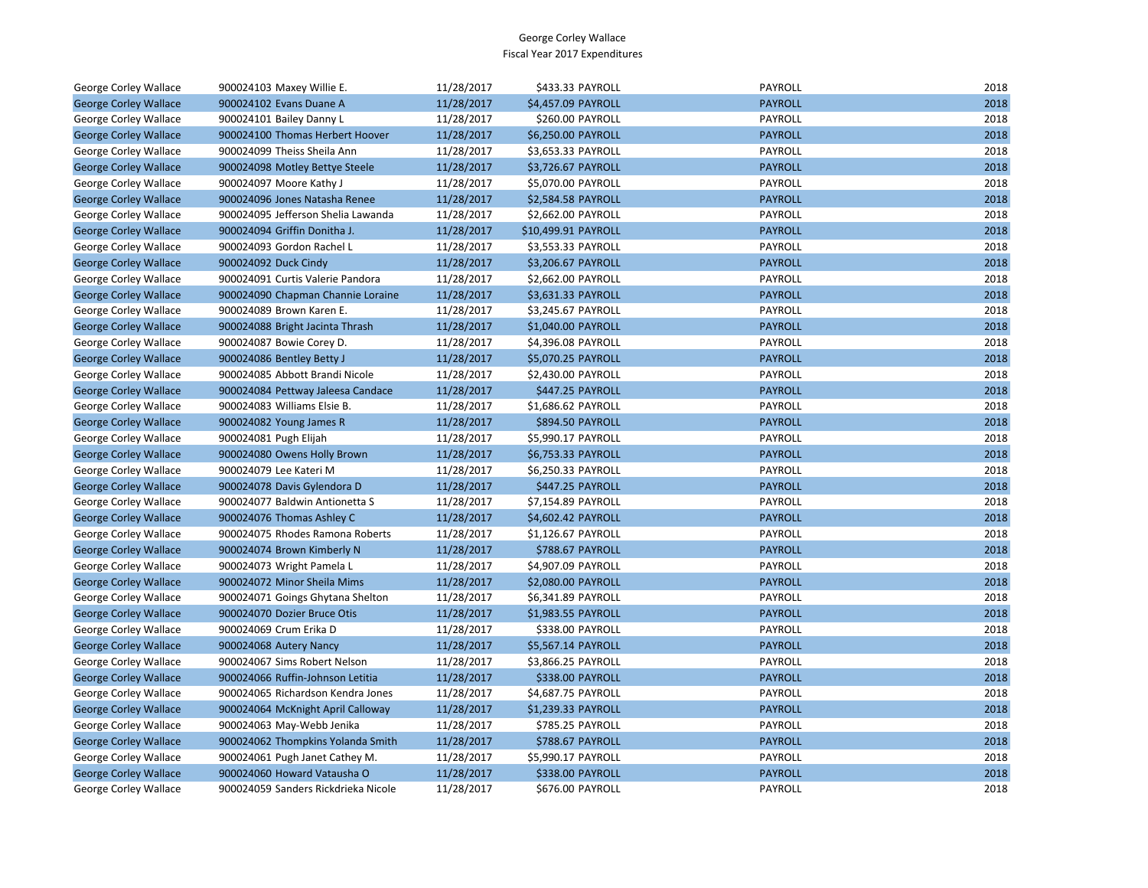| George Corley Wallace        | 900024103 Maxey Willie E.           | 11/28/2017 | \$433.33 PAYROLL    | PAYROLL        | 2018 |
|------------------------------|-------------------------------------|------------|---------------------|----------------|------|
| <b>George Corley Wallace</b> | 900024102 Evans Duane A             | 11/28/2017 | \$4,457.09 PAYROLL  | <b>PAYROLL</b> | 2018 |
| George Corley Wallace        | 900024101 Bailey Danny L            | 11/28/2017 | \$260.00 PAYROLL    | PAYROLL        | 2018 |
| <b>George Corley Wallace</b> | 900024100 Thomas Herbert Hoover     | 11/28/2017 | \$6,250.00 PAYROLL  | <b>PAYROLL</b> | 2018 |
| George Corley Wallace        | 900024099 Theiss Sheila Ann         | 11/28/2017 | \$3,653.33 PAYROLL  | PAYROLL        | 2018 |
| <b>George Corley Wallace</b> | 900024098 Motley Bettye Steele      | 11/28/2017 | \$3,726.67 PAYROLL  | <b>PAYROLL</b> | 2018 |
| George Corley Wallace        | 900024097 Moore Kathy J             | 11/28/2017 | \$5,070.00 PAYROLL  | PAYROLL        | 2018 |
| <b>George Corley Wallace</b> | 900024096 Jones Natasha Renee       | 11/28/2017 | \$2,584.58 PAYROLL  | <b>PAYROLL</b> | 2018 |
| George Corley Wallace        | 900024095 Jefferson Shelia Lawanda  | 11/28/2017 | \$2,662.00 PAYROLL  | PAYROLL        | 2018 |
| <b>George Corley Wallace</b> | 900024094 Griffin Donitha J.        | 11/28/2017 | \$10,499.91 PAYROLL | <b>PAYROLL</b> | 2018 |
| George Corley Wallace        | 900024093 Gordon Rachel L           | 11/28/2017 | \$3,553.33 PAYROLL  | PAYROLL        | 2018 |
| <b>George Corley Wallace</b> | 900024092 Duck Cindy                | 11/28/2017 | \$3,206.67 PAYROLL  | <b>PAYROLL</b> | 2018 |
| George Corley Wallace        | 900024091 Curtis Valerie Pandora    | 11/28/2017 | \$2,662.00 PAYROLL  | PAYROLL        | 2018 |
| <b>George Corley Wallace</b> | 900024090 Chapman Channie Loraine   | 11/28/2017 | \$3,631.33 PAYROLL  | <b>PAYROLL</b> | 2018 |
| George Corley Wallace        | 900024089 Brown Karen E.            | 11/28/2017 | \$3,245.67 PAYROLL  | PAYROLL        | 2018 |
| <b>George Corley Wallace</b> | 900024088 Bright Jacinta Thrash     | 11/28/2017 | \$1,040.00 PAYROLL  | <b>PAYROLL</b> | 2018 |
| George Corley Wallace        | 900024087 Bowie Corey D.            | 11/28/2017 | \$4,396.08 PAYROLL  | PAYROLL        | 2018 |
| <b>George Corley Wallace</b> | 900024086 Bentley Betty J           | 11/28/2017 | \$5,070.25 PAYROLL  | <b>PAYROLL</b> | 2018 |
| George Corley Wallace        | 900024085 Abbott Brandi Nicole      | 11/28/2017 | \$2,430.00 PAYROLL  | PAYROLL        | 2018 |
| <b>George Corley Wallace</b> | 900024084 Pettway Jaleesa Candace   | 11/28/2017 | \$447.25 PAYROLL    | <b>PAYROLL</b> | 2018 |
| George Corley Wallace        | 900024083 Williams Elsie B.         | 11/28/2017 | \$1,686.62 PAYROLL  | PAYROLL        | 2018 |
| <b>George Corley Wallace</b> | 900024082 Young James R             | 11/28/2017 | \$894.50 PAYROLL    | <b>PAYROLL</b> | 2018 |
| George Corley Wallace        | 900024081 Pugh Elijah               | 11/28/2017 | \$5,990.17 PAYROLL  | PAYROLL        | 2018 |
| <b>George Corley Wallace</b> | 900024080 Owens Holly Brown         | 11/28/2017 | \$6,753.33 PAYROLL  | <b>PAYROLL</b> | 2018 |
| George Corley Wallace        | 900024079 Lee Kateri M              | 11/28/2017 | \$6,250.33 PAYROLL  | PAYROLL        | 2018 |
| <b>George Corley Wallace</b> | 900024078 Davis Gylendora D         | 11/28/2017 | \$447.25 PAYROLL    | <b>PAYROLL</b> | 2018 |
| George Corley Wallace        | 900024077 Baldwin Antionetta S      | 11/28/2017 | \$7,154.89 PAYROLL  | <b>PAYROLL</b> | 2018 |
| <b>George Corley Wallace</b> | 900024076 Thomas Ashley C           | 11/28/2017 | \$4,602.42 PAYROLL  | <b>PAYROLL</b> | 2018 |
| George Corley Wallace        | 900024075 Rhodes Ramona Roberts     | 11/28/2017 | \$1,126.67 PAYROLL  | PAYROLL        | 2018 |
| <b>George Corley Wallace</b> | 900024074 Brown Kimberly N          | 11/28/2017 | \$788.67 PAYROLL    | <b>PAYROLL</b> | 2018 |
| George Corley Wallace        | 900024073 Wright Pamela L           | 11/28/2017 | \$4,907.09 PAYROLL  | PAYROLL        | 2018 |
| <b>George Corley Wallace</b> | 900024072 Minor Sheila Mims         | 11/28/2017 | \$2,080.00 PAYROLL  | <b>PAYROLL</b> | 2018 |
| George Corley Wallace        | 900024071 Goings Ghytana Shelton    | 11/28/2017 | \$6,341.89 PAYROLL  | PAYROLL        | 2018 |
| <b>George Corley Wallace</b> | 900024070 Dozier Bruce Otis         | 11/28/2017 | \$1,983.55 PAYROLL  | <b>PAYROLL</b> | 2018 |
| George Corley Wallace        | 900024069 Crum Erika D              | 11/28/2017 | \$338.00 PAYROLL    | PAYROLL        | 2018 |
| <b>George Corley Wallace</b> | 900024068 Autery Nancy              | 11/28/2017 | \$5,567.14 PAYROLL  | <b>PAYROLL</b> | 2018 |
| George Corley Wallace        | 900024067 Sims Robert Nelson        | 11/28/2017 | \$3,866.25 PAYROLL  | PAYROLL        | 2018 |
| <b>George Corley Wallace</b> | 900024066 Ruffin-Johnson Letitia    | 11/28/2017 | \$338.00 PAYROLL    | <b>PAYROLL</b> | 2018 |
| George Corley Wallace        | 900024065 Richardson Kendra Jones   | 11/28/2017 | \$4,687.75 PAYROLL  | PAYROLL        | 2018 |
| <b>George Corley Wallace</b> | 900024064 McKnight April Calloway   | 11/28/2017 | \$1,239.33 PAYROLL  | <b>PAYROLL</b> | 2018 |
| George Corley Wallace        | 900024063 May-Webb Jenika           | 11/28/2017 | \$785.25 PAYROLL    | PAYROLL        | 2018 |
| <b>George Corley Wallace</b> | 900024062 Thompkins Yolanda Smith   | 11/28/2017 | \$788.67 PAYROLL    | <b>PAYROLL</b> | 2018 |
| George Corley Wallace        | 900024061 Pugh Janet Cathey M.      | 11/28/2017 | \$5,990.17 PAYROLL  | PAYROLL        | 2018 |
| <b>George Corley Wallace</b> | 900024060 Howard Vatausha O         | 11/28/2017 | \$338.00 PAYROLL    | <b>PAYROLL</b> | 2018 |
| George Corley Wallace        | 900024059 Sanders Rickdrieka Nicole | 11/28/2017 | \$676.00 PAYROLL    | PAYROLL        | 2018 |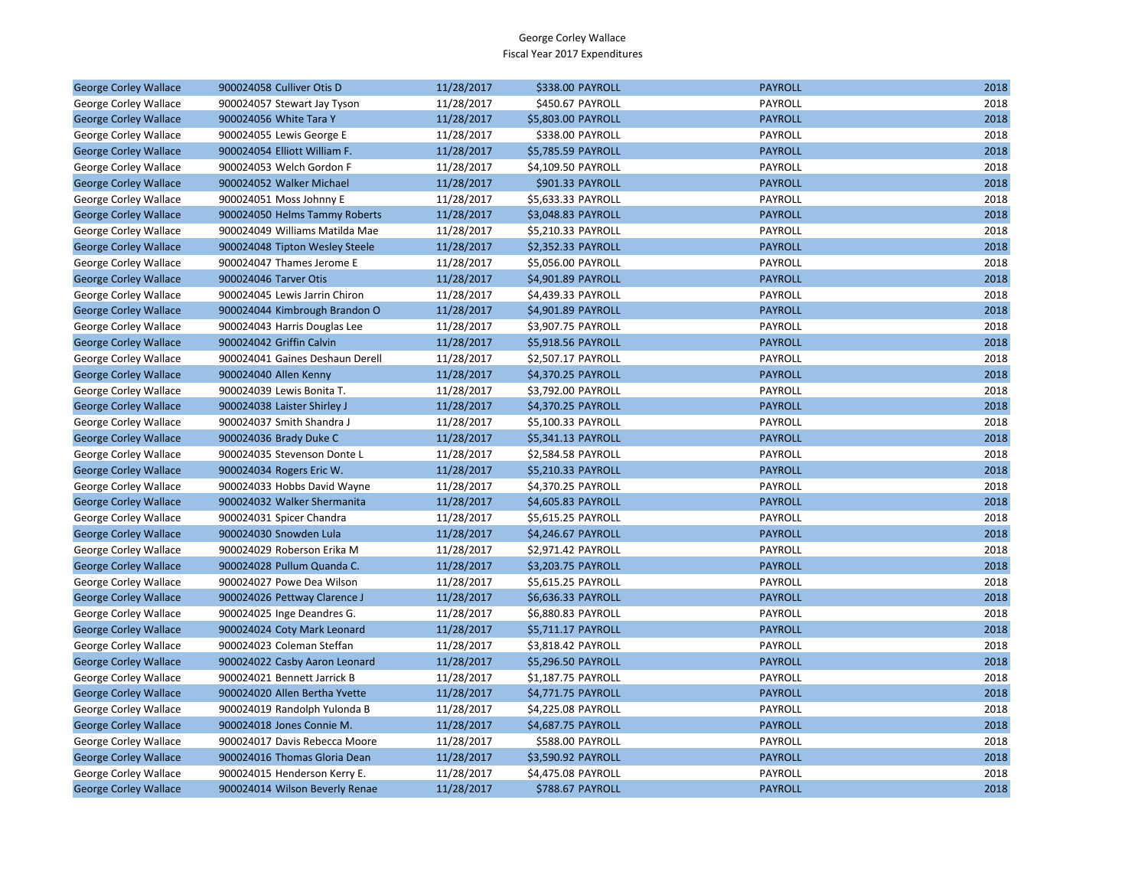| <b>George Corley Wallace</b> | 900024058 Culliver Otis D       | 11/28/2017 | \$338.00 PAYROLL        | <b>PAYROLL</b> | 2018 |
|------------------------------|---------------------------------|------------|-------------------------|----------------|------|
| George Corley Wallace        | 900024057 Stewart Jay Tyson     | 11/28/2017 | \$450.67 PAYROLL        | PAYROLL        | 2018 |
| <b>George Corley Wallace</b> | 900024056 White Tara Y          | 11/28/2017 | \$5,803.00 PAYROLL      | <b>PAYROLL</b> | 2018 |
| George Corley Wallace        | 900024055 Lewis George E        | 11/28/2017 | \$338.00 PAYROLL        | PAYROLL        | 2018 |
| <b>George Corley Wallace</b> | 900024054 Elliott William F.    | 11/28/2017 | \$5,785.59 PAYROLL      | <b>PAYROLL</b> | 2018 |
| George Corley Wallace        | 900024053 Welch Gordon F        | 11/28/2017 | \$4,109.50 PAYROLL      | PAYROLL        | 2018 |
| <b>George Corley Wallace</b> | 900024052 Walker Michael        | 11/28/2017 | \$901.33 PAYROLL        | <b>PAYROLL</b> | 2018 |
| George Corley Wallace        | 900024051 Moss Johnny E         | 11/28/2017 | \$5,633.33 PAYROLL      | PAYROLL        | 2018 |
| <b>George Corley Wallace</b> | 900024050 Helms Tammy Roberts   | 11/28/2017 | \$3,048.83 PAYROLL      | <b>PAYROLL</b> | 2018 |
| George Corley Wallace        | 900024049 Williams Matilda Mae  | 11/28/2017 | \$5,210.33 PAYROLL      | PAYROLL        | 2018 |
| <b>George Corley Wallace</b> | 900024048 Tipton Wesley Steele  | 11/28/2017 | \$2,352.33 PAYROLL      | <b>PAYROLL</b> | 2018 |
| George Corley Wallace        | 900024047 Thames Jerome E       | 11/28/2017 | \$5,056.00 PAYROLL      | PAYROLL        | 2018 |
| <b>George Corley Wallace</b> | 900024046 Tarver Otis           | 11/28/2017 | \$4,901.89 PAYROLL      | <b>PAYROLL</b> | 2018 |
| George Corley Wallace        | 900024045 Lewis Jarrin Chiron   | 11/28/2017 | \$4,439.33 PAYROLL      | PAYROLL        | 2018 |
| <b>George Corley Wallace</b> | 900024044 Kimbrough Brandon O   | 11/28/2017 | \$4,901.89 PAYROLL      | <b>PAYROLL</b> | 2018 |
| George Corley Wallace        | 900024043 Harris Douglas Lee    | 11/28/2017 | \$3,907.75 PAYROLL      | PAYROLL        | 2018 |
| <b>George Corley Wallace</b> | 900024042 Griffin Calvin        | 11/28/2017 | \$5,918.56 PAYROLL      | <b>PAYROLL</b> | 2018 |
| George Corley Wallace        | 900024041 Gaines Deshaun Derell | 11/28/2017 | \$2,507.17 PAYROLL      | PAYROLL        | 2018 |
| <b>George Corley Wallace</b> | 900024040 Allen Kenny           | 11/28/2017 | \$4,370.25 PAYROLL      | <b>PAYROLL</b> | 2018 |
| George Corley Wallace        | 900024039 Lewis Bonita T.       | 11/28/2017 | \$3,792.00 PAYROLL      | <b>PAYROLL</b> | 2018 |
| <b>George Corley Wallace</b> | 900024038 Laister Shirley J     | 11/28/2017 | \$4,370.25 PAYROLL      | <b>PAYROLL</b> | 2018 |
| George Corley Wallace        | 900024037 Smith Shandra J       | 11/28/2017 | \$5,100.33 PAYROLL      | PAYROLL        | 2018 |
| <b>George Corley Wallace</b> | 900024036 Brady Duke C          | 11/28/2017 | \$5,341.13 PAYROLL      | <b>PAYROLL</b> | 2018 |
| George Corley Wallace        | 900024035 Stevenson Donte L     | 11/28/2017 | \$2,584.58 PAYROLL      | PAYROLL        | 2018 |
| <b>George Corley Wallace</b> | 900024034 Rogers Eric W.        | 11/28/2017 | \$5,210.33 PAYROLL      | <b>PAYROLL</b> | 2018 |
| George Corley Wallace        | 900024033 Hobbs David Wayne     | 11/28/2017 | \$4,370.25 PAYROLL      | PAYROLL        | 2018 |
| <b>George Corley Wallace</b> | 900024032 Walker Shermanita     | 11/28/2017 | \$4,605.83 PAYROLL      | <b>PAYROLL</b> | 2018 |
| George Corley Wallace        | 900024031 Spicer Chandra        | 11/28/2017 | \$5,615.25 PAYROLL      | PAYROLL        | 2018 |
| <b>George Corley Wallace</b> | 900024030 Snowden Lula          | 11/28/2017 | \$4,246.67 PAYROLL      | <b>PAYROLL</b> | 2018 |
| George Corley Wallace        | 900024029 Roberson Erika M      | 11/28/2017 | \$2,971.42 PAYROLL      | PAYROLL        | 2018 |
| <b>George Corley Wallace</b> | 900024028 Pullum Quanda C.      | 11/28/2017 | \$3,203.75 PAYROLL      | <b>PAYROLL</b> | 2018 |
| George Corley Wallace        | 900024027 Powe Dea Wilson       | 11/28/2017 | \$5,615.25 PAYROLL      | PAYROLL        | 2018 |
| <b>George Corley Wallace</b> | 900024026 Pettway Clarence J    | 11/28/2017 | \$6,636.33 PAYROLL      | <b>PAYROLL</b> | 2018 |
| George Corley Wallace        | 900024025 Inge Deandres G.      | 11/28/2017 | \$6,880.83 PAYROLL      | PAYROLL        | 2018 |
| <b>George Corley Wallace</b> | 900024024 Coty Mark Leonard     | 11/28/2017 | \$5,711.17 PAYROLL      | <b>PAYROLL</b> | 2018 |
| George Corley Wallace        | 900024023 Coleman Steffan       | 11/28/2017 | \$3,818.42 PAYROLL      | PAYROLL        | 2018 |
| <b>George Corley Wallace</b> | 900024022 Casby Aaron Leonard   | 11/28/2017 | \$5,296.50 PAYROLL      | <b>PAYROLL</b> | 2018 |
| George Corley Wallace        | 900024021 Bennett Jarrick B     | 11/28/2017 | \$1,187.75 PAYROLL      | PAYROLL        | 2018 |
| <b>George Corley Wallace</b> | 900024020 Allen Bertha Yvette   | 11/28/2017 | \$4,771.75 PAYROLL      | <b>PAYROLL</b> | 2018 |
| George Corley Wallace        | 900024019 Randolph Yulonda B    | 11/28/2017 | \$4,225.08 PAYROLL      | PAYROLL        | 2018 |
| <b>George Corley Wallace</b> | 900024018 Jones Connie M.       | 11/28/2017 | \$4,687.75 PAYROLL      | <b>PAYROLL</b> | 2018 |
| George Corley Wallace        | 900024017 Davis Rebecca Moore   | 11/28/2017 | \$588.00 PAYROLL        | PAYROLL        | 2018 |
| <b>George Corley Wallace</b> | 900024016 Thomas Gloria Dean    | 11/28/2017 | \$3,590.92 PAYROLL      | <b>PAYROLL</b> | 2018 |
| George Corley Wallace        | 900024015 Henderson Kerry E.    | 11/28/2017 | \$4,475.08 PAYROLL      | PAYROLL        | 2018 |
| <b>George Corley Wallace</b> | 900024014 Wilson Beverly Renae  | 11/28/2017 | <b>\$788.67 PAYROLL</b> | <b>PAYROLL</b> | 2018 |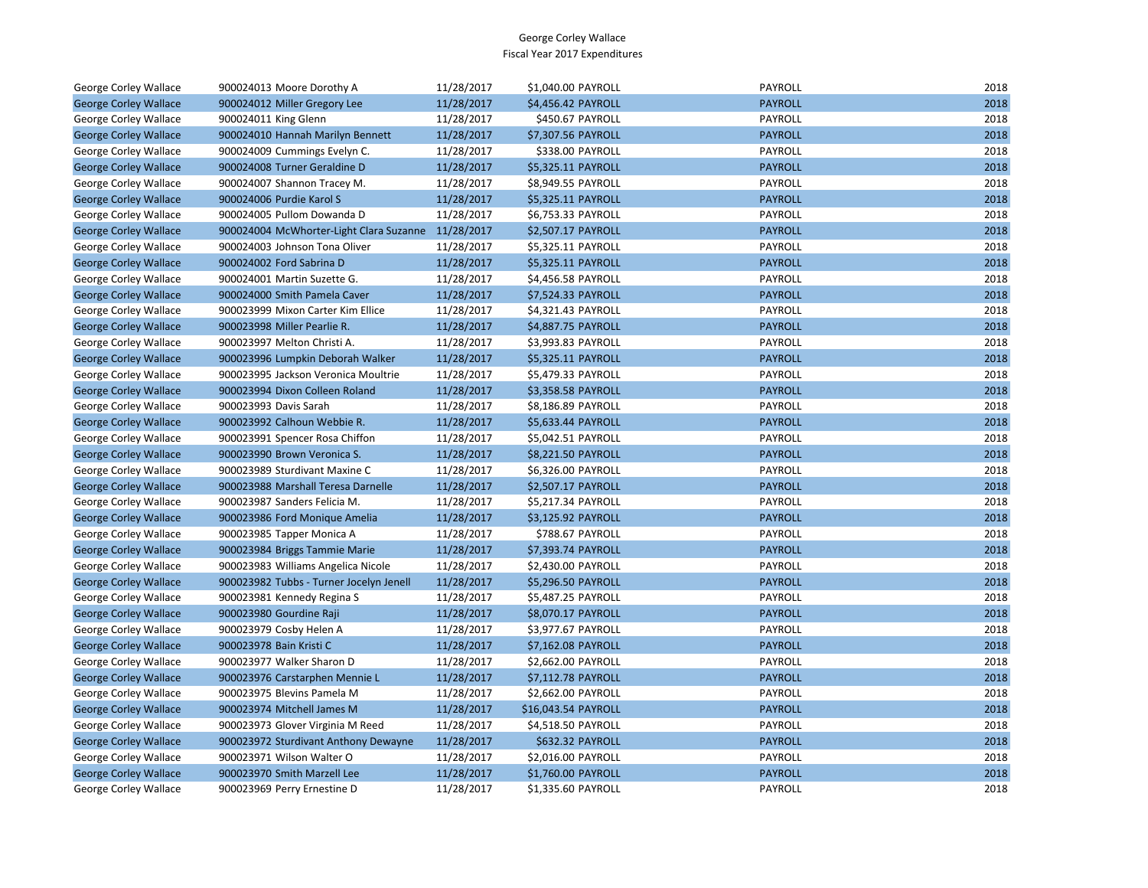| George Corley Wallace        | 900024013 Moore Dorothy A               | 11/28/2017 | \$1,040.00 PAYROLL  | PAYROLL        | 2018 |
|------------------------------|-----------------------------------------|------------|---------------------|----------------|------|
| <b>George Corley Wallace</b> | 900024012 Miller Gregory Lee            | 11/28/2017 | \$4,456.42 PAYROLL  | <b>PAYROLL</b> | 2018 |
| George Corley Wallace        | 900024011 King Glenn                    | 11/28/2017 | \$450.67 PAYROLL    | PAYROLL        | 2018 |
| <b>George Corley Wallace</b> | 900024010 Hannah Marilyn Bennett        | 11/28/2017 | \$7,307.56 PAYROLL  | <b>PAYROLL</b> | 2018 |
| George Corley Wallace        | 900024009 Cummings Evelyn C.            | 11/28/2017 | \$338.00 PAYROLL    | PAYROLL        | 2018 |
| <b>George Corley Wallace</b> | 900024008 Turner Geraldine D            | 11/28/2017 | \$5,325.11 PAYROLL  | <b>PAYROLL</b> | 2018 |
| George Corley Wallace        | 900024007 Shannon Tracey M.             | 11/28/2017 | \$8,949.55 PAYROLL  | PAYROLL        | 2018 |
| <b>George Corley Wallace</b> | 900024006 Purdie Karol S                | 11/28/2017 | \$5,325.11 PAYROLL  | <b>PAYROLL</b> | 2018 |
| George Corley Wallace        | 900024005 Pullom Dowanda D              | 11/28/2017 | \$6,753.33 PAYROLL  | PAYROLL        | 2018 |
| <b>George Corley Wallace</b> | 900024004 McWhorter-Light Clara Suzanne | 11/28/2017 | \$2,507.17 PAYROLL  | <b>PAYROLL</b> | 2018 |
| George Corley Wallace        | 900024003 Johnson Tona Oliver           | 11/28/2017 | \$5,325.11 PAYROLL  | PAYROLL        | 2018 |
| <b>George Corley Wallace</b> | 900024002 Ford Sabrina D                | 11/28/2017 | \$5,325.11 PAYROLL  | <b>PAYROLL</b> | 2018 |
| George Corley Wallace        | 900024001 Martin Suzette G.             | 11/28/2017 | \$4,456.58 PAYROLL  | PAYROLL        | 2018 |
| <b>George Corley Wallace</b> | 900024000 Smith Pamela Caver            | 11/28/2017 | \$7,524.33 PAYROLL  | <b>PAYROLL</b> | 2018 |
| George Corley Wallace        | 900023999 Mixon Carter Kim Ellice       | 11/28/2017 | \$4,321.43 PAYROLL  | PAYROLL        | 2018 |
| <b>George Corley Wallace</b> | 900023998 Miller Pearlie R.             | 11/28/2017 | \$4,887.75 PAYROLL  | <b>PAYROLL</b> | 2018 |
| George Corley Wallace        | 900023997 Melton Christi A.             | 11/28/2017 | \$3,993.83 PAYROLL  | PAYROLL        | 2018 |
| <b>George Corley Wallace</b> | 900023996 Lumpkin Deborah Walker        | 11/28/2017 | \$5,325.11 PAYROLL  | <b>PAYROLL</b> | 2018 |
| George Corley Wallace        | 900023995 Jackson Veronica Moultrie     | 11/28/2017 | \$5,479.33 PAYROLL  | PAYROLL        | 2018 |
| <b>George Corley Wallace</b> | 900023994 Dixon Colleen Roland          | 11/28/2017 | \$3,358.58 PAYROLL  | <b>PAYROLL</b> | 2018 |
| George Corley Wallace        | 900023993 Davis Sarah                   | 11/28/2017 | \$8,186.89 PAYROLL  | PAYROLL        | 2018 |
| <b>George Corley Wallace</b> | 900023992 Calhoun Webbie R.             | 11/28/2017 | \$5,633.44 PAYROLL  | <b>PAYROLL</b> | 2018 |
| George Corley Wallace        | 900023991 Spencer Rosa Chiffon          | 11/28/2017 | \$5,042.51 PAYROLL  | PAYROLL        | 2018 |
| <b>George Corley Wallace</b> | 900023990 Brown Veronica S.             | 11/28/2017 | \$8,221.50 PAYROLL  | <b>PAYROLL</b> | 2018 |
| George Corley Wallace        | 900023989 Sturdivant Maxine C           | 11/28/2017 | \$6,326.00 PAYROLL  | PAYROLL        | 2018 |
| <b>George Corley Wallace</b> | 900023988 Marshall Teresa Darnelle      | 11/28/2017 | \$2,507.17 PAYROLL  | <b>PAYROLL</b> | 2018 |
| George Corley Wallace        | 900023987 Sanders Felicia M.            | 11/28/2017 | \$5,217.34 PAYROLL  | PAYROLL        | 2018 |
| <b>George Corley Wallace</b> | 900023986 Ford Monique Amelia           | 11/28/2017 | \$3,125.92 PAYROLL  | <b>PAYROLL</b> | 2018 |
| George Corley Wallace        | 900023985 Tapper Monica A               | 11/28/2017 | \$788.67 PAYROLL    | PAYROLL        | 2018 |
| <b>George Corley Wallace</b> | 900023984 Briggs Tammie Marie           | 11/28/2017 | \$7,393.74 PAYROLL  | <b>PAYROLL</b> | 2018 |
| George Corley Wallace        | 900023983 Williams Angelica Nicole      | 11/28/2017 | \$2,430.00 PAYROLL  | PAYROLL        | 2018 |
| <b>George Corley Wallace</b> | 900023982 Tubbs - Turner Jocelyn Jenell | 11/28/2017 | \$5,296.50 PAYROLL  | <b>PAYROLL</b> | 2018 |
| George Corley Wallace        | 900023981 Kennedy Regina S              | 11/28/2017 | \$5,487.25 PAYROLL  | PAYROLL        | 2018 |
| <b>George Corley Wallace</b> | 900023980 Gourdine Raji                 | 11/28/2017 | \$8,070.17 PAYROLL  | <b>PAYROLL</b> | 2018 |
| George Corley Wallace        | 900023979 Cosby Helen A                 | 11/28/2017 | \$3,977.67 PAYROLL  | PAYROLL        | 2018 |
| <b>George Corley Wallace</b> | 900023978 Bain Kristi C                 | 11/28/2017 | \$7,162.08 PAYROLL  | <b>PAYROLL</b> | 2018 |
| George Corley Wallace        | 900023977 Walker Sharon D               | 11/28/2017 | \$2,662.00 PAYROLL  | PAYROLL        | 2018 |
| <b>George Corley Wallace</b> | 900023976 Carstarphen Mennie L          | 11/28/2017 | \$7,112.78 PAYROLL  | <b>PAYROLL</b> | 2018 |
| George Corley Wallace        | 900023975 Blevins Pamela M              | 11/28/2017 | \$2,662.00 PAYROLL  | PAYROLL        | 2018 |
| <b>George Corley Wallace</b> | 900023974 Mitchell James M              | 11/28/2017 | \$16,043.54 PAYROLL | <b>PAYROLL</b> | 2018 |
| George Corley Wallace        | 900023973 Glover Virginia M Reed        | 11/28/2017 | \$4,518.50 PAYROLL  | PAYROLL        | 2018 |
| <b>George Corley Wallace</b> | 900023972 Sturdivant Anthony Dewayne    | 11/28/2017 | \$632.32 PAYROLL    | <b>PAYROLL</b> | 2018 |
| George Corley Wallace        | 900023971 Wilson Walter O               | 11/28/2017 | \$2,016.00 PAYROLL  | PAYROLL        | 2018 |
| <b>George Corley Wallace</b> | 900023970 Smith Marzell Lee             | 11/28/2017 | \$1,760.00 PAYROLL  | <b>PAYROLL</b> | 2018 |
| <b>George Corley Wallace</b> | 900023969 Perry Ernestine D             | 11/28/2017 | \$1.335.60 PAYROLL  | PAYROLL        | 2018 |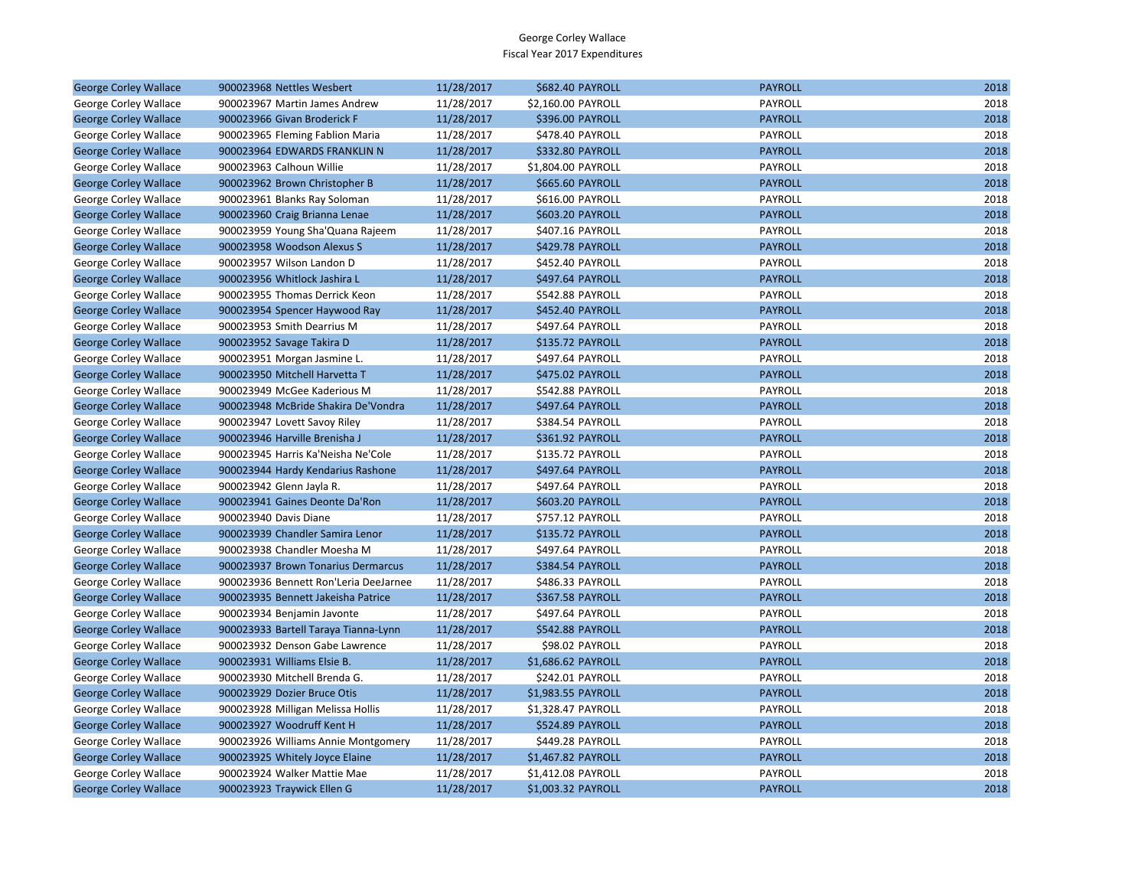| <b>George Corley Wallace</b> | 900023968 Nettles Wesbert             | 11/28/2017 | \$682.40 PAYROLL        | <b>PAYROLL</b> | 2018 |
|------------------------------|---------------------------------------|------------|-------------------------|----------------|------|
| George Corley Wallace        | 900023967 Martin James Andrew         | 11/28/2017 | \$2,160.00 PAYROLL      | PAYROLL        | 2018 |
| <b>George Corley Wallace</b> | 900023966 Givan Broderick F           | 11/28/2017 | <b>\$396.00 PAYROLL</b> | <b>PAYROLL</b> | 2018 |
| George Corley Wallace        | 900023965 Fleming Fablion Maria       | 11/28/2017 | \$478.40 PAYROLL        | PAYROLL        | 2018 |
| <b>George Corley Wallace</b> | 900023964 EDWARDS FRANKLIN N          | 11/28/2017 | \$332.80 PAYROLL        | <b>PAYROLL</b> | 2018 |
| George Corley Wallace        | 900023963 Calhoun Willie              | 11/28/2017 | \$1,804.00 PAYROLL      | PAYROLL        | 2018 |
| <b>George Corley Wallace</b> | 900023962 Brown Christopher B         | 11/28/2017 | \$665.60 PAYROLL        | <b>PAYROLL</b> | 2018 |
| George Corley Wallace        | 900023961 Blanks Ray Soloman          | 11/28/2017 | \$616.00 PAYROLL        | PAYROLL        | 2018 |
| <b>George Corley Wallace</b> | 900023960 Craig Brianna Lenae         | 11/28/2017 | \$603.20 PAYROLL        | <b>PAYROLL</b> | 2018 |
| George Corley Wallace        | 900023959 Young Sha'Quana Rajeem      | 11/28/2017 | \$407.16 PAYROLL        | PAYROLL        | 2018 |
| <b>George Corley Wallace</b> | 900023958 Woodson Alexus S            | 11/28/2017 | \$429.78 PAYROLL        | <b>PAYROLL</b> | 2018 |
| George Corley Wallace        | 900023957 Wilson Landon D             | 11/28/2017 | \$452.40 PAYROLL        | PAYROLL        | 2018 |
| <b>George Corley Wallace</b> | 900023956 Whitlock Jashira L          | 11/28/2017 | \$497.64 PAYROLL        | <b>PAYROLL</b> | 2018 |
| George Corley Wallace        | 900023955 Thomas Derrick Keon         | 11/28/2017 | \$542.88 PAYROLL        | PAYROLL        | 2018 |
| <b>George Corley Wallace</b> | 900023954 Spencer Haywood Ray         | 11/28/2017 | \$452.40 PAYROLL        | <b>PAYROLL</b> | 2018 |
| George Corley Wallace        | 900023953 Smith Dearrius M            | 11/28/2017 | \$497.64 PAYROLL        | PAYROLL        | 2018 |
| <b>George Corley Wallace</b> | 900023952 Savage Takira D             | 11/28/2017 | \$135.72 PAYROLL        | <b>PAYROLL</b> | 2018 |
| George Corley Wallace        | 900023951 Morgan Jasmine L.           | 11/28/2017 | \$497.64 PAYROLL        | PAYROLL        | 2018 |
| <b>George Corley Wallace</b> | 900023950 Mitchell Harvetta T         | 11/28/2017 | \$475.02 PAYROLL        | <b>PAYROLL</b> | 2018 |
| George Corley Wallace        | 900023949 McGee Kaderious M           | 11/28/2017 | \$542.88 PAYROLL        | <b>PAYROLL</b> | 2018 |
| <b>George Corley Wallace</b> | 900023948 McBride Shakira De'Vondra   | 11/28/2017 | \$497.64 PAYROLL        | <b>PAYROLL</b> | 2018 |
| George Corley Wallace        | 900023947 Lovett Savoy Riley          | 11/28/2017 | \$384.54 PAYROLL        | PAYROLL        | 2018 |
| <b>George Corley Wallace</b> | 900023946 Harville Brenisha J         | 11/28/2017 | \$361.92 PAYROLL        | <b>PAYROLL</b> | 2018 |
| George Corley Wallace        | 900023945 Harris Ka'Neisha Ne'Cole    | 11/28/2017 | \$135.72 PAYROLL        | PAYROLL        | 2018 |
| <b>George Corley Wallace</b> | 900023944 Hardy Kendarius Rashone     | 11/28/2017 | \$497.64 PAYROLL        | <b>PAYROLL</b> | 2018 |
| George Corley Wallace        | 900023942 Glenn Jayla R.              | 11/28/2017 | \$497.64 PAYROLL        | PAYROLL        | 2018 |
| <b>George Corley Wallace</b> | 900023941 Gaines Deonte Da'Ron        | 11/28/2017 | \$603.20 PAYROLL        | <b>PAYROLL</b> | 2018 |
| George Corley Wallace        | 900023940 Davis Diane                 | 11/28/2017 | \$757.12 PAYROLL        | PAYROLL        | 2018 |
| <b>George Corley Wallace</b> | 900023939 Chandler Samira Lenor       | 11/28/2017 | \$135.72 PAYROLL        | <b>PAYROLL</b> | 2018 |
| George Corley Wallace        | 900023938 Chandler Moesha M           | 11/28/2017 | \$497.64 PAYROLL        | PAYROLL        | 2018 |
| <b>George Corley Wallace</b> | 900023937 Brown Tonarius Dermarcus    | 11/28/2017 | \$384.54 PAYROLL        | <b>PAYROLL</b> | 2018 |
| George Corley Wallace        | 900023936 Bennett Ron'Leria DeeJarnee | 11/28/2017 | \$486.33 PAYROLL        | PAYROLL        | 2018 |
| <b>George Corley Wallace</b> | 900023935 Bennett Jakeisha Patrice    | 11/28/2017 | \$367.58 PAYROLL        | <b>PAYROLL</b> | 2018 |
| George Corley Wallace        | 900023934 Benjamin Javonte            | 11/28/2017 | \$497.64 PAYROLL        | PAYROLL        | 2018 |
| <b>George Corley Wallace</b> | 900023933 Bartell Taraya Tianna-Lynn  | 11/28/2017 | \$542.88 PAYROLL        | <b>PAYROLL</b> | 2018 |
| George Corley Wallace        | 900023932 Denson Gabe Lawrence        | 11/28/2017 | \$98.02 PAYROLL         | PAYROLL        | 2018 |
| <b>George Corley Wallace</b> | 900023931 Williams Elsie B.           | 11/28/2017 | \$1,686.62 PAYROLL      | <b>PAYROLL</b> | 2018 |
| George Corley Wallace        | 900023930 Mitchell Brenda G.          | 11/28/2017 | \$242.01 PAYROLL        | PAYROLL        | 2018 |
| <b>George Corley Wallace</b> | 900023929 Dozier Bruce Otis           | 11/28/2017 | \$1,983.55 PAYROLL      | <b>PAYROLL</b> | 2018 |
| George Corley Wallace        | 900023928 Milligan Melissa Hollis     | 11/28/2017 | \$1,328.47 PAYROLL      | PAYROLL        | 2018 |
| <b>George Corley Wallace</b> | 900023927 Woodruff Kent H             | 11/28/2017 | \$524.89 PAYROLL        | <b>PAYROLL</b> | 2018 |
| George Corley Wallace        | 900023926 Williams Annie Montgomery   | 11/28/2017 | \$449.28 PAYROLL        | PAYROLL        | 2018 |
| <b>George Corley Wallace</b> | 900023925 Whitely Joyce Elaine        | 11/28/2017 | \$1,467.82 PAYROLL      | <b>PAYROLL</b> | 2018 |
| George Corley Wallace        | 900023924 Walker Mattie Mae           | 11/28/2017 | \$1,412.08 PAYROLL      | PAYROLL        | 2018 |
| <b>George Corley Wallace</b> | 900023923 Traywick Ellen G            | 11/28/2017 | \$1,003.32 PAYROLL      | <b>PAYROLL</b> | 2018 |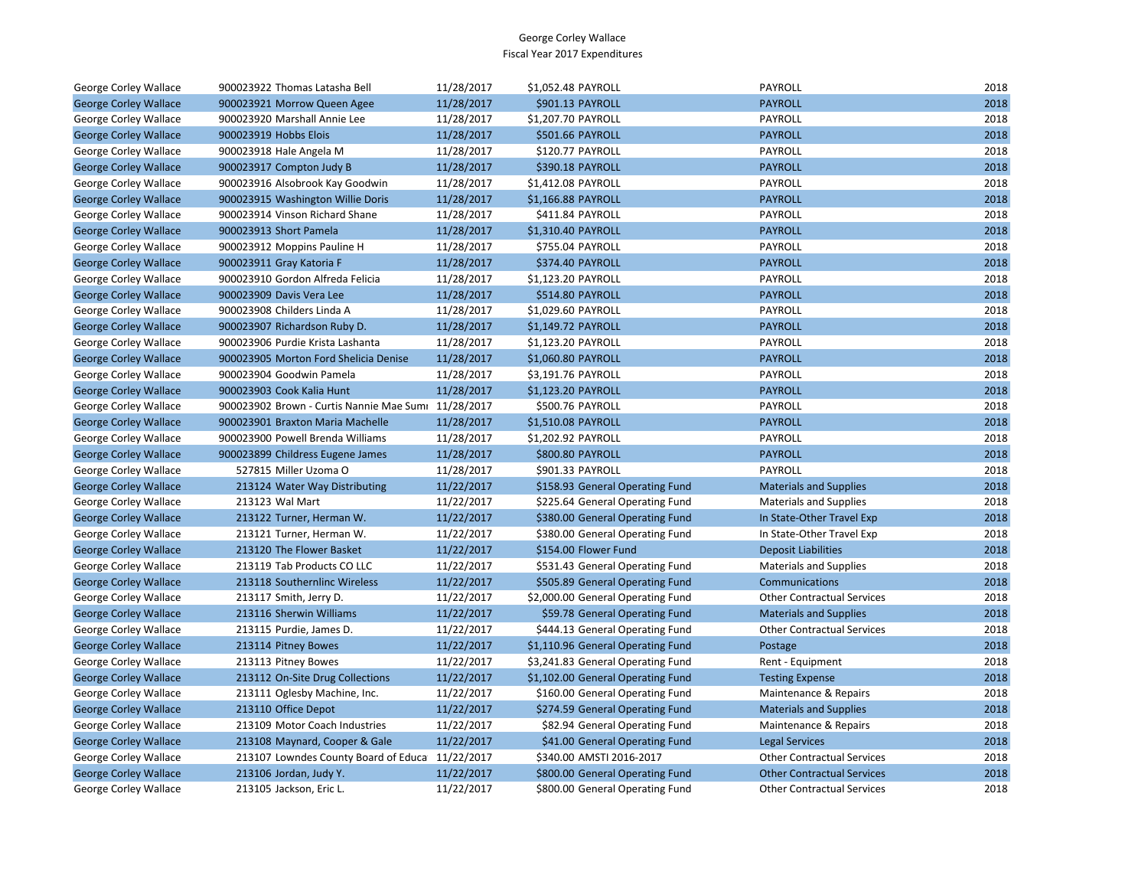| George Corley Wallace        | 900023922 Thomas Latasha Bell                       | 11/28/2017 | \$1,052.48 PAYROLL                | PAYROLL                           | 2018 |
|------------------------------|-----------------------------------------------------|------------|-----------------------------------|-----------------------------------|------|
| <b>George Corley Wallace</b> | 900023921 Morrow Queen Agee                         | 11/28/2017 | \$901.13 PAYROLL                  | <b>PAYROLL</b>                    | 2018 |
| George Corley Wallace        | 900023920 Marshall Annie Lee                        | 11/28/2017 | \$1,207.70 PAYROLL                | <b>PAYROLL</b>                    | 2018 |
| <b>George Corley Wallace</b> | 900023919 Hobbs Elois                               | 11/28/2017 | <b>\$501.66 PAYROLL</b>           | <b>PAYROLL</b>                    | 2018 |
| George Corley Wallace        | 900023918 Hale Angela M                             | 11/28/2017 | \$120.77 PAYROLL                  | PAYROLL                           | 2018 |
| <b>George Corley Wallace</b> | 900023917 Compton Judy B                            | 11/28/2017 | \$390.18 PAYROLL                  | <b>PAYROLL</b>                    | 2018 |
| George Corley Wallace        | 900023916 Alsobrook Kay Goodwin                     | 11/28/2017 | \$1,412.08 PAYROLL                | PAYROLL                           | 2018 |
| <b>George Corley Wallace</b> | 900023915 Washington Willie Doris                   | 11/28/2017 | \$1,166.88 PAYROLL                | <b>PAYROLL</b>                    | 2018 |
| George Corley Wallace        | 900023914 Vinson Richard Shane                      | 11/28/2017 | \$411.84 PAYROLL                  | PAYROLL                           | 2018 |
| <b>George Corley Wallace</b> | 900023913 Short Pamela                              | 11/28/2017 | \$1,310.40 PAYROLL                | <b>PAYROLL</b>                    | 2018 |
| George Corley Wallace        | 900023912 Moppins Pauline H                         | 11/28/2017 | \$755.04 PAYROLL                  | PAYROLL                           | 2018 |
| <b>George Corley Wallace</b> | 900023911 Gray Katoria F                            | 11/28/2017 | \$374.40 PAYROLL                  | <b>PAYROLL</b>                    | 2018 |
| George Corley Wallace        | 900023910 Gordon Alfreda Felicia                    | 11/28/2017 | \$1,123.20 PAYROLL                | PAYROLL                           | 2018 |
| <b>George Corley Wallace</b> | 900023909 Davis Vera Lee                            | 11/28/2017 | \$514.80 PAYROLL                  | <b>PAYROLL</b>                    | 2018 |
| George Corley Wallace        | 900023908 Childers Linda A                          | 11/28/2017 | \$1,029.60 PAYROLL                | PAYROLL                           | 2018 |
| <b>George Corley Wallace</b> | 900023907 Richardson Ruby D.                        | 11/28/2017 | \$1,149.72 PAYROLL                | <b>PAYROLL</b>                    | 2018 |
| George Corley Wallace        | 900023906 Purdie Krista Lashanta                    | 11/28/2017 | \$1,123.20 PAYROLL                | PAYROLL                           | 2018 |
| <b>George Corley Wallace</b> | 900023905 Morton Ford Shelicia Denise               | 11/28/2017 | \$1,060.80 PAYROLL                | <b>PAYROLL</b>                    | 2018 |
| George Corley Wallace        | 900023904 Goodwin Pamela                            | 11/28/2017 | \$3,191.76 PAYROLL                | PAYROLL                           | 2018 |
| <b>George Corley Wallace</b> | 900023903 Cook Kalia Hunt                           | 11/28/2017 | \$1,123.20 PAYROLL                | <b>PAYROLL</b>                    | 2018 |
| George Corley Wallace        | 900023902 Brown - Curtis Nannie Mae Sumi 11/28/2017 |            | \$500.76 PAYROLL                  | PAYROLL                           | 2018 |
| <b>George Corley Wallace</b> | 900023901 Braxton Maria Machelle                    | 11/28/2017 | \$1,510.08 PAYROLL                | <b>PAYROLL</b>                    | 2018 |
| George Corley Wallace        | 900023900 Powell Brenda Williams                    | 11/28/2017 | \$1,202.92 PAYROLL                | PAYROLL                           | 2018 |
| <b>George Corley Wallace</b> | 900023899 Childress Eugene James                    | 11/28/2017 | <b>\$800.80 PAYROLL</b>           | <b>PAYROLL</b>                    | 2018 |
| George Corley Wallace        | 527815 Miller Uzoma O                               | 11/28/2017 | \$901.33 PAYROLL                  | PAYROLL                           | 2018 |
| <b>George Corley Wallace</b> | 213124 Water Way Distributing                       | 11/22/2017 | \$158.93 General Operating Fund   | <b>Materials and Supplies</b>     | 2018 |
| George Corley Wallace        | 213123 Wal Mart                                     | 11/22/2017 | \$225.64 General Operating Fund   | <b>Materials and Supplies</b>     | 2018 |
| <b>George Corley Wallace</b> | 213122 Turner, Herman W.                            | 11/22/2017 | \$380.00 General Operating Fund   | In State-Other Travel Exp         | 2018 |
| George Corley Wallace        | 213121 Turner, Herman W.                            | 11/22/2017 | \$380.00 General Operating Fund   | In State-Other Travel Exp         | 2018 |
| <b>George Corley Wallace</b> | 213120 The Flower Basket                            | 11/22/2017 | \$154.00 Flower Fund              | <b>Deposit Liabilities</b>        | 2018 |
| George Corley Wallace        | 213119 Tab Products CO LLC                          | 11/22/2017 | \$531.43 General Operating Fund   | <b>Materials and Supplies</b>     | 2018 |
| <b>George Corley Wallace</b> | 213118 Southernlinc Wireless                        | 11/22/2017 | \$505.89 General Operating Fund   | Communications                    | 2018 |
| George Corley Wallace        | 213117 Smith, Jerry D.                              | 11/22/2017 | \$2,000.00 General Operating Fund | <b>Other Contractual Services</b> | 2018 |
| <b>George Corley Wallace</b> | 213116 Sherwin Williams                             | 11/22/2017 | \$59.78 General Operating Fund    | <b>Materials and Supplies</b>     | 2018 |
| George Corley Wallace        | 213115 Purdie, James D.                             | 11/22/2017 | \$444.13 General Operating Fund   | <b>Other Contractual Services</b> | 2018 |
| <b>George Corley Wallace</b> | 213114 Pitney Bowes                                 | 11/22/2017 | \$1,110.96 General Operating Fund | Postage                           | 2018 |
| George Corley Wallace        | 213113 Pitney Bowes                                 | 11/22/2017 | \$3,241.83 General Operating Fund | Rent - Equipment                  | 2018 |
| <b>George Corley Wallace</b> | 213112 On-Site Drug Collections                     | 11/22/2017 | \$1,102.00 General Operating Fund | <b>Testing Expense</b>            | 2018 |
| George Corley Wallace        | 213111 Oglesby Machine, Inc.                        | 11/22/2017 | \$160.00 General Operating Fund   | Maintenance & Repairs             | 2018 |
| <b>George Corley Wallace</b> | 213110 Office Depot                                 | 11/22/2017 | \$274.59 General Operating Fund   | <b>Materials and Supplies</b>     | 2018 |
| George Corley Wallace        | 213109 Motor Coach Industries                       | 11/22/2017 | \$82.94 General Operating Fund    | Maintenance & Repairs             | 2018 |
| <b>George Corley Wallace</b> | 213108 Maynard, Cooper & Gale                       | 11/22/2017 | \$41.00 General Operating Fund    | <b>Legal Services</b>             | 2018 |
| George Corley Wallace        | 213107 Lowndes County Board of Educa 11/22/2017     |            | \$340.00 AMSTI 2016-2017          | <b>Other Contractual Services</b> | 2018 |
| <b>George Corley Wallace</b> | 213106 Jordan, Judy Y.                              | 11/22/2017 | \$800.00 General Operating Fund   | <b>Other Contractual Services</b> | 2018 |
| George Corley Wallace        | 213105 Jackson, Eric L.                             | 11/22/2017 | \$800.00 General Operating Fund   | <b>Other Contractual Services</b> | 2018 |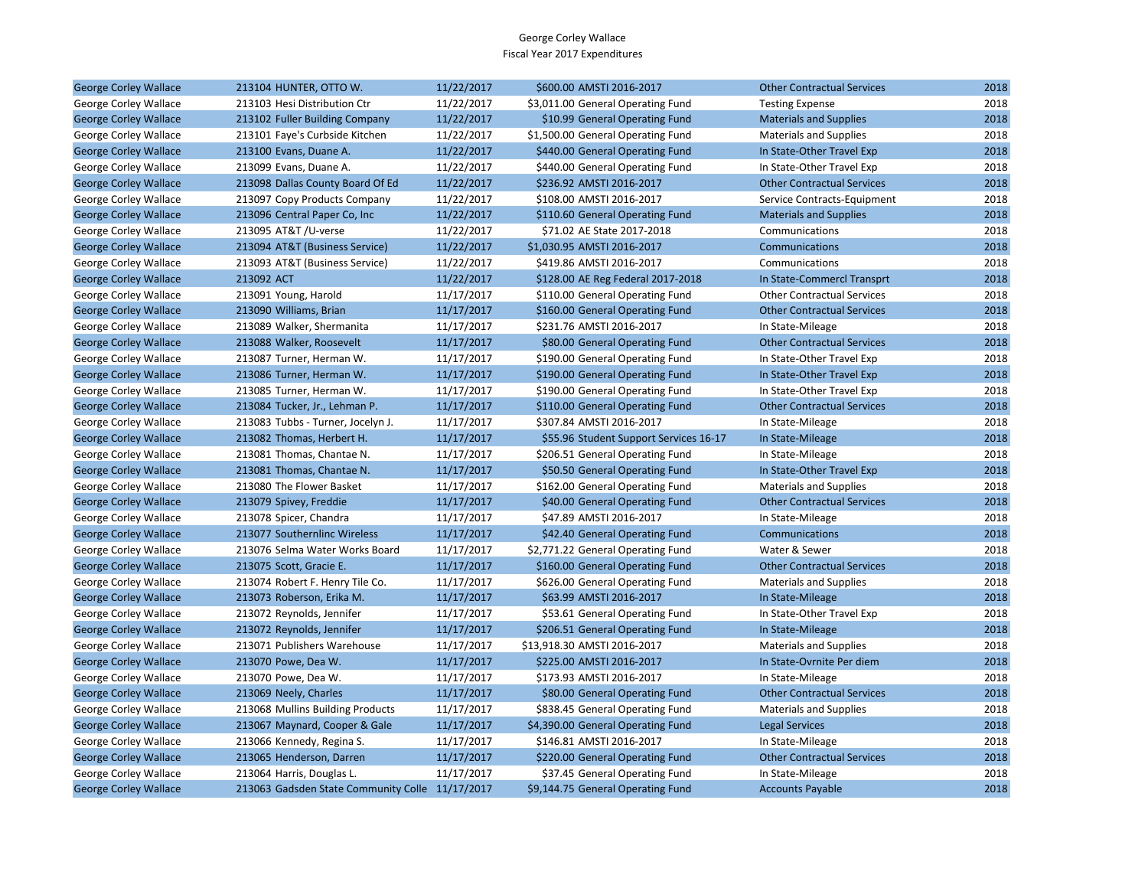| <b>George Corley Wallace</b>                          | 213104 HUNTER, OTTO W.                                | 11/22/2017 | \$600.00 AMSTI 2016-2017               | <b>Other Contractual Services</b>                     | 2018 |
|-------------------------------------------------------|-------------------------------------------------------|------------|----------------------------------------|-------------------------------------------------------|------|
| George Corley Wallace                                 | 213103 Hesi Distribution Ctr                          | 11/22/2017 | \$3,011.00 General Operating Fund      | <b>Testing Expense</b>                                | 2018 |
| <b>George Corley Wallace</b>                          | 213102 Fuller Building Company                        | 11/22/2017 | \$10.99 General Operating Fund         | <b>Materials and Supplies</b>                         | 2018 |
| George Corley Wallace                                 | 213101 Faye's Curbside Kitchen                        | 11/22/2017 | \$1,500.00 General Operating Fund      | <b>Materials and Supplies</b>                         | 2018 |
| <b>George Corley Wallace</b>                          | 213100 Evans, Duane A.                                | 11/22/2017 | \$440.00 General Operating Fund        | In State-Other Travel Exp                             | 2018 |
| George Corley Wallace                                 | 213099 Evans, Duane A.                                | 11/22/2017 | \$440.00 General Operating Fund        | In State-Other Travel Exp                             | 2018 |
| <b>George Corley Wallace</b>                          | 213098 Dallas County Board Of Ed                      | 11/22/2017 | \$236.92 AMSTI 2016-2017               | <b>Other Contractual Services</b>                     | 2018 |
| George Corley Wallace                                 | 213097 Copy Products Company                          | 11/22/2017 | \$108.00 AMSTI 2016-2017               | Service Contracts-Equipment                           | 2018 |
| <b>George Corley Wallace</b>                          | 213096 Central Paper Co, Inc                          | 11/22/2017 | \$110.60 General Operating Fund        | <b>Materials and Supplies</b>                         | 2018 |
| George Corley Wallace                                 | 213095 AT&T /U-verse                                  | 11/22/2017 | \$71.02 AE State 2017-2018             | Communications                                        | 2018 |
| <b>George Corley Wallace</b>                          | 213094 AT&T (Business Service)                        | 11/22/2017 | \$1,030.95 AMSTI 2016-2017             | Communications                                        | 2018 |
| George Corley Wallace                                 | 213093 AT&T (Business Service)                        | 11/22/2017 | \$419.86 AMSTI 2016-2017               | Communications                                        | 2018 |
| <b>George Corley Wallace</b>                          | 213092 ACT                                            | 11/22/2017 | \$128.00 AE Reg Federal 2017-2018      | In State-Commercl Transprt                            | 2018 |
| George Corley Wallace                                 | 213091 Young, Harold                                  | 11/17/2017 | \$110.00 General Operating Fund        | <b>Other Contractual Services</b>                     | 2018 |
| <b>George Corley Wallace</b>                          | 213090 Williams, Brian                                | 11/17/2017 | \$160.00 General Operating Fund        | <b>Other Contractual Services</b>                     | 2018 |
| George Corley Wallace                                 | 213089 Walker, Shermanita                             | 11/17/2017 | \$231.76 AMSTI 2016-2017               | In State-Mileage                                      | 2018 |
| <b>George Corley Wallace</b>                          | 213088 Walker, Roosevelt                              | 11/17/2017 | \$80.00 General Operating Fund         | <b>Other Contractual Services</b>                     | 2018 |
| George Corley Wallace                                 | 213087 Turner, Herman W.                              | 11/17/2017 | \$190.00 General Operating Fund        | In State-Other Travel Exp                             | 2018 |
| <b>George Corley Wallace</b>                          | 213086 Turner, Herman W.                              | 11/17/2017 | \$190.00 General Operating Fund        | In State-Other Travel Exp                             | 2018 |
| George Corley Wallace                                 | 213085 Turner, Herman W.                              | 11/17/2017 | \$190.00 General Operating Fund        | In State-Other Travel Exp                             | 2018 |
| <b>George Corley Wallace</b>                          | 213084 Tucker, Jr., Lehman P.                         | 11/17/2017 | \$110.00 General Operating Fund        | <b>Other Contractual Services</b>                     | 2018 |
| George Corley Wallace                                 | 213083 Tubbs - Turner, Jocelyn J.                     | 11/17/2017 | \$307.84 AMSTI 2016-2017               | In State-Mileage                                      | 2018 |
| <b>George Corley Wallace</b>                          | 213082 Thomas, Herbert H.                             | 11/17/2017 | \$55.96 Student Support Services 16-17 | In State-Mileage                                      | 2018 |
| George Corley Wallace                                 | 213081 Thomas, Chantae N.                             | 11/17/2017 | \$206.51 General Operating Fund        | In State-Mileage                                      | 2018 |
| <b>George Corley Wallace</b>                          | 213081 Thomas, Chantae N.                             | 11/17/2017 | \$50.50 General Operating Fund         | In State-Other Travel Exp                             | 2018 |
| George Corley Wallace                                 | 213080 The Flower Basket                              | 11/17/2017 | \$162.00 General Operating Fund        | <b>Materials and Supplies</b>                         | 2018 |
| <b>George Corley Wallace</b>                          | 213079 Spivey, Freddie                                | 11/17/2017 | \$40.00 General Operating Fund         | <b>Other Contractual Services</b>                     | 2018 |
| George Corley Wallace                                 | 213078 Spicer, Chandra                                | 11/17/2017 | \$47.89 AMSTI 2016-2017                | In State-Mileage                                      | 2018 |
| <b>George Corley Wallace</b>                          | 213077 Southernlinc Wireless                          | 11/17/2017 | \$42.40 General Operating Fund         | Communications                                        | 2018 |
|                                                       | 213076 Selma Water Works Board                        | 11/17/2017 | \$2,771.22 General Operating Fund      | Water & Sewer                                         | 2018 |
| George Corley Wallace<br><b>George Corley Wallace</b> | 213075 Scott, Gracie E.                               | 11/17/2017 | \$160.00 General Operating Fund        | <b>Other Contractual Services</b>                     | 2018 |
| George Corley Wallace                                 | 213074 Robert F. Henry Tile Co.                       | 11/17/2017 | \$626.00 General Operating Fund        | <b>Materials and Supplies</b>                         | 2018 |
| <b>George Corley Wallace</b>                          | 213073 Roberson, Erika M.                             | 11/17/2017 | \$63.99 AMSTI 2016-2017                | In State-Mileage                                      | 2018 |
| George Corley Wallace                                 | 213072 Reynolds, Jennifer                             | 11/17/2017 | \$53.61 General Operating Fund         | In State-Other Travel Exp                             | 2018 |
| <b>George Corley Wallace</b>                          | 213072 Reynolds, Jennifer                             | 11/17/2017 | \$206.51 General Operating Fund        | In State-Mileage                                      | 2018 |
| George Corley Wallace                                 | 213071 Publishers Warehouse                           | 11/17/2017 | \$13,918.30 AMSTI 2016-2017            | <b>Materials and Supplies</b>                         | 2018 |
| <b>George Corley Wallace</b>                          | 213070 Powe, Dea W.                                   | 11/17/2017 | \$225.00 AMSTI 2016-2017               | In State-Ovrnite Per diem                             | 2018 |
| George Corley Wallace                                 | 213070 Powe, Dea W.                                   | 11/17/2017 | \$173.93 AMSTI 2016-2017               | In State-Mileage                                      | 2018 |
| <b>George Corley Wallace</b>                          | 213069 Neely, Charles                                 | 11/17/2017 | \$80.00 General Operating Fund         | <b>Other Contractual Services</b>                     | 2018 |
| George Corley Wallace                                 | 213068 Mullins Building Products                      | 11/17/2017 | \$838.45 General Operating Fund        | <b>Materials and Supplies</b>                         | 2018 |
| <b>George Corley Wallace</b>                          | 213067 Maynard, Cooper & Gale                         | 11/17/2017 | \$4,390.00 General Operating Fund      | <b>Legal Services</b>                                 | 2018 |
|                                                       |                                                       | 11/17/2017 | \$146.81 AMSTI 2016-2017               |                                                       | 2018 |
| George Corley Wallace<br><b>George Corley Wallace</b> | 213066 Kennedy, Regina S.<br>213065 Henderson, Darren | 11/17/2017 | \$220.00 General Operating Fund        | In State-Mileage<br><b>Other Contractual Services</b> | 2018 |
| George Corley Wallace                                 | 213064 Harris, Douglas L.                             | 11/17/2017 | \$37.45 General Operating Fund         | In State-Mileage                                      | 2018 |
| <b>George Corley Wallace</b>                          |                                                       |            | \$9,144.75 General Operating Fund      |                                                       | 2018 |
|                                                       | 213063 Gadsden State Community Colle 11/17/2017       |            |                                        | <b>Accounts Payable</b>                               |      |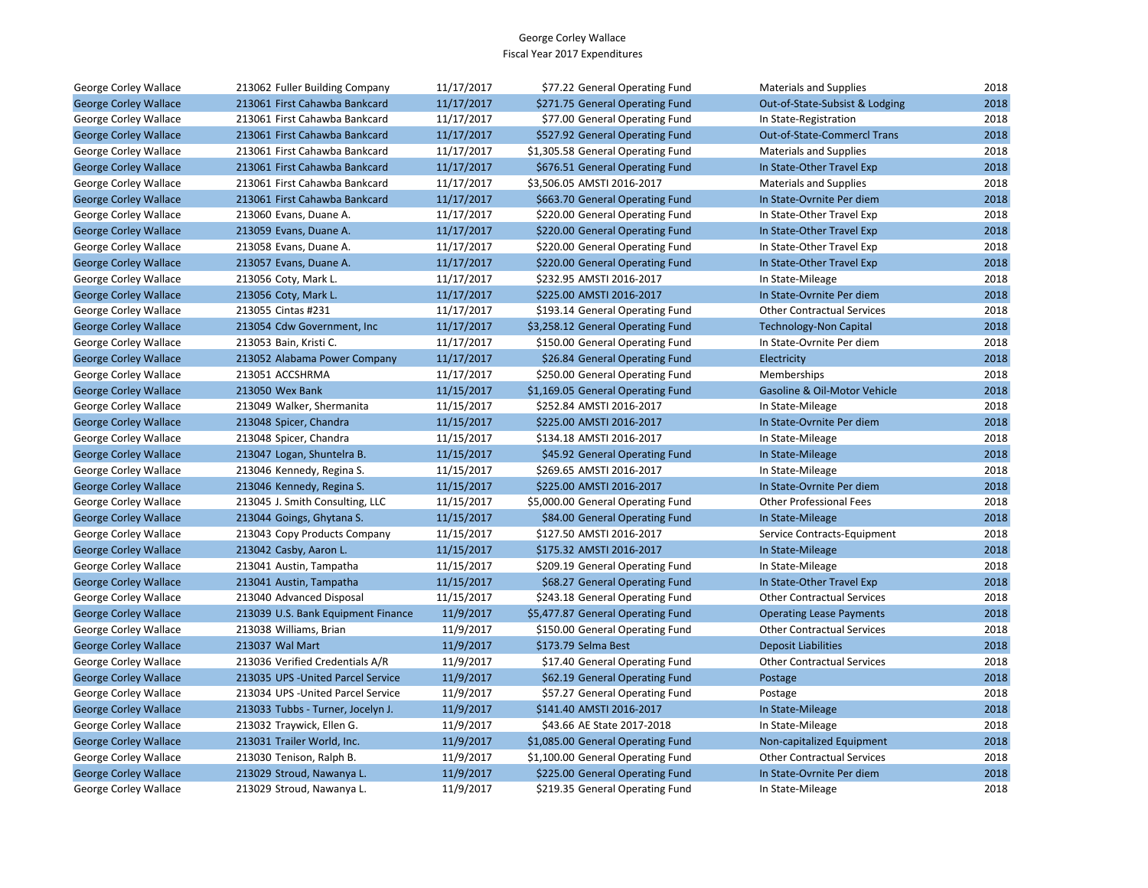| George Corley Wallace        | 213062 Fuller Building Company     | 11/17/2017 | \$77.22 General Operating Fund    | <b>Materials and Supplies</b>      | 2018 |
|------------------------------|------------------------------------|------------|-----------------------------------|------------------------------------|------|
| <b>George Corley Wallace</b> | 213061 First Cahawba Bankcard      | 11/17/2017 | \$271.75 General Operating Fund   | Out-of-State-Subsist & Lodging     | 2018 |
| George Corley Wallace        | 213061 First Cahawba Bankcard      | 11/17/2017 | \$77.00 General Operating Fund    | In State-Registration              | 2018 |
| <b>George Corley Wallace</b> | 213061 First Cahawba Bankcard      | 11/17/2017 | \$527.92 General Operating Fund   | <b>Out-of-State-Commercl Trans</b> | 2018 |
| George Corley Wallace        | 213061 First Cahawba Bankcard      | 11/17/2017 | \$1,305.58 General Operating Fund | <b>Materials and Supplies</b>      | 2018 |
| <b>George Corley Wallace</b> | 213061 First Cahawba Bankcard      | 11/17/2017 | \$676.51 General Operating Fund   | In State-Other Travel Exp          | 2018 |
| George Corley Wallace        | 213061 First Cahawba Bankcard      | 11/17/2017 | \$3,506.05 AMSTI 2016-2017        | <b>Materials and Supplies</b>      | 2018 |
| <b>George Corley Wallace</b> | 213061 First Cahawba Bankcard      | 11/17/2017 | \$663.70 General Operating Fund   | In State-Ovrnite Per diem          | 2018 |
| George Corley Wallace        | 213060 Evans, Duane A.             | 11/17/2017 | \$220.00 General Operating Fund   | In State-Other Travel Exp          | 2018 |
| <b>George Corley Wallace</b> | 213059 Evans, Duane A.             | 11/17/2017 | \$220.00 General Operating Fund   | In State-Other Travel Exp          | 2018 |
| George Corley Wallace        | 213058 Evans, Duane A.             | 11/17/2017 | \$220.00 General Operating Fund   | In State-Other Travel Exp          | 2018 |
| <b>George Corley Wallace</b> | 213057 Evans, Duane A.             | 11/17/2017 | \$220.00 General Operating Fund   | In State-Other Travel Exp          | 2018 |
| George Corley Wallace        | 213056 Coty, Mark L.               | 11/17/2017 | \$232.95 AMSTI 2016-2017          | In State-Mileage                   | 2018 |
| <b>George Corley Wallace</b> | 213056 Coty, Mark L.               | 11/17/2017 | \$225.00 AMSTI 2016-2017          | In State-Ovrnite Per diem          | 2018 |
| George Corley Wallace        | 213055 Cintas #231                 | 11/17/2017 | \$193.14 General Operating Fund   | <b>Other Contractual Services</b>  | 2018 |
| <b>George Corley Wallace</b> | 213054 Cdw Government, Inc         | 11/17/2017 | \$3,258.12 General Operating Fund | <b>Technology-Non Capital</b>      | 2018 |
| George Corley Wallace        | 213053 Bain, Kristi C.             | 11/17/2017 | \$150.00 General Operating Fund   | In State-Ovrnite Per diem          | 2018 |
| <b>George Corley Wallace</b> | 213052 Alabama Power Company       | 11/17/2017 | \$26.84 General Operating Fund    | Electricity                        | 2018 |
| George Corley Wallace        | 213051 ACCSHRMA                    | 11/17/2017 | \$250.00 General Operating Fund   | Memberships                        | 2018 |
| <b>George Corley Wallace</b> | 213050 Wex Bank                    | 11/15/2017 | \$1,169.05 General Operating Fund | Gasoline & Oil-Motor Vehicle       | 2018 |
| George Corley Wallace        | 213049 Walker, Shermanita          | 11/15/2017 | \$252.84 AMSTI 2016-2017          | In State-Mileage                   | 2018 |
| <b>George Corley Wallace</b> | 213048 Spicer, Chandra             | 11/15/2017 | \$225.00 AMSTI 2016-2017          | In State-Ovrnite Per diem          | 2018 |
| George Corley Wallace        | 213048 Spicer, Chandra             | 11/15/2017 | \$134.18 AMSTI 2016-2017          | In State-Mileage                   | 2018 |
| <b>George Corley Wallace</b> | 213047 Logan, Shuntelra B.         | 11/15/2017 | \$45.92 General Operating Fund    | In State-Mileage                   | 2018 |
| George Corley Wallace        | 213046 Kennedy, Regina S.          | 11/15/2017 | \$269.65 AMSTI 2016-2017          | In State-Mileage                   | 2018 |
| <b>George Corley Wallace</b> | 213046 Kennedy, Regina S.          | 11/15/2017 | \$225.00 AMSTI 2016-2017          | In State-Ovrnite Per diem          | 2018 |
| George Corley Wallace        | 213045 J. Smith Consulting, LLC    | 11/15/2017 | \$5,000.00 General Operating Fund | <b>Other Professional Fees</b>     | 2018 |
| <b>George Corley Wallace</b> | 213044 Goings, Ghytana S.          | 11/15/2017 | \$84.00 General Operating Fund    | In State-Mileage                   | 2018 |
| George Corley Wallace        | 213043 Copy Products Company       | 11/15/2017 | \$127.50 AMSTI 2016-2017          | Service Contracts-Equipment        | 2018 |
| <b>George Corley Wallace</b> | 213042 Casby, Aaron L.             | 11/15/2017 | \$175.32 AMSTI 2016-2017          | In State-Mileage                   | 2018 |
| George Corley Wallace        | 213041 Austin, Tampatha            | 11/15/2017 | \$209.19 General Operating Fund   | In State-Mileage                   | 2018 |
| <b>George Corley Wallace</b> | 213041 Austin, Tampatha            | 11/15/2017 | \$68.27 General Operating Fund    | In State-Other Travel Exp          | 2018 |
| George Corley Wallace        | 213040 Advanced Disposal           | 11/15/2017 | \$243.18 General Operating Fund   | <b>Other Contractual Services</b>  | 2018 |
| <b>George Corley Wallace</b> | 213039 U.S. Bank Equipment Finance | 11/9/2017  | \$5,477.87 General Operating Fund | <b>Operating Lease Payments</b>    | 2018 |
| George Corley Wallace        | 213038 Williams, Brian             | 11/9/2017  | \$150.00 General Operating Fund   | <b>Other Contractual Services</b>  | 2018 |
| <b>George Corley Wallace</b> | 213037 Wal Mart                    | 11/9/2017  | \$173.79 Selma Best               | <b>Deposit Liabilities</b>         | 2018 |
| George Corley Wallace        | 213036 Verified Credentials A/R    | 11/9/2017  | \$17.40 General Operating Fund    | <b>Other Contractual Services</b>  | 2018 |
| <b>George Corley Wallace</b> | 213035 UPS - United Parcel Service | 11/9/2017  | \$62.19 General Operating Fund    | Postage                            | 2018 |
| George Corley Wallace        | 213034 UPS - United Parcel Service | 11/9/2017  | \$57.27 General Operating Fund    | Postage                            | 2018 |
| <b>George Corley Wallace</b> | 213033 Tubbs - Turner, Jocelyn J.  | 11/9/2017  | \$141.40 AMSTI 2016-2017          | In State-Mileage                   | 2018 |
| George Corley Wallace        | 213032 Traywick, Ellen G.          | 11/9/2017  | \$43.66 AE State 2017-2018        | In State-Mileage                   | 2018 |
| <b>George Corley Wallace</b> | 213031 Trailer World, Inc.         | 11/9/2017  | \$1,085.00 General Operating Fund | Non-capitalized Equipment          | 2018 |
| George Corley Wallace        | 213030 Tenison, Ralph B.           | 11/9/2017  | \$1,100.00 General Operating Fund | <b>Other Contractual Services</b>  | 2018 |
| <b>George Corley Wallace</b> | 213029 Stroud, Nawanya L.          | 11/9/2017  | \$225.00 General Operating Fund   | In State-Ovrnite Per diem          | 2018 |
| George Corley Wallace        | 213029 Stroud, Nawanya L.          | 11/9/2017  | \$219.35 General Operating Fund   | In State-Mileage                   | 2018 |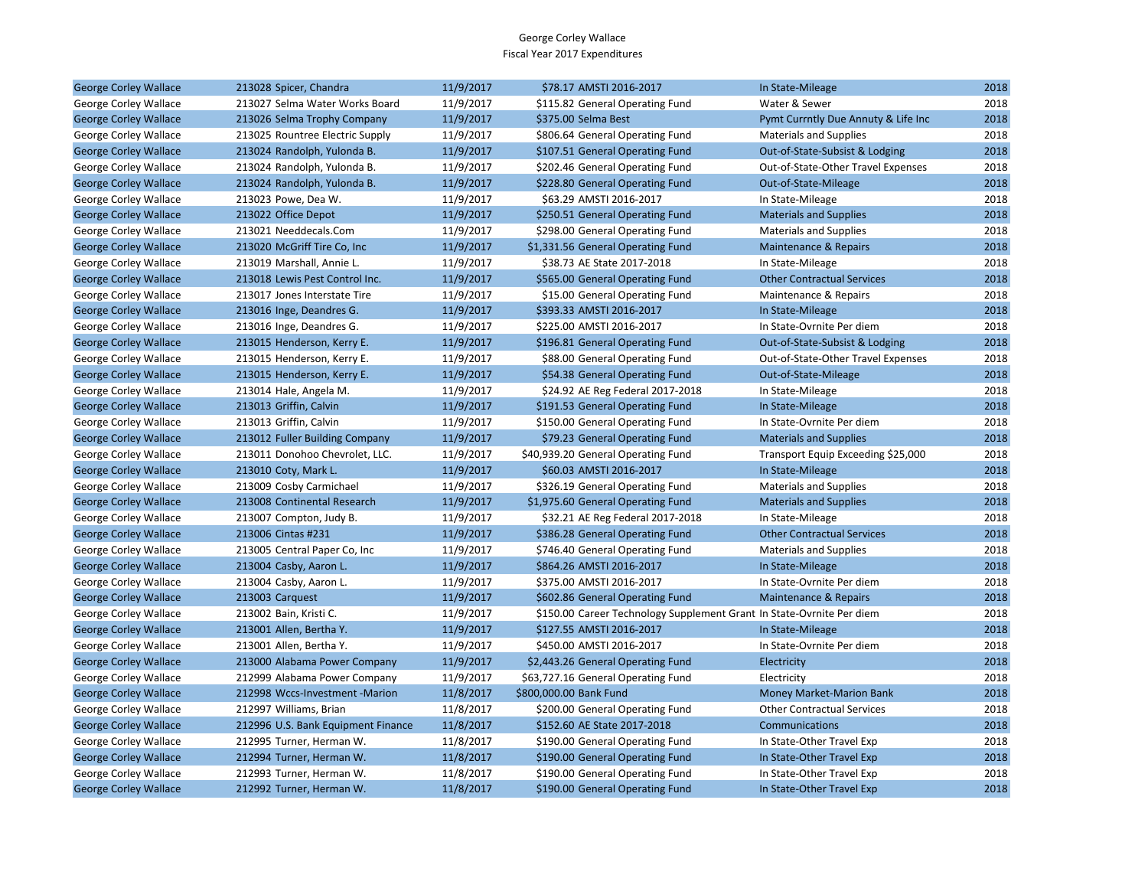| <b>George Corley Wallace</b> | 213028 Spicer, Chandra             | 11/9/2017 | \$78.17 AMSTI 2016-2017                                               | In State-Mileage                    | 2018 |
|------------------------------|------------------------------------|-----------|-----------------------------------------------------------------------|-------------------------------------|------|
| George Corley Wallace        | 213027 Selma Water Works Board     | 11/9/2017 | \$115.82 General Operating Fund                                       | Water & Sewer                       | 2018 |
| <b>George Corley Wallace</b> | 213026 Selma Trophy Company        | 11/9/2017 | \$375.00 Selma Best                                                   | Pymt Currntly Due Annuty & Life Inc | 2018 |
| George Corley Wallace        | 213025 Rountree Electric Supply    | 11/9/2017 | \$806.64 General Operating Fund                                       | Materials and Supplies              | 2018 |
| <b>George Corley Wallace</b> | 213024 Randolph, Yulonda B.        | 11/9/2017 | \$107.51 General Operating Fund                                       | Out-of-State-Subsist & Lodging      | 2018 |
| George Corley Wallace        | 213024 Randolph, Yulonda B.        | 11/9/2017 | \$202.46 General Operating Fund                                       | Out-of-State-Other Travel Expenses  | 2018 |
| <b>George Corley Wallace</b> | 213024 Randolph, Yulonda B.        | 11/9/2017 | \$228.80 General Operating Fund                                       | Out-of-State-Mileage                | 2018 |
| George Corley Wallace        | 213023 Powe, Dea W.                | 11/9/2017 | \$63.29 AMSTI 2016-2017                                               | In State-Mileage                    | 2018 |
| <b>George Corley Wallace</b> | 213022 Office Depot                | 11/9/2017 | \$250.51 General Operating Fund                                       | <b>Materials and Supplies</b>       | 2018 |
| George Corley Wallace        | 213021 Needdecals.Com              | 11/9/2017 | \$298.00 General Operating Fund                                       | <b>Materials and Supplies</b>       | 2018 |
| <b>George Corley Wallace</b> | 213020 McGriff Tire Co, Inc        | 11/9/2017 | \$1,331.56 General Operating Fund                                     | Maintenance & Repairs               | 2018 |
| George Corley Wallace        | 213019 Marshall, Annie L.          | 11/9/2017 | \$38.73 AE State 2017-2018                                            | In State-Mileage                    | 2018 |
| <b>George Corley Wallace</b> | 213018 Lewis Pest Control Inc.     | 11/9/2017 | \$565.00 General Operating Fund                                       | <b>Other Contractual Services</b>   | 2018 |
| George Corley Wallace        | 213017 Jones Interstate Tire       | 11/9/2017 | \$15.00 General Operating Fund                                        | Maintenance & Repairs               | 2018 |
| <b>George Corley Wallace</b> | 213016 Inge, Deandres G.           | 11/9/2017 | \$393.33 AMSTI 2016-2017                                              | In State-Mileage                    | 2018 |
| George Corley Wallace        | 213016 Inge, Deandres G.           | 11/9/2017 | \$225.00 AMSTI 2016-2017                                              | In State-Ovrnite Per diem           | 2018 |
| <b>George Corley Wallace</b> | 213015 Henderson, Kerry E.         | 11/9/2017 | \$196.81 General Operating Fund                                       | Out-of-State-Subsist & Lodging      | 2018 |
| George Corley Wallace        | 213015 Henderson, Kerry E.         | 11/9/2017 | \$88.00 General Operating Fund                                        | Out-of-State-Other Travel Expenses  | 2018 |
| <b>George Corley Wallace</b> | 213015 Henderson, Kerry E.         | 11/9/2017 | \$54.38 General Operating Fund                                        | Out-of-State-Mileage                | 2018 |
| George Corley Wallace        | 213014 Hale, Angela M.             | 11/9/2017 | \$24.92 AE Reg Federal 2017-2018                                      | In State-Mileage                    | 2018 |
| <b>George Corley Wallace</b> | 213013 Griffin, Calvin             | 11/9/2017 | \$191.53 General Operating Fund                                       | In State-Mileage                    | 2018 |
| George Corley Wallace        | 213013 Griffin, Calvin             | 11/9/2017 | \$150.00 General Operating Fund                                       | In State-Ovrnite Per diem           | 2018 |
| <b>George Corley Wallace</b> | 213012 Fuller Building Company     | 11/9/2017 | \$79.23 General Operating Fund                                        | <b>Materials and Supplies</b>       | 2018 |
| George Corley Wallace        | 213011 Donohoo Chevrolet, LLC.     | 11/9/2017 | \$40,939.20 General Operating Fund                                    | Transport Equip Exceeding \$25,000  | 2018 |
| <b>George Corley Wallace</b> | 213010 Coty, Mark L.               | 11/9/2017 | \$60.03 AMSTI 2016-2017                                               | In State-Mileage                    | 2018 |
| George Corley Wallace        | 213009 Cosby Carmichael            | 11/9/2017 | \$326.19 General Operating Fund                                       | <b>Materials and Supplies</b>       | 2018 |
| <b>George Corley Wallace</b> | 213008 Continental Research        | 11/9/2017 | \$1,975.60 General Operating Fund                                     | <b>Materials and Supplies</b>       | 2018 |
| George Corley Wallace        | 213007 Compton, Judy B.            | 11/9/2017 | \$32.21 AE Reg Federal 2017-2018                                      | In State-Mileage                    | 2018 |
| <b>George Corley Wallace</b> | 213006 Cintas #231                 | 11/9/2017 | \$386.28 General Operating Fund                                       | <b>Other Contractual Services</b>   | 2018 |
| George Corley Wallace        | 213005 Central Paper Co, Inc.      | 11/9/2017 | \$746.40 General Operating Fund                                       | <b>Materials and Supplies</b>       | 2018 |
| <b>George Corley Wallace</b> | 213004 Casby, Aaron L.             | 11/9/2017 | \$864.26 AMSTI 2016-2017                                              | In State-Mileage                    | 2018 |
| George Corley Wallace        | 213004 Casby, Aaron L.             | 11/9/2017 | \$375.00 AMSTI 2016-2017                                              | In State-Ovrnite Per diem           | 2018 |
| <b>George Corley Wallace</b> | 213003 Carguest                    | 11/9/2017 | \$602.86 General Operating Fund                                       | Maintenance & Repairs               | 2018 |
| George Corley Wallace        | 213002 Bain, Kristi C.             | 11/9/2017 | \$150.00 Career Technology Supplement Grant In State-Ovrnite Per diem |                                     | 2018 |
| <b>George Corley Wallace</b> | 213001 Allen, Bertha Y.            | 11/9/2017 | \$127.55 AMSTI 2016-2017                                              | In State-Mileage                    | 2018 |
| George Corley Wallace        | 213001 Allen, Bertha Y.            | 11/9/2017 | \$450.00 AMSTI 2016-2017                                              | In State-Ovrnite Per diem           | 2018 |
| <b>George Corley Wallace</b> | 213000 Alabama Power Company       | 11/9/2017 | \$2,443.26 General Operating Fund                                     | Electricity                         | 2018 |
| George Corley Wallace        | 212999 Alabama Power Company       | 11/9/2017 | \$63,727.16 General Operating Fund                                    | Electricity                         | 2018 |
| <b>George Corley Wallace</b> | 212998 Wccs-Investment -Marion     | 11/8/2017 | \$800,000.00 Bank Fund                                                | <b>Money Market-Marion Bank</b>     | 2018 |
| George Corley Wallace        | 212997 Williams, Brian             | 11/8/2017 | \$200.00 General Operating Fund                                       | <b>Other Contractual Services</b>   | 2018 |
| <b>George Corley Wallace</b> | 212996 U.S. Bank Equipment Finance | 11/8/2017 | \$152.60 AE State 2017-2018                                           | Communications                      | 2018 |
| George Corley Wallace        | 212995 Turner, Herman W.           | 11/8/2017 | \$190.00 General Operating Fund                                       | In State-Other Travel Exp           | 2018 |
| <b>George Corley Wallace</b> | 212994 Turner, Herman W.           | 11/8/2017 | \$190.00 General Operating Fund                                       | In State-Other Travel Exp           | 2018 |
| George Corley Wallace        | 212993 Turner, Herman W.           | 11/8/2017 | \$190.00 General Operating Fund                                       | In State-Other Travel Exp           | 2018 |
| <b>George Corley Wallace</b> | 212992 Turner, Herman W.           | 11/8/2017 | \$190.00 General Operating Fund                                       | In State-Other Travel Exp           | 2018 |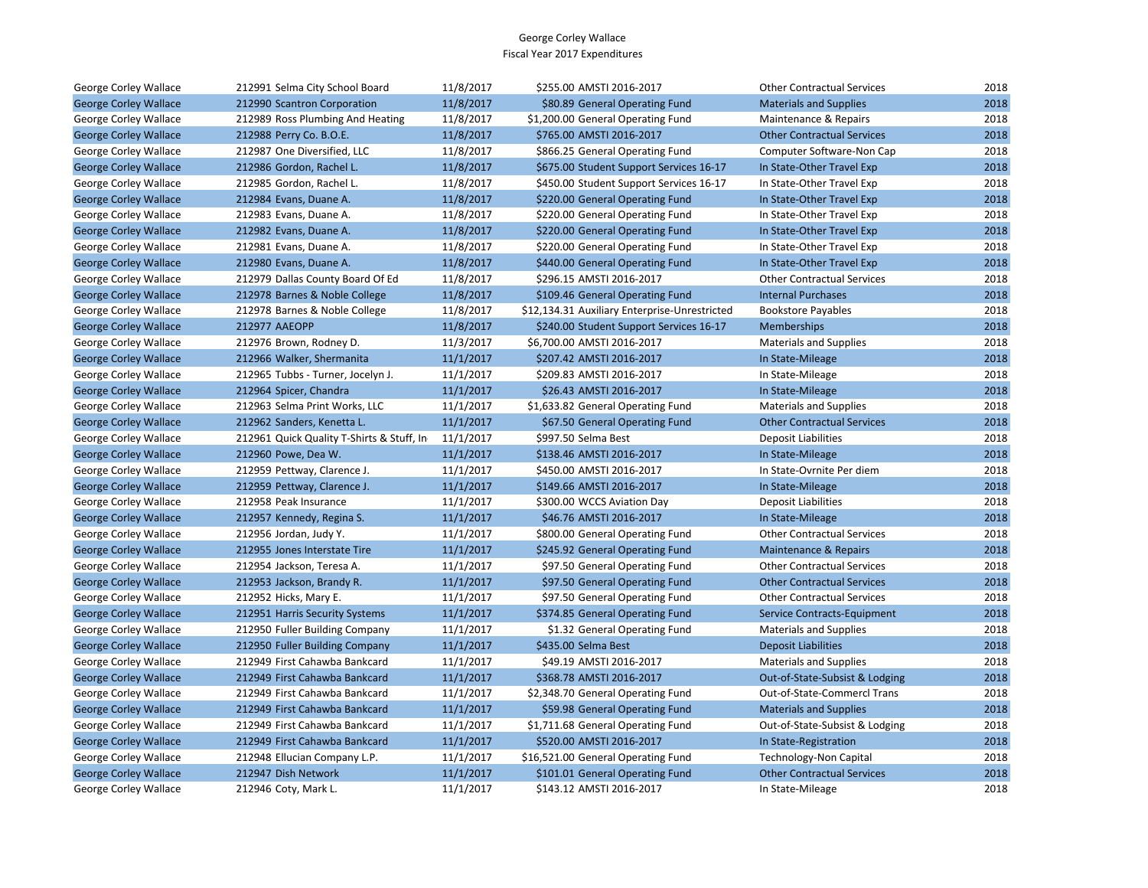| George Corley Wallace        | 212991 Selma City School Board            | 11/8/2017 | \$255.00 AMSTI 2016-2017                      | <b>Other Contractual Services</b> | 2018 |
|------------------------------|-------------------------------------------|-----------|-----------------------------------------------|-----------------------------------|------|
| <b>George Corley Wallace</b> | 212990 Scantron Corporation               | 11/8/2017 | \$80.89 General Operating Fund                | <b>Materials and Supplies</b>     | 2018 |
| George Corley Wallace        | 212989 Ross Plumbing And Heating          | 11/8/2017 | \$1,200.00 General Operating Fund             | Maintenance & Repairs             | 2018 |
| <b>George Corley Wallace</b> | 212988 Perry Co. B.O.E.                   | 11/8/2017 | \$765.00 AMSTI 2016-2017                      | <b>Other Contractual Services</b> | 2018 |
| George Corley Wallace        | 212987 One Diversified, LLC               | 11/8/2017 | \$866.25 General Operating Fund               | Computer Software-Non Cap         | 2018 |
| <b>George Corley Wallace</b> | 212986 Gordon, Rachel L.                  | 11/8/2017 | \$675.00 Student Support Services 16-17       | In State-Other Travel Exp         | 2018 |
| George Corley Wallace        | 212985 Gordon, Rachel L.                  | 11/8/2017 | \$450.00 Student Support Services 16-17       | In State-Other Travel Exp         | 2018 |
| <b>George Corley Wallace</b> | 212984 Evans, Duane A.                    | 11/8/2017 | \$220.00 General Operating Fund               | In State-Other Travel Exp         | 2018 |
| George Corley Wallace        | 212983 Evans, Duane A.                    | 11/8/2017 | \$220.00 General Operating Fund               | In State-Other Travel Exp         | 2018 |
| <b>George Corley Wallace</b> | 212982 Evans, Duane A.                    | 11/8/2017 | \$220.00 General Operating Fund               | In State-Other Travel Exp         | 2018 |
| George Corley Wallace        | 212981 Evans, Duane A.                    | 11/8/2017 | \$220.00 General Operating Fund               | In State-Other Travel Exp         | 2018 |
| <b>George Corley Wallace</b> | 212980 Evans, Duane A.                    | 11/8/2017 | \$440.00 General Operating Fund               | In State-Other Travel Exp         | 2018 |
| George Corley Wallace        | 212979 Dallas County Board Of Ed          | 11/8/2017 | \$296.15 AMSTI 2016-2017                      | <b>Other Contractual Services</b> | 2018 |
| <b>George Corley Wallace</b> | 212978 Barnes & Noble College             | 11/8/2017 | \$109.46 General Operating Fund               | <b>Internal Purchases</b>         | 2018 |
| George Corley Wallace        | 212978 Barnes & Noble College             | 11/8/2017 | \$12,134.31 Auxiliary Enterprise-Unrestricted | <b>Bookstore Payables</b>         | 2018 |
| <b>George Corley Wallace</b> | 212977 AAEOPP                             | 11/8/2017 | \$240.00 Student Support Services 16-17       | <b>Memberships</b>                | 2018 |
| George Corley Wallace        | 212976 Brown, Rodney D.                   | 11/3/2017 | \$6,700.00 AMSTI 2016-2017                    | <b>Materials and Supplies</b>     | 2018 |
| <b>George Corley Wallace</b> | 212966 Walker, Shermanita                 | 11/1/2017 | \$207.42 AMSTI 2016-2017                      | In State-Mileage                  | 2018 |
| George Corley Wallace        | 212965 Tubbs - Turner, Jocelyn J.         | 11/1/2017 | \$209.83 AMSTI 2016-2017                      | In State-Mileage                  | 2018 |
| <b>George Corley Wallace</b> | 212964 Spicer, Chandra                    | 11/1/2017 | \$26.43 AMSTI 2016-2017                       | In State-Mileage                  | 2018 |
| George Corley Wallace        | 212963 Selma Print Works, LLC             | 11/1/2017 | \$1,633.82 General Operating Fund             | <b>Materials and Supplies</b>     | 2018 |
| <b>George Corley Wallace</b> | 212962 Sanders, Kenetta L.                | 11/1/2017 | \$67.50 General Operating Fund                | <b>Other Contractual Services</b> | 2018 |
| George Corley Wallace        | 212961 Quick Quality T-Shirts & Stuff, In | 11/1/2017 | \$997.50 Selma Best                           | <b>Deposit Liabilities</b>        | 2018 |
| <b>George Corley Wallace</b> | 212960 Powe, Dea W.                       | 11/1/2017 | \$138.46 AMSTI 2016-2017                      | In State-Mileage                  | 2018 |
| George Corley Wallace        | 212959 Pettway, Clarence J.               | 11/1/2017 | \$450.00 AMSTI 2016-2017                      | In State-Ovrnite Per diem         | 2018 |
| <b>George Corley Wallace</b> | 212959 Pettway, Clarence J.               | 11/1/2017 | \$149.66 AMSTI 2016-2017                      | In State-Mileage                  | 2018 |
| George Corley Wallace        | 212958 Peak Insurance                     | 11/1/2017 | \$300.00 WCCS Aviation Day                    | Deposit Liabilities               | 2018 |
| <b>George Corley Wallace</b> | 212957 Kennedy, Regina S.                 | 11/1/2017 | \$46.76 AMSTI 2016-2017                       | In State-Mileage                  | 2018 |
| George Corley Wallace        | 212956 Jordan, Judy Y.                    | 11/1/2017 | \$800.00 General Operating Fund               | <b>Other Contractual Services</b> | 2018 |
| <b>George Corley Wallace</b> | 212955 Jones Interstate Tire              | 11/1/2017 | \$245.92 General Operating Fund               | <b>Maintenance &amp; Repairs</b>  | 2018 |
| George Corley Wallace        | 212954 Jackson, Teresa A.                 | 11/1/2017 | \$97.50 General Operating Fund                | <b>Other Contractual Services</b> | 2018 |
| <b>George Corley Wallace</b> | 212953 Jackson, Brandy R.                 | 11/1/2017 | \$97.50 General Operating Fund                | <b>Other Contractual Services</b> | 2018 |
| George Corley Wallace        | 212952 Hicks, Mary E.                     | 11/1/2017 | \$97.50 General Operating Fund                | <b>Other Contractual Services</b> | 2018 |
| <b>George Corley Wallace</b> | 212951 Harris Security Systems            | 11/1/2017 | \$374.85 General Operating Fund               | Service Contracts-Equipment       | 2018 |
| George Corley Wallace        | 212950 Fuller Building Company            | 11/1/2017 | \$1.32 General Operating Fund                 | <b>Materials and Supplies</b>     | 2018 |
| <b>George Corley Wallace</b> | 212950 Fuller Building Company            | 11/1/2017 | \$435.00 Selma Best                           | <b>Deposit Liabilities</b>        | 2018 |
| George Corley Wallace        | 212949 First Cahawba Bankcard             | 11/1/2017 | \$49.19 AMSTI 2016-2017                       | <b>Materials and Supplies</b>     | 2018 |
| <b>George Corley Wallace</b> | 212949 First Cahawba Bankcard             | 11/1/2017 | \$368.78 AMSTI 2016-2017                      | Out-of-State-Subsist & Lodging    | 2018 |
| George Corley Wallace        | 212949 First Cahawba Bankcard             | 11/1/2017 | \$2,348.70 General Operating Fund             | Out-of-State-Commercl Trans       | 2018 |
| <b>George Corley Wallace</b> | 212949 First Cahawba Bankcard             | 11/1/2017 | \$59.98 General Operating Fund                | <b>Materials and Supplies</b>     | 2018 |
| George Corley Wallace        | 212949 First Cahawba Bankcard             | 11/1/2017 | \$1,711.68 General Operating Fund             | Out-of-State-Subsist & Lodging    | 2018 |
| <b>George Corley Wallace</b> | 212949 First Cahawba Bankcard             | 11/1/2017 | \$520.00 AMSTI 2016-2017                      | In State-Registration             | 2018 |
| George Corley Wallace        | 212948 Ellucian Company L.P.              | 11/1/2017 | \$16,521.00 General Operating Fund            | <b>Technology-Non Capital</b>     | 2018 |
| <b>George Corley Wallace</b> | 212947 Dish Network                       | 11/1/2017 | \$101.01 General Operating Fund               | <b>Other Contractual Services</b> | 2018 |
| George Corley Wallace        | 212946 Coty, Mark L.                      | 11/1/2017 | \$143.12 AMSTI 2016-2017                      | In State-Mileage                  | 2018 |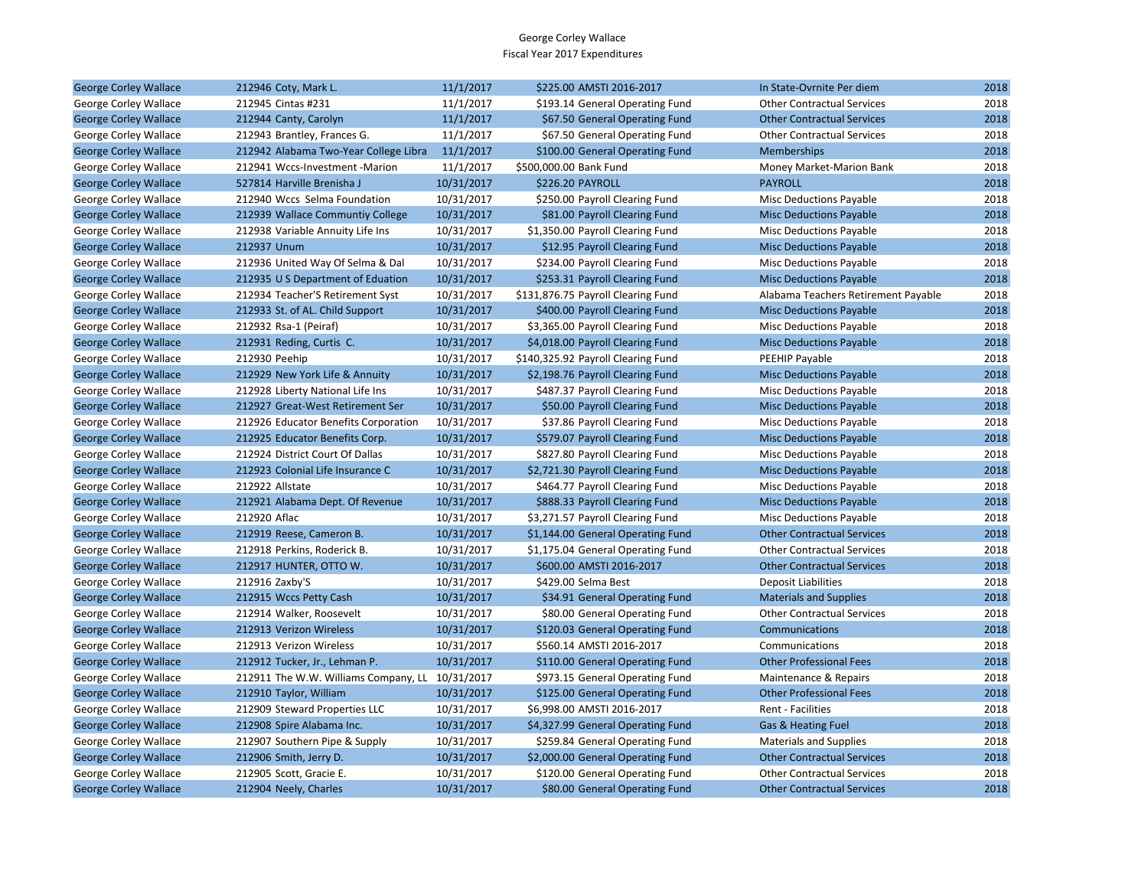| <b>George Corley Wallace</b> | 212946 Coty, Mark L.                  | 11/1/2017  | \$225.00 AMSTI 2016-2017           | In State-Ovrnite Per diem           | 2018 |
|------------------------------|---------------------------------------|------------|------------------------------------|-------------------------------------|------|
| George Corley Wallace        | 212945 Cintas #231                    | 11/1/2017  | \$193.14 General Operating Fund    | <b>Other Contractual Services</b>   | 2018 |
| <b>George Corley Wallace</b> | 212944 Canty, Carolyn                 | 11/1/2017  | \$67.50 General Operating Fund     | <b>Other Contractual Services</b>   | 2018 |
| George Corley Wallace        | 212943 Brantley, Frances G.           | 11/1/2017  | \$67.50 General Operating Fund     | <b>Other Contractual Services</b>   | 2018 |
| <b>George Corley Wallace</b> | 212942 Alabama Two-Year College Libra | 11/1/2017  | \$100.00 General Operating Fund    | Memberships                         | 2018 |
| George Corley Wallace        | 212941 Wccs-Investment -Marion        | 11/1/2017  | \$500,000.00 Bank Fund             | Money Market-Marion Bank            | 2018 |
| <b>George Corley Wallace</b> | 527814 Harville Brenisha J            | 10/31/2017 | <b>\$226.20 PAYROLL</b>            | <b>PAYROLL</b>                      | 2018 |
| George Corley Wallace        | 212940 Wccs Selma Foundation          | 10/31/2017 | \$250.00 Payroll Clearing Fund     | <b>Misc Deductions Payable</b>      | 2018 |
| <b>George Corley Wallace</b> | 212939 Wallace Communtiy College      | 10/31/2017 | \$81.00 Payroll Clearing Fund      | <b>Misc Deductions Payable</b>      | 2018 |
| George Corley Wallace        | 212938 Variable Annuity Life Ins      | 10/31/2017 | \$1,350.00 Payroll Clearing Fund   | Misc Deductions Payable             | 2018 |
| <b>George Corley Wallace</b> | 212937 Unum                           | 10/31/2017 | \$12.95 Payroll Clearing Fund      | <b>Misc Deductions Payable</b>      | 2018 |
| George Corley Wallace        | 212936 United Way Of Selma & Dal      | 10/31/2017 | \$234.00 Payroll Clearing Fund     | Misc Deductions Payable             | 2018 |
| <b>George Corley Wallace</b> | 212935 U S Department of Eduation     | 10/31/2017 | \$253.31 Payroll Clearing Fund     | <b>Misc Deductions Payable</b>      | 2018 |
| George Corley Wallace        | 212934 Teacher'S Retirement Syst      | 10/31/2017 | \$131,876.75 Payroll Clearing Fund | Alabama Teachers Retirement Payable | 2018 |
| <b>George Corley Wallace</b> | 212933 St. of AL. Child Support       | 10/31/2017 | \$400.00 Payroll Clearing Fund     | <b>Misc Deductions Payable</b>      | 2018 |
| George Corley Wallace        | 212932 Rsa-1 (Peiraf)                 | 10/31/2017 | \$3,365.00 Payroll Clearing Fund   | Misc Deductions Payable             | 2018 |
| <b>George Corley Wallace</b> | 212931 Reding, Curtis C.              | 10/31/2017 | \$4,018.00 Payroll Clearing Fund   | <b>Misc Deductions Payable</b>      | 2018 |
| George Corley Wallace        | 212930 Peehip                         | 10/31/2017 | \$140,325.92 Payroll Clearing Fund | PEEHIP Payable                      | 2018 |
| <b>George Corley Wallace</b> | 212929 New York Life & Annuity        | 10/31/2017 | \$2,198.76 Payroll Clearing Fund   | <b>Misc Deductions Payable</b>      | 2018 |
| George Corley Wallace        | 212928 Liberty National Life Ins      | 10/31/2017 | \$487.37 Payroll Clearing Fund     | <b>Misc Deductions Payable</b>      | 2018 |
| <b>George Corley Wallace</b> | 212927 Great-West Retirement Ser      | 10/31/2017 | \$50.00 Payroll Clearing Fund      | <b>Misc Deductions Payable</b>      | 2018 |
| George Corley Wallace        | 212926 Educator Benefits Corporation  | 10/31/2017 | \$37.86 Payroll Clearing Fund      | Misc Deductions Payable             | 2018 |
| <b>George Corley Wallace</b> | 212925 Educator Benefits Corp.        | 10/31/2017 | \$579.07 Payroll Clearing Fund     | <b>Misc Deductions Payable</b>      | 2018 |
| George Corley Wallace        | 212924 District Court Of Dallas       | 10/31/2017 | \$827.80 Payroll Clearing Fund     | <b>Misc Deductions Payable</b>      | 2018 |
| <b>George Corley Wallace</b> | 212923 Colonial Life Insurance C      | 10/31/2017 | \$2,721.30 Payroll Clearing Fund   | <b>Misc Deductions Payable</b>      | 2018 |
| George Corley Wallace        | 212922 Allstate                       | 10/31/2017 | \$464.77 Payroll Clearing Fund     | Misc Deductions Payable             | 2018 |
| <b>George Corley Wallace</b> | 212921 Alabama Dept. Of Revenue       | 10/31/2017 | \$888.33 Payroll Clearing Fund     | <b>Misc Deductions Payable</b>      | 2018 |
| George Corley Wallace        | 212920 Aflac                          | 10/31/2017 | \$3,271.57 Payroll Clearing Fund   | Misc Deductions Payable             | 2018 |
| <b>George Corley Wallace</b> | 212919 Reese, Cameron B.              | 10/31/2017 | \$1,144.00 General Operating Fund  | <b>Other Contractual Services</b>   | 2018 |
| George Corley Wallace        | 212918 Perkins, Roderick B.           | 10/31/2017 | \$1,175.04 General Operating Fund  | <b>Other Contractual Services</b>   | 2018 |
| <b>George Corley Wallace</b> | 212917 HUNTER, OTTO W.                | 10/31/2017 | \$600.00 AMSTI 2016-2017           | <b>Other Contractual Services</b>   | 2018 |
| George Corley Wallace        | 212916 Zaxby'S                        | 10/31/2017 | \$429.00 Selma Best                | <b>Deposit Liabilities</b>          | 2018 |
| <b>George Corley Wallace</b> | 212915 Wccs Petty Cash                | 10/31/2017 | \$34.91 General Operating Fund     | <b>Materials and Supplies</b>       | 2018 |
| George Corley Wallace        | 212914 Walker, Roosevelt              | 10/31/2017 | \$80.00 General Operating Fund     | <b>Other Contractual Services</b>   | 2018 |
| <b>George Corley Wallace</b> | 212913 Verizon Wireless               | 10/31/2017 | \$120.03 General Operating Fund    | Communications                      | 2018 |
| George Corley Wallace        | 212913 Verizon Wireless               | 10/31/2017 | \$560.14 AMSTI 2016-2017           | Communications                      | 2018 |
| <b>George Corley Wallace</b> | 212912 Tucker, Jr., Lehman P.         | 10/31/2017 | \$110.00 General Operating Fund    | <b>Other Professional Fees</b>      | 2018 |
| George Corley Wallace        | 212911 The W.W. Williams Company, LL  | 10/31/2017 | \$973.15 General Operating Fund    | Maintenance & Repairs               | 2018 |
| <b>George Corley Wallace</b> | 212910 Taylor, William                | 10/31/2017 | \$125.00 General Operating Fund    | <b>Other Professional Fees</b>      | 2018 |
| George Corley Wallace        | 212909 Steward Properties LLC         | 10/31/2017 | \$6,998.00 AMSTI 2016-2017         | Rent - Facilities                   | 2018 |
| <b>George Corley Wallace</b> | 212908 Spire Alabama Inc.             | 10/31/2017 | \$4,327.99 General Operating Fund  | Gas & Heating Fuel                  | 2018 |
| George Corley Wallace        | 212907 Southern Pipe & Supply         | 10/31/2017 | \$259.84 General Operating Fund    | <b>Materials and Supplies</b>       | 2018 |
| <b>George Corley Wallace</b> | 212906 Smith, Jerry D.                | 10/31/2017 | \$2,000.00 General Operating Fund  | <b>Other Contractual Services</b>   | 2018 |
| George Corley Wallace        | 212905 Scott, Gracie E.               | 10/31/2017 | \$120.00 General Operating Fund    | <b>Other Contractual Services</b>   | 2018 |
| <b>George Corley Wallace</b> | 212904 Neely, Charles                 | 10/31/2017 | \$80.00 General Operating Fund     | <b>Other Contractual Services</b>   | 2018 |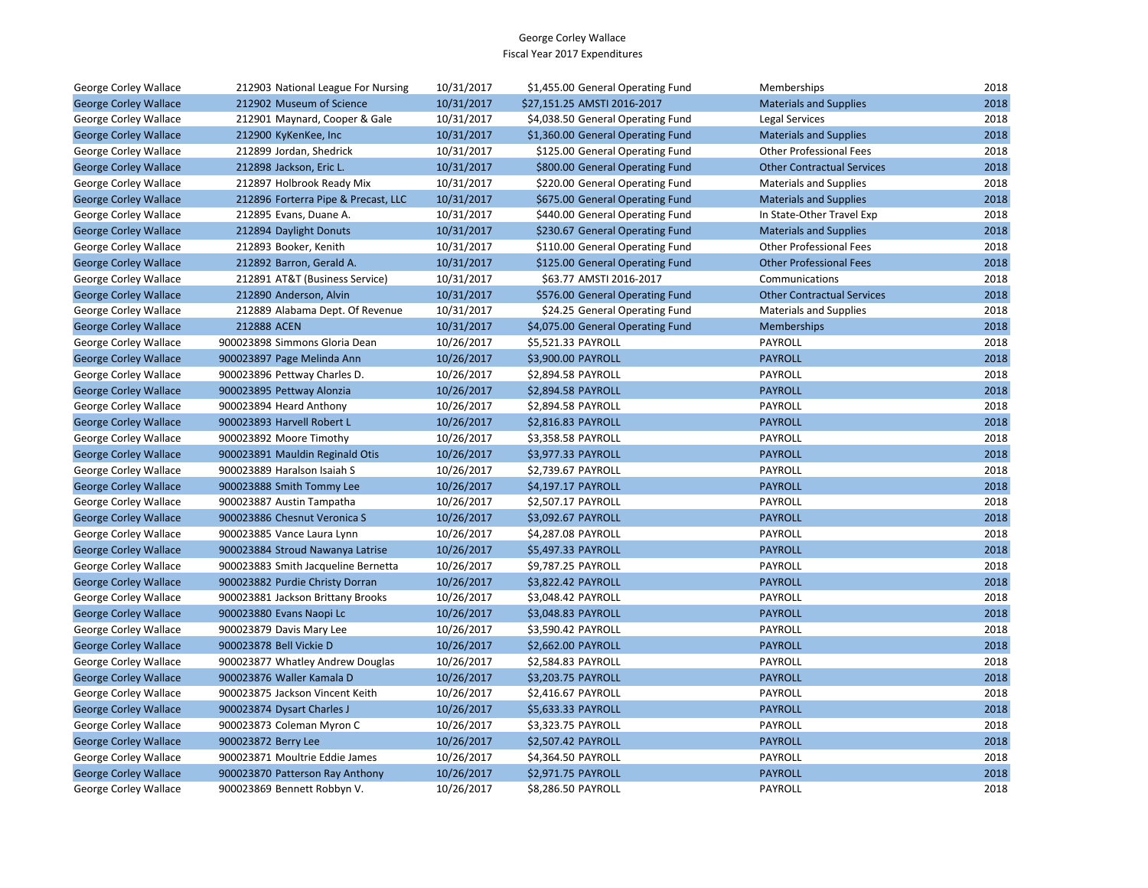| George Corley Wallace        | 212903 National League For Nursing  | 10/31/2017 | \$1,455.00 General Operating Fund | Memberships                       | 2018 |
|------------------------------|-------------------------------------|------------|-----------------------------------|-----------------------------------|------|
| <b>George Corley Wallace</b> | 212902 Museum of Science            | 10/31/2017 | \$27,151.25 AMSTI 2016-2017       | <b>Materials and Supplies</b>     | 2018 |
| George Corley Wallace        | 212901 Maynard, Cooper & Gale       | 10/31/2017 | \$4,038.50 General Operating Fund | Legal Services                    | 2018 |
| <b>George Corley Wallace</b> | 212900 KyKenKee, Inc                | 10/31/2017 | \$1,360.00 General Operating Fund | <b>Materials and Supplies</b>     | 2018 |
| George Corley Wallace        | 212899 Jordan, Shedrick             | 10/31/2017 | \$125.00 General Operating Fund   | <b>Other Professional Fees</b>    | 2018 |
| <b>George Corley Wallace</b> | 212898 Jackson, Eric L.             | 10/31/2017 | \$800.00 General Operating Fund   | <b>Other Contractual Services</b> | 2018 |
| George Corley Wallace        | 212897 Holbrook Ready Mix           | 10/31/2017 | \$220.00 General Operating Fund   | <b>Materials and Supplies</b>     | 2018 |
| <b>George Corley Wallace</b> | 212896 Forterra Pipe & Precast, LLC | 10/31/2017 | \$675.00 General Operating Fund   | <b>Materials and Supplies</b>     | 2018 |
| George Corley Wallace        | 212895 Evans, Duane A.              | 10/31/2017 | \$440.00 General Operating Fund   | In State-Other Travel Exp         | 2018 |
| <b>George Corley Wallace</b> | 212894 Daylight Donuts              | 10/31/2017 | \$230.67 General Operating Fund   | <b>Materials and Supplies</b>     | 2018 |
| George Corley Wallace        | 212893 Booker, Kenith               | 10/31/2017 | \$110.00 General Operating Fund   | <b>Other Professional Fees</b>    | 2018 |
| <b>George Corley Wallace</b> | 212892 Barron, Gerald A.            | 10/31/2017 | \$125.00 General Operating Fund   | <b>Other Professional Fees</b>    | 2018 |
| George Corley Wallace        | 212891 AT&T (Business Service)      | 10/31/2017 | \$63.77 AMSTI 2016-2017           | Communications                    | 2018 |
| <b>George Corley Wallace</b> | 212890 Anderson, Alvin              | 10/31/2017 | \$576.00 General Operating Fund   | <b>Other Contractual Services</b> | 2018 |
| George Corley Wallace        | 212889 Alabama Dept. Of Revenue     | 10/31/2017 | \$24.25 General Operating Fund    | <b>Materials and Supplies</b>     | 2018 |
| <b>George Corley Wallace</b> | 212888 ACEN                         | 10/31/2017 | \$4,075.00 General Operating Fund | Memberships                       | 2018 |
| George Corley Wallace        | 900023898 Simmons Gloria Dean       | 10/26/2017 | \$5,521.33 PAYROLL                | PAYROLL                           | 2018 |
| <b>George Corley Wallace</b> | 900023897 Page Melinda Ann          | 10/26/2017 | \$3,900.00 PAYROLL                | <b>PAYROLL</b>                    | 2018 |
| George Corley Wallace        | 900023896 Pettway Charles D.        | 10/26/2017 | \$2,894.58 PAYROLL                | PAYROLL                           | 2018 |
| <b>George Corley Wallace</b> | 900023895 Pettway Alonzia           | 10/26/2017 | \$2,894.58 PAYROLL                | <b>PAYROLL</b>                    | 2018 |
| George Corley Wallace        | 900023894 Heard Anthony             | 10/26/2017 | \$2,894.58 PAYROLL                | <b>PAYROLL</b>                    | 2018 |
| <b>George Corley Wallace</b> | 900023893 Harvell Robert L          | 10/26/2017 | \$2,816.83 PAYROLL                | <b>PAYROLL</b>                    | 2018 |
| George Corley Wallace        | 900023892 Moore Timothy             | 10/26/2017 | \$3,358.58 PAYROLL                | PAYROLL                           | 2018 |
| <b>George Corley Wallace</b> | 900023891 Mauldin Reginald Otis     | 10/26/2017 | \$3,977.33 PAYROLL                | <b>PAYROLL</b>                    | 2018 |
| George Corley Wallace        | 900023889 Haralson Isaiah S         | 10/26/2017 | \$2,739.67 PAYROLL                | PAYROLL                           | 2018 |
| <b>George Corley Wallace</b> | 900023888 Smith Tommy Lee           | 10/26/2017 | \$4,197.17 PAYROLL                | <b>PAYROLL</b>                    | 2018 |
| George Corley Wallace        | 900023887 Austin Tampatha           | 10/26/2017 | \$2,507.17 PAYROLL                | PAYROLL                           | 2018 |
| <b>George Corley Wallace</b> | 900023886 Chesnut Veronica S        | 10/26/2017 | \$3,092.67 PAYROLL                | <b>PAYROLL</b>                    | 2018 |
| George Corley Wallace        | 900023885 Vance Laura Lynn          | 10/26/2017 | \$4,287.08 PAYROLL                | PAYROLL                           | 2018 |
| <b>George Corley Wallace</b> | 900023884 Stroud Nawanya Latrise    | 10/26/2017 | \$5,497.33 PAYROLL                | <b>PAYROLL</b>                    | 2018 |
| George Corley Wallace        | 900023883 Smith Jacqueline Bernetta | 10/26/2017 | \$9,787.25 PAYROLL                | PAYROLL                           | 2018 |
| <b>George Corley Wallace</b> | 900023882 Purdie Christy Dorran     | 10/26/2017 | \$3,822.42 PAYROLL                | <b>PAYROLL</b>                    | 2018 |
| George Corley Wallace        | 900023881 Jackson Brittany Brooks   | 10/26/2017 | \$3,048.42 PAYROLL                | PAYROLL                           | 2018 |
| <b>George Corley Wallace</b> | 900023880 Evans Naopi Lc            | 10/26/2017 | \$3,048.83 PAYROLL                | <b>PAYROLL</b>                    | 2018 |
| George Corley Wallace        | 900023879 Davis Mary Lee            | 10/26/2017 | \$3,590.42 PAYROLL                | PAYROLL                           | 2018 |
| <b>George Corley Wallace</b> | 900023878 Bell Vickie D             | 10/26/2017 | \$2,662.00 PAYROLL                | <b>PAYROLL</b>                    | 2018 |
| George Corley Wallace        | 900023877 Whatley Andrew Douglas    | 10/26/2017 | \$2,584.83 PAYROLL                | PAYROLL                           | 2018 |
| <b>George Corley Wallace</b> | 900023876 Waller Kamala D           | 10/26/2017 | \$3,203.75 PAYROLL                | <b>PAYROLL</b>                    | 2018 |
| George Corley Wallace        | 900023875 Jackson Vincent Keith     | 10/26/2017 | \$2,416.67 PAYROLL                | PAYROLL                           | 2018 |
| <b>George Corley Wallace</b> | 900023874 Dysart Charles J          | 10/26/2017 | \$5,633.33 PAYROLL                | <b>PAYROLL</b>                    | 2018 |
| George Corley Wallace        | 900023873 Coleman Myron C           | 10/26/2017 | \$3,323.75 PAYROLL                | PAYROLL                           | 2018 |
| <b>George Corley Wallace</b> | 900023872 Berry Lee                 | 10/26/2017 | \$2,507.42 PAYROLL                | <b>PAYROLL</b>                    | 2018 |
| George Corley Wallace        | 900023871 Moultrie Eddie James      | 10/26/2017 | \$4,364.50 PAYROLL                | PAYROLL                           | 2018 |
| <b>George Corley Wallace</b> | 900023870 Patterson Ray Anthony     | 10/26/2017 | \$2,971.75 PAYROLL                | <b>PAYROLL</b>                    | 2018 |
| George Corley Wallace        | 900023869 Bennett Robbyn V.         | 10/26/2017 | <b>\$8.286.50 PAYROLL</b>         | <b>PAYROLL</b>                    | 2018 |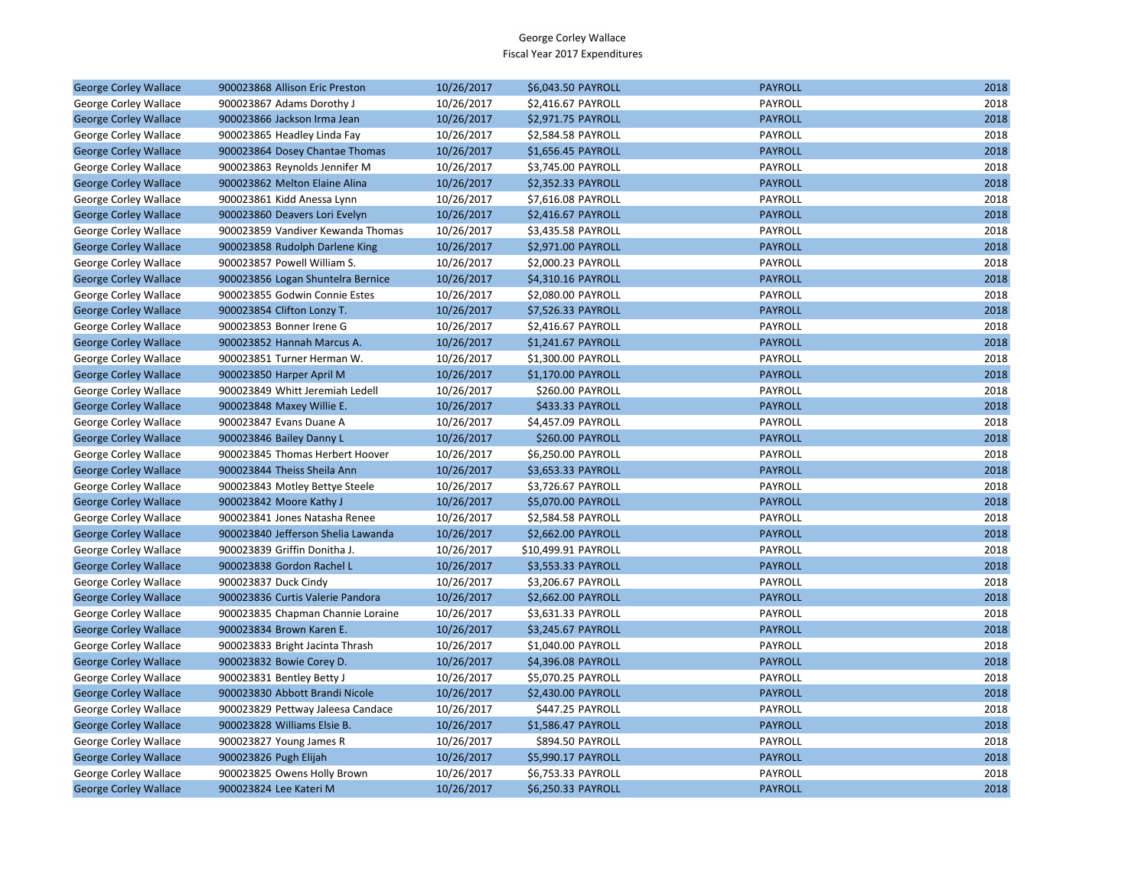| <b>George Corley Wallace</b> | 900023868 Allison Eric Preston     | 10/26/2017 | \$6,043.50 PAYROLL  | <b>PAYROLL</b> | 2018 |
|------------------------------|------------------------------------|------------|---------------------|----------------|------|
| George Corley Wallace        | 900023867 Adams Dorothy J          | 10/26/2017 | \$2,416.67 PAYROLL  | PAYROLL        | 2018 |
| <b>George Corley Wallace</b> | 900023866 Jackson Irma Jean        | 10/26/2017 | \$2,971.75 PAYROLL  | <b>PAYROLL</b> | 2018 |
| George Corley Wallace        | 900023865 Headley Linda Fay        | 10/26/2017 | \$2,584.58 PAYROLL  | PAYROLL        | 2018 |
| <b>George Corley Wallace</b> | 900023864 Dosey Chantae Thomas     | 10/26/2017 | \$1,656.45 PAYROLL  | <b>PAYROLL</b> | 2018 |
| George Corley Wallace        | 900023863 Reynolds Jennifer M      | 10/26/2017 | \$3,745.00 PAYROLL  | PAYROLL        | 2018 |
| <b>George Corley Wallace</b> | 900023862 Melton Elaine Alina      | 10/26/2017 | \$2,352.33 PAYROLL  | <b>PAYROLL</b> | 2018 |
| George Corley Wallace        | 900023861 Kidd Anessa Lynn         | 10/26/2017 | \$7,616.08 PAYROLL  | PAYROLL        | 2018 |
| <b>George Corley Wallace</b> | 900023860 Deavers Lori Evelyn      | 10/26/2017 | \$2,416.67 PAYROLL  | <b>PAYROLL</b> | 2018 |
| George Corley Wallace        | 900023859 Vandiver Kewanda Thomas  | 10/26/2017 | \$3,435.58 PAYROLL  | PAYROLL        | 2018 |
| <b>George Corley Wallace</b> | 900023858 Rudolph Darlene King     | 10/26/2017 | \$2,971.00 PAYROLL  | <b>PAYROLL</b> | 2018 |
| George Corley Wallace        | 900023857 Powell William S.        | 10/26/2017 | \$2,000.23 PAYROLL  | PAYROLL        | 2018 |
| <b>George Corley Wallace</b> | 900023856 Logan Shuntelra Bernice  | 10/26/2017 | \$4,310.16 PAYROLL  | <b>PAYROLL</b> | 2018 |
| George Corley Wallace        | 900023855 Godwin Connie Estes      | 10/26/2017 | \$2,080.00 PAYROLL  | PAYROLL        | 2018 |
| <b>George Corley Wallace</b> | 900023854 Clifton Lonzy T.         | 10/26/2017 | \$7,526.33 PAYROLL  | <b>PAYROLL</b> | 2018 |
| George Corley Wallace        | 900023853 Bonner Irene G           | 10/26/2017 | \$2,416.67 PAYROLL  | PAYROLL        | 2018 |
| <b>George Corley Wallace</b> | 900023852 Hannah Marcus A.         | 10/26/2017 | \$1,241.67 PAYROLL  | <b>PAYROLL</b> | 2018 |
| George Corley Wallace        | 900023851 Turner Herman W.         | 10/26/2017 | \$1,300.00 PAYROLL  | PAYROLL        | 2018 |
| <b>George Corley Wallace</b> | 900023850 Harper April M           | 10/26/2017 | \$1,170.00 PAYROLL  | <b>PAYROLL</b> | 2018 |
| George Corley Wallace        | 900023849 Whitt Jeremiah Ledell    | 10/26/2017 | \$260.00 PAYROLL    | PAYROLL        | 2018 |
| <b>George Corley Wallace</b> | 900023848 Maxey Willie E.          | 10/26/2017 | \$433.33 PAYROLL    | <b>PAYROLL</b> | 2018 |
| George Corley Wallace        | 900023847 Evans Duane A            | 10/26/2017 | \$4,457.09 PAYROLL  | PAYROLL        | 2018 |
| <b>George Corley Wallace</b> | 900023846 Bailey Danny L           | 10/26/2017 | \$260.00 PAYROLL    | <b>PAYROLL</b> | 2018 |
| George Corley Wallace        | 900023845 Thomas Herbert Hoover    | 10/26/2017 | \$6,250.00 PAYROLL  | PAYROLL        | 2018 |
| <b>George Corley Wallace</b> | 900023844 Theiss Sheila Ann        | 10/26/2017 | \$3,653.33 PAYROLL  | <b>PAYROLL</b> | 2018 |
| George Corley Wallace        | 900023843 Motley Bettye Steele     | 10/26/2017 | \$3,726.67 PAYROLL  | PAYROLL        | 2018 |
| <b>George Corley Wallace</b> | 900023842 Moore Kathy J            | 10/26/2017 | \$5,070.00 PAYROLL  | <b>PAYROLL</b> | 2018 |
| George Corley Wallace        | 900023841 Jones Natasha Renee      | 10/26/2017 | \$2,584.58 PAYROLL  | PAYROLL        | 2018 |
| <b>George Corley Wallace</b> | 900023840 Jefferson Shelia Lawanda | 10/26/2017 | \$2,662.00 PAYROLL  | <b>PAYROLL</b> | 2018 |
| George Corley Wallace        | 900023839 Griffin Donitha J.       | 10/26/2017 | \$10,499.91 PAYROLL | PAYROLL        | 2018 |
| <b>George Corley Wallace</b> | 900023838 Gordon Rachel L          | 10/26/2017 | \$3,553.33 PAYROLL  | <b>PAYROLL</b> | 2018 |
| George Corley Wallace        | 900023837 Duck Cindy               | 10/26/2017 | \$3,206.67 PAYROLL  | PAYROLL        | 2018 |
| <b>George Corley Wallace</b> | 900023836 Curtis Valerie Pandora   | 10/26/2017 | \$2,662.00 PAYROLL  | <b>PAYROLL</b> | 2018 |
| George Corley Wallace        | 900023835 Chapman Channie Loraine  | 10/26/2017 | \$3,631.33 PAYROLL  | PAYROLL        | 2018 |
| <b>George Corley Wallace</b> | 900023834 Brown Karen E.           | 10/26/2017 | \$3,245.67 PAYROLL  | <b>PAYROLL</b> | 2018 |
| George Corley Wallace        | 900023833 Bright Jacinta Thrash    | 10/26/2017 | \$1,040.00 PAYROLL  | PAYROLL        | 2018 |
| <b>George Corley Wallace</b> | 900023832 Bowie Corey D.           | 10/26/2017 | \$4,396.08 PAYROLL  | <b>PAYROLL</b> | 2018 |
| George Corley Wallace        | 900023831 Bentley Betty J          | 10/26/2017 | \$5,070.25 PAYROLL  | PAYROLL        | 2018 |
| <b>George Corley Wallace</b> | 900023830 Abbott Brandi Nicole     | 10/26/2017 | \$2,430.00 PAYROLL  | <b>PAYROLL</b> | 2018 |
| George Corley Wallace        | 900023829 Pettway Jaleesa Candace  | 10/26/2017 | \$447.25 PAYROLL    | PAYROLL        | 2018 |
| <b>George Corley Wallace</b> | 900023828 Williams Elsie B.        | 10/26/2017 | \$1,586.47 PAYROLL  | <b>PAYROLL</b> | 2018 |
| George Corley Wallace        | 900023827 Young James R            | 10/26/2017 | \$894.50 PAYROLL    | PAYROLL        | 2018 |
| <b>George Corley Wallace</b> | 900023826 Pugh Elijah              | 10/26/2017 | \$5,990.17 PAYROLL  | <b>PAYROLL</b> | 2018 |
| George Corley Wallace        | 900023825 Owens Holly Brown        | 10/26/2017 | \$6,753.33 PAYROLL  | PAYROLL        | 2018 |
| <b>George Corley Wallace</b> | 900023824 Lee Kateri M             | 10/26/2017 | \$6,250.33 PAYROLL  | <b>PAYROLL</b> | 2018 |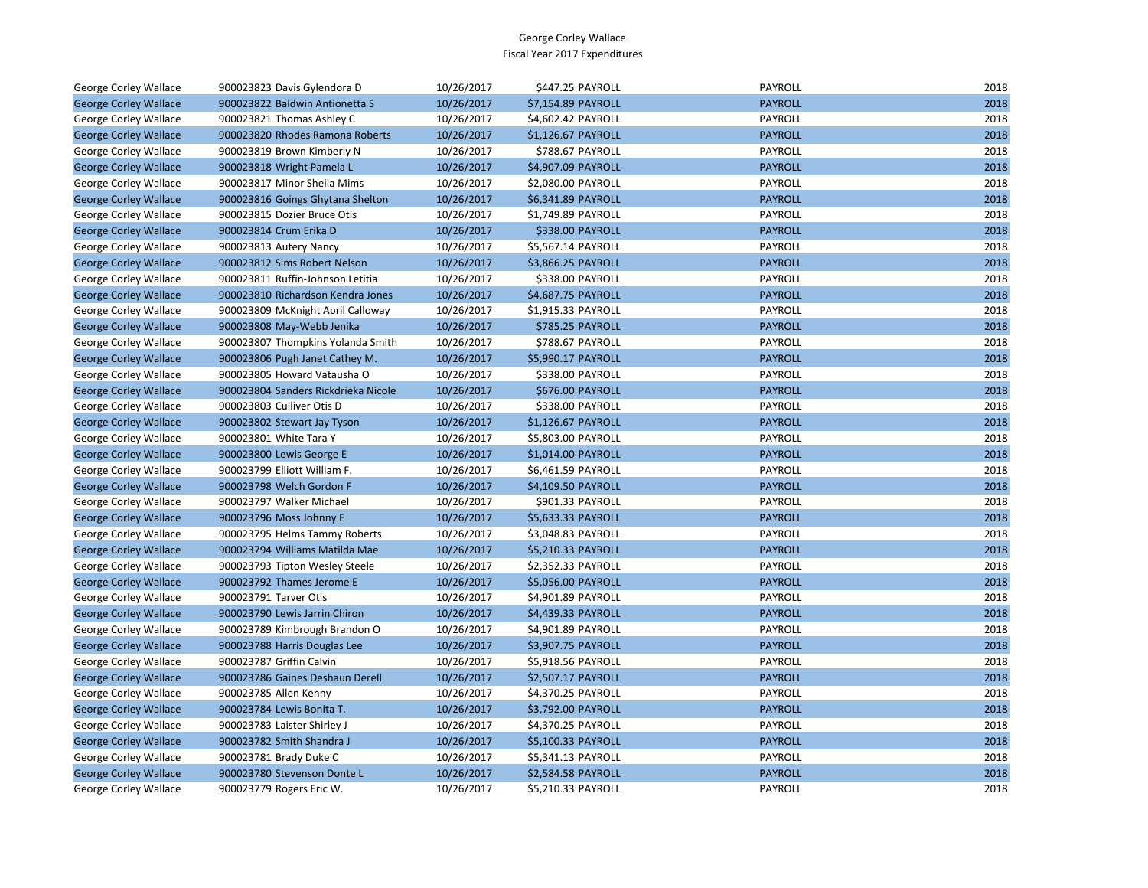| George Corley Wallace        | 900023823 Davis Gylendora D         | 10/26/2017 | \$447.25 PAYROLL   | PAYROLL        | 2018 |
|------------------------------|-------------------------------------|------------|--------------------|----------------|------|
| <b>George Corley Wallace</b> | 900023822 Baldwin Antionetta S      | 10/26/2017 | \$7,154.89 PAYROLL | <b>PAYROLL</b> | 2018 |
| George Corley Wallace        | 900023821 Thomas Ashley C           | 10/26/2017 | \$4,602.42 PAYROLL | PAYROLL        | 2018 |
| <b>George Corley Wallace</b> | 900023820 Rhodes Ramona Roberts     | 10/26/2017 | \$1,126.67 PAYROLL | <b>PAYROLL</b> | 2018 |
| George Corley Wallace        | 900023819 Brown Kimberly N          | 10/26/2017 | \$788.67 PAYROLL   | PAYROLL        | 2018 |
| <b>George Corley Wallace</b> | 900023818 Wright Pamela L           | 10/26/2017 | \$4,907.09 PAYROLL | <b>PAYROLL</b> | 2018 |
| George Corley Wallace        | 900023817 Minor Sheila Mims         | 10/26/2017 | \$2,080.00 PAYROLL | PAYROLL        | 2018 |
| <b>George Corley Wallace</b> | 900023816 Goings Ghytana Shelton    | 10/26/2017 | \$6,341.89 PAYROLL | <b>PAYROLL</b> | 2018 |
| George Corley Wallace        | 900023815 Dozier Bruce Otis         | 10/26/2017 | \$1,749.89 PAYROLL | <b>PAYROLL</b> | 2018 |
| <b>George Corley Wallace</b> | 900023814 Crum Erika D              | 10/26/2017 | \$338.00 PAYROLL   | <b>PAYROLL</b> | 2018 |
| George Corley Wallace        | 900023813 Autery Nancy              | 10/26/2017 | \$5,567.14 PAYROLL | PAYROLL        | 2018 |
| <b>George Corley Wallace</b> | 900023812 Sims Robert Nelson        | 10/26/2017 | \$3,866.25 PAYROLL | <b>PAYROLL</b> | 2018 |
| George Corley Wallace        | 900023811 Ruffin-Johnson Letitia    | 10/26/2017 | \$338.00 PAYROLL   | PAYROLL        | 2018 |
| <b>George Corley Wallace</b> | 900023810 Richardson Kendra Jones   | 10/26/2017 | \$4,687.75 PAYROLL | <b>PAYROLL</b> | 2018 |
| George Corley Wallace        | 900023809 McKnight April Calloway   | 10/26/2017 | \$1,915.33 PAYROLL | PAYROLL        | 2018 |
| <b>George Corley Wallace</b> | 900023808 May-Webb Jenika           | 10/26/2017 | \$785.25 PAYROLL   | <b>PAYROLL</b> | 2018 |
| George Corley Wallace        | 900023807 Thompkins Yolanda Smith   | 10/26/2017 | \$788.67 PAYROLL   | PAYROLL        | 2018 |
| <b>George Corley Wallace</b> | 900023806 Pugh Janet Cathey M.      | 10/26/2017 | \$5,990.17 PAYROLL | <b>PAYROLL</b> | 2018 |
| George Corley Wallace        | 900023805 Howard Vatausha O         | 10/26/2017 | \$338.00 PAYROLL   | PAYROLL        | 2018 |
| <b>George Corley Wallace</b> | 900023804 Sanders Rickdrieka Nicole | 10/26/2017 | \$676.00 PAYROLL   | <b>PAYROLL</b> | 2018 |
| George Corley Wallace        | 900023803 Culliver Otis D           | 10/26/2017 | \$338.00 PAYROLL   | PAYROLL        | 2018 |
| <b>George Corley Wallace</b> | 900023802 Stewart Jay Tyson         | 10/26/2017 | \$1,126.67 PAYROLL | <b>PAYROLL</b> | 2018 |
| George Corley Wallace        | 900023801 White Tara Y              | 10/26/2017 | \$5,803.00 PAYROLL | PAYROLL        | 2018 |
| <b>George Corley Wallace</b> | 900023800 Lewis George E            | 10/26/2017 | \$1,014.00 PAYROLL | <b>PAYROLL</b> | 2018 |
| George Corley Wallace        | 900023799 Elliott William F.        | 10/26/2017 | \$6,461.59 PAYROLL | PAYROLL        | 2018 |
| <b>George Corley Wallace</b> | 900023798 Welch Gordon F            | 10/26/2017 | \$4,109.50 PAYROLL | <b>PAYROLL</b> | 2018 |
| George Corley Wallace        | 900023797 Walker Michael            | 10/26/2017 | \$901.33 PAYROLL   | PAYROLL        | 2018 |
| <b>George Corley Wallace</b> | 900023796 Moss Johnny E             | 10/26/2017 | \$5,633.33 PAYROLL | <b>PAYROLL</b> | 2018 |
| George Corley Wallace        | 900023795 Helms Tammy Roberts       | 10/26/2017 | \$3,048.83 PAYROLL | PAYROLL        | 2018 |
| <b>George Corley Wallace</b> | 900023794 Williams Matilda Mae      | 10/26/2017 | \$5,210.33 PAYROLL | <b>PAYROLL</b> | 2018 |
| George Corley Wallace        | 900023793 Tipton Wesley Steele      | 10/26/2017 | \$2,352.33 PAYROLL | PAYROLL        | 2018 |
| <b>George Corley Wallace</b> | 900023792 Thames Jerome E           | 10/26/2017 | \$5,056.00 PAYROLL | <b>PAYROLL</b> | 2018 |
| George Corley Wallace        | 900023791 Tarver Otis               | 10/26/2017 | \$4,901.89 PAYROLL | PAYROLL        | 2018 |
| <b>George Corley Wallace</b> | 900023790 Lewis Jarrin Chiron       | 10/26/2017 | \$4,439.33 PAYROLL | <b>PAYROLL</b> | 2018 |
| George Corley Wallace        | 900023789 Kimbrough Brandon O       | 10/26/2017 | \$4,901.89 PAYROLL | PAYROLL        | 2018 |
| <b>George Corley Wallace</b> | 900023788 Harris Douglas Lee        | 10/26/2017 | \$3,907.75 PAYROLL | <b>PAYROLL</b> | 2018 |
| George Corley Wallace        | 900023787 Griffin Calvin            | 10/26/2017 | \$5,918.56 PAYROLL | PAYROLL        | 2018 |
| <b>George Corley Wallace</b> | 900023786 Gaines Deshaun Derell     | 10/26/2017 | \$2,507.17 PAYROLL | <b>PAYROLL</b> | 2018 |
| George Corley Wallace        | 900023785 Allen Kenny               | 10/26/2017 | \$4,370.25 PAYROLL | PAYROLL        | 2018 |
| <b>George Corley Wallace</b> | 900023784 Lewis Bonita T.           | 10/26/2017 | \$3,792.00 PAYROLL | <b>PAYROLL</b> | 2018 |
| George Corley Wallace        | 900023783 Laister Shirley J         | 10/26/2017 | \$4,370.25 PAYROLL | PAYROLL        | 2018 |
| <b>George Corley Wallace</b> | 900023782 Smith Shandra J           | 10/26/2017 | \$5,100.33 PAYROLL | <b>PAYROLL</b> | 2018 |
| George Corley Wallace        | 900023781 Brady Duke C              | 10/26/2017 | \$5,341.13 PAYROLL | PAYROLL        | 2018 |
| <b>George Corley Wallace</b> | 900023780 Stevenson Donte L         | 10/26/2017 | \$2,584.58 PAYROLL | <b>PAYROLL</b> | 2018 |
| <b>George Corley Wallace</b> | 900023779 Rogers Eric W.            | 10/26/2017 | \$5.210.33 PAYROLL | PAYROLL        | 2018 |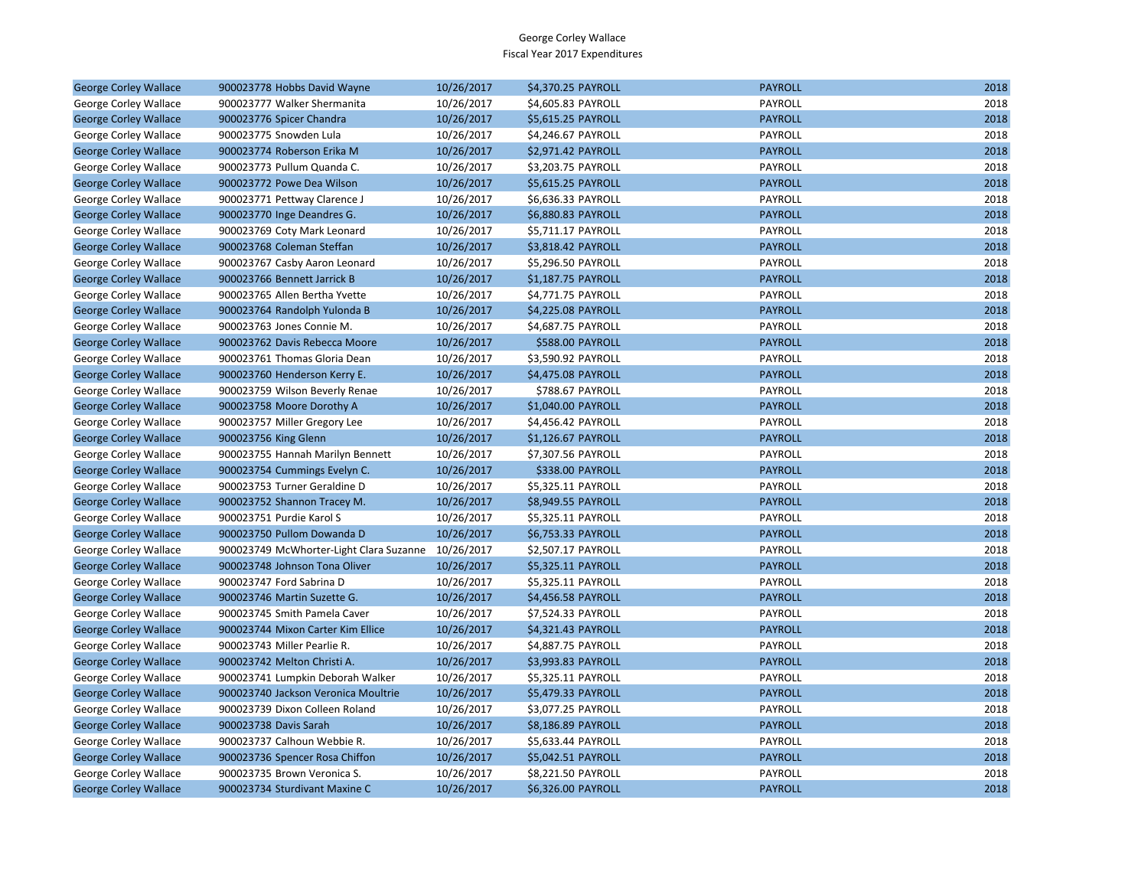| <b>George Corley Wallace</b> | 900023778 Hobbs David Wayne             | 10/26/2017 | \$4,370.25 PAYROLL | <b>PAYROLL</b> | 2018 |
|------------------------------|-----------------------------------------|------------|--------------------|----------------|------|
| George Corley Wallace        | 900023777 Walker Shermanita             | 10/26/2017 | \$4,605.83 PAYROLL | PAYROLL        | 2018 |
| <b>George Corley Wallace</b> | 900023776 Spicer Chandra                | 10/26/2017 | \$5,615.25 PAYROLL | <b>PAYROLL</b> | 2018 |
| George Corley Wallace        | 900023775 Snowden Lula                  | 10/26/2017 | \$4,246.67 PAYROLL | PAYROLL        | 2018 |
| <b>George Corley Wallace</b> | 900023774 Roberson Erika M              | 10/26/2017 | \$2,971.42 PAYROLL | <b>PAYROLL</b> | 2018 |
| George Corley Wallace        | 900023773 Pullum Quanda C.              | 10/26/2017 | \$3,203.75 PAYROLL | <b>PAYROLL</b> | 2018 |
| <b>George Corley Wallace</b> | 900023772 Powe Dea Wilson               | 10/26/2017 | \$5,615.25 PAYROLL | <b>PAYROLL</b> | 2018 |
| George Corley Wallace        | 900023771 Pettway Clarence J            | 10/26/2017 | \$6,636.33 PAYROLL | PAYROLL        | 2018 |
| <b>George Corley Wallace</b> | 900023770 Inge Deandres G.              | 10/26/2017 | \$6,880.83 PAYROLL | <b>PAYROLL</b> | 2018 |
| George Corley Wallace        | 900023769 Coty Mark Leonard             | 10/26/2017 | \$5,711.17 PAYROLL | PAYROLL        | 2018 |
| <b>George Corley Wallace</b> | 900023768 Coleman Steffan               | 10/26/2017 | \$3,818.42 PAYROLL | <b>PAYROLL</b> | 2018 |
| George Corley Wallace        | 900023767 Casby Aaron Leonard           | 10/26/2017 | \$5,296.50 PAYROLL | PAYROLL        | 2018 |
| <b>George Corley Wallace</b> | 900023766 Bennett Jarrick B             | 10/26/2017 | \$1,187.75 PAYROLL | <b>PAYROLL</b> | 2018 |
| George Corley Wallace        | 900023765 Allen Bertha Yvette           | 10/26/2017 | \$4,771.75 PAYROLL | PAYROLL        | 2018 |
| <b>George Corley Wallace</b> | 900023764 Randolph Yulonda B            | 10/26/2017 | \$4,225.08 PAYROLL | <b>PAYROLL</b> | 2018 |
| George Corley Wallace        | 900023763 Jones Connie M.               | 10/26/2017 | \$4,687.75 PAYROLL | <b>PAYROLL</b> | 2018 |
| <b>George Corley Wallace</b> | 900023762 Davis Rebecca Moore           | 10/26/2017 | \$588.00 PAYROLL   | <b>PAYROLL</b> | 2018 |
| George Corley Wallace        | 900023761 Thomas Gloria Dean            | 10/26/2017 | \$3,590.92 PAYROLL | PAYROLL        | 2018 |
| <b>George Corley Wallace</b> | 900023760 Henderson Kerry E.            | 10/26/2017 | \$4,475.08 PAYROLL | <b>PAYROLL</b> | 2018 |
| George Corley Wallace        | 900023759 Wilson Beverly Renae          | 10/26/2017 | \$788.67 PAYROLL   | PAYROLL        | 2018 |
| <b>George Corley Wallace</b> | 900023758 Moore Dorothy A               | 10/26/2017 | \$1,040.00 PAYROLL | <b>PAYROLL</b> | 2018 |
| George Corley Wallace        | 900023757 Miller Gregory Lee            | 10/26/2017 | \$4,456.42 PAYROLL | PAYROLL        | 2018 |
| <b>George Corley Wallace</b> | 900023756 King Glenn                    | 10/26/2017 | \$1,126.67 PAYROLL | <b>PAYROLL</b> | 2018 |
| George Corley Wallace        | 900023755 Hannah Marilyn Bennett        | 10/26/2017 | \$7,307.56 PAYROLL | PAYROLL        | 2018 |
| <b>George Corley Wallace</b> | 900023754 Cummings Evelyn C.            | 10/26/2017 | \$338.00 PAYROLL   | <b>PAYROLL</b> | 2018 |
| George Corley Wallace        | 900023753 Turner Geraldine D            | 10/26/2017 | \$5,325.11 PAYROLL | PAYROLL        | 2018 |
| <b>George Corley Wallace</b> | 900023752 Shannon Tracey M.             | 10/26/2017 | \$8,949.55 PAYROLL | <b>PAYROLL</b> | 2018 |
| George Corley Wallace        | 900023751 Purdie Karol S                | 10/26/2017 | \$5,325.11 PAYROLL | PAYROLL        | 2018 |
| <b>George Corley Wallace</b> | 900023750 Pullom Dowanda D              | 10/26/2017 | \$6,753.33 PAYROLL | <b>PAYROLL</b> | 2018 |
| George Corley Wallace        | 900023749 McWhorter-Light Clara Suzanne | 10/26/2017 | \$2,507.17 PAYROLL | PAYROLL        | 2018 |
| <b>George Corley Wallace</b> | 900023748 Johnson Tona Oliver           | 10/26/2017 | \$5,325.11 PAYROLL | <b>PAYROLL</b> | 2018 |
| George Corley Wallace        | 900023747 Ford Sabrina D                | 10/26/2017 | \$5,325.11 PAYROLL | PAYROLL        | 2018 |
| <b>George Corley Wallace</b> | 900023746 Martin Suzette G.             | 10/26/2017 | \$4,456.58 PAYROLL | <b>PAYROLL</b> | 2018 |
| George Corley Wallace        | 900023745 Smith Pamela Caver            | 10/26/2017 | \$7,524.33 PAYROLL | PAYROLL        | 2018 |
| <b>George Corley Wallace</b> | 900023744 Mixon Carter Kim Ellice       | 10/26/2017 | \$4,321.43 PAYROLL | <b>PAYROLL</b> | 2018 |
| George Corley Wallace        | 900023743 Miller Pearlie R.             | 10/26/2017 | \$4,887.75 PAYROLL | PAYROLL        | 2018 |
| <b>George Corley Wallace</b> | 900023742 Melton Christi A.             | 10/26/2017 | \$3,993.83 PAYROLL | <b>PAYROLL</b> | 2018 |
| George Corley Wallace        | 900023741 Lumpkin Deborah Walker        | 10/26/2017 | \$5,325.11 PAYROLL | PAYROLL        | 2018 |
| <b>George Corley Wallace</b> | 900023740 Jackson Veronica Moultrie     | 10/26/2017 | \$5,479.33 PAYROLL | <b>PAYROLL</b> | 2018 |
| George Corley Wallace        | 900023739 Dixon Colleen Roland          | 10/26/2017 | \$3,077.25 PAYROLL | PAYROLL        | 2018 |
| <b>George Corley Wallace</b> | 900023738 Davis Sarah                   | 10/26/2017 | \$8,186.89 PAYROLL | <b>PAYROLL</b> | 2018 |
| George Corley Wallace        | 900023737 Calhoun Webbie R.             | 10/26/2017 | \$5,633.44 PAYROLL | PAYROLL        | 2018 |
| <b>George Corley Wallace</b> | 900023736 Spencer Rosa Chiffon          | 10/26/2017 | \$5,042.51 PAYROLL | <b>PAYROLL</b> | 2018 |
| George Corley Wallace        | 900023735 Brown Veronica S.             | 10/26/2017 | \$8,221.50 PAYROLL | PAYROLL        | 2018 |
| <b>George Corley Wallace</b> | 900023734 Sturdivant Maxine C           | 10/26/2017 | \$6,326.00 PAYROLL | <b>PAYROLL</b> | 2018 |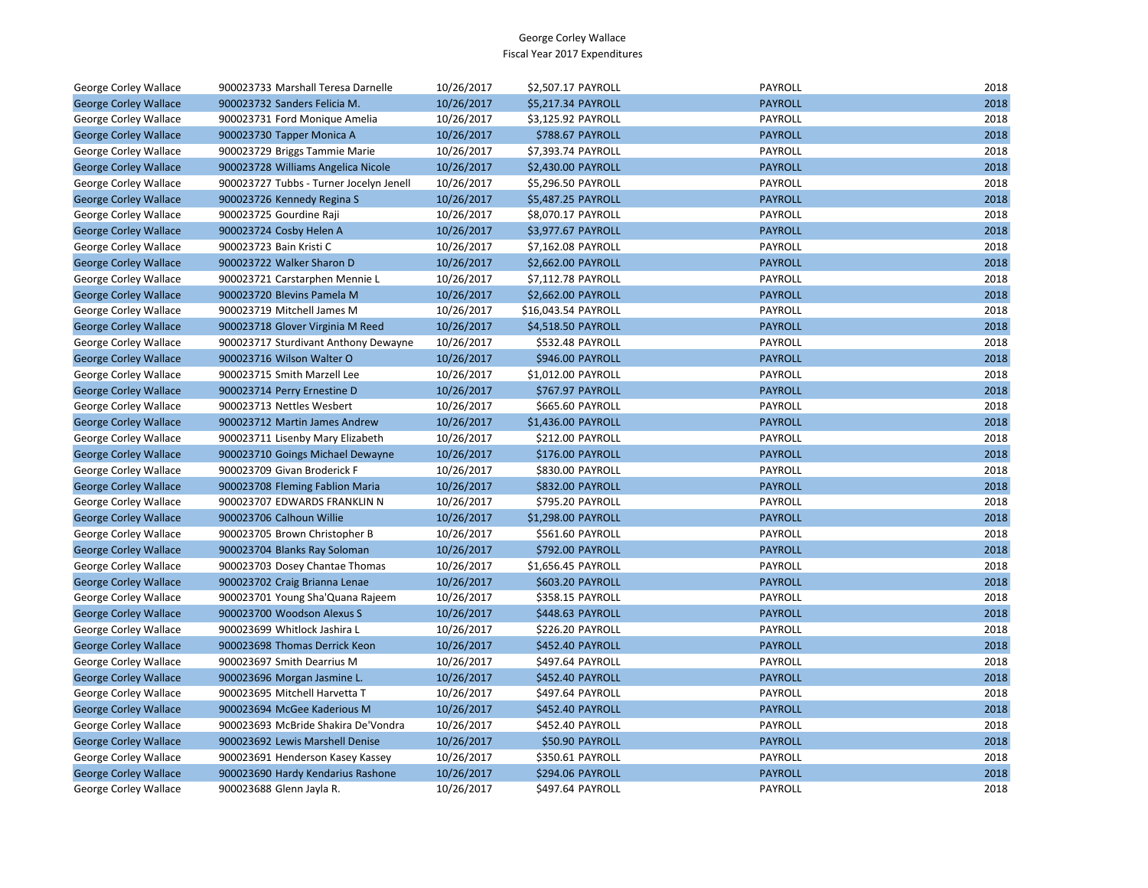| George Corley Wallace        | 900023733 Marshall Teresa Darnelle      | 10/26/2017 | \$2,507.17 PAYROLL  | PAYROLL        | 2018 |
|------------------------------|-----------------------------------------|------------|---------------------|----------------|------|
| <b>George Corley Wallace</b> | 900023732 Sanders Felicia M.            | 10/26/2017 | \$5,217.34 PAYROLL  | <b>PAYROLL</b> | 2018 |
| George Corley Wallace        | 900023731 Ford Monique Amelia           | 10/26/2017 | \$3,125.92 PAYROLL  | PAYROLL        | 2018 |
| <b>George Corley Wallace</b> | 900023730 Tapper Monica A               | 10/26/2017 | \$788.67 PAYROLL    | <b>PAYROLL</b> | 2018 |
| George Corley Wallace        | 900023729 Briggs Tammie Marie           | 10/26/2017 | \$7,393.74 PAYROLL  | PAYROLL        | 2018 |
| <b>George Corley Wallace</b> | 900023728 Williams Angelica Nicole      | 10/26/2017 | \$2,430.00 PAYROLL  | <b>PAYROLL</b> | 2018 |
| George Corley Wallace        | 900023727 Tubbs - Turner Jocelyn Jenell | 10/26/2017 | \$5,296.50 PAYROLL  | PAYROLL        | 2018 |
| <b>George Corley Wallace</b> | 900023726 Kennedy Regina S              | 10/26/2017 | \$5,487.25 PAYROLL  | <b>PAYROLL</b> | 2018 |
| George Corley Wallace        | 900023725 Gourdine Raji                 | 10/26/2017 | \$8,070.17 PAYROLL  | PAYROLL        | 2018 |
| <b>George Corley Wallace</b> | 900023724 Cosby Helen A                 | 10/26/2017 | \$3,977.67 PAYROLL  | <b>PAYROLL</b> | 2018 |
| George Corley Wallace        | 900023723 Bain Kristi C                 | 10/26/2017 | \$7,162.08 PAYROLL  | PAYROLL        | 2018 |
| <b>George Corley Wallace</b> | 900023722 Walker Sharon D               | 10/26/2017 | \$2,662.00 PAYROLL  | <b>PAYROLL</b> | 2018 |
| George Corley Wallace        | 900023721 Carstarphen Mennie L          | 10/26/2017 | \$7,112.78 PAYROLL  | PAYROLL        | 2018 |
| <b>George Corley Wallace</b> | 900023720 Blevins Pamela M              | 10/26/2017 | \$2,662.00 PAYROLL  | <b>PAYROLL</b> | 2018 |
| George Corley Wallace        | 900023719 Mitchell James M              | 10/26/2017 | \$16,043.54 PAYROLL | PAYROLL        | 2018 |
| <b>George Corley Wallace</b> | 900023718 Glover Virginia M Reed        | 10/26/2017 | \$4,518.50 PAYROLL  | <b>PAYROLL</b> | 2018 |
| George Corley Wallace        | 900023717 Sturdivant Anthony Dewayne    | 10/26/2017 | \$532.48 PAYROLL    | PAYROLL        | 2018 |
| <b>George Corley Wallace</b> | 900023716 Wilson Walter O               | 10/26/2017 | \$946.00 PAYROLL    | <b>PAYROLL</b> | 2018 |
| George Corley Wallace        | 900023715 Smith Marzell Lee             | 10/26/2017 | \$1,012.00 PAYROLL  | PAYROLL        | 2018 |
| <b>George Corley Wallace</b> | 900023714 Perry Ernestine D             | 10/26/2017 | \$767.97 PAYROLL    | <b>PAYROLL</b> | 2018 |
| George Corley Wallace        | 900023713 Nettles Wesbert               | 10/26/2017 | \$665.60 PAYROLL    | PAYROLL        | 2018 |
| <b>George Corley Wallace</b> | 900023712 Martin James Andrew           | 10/26/2017 | \$1,436.00 PAYROLL  | <b>PAYROLL</b> | 2018 |
| George Corley Wallace        | 900023711 Lisenby Mary Elizabeth        | 10/26/2017 | \$212.00 PAYROLL    | PAYROLL        | 2018 |
| <b>George Corley Wallace</b> | 900023710 Goings Michael Dewayne        | 10/26/2017 | \$176.00 PAYROLL    | <b>PAYROLL</b> | 2018 |
| George Corley Wallace        | 900023709 Givan Broderick F             | 10/26/2017 | \$830.00 PAYROLL    | PAYROLL        | 2018 |
| <b>George Corley Wallace</b> | 900023708 Fleming Fablion Maria         | 10/26/2017 | \$832.00 PAYROLL    | <b>PAYROLL</b> | 2018 |
| George Corley Wallace        | 900023707 EDWARDS FRANKLIN N            | 10/26/2017 | \$795.20 PAYROLL    | PAYROLL        | 2018 |
| <b>George Corley Wallace</b> | 900023706 Calhoun Willie                | 10/26/2017 | \$1,298.00 PAYROLL  | <b>PAYROLL</b> | 2018 |
| George Corley Wallace        | 900023705 Brown Christopher B           | 10/26/2017 | \$561.60 PAYROLL    | PAYROLL        | 2018 |
| <b>George Corley Wallace</b> | 900023704 Blanks Ray Soloman            | 10/26/2017 | \$792.00 PAYROLL    | <b>PAYROLL</b> | 2018 |
| George Corley Wallace        | 900023703 Dosey Chantae Thomas          | 10/26/2017 | \$1,656.45 PAYROLL  | PAYROLL        | 2018 |
| <b>George Corley Wallace</b> | 900023702 Craig Brianna Lenae           | 10/26/2017 | \$603.20 PAYROLL    | <b>PAYROLL</b> | 2018 |
| George Corley Wallace        | 900023701 Young Sha'Quana Rajeem        | 10/26/2017 | \$358.15 PAYROLL    | PAYROLL        | 2018 |
| <b>George Corley Wallace</b> | 900023700 Woodson Alexus S              | 10/26/2017 | \$448.63 PAYROLL    | <b>PAYROLL</b> | 2018 |
| George Corley Wallace        | 900023699 Whitlock Jashira L            | 10/26/2017 | \$226.20 PAYROLL    | PAYROLL        | 2018 |
| <b>George Corley Wallace</b> | 900023698 Thomas Derrick Keon           | 10/26/2017 | \$452.40 PAYROLL    | <b>PAYROLL</b> | 2018 |
| George Corley Wallace        | 900023697 Smith Dearrius M              | 10/26/2017 | \$497.64 PAYROLL    | PAYROLL        | 2018 |
| <b>George Corley Wallace</b> | 900023696 Morgan Jasmine L.             | 10/26/2017 | \$452.40 PAYROLL    | <b>PAYROLL</b> | 2018 |
| George Corley Wallace        | 900023695 Mitchell Harvetta T           | 10/26/2017 | \$497.64 PAYROLL    | PAYROLL        | 2018 |
| <b>George Corley Wallace</b> | 900023694 McGee Kaderious M             | 10/26/2017 | \$452.40 PAYROLL    | <b>PAYROLL</b> | 2018 |
| George Corley Wallace        | 900023693 McBride Shakira De'Vondra     | 10/26/2017 | \$452.40 PAYROLL    | PAYROLL        | 2018 |
| <b>George Corley Wallace</b> | 900023692 Lewis Marshell Denise         | 10/26/2017 | \$50.90 PAYROLL     | <b>PAYROLL</b> | 2018 |
| George Corley Wallace        | 900023691 Henderson Kasey Kassey        | 10/26/2017 | \$350.61 PAYROLL    | PAYROLL        | 2018 |
| <b>George Corley Wallace</b> | 900023690 Hardy Kendarius Rashone       | 10/26/2017 | \$294.06 PAYROLL    | <b>PAYROLL</b> | 2018 |
| George Corley Wallace        | 900023688 Glenn Jayla R.                | 10/26/2017 | \$497.64 PAYROLL    | PAYROLL        | 2018 |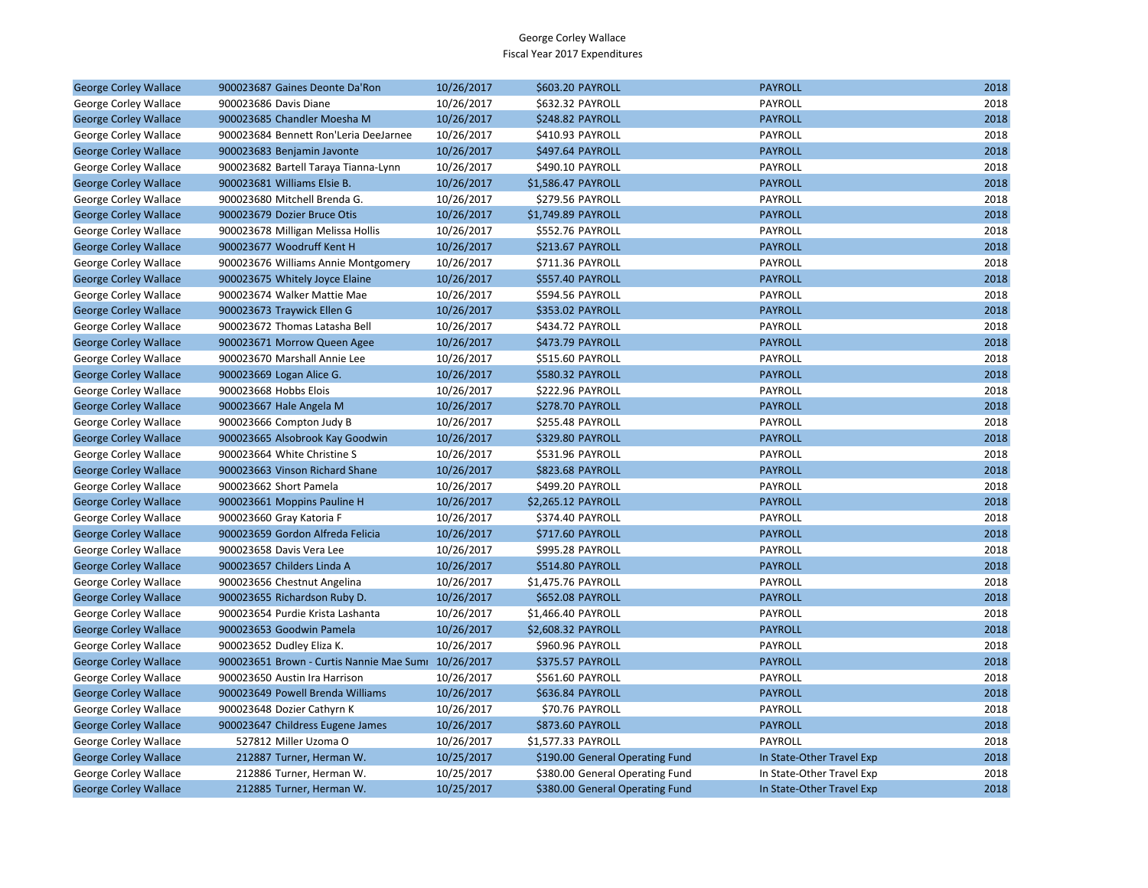| <b>George Corley Wallace</b> | 900023687 Gaines Deonte Da'Ron                      | 10/26/2017 | \$603.20 PAYROLL                | <b>PAYROLL</b>            | 2018 |
|------------------------------|-----------------------------------------------------|------------|---------------------------------|---------------------------|------|
| George Corley Wallace        | 900023686 Davis Diane                               | 10/26/2017 | \$632.32 PAYROLL                | PAYROLL                   | 2018 |
| <b>George Corley Wallace</b> | 900023685 Chandler Moesha M                         | 10/26/2017 | <b>\$248.82 PAYROLL</b>         | <b>PAYROLL</b>            | 2018 |
| George Corley Wallace        | 900023684 Bennett Ron'Leria DeeJarnee               | 10/26/2017 | \$410.93 PAYROLL                | PAYROLL                   | 2018 |
| <b>George Corley Wallace</b> | 900023683 Benjamin Javonte                          | 10/26/2017 | \$497.64 PAYROLL                | <b>PAYROLL</b>            | 2018 |
| George Corley Wallace        | 900023682 Bartell Taraya Tianna-Lynn                | 10/26/2017 | \$490.10 PAYROLL                | PAYROLL                   | 2018 |
| <b>George Corley Wallace</b> | 900023681 Williams Elsie B.                         | 10/26/2017 | \$1,586.47 PAYROLL              | <b>PAYROLL</b>            | 2018 |
| George Corley Wallace        | 900023680 Mitchell Brenda G.                        | 10/26/2017 | \$279.56 PAYROLL                | PAYROLL                   | 2018 |
| <b>George Corley Wallace</b> | 900023679 Dozier Bruce Otis                         | 10/26/2017 | \$1,749.89 PAYROLL              | <b>PAYROLL</b>            | 2018 |
| George Corley Wallace        | 900023678 Milligan Melissa Hollis                   | 10/26/2017 | \$552.76 PAYROLL                | PAYROLL                   | 2018 |
| <b>George Corley Wallace</b> | 900023677 Woodruff Kent H                           | 10/26/2017 | \$213.67 PAYROLL                | <b>PAYROLL</b>            | 2018 |
| George Corley Wallace        | 900023676 Williams Annie Montgomery                 | 10/26/2017 | \$711.36 PAYROLL                | PAYROLL                   | 2018 |
| <b>George Corley Wallace</b> | 900023675 Whitely Joyce Elaine                      | 10/26/2017 | <b>\$557.40 PAYROLL</b>         | <b>PAYROLL</b>            | 2018 |
| George Corley Wallace        | 900023674 Walker Mattie Mae                         | 10/26/2017 | \$594.56 PAYROLL                | PAYROLL                   | 2018 |
| <b>George Corley Wallace</b> | 900023673 Traywick Ellen G                          | 10/26/2017 | \$353.02 PAYROLL                | <b>PAYROLL</b>            | 2018 |
| George Corley Wallace        | 900023672 Thomas Latasha Bell                       | 10/26/2017 | \$434.72 PAYROLL                | PAYROLL                   | 2018 |
| <b>George Corley Wallace</b> | 900023671 Morrow Queen Agee                         | 10/26/2017 | \$473.79 PAYROLL                | <b>PAYROLL</b>            | 2018 |
| George Corley Wallace        | 900023670 Marshall Annie Lee                        | 10/26/2017 | \$515.60 PAYROLL                | PAYROLL                   | 2018 |
| <b>George Corley Wallace</b> | 900023669 Logan Alice G.                            | 10/26/2017 | \$580.32 PAYROLL                | <b>PAYROLL</b>            | 2018 |
| George Corley Wallace        | 900023668 Hobbs Elois                               | 10/26/2017 | \$222.96 PAYROLL                | PAYROLL                   | 2018 |
| <b>George Corley Wallace</b> | 900023667 Hale Angela M                             | 10/26/2017 | <b>\$278.70 PAYROLL</b>         | <b>PAYROLL</b>            | 2018 |
| George Corley Wallace        | 900023666 Compton Judy B                            | 10/26/2017 | \$255.48 PAYROLL                | PAYROLL                   | 2018 |
| <b>George Corley Wallace</b> | 900023665 Alsobrook Kay Goodwin                     | 10/26/2017 | \$329.80 PAYROLL                | <b>PAYROLL</b>            | 2018 |
| George Corley Wallace        | 900023664 White Christine S                         | 10/26/2017 | \$531.96 PAYROLL                | PAYROLL                   | 2018 |
| <b>George Corley Wallace</b> | 900023663 Vinson Richard Shane                      | 10/26/2017 | \$823.68 PAYROLL                | <b>PAYROLL</b>            | 2018 |
| George Corley Wallace        | 900023662 Short Pamela                              | 10/26/2017 | \$499.20 PAYROLL                | PAYROLL                   | 2018 |
| <b>George Corley Wallace</b> | 900023661 Moppins Pauline H                         | 10/26/2017 | \$2,265.12 PAYROLL              | <b>PAYROLL</b>            | 2018 |
| George Corley Wallace        | 900023660 Gray Katoria F                            | 10/26/2017 | \$374.40 PAYROLL                | PAYROLL                   | 2018 |
| <b>George Corley Wallace</b> | 900023659 Gordon Alfreda Felicia                    | 10/26/2017 | \$717.60 PAYROLL                | <b>PAYROLL</b>            | 2018 |
| George Corley Wallace        | 900023658 Davis Vera Lee                            | 10/26/2017 | \$995.28 PAYROLL                | PAYROLL                   | 2018 |
| <b>George Corley Wallace</b> | 900023657 Childers Linda A                          | 10/26/2017 | \$514.80 PAYROLL                | <b>PAYROLL</b>            | 2018 |
| George Corley Wallace        | 900023656 Chestnut Angelina                         | 10/26/2017 | \$1,475.76 PAYROLL              | PAYROLL                   | 2018 |
| <b>George Corley Wallace</b> | 900023655 Richardson Ruby D.                        | 10/26/2017 | \$652.08 PAYROLL                | <b>PAYROLL</b>            | 2018 |
| George Corley Wallace        | 900023654 Purdie Krista Lashanta                    | 10/26/2017 | \$1,466.40 PAYROLL              | PAYROLL                   | 2018 |
| <b>George Corley Wallace</b> | 900023653 Goodwin Pamela                            | 10/26/2017 | \$2,608.32 PAYROLL              | <b>PAYROLL</b>            | 2018 |
| George Corley Wallace        | 900023652 Dudley Eliza K.                           | 10/26/2017 | \$960.96 PAYROLL                | PAYROLL                   | 2018 |
| <b>George Corley Wallace</b> | 900023651 Brown - Curtis Nannie Mae Sumi 10/26/2017 |            | \$375.57 PAYROLL                | <b>PAYROLL</b>            | 2018 |
| George Corley Wallace        | 900023650 Austin Ira Harrison                       | 10/26/2017 | \$561.60 PAYROLL                | PAYROLL                   | 2018 |
| <b>George Corley Wallace</b> | 900023649 Powell Brenda Williams                    | 10/26/2017 | \$636.84 PAYROLL                | <b>PAYROLL</b>            | 2018 |
| George Corley Wallace        | 900023648 Dozier Cathyrn K                          | 10/26/2017 | \$70.76 PAYROLL                 | PAYROLL                   | 2018 |
| <b>George Corley Wallace</b> | 900023647 Childress Eugene James                    | 10/26/2017 | \$873.60 PAYROLL                | <b>PAYROLL</b>            | 2018 |
| George Corley Wallace        | 527812 Miller Uzoma O                               | 10/26/2017 | \$1,577.33 PAYROLL              | PAYROLL                   | 2018 |
| <b>George Corley Wallace</b> | 212887 Turner, Herman W.                            | 10/25/2017 | \$190.00 General Operating Fund | In State-Other Travel Exp | 2018 |
| George Corley Wallace        | 212886 Turner, Herman W.                            | 10/25/2017 | \$380.00 General Operating Fund | In State-Other Travel Exp | 2018 |
| <b>George Corley Wallace</b> | 212885 Turner, Herman W.                            | 10/25/2017 | \$380.00 General Operating Fund | In State-Other Travel Exp | 2018 |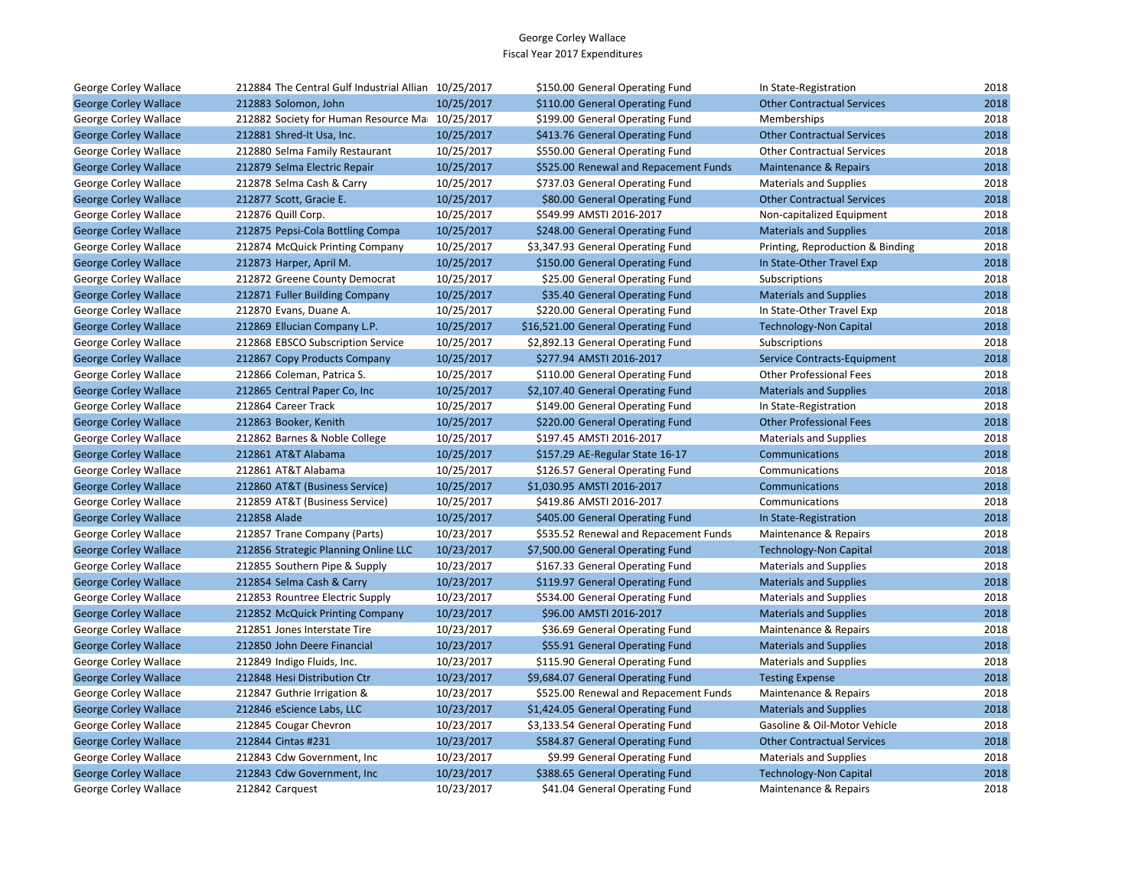| George Corley Wallace        | 212884 The Central Gulf Industrial Allian 10/25/2017 |            | \$150.00 General Operating Fund       | In State-Registration             | 2018 |
|------------------------------|------------------------------------------------------|------------|---------------------------------------|-----------------------------------|------|
| <b>George Corley Wallace</b> | 212883 Solomon, John                                 | 10/25/2017 | \$110.00 General Operating Fund       | <b>Other Contractual Services</b> | 2018 |
| George Corley Wallace        | 212882 Society for Human Resource Ma 10/25/2017      |            | \$199.00 General Operating Fund       | Memberships                       | 2018 |
| <b>George Corley Wallace</b> | 212881 Shred-It Usa, Inc.                            | 10/25/2017 | \$413.76 General Operating Fund       | <b>Other Contractual Services</b> | 2018 |
| George Corley Wallace        | 212880 Selma Family Restaurant                       | 10/25/2017 | \$550.00 General Operating Fund       | <b>Other Contractual Services</b> | 2018 |
| <b>George Corley Wallace</b> | 212879 Selma Electric Repair                         | 10/25/2017 | \$525.00 Renewal and Repacement Funds | Maintenance & Repairs             | 2018 |
| George Corley Wallace        | 212878 Selma Cash & Carry                            | 10/25/2017 | \$737.03 General Operating Fund       | <b>Materials and Supplies</b>     | 2018 |
| <b>George Corley Wallace</b> | 212877 Scott, Gracie E.                              | 10/25/2017 | \$80.00 General Operating Fund        | <b>Other Contractual Services</b> | 2018 |
| George Corley Wallace        | 212876 Quill Corp.                                   | 10/25/2017 | \$549.99 AMSTI 2016-2017              | Non-capitalized Equipment         | 2018 |
| <b>George Corley Wallace</b> | 212875 Pepsi-Cola Bottling Compa                     | 10/25/2017 | \$248.00 General Operating Fund       | <b>Materials and Supplies</b>     | 2018 |
| George Corley Wallace        | 212874 McQuick Printing Company                      | 10/25/2017 | \$3,347.93 General Operating Fund     | Printing, Reproduction & Binding  | 2018 |
| <b>George Corley Wallace</b> | 212873 Harper, April M.                              | 10/25/2017 | \$150.00 General Operating Fund       | In State-Other Travel Exp         | 2018 |
| George Corley Wallace        | 212872 Greene County Democrat                        | 10/25/2017 | \$25.00 General Operating Fund        | Subscriptions                     | 2018 |
| <b>George Corley Wallace</b> | 212871 Fuller Building Company                       | 10/25/2017 | \$35.40 General Operating Fund        | <b>Materials and Supplies</b>     | 2018 |
| George Corley Wallace        | 212870 Evans, Duane A.                               | 10/25/2017 | \$220.00 General Operating Fund       | In State-Other Travel Exp         | 2018 |
| <b>George Corley Wallace</b> | 212869 Ellucian Company L.P.                         | 10/25/2017 | \$16,521.00 General Operating Fund    | <b>Technology-Non Capital</b>     | 2018 |
| George Corley Wallace        | 212868 EBSCO Subscription Service                    | 10/25/2017 | \$2,892.13 General Operating Fund     | Subscriptions                     | 2018 |
| <b>George Corley Wallace</b> | 212867 Copy Products Company                         | 10/25/2017 | \$277.94 AMSTI 2016-2017              | Service Contracts-Equipment       | 2018 |
| George Corley Wallace        | 212866 Coleman, Patrica S.                           | 10/25/2017 | \$110.00 General Operating Fund       | <b>Other Professional Fees</b>    | 2018 |
| <b>George Corley Wallace</b> | 212865 Central Paper Co, Inc                         | 10/25/2017 | \$2,107.40 General Operating Fund     | <b>Materials and Supplies</b>     | 2018 |
| George Corley Wallace        | 212864 Career Track                                  | 10/25/2017 | \$149.00 General Operating Fund       | In State-Registration             | 2018 |
| <b>George Corley Wallace</b> | 212863 Booker, Kenith                                | 10/25/2017 | \$220.00 General Operating Fund       | <b>Other Professional Fees</b>    | 2018 |
| George Corley Wallace        | 212862 Barnes & Noble College                        | 10/25/2017 | \$197.45 AMSTI 2016-2017              | <b>Materials and Supplies</b>     | 2018 |
| <b>George Corley Wallace</b> | 212861 AT&T Alabama                                  | 10/25/2017 | \$157.29 AE-Regular State 16-17       | <b>Communications</b>             | 2018 |
| George Corley Wallace        | 212861 AT&T Alabama                                  | 10/25/2017 | \$126.57 General Operating Fund       | Communications                    | 2018 |
| <b>George Corley Wallace</b> | 212860 AT&T (Business Service)                       | 10/25/2017 | \$1,030.95 AMSTI 2016-2017            | <b>Communications</b>             | 2018 |
| George Corley Wallace        | 212859 AT&T (Business Service)                       | 10/25/2017 | \$419.86 AMSTI 2016-2017              | Communications                    | 2018 |
| <b>George Corley Wallace</b> | 212858 Alade                                         | 10/25/2017 | \$405.00 General Operating Fund       | In State-Registration             | 2018 |
| George Corley Wallace        | 212857 Trane Company (Parts)                         | 10/23/2017 | \$535.52 Renewal and Repacement Funds | Maintenance & Repairs             | 2018 |
| <b>George Corley Wallace</b> | 212856 Strategic Planning Online LLC                 | 10/23/2017 | \$7,500.00 General Operating Fund     | <b>Technology-Non Capital</b>     | 2018 |
| George Corley Wallace        | 212855 Southern Pipe & Supply                        | 10/23/2017 | \$167.33 General Operating Fund       | <b>Materials and Supplies</b>     | 2018 |
| <b>George Corley Wallace</b> | 212854 Selma Cash & Carry                            | 10/23/2017 | \$119.97 General Operating Fund       | <b>Materials and Supplies</b>     | 2018 |
| George Corley Wallace        | 212853 Rountree Electric Supply                      | 10/23/2017 | \$534.00 General Operating Fund       | <b>Materials and Supplies</b>     | 2018 |
| <b>George Corley Wallace</b> | 212852 McQuick Printing Company                      | 10/23/2017 | \$96.00 AMSTI 2016-2017               | <b>Materials and Supplies</b>     | 2018 |
| George Corley Wallace        | 212851 Jones Interstate Tire                         | 10/23/2017 | \$36.69 General Operating Fund        | Maintenance & Repairs             | 2018 |
| <b>George Corley Wallace</b> | 212850 John Deere Financial                          | 10/23/2017 | \$55.91 General Operating Fund        | <b>Materials and Supplies</b>     | 2018 |
| George Corley Wallace        | 212849 Indigo Fluids, Inc.                           | 10/23/2017 | \$115.90 General Operating Fund       | <b>Materials and Supplies</b>     | 2018 |
| <b>George Corley Wallace</b> | 212848 Hesi Distribution Ctr                         | 10/23/2017 | \$9,684.07 General Operating Fund     | <b>Testing Expense</b>            | 2018 |
| George Corley Wallace        | 212847 Guthrie Irrigation &                          | 10/23/2017 | \$525.00 Renewal and Repacement Funds | Maintenance & Repairs             | 2018 |
| <b>George Corley Wallace</b> | 212846 eScience Labs, LLC                            | 10/23/2017 | \$1,424.05 General Operating Fund     | <b>Materials and Supplies</b>     | 2018 |
| George Corley Wallace        | 212845 Cougar Chevron                                | 10/23/2017 | \$3,133.54 General Operating Fund     | Gasoline & Oil-Motor Vehicle      | 2018 |
| <b>George Corley Wallace</b> | 212844 Cintas #231                                   | 10/23/2017 | \$584.87 General Operating Fund       | <b>Other Contractual Services</b> | 2018 |
| George Corley Wallace        | 212843 Cdw Government, Inc                           | 10/23/2017 | \$9.99 General Operating Fund         | <b>Materials and Supplies</b>     | 2018 |
| <b>George Corley Wallace</b> | 212843 Cdw Government, Inc                           | 10/23/2017 | \$388.65 General Operating Fund       | <b>Technology-Non Capital</b>     | 2018 |
| George Corley Wallace        | 212842 Carguest                                      | 10/23/2017 | \$41.04 General Operating Fund        | Maintenance & Repairs             | 2018 |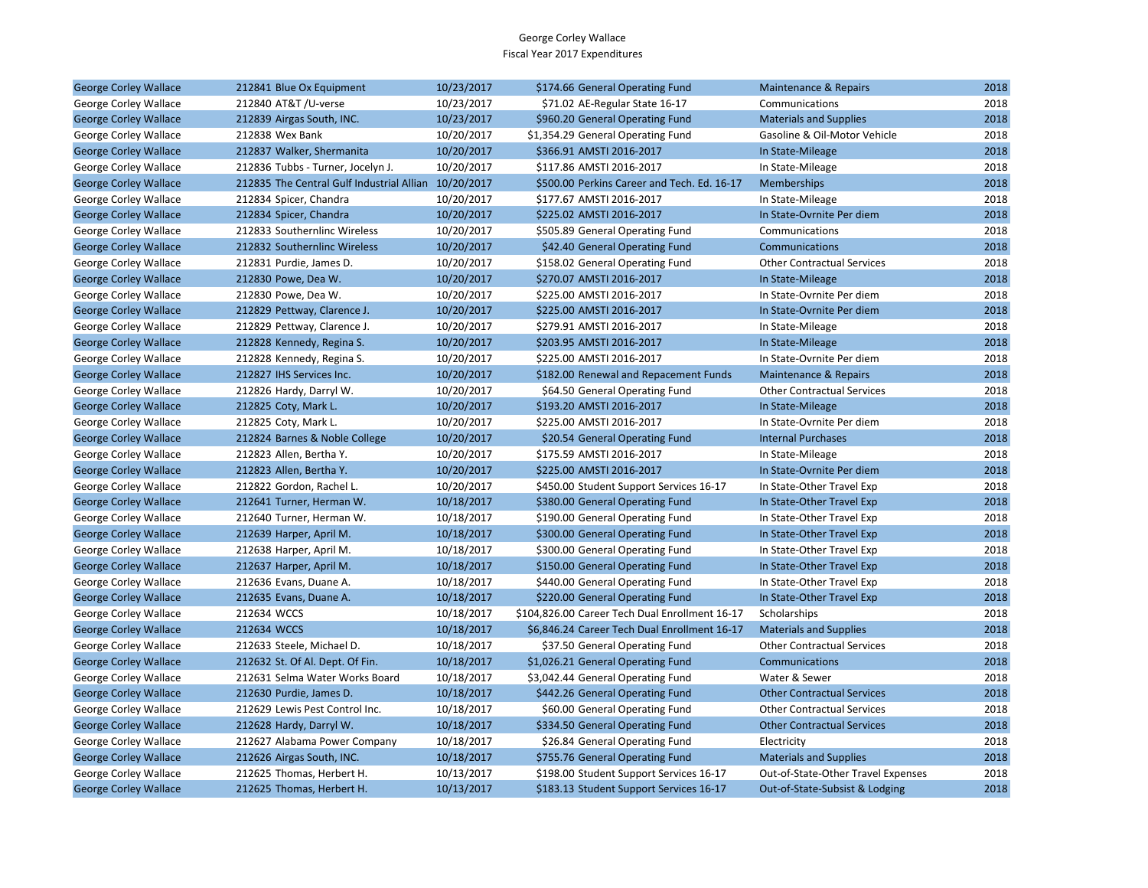| <b>George Corley Wallace</b> | 212841 Blue Ox Equipment                             | 10/23/2017 | \$174.66 General Operating Fund                | Maintenance & Repairs              | 2018 |
|------------------------------|------------------------------------------------------|------------|------------------------------------------------|------------------------------------|------|
| George Corley Wallace        | 212840 AT&T /U-verse                                 | 10/23/2017 | \$71.02 AE-Regular State 16-17                 | Communications                     | 2018 |
| <b>George Corley Wallace</b> | 212839 Airgas South, INC.                            | 10/23/2017 | \$960.20 General Operating Fund                | <b>Materials and Supplies</b>      | 2018 |
| George Corley Wallace        | 212838 Wex Bank                                      | 10/20/2017 | \$1,354.29 General Operating Fund              | Gasoline & Oil-Motor Vehicle       | 2018 |
| <b>George Corley Wallace</b> | 212837 Walker, Shermanita                            | 10/20/2017 | \$366.91 AMSTI 2016-2017                       | In State-Mileage                   | 2018 |
| George Corley Wallace        | 212836 Tubbs - Turner, Jocelyn J.                    | 10/20/2017 | \$117.86 AMSTI 2016-2017                       | In State-Mileage                   | 2018 |
| <b>George Corley Wallace</b> | 212835 The Central Gulf Industrial Allian 10/20/2017 |            | \$500.00 Perkins Career and Tech. Ed. 16-17    | <b>Memberships</b>                 | 2018 |
| George Corley Wallace        | 212834 Spicer, Chandra                               | 10/20/2017 | \$177.67 AMSTI 2016-2017                       | In State-Mileage                   | 2018 |
| <b>George Corley Wallace</b> | 212834 Spicer, Chandra                               | 10/20/2017 | \$225.02 AMSTI 2016-2017                       | In State-Ovrnite Per diem          | 2018 |
| George Corley Wallace        | 212833 Southernlinc Wireless                         | 10/20/2017 | \$505.89 General Operating Fund                | Communications                     | 2018 |
| <b>George Corley Wallace</b> | 212832 Southernlinc Wireless                         | 10/20/2017 | \$42.40 General Operating Fund                 | Communications                     | 2018 |
| George Corley Wallace        | 212831 Purdie, James D.                              | 10/20/2017 | \$158.02 General Operating Fund                | <b>Other Contractual Services</b>  | 2018 |
| <b>George Corley Wallace</b> | 212830 Powe, Dea W.                                  | 10/20/2017 | \$270.07 AMSTI 2016-2017                       | In State-Mileage                   | 2018 |
| George Corley Wallace        | 212830 Powe, Dea W.                                  | 10/20/2017 | \$225.00 AMSTI 2016-2017                       | In State-Ovrnite Per diem          | 2018 |
| <b>George Corley Wallace</b> | 212829 Pettway, Clarence J.                          | 10/20/2017 | \$225.00 AMSTI 2016-2017                       | In State-Ovrnite Per diem          | 2018 |
| George Corley Wallace        | 212829 Pettway, Clarence J.                          | 10/20/2017 | \$279.91 AMSTI 2016-2017                       | In State-Mileage                   | 2018 |
| <b>George Corley Wallace</b> | 212828 Kennedy, Regina S.                            | 10/20/2017 | \$203.95 AMSTI 2016-2017                       | In State-Mileage                   | 2018 |
| George Corley Wallace        | 212828 Kennedy, Regina S.                            | 10/20/2017 | \$225.00 AMSTI 2016-2017                       | In State-Ovrnite Per diem          | 2018 |
| <b>George Corley Wallace</b> | 212827 IHS Services Inc.                             | 10/20/2017 | \$182.00 Renewal and Repacement Funds          | <b>Maintenance &amp; Repairs</b>   | 2018 |
| George Corley Wallace        | 212826 Hardy, Darryl W.                              | 10/20/2017 | \$64.50 General Operating Fund                 | <b>Other Contractual Services</b>  | 2018 |
| <b>George Corley Wallace</b> | 212825 Coty, Mark L.                                 | 10/20/2017 | \$193.20 AMSTI 2016-2017                       | In State-Mileage                   | 2018 |
| George Corley Wallace        | 212825 Coty, Mark L.                                 | 10/20/2017 | \$225.00 AMSTI 2016-2017                       | In State-Ovrnite Per diem          | 2018 |
| <b>George Corley Wallace</b> | 212824 Barnes & Noble College                        | 10/20/2017 | \$20.54 General Operating Fund                 | <b>Internal Purchases</b>          | 2018 |
| George Corley Wallace        | 212823 Allen, Bertha Y.                              | 10/20/2017 | \$175.59 AMSTI 2016-2017                       | In State-Mileage                   | 2018 |
| <b>George Corley Wallace</b> | 212823 Allen, Bertha Y.                              | 10/20/2017 | \$225.00 AMSTI 2016-2017                       | In State-Ovrnite Per diem          | 2018 |
| George Corley Wallace        | 212822 Gordon, Rachel L.                             | 10/20/2017 | \$450.00 Student Support Services 16-17        | In State-Other Travel Exp          | 2018 |
| <b>George Corley Wallace</b> | 212641 Turner, Herman W.                             | 10/18/2017 | \$380.00 General Operating Fund                | In State-Other Travel Exp          | 2018 |
| George Corley Wallace        | 212640 Turner, Herman W.                             | 10/18/2017 | \$190.00 General Operating Fund                | In State-Other Travel Exp          | 2018 |
| <b>George Corley Wallace</b> | 212639 Harper, April M.                              | 10/18/2017 | \$300.00 General Operating Fund                | In State-Other Travel Exp          | 2018 |
| George Corley Wallace        | 212638 Harper, April M.                              | 10/18/2017 | \$300.00 General Operating Fund                | In State-Other Travel Exp          | 2018 |
| <b>George Corley Wallace</b> | 212637 Harper, April M.                              | 10/18/2017 | \$150.00 General Operating Fund                | In State-Other Travel Exp          | 2018 |
| George Corley Wallace        | 212636 Evans, Duane A.                               | 10/18/2017 | \$440.00 General Operating Fund                | In State-Other Travel Exp          | 2018 |
| <b>George Corley Wallace</b> | 212635 Evans, Duane A.                               | 10/18/2017 | \$220.00 General Operating Fund                | In State-Other Travel Exp          | 2018 |
| George Corley Wallace        | 212634 WCCS                                          | 10/18/2017 | \$104,826.00 Career Tech Dual Enrollment 16-17 | Scholarships                       | 2018 |
| <b>George Corley Wallace</b> | 212634 WCCS                                          | 10/18/2017 | \$6,846.24 Career Tech Dual Enrollment 16-17   | <b>Materials and Supplies</b>      | 2018 |
| George Corley Wallace        | 212633 Steele, Michael D.                            | 10/18/2017 | \$37.50 General Operating Fund                 | <b>Other Contractual Services</b>  | 2018 |
| <b>George Corley Wallace</b> | 212632 St. Of Al. Dept. Of Fin.                      | 10/18/2017 | \$1,026.21 General Operating Fund              | Communications                     | 2018 |
| George Corley Wallace        | 212631 Selma Water Works Board                       | 10/18/2017 | \$3,042.44 General Operating Fund              | Water & Sewer                      | 2018 |
| <b>George Corley Wallace</b> | 212630 Purdie, James D.                              | 10/18/2017 | \$442.26 General Operating Fund                | <b>Other Contractual Services</b>  | 2018 |
| George Corley Wallace        | 212629 Lewis Pest Control Inc.                       | 10/18/2017 | \$60.00 General Operating Fund                 | <b>Other Contractual Services</b>  | 2018 |
| <b>George Corley Wallace</b> | 212628 Hardy, Darryl W.                              | 10/18/2017 | \$334.50 General Operating Fund                | <b>Other Contractual Services</b>  | 2018 |
| George Corley Wallace        | 212627 Alabama Power Company                         | 10/18/2017 | \$26.84 General Operating Fund                 | Electricity                        | 2018 |
| <b>George Corley Wallace</b> | 212626 Airgas South, INC.                            | 10/18/2017 | \$755.76 General Operating Fund                | <b>Materials and Supplies</b>      | 2018 |
| George Corley Wallace        | 212625 Thomas, Herbert H.                            | 10/13/2017 | \$198.00 Student Support Services 16-17        | Out-of-State-Other Travel Expenses | 2018 |
| <b>George Corley Wallace</b> | 212625 Thomas, Herbert H.                            | 10/13/2017 | \$183.13 Student Support Services 16-17        | Out-of-State-Subsist & Lodging     | 2018 |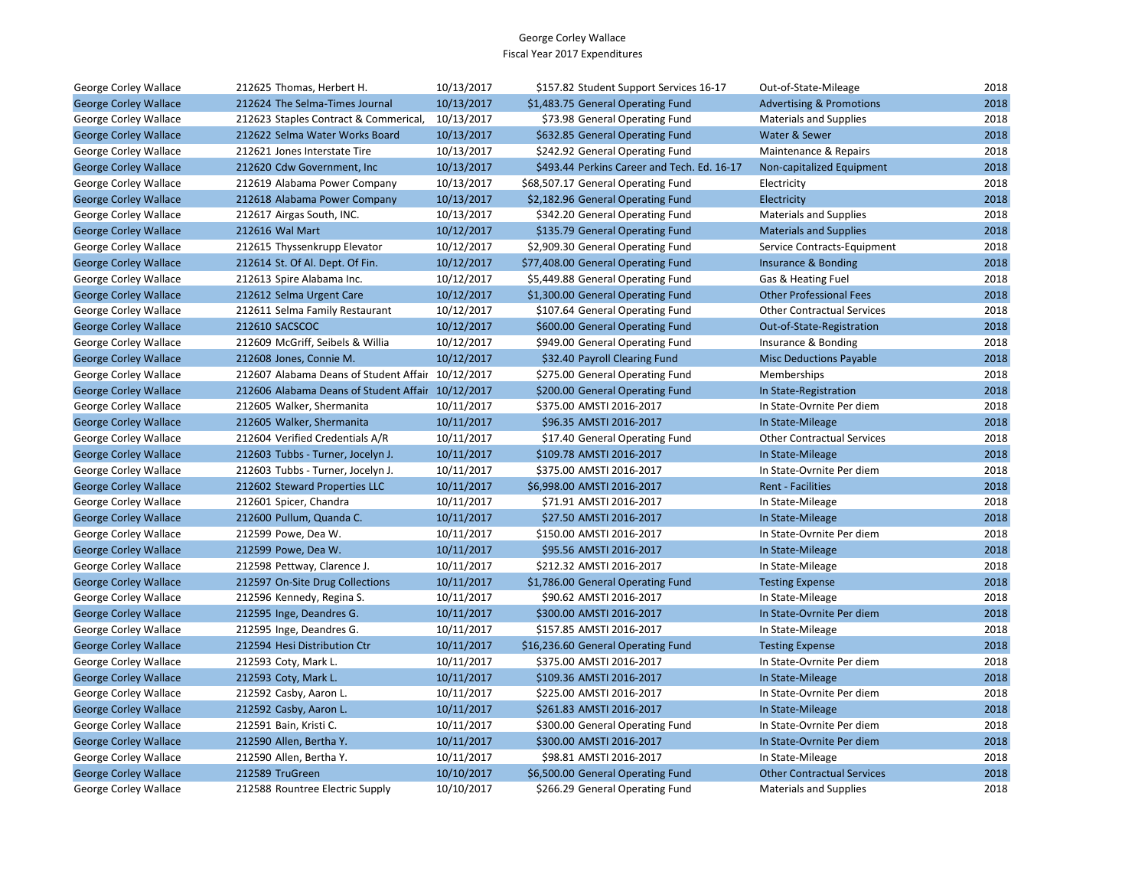| George Corley Wallace        | 212625 Thomas, Herbert H.                         | 10/13/2017 | \$157.82 Student Support Services 16-17     | Out-of-State-Mileage                | 2018 |
|------------------------------|---------------------------------------------------|------------|---------------------------------------------|-------------------------------------|------|
| <b>George Corley Wallace</b> | 212624 The Selma-Times Journal                    | 10/13/2017 | \$1,483.75 General Operating Fund           | <b>Advertising &amp; Promotions</b> | 2018 |
| George Corley Wallace        | 212623 Staples Contract & Commerical,             | 10/13/2017 | \$73.98 General Operating Fund              | <b>Materials and Supplies</b>       | 2018 |
| <b>George Corley Wallace</b> | 212622 Selma Water Works Board                    | 10/13/2017 | \$632.85 General Operating Fund             | Water & Sewer                       | 2018 |
| George Corley Wallace        | 212621 Jones Interstate Tire                      | 10/13/2017 | \$242.92 General Operating Fund             | Maintenance & Repairs               | 2018 |
| <b>George Corley Wallace</b> | 212620 Cdw Government, Inc.                       | 10/13/2017 | \$493.44 Perkins Career and Tech. Ed. 16-17 | Non-capitalized Equipment           | 2018 |
| George Corley Wallace        | 212619 Alabama Power Company                      | 10/13/2017 | \$68,507.17 General Operating Fund          | Electricity                         | 2018 |
| <b>George Corley Wallace</b> | 212618 Alabama Power Company                      | 10/13/2017 | \$2,182.96 General Operating Fund           | Electricity                         | 2018 |
| George Corley Wallace        | 212617 Airgas South, INC.                         | 10/13/2017 | \$342.20 General Operating Fund             | <b>Materials and Supplies</b>       | 2018 |
| <b>George Corley Wallace</b> | 212616 Wal Mart                                   | 10/12/2017 | \$135.79 General Operating Fund             | <b>Materials and Supplies</b>       | 2018 |
| George Corley Wallace        | 212615 Thyssenkrupp Elevator                      | 10/12/2017 | \$2,909.30 General Operating Fund           | Service Contracts-Equipment         | 2018 |
| <b>George Corley Wallace</b> | 212614 St. Of Al. Dept. Of Fin.                   | 10/12/2017 | \$77,408.00 General Operating Fund          | Insurance & Bonding                 | 2018 |
| George Corley Wallace        | 212613 Spire Alabama Inc.                         | 10/12/2017 | \$5,449.88 General Operating Fund           | Gas & Heating Fuel                  | 2018 |
| <b>George Corley Wallace</b> | 212612 Selma Urgent Care                          | 10/12/2017 | \$1,300.00 General Operating Fund           | <b>Other Professional Fees</b>      | 2018 |
| George Corley Wallace        | 212611 Selma Family Restaurant                    | 10/12/2017 | \$107.64 General Operating Fund             | <b>Other Contractual Services</b>   | 2018 |
| <b>George Corley Wallace</b> | 212610 SACSCOC                                    | 10/12/2017 | \$600.00 General Operating Fund             | Out-of-State-Registration           | 2018 |
| George Corley Wallace        | 212609 McGriff, Seibels & Willia                  | 10/12/2017 | \$949.00 General Operating Fund             | Insurance & Bonding                 | 2018 |
| <b>George Corley Wallace</b> | 212608 Jones, Connie M.                           | 10/12/2017 | \$32.40 Payroll Clearing Fund               | <b>Misc Deductions Payable</b>      | 2018 |
| George Corley Wallace        | 212607 Alabama Deans of Student Affair 10/12/2017 |            | \$275.00 General Operating Fund             | Memberships                         | 2018 |
| <b>George Corley Wallace</b> | 212606 Alabama Deans of Student Affair 10/12/2017 |            | \$200.00 General Operating Fund             | In State-Registration               | 2018 |
| George Corley Wallace        | 212605 Walker, Shermanita                         | 10/11/2017 | \$375.00 AMSTI 2016-2017                    | In State-Ovrnite Per diem           | 2018 |
| <b>George Corley Wallace</b> | 212605 Walker, Shermanita                         | 10/11/2017 | \$96.35 AMSTI 2016-2017                     | In State-Mileage                    | 2018 |
| George Corley Wallace        | 212604 Verified Credentials A/R                   | 10/11/2017 | \$17.40 General Operating Fund              | <b>Other Contractual Services</b>   | 2018 |
| <b>George Corley Wallace</b> | 212603 Tubbs - Turner, Jocelyn J.                 | 10/11/2017 | \$109.78 AMSTI 2016-2017                    | In State-Mileage                    | 2018 |
| George Corley Wallace        | 212603 Tubbs - Turner, Jocelyn J.                 | 10/11/2017 | \$375.00 AMSTI 2016-2017                    | In State-Ovrnite Per diem           | 2018 |
| <b>George Corley Wallace</b> | 212602 Steward Properties LLC                     | 10/11/2017 | \$6,998.00 AMSTI 2016-2017                  | <b>Rent - Facilities</b>            | 2018 |
| George Corley Wallace        | 212601 Spicer, Chandra                            | 10/11/2017 | \$71.91 AMSTI 2016-2017                     | In State-Mileage                    | 2018 |
| <b>George Corley Wallace</b> | 212600 Pullum, Quanda C.                          | 10/11/2017 | \$27.50 AMSTI 2016-2017                     | In State-Mileage                    | 2018 |
| George Corley Wallace        | 212599 Powe, Dea W.                               | 10/11/2017 | \$150.00 AMSTI 2016-2017                    | In State-Ovrnite Per diem           | 2018 |
| <b>George Corley Wallace</b> | 212599 Powe, Dea W.                               | 10/11/2017 | \$95.56 AMSTI 2016-2017                     | In State-Mileage                    | 2018 |
| George Corley Wallace        | 212598 Pettway, Clarence J.                       | 10/11/2017 | \$212.32 AMSTI 2016-2017                    | In State-Mileage                    | 2018 |
| <b>George Corley Wallace</b> | 212597 On-Site Drug Collections                   | 10/11/2017 | \$1,786.00 General Operating Fund           | <b>Testing Expense</b>              | 2018 |
| George Corley Wallace        | 212596 Kennedy, Regina S.                         | 10/11/2017 | \$90.62 AMSTI 2016-2017                     | In State-Mileage                    | 2018 |
| <b>George Corley Wallace</b> | 212595 Inge, Deandres G.                          | 10/11/2017 | \$300.00 AMSTI 2016-2017                    | In State-Ovrnite Per diem           | 2018 |
| George Corley Wallace        | 212595 Inge, Deandres G.                          | 10/11/2017 | \$157.85 AMSTI 2016-2017                    | In State-Mileage                    | 2018 |
| <b>George Corley Wallace</b> | 212594 Hesi Distribution Ctr                      | 10/11/2017 | \$16,236.60 General Operating Fund          | <b>Testing Expense</b>              | 2018 |
| George Corley Wallace        | 212593 Coty, Mark L.                              | 10/11/2017 | \$375.00 AMSTI 2016-2017                    | In State-Ovrnite Per diem           | 2018 |
| <b>George Corley Wallace</b> | 212593 Coty, Mark L.                              | 10/11/2017 | \$109.36 AMSTI 2016-2017                    | In State-Mileage                    | 2018 |
| George Corley Wallace        | 212592 Casby, Aaron L.                            | 10/11/2017 | \$225.00 AMSTI 2016-2017                    | In State-Ovrnite Per diem           | 2018 |
| <b>George Corley Wallace</b> | 212592 Casby, Aaron L.                            | 10/11/2017 | \$261.83 AMSTI 2016-2017                    | In State-Mileage                    | 2018 |
| George Corley Wallace        | 212591 Bain, Kristi C.                            | 10/11/2017 | \$300.00 General Operating Fund             | In State-Ovrnite Per diem           | 2018 |
| <b>George Corley Wallace</b> | 212590 Allen, Bertha Y.                           | 10/11/2017 | \$300.00 AMSTI 2016-2017                    | In State-Ovrnite Per diem           | 2018 |
| George Corley Wallace        | 212590 Allen, Bertha Y.                           | 10/11/2017 | \$98.81 AMSTI 2016-2017                     | In State-Mileage                    | 2018 |
| <b>George Corley Wallace</b> | 212589 TruGreen                                   | 10/10/2017 | \$6,500.00 General Operating Fund           | <b>Other Contractual Services</b>   | 2018 |
| George Corley Wallace        | 212588 Rountree Electric Supply                   | 10/10/2017 | \$266.29 General Operating Fund             | <b>Materials and Supplies</b>       | 2018 |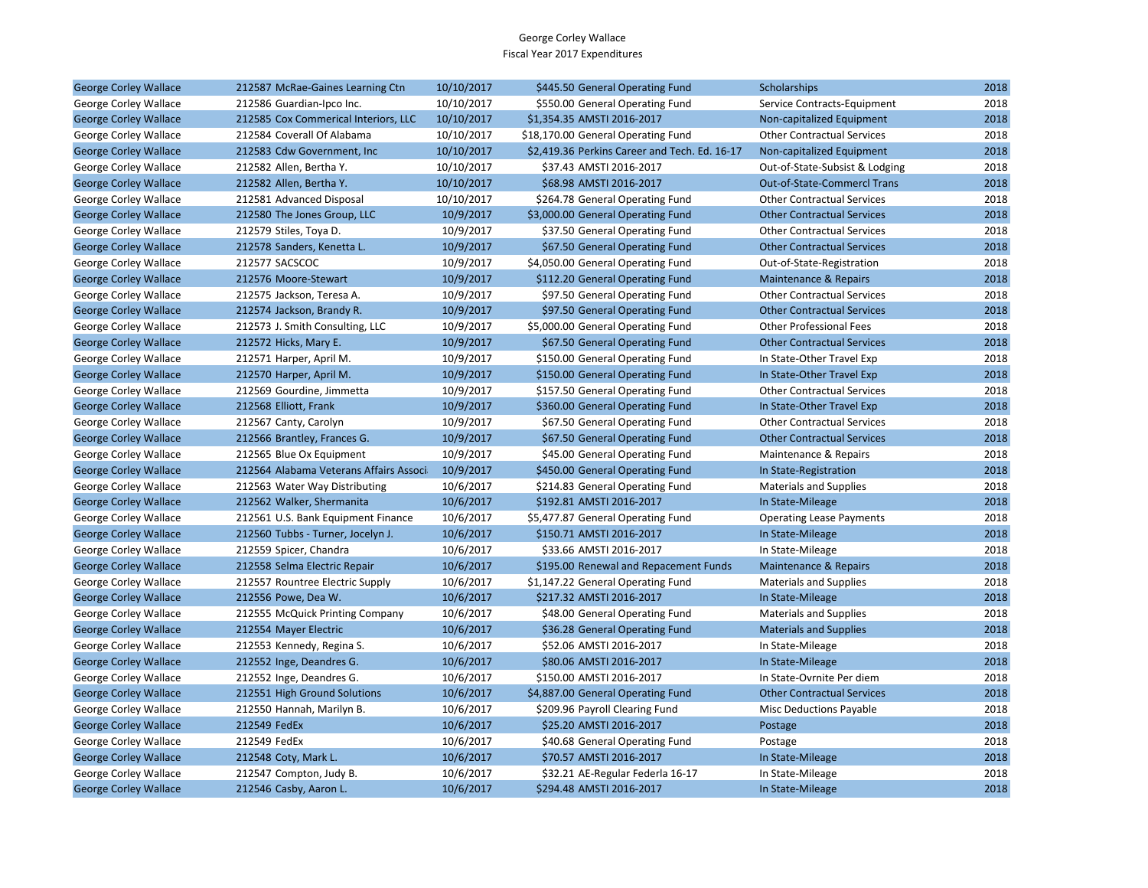| <b>George Corley Wallace</b> | 212587 McRae-Gaines Learning Ctn       | 10/10/2017 | \$445.50 General Operating Fund               | Scholarships                       | 2018 |
|------------------------------|----------------------------------------|------------|-----------------------------------------------|------------------------------------|------|
| George Corley Wallace        | 212586 Guardian-Ipco Inc.              | 10/10/2017 | \$550.00 General Operating Fund               | Service Contracts-Equipment        | 2018 |
| <b>George Corley Wallace</b> | 212585 Cox Commerical Interiors, LLC   | 10/10/2017 | \$1.354.35 AMSTI 2016-2017                    | Non-capitalized Equipment          | 2018 |
| George Corley Wallace        | 212584 Coverall Of Alabama             | 10/10/2017 | \$18,170.00 General Operating Fund            | <b>Other Contractual Services</b>  | 2018 |
| <b>George Corley Wallace</b> | 212583 Cdw Government, Inc.            | 10/10/2017 | \$2,419.36 Perkins Career and Tech. Ed. 16-17 | Non-capitalized Equipment          | 2018 |
| George Corley Wallace        | 212582 Allen, Bertha Y.                | 10/10/2017 | \$37.43 AMSTI 2016-2017                       | Out-of-State-Subsist & Lodging     | 2018 |
| <b>George Corley Wallace</b> | 212582 Allen, Bertha Y.                | 10/10/2017 | \$68.98 AMSTI 2016-2017                       | <b>Out-of-State-Commercl Trans</b> | 2018 |
| George Corley Wallace        | 212581 Advanced Disposal               | 10/10/2017 | \$264.78 General Operating Fund               | <b>Other Contractual Services</b>  | 2018 |
| <b>George Corley Wallace</b> | 212580 The Jones Group, LLC            | 10/9/2017  | \$3,000.00 General Operating Fund             | <b>Other Contractual Services</b>  | 2018 |
| George Corley Wallace        | 212579 Stiles, Toya D.                 | 10/9/2017  | \$37.50 General Operating Fund                | <b>Other Contractual Services</b>  | 2018 |
| <b>George Corley Wallace</b> | 212578 Sanders, Kenetta L.             | 10/9/2017  | \$67.50 General Operating Fund                | <b>Other Contractual Services</b>  | 2018 |
| George Corley Wallace        | 212577 SACSCOC                         | 10/9/2017  | \$4,050.00 General Operating Fund             | Out-of-State-Registration          | 2018 |
| <b>George Corley Wallace</b> | 212576 Moore-Stewart                   | 10/9/2017  | \$112.20 General Operating Fund               | Maintenance & Repairs              | 2018 |
| George Corley Wallace        | 212575 Jackson, Teresa A.              | 10/9/2017  | \$97.50 General Operating Fund                | <b>Other Contractual Services</b>  | 2018 |
| <b>George Corley Wallace</b> | 212574 Jackson, Brandy R.              | 10/9/2017  | \$97.50 General Operating Fund                | <b>Other Contractual Services</b>  | 2018 |
| George Corley Wallace        | 212573 J. Smith Consulting, LLC        | 10/9/2017  | \$5,000.00 General Operating Fund             | <b>Other Professional Fees</b>     | 2018 |
| <b>George Corley Wallace</b> | 212572 Hicks, Mary E.                  | 10/9/2017  | \$67.50 General Operating Fund                | <b>Other Contractual Services</b>  | 2018 |
| George Corley Wallace        | 212571 Harper, April M.                | 10/9/2017  | \$150.00 General Operating Fund               | In State-Other Travel Exp          | 2018 |
| <b>George Corley Wallace</b> | 212570 Harper, April M.                | 10/9/2017  | \$150.00 General Operating Fund               | In State-Other Travel Exp          | 2018 |
| George Corley Wallace        | 212569 Gourdine, Jimmetta              | 10/9/2017  | \$157.50 General Operating Fund               | <b>Other Contractual Services</b>  | 2018 |
| <b>George Corley Wallace</b> | 212568 Elliott, Frank                  | 10/9/2017  | \$360.00 General Operating Fund               | In State-Other Travel Exp          | 2018 |
| George Corley Wallace        | 212567 Canty, Carolyn                  | 10/9/2017  | \$67.50 General Operating Fund                | <b>Other Contractual Services</b>  | 2018 |
| <b>George Corley Wallace</b> | 212566 Brantley, Frances G.            | 10/9/2017  | \$67.50 General Operating Fund                | <b>Other Contractual Services</b>  | 2018 |
| George Corley Wallace        | 212565 Blue Ox Equipment               | 10/9/2017  | \$45.00 General Operating Fund                | Maintenance & Repairs              | 2018 |
| <b>George Corley Wallace</b> | 212564 Alabama Veterans Affairs Associ | 10/9/2017  | \$450.00 General Operating Fund               | In State-Registration              | 2018 |
| George Corley Wallace        | 212563 Water Way Distributing          | 10/6/2017  | \$214.83 General Operating Fund               | <b>Materials and Supplies</b>      | 2018 |
| <b>George Corley Wallace</b> | 212562 Walker, Shermanita              | 10/6/2017  | \$192.81 AMSTI 2016-2017                      | In State-Mileage                   | 2018 |
| George Corley Wallace        | 212561 U.S. Bank Equipment Finance     | 10/6/2017  | \$5,477.87 General Operating Fund             | <b>Operating Lease Payments</b>    | 2018 |
| <b>George Corley Wallace</b> | 212560 Tubbs - Turner, Jocelyn J.      | 10/6/2017  | \$150.71 AMSTI 2016-2017                      | In State-Mileage                   | 2018 |
| George Corley Wallace        | 212559 Spicer, Chandra                 | 10/6/2017  | \$33.66 AMSTI 2016-2017                       | In State-Mileage                   | 2018 |
| <b>George Corley Wallace</b> | 212558 Selma Electric Repair           | 10/6/2017  | \$195.00 Renewal and Repacement Funds         | Maintenance & Repairs              | 2018 |
| George Corley Wallace        | 212557 Rountree Electric Supply        | 10/6/2017  | \$1,147.22 General Operating Fund             | <b>Materials and Supplies</b>      | 2018 |
| <b>George Corley Wallace</b> | 212556 Powe, Dea W.                    | 10/6/2017  | \$217.32 AMSTI 2016-2017                      | In State-Mileage                   | 2018 |
| George Corley Wallace        | 212555 McQuick Printing Company        | 10/6/2017  | \$48.00 General Operating Fund                | <b>Materials and Supplies</b>      | 2018 |
| <b>George Corley Wallace</b> | 212554 Mayer Electric                  | 10/6/2017  | \$36.28 General Operating Fund                | <b>Materials and Supplies</b>      | 2018 |
| George Corley Wallace        | 212553 Kennedy, Regina S.              | 10/6/2017  | \$52.06 AMSTI 2016-2017                       | In State-Mileage                   | 2018 |
| <b>George Corley Wallace</b> | 212552 Inge, Deandres G.               | 10/6/2017  | \$80.06 AMSTI 2016-2017                       | In State-Mileage                   | 2018 |
| George Corley Wallace        | 212552 Inge, Deandres G.               | 10/6/2017  | \$150.00 AMSTI 2016-2017                      | In State-Ovrnite Per diem          | 2018 |
| <b>George Corley Wallace</b> | 212551 High Ground Solutions           | 10/6/2017  | \$4,887.00 General Operating Fund             | <b>Other Contractual Services</b>  | 2018 |
| George Corley Wallace        | 212550 Hannah, Marilyn B.              | 10/6/2017  | \$209.96 Payroll Clearing Fund                | <b>Misc Deductions Payable</b>     | 2018 |
| <b>George Corley Wallace</b> | 212549 FedEx                           | 10/6/2017  | \$25.20 AMSTI 2016-2017                       | Postage                            | 2018 |
| George Corley Wallace        | 212549 FedEx                           | 10/6/2017  | \$40.68 General Operating Fund                | Postage                            | 2018 |
| <b>George Corley Wallace</b> | 212548 Coty, Mark L.                   | 10/6/2017  | \$70.57 AMSTI 2016-2017                       | In State-Mileage                   | 2018 |
| George Corley Wallace        | 212547 Compton, Judy B.                | 10/6/2017  | \$32.21 AE-Regular Federla 16-17              | In State-Mileage                   | 2018 |
| <b>George Corley Wallace</b> | 212546 Casby, Aaron L.                 | 10/6/2017  | \$294.48 AMSTI 2016-2017                      | In State-Mileage                   | 2018 |